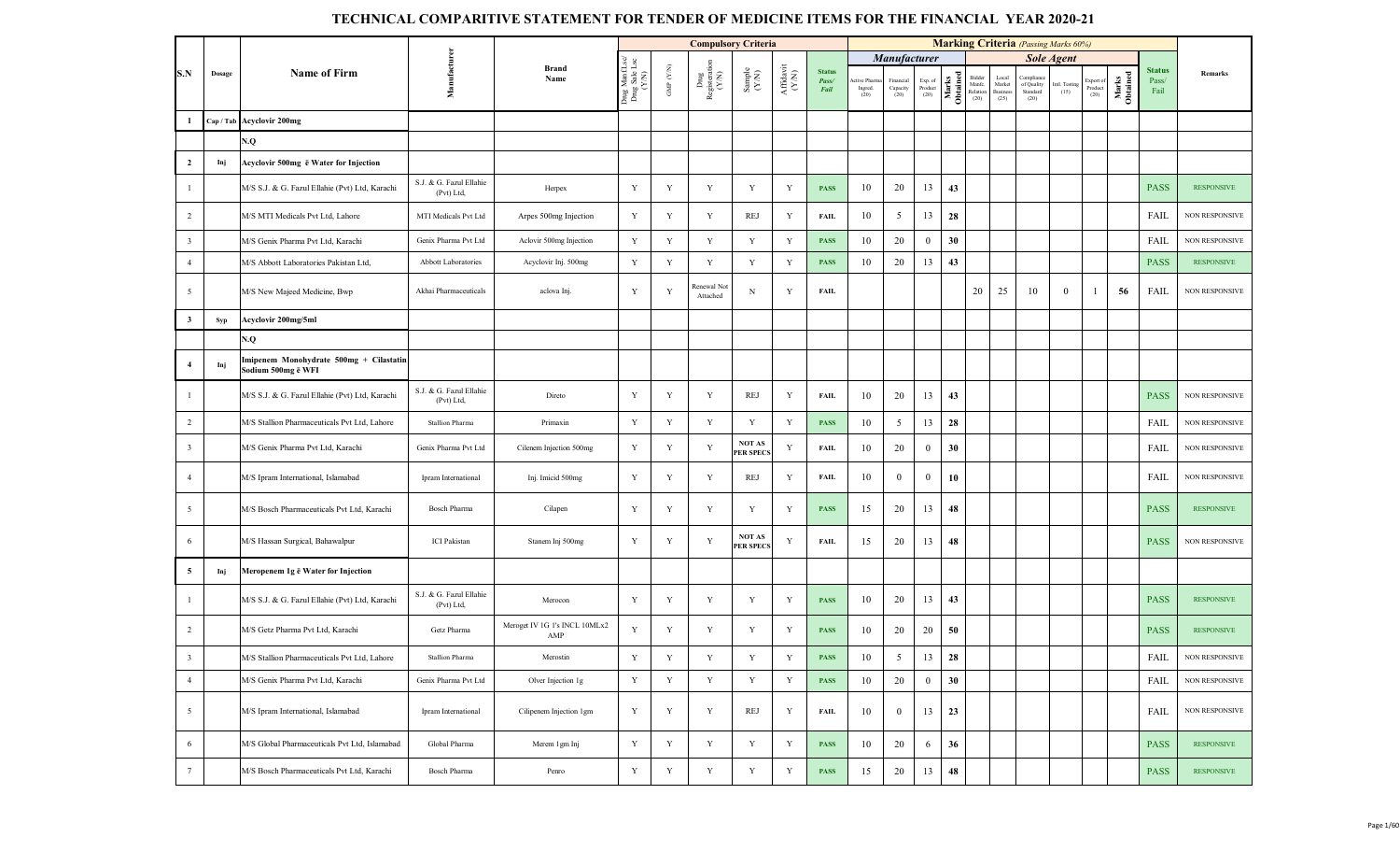|                         |           |                                                               |                                       |                                      |                                         |                                 | <b>Compulsory Criteria</b>                                                       |                                                              |                                       |                                |                                |                                 |                            |                   |                                      |                                            | <b>Marking Criteria</b> (Passing Marks 60%) |                       |                              |                   |                                |                       |
|-------------------------|-----------|---------------------------------------------------------------|---------------------------------------|--------------------------------------|-----------------------------------------|---------------------------------|----------------------------------------------------------------------------------|--------------------------------------------------------------|---------------------------------------|--------------------------------|--------------------------------|---------------------------------|----------------------------|-------------------|--------------------------------------|--------------------------------------------|---------------------------------------------|-----------------------|------------------------------|-------------------|--------------------------------|-----------------------|
|                         |           |                                                               |                                       |                                      |                                         |                                 |                                                                                  |                                                              |                                       |                                |                                | Manufacturer                    |                            |                   |                                      |                                            |                                             | <b>Sole Agent</b>     |                              |                   |                                |                       |
| S.N                     | Dosage    | Name of Firm                                                  | Manufacturen                          | <b>Brand</b><br>Name                 | Drug ManfLsc/<br>Drug Sale Lsc<br>(Y/N) | GMP $(\mathcal{Y},\mathcal{N})$ | $\begin{array}{c} \text{Dng} \\ \text{Registerrati} \\ (\text{Y/N}) \end{array}$ | $\begin{array}{c} \text{Sample} \\ (\text{Y/N}) \end{array}$ | ${\bf Aff} {\bf davit} \\ {\bf (YN)}$ | <b>Status</b><br>Pass/<br>Fail | ctive Pharm<br>Ingred.<br>(20) | Financial<br>Capacity<br>$(20)$ | Exp. of<br>Product<br>(20) | Marks<br>Obtained | Bidder<br>Manfe.<br>Relation<br>(20) | Local<br>Market<br><b>Business</b><br>(25) | Compliano<br>of Quality<br>Standard<br>(20) | Intl. Testing<br>(15) | Export of<br>Product<br>(20) | Marks<br>Obtained | <b>Status</b><br>Pass/<br>Fail | Remarks               |
|                         | Cap / Tab | <b>Acyclovir 200mg</b>                                        |                                       |                                      |                                         |                                 |                                                                                  |                                                              |                                       |                                |                                |                                 |                            |                   |                                      |                                            |                                             |                       |                              |                   |                                |                       |
|                         |           | N.Q                                                           |                                       |                                      |                                         |                                 |                                                                                  |                                                              |                                       |                                |                                |                                 |                            |                   |                                      |                                            |                                             |                       |                              |                   |                                |                       |
| $\overline{2}$          | Inj       | Acyclovir 500mg ë Water for Injection                         |                                       |                                      |                                         |                                 |                                                                                  |                                                              |                                       |                                |                                |                                 |                            |                   |                                      |                                            |                                             |                       |                              |                   |                                |                       |
| $\mathbf{1}$            |           | M/S S.J. & G. Fazul Ellahie (Pvt) Ltd, Karachi                | S.J. & G. Fazul Ellahie<br>(Pvt) Ltd, | Herpex                               | Y                                       | Y                               | Y                                                                                | Y                                                            | Y                                     | <b>PASS</b>                    | 10                             | 20                              | 13                         | 43                |                                      |                                            |                                             |                       |                              |                   | <b>PASS</b>                    | <b>RESPONSIVE</b>     |
| $\overline{2}$          |           | M/S MTI Medicals Pvt Ltd, Lahore                              | MTI Medicals Pvt Ltd                  | Arpes 500mg Injection                | Y                                       | Y                               | Y                                                                                | REJ                                                          | Y                                     | <b>FAIL</b>                    | 10                             | 5                               | 13                         | 28                |                                      |                                            |                                             |                       |                              |                   | <b>FAIL</b>                    | <b>NON RESPONSIVE</b> |
| $\overline{\mathbf{3}}$ |           | M/S Genix Pharma Pvt Ltd, Karachi                             | Genix Pharma Pvt Ltd                  | Aclovir 500mg Injection              | $\mathbf Y$                             | Y                               | $\mathbf Y$                                                                      | $\mathbf Y$                                                  | Y                                     | <b>PASS</b>                    | 10                             | 20                              | $\mathbf{0}$               | 30                |                                      |                                            |                                             |                       |                              |                   | FAIL                           | NON RESPONSIVE        |
| $\overline{4}$          |           | M/S Abbott Laboratories Pakistan Ltd,                         | Abbott Laboratories                   | Acyclovir Inj. 500mg                 | Y                                       | $\mathbf Y$                     | Y                                                                                | Y                                                            | Y                                     | <b>PASS</b>                    | 10                             | 20                              | 13                         | 43                |                                      |                                            |                                             |                       |                              |                   | <b>PASS</b>                    | <b>RESPONSIVE</b>     |
| 5                       |           | M/S New Majeed Medicine, Bwp                                  | Akhai Pharmaceuticals                 | aclova Inj.                          | Y                                       | $\mathbf Y$                     | Renewal Not<br>Attached                                                          | N                                                            | Y                                     | <b>FAIL</b>                    |                                |                                 |                            |                   | 20                                   | 25                                         | 10                                          | $\mathbf{0}$          | -1                           | 56                | FAIL                           | <b>NON RESPONSIVE</b> |
| $\mathbf{3}$            | Syp       | Acyclovir 200mg/5ml                                           |                                       |                                      |                                         |                                 |                                                                                  |                                                              |                                       |                                |                                |                                 |                            |                   |                                      |                                            |                                             |                       |                              |                   |                                |                       |
|                         |           | N.Q                                                           |                                       |                                      |                                         |                                 |                                                                                  |                                                              |                                       |                                |                                |                                 |                            |                   |                                      |                                            |                                             |                       |                              |                   |                                |                       |
| $\overline{4}$          | Inj       | Imipenem Monohydrate 500mg + Cilastatin<br>Sodium 500mg e WFI |                                       |                                      |                                         |                                 |                                                                                  |                                                              |                                       |                                |                                |                                 |                            |                   |                                      |                                            |                                             |                       |                              |                   |                                |                       |
| $\mathbf{1}$            |           | M/S S.J. & G. Fazul Ellahie (Pvt) Ltd, Karachi                | S.J. & G. Fazul Ellahie<br>(Pvt) Ltd, | Direto                               | Y                                       | Y                               | $\mathbf Y$                                                                      | REJ                                                          | Y                                     | <b>FAIL</b>                    | 10                             | 20                              | 13                         | 43                |                                      |                                            |                                             |                       |                              |                   | <b>PASS</b>                    | <b>NON RESPONSIVE</b> |
| $\overline{2}$          |           | M/S Stallion Pharmaceuticals Pvt Ltd, Lahore                  | Stallion Pharma                       | Primaxin                             | $\mathbf Y$                             | Y                               | Y                                                                                | Y                                                            | Y                                     | <b>PASS</b>                    | 10                             | $5\overline{)}$                 | 13                         | 28                |                                      |                                            |                                             |                       |                              |                   | <b>FAIL</b>                    | NON RESPONSIVE        |
| $\overline{\mathbf{3}}$ |           | M/S Genix Pharma Pvt Ltd, Karachi                             | Genix Pharma Pvt Ltd                  | Cilenem Injection 500mg              | Y                                       | Y                               | $\mathbf Y$                                                                      | <b>NOT AS</b><br><b>PER SPECS</b>                            | Y                                     | <b>FAIL</b>                    | 10                             | 20                              | $\overline{0}$             | 30                |                                      |                                            |                                             |                       |                              |                   | FAIL                           | NON RESPONSIVE        |
| $\overline{4}$          |           | M/S Ipram International, Islamabad                            | Ipram International                   | Inj. Imicid 500mg                    | Y                                       | Y                               | Y                                                                                | REJ                                                          | Y                                     | FAIL                           | 10                             | $\bf{0}$                        | $\bf{0}$                   | 10                |                                      |                                            |                                             |                       |                              |                   | FAIL                           | <b>NON RESPONSIVE</b> |
| 5                       |           | M/S Bosch Pharmaceuticals Pvt Ltd, Karachi                    | Bosch Pharma                          | Cilapen                              | Y                                       | Y                               | Y                                                                                | Y                                                            | Y                                     | <b>PASS</b>                    | 15                             | 20                              | 13                         | 48                |                                      |                                            |                                             |                       |                              |                   | <b>PASS</b>                    | <b>RESPONSIVE</b>     |
| 6                       |           | M/S Hassan Surgical, Bahawalpur                               | <b>ICI</b> Pakistan                   | Stanem Inj 500mg                     | Y                                       | Y                               | Y                                                                                | NOT AS<br><b>PER SPECS</b>                                   | Y                                     | <b>FAIL</b>                    | 15                             | 20                              | 13                         | 48                |                                      |                                            |                                             |                       |                              |                   | <b>PASS</b>                    | <b>NON RESPONSIVE</b> |
| 5                       | Inj       | Meropenem 1g ē Water for Injection                            |                                       |                                      |                                         |                                 |                                                                                  |                                                              |                                       |                                |                                |                                 |                            |                   |                                      |                                            |                                             |                       |                              |                   |                                |                       |
| $\mathbf{1}$            |           | M/S S.J. & G. Fazul Ellahie (Pvt) Ltd, Karachi                | S.J. & G. Fazul Ellahie<br>(Pvt) Ltd, | Merocon                              | Y                                       | Y                               | Y                                                                                | Y                                                            | Y                                     | <b>PASS</b>                    | 10                             | 20                              | 13                         | 43                |                                      |                                            |                                             |                       |                              |                   | <b>PASS</b>                    | <b>RESPONSIVE</b>     |
| 2                       |           | M/S Getz Pharma Pvt Ltd, Karachi                              | Getz Pharma                           | Meroget IV 1G 1's INCL 10MLx2<br>AMP | Y                                       | Y                               | Y                                                                                | Y                                                            | Y                                     | <b>PASS</b>                    | 10                             | 20                              | 20                         | 50                |                                      |                                            |                                             |                       |                              |                   | <b>PASS</b>                    | <b>RESPONSIVE</b>     |
|                         |           | A/S Stallion Pharmaceuticals Pvt Ltd, Lahore                  | Stallion Pharma                       | Merostin                             | Y                                       | $\mathbf Y$                     | Y                                                                                | Y                                                            | Y                                     | <b>PASS</b>                    | 10                             | 5                               | 13                         | 28                |                                      |                                            |                                             |                       |                              |                   | <b>FAIL</b>                    | NON RESPONSIVE        |
| $\overline{4}$          |           | M/S Genix Pharma Pvt Ltd, Karachi                             | Genix Pharma Pvt Ltd                  | Olver Injection 1g                   | $\mathbf Y$                             | Y                               | $\mathbf Y$                                                                      | $\mathbf Y$                                                  | $\mathbf Y$                           | <b>PASS</b>                    | 10                             | 20                              | $\overline{0}$             | 30                |                                      |                                            |                                             |                       |                              |                   | FAIL                           | NON RESPONSIVE        |
| $\overline{5}$          |           | M/S Ipram International, Islamabad                            | Ipram International                   | Cilipenem Injection 1gm              | Y                                       | Y                               | Y                                                                                | REJ                                                          | Y                                     | FAIL                           | 10                             | $\mathbf{0}$                    | 13                         | 23                |                                      |                                            |                                             |                       |                              |                   | FAIL                           | <b>NON RESPONSIVE</b> |
| 6                       |           | M/S Global Pharmaceuticals Pvt Ltd, Islamabad                 | Global Pharma                         | Merem 1gm Inj                        | Y                                       | Y                               | Y                                                                                | Y                                                            | Y                                     | <b>PASS</b>                    | 10                             | 20                              | 6                          | 36                |                                      |                                            |                                             |                       |                              |                   | <b>PASS</b>                    | <b>RESPONSIVE</b>     |
| $7\phantom{.0}$         |           | M/S Bosch Pharmaceuticals Pvt Ltd, Karachi                    | Bosch Pharma                          | Penro                                | $\mathbf Y$                             | Y                               | $\mathbf Y$                                                                      | $\mathbf Y$                                                  | Y                                     | <b>PASS</b>                    | 15                             | 20                              | 13                         | 48                |                                      |                                            |                                             |                       |                              |                   | <b>PASS</b>                    | <b>RESPONSIVE</b>     |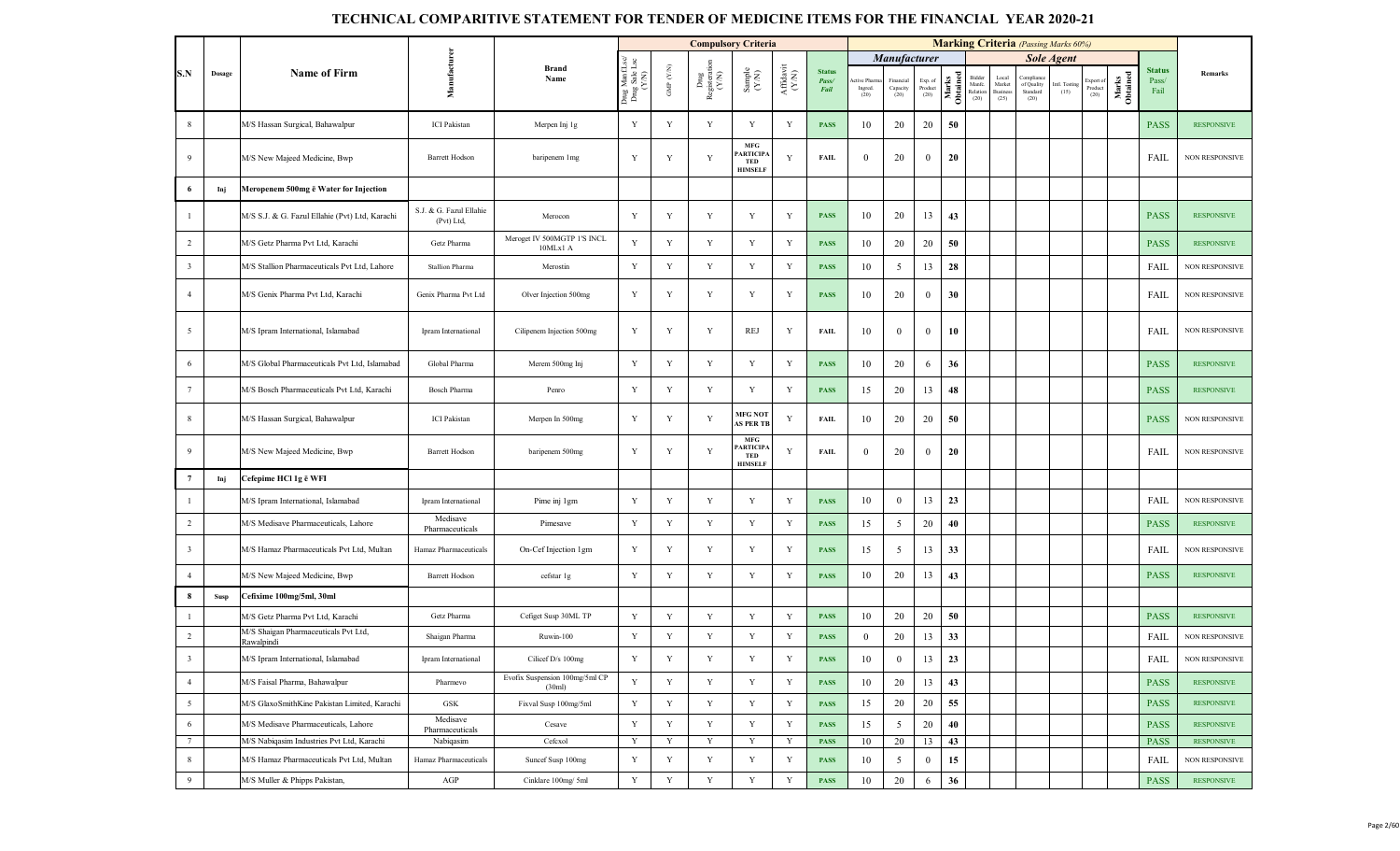|                         |        |                                                    |                                       |                                          |                                         |                                 | <b>Compulsory Criteria</b>                                                      |                                                              |                                                                                                        |                                |                               |                               |                            |                   |                                      |                                    | <b>Marking Criteria</b> (Passing Marks 60%) |                      |                             |                   |                                |                       |
|-------------------------|--------|----------------------------------------------------|---------------------------------------|------------------------------------------|-----------------------------------------|---------------------------------|---------------------------------------------------------------------------------|--------------------------------------------------------------|--------------------------------------------------------------------------------------------------------|--------------------------------|-------------------------------|-------------------------------|----------------------------|-------------------|--------------------------------------|------------------------------------|---------------------------------------------|----------------------|-----------------------------|-------------------|--------------------------------|-----------------------|
|                         |        |                                                    |                                       |                                          |                                         |                                 |                                                                                 |                                                              |                                                                                                        |                                |                               | <b>Manufacturer</b>           |                            |                   |                                      |                                    |                                             | <b>Sole Agent</b>    |                             |                   |                                |                       |
| S.N                     | Dosage | <b>Name of Firm</b>                                | Manufacture                           | <b>Brand</b><br>Name                     | Drug ManfLsc/<br>Drug Sale Lsc<br>(Y/N) | GMP $(\mathcal{Y},\mathcal{N})$ | $\begin{array}{c} \text{Dng} \\ \text{Registerati} \\ (\text{Y/N}) \end{array}$ | $\begin{array}{c} \text{Sample} \\ (\text{Y-N}) \end{array}$ | $\begin{array}{c} \mathbf{Aff} \mathbf{d}\mathbf{a}\mathbf{v}\mathbf{i} \\ (\mathbf{Y/N}) \end{array}$ | <b>Status</b><br>Pass/<br>Fail | tive Pharm<br>Ingred.<br>(20) | Financial<br>Capacity<br>(20) | Exp. of<br>Product<br>(20) | Marks<br>Obtained | Bidder<br>Manfe.<br>Relation<br>(20) | Local<br>Market<br>Busines<br>(25) | Complianc<br>of Quality<br>Standard<br>(20) | ntl. Testing<br>(15) | Export o<br>Product<br>(20) | Marks<br>Obtained | <b>Status</b><br>Pass/<br>Fail | Remarks               |
| 8                       |        | M/S Hassan Surgical, Bahawalpur                    | <b>ICI</b> Pakistan                   | Merpen Inj 1g                            | Y                                       | $\mathbf Y$                     | Y                                                                               | Y                                                            | Y                                                                                                      | <b>PASS</b>                    | 10                            | 20                            | 20                         | 50                |                                      |                                    |                                             |                      |                             |                   | <b>PASS</b>                    | <b>RESPONSIVE</b>     |
| 9                       |        | M/S New Majeed Medicine, Bwp                       | <b>Barrett Hodson</b>                 | baripenem 1mg                            | Y                                       | Y                               | Y                                                                               | $\mathbf{MFG}$<br><b>ARTICIP.</b><br>TED<br><b>HIMSELF</b>   | Y                                                                                                      | <b>FAIL</b>                    | $\bf{0}$                      | 20                            | $\overline{0}$             | 20                |                                      |                                    |                                             |                      |                             |                   | FAIL                           | NON RESPONSIVE        |
| 6                       | Inj    | Meropenem 500mg ē Water for Injection              |                                       |                                          |                                         |                                 |                                                                                 |                                                              |                                                                                                        |                                |                               |                               |                            |                   |                                      |                                    |                                             |                      |                             |                   |                                |                       |
| $\overline{1}$          |        | M/S S.J. & G. Fazul Ellahie (Pvt) Ltd, Karachi     | S.J. & G. Fazul Ellahie<br>(Pvt) Ltd. | Merocon                                  | Y                                       | $\mathbf Y$                     | $\mathbf Y$                                                                     | Y                                                            | Y                                                                                                      | <b>PASS</b>                    | 10                            | 20                            | 13                         | 43                |                                      |                                    |                                             |                      |                             |                   | <b>PASS</b>                    | <b>RESPONSIVE</b>     |
| $\overline{2}$          |        | M/S Getz Pharma Pvt Ltd, Karachi                   | Getz Pharma                           | Meroget IV 500MGTP 1'S INCL<br>10MLx1 A  | Y                                       | Y                               | $\mathbf Y$                                                                     | Y                                                            | Y                                                                                                      | <b>PASS</b>                    | 10                            | 20                            | 20                         | 50                |                                      |                                    |                                             |                      |                             |                   | <b>PASS</b>                    | <b>RESPONSIVE</b>     |
| $\overline{3}$          |        | M/S Stallion Pharmaceuticals Pvt Ltd, Lahore       | <b>Stallion Pharma</b>                | Merostin                                 | Y                                       | $\mathbf Y$                     | $\mathbf Y$                                                                     | $\mathbf Y$                                                  | Y                                                                                                      | <b>PASS</b>                    | 10                            | 5                             | 13                         | 28                |                                      |                                    |                                             |                      |                             |                   | FAIL                           | NON RESPONSIVE        |
| $\overline{4}$          |        | M/S Genix Pharma Pvt Ltd, Karachi                  | Genix Pharma Pvt Ltd                  | Olver Injection 500mg                    | Y                                       | Y                               | Y                                                                               | Y                                                            | Y                                                                                                      | <b>PASS</b>                    | 10                            | 20                            | $\overline{0}$             | 30                |                                      |                                    |                                             |                      |                             |                   | FAIL                           | <b>NON RESPONSIVE</b> |
| 5                       |        | M/S Ipram International, Islamabad                 | Ipram International                   | Cilipenem Injection 500mg                | Y                                       | Y                               | $\mathbf Y$                                                                     | REJ                                                          | Y                                                                                                      | <b>FAIL</b>                    | 10                            | $\mathbf{0}$                  | $\mathbf{0}$               | 10                |                                      |                                    |                                             |                      |                             |                   | FAIL                           | NON RESPONSIVE        |
| 6                       |        | M/S Global Pharmaceuticals Pvt Ltd, Islamabad      | Global Pharma                         | Merem 500mg Inj                          | Y                                       | Y                               | Y                                                                               | Y                                                            | Y                                                                                                      | <b>PASS</b>                    | 10                            | 20                            | 6                          | 36                |                                      |                                    |                                             |                      |                             |                   | <b>PASS</b>                    | <b>RESPONSIVE</b>     |
| $7\overline{ }$         |        | M/S Bosch Pharmaceuticals Pvt Ltd, Karachi         | <b>Bosch Pharma</b>                   | Penro                                    | Y                                       | Y                               | Y                                                                               | Y                                                            | Y                                                                                                      | <b>PASS</b>                    | 15                            | 20                            | 13                         | 48                |                                      |                                    |                                             |                      |                             |                   | <b>PASS</b>                    | <b>RESPONSIVE</b>     |
| 8                       |        | M/S Hassan Surgical, Bahawalpur                    | <b>ICI</b> Pakistan                   | Merpen In 500mg                          | Y                                       | Y                               | Y                                                                               | <b>MFG NOT</b><br><b>AS PER TB</b>                           | Y                                                                                                      | <b>FAIL</b>                    | 10                            | 20                            | 20                         | 50                |                                      |                                    |                                             |                      |                             |                   | <b>PASS</b>                    | <b>NON RESPONSIVE</b> |
| 9                       |        | M/S New Majeed Medicine, Bwp                       | <b>Barrett Hodson</b>                 | baripenem 500mg                          | Y                                       | Y                               | Y                                                                               | $\mathbf{MFG}$<br><b>ARTICIPA</b><br>TED<br><b>HIMSELF</b>   | Y                                                                                                      | <b>FAIL</b>                    | $\theta$                      | 20                            | $\mathbf{0}$               | 20                |                                      |                                    |                                             |                      |                             |                   | FAIL                           | NON RESPONSIVE        |
| $7\phantom{.0}$         | Inj    | Cefepime HCl 1g ē WFI                              |                                       |                                          |                                         |                                 |                                                                                 |                                                              |                                                                                                        |                                |                               |                               |                            |                   |                                      |                                    |                                             |                      |                             |                   |                                |                       |
| $\mathbf{1}$            |        | M/S Ipram International, Islamabad                 | Ipram International                   | Pime inj 1gm                             | Y                                       | $\mathbf Y$                     | Y                                                                               | Y                                                            | Y                                                                                                      | <b>PASS</b>                    | 10                            | $\overline{0}$                | 13                         | 23                |                                      |                                    |                                             |                      |                             |                   | FAIL                           | NON RESPONSIVE        |
| $\overline{2}$          |        | M/S Medisave Pharmaceuticals, Lahore               | Medisave<br>Pharmaceuticals           | Pimesave                                 | Y                                       | $\mathbf Y$                     | Y                                                                               | $\mathbf Y$                                                  | $\mathbf Y$                                                                                            | <b>PASS</b>                    | 15                            | 5                             | 20                         | 40                |                                      |                                    |                                             |                      |                             |                   | <b>PASS</b>                    | <b>RESPONSIVE</b>     |
| $\overline{\mathbf{3}}$ |        | M/S Hamaz Pharmaceuticals Pvt Ltd, Multan          | Hamaz Pharmaceuticals                 | On-Cef Injection 1gm                     | Y                                       | $\mathbf Y$                     | $\mathbf Y$                                                                     | Y                                                            | Y                                                                                                      | <b>PASS</b>                    | 15                            | 5                             | 13                         | 33                |                                      |                                    |                                             |                      |                             |                   | FAIL                           | NON RESPONSIVE        |
| $\overline{4}$          |        | M/S New Majeed Medicine, Bwp                       | <b>Barrett Hodson</b>                 | cefstar 1g                               | $\mathbf Y$                             | $\mathbf Y$                     | $\mathbf Y$                                                                     | $\mathbf Y$                                                  | Y                                                                                                      | <b>PASS</b>                    | 10                            | 20                            | 13                         | 43                |                                      |                                    |                                             |                      |                             |                   | <b>PASS</b>                    | <b>RESPONSIVE</b>     |
| 8                       | Susp   | Cefixime 100mg/5ml, 30ml                           |                                       |                                          |                                         |                                 |                                                                                 |                                                              |                                                                                                        |                                |                               |                               |                            |                   |                                      |                                    |                                             |                      |                             |                   |                                |                       |
| $\overline{1}$          |        | M/S Getz Pharma Pvt Ltd, Karachi                   | Getz Pharma                           | Cefiget Susp 30ML TP                     | Y                                       | Y                               | $\mathbf Y$                                                                     | Y                                                            | $\mathbf Y$                                                                                            | <b>PASS</b>                    | 10                            | 20                            | 20                         | 50                |                                      |                                    |                                             |                      |                             |                   | <b>PASS</b>                    | <b>RESPONSIVE</b>     |
| $\overline{2}$          |        | M/S Shaigan Pharmaceuticals Pvt Ltd,<br>Rawalpindi | Shaigan Pharma                        | Ruwin-100                                | Y                                       | Y                               | Y                                                                               | Y                                                            | Y                                                                                                      | <b>PASS</b>                    | $\overline{0}$                | 20                            | 13                         | 33                |                                      |                                    |                                             |                      |                             |                   | FAIL                           | <b>NON RESPONSIVE</b> |
| $\overline{\mathbf{3}}$ |        | M/S Ipram International, Islamabad                 | Ipram International                   | Cilicef D/s 100mg                        |                                         |                                 |                                                                                 |                                                              |                                                                                                        | <b>PASS</b>                    | 10                            | $\boldsymbol{0}$              | 13                         | 23                |                                      |                                    |                                             |                      |                             |                   | ${\rm FAIL}$                   | <b>NON RESPONSIVE</b> |
| $\overline{4}$          |        | M/S Faisal Pharma, Bahawalpur                      | Pharmevo                              | Evofix Suspension 100mg/5ml CP<br>(30ml) | Y                                       | Y                               | Y                                                                               | Y                                                            | Y                                                                                                      | <b>PASS</b>                    | 10                            | 20                            | 13                         | 43                |                                      |                                    |                                             |                      |                             |                   | <b>PASS</b>                    | <b>RESPONSIVE</b>     |
| $5\overline{)}$         |        | M/S GlaxoSmithKine Pakistan Limited, Karachi       | GSK                                   | Fixval Susp 100mg/5ml                    | Y                                       | Y                               | Y                                                                               | Y                                                            | Y                                                                                                      | <b>PASS</b>                    | 15                            | 20                            | 20                         | 55                |                                      |                                    |                                             |                      |                             |                   | <b>PASS</b>                    | <b>RESPONSIVE</b>     |
| 6                       |        | M/S Medisave Pharmaceuticals, Lahore               | Medisave<br>Pharmaceuticals           | Cesave                                   | $\mathbf Y$                             | $\mathbf Y$                     | $\mathbf Y$                                                                     | $\mathbf Y$                                                  | Y                                                                                                      | <b>PASS</b>                    | 15                            | 5                             | 20                         | 40                |                                      |                                    |                                             |                      |                             |                   | <b>PASS</b>                    | <b>RESPONSIVE</b>     |
| $7\phantom{.0}$         |        | M/S Nabiqasim Industries Pvt Ltd, Karachi          | Nabiqasim                             | Cefcxol                                  | Y                                       | $\mathbf Y$                     | $\mathbf Y$                                                                     | $\mathbf Y$                                                  | Y                                                                                                      | <b>PASS</b>                    | 10                            | 20                            | 13                         | 43                |                                      |                                    |                                             |                      |                             |                   | <b>PASS</b>                    | <b>RESPONSIVE</b>     |
| 8                       |        | M/S Hamaz Pharmaceuticals Pvt Ltd, Multan          | Hamaz Pharmaceuticals                 | Suncef Susp 100mg                        | Y                                       | Y                               | $\mathbf Y$                                                                     | $\mathbf Y$                                                  | $\mathbf Y$                                                                                            | <b>PASS</b>                    | 10                            | 5                             | $\overline{0}$             | 15                |                                      |                                    |                                             |                      |                             |                   | FAIL                           | NON RESPONSIVE        |
| 9                       |        | M/S Muller & Phipps Pakistan,                      | AGP                                   | Cinklare 100mg/ 5ml                      | $\mathbf Y$                             | $\mathbf Y$                     | $\mathbf Y$                                                                     | $\mathbf Y$                                                  | Y                                                                                                      | <b>PASS</b>                    | 10                            | 20                            | 6                          | 36                |                                      |                                    |                                             |                      |                             |                   | <b>PASS</b>                    | <b>RESPONSIVE</b>     |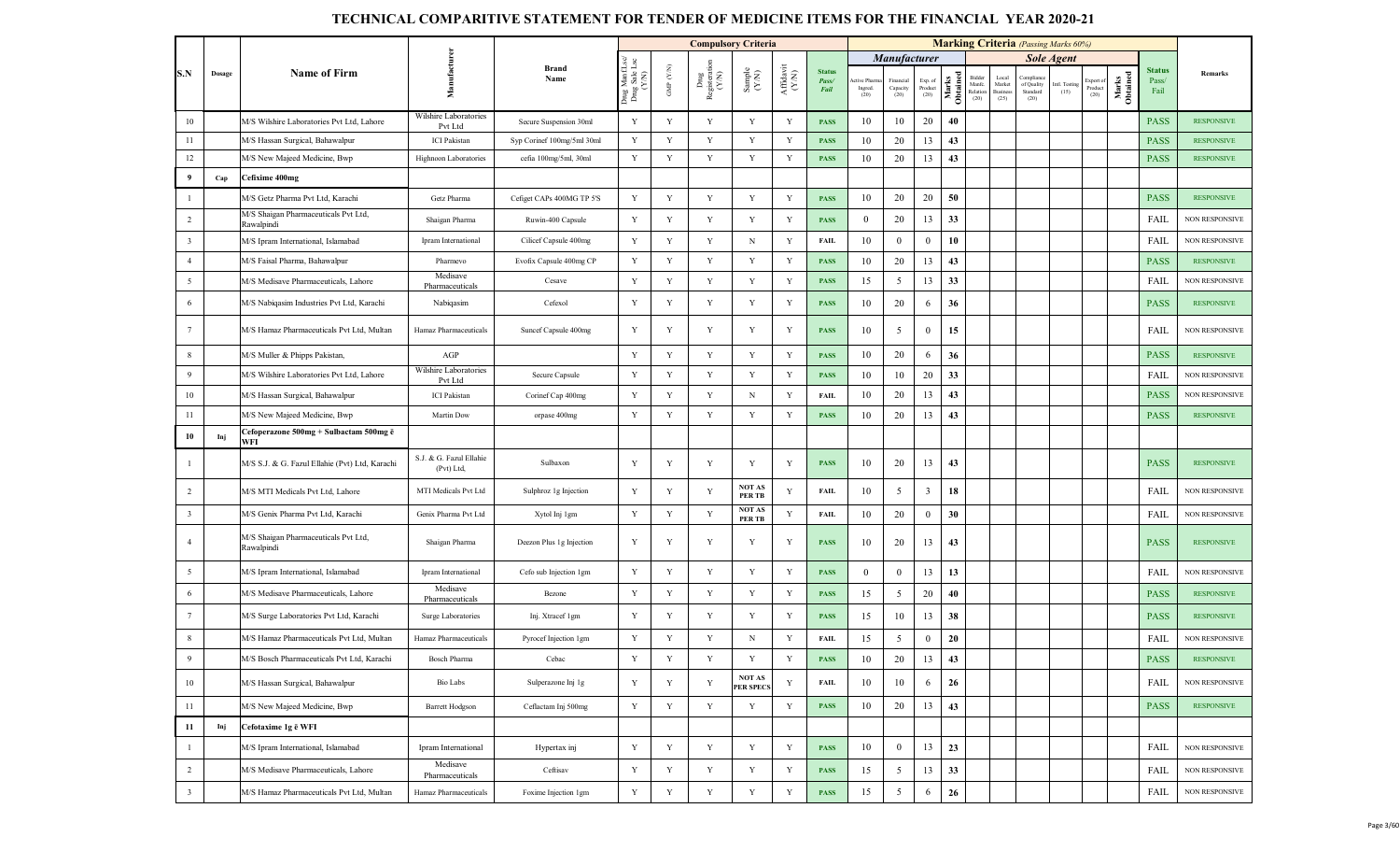|                         |        |                                                    |                                       |                            |                                     |                   | <b>Compulsory Criteria</b>   |                                                              |                                          |                                |                                |                              |                            |                   |                                      |                                           | <b>Marking Criteria</b> (Passing Marks 60%)       |                       |                              |                   |                                |                       |
|-------------------------|--------|----------------------------------------------------|---------------------------------------|----------------------------|-------------------------------------|-------------------|------------------------------|--------------------------------------------------------------|------------------------------------------|--------------------------------|--------------------------------|------------------------------|----------------------------|-------------------|--------------------------------------|-------------------------------------------|---------------------------------------------------|-----------------------|------------------------------|-------------------|--------------------------------|-----------------------|
|                         |        |                                                    |                                       |                            | Lsc                                 |                   |                              |                                                              |                                          |                                |                                | <b>Manufacturer</b>          |                            |                   |                                      |                                           |                                                   | <b>Sole Agent</b>     |                              |                   |                                |                       |
| S.N                     | Dosage | <b>Name of Firm</b>                                | Manufacture                           | <b>Brand</b><br>Name       | Drug Manf.I<br>Drug Sale I<br>(Y/N) | GMP $(\text{YM})$ | Drug<br>Registerati<br>(Y/N) | $\begin{array}{c} \text{Sample} \\ (\text{Y/N}) \end{array}$ | ${\bf Aff} {\bf davit} \atop {\bf (YM)}$ | <b>Status</b><br>Pass/<br>Fail | ctive Pharm<br>Ingred.<br>(20) | Financia<br>Capacity<br>(20) | Exp. of<br>Product<br>(20) | Marks<br>Obtained | Bidder<br>Manfe.<br>Relation<br>(20) | Local<br>Market<br><b>Busines</b><br>(25) | <b>Complian</b><br>of Quality<br>Standard<br>(20) | Intl. Testing<br>(15) | Export of<br>Product<br>(20) | Marks<br>Obtained | <b>Status</b><br>Pass/<br>Fail | Remarks               |
| 10                      |        | M/S Wilshire Laboratories Pvt Ltd, Lahore          | Wilshire Laboratories<br>Pvt Ltd      | Secure Suspension 30ml     | Y                                   | Y                 | Y                            | Y                                                            | Y                                        | <b>PASS</b>                    | 10                             | 10                           | 20                         | 40                |                                      |                                           |                                                   |                       |                              |                   | <b>PASS</b>                    | <b>RESPONSIVE</b>     |
| $11\,$                  |        | M/S Hassan Surgical, Bahawalpur                    | <b>ICI</b> Pakistan                   | Syp Corinef 100mg/5ml 30ml | $\mathbf Y$                         | Y                 | Y                            | Y                                                            | Y                                        | <b>PASS</b>                    | 10                             | 20                           | 13                         | 43                |                                      |                                           |                                                   |                       |                              |                   | <b>PASS</b>                    | <b>RESPONSIVE</b>     |
| 12                      |        | M/S New Majeed Medicine, Bwp                       | Highnoon Laboratories                 | cefia 100mg/5ml, 30ml      | Y                                   | $\mathbf Y$       | $\mathbf Y$                  | $\mathbf Y$                                                  | Y                                        | <b>PASS</b>                    | 10                             | 20                           | 13                         | 43                |                                      |                                           |                                                   |                       |                              |                   | <b>PASS</b>                    | <b>RESPONSIVE</b>     |
| 9                       | Cap    | Cefixime 400mg                                     |                                       |                            |                                     |                   |                              |                                                              |                                          |                                |                                |                              |                            |                   |                                      |                                           |                                                   |                       |                              |                   |                                |                       |
| $\mathbf{1}$            |        | M/S Getz Pharma Pvt Ltd, Karachi                   | Getz Pharma                           | Cefiget CAPs 400MG TP 5'S  | $\mathbf Y$                         | Y                 | Y                            | Y                                                            | $\mathbf Y$                              | <b>PASS</b>                    | 10                             | 20                           | 20                         | 50                |                                      |                                           |                                                   |                       |                              |                   | <b>PASS</b>                    | <b>RESPONSIVE</b>     |
| $\overline{2}$          |        | M/S Shaigan Pharmaceuticals Pvt Ltd,<br>Rawalpindi | Shaigan Pharma                        | Ruwin-400 Capsule          | Y                                   | $\mathbf Y$       | $\mathbf Y$                  | Y                                                            | Y                                        | <b>PASS</b>                    | $\mathbf{0}$                   | 20                           | 13                         | 33                |                                      |                                           |                                                   |                       |                              |                   | FAIL                           | <b>NON RESPONSIVE</b> |
| $\overline{3}$          |        | M/S Ipram International, Islamabad                 | Ipram International                   | Cilicef Capsule 400mg      | Y                                   | Y                 | Y                            | N                                                            | $\mathbf Y$                              | <b>FAIL</b>                    | 10                             | $\overline{0}$               | $\mathbf{0}$               | 10                |                                      |                                           |                                                   |                       |                              |                   | FAIL                           | <b>NON RESPONSIVE</b> |
| $\overline{4}$          |        | M/S Faisal Pharma, Bahawalpur                      | Pharmevo                              | Evofix Capsule 400mg CP    | Y                                   | Y                 | $\mathbf Y$                  | Y                                                            | Y                                        | <b>PASS</b>                    | 10                             | 20                           | 13                         | 43                |                                      |                                           |                                                   |                       |                              |                   | <b>PASS</b>                    | <b>RESPONSIVE</b>     |
| $\overline{5}$          |        | M/S Medisave Pharmaceuticals, Lahore               | Medisave<br>Pharmaceuticals           | Cesave                     | $\mathbf Y$                         | $\mathbf Y$       | Y                            | $\mathbf Y$                                                  | Y                                        | <b>PASS</b>                    | 15                             | $5\overline{)}$              | 13                         | 33                |                                      |                                           |                                                   |                       |                              |                   | FAIL                           | <b>NON RESPONSIVE</b> |
| 6                       |        | M/S Nabiqasim Industries Pvt Ltd, Karachi          | Nabiqasim                             | Cefexol                    | Y                                   | $\mathbf Y$       | $\mathbf Y$                  | Y                                                            | Y                                        | <b>PASS</b>                    | 10                             | 20                           | 6                          | 36                |                                      |                                           |                                                   |                       |                              |                   | <b>PASS</b>                    | <b>RESPONSIVE</b>     |
| $7\phantom{.0}$         |        | M/S Hamaz Pharmaceuticals Pvt Ltd, Multan          | Hamaz Pharmaceuticals                 | Suncef Capsule 400mg       | Y                                   | Y                 | Y                            | Y                                                            | Y                                        | <b>PASS</b>                    | 10                             | 5                            | $\mathbf{0}$               | 15                |                                      |                                           |                                                   |                       |                              |                   | <b>FAIL</b>                    | <b>NON RESPONSIVE</b> |
| 8                       |        | M/S Muller & Phipps Pakistan,                      | AGP                                   |                            | $\mathbf Y$                         | Y                 | Y                            | $\mathbf Y$                                                  | Y                                        | <b>PASS</b>                    | 10                             | 20                           | 6                          | 36                |                                      |                                           |                                                   |                       |                              |                   | <b>PASS</b>                    | <b>RESPONSIVE</b>     |
| 9                       |        | M/S Wilshire Laboratories Pvt Ltd, Lahore          | Wilshire Laboratories<br>Pvt Ltd      | Secure Capsule             | $\mathbf Y$                         | $\mathbf Y$       | Y                            | $\mathbf Y$                                                  | Y                                        | <b>PASS</b>                    | 10                             | 10                           | 20                         | 33                |                                      |                                           |                                                   |                       |                              |                   | FAIL                           | <b>NON RESPONSIVE</b> |
| $10\,$                  |        | M/S Hassan Surgical, Bahawalpur                    | <b>ICI Pakistan</b>                   | Corinef Cap 400mg          | Y                                   | Y                 | Y                            | N                                                            | Y                                        | <b>FAIL</b>                    | 10                             | 20                           | 13                         | 43                |                                      |                                           |                                                   |                       |                              |                   | <b>PASS</b>                    | <b>NON RESPONSIVE</b> |
| 11                      |        | M/S New Majeed Medicine, Bwp                       | Martin Dow                            | orpase 400mg               | Y                                   | Y                 | Y                            | Y                                                            | Y                                        | <b>PASS</b>                    | 10                             | 20                           | 13                         | 43                |                                      |                                           |                                                   |                       |                              |                   | <b>PASS</b>                    | <b>RESPONSIVE</b>     |
| 10                      | Inj    | Cefoperazone 500mg + Sulbactam 500mg ē<br>WFI      |                                       |                            |                                     |                   |                              |                                                              |                                          |                                |                                |                              |                            |                   |                                      |                                           |                                                   |                       |                              |                   |                                |                       |
| $\mathbf{1}$            |        | M/S S.J. & G. Fazul Ellahie (Pvt) Ltd, Karachi     | S.J. & G. Fazul Ellahie<br>(Pvt) Ltd, | Sulbaxon                   | Y                                   | Y                 | Y                            | Y                                                            | Y                                        | <b>PASS</b>                    | 10                             | 20                           | 13                         | 43                |                                      |                                           |                                                   |                       |                              |                   | <b>PASS</b>                    | <b>RESPONSIVE</b>     |
| $\overline{2}$          |        | M/S MTI Medicals Pvt Ltd, Lahore                   | MTI Medicals Pvt Ltd                  | Sulphroz 1g Injection      | Y                                   | Y                 | Y                            | <b>NOT AS</b><br><b>PERTB</b>                                | Y                                        | <b>FAIL</b>                    | 10                             | 5                            | $\overline{3}$             | 18                |                                      |                                           |                                                   |                       |                              |                   | FAIL                           | <b>NON RESPONSIVE</b> |
| $\overline{\mathbf{3}}$ |        | M/S Genix Pharma Pvt Ltd, Karachi                  | Genix Pharma Pvt Ltd                  | Xytol Inj 1gm              | $\mathbf Y$                         | Y                 | Y                            | <b>NOT AS</b><br><b>PERTB</b>                                | $\mathbf Y$                              | <b>FAIL</b>                    | 10                             | 20                           | $\overline{0}$             | 30                |                                      |                                           |                                                   |                       |                              |                   | FAIL                           | <b>NON RESPONSIVE</b> |
| $\overline{4}$          |        | M/S Shaigan Pharmaceuticals Pvt Ltd,<br>Rawalpindi | Shaigan Pharma                        | Deezon Plus 1g Injection   | Y                                   | Y                 | Y                            | Y                                                            | Y                                        | <b>PASS</b>                    | 10                             | 20                           | 13                         | 43                |                                      |                                           |                                                   |                       |                              |                   | <b>PASS</b>                    | <b>RESPONSIVE</b>     |
| 5                       |        | M/S Ipram International, Islamabad                 | Ipram International                   | Cefo sub Injection 1gm     | Y                                   | $\mathbf Y$       | Y                            | $\mathbf Y$                                                  | Y                                        | <b>PASS</b>                    | $\mathbf{0}$                   | $\overline{0}$               | 13                         | 13                |                                      |                                           |                                                   |                       |                              |                   | FAIL                           | <b>NON RESPONSIVE</b> |
| 6                       |        | M/S Medisave Pharmaceuticals. Lahore               | Medisave<br>Pharmaceuticals           | Bezone                     | Y                                   | Y                 | Y                            | $\mathbf Y$                                                  | Y                                        | <b>PASS</b>                    | 15                             | 5                            | 20                         | 40                |                                      |                                           |                                                   |                       |                              |                   | <b>PASS</b>                    | <b>RESPONSIVE</b>     |
| $\overline{7}$          |        | M/S Surge Laboratories Pvt Ltd, Karachi            | Surge Laboratories                    | Inj. Xtracef 1gm           | Y                                   | $\mathbf Y$       | Y                            | Y                                                            | Y                                        | <b>PASS</b>                    | 15                             | 10                           | 13                         | 38                |                                      |                                           |                                                   |                       |                              |                   | <b>PASS</b>                    | <b>RESPONSIVE</b>     |
| 8                       |        | M/S Hamaz Pharmaceuticals Pvt Ltd, Multan          | Hamaz Pharmaceuticals                 | Pyrocef Injection 1gm      | Y                                   | $\mathbf Y$       | $\mathbf Y$                  | $_{\rm N}$                                                   | Y                                        | <b>FAIL</b>                    | 15                             | 5                            | $\mathbf{0}$               | 20                |                                      |                                           |                                                   |                       |                              |                   | FAIL                           | <b>NON RESPONSIVE</b> |
| 9                       |        | M/S Bosch Pharmaceuticals Pvt Ltd, Karachi         | <b>Bosch Pharma</b>                   | Cebac                      | $\mathbf Y$                         | Y                 | $\mathbf Y$                  | Y                                                            | $\mathbf Y$                              | <b>PASS</b>                    | $10\,$                         | 20                           | 13                         | 43                |                                      |                                           |                                                   |                       |                              |                   | <b>PASS</b>                    | <b>RESPONSIVE</b>     |
| $10\,$                  |        | M/S Hassan Surgical, Bahawalpur                    | Bio Labs                              | Sulperazone Inj 1g         | Y                                   | $\mathbf Y$       | $\mathbf Y$                  | NOT AS<br>PER SPECS                                          | Y                                        | <b>FAIL</b>                    | 10                             | 10                           | 6                          | 26                |                                      |                                           |                                                   |                       |                              |                   | FAIL                           | <b>NON RESPONSIVE</b> |
| $11\,$                  |        | M/S New Majeed Medicine, Bwp                       | <b>Barrett Hodgson</b>                | Ceflactam Inj 500mg        | $\mathbf Y$                         | $\mathbf Y$       | $\mathbf Y$                  | Y                                                            | Y                                        | <b>PASS</b>                    | 10                             | 20                           | 13                         | 43                |                                      |                                           |                                                   |                       |                              |                   | <b>PASS</b>                    | <b>RESPONSIVE</b>     |
| $11\,$                  | Inj    | Cefotaxime 1g ē WFI                                |                                       |                            |                                     |                   |                              |                                                              |                                          |                                |                                |                              |                            |                   |                                      |                                           |                                                   |                       |                              |                   |                                |                       |
| $\mathbf{1}$            |        | M/S Ipram International, Islamabad                 | Ipram International                   | Hypertax inj               | $\mathbf Y$                         | $\mathbf Y$       | Y                            | $\mathbf Y$                                                  | Y                                        | <b>PASS</b>                    | 10                             | $\bf{0}$                     | 13                         | 23                |                                      |                                           |                                                   |                       |                              |                   | FAIL                           | NON RESPONSIVE        |
| $\overline{2}$          |        | M/S Medisave Pharmaceuticals, Lahore               | Medisave<br>Pharmaceuticals           | Ceftisav                   | Y                                   | $\mathbf Y$       | Y                            | $\mathbf Y$                                                  | Y                                        | <b>PASS</b>                    | 15                             | 5                            | 13                         | 33                |                                      |                                           |                                                   |                       |                              |                   | FAIL                           | NON RESPONSIVE        |
| $\mathbf{3}$            |        | M/S Hamaz Pharmaceuticals Pvt Ltd, Multan          | Hamaz Pharmaceuticals                 | Foxime Injection 1gm       | $\mathbf Y$                         | $\mathbf Y$       | $\mathbf Y$                  | $\mathbf Y$                                                  | $\mathbf Y$                              | <b>PASS</b>                    | 15                             | $5\overline{)}$              | 6                          | ${\bf 26}$        |                                      |                                           |                                                   |                       |                              |                   | FAIL                           | NON RESPONSIVE        |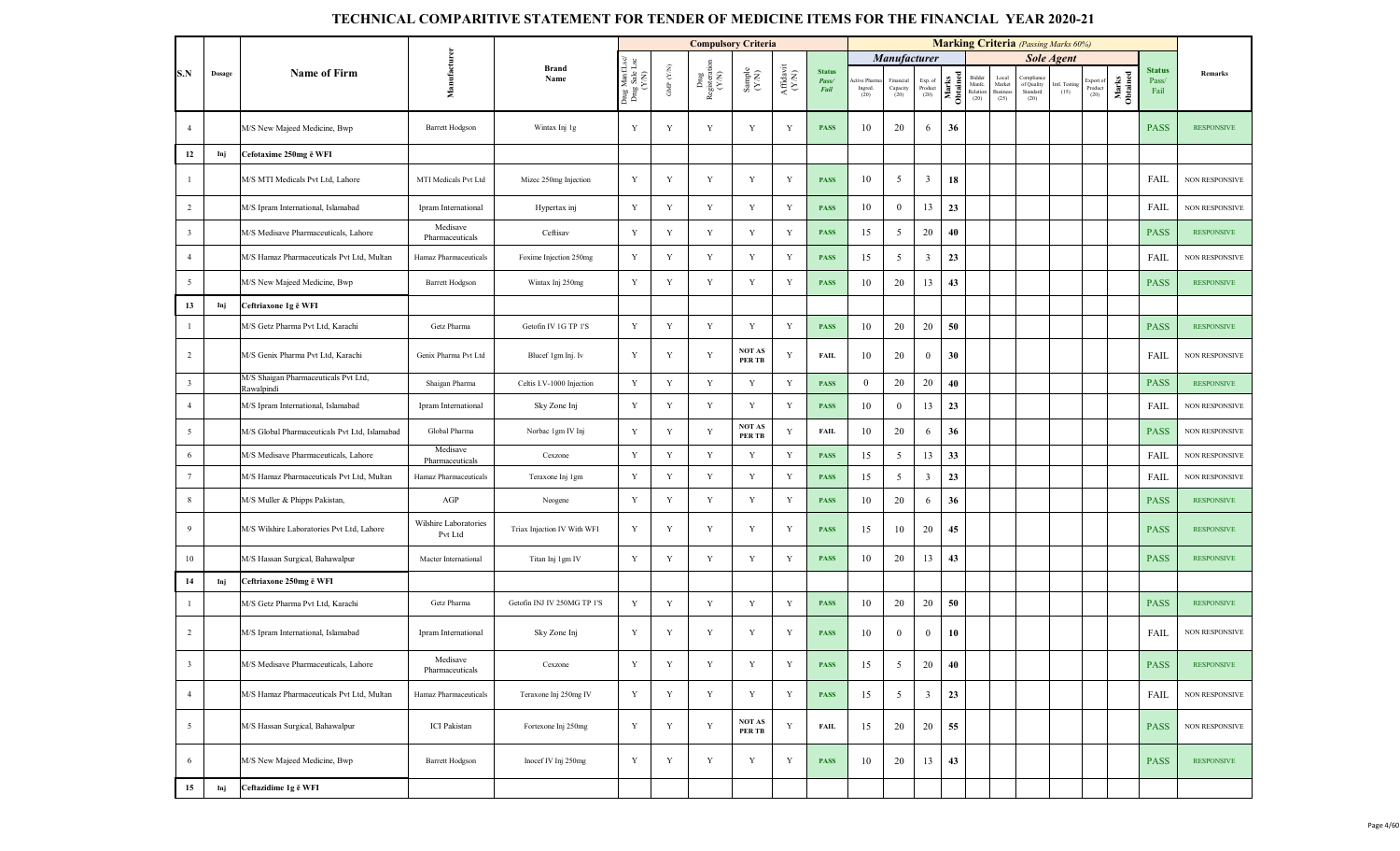|                         |        |                                                    |                                  |                             |                                         |                          | <b>Compulsory Criteria</b>                                                       |                                                             |                    |                                |                                |                               |                                                                        |                   |                                      |                                            | <b>Marking Criteria</b> (Passing Marks 60%) |                       |                              |                   |                                |                       |
|-------------------------|--------|----------------------------------------------------|----------------------------------|-----------------------------|-----------------------------------------|--------------------------|----------------------------------------------------------------------------------|-------------------------------------------------------------|--------------------|--------------------------------|--------------------------------|-------------------------------|------------------------------------------------------------------------|-------------------|--------------------------------------|--------------------------------------------|---------------------------------------------|-----------------------|------------------------------|-------------------|--------------------------------|-----------------------|
|                         |        |                                                    |                                  |                             |                                         |                          |                                                                                  |                                                             |                    |                                |                                | Manufacturer                  |                                                                        |                   |                                      |                                            |                                             | <b>Sole Agent</b>     |                              |                   |                                |                       |
| S.N                     | Dosage | Name of Firm                                       | Manufacturen                     | <b>Brand</b><br>Name        | Drug ManfLsc/<br>Drug Sale Lsc<br>(Y/N) | ${\rm GMP}$ ${\rm (YN)}$ | $\begin{array}{c} \text{Dng} \\ \text{Registerrati} \\ (\text{Y/N}) \end{array}$ | $\begin{array}{c} \text{Sample} \\ (\text{YM}) \end{array}$ | Affidavit<br>(Y/N) | <b>Status</b><br>Pass/<br>Fail | ctive Pharm<br>Ingred.<br>(20) | Financial<br>Capacity<br>(20) | $\begin{array}{c} \text{Exp. of}\\ \text{Product} \end{array}$<br>(20) | Marks<br>Obtained | Bidder<br>Manfc.<br>Relation<br>(20) | Local<br>Market<br><b>Business</b><br>(25) | Compliane<br>of Quality<br>Standard<br>(20) | Intl. Testing<br>(15) | Export of<br>Product<br>(20) | Marks<br>Obtained | <b>Status</b><br>Pass/<br>Fail | Remarks               |
| $\overline{4}$          |        | M/S New Majeed Medicine, Bwp                       | <b>Barrett Hodgson</b>           | Wintax Inj 1g               | Y                                       | Y                        | $\mathbf Y$                                                                      | Y                                                           | Y                  | <b>PASS</b>                    | 10                             | 20                            | 6                                                                      | 36                |                                      |                                            |                                             |                       |                              |                   | <b>PASS</b>                    | <b>RESPONSIVE</b>     |
| 12                      | Inj    | Cefotaxime 250mg ë WFI                             |                                  |                             |                                         |                          |                                                                                  |                                                             |                    |                                |                                |                               |                                                                        |                   |                                      |                                            |                                             |                       |                              |                   |                                |                       |
| $\mathbf{1}$            |        | M/S MTI Medicals Pvt Ltd, Lahore                   | MTI Medicals Pvt Ltd             | Mizec 250mg Injection       | Y                                       | Y                        | Y                                                                                | Y                                                           | Y                  | <b>PASS</b>                    | 10                             | $5\overline{)}$               | $\mathbf{3}$                                                           | 18                |                                      |                                            |                                             |                       |                              |                   | FAIL                           | NON RESPONSIVE        |
| $\overline{2}$          |        | M/S Ipram International, Islamabad                 | Ipram International              | Hypertax inj                | Y                                       | Y                        | $\mathbf Y$                                                                      | Y                                                           | $\mathbf Y$        | <b>PASS</b>                    | 10                             | $\overline{0}$                | 13                                                                     | 23                |                                      |                                            |                                             |                       |                              |                   | FAIL                           | <b>NON RESPONSIVE</b> |
| $\overline{\mathbf{3}}$ |        | M/S Medisave Pharmaceuticals, Lahore               | Medisave<br>Pharmaceuticals      | Ceftisav                    | $\mathbf Y$                             | $\mathbf Y$              | $\mathbf Y$                                                                      | $\mathbf Y$                                                 | $\mathbf Y$        | <b>PASS</b>                    | 15                             | 5                             | 20                                                                     | 40                |                                      |                                            |                                             |                       |                              |                   | <b>PASS</b>                    | <b>RESPONSIVE</b>     |
| $\overline{4}$          |        | M/S Hamaz Pharmaceuticals Pvt Ltd, Multan          | Hamaz Pharmaceuticals            | Foxime Injection 250mg      | $\mathbf Y$                             | $\mathbf Y$              | $\mathbf Y$                                                                      | Y                                                           | $\mathbf Y$        | <b>PASS</b>                    | 15                             | 5 <sup>5</sup>                | $\mathbf{3}$                                                           | 23                |                                      |                                            |                                             |                       |                              |                   | FAIL                           | NON RESPONSIVE        |
| $\overline{5}$          |        | M/S New Majeed Medicine, Bwp                       | <b>Barrett Hodgson</b>           | Wintax Inj 250mg            | $\mathbf Y$                             | $\mathbf Y$              | $\mathbf Y$                                                                      | Y                                                           | Y                  | <b>PASS</b>                    | 10                             | 20                            | 13                                                                     | 43                |                                      |                                            |                                             |                       |                              |                   | <b>PASS</b>                    | <b>RESPONSIVE</b>     |
| 13                      | Inj    | Ceftriaxone 1g ē WFI                               |                                  |                             |                                         |                          |                                                                                  |                                                             |                    |                                |                                |                               |                                                                        |                   |                                      |                                            |                                             |                       |                              |                   |                                |                       |
| $\mathbf{1}$            |        | M/S Getz Pharma Pvt Ltd, Karachi                   | Getz Pharma                      | Getofin IV 1G TP 1'S        | $\mathbf Y$                             | Y                        | Y                                                                                | Y                                                           | $\mathbf Y$        | <b>PASS</b>                    | 10                             | 20                            | 20                                                                     | 50                |                                      |                                            |                                             |                       |                              |                   | <b>PASS</b>                    | <b>RESPONSIVE</b>     |
| $\overline{2}$          |        | M/S Genix Pharma Pvt Ltd. Karachi                  | Genix Pharma Pvt Ltd             | Blucef 1gm Inj. Iv          | $\mathbf Y$                             | Y                        | $\mathbf Y$                                                                      | NOT AS<br>PER TB                                            | Y                  | <b>FAIL</b>                    | 10                             | 20                            | $\overline{0}$                                                         | 30                |                                      |                                            |                                             |                       |                              |                   | FAIL                           | NON RESPONSIVE        |
| $\overline{\mathbf{3}}$ |        | M/S Shaigan Pharmaceuticals Pvt Ltd,<br>Rawalpindi | Shaigan Pharma                   | Celtis I.V-1000 Injection   | $\mathbf Y$                             | $\mathbf Y$              | $\mathbf Y$                                                                      | $\mathbf Y$                                                 | $\mathbf Y$        | <b>PASS</b>                    | $\overline{0}$                 | 20                            | 20                                                                     | 40                |                                      |                                            |                                             |                       |                              |                   | <b>PASS</b>                    | <b>RESPONSIVE</b>     |
| $\overline{4}$          |        | M/S Ipram International, Islamabad                 | Ipram International              | Sky Zone Inj                | $\mathbf Y$                             | Y                        | Y                                                                                | Y                                                           | Y                  | <b>PASS</b>                    | 10                             | $\mathbf{0}$                  | 13                                                                     | 23                |                                      |                                            |                                             |                       |                              |                   | FAIL                           | NON RESPONSIVE        |
| $5\overline{5}$         |        | M/S Global Pharmaceuticals Pvt Ltd, Islamabad      | Global Pharma                    | Norbac 1gm IV Inj           | $\mathbf Y$                             | Y                        | $\mathbf Y$                                                                      | <b>NOT AS</b><br><b>PERTB</b>                               | $\mathbf Y$        | <b>FAIL</b>                    | 10                             | 20                            | 6                                                                      | 36                |                                      |                                            |                                             |                       |                              |                   | <b>PASS</b>                    | NON RESPONSIVE        |
| 6                       |        | M/S Medisave Pharmaceuticals, Lahore               | Medisave<br>Pharmaceuticals      | Cexzone                     | $\mathbf Y$                             | Y                        | Y                                                                                | $\mathbf Y$                                                 | $\mathbf Y$        | <b>PASS</b>                    | 15                             | 5                             | 13                                                                     | 33                |                                      |                                            |                                             |                       |                              |                   | FAIL                           | NON RESPONSIVE        |
| $7\phantom{.0}$         |        | M/S Hamaz Pharmaceuticals Pvt Ltd, Multan          | Hamaz Pharmaceuticals            | Teraxone Inj 1gm            | $\mathbf Y$                             | $\mathbf Y$              | Y                                                                                | Y                                                           | $\mathbf Y$        | <b>PASS</b>                    | 15                             | 5                             | $\mathbf{3}$                                                           | 23                |                                      |                                            |                                             |                       |                              |                   | FAIL                           | NON RESPONSIVE        |
| 8                       |        | M/S Muller & Phipps Pakistan,                      | AGP                              | Neogene                     | Y                                       | $\mathbf Y$              | $\mathbf Y$                                                                      | $\mathbf Y$                                                 | Y                  | <b>PASS</b>                    | 10                             | 20                            | 6                                                                      | 36                |                                      |                                            |                                             |                       |                              |                   | <b>PASS</b>                    | <b>RESPONSIVE</b>     |
| 9                       |        | M/S Wilshire Laboratories Pvt Ltd, Lahore          | Wilshire Laboratories<br>Pvt Ltd | Triax Injection IV With WFI | Y                                       | Y                        | Y                                                                                | Y                                                           | Y                  | <b>PASS</b>                    | 15                             | 10                            | 20                                                                     | 45                |                                      |                                            |                                             |                       |                              |                   | <b>PASS</b>                    | <b>RESPONSIVE</b>     |
| 10                      |        | M/S Hassan Surgical, Bahawalpur                    | Macter International             | Titan Inj 1 gm IV           | Y                                       | $\mathbf Y$              | $\mathbf Y$                                                                      | Y                                                           | Y                  | <b>PASS</b>                    | 10                             | 20                            | 13                                                                     | 43                |                                      |                                            |                                             |                       |                              |                   | <b>PASS</b>                    | <b>RESPONSIVE</b>     |
| 14                      | Inj    | Ceftriaxone 250mg ē WFI                            |                                  |                             |                                         |                          |                                                                                  |                                                             |                    |                                |                                |                               |                                                                        |                   |                                      |                                            |                                             |                       |                              |                   |                                |                       |
| $\mathbf{1}$            |        | M/S Getz Pharma Pvt Ltd, Karachi                   | Getz Pharma                      | Getofin INJ IV 250MG TP 1'S | $\mathbf Y$                             | Y                        | $\mathbf Y$                                                                      | Y                                                           | Y                  | <b>PASS</b>                    | 10                             | 20                            | 20                                                                     | 50                |                                      |                                            |                                             |                       |                              |                   | <b>PASS</b>                    | <b>RESPONSIVE</b>     |
| $\overline{2}$          |        | M/S Ipram International, Islamabad                 | Ipram International              | Sky Zone Inj                | $\mathbf Y$                             | $\mathbf Y$              | $\mathbf Y$                                                                      | Y                                                           | Y                  | <b>PASS</b>                    | 10                             | $\overline{0}$                | $\boldsymbol{0}$                                                       | 10                |                                      |                                            |                                             |                       |                              |                   | FAIL                           | NON RESPONSIVE        |
| $\overline{\mathbf{3}}$ |        | M/S Medisave Pharmaceuticals, Lahore               | Medisave<br>Pharmaceuticals      | Cexzone                     | $\mathbf Y$                             | Y                        | $\mathbf Y$                                                                      | $\mathbf Y$                                                 | Y                  | <b>PASS</b>                    | 15                             | 5                             | 20                                                                     | 40                |                                      |                                            |                                             |                       |                              |                   | <b>PASS</b>                    | <b>RESPONSIVE</b>     |
| $\overline{4}$          |        | M/S Hamaz Pharmaceuticals Pvt Ltd, Multan          | Hamaz Pharmaceuticals            | Teraxone Inj 250mg IV       | Y                                       | Y                        | Y                                                                                | Y                                                           | Y                  | <b>PASS</b>                    | 15                             | 5                             | 3                                                                      | 23                |                                      |                                            |                                             |                       |                              |                   | FAIL                           | NON RESPONSIVE        |
| 5                       |        | M/S Hassan Surgical, Bahawalpur                    | <b>ICI</b> Pakistan              | Fortexone Inj 250mg         | Y                                       | Y                        | $\mathbf Y$                                                                      | NOT AS<br>PER TB                                            | $\mathbf Y$        | <b>FAIL</b>                    | 15                             | 20                            | 20                                                                     | 55                |                                      |                                            |                                             |                       |                              |                   | <b>PASS</b>                    | NON RESPONSIVE        |
| 6                       |        | M/S New Majeed Medicine, Bwp                       | <b>Barrett Hodgson</b>           | Inocef IV Inj 250mg         | Y                                       | Y                        | $\mathbf Y$                                                                      | Y                                                           | Y                  | <b>PASS</b>                    | 10                             | 20                            | 13                                                                     | 43                |                                      |                                            |                                             |                       |                              |                   | <b>PASS</b>                    | <b>RESPONSIVE</b>     |
| 15                      | Inj    | Ceftazidime 1g ē WFI                               |                                  |                             |                                         |                          |                                                                                  |                                                             |                    |                                |                                |                               |                                                                        |                   |                                      |                                            |                                             |                       |                              |                   |                                |                       |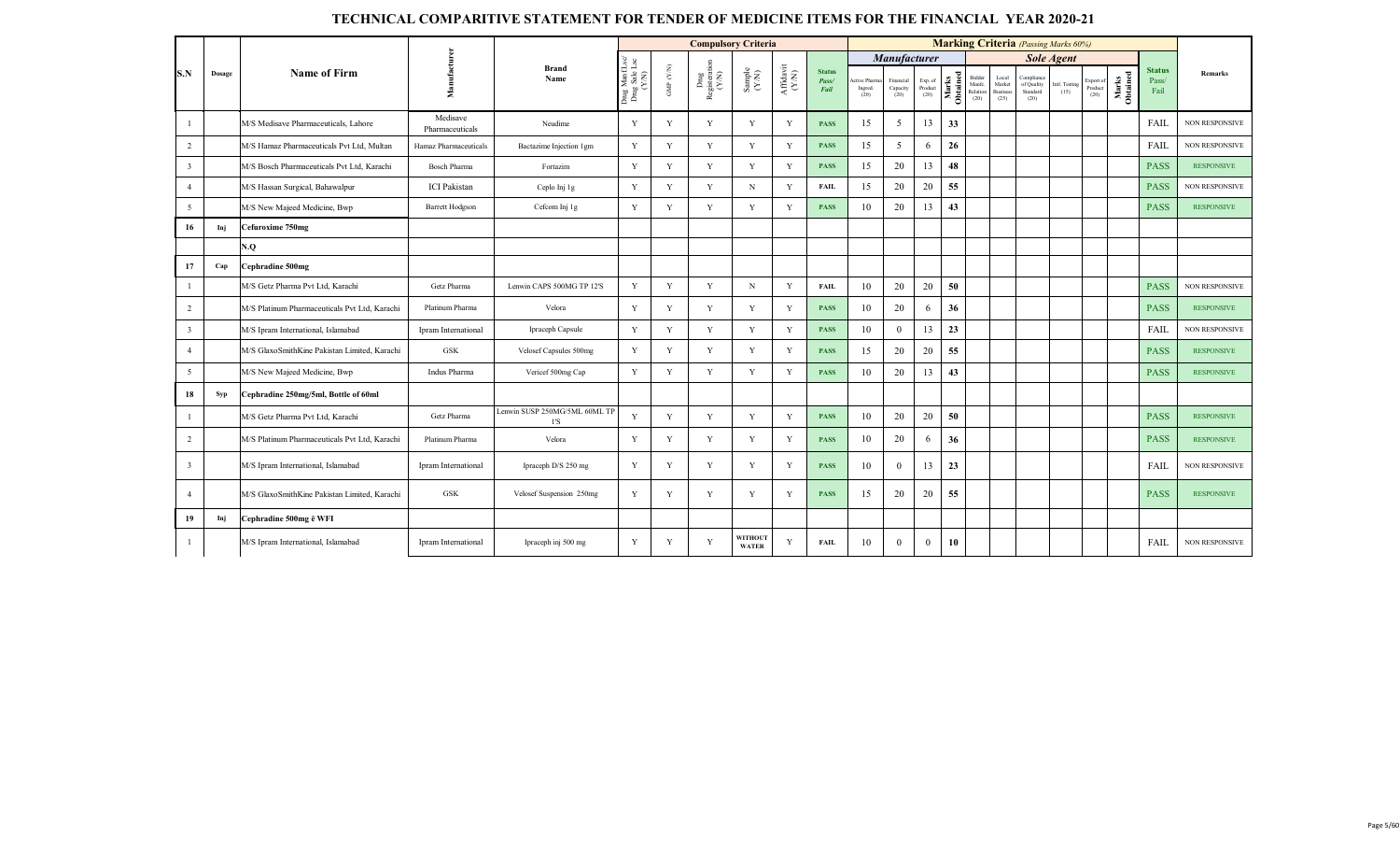|                         |        |                                               |                             |                                                |                                          |                                 |                                 | <b>Compulsory Criteria</b>                                  |                                      |                                |                                |                               |                            |                        |                                      |                                            | <b>Marking Criteria</b> (Passing Marks 60%)  |                       |                              |                   |                                |                       |
|-------------------------|--------|-----------------------------------------------|-----------------------------|------------------------------------------------|------------------------------------------|---------------------------------|---------------------------------|-------------------------------------------------------------|--------------------------------------|--------------------------------|--------------------------------|-------------------------------|----------------------------|------------------------|--------------------------------------|--------------------------------------------|----------------------------------------------|-----------------------|------------------------------|-------------------|--------------------------------|-----------------------|
|                         |        |                                               |                             |                                                |                                          |                                 |                                 |                                                             |                                      |                                |                                | <b>Manufacturer</b>           |                            |                        |                                      |                                            |                                              | <b>Sole Agent</b>     |                              |                   |                                |                       |
| S.N                     | Dosage | <b>Name of Firm</b>                           | Manufacturer                | <b>Brand</b><br>Name                           | Drug Manf.Lsc/<br>Drug Sale Lsc<br>(Y/N) | GMP $(\mathcal{Y},\mathcal{N})$ | ${\rm Dng}$ Registeration (Y/N) | $\begin{array}{c} \text{Sample} \\ (\text{YN}) \end{array}$ | $\frac{\text{Affdavit}}{\text{N/N}}$ | <b>Status</b><br>Pass/<br>Fail | ctive Pharn<br>Ingred.<br>(20) | Financial<br>Capacity<br>(20) | Exp. of<br>Product<br>(20) | Obtained<br>arks<br>∣⋝ | Bidder<br>Manfe.<br>Relation<br>(20) | Local<br>Market<br><b>Business</b><br>(25) | Compliance<br>of Quality<br>Standard<br>(20) | Intl. Testing<br>(15) | Export of<br>Product<br>(20) | Marks<br>Obtained | <b>Status</b><br>Pass/<br>Fail | <b>Remarks</b>        |
|                         |        | M/S Medisave Pharmaceuticals, Lahore          | Medisave<br>Pharmaceuticals | Neudime                                        | Y                                        | Y                               | Y                               | Y                                                           | Y                                    | <b>PASS</b>                    | 15                             | 5                             | 13                         | 33                     |                                      |                                            |                                              |                       |                              |                   | <b>FAIL</b>                    | <b>NON RESPONSIVE</b> |
| $\overline{2}$          |        | M/S Hamaz Pharmaceuticals Pvt Ltd. Multan     | Hamaz Pharmaceuticals       | Bactazime Injection 1gm                        | Y                                        | Y                               | Y                               | Y                                                           | Y                                    | <b>PASS</b>                    | 15                             | 5                             | 6                          | 26                     |                                      |                                            |                                              |                       |                              |                   | FAIL                           | <b>NON RESPONSIVE</b> |
| $\overline{\mathbf{3}}$ |        | M/S Bosch Pharmaceuticals Pvt Ltd. Karachi    | <b>Bosch Pharma</b>         | Fortazim                                       | Y                                        | Y                               | Y                               | Y                                                           | Y                                    | <b>PASS</b>                    | 15                             | 20                            | 13                         | 48                     |                                      |                                            |                                              |                       |                              |                   | <b>PASS</b>                    | <b>RESPONSIVE</b>     |
| $\overline{4}$          |        | M/S Hassan Surgical, Bahawalpur               | <b>ICI</b> Pakistan         | Ceplo Inj 1g                                   | Y                                        | Y                               | Y                               | N                                                           | Y                                    | <b>FAIL</b>                    | 15                             | 20                            | 20                         | 55                     |                                      |                                            |                                              |                       |                              |                   | <b>PASS</b>                    | <b>NON RESPONSIVE</b> |
| $\overline{5}$          |        | M/S New Majeed Medicine, Bwp                  | <b>Barrett Hodgson</b>      | Cefcom Inj 1g                                  | Y                                        | Y                               | Y                               | Y                                                           | Y                                    | <b>PASS</b>                    | 10                             | 20                            | 13                         | 43                     |                                      |                                            |                                              |                       |                              |                   | <b>PASS</b>                    | <b>RESPONSIVE</b>     |
| 16                      | Inj    | Cefuroxime 750mg                              |                             |                                                |                                          |                                 |                                 |                                                             |                                      |                                |                                |                               |                            |                        |                                      |                                            |                                              |                       |                              |                   |                                |                       |
|                         |        | N.Q                                           |                             |                                                |                                          |                                 |                                 |                                                             |                                      |                                |                                |                               |                            |                        |                                      |                                            |                                              |                       |                              |                   |                                |                       |
| 17                      | Cap    | Cephradine 500mg                              |                             |                                                |                                          |                                 |                                 |                                                             |                                      |                                |                                |                               |                            |                        |                                      |                                            |                                              |                       |                              |                   |                                |                       |
| $\mathbf{1}$            |        | M/S Getz Pharma Pvt Ltd. Karachi              | Getz Pharma                 | Lenwin CAPS 500MG TP 12'S                      | Y                                        | Y                               | Y                               | $\mathbf N$                                                 | Y                                    | <b>FAIL</b>                    | 10                             | 20                            | 20                         | 50                     |                                      |                                            |                                              |                       |                              |                   | <b>PASS</b>                    | <b>NON RESPONSIVE</b> |
| $\overline{2}$          |        | M/S Platinum Pharmaceuticals Pvt Ltd, Karachi | Platinum Pharma             | Velora                                         | Y                                        | Y                               | Y                               | Y                                                           | Y                                    | <b>PASS</b>                    | 10                             | 20                            | 6                          | 36                     |                                      |                                            |                                              |                       |                              |                   | <b>PASS</b>                    | <b>RESPONSIVE</b>     |
| $\overline{3}$          |        | M/S Ipram International, Islamabad            | Ipram International         | Ipraceph Capsule                               | Y                                        | Y                               | Y                               | Y                                                           | Y                                    | <b>PASS</b>                    | 10                             | $\overline{0}$                | 13                         | 23                     |                                      |                                            |                                              |                       |                              |                   | FAIL                           | <b>NON RESPONSIVE</b> |
| $\overline{4}$          |        | M/S GlaxoSmithKine Pakistan Limited, Karachi  | <b>GSK</b>                  | Velosef Capsules 500mg                         | $\mathbf Y$                              | Y                               | Y                               | Y                                                           | Y                                    | <b>PASS</b>                    | 15                             | 20                            | 20                         | 55                     |                                      |                                            |                                              |                       |                              |                   | <b>PASS</b>                    | <b>RESPONSIVE</b>     |
| 5                       |        | M/S New Majeed Medicine, Bwp                  | Indus Pharma                | Vericef 500mg Cap                              | $\mathbf Y$                              | Y                               | Y                               | Y                                                           | Y                                    | <b>PASS</b>                    | 10                             | 20                            | 13                         | 43                     |                                      |                                            |                                              |                       |                              |                   | <b>PASS</b>                    | <b>RESPONSIVE</b>     |
| 18                      | Syp    | Cephradine 250mg/5ml, Bottle of 60ml          |                             |                                                |                                          |                                 |                                 |                                                             |                                      |                                |                                |                               |                            |                        |                                      |                                            |                                              |                       |                              |                   |                                |                       |
| 1                       |        | M/S Getz Pharma Pvt Ltd, Karachi              | Getz Pharma                 | Lenwin SUSP 250MG/5ML 60ML TP<br>$1^{\prime}S$ | Y                                        | Y                               | Y                               | Y                                                           | Y                                    | <b>PASS</b>                    | 10                             | 20                            | 20                         | 50                     |                                      |                                            |                                              |                       |                              |                   | <b>PASS</b>                    | <b>RESPONSIVE</b>     |
| 2                       |        | M/S Platinum Pharmaceuticals Pvt Ltd, Karachi | Platinum Pharma             | Velora                                         | Y                                        | Y                               | Y                               | Y                                                           | Y                                    | <b>PASS</b>                    | 10                             | 20                            | 6                          | 36                     |                                      |                                            |                                              |                       |                              |                   | <b>PASS</b>                    | <b>RESPONSIVE</b>     |
| $\overline{3}$          |        | M/S Ipram International, Islamabad            | Ipram International         | Ipraceph D/S 250 mg                            | Y                                        | Y                               | Y                               | Y                                                           | Y                                    | <b>PASS</b>                    | 10                             | $\theta$                      | 13                         | 23                     |                                      |                                            |                                              |                       |                              |                   | <b>FAIL</b>                    | <b>NON RESPONSIVE</b> |
| $\overline{4}$          |        | M/S GlaxoSmithKine Pakistan Limited, Karachi  | <b>GSK</b>                  | Velosef Suspension 250mg                       | Y                                        | Y                               | Y                               | Y                                                           | Y                                    | <b>PASS</b>                    | 15                             | 20                            | 20                         | 55                     |                                      |                                            |                                              |                       |                              |                   | <b>PASS</b>                    | <b>RESPONSIVE</b>     |
| 19                      | Inj    | Cephradine 500mg ē WFI                        |                             |                                                |                                          |                                 |                                 |                                                             |                                      |                                |                                |                               |                            |                        |                                      |                                            |                                              |                       |                              |                   |                                |                       |
| -1                      |        | M/S Ipram International, Islamabad            | Ipram International         | Ipraceph inj 500 mg                            | Y                                        | Y                               | Y                               | WITHOUT<br><b>WATER</b>                                     | Y                                    | FAIL                           | 10                             | $\mathbf{0}$                  | $\mathbf{0}$               | 10                     |                                      |                                            |                                              |                       |                              |                   | FAIL                           | <b>NON RESPONSIVE</b> |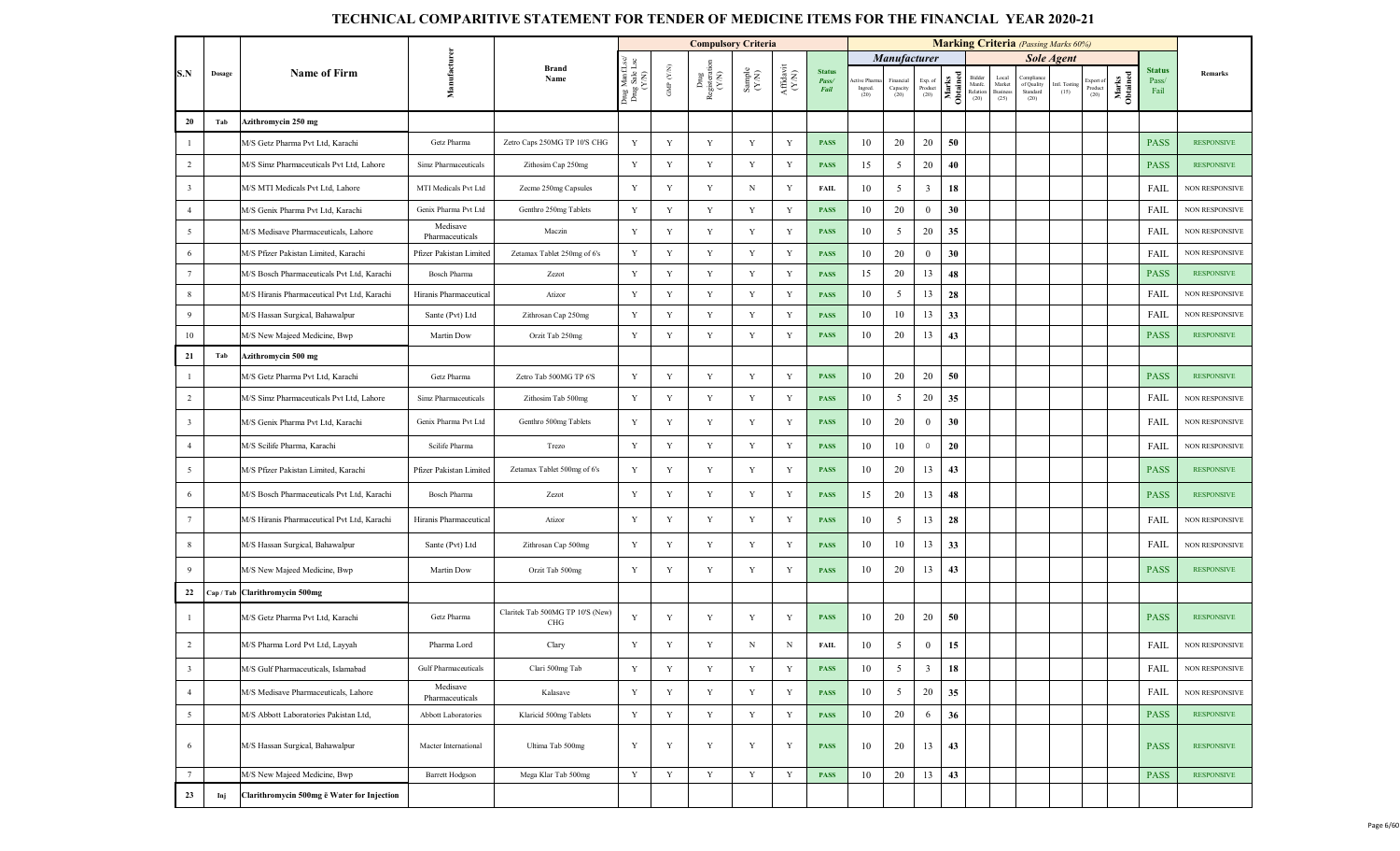|                         |        |                                             |                             |                                         |                                         |                   | <b>Compulsory Criteria</b>                     |                                                              |                                          |                                |                                                 |                               |                                                                        |                   |                                      |                                     | <b>Marking Criteria</b> (Passing Marks 60%) |                      |                             |                   |                                |                       |
|-------------------------|--------|---------------------------------------------|-----------------------------|-----------------------------------------|-----------------------------------------|-------------------|------------------------------------------------|--------------------------------------------------------------|------------------------------------------|--------------------------------|-------------------------------------------------|-------------------------------|------------------------------------------------------------------------|-------------------|--------------------------------------|-------------------------------------|---------------------------------------------|----------------------|-----------------------------|-------------------|--------------------------------|-----------------------|
|                         |        |                                             |                             |                                         |                                         |                   |                                                |                                                              |                                          |                                |                                                 | <b>Manufacturer</b>           |                                                                        |                   |                                      |                                     |                                             | <b>Sole Agent</b>    |                             |                   |                                |                       |
| S.N                     | Dosage | <b>Name of Firm</b>                         | Manufacturen                | <b>Brand</b><br>Name                    | Drug ManfLsc/<br>Drug Sale Lsc<br>(Y/N) | GMP $(\text{YM})$ | $_{\mbox{Registent}}^{\mbox{Dng}}$ Registerati | $\begin{array}{c} \text{Sample} \\ (\text{Y-N}) \end{array}$ | ${\bf Aff} {\bf davit} \atop {\bf (YM)}$ | <b>Status</b><br>Pass/<br>Fail | tive Pharm<br>$\operatorname*{Ingred}.$<br>(20) | Financial<br>Capacity<br>(20) | $\begin{array}{c} \text{Exp. of}\\ \text{Product} \\ (20) \end{array}$ | Marks<br>Obtained | Bidder<br>Manfc.<br>Relation<br>(20) | Local<br>Market<br>Business<br>(25) | Complian<br>of Quality<br>Standard<br>(20)  | ntl. Testing<br>(15) | xport of<br>Product<br>(20) | Marks<br>Obtained | <b>Status</b><br>Pass/<br>Fail | Remarks               |
| 20                      | Tab    | Azithromycin 250 mg                         |                             |                                         |                                         |                   |                                                |                                                              |                                          |                                |                                                 |                               |                                                                        |                   |                                      |                                     |                                             |                      |                             |                   |                                |                       |
| $\mathbf{1}$            |        | M/S Getz Pharma Pvt Ltd, Karachi            | Getz Pharma                 | Zetro Caps 250MG TP 10'S CHG            | Y                                       | Y                 | $\mathbf Y$                                    | Y                                                            | $\mathbf Y$                              | <b>PASS</b>                    | 10                                              | 20                            | 20                                                                     | 50                |                                      |                                     |                                             |                      |                             |                   | <b>PASS</b>                    | <b>RESPONSIVE</b>     |
| $\overline{2}$          |        | M/S Simz Pharmaceuticals Pvt Ltd, Lahore    | Simz Pharmaceuticals        | Zithosim Cap 250mg                      | $\mathbf Y$                             | Y                 | Y                                              | Y                                                            | Y                                        | <b>PASS</b>                    | 15                                              | 5                             | 20                                                                     | 40                |                                      |                                     |                                             |                      |                             |                   | <b>PASS</b>                    | <b>RESPONSIVE</b>     |
| $\overline{\mathbf{3}}$ |        | M/S MTI Medicals Pvt Ltd, Lahore            | MTI Medicals Pvt Ltd        | Zecmo 250mg Capsules                    | Y                                       | Y                 | Y                                              | N                                                            | Y                                        | <b>FAIL</b>                    | 10                                              | 5                             | $\overline{\mathbf{3}}$                                                | 18                |                                      |                                     |                                             |                      |                             |                   | FAIL                           | <b>NON RESPONSIVE</b> |
| $\overline{4}$          |        | M/S Genix Pharma Pvt Ltd, Karachi           | Genix Pharma Pvt Ltd        | Genthro 250mg Tablets                   | Y                                       | $\mathbf Y$       | $\mathbf Y$                                    | $\mathbf Y$                                                  | $\mathbf Y$                              | <b>PASS</b>                    | 10                                              | 20                            | $\bf{0}$                                                               | 30                |                                      |                                     |                                             |                      |                             |                   | FAIL                           | NON RESPONSIVE        |
| $5\overline{5}$         |        | M/S Medisave Pharmaceuticals, Lahore        | Medisave<br>Pharmaceuticals | Maczin                                  | Y                                       | Y                 | Y                                              | Y                                                            | Y                                        | <b>PASS</b>                    | 10                                              | 5                             | 20                                                                     | 35                |                                      |                                     |                                             |                      |                             |                   | FAIL                           | <b>NON RESPONSIVE</b> |
| 6                       |        | M/S Pfizer Pakistan Limited, Karachi        | Pfizer Pakistan Limited     | Zetamax Tablet 250mg of 6's             | $\mathbf Y$                             | $\mathbf Y$       | Y                                              | Y                                                            | Y                                        | <b>PASS</b>                    | 10                                              | 20                            | $\overline{0}$                                                         | 30                |                                      |                                     |                                             |                      |                             |                   | FAIL                           | <b>NON RESPONSIVE</b> |
| $7\overline{ }$         |        | M/S Bosch Pharmaceuticals Pvt Ltd, Karachi  | <b>Bosch Pharma</b>         | Zezot                                   | Y                                       | $\mathbf Y$       | Y                                              | $\mathbf Y$                                                  | Y                                        | <b>PASS</b>                    | 15                                              | 20                            | 13                                                                     | 48                |                                      |                                     |                                             |                      |                             |                   | <b>PASS</b>                    | <b>RESPONSIVE</b>     |
| 8                       |        | M/S Hiranis Pharmaceutical Pvt Ltd, Karachi | Hiranis Pharmaceutical      | Atizor                                  | Y                                       | Y                 | $\mathbf Y$                                    | $\mathbf Y$                                                  | Y                                        | <b>PASS</b>                    | 10                                              | 5                             | 13                                                                     | 28                |                                      |                                     |                                             |                      |                             |                   | FAIL                           | <b>NON RESPONSIVE</b> |
| 9                       |        | M/S Hassan Surgical, Bahawalpur             | Sante (Pvt) Ltd             | Zithrosan Cap 250mg                     | Y                                       | Y                 | Y                                              | $\mathbf Y$                                                  | Y                                        | <b>PASS</b>                    | 10                                              | 10                            | 13                                                                     | 33                |                                      |                                     |                                             |                      |                             |                   | FAIL                           | NON RESPONSIVE        |
| 10                      |        | M/S New Majeed Medicine, Bwp                | Martin Dow                  | Orzit Tab 250mg                         | $\mathbf Y$                             | Y                 | $\mathbf Y$                                    | $\mathbf Y$                                                  | Y                                        | <b>PASS</b>                    | 10                                              | 20                            | 13                                                                     | 43                |                                      |                                     |                                             |                      |                             |                   | <b>PASS</b>                    | <b>RESPONSIVE</b>     |
| 21                      | Tab    | Azithromycin 500 mg                         |                             |                                         |                                         |                   |                                                |                                                              |                                          |                                |                                                 |                               |                                                                        |                   |                                      |                                     |                                             |                      |                             |                   |                                |                       |
| $\mathbf{1}$            |        | M/S Getz Pharma Pvt Ltd, Karachi            | Getz Pharma                 | Zetro Tab 500MG TP 6'S                  | Y                                       | Y                 | $\mathbf Y$                                    | $\mathbf Y$                                                  | Y                                        | <b>PASS</b>                    | 10                                              | 20                            | 20                                                                     | 50                |                                      |                                     |                                             |                      |                             |                   | <b>PASS</b>                    | <b>RESPONSIVE</b>     |
| $\overline{2}$          |        | M/S Simz Pharmaceuticals Pvt Ltd, Lahore    | Simz Pharmaceuticals        | Zithosim Tab 500mg                      | Y                                       | Y                 | Y                                              | Y                                                            | Y                                        | <b>PASS</b>                    | 10                                              | 5                             | 20                                                                     | 35                |                                      |                                     |                                             |                      |                             |                   | FAIL                           | NON RESPONSIVE        |
| $\overline{\mathbf{3}}$ |        | M/S Genix Pharma Pvt Ltd, Karachi           | Genix Pharma Pvt Ltd        | Genthro 500mg Tablets                   | Y                                       | Y                 | Y                                              | Y                                                            | Y                                        | <b>PASS</b>                    | 10                                              | 20                            | $\mathbf{0}$                                                           | 30                |                                      |                                     |                                             |                      |                             |                   | FAIL                           | <b>NON RESPONSIVE</b> |
| $\overline{4}$          |        | M/S Scilife Pharma, Karachi                 | Scilife Pharma              | Trezo                                   | Y                                       | Y                 | Y                                              | Y                                                            | Y                                        | <b>PASS</b>                    | 10                                              | 10                            | $\circ$                                                                | 20                |                                      |                                     |                                             |                      |                             |                   | FAIL                           | <b>NON RESPONSIVE</b> |
| $5\overline{5}$         |        | M/S Pfizer Pakistan Limited, Karachi        | Pfizer Pakistan Limited     | Zetamax Tablet 500mg of 6's             | Y                                       | Y                 | Y                                              | Y                                                            | Y                                        | <b>PASS</b>                    | 10                                              | 20                            | 13                                                                     | 43                |                                      |                                     |                                             |                      |                             |                   | <b>PASS</b>                    | <b>RESPONSIVE</b>     |
| 6                       |        | M/S Bosch Pharmaceuticals Pvt Ltd, Karachi  | Bosch Pharma                | Zezot                                   | Y                                       | Y                 | Y                                              | Y                                                            | Y                                        | <b>PASS</b>                    | 15                                              | 20                            | 13                                                                     | 48                |                                      |                                     |                                             |                      |                             |                   | <b>PASS</b>                    | <b>RESPONSIVE</b>     |
| $7\overline{ }$         |        | M/S Hiranis Pharmaceutical Pvt Ltd, Karachi | Hiranis Pharmaceutical      | Atizor                                  | Y                                       | Y                 | Y                                              | Y                                                            | Y                                        | <b>PASS</b>                    | 10                                              | 5                             | 13                                                                     | 28                |                                      |                                     |                                             |                      |                             |                   | FAIL                           | <b>NON RESPONSIVE</b> |
| 8                       |        | M/S Hassan Surgical, Bahawalpur             | Sante (Pvt) Ltd             | Zithrosan Cap 500mg                     | Y                                       | Y                 | Y                                              | Y                                                            | Y                                        | <b>PASS</b>                    | 10                                              | 10                            | 13                                                                     | 33                |                                      |                                     |                                             |                      |                             |                   | FAIL                           | <b>NON RESPONSIVE</b> |
| 9                       |        | M/S New Majeed Medicine, Bwp                | Martin Dow                  | Orzit Tab 500mg                         | Y                                       | Y                 | Y                                              | Y                                                            | Y                                        | <b>PASS</b>                    | 10                                              | 20                            | 13                                                                     | 43                |                                      |                                     |                                             |                      |                             |                   | <b>PASS</b>                    | <b>RESPONSIVE</b>     |
| 22                      |        | Cap / Tab   Clarithromycin 500mg            |                             |                                         |                                         |                   |                                                |                                                              |                                          |                                |                                                 |                               |                                                                        |                   |                                      |                                     |                                             |                      |                             |                   |                                |                       |
| $\overline{1}$          |        | M/S Getz Pharma Pvt Ltd, Karachi            | Getz Pharma                 | Claritek Tab 500MG TP 10'S (New)<br>CHG | Y                                       | Y                 | Y                                              | Y                                                            | Y                                        | <b>PASS</b>                    | 10                                              | 20                            | 20                                                                     | 50                |                                      |                                     |                                             |                      |                             |                   | <b>PASS</b>                    | <b>RESPONSIVE</b>     |
| $\overline{2}$          |        | M/S Pharma Lord Pvt Ltd, Layyah             | Pharma Lord                 | Clary                                   | Y                                       | Y                 | Y                                              | N                                                            | N                                        | <b>FAIL</b>                    | 10                                              | 5                             | $\bf{0}$                                                               | 15                |                                      |                                     |                                             |                      |                             |                   | FAIL                           | NON RESPONSIVE        |
| $\overline{\mathbf{3}}$ |        | M/S Gulf Pharmaceuticals, Islamabad         | Gulf Pharmaceuticals        | Clari 500mg Tab                         | Y                                       | $\mathbf Y$       | $\mathbf Y$                                    | $\mathbf Y$                                                  | Y                                        | <b>PASS</b>                    | 10                                              | 5                             | $\mathbf{3}$                                                           | 18                |                                      |                                     |                                             |                      |                             |                   | FAIL                           | <b>NON RESPONSIVE</b> |
| $\overline{4}$          |        | M/S Medisave Pharmaceuticals, Lahore        | Medisave<br>Pharmaceuticals | Kalasave                                | $\mathbf Y$                             | $\mathbf Y$       | $\mathbf Y$                                    | $\mathbf Y$                                                  | Y                                        | <b>PASS</b>                    | 10                                              | 5                             | 20                                                                     | 35                |                                      |                                     |                                             |                      |                             |                   | FAIL                           | <b>NON RESPONSIVE</b> |
| $5\overline{)}$         |        | M/S Abbott Laboratories Pakistan Ltd,       | Abbott Laboratories         | Klaricid 500mg Tablets                  | Y                                       | $\mathbf Y$       | $\mathbf Y$                                    | $\mathbf Y$                                                  | Y                                        | <b>PASS</b>                    | 10                                              | 20                            | 6                                                                      | 36                |                                      |                                     |                                             |                      |                             |                   | <b>PASS</b>                    | <b>RESPONSIVE</b>     |
| 6                       |        | M/S Hassan Surgical, Bahawalpur             | Macter International        | Ultima Tab 500mg                        | Y                                       | Y                 | $\mathbf Y$                                    | Y                                                            | Y                                        | <b>PASS</b>                    | 10                                              | 20                            | 13                                                                     | 43                |                                      |                                     |                                             |                      |                             |                   | <b>PASS</b>                    | <b>RESPONSIVE</b>     |
| $7\phantom{.0}$         |        | M/S New Majeed Medicine, Bwp                | <b>Barrett Hodgson</b>      | Mega Klar Tab 500mg                     | Y                                       | $\mathbf Y$       | $\mathbf Y$                                    | $\mathbf Y$                                                  | Y                                        | <b>PASS</b>                    | 10                                              | 20                            | 13                                                                     | 43                |                                      |                                     |                                             |                      |                             |                   | <b>PASS</b>                    | <b>RESPONSIVE</b>     |
| 23                      | Inj    | Clarithromycin 500mg ë Water for Injection  |                             |                                         |                                         |                   |                                                |                                                              |                                          |                                |                                                 |                               |                                                                        |                   |                                      |                                     |                                             |                      |                             |                   |                                |                       |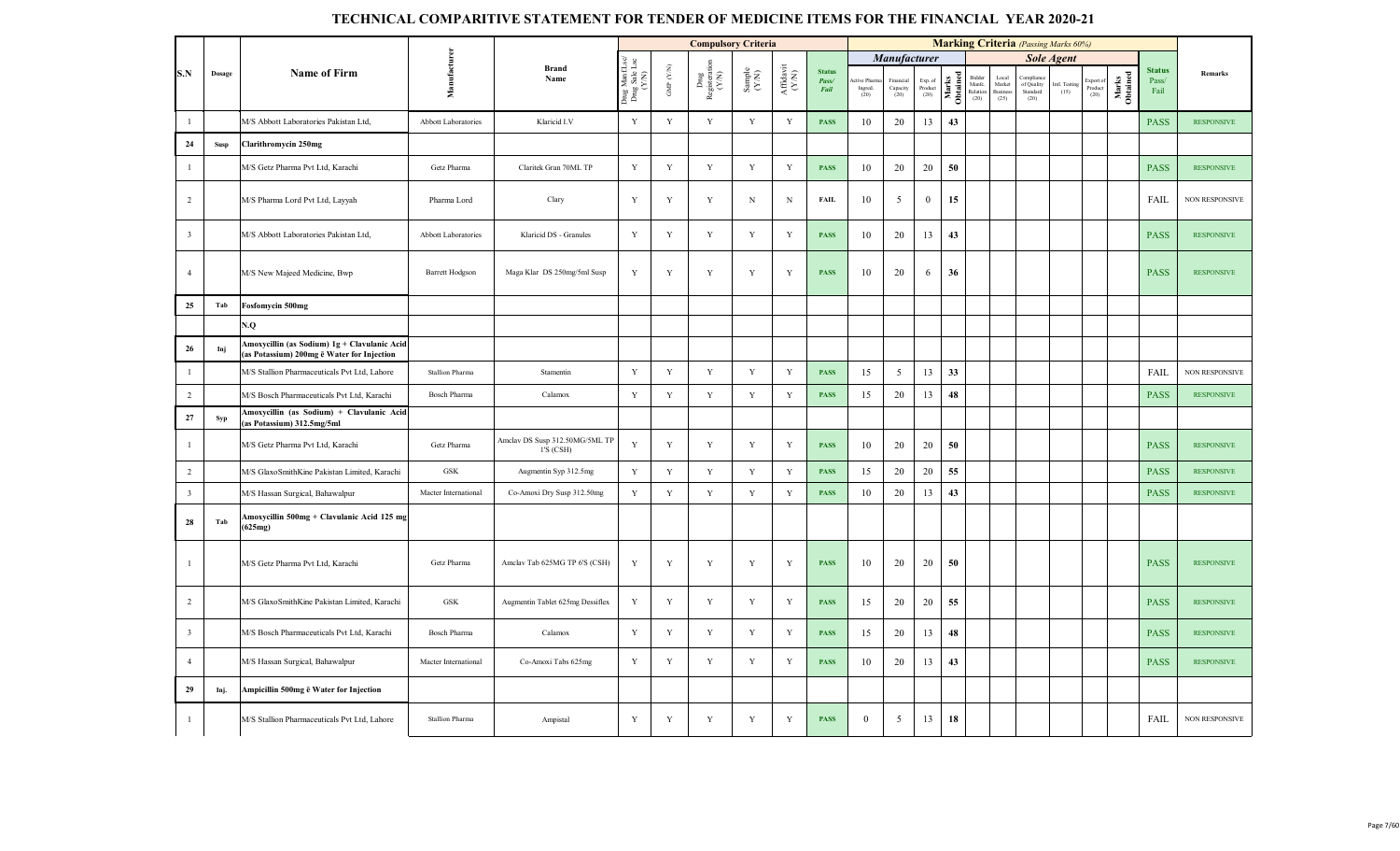|                         |        |                                                                                            |                        |                                             |                                          |                   | <b>Compulsory Criteria</b>     |                                                             |                                           |                                |                              |                                   |                                       |                   |                                      |                                            | <b>Marking Criteria</b> (Passing Marks 60%) |                       |                              |                   |                                |                       |
|-------------------------|--------|--------------------------------------------------------------------------------------------|------------------------|---------------------------------------------|------------------------------------------|-------------------|--------------------------------|-------------------------------------------------------------|-------------------------------------------|--------------------------------|------------------------------|-----------------------------------|---------------------------------------|-------------------|--------------------------------------|--------------------------------------------|---------------------------------------------|-----------------------|------------------------------|-------------------|--------------------------------|-----------------------|
|                         |        |                                                                                            |                        |                                             |                                          |                   |                                |                                                             |                                           |                                |                              | Manufacturer                      |                                       |                   |                                      |                                            |                                             | <b>Sole Agent</b>     |                              |                   |                                |                       |
| S.N                     | Dosage | <b>Name of Firm</b>                                                                        | Manufacturer           | <b>Brand</b><br>Name                        | Drug Manf.Lsc/<br>Drug Sale Lsc<br>(Y/N) | GMP $(\text{YM})$ | Drug<br>Registeration<br>(Y/N) | $\begin{array}{c} \text{Sample} \\ (\text{YM}) \end{array}$ | ${\bf Aff} {\bf davit} \atop ({\bf Y/N})$ | <b>Status</b><br>Pass/<br>Fail | tive Pham<br>Ingred.<br>(20) | inancial<br>Capacity<br>(20) $\,$ | Exp. of<br>Product $\left( 20\right)$ | Marks<br>Obtained | Bidder<br>Manfe.<br>Relation<br>(20) | Local<br>Market<br><b>Business</b><br>(25) | Compliar<br>of Quality<br>Standard<br>(20)  | intl. Testing<br>(15) | Export of<br>Product<br>(20) | Marks<br>Obtained | <b>Status</b><br>Pass/<br>Fail | Remarks               |
| $\mathbf{1}$            |        | M/S Abbott Laboratories Pakistan Ltd,                                                      | Abbott Laboratories    | Klaricid I.V                                | Y                                        | $\mathbf Y$       | $\mathbf Y$                    | Y                                                           | Y                                         | <b>PASS</b>                    | 10                           | 20                                | 13                                    | 43                |                                      |                                            |                                             |                       |                              |                   | <b>PASS</b>                    | <b>RESPONSIVE</b>     |
| 24                      | Susp   | Clarithromycin 250mg                                                                       |                        |                                             |                                          |                   |                                |                                                             |                                           |                                |                              |                                   |                                       |                   |                                      |                                            |                                             |                       |                              |                   |                                |                       |
| $\mathbf{1}$            |        | M/S Getz Pharma Pvt Ltd, Karachi                                                           | Getz Pharma            | Claritek Gran 70ML TP                       | $\mathbf Y$                              | $\mathbf Y$       | $\mathbf Y$                    | $\mathbf Y$                                                 | Y                                         | <b>PASS</b>                    | 10                           | 20                                | 20                                    | 50                |                                      |                                            |                                             |                       |                              |                   | <b>PASS</b>                    | <b>RESPONSIVE</b>     |
| $\overline{2}$          |        | M/S Pharma Lord Pvt Ltd, Layyah                                                            | Pharma Lord            | Clary                                       | $\mathbf Y$                              | $\mathbf Y$       | Y                              | ${\rm N}$                                                   | $\, {\rm N}$                              | <b>FAIL</b>                    | 10                           | 5                                 | $\overline{0}$                        | 15                |                                      |                                            |                                             |                       |                              |                   | FAIL                           | NON RESPONSIVE        |
| $\overline{\mathbf{3}}$ |        | M/S Abbott Laboratories Pakistan Ltd,                                                      | Abbott Laboratories    | Klaricid DS - Granules                      | Y                                        | Y                 | Y                              | Y                                                           | Y                                         | <b>PASS</b>                    | 10                           | 20                                | 13                                    | 43                |                                      |                                            |                                             |                       |                              |                   | <b>PASS</b>                    | <b>RESPONSIVE</b>     |
| $\overline{4}$          |        | M/S New Majeed Medicine, Bwp                                                               | <b>Barrett Hodgson</b> | Maga Klar DS 250mg/5ml Susp                 | $\mathbf Y$                              | $\mathbf Y$       | $\mathbf Y$                    | $\mathbf Y$                                                 | $\mathbf Y$                               | <b>PASS</b>                    | 10                           | 20                                | 6                                     | 36                |                                      |                                            |                                             |                       |                              |                   | <b>PASS</b>                    | <b>RESPONSIVE</b>     |
| 25                      | Tab    | Fosfomycin 500mg                                                                           |                        |                                             |                                          |                   |                                |                                                             |                                           |                                |                              |                                   |                                       |                   |                                      |                                            |                                             |                       |                              |                   |                                |                       |
|                         |        | V.O                                                                                        |                        |                                             |                                          |                   |                                |                                                             |                                           |                                |                              |                                   |                                       |                   |                                      |                                            |                                             |                       |                              |                   |                                |                       |
| 26                      | Inj    | Amoxycillin (as Sodium) 1g + Clavulanic Acid<br>(as Potassium) 200mg ē Water for Injection |                        |                                             |                                          |                   |                                |                                                             |                                           |                                |                              |                                   |                                       |                   |                                      |                                            |                                             |                       |                              |                   |                                |                       |
| $\mathbf{1}$            |        | M/S Stallion Pharmaceuticals Pvt Ltd, Lahore                                               | <b>Stallion Pharma</b> | Stamentin                                   | $\mathbf Y$                              | $\mathbf Y$       | $\mathbf Y$                    | $\mathbf Y$                                                 | $\mathbf Y$                               | <b>PASS</b>                    | 15                           | 5                                 | 13                                    | 33                |                                      |                                            |                                             |                       |                              |                   | FAIL                           | <b>NON RESPONSIVE</b> |
| $\overline{2}$          |        | M/S Bosch Pharmaceuticals Pvt Ltd, Karachi                                                 | <b>Bosch Pharma</b>    | Calamox                                     | $\mathbf Y$                              | $\mathbf Y$       | $\mathbf Y$                    | $\mathbf Y$                                                 | Y                                         | <b>PASS</b>                    | 15                           | 20                                | 13                                    | 48                |                                      |                                            |                                             |                       |                              |                   | <b>PASS</b>                    | <b>RESPONSIVE</b>     |
| $27\,$                  | Syp    | Amoxycillin (as Sodium) + Clavulanic Acid<br>as Potassium) 312.5mg/5ml                     |                        |                                             |                                          |                   |                                |                                                             |                                           |                                |                              |                                   |                                       |                   |                                      |                                            |                                             |                       |                              |                   |                                |                       |
| $\overline{1}$          |        | M/S Getz Pharma Pvt Ltd, Karachi                                                           | Getz Pharma            | Amelav DS Susp 312.50MG/5ML TP<br>1'S (CSH) | Y                                        | Y                 | $\mathbf Y$                    | $\mathbf Y$                                                 | Y                                         | <b>PASS</b>                    | 10                           | 20                                | 20                                    | 50                |                                      |                                            |                                             |                       |                              |                   | <b>PASS</b>                    | <b>RESPONSIVE</b>     |
| $\overline{2}$          |        | M/S GlaxoSmithKine Pakistan Limited, Karachi                                               | ${\rm GSK}$            | Augmentin Syp 312.5mg                       | $\mathbf Y$                              | $\mathbf Y$       | $\mathbf Y$                    | $\mathbf Y$                                                 | $\mathbf Y$                               | <b>PASS</b>                    | 15                           | 20                                | 20                                    | 55                |                                      |                                            |                                             |                       |                              |                   | <b>PASS</b>                    | <b>RESPONSIVE</b>     |
| $\overline{\mathbf{3}}$ |        | M/S Hassan Surgical, Bahawalpur                                                            | Macter International   | Co-Amoxi Dry Susp 312.50mg                  | $\mathbf Y$                              | $\mathbf Y$       | $\mathbf Y$                    | $\mathbf Y$                                                 | $\mathbf Y$                               | <b>PASS</b>                    | 10                           | 20                                | 13                                    | 43                |                                      |                                            |                                             |                       |                              |                   | <b>PASS</b>                    | <b>RESPONSIVE</b>     |
| 28                      | Tab    | Amoxycillin 500mg + Clavulanic Acid 125 mg<br>(625mg)                                      |                        |                                             |                                          |                   |                                |                                                             |                                           |                                |                              |                                   |                                       |                   |                                      |                                            |                                             |                       |                              |                   |                                |                       |
| $\overline{1}$          |        | M/S Getz Pharma Pvt Ltd, Karachi                                                           | Getz Pharma            | Amclav Tab 625MG TP 6'S (CSH)               | Y                                        | $\mathbf Y$       | $\mathbf Y$                    | $\mathbf Y$                                                 | Y                                         | <b>PASS</b>                    | 10                           | 20                                | 20                                    | 50                |                                      |                                            |                                             |                       |                              |                   | <b>PASS</b>                    | <b>RESPONSIVE</b>     |
| 2                       |        | M/S GlaxoSmithKine Pakistan Limited, Karachi                                               | ${\rm GSK}$            | Augmentin Tablet 625mg Dessiflex            | $\mathbf Y$                              | $\mathbf Y$       | $\mathbf Y$                    | $\mathbf Y$                                                 | $\mathbf Y$                               | <b>PASS</b>                    | 15                           | 20                                | 20                                    | 55                |                                      |                                            |                                             |                       |                              |                   | <b>PASS</b>                    | <b>RESPONSIVE</b>     |
| $\overline{\mathbf{3}}$ |        | M/S Bosch Pharmaceuticals Pvt Ltd, Karachi                                                 | <b>Bosch Pharma</b>    | Calamox                                     | $\mathbf Y$                              | $\mathbf Y$       | $\mathbf Y$                    | $\mathbf Y$                                                 | $\mathbf Y$                               | <b>PASS</b>                    | 15                           | 20                                | 13                                    | 48                |                                      |                                            |                                             |                       |                              |                   | <b>PASS</b>                    | <b>RESPONSIVE</b>     |
| $\overline{4}$          |        | M/S Hassan Surgical, Bahawalpur                                                            | Macter International   | Co-Amoxi Tabs 625mg                         | Y                                        | $\mathbf Y$       | $\mathbf Y$                    | $\mathbf Y$                                                 | Y                                         | <b>PASS</b>                    | 10                           | 20                                | 13                                    | 43                |                                      |                                            |                                             |                       |                              |                   | <b>PASS</b>                    | <b>RESPONSIVE</b>     |
| 29                      | Inj.   | Ampicillin 500mg ē Water for Injection                                                     |                        |                                             |                                          |                   |                                |                                                             |                                           |                                |                              |                                   |                                       |                   |                                      |                                            |                                             |                       |                              |                   |                                |                       |
| $\mathbf{1}$            |        | M/S Stallion Pharmaceuticals Pvt Ltd, Lahore                                               | Stallion Pharma        | Ampistal                                    | Y                                        | Y                 | Y                              | Y                                                           | Y                                         | <b>PASS</b>                    | $\theta$                     | 5                                 | 13                                    | 18                |                                      |                                            |                                             |                       |                              |                   | FAIL                           | NON RESPONSIVE        |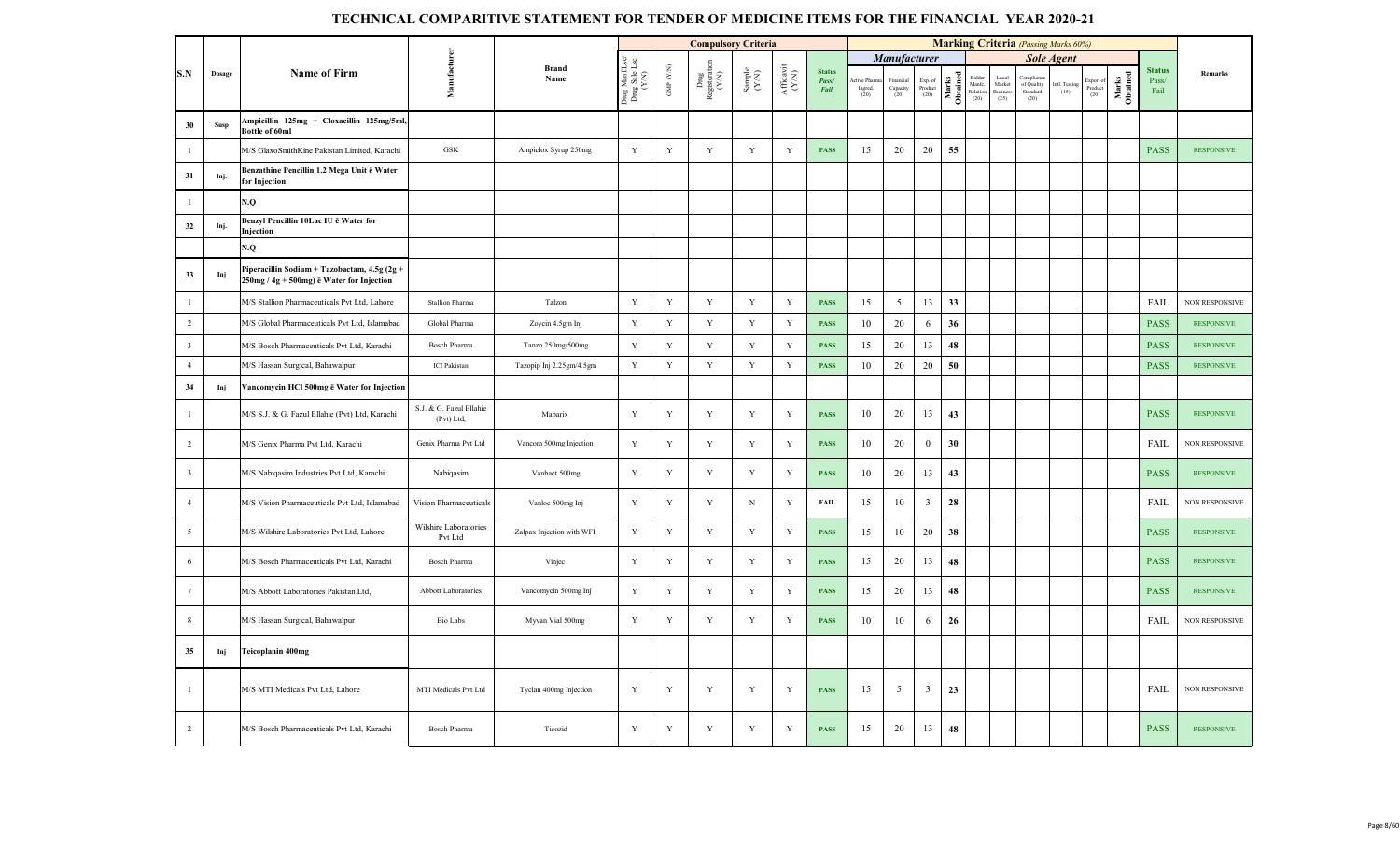|                         |             |                                                                                              |                                       |                           |                                         |                      | <b>Compulsory Criteria</b>     |                                                             |                                                                                                 |                                |                               |                                                |                            |                   |                                      |                                       | <b>Marking Criteria</b> (Passing Marks 60%) |                       |                              |                   |                                |                       |
|-------------------------|-------------|----------------------------------------------------------------------------------------------|---------------------------------------|---------------------------|-----------------------------------------|----------------------|--------------------------------|-------------------------------------------------------------|-------------------------------------------------------------------------------------------------|--------------------------------|-------------------------------|------------------------------------------------|----------------------------|-------------------|--------------------------------------|---------------------------------------|---------------------------------------------|-----------------------|------------------------------|-------------------|--------------------------------|-----------------------|
|                         |             |                                                                                              |                                       |                           |                                         |                      |                                |                                                             |                                                                                                 |                                |                               | <b>Manufacturer</b>                            |                            |                   |                                      |                                       |                                             | Sole Agent            |                              |                   |                                |                       |
| S.N                     | Dosage      | <b>Name of Firm</b>                                                                          | Manufacturer                          | <b>Brand</b><br>Name      | Drug ManfLsc/<br>Drug Sale Lsc<br>(Y/N) | GMP $(\mathbf{Y/N})$ | Drug<br>Registeration<br>(Y/N) | $\begin{array}{c} \text{Sample} \\ (\text{YM}) \end{array}$ | $\begin{array}{c} \mathrm{Aff} \mathrm{d} \mathrm{av} \mathrm{i} \\ (\mathrm{Y/N}) \end{array}$ | <b>Status</b><br>Pass/<br>Fail | tive Pharn<br>Ingred.<br>(20) | Financial<br>$\operatorname{Capacity}$<br>(20) | Exp. of<br>Product<br>(20) | Marks<br>Obtained | Bidder<br>Manfc.<br>Relation<br>(20) | Local<br>Market<br>Business<br>$(25)$ | Complian<br>of Quality<br>Standard<br>(20)  | Intl. Testing<br>(15) | Export of<br>Product<br>(20) | Marks<br>Obtained | <b>Status</b><br>Pass/<br>Fail | <b>Remarks</b>        |
| 30                      | <b>Susp</b> | Ampicillin 125mg + Cloxacillin 125mg/5ml,<br>Bottle of 60ml                                  |                                       |                           |                                         |                      |                                |                                                             |                                                                                                 |                                |                               |                                                |                            |                   |                                      |                                       |                                             |                       |                              |                   |                                |                       |
| $\mathbf{1}$            |             | M/S GlaxoSmithKine Pakistan Limited, Karachi                                                 | <b>GSK</b>                            | Ampiclox Syrup 250mg      | $\mathbf Y$                             | $\mathbf Y$          | $\mathbf Y$                    | $\mathbf Y$                                                 | Y                                                                                               | <b>PASS</b>                    | 15                            | 20                                             | 20                         | 55                |                                      |                                       |                                             |                       |                              |                   | <b>PASS</b>                    | <b>RESPONSIVE</b>     |
| 31                      | Inj.        | Benzathine Pencillin 1.2 Mega Unit ē Water<br>for Injection                                  |                                       |                           |                                         |                      |                                |                                                             |                                                                                                 |                                |                               |                                                |                            |                   |                                      |                                       |                                             |                       |                              |                   |                                |                       |
| $\overline{1}$          |             | V.Q                                                                                          |                                       |                           |                                         |                      |                                |                                                             |                                                                                                 |                                |                               |                                                |                            |                   |                                      |                                       |                                             |                       |                              |                   |                                |                       |
| 32                      | Inj.        | Benzyl Pencillin 10Lac IU ë Water for<br>Injection                                           |                                       |                           |                                         |                      |                                |                                                             |                                                                                                 |                                |                               |                                                |                            |                   |                                      |                                       |                                             |                       |                              |                   |                                |                       |
|                         |             | N.Q                                                                                          |                                       |                           |                                         |                      |                                |                                                             |                                                                                                 |                                |                               |                                                |                            |                   |                                      |                                       |                                             |                       |                              |                   |                                |                       |
| 33                      | Inj         | Piperacillin Sodium + Tazobactam, 4.5g (2g +<br>$250$ mg / 4g + 500mg) ē Water for Injection |                                       |                           |                                         |                      |                                |                                                             |                                                                                                 |                                |                               |                                                |                            |                   |                                      |                                       |                                             |                       |                              |                   |                                |                       |
| $\mathbf{1}$            |             | M/S Stallion Pharmaceuticals Pvt Ltd, Lahore                                                 | Stallion Pharma                       | Talzon                    | $\mathbf Y$                             | $\mathbf Y$          | $\mathbf Y$                    | $\mathbf Y$                                                 | $\mathbf Y$                                                                                     | <b>PASS</b>                    | 15                            | 5                                              | 13                         | 33                |                                      |                                       |                                             |                       |                              |                   | FAIL                           | NON RESPONSIVE        |
| $\overline{2}$          |             | M/S Global Pharmaceuticals Pvt Ltd, Islamabad                                                | Global Pharma                         | Zoycin 4.5gm Inj          | Y                                       | Y                    | $\mathbf Y$                    | $\mathbf Y$                                                 | $\mathbf Y$                                                                                     | <b>PASS</b>                    | 10                            | 20                                             | 6                          | 36                |                                      |                                       |                                             |                       |                              |                   | <b>PASS</b>                    | <b>RESPONSIVE</b>     |
| $\overline{\mathbf{3}}$ |             | M/S Bosch Pharmaceuticals Pvt Ltd, Karachi                                                   | <b>Bosch Pharma</b>                   | Tanzo 250mg/500mg         | Y                                       | Y                    | $\mathbf Y$                    | $\mathbf Y$                                                 | $\mathbf Y$                                                                                     | <b>PASS</b>                    | 15                            | 20                                             | 13                         | 48                |                                      |                                       |                                             |                       |                              |                   | <b>PASS</b>                    | <b>RESPONSIVE</b>     |
| $\overline{4}$          |             | M/S Hassan Surgical, Bahawalpur                                                              | <b>ICI</b> Pakistan                   | Tazopip Inj 2.25gm/4.5gm  | $\mathbf Y$                             | $\mathbf Y$          | $\mathbf Y$                    | $\mathbf Y$                                                 | $\mathbf Y$                                                                                     | <b>PASS</b>                    | 10                            | 20                                             | 20                         | 50                |                                      |                                       |                                             |                       |                              |                   | <b>PASS</b>                    | <b>RESPONSIVE</b>     |
| 34                      | Inj         | Vancomycin HCl 500mg ë Water for Injection                                                   |                                       |                           |                                         |                      |                                |                                                             |                                                                                                 |                                |                               |                                                |                            |                   |                                      |                                       |                                             |                       |                              |                   |                                |                       |
| $\mathbf{1}$            |             | M/S S.J. & G. Fazul Ellahie (Pvt) Ltd, Karachi                                               | S.J. & G. Fazul Ellahie<br>(Pvt) Ltd, | Maparix                   | $\mathbf Y$                             | $\mathbf Y$          | Y                              | $\mathbf Y$                                                 | Y                                                                                               | <b>PASS</b>                    | 10                            | 20                                             | 13                         | 43                |                                      |                                       |                                             |                       |                              |                   | <b>PASS</b>                    | <b>RESPONSIVE</b>     |
| 2                       |             | M/S Genix Pharma Pvt Ltd, Karachi                                                            | Genix Pharma Pvt Ltd                  | Vancom 500mg Injection    | $\mathbf Y$                             | $\mathbf Y$          | $\mathbf Y$                    | $\mathbf Y$                                                 | Y                                                                                               | <b>PASS</b>                    | 10                            | 20                                             | $\mathbf{0}$               | 30                |                                      |                                       |                                             |                       |                              |                   | FAIL                           | NON RESPONSIVE        |
| $\overline{\mathbf{3}}$ |             | M/S Nabiqasim Industries Pvt Ltd, Karachi                                                    | Nabiqasim                             | Vanbact 500mg             | Y                                       | Y                    | $\mathbf Y$                    | Y                                                           | Y                                                                                               | <b>PASS</b>                    | 10                            | 20                                             | 13                         | 43                |                                      |                                       |                                             |                       |                              |                   | <b>PASS</b>                    | <b>RESPONSIVE</b>     |
| $\overline{4}$          |             | M/S Vision Pharmaceuticals Pvt Ltd, Islamabad                                                | Vision Pharmaceuticals                | Vanloc 500mg Inj          | Y                                       | $\mathbf Y$          | Y                              | $_{\rm N}$                                                  | $\mathbf Y$                                                                                     | <b>FAIL</b>                    | 15                            | 10                                             | $\overline{3}$             | 28                |                                      |                                       |                                             |                       |                              |                   | FAIL                           | <b>NON RESPONSIVE</b> |
| $\overline{5}$          |             | M/S Wilshire Laboratories Pvt Ltd, Lahore                                                    | Wilshire Laboratories<br>Pvt Ltd      | Zalpax Injection with WFI | $\mathbf Y$                             | Y                    | Y                              | Y                                                           | Y                                                                                               | <b>PASS</b>                    | 15                            | 10                                             | 20                         | 38                |                                      |                                       |                                             |                       |                              |                   | <b>PASS</b>                    | <b>RESPONSIVE</b>     |
| 6                       |             | M/S Bosch Pharmaceuticals Pvt Ltd, Karachi                                                   | <b>Bosch Pharma</b>                   | Vinjec                    | Y                                       | Y                    | Y                              | $\mathbf Y$                                                 | Y                                                                                               | <b>PASS</b>                    | 15                            | 20                                             | 13                         | 48                |                                      |                                       |                                             |                       |                              |                   | <b>PASS</b>                    | <b>RESPONSIVE</b>     |
| $7\phantom{.0}$         |             | M/S Abbott Laboratories Pakistan Ltd,                                                        | Abbott Laboratories                   | Vancomycin 500mg Inj      | $\mathbf Y$                             | $\mathbf Y$          | $\mathbf Y$                    | $\mathbf Y$                                                 | Y                                                                                               | <b>PASS</b>                    | 15                            | 20                                             | 13                         | 48                |                                      |                                       |                                             |                       |                              |                   | <b>PASS</b>                    | <b>RESPONSIVE</b>     |
| 8                       |             | M/S Hassan Surgical, Bahawalpur                                                              | <b>Bio Labs</b>                       | Myvan Vial 500mg          | $\mathbf Y$                             | $\mathbf Y$          | $\mathbf Y$                    | $\mathbf Y$                                                 | Y                                                                                               | <b>PASS</b>                    | 10                            | 10                                             | 6                          | 26                |                                      |                                       |                                             |                       |                              |                   | <b>FAIL</b>                    | <b>NON RESPONSIVE</b> |
| 35                      | Inj         | <b>Teicoplanin 400mg</b>                                                                     |                                       |                           |                                         |                      |                                |                                                             |                                                                                                 |                                |                               |                                                |                            |                   |                                      |                                       |                                             |                       |                              |                   |                                |                       |
| $\mathbf{1}$            |             | M/S MTI Medicals Pvt Ltd, Lahore                                                             | MTI Medicals Pvt Ltd                  | Tyclan 400mg Injection    | Y                                       | $\mathbf Y$          | $\mathbf Y$                    | $\mathbf Y$                                                 | Y                                                                                               | <b>PASS</b>                    | 15                            | 5                                              | $\overline{3}$             | 23                |                                      |                                       |                                             |                       |                              |                   | <b>FAIL</b>                    | NON RESPONSIVE        |
| $\overline{2}$          |             | M/S Bosch Pharmaceuticals Pvt Ltd, Karachi                                                   | <b>Bosch Pharma</b>                   | Ticozid                   | Y                                       | Y                    | Y                              | Y                                                           | Y                                                                                               | <b>PASS</b>                    | 15                            | 20                                             | 13                         | 48                |                                      |                                       |                                             |                       |                              |                   | <b>PASS</b>                    | <b>RESPONSIVE</b>     |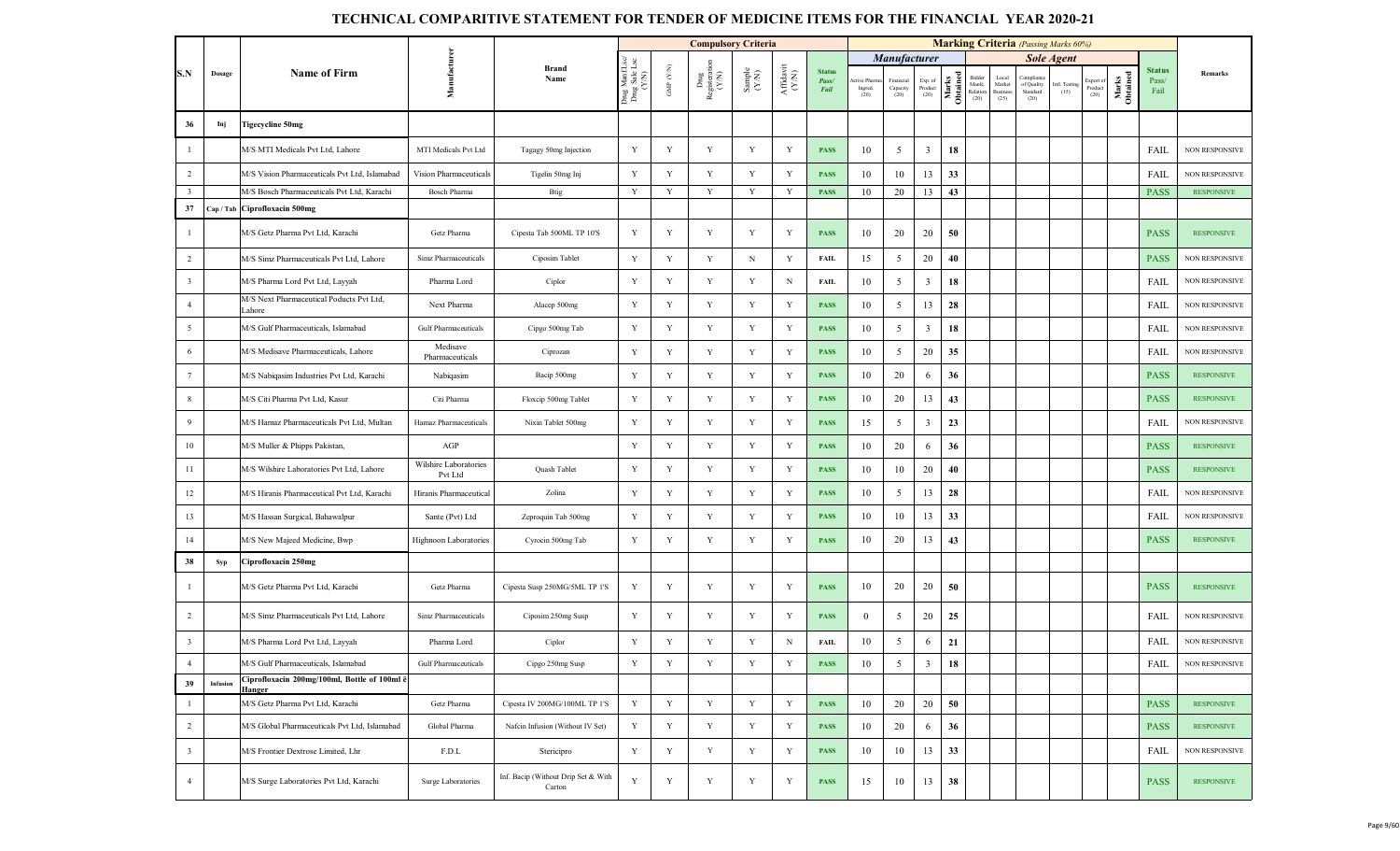|                         |          |                                                        |                                  |                                               |                                          |                                 | <b>Compulsory Criteria</b>                                                        |                                                             |                               |                                |                               |                               |                            |                   |                                      |                                   |                                             | <b>Marking Criteria</b> (Passing Marks 60%) |                             |                   |                                |                       |
|-------------------------|----------|--------------------------------------------------------|----------------------------------|-----------------------------------------------|------------------------------------------|---------------------------------|-----------------------------------------------------------------------------------|-------------------------------------------------------------|-------------------------------|--------------------------------|-------------------------------|-------------------------------|----------------------------|-------------------|--------------------------------------|-----------------------------------|---------------------------------------------|---------------------------------------------|-----------------------------|-------------------|--------------------------------|-----------------------|
|                         |          |                                                        |                                  |                                               |                                          |                                 |                                                                                   |                                                             |                               |                                |                               | <b>Manufacturer</b>           |                            |                   |                                      |                                   |                                             | <b>Sole Agent</b>                           |                             |                   |                                |                       |
| S.N                     | Dosage   | <b>Name of Firm</b>                                    | Manufacture                      | <b>Brand</b><br>Name                          | Drug Manf.Lsc/<br>Drug Sale Lsc<br>(Y/N) | GMP $(\mathcal{Y},\mathcal{N})$ | $\begin{array}{c}\mathbf{Dng}\\\mathbf{Registeration}\\\mathbf{(Y/N)}\end{array}$ | $\begin{array}{c} \text{Sample} \\ (\text{YM}) \end{array}$ | ${\bf Affaavit}\\ ({\bf YN})$ | <b>Status</b><br>Pass/<br>Fail | tive Pharm<br>Ingred.<br>(20) | Financial<br>Capacity<br>(20) | Exp. of<br>Product<br>(20) | Marks<br>Obtained | Bidder<br>Manfe.<br>Relation<br>(20) | Loca<br>Market<br>Busines<br>(25) | Compliano<br>of Quality<br>Standard<br>(20) | intl. Testing<br>(15)                       | xport of<br>Product<br>(20) | Marks<br>Obtained | <b>Status</b><br>Pass/<br>Fail | Remarks               |
| 36                      | Inj      | Tigecycline 50mg                                       |                                  |                                               |                                          |                                 |                                                                                   |                                                             |                               |                                |                               |                               |                            |                   |                                      |                                   |                                             |                                             |                             |                   |                                |                       |
| $\mathbf{1}$            |          | M/S MTI Medicals Pvt Ltd, Lahore                       | MTI Medicals Pvt Ltd             | Tagagy 50mg Injection                         | Y                                        | Y                               | Y                                                                                 | Y                                                           | Y                             | <b>PASS</b>                    | 10                            | 5                             | $\overline{3}$             | 18                |                                      |                                   |                                             |                                             |                             |                   | <b>FAIL</b>                    | NON RESPONSIVE        |
| $\overline{2}$          |          | M/S Vision Pharmaceuticals Pvt Ltd, Islamabad          | Vision Pharmaceuticals           | Tigelin 50mg Inj                              | $\mathbf Y$                              | $\mathbf Y$                     | Y                                                                                 | Y                                                           | Y                             | <b>PASS</b>                    | 10                            | 10                            | 13                         | 33                |                                      |                                   |                                             |                                             |                             |                   | FAIL                           | <b>NON RESPONSIVE</b> |
| $\overline{\mathbf{3}}$ |          | M/S Bosch Pharmaceuticals Pvt Ltd. Karachi             | <b>Bosch Pharma</b>              | <b>Btig</b>                                   | Y                                        | Y                               | Y                                                                                 | Y                                                           | Y                             | <b>PASS</b>                    | 10                            | 20                            | 13                         | 43                |                                      |                                   |                                             |                                             |                             |                   | <b>PASS</b>                    | <b>RESPONSIVE</b>     |
| 37                      |          | Cap / Tab   Ciprofloxacin 500mg                        |                                  |                                               |                                          |                                 |                                                                                   |                                                             |                               |                                |                               |                               |                            |                   |                                      |                                   |                                             |                                             |                             |                   |                                |                       |
| $\mathbf{1}$            |          | M/S Getz Pharma Pvt Ltd, Karachi                       | Getz Pharma                      | Cipesta Tab 500ML TP 10'S                     | Y                                        | Y                               | Y                                                                                 | Y                                                           | Y                             | <b>PASS</b>                    | 10                            | 20                            | 20                         | 50                |                                      |                                   |                                             |                                             |                             |                   | <b>PASS</b>                    | <b>RESPONSIVE</b>     |
| $\overline{2}$          |          | M/S Simz Pharmaceuticals Pvt Ltd, Lahore               | Simz Pharmaceuticals             | Ciposim Tablet                                | $\mathbf Y$                              | Y                               | Y                                                                                 | $_{\rm N}$                                                  | $\mathbf Y$                   | <b>FAIL</b>                    | 15                            | 5                             | $20\,$                     | 40                |                                      |                                   |                                             |                                             |                             |                   | <b>PASS</b>                    | <b>NON RESPONSIVE</b> |
| $\overline{\mathbf{3}}$ |          | M/S Pharma Lord Pvt Ltd, Layyah                        | Pharma Lord                      | Ciplor                                        | Y                                        | $\mathbf Y$                     | Y                                                                                 | Y                                                           | $\, {\rm N}$                  | <b>FAIL</b>                    | 10                            | 5                             | $\overline{\mathbf{3}}$    | 18                |                                      |                                   |                                             |                                             |                             |                   | <b>FAIL</b>                    | <b>NON RESPONSIVE</b> |
| $\overline{4}$          |          | M/S Next Pharmaceutical Poducts Pvt Ltd,<br>Lahore     | Next Pharma                      | Alacep 500mg                                  | Y                                        | $\mathbf Y$                     | Y                                                                                 | $\mathbf Y$                                                 | Y                             | <b>PASS</b>                    | 10                            | $\mathfrak{S}$                | 13                         | 28                |                                      |                                   |                                             |                                             |                             |                   | FAIL                           | <b>NON RESPONSIVE</b> |
| $\overline{5}$          |          | M/S Gulf Pharmaceuticals, Islamabad                    | Gulf Pharmaceuticals             | Cipgo 500mg Tab                               | Y                                        | Y                               | Y                                                                                 | $\mathbf Y$                                                 | Y                             | <b>PASS</b>                    | 10                            | 5                             | $\overline{3}$             | 18                |                                      |                                   |                                             |                                             |                             |                   | <b>FAIL</b>                    | <b>NON RESPONSIVE</b> |
| 6                       |          | M/S Medisave Pharmaceuticals, Lahore                   | Medisave<br>Pharmaceuticals      | Ciprozan                                      | $\mathbf Y$                              | $\mathbf Y$                     | Y                                                                                 | Y                                                           | Y                             | <b>PASS</b>                    | 10                            | 5                             | 20                         | 35                |                                      |                                   |                                             |                                             |                             |                   | <b>FAIL</b>                    | <b>NON RESPONSIVE</b> |
| $7\phantom{.0}$         |          | M/S Nabiqasim Industries Pvt Ltd, Karachi              | Nabiqasim                        | Bacip 500mg                                   | $\mathbf Y$                              | $\mathbf Y$                     | Y                                                                                 | $\mathbf Y$                                                 | Y                             | <b>PASS</b>                    | 10                            | 20                            | 6                          | 36                |                                      |                                   |                                             |                                             |                             |                   | <b>PASS</b>                    | <b>RESPONSIVE</b>     |
| 8                       |          | M/S Citi Pharma Pvt Ltd, Kasur                         | Citi Pharma                      | Floxcip 500mg Tablet                          | $\mathbf Y$                              | $\mathbf Y$                     | Y                                                                                 | $\mathbf Y$                                                 | $\mathbf Y$                   | <b>PASS</b>                    | 10                            | 20                            | 13                         | 43                |                                      |                                   |                                             |                                             |                             |                   | <b>PASS</b>                    | <b>RESPONSIVE</b>     |
| 9                       |          | M/S Hamaz Pharmaceuticals Pvt Ltd, Multan              | Hamaz Pharmaceuticals            | Nixin Tablet 500mg                            | Y                                        | $\mathbf Y$                     | Y                                                                                 | $\mathbf Y$                                                 | Y                             | <b>PASS</b>                    | 15                            | $\mathfrak{S}$                | $\overline{\mathbf{3}}$    | 23                |                                      |                                   |                                             |                                             |                             |                   | FAIL                           | <b>NON RESPONSIVE</b> |
| 10                      |          | M/S Muller & Phipps Pakistan,                          | AGP                              |                                               | Y                                        | Y                               | Y                                                                                 | Y                                                           | Y                             | <b>PASS</b>                    | 10                            | 20                            | 6                          | 36                |                                      |                                   |                                             |                                             |                             |                   | <b>PASS</b>                    | <b>RESPONSIVE</b>     |
| 11                      |          | M/S Wilshire Laboratories Pvt Ltd, Lahore              | Wilshire Laboratories<br>Pvt Ltd | Quash Tablet                                  | Y                                        | Y                               | Y                                                                                 | Y                                                           | Y                             | <b>PASS</b>                    | 10                            | 10                            | 20                         | 40                |                                      |                                   |                                             |                                             |                             |                   | <b>PASS</b>                    | <b>RESPONSIVE</b>     |
| 12                      |          | M/S Hiranis Pharmaceutical Pvt Ltd, Karachi            | Hiranis Pharmaceutical           | Zolina                                        | $\mathbf Y$                              | Y                               | Y                                                                                 | $\mathbf Y$                                                 | Y                             | <b>PASS</b>                    | 10                            | 5                             | 13                         | 28                |                                      |                                   |                                             |                                             |                             |                   | FAIL                           | <b>NON RESPONSIVE</b> |
| 13                      |          | M/S Hassan Surgical, Bahawalpur                        | Sante (Pvt) Ltd                  | Zeproquin Tab 500mg                           | Y                                        | Y                               | Y                                                                                 | Y                                                           | Y                             | <b>PASS</b>                    | 10                            | 10                            | 13                         | 33                |                                      |                                   |                                             |                                             |                             |                   | <b>FAIL</b>                    | NON RESPONSIVE        |
| 14                      |          | M/S New Majeed Medicine, Bwp                           | Highnoon Laboratories            | Cyrocin 500mg Tab                             | $\mathbf Y$                              | Y                               | Y                                                                                 | Y                                                           | Y                             | <b>PASS</b>                    | 10                            | 20                            | 13                         | 43                |                                      |                                   |                                             |                                             |                             |                   | <b>PASS</b>                    | <b>RESPONSIVE</b>     |
| 38                      | Syp      | Ciprofloxacin 250mg                                    |                                  |                                               |                                          |                                 |                                                                                   |                                                             |                               |                                |                               |                               |                            |                   |                                      |                                   |                                             |                                             |                             |                   |                                |                       |
| $\mathbf{1}$            |          | M/S Getz Pharma Pvt Ltd, Karachi                       | Getz Pharma                      | Cipesta Susp 250MG/5ML TP 1'S                 | Y                                        | Y                               | Y                                                                                 | Y                                                           | Y                             | <b>PASS</b>                    | 10                            | 20                            | 20                         | 50                |                                      |                                   |                                             |                                             |                             |                   | <b>PASS</b>                    | <b>RESPONSIVE</b>     |
| $\overline{2}$          |          | M/S Simz Pharmaceuticals Pvt Ltd, Lahore               | Simz Pharmaceuticals             | Ciposim 250mg Susp                            | Y                                        | Y                               | Y                                                                                 | Y                                                           | Y                             | <b>PASS</b>                    | $\overline{0}$                | 5                             | 20                         | 25                |                                      |                                   |                                             |                                             |                             |                   | FAIL                           | <b>NON RESPONSIVE</b> |
| $\overline{\mathbf{3}}$ |          | M/S Pharma Lord Pvt Ltd, Layyah                        | Pharma Lord                      | Ciplor                                        | $\mathbf Y$                              | Y                               | Y                                                                                 | $\mathbf Y$                                                 | N                             | <b>FAIL</b>                    | 10                            | 5                             | 6                          | 21                |                                      |                                   |                                             |                                             |                             |                   | <b>FAIL</b>                    | <b>NON RESPONSIVE</b> |
| $\overline{4}$          |          | M/S Gulf Pharmaceuticals, Islamabad                    | Gulf Pharmaceuticals             | Cipgo 250mg Susp                              | Y                                        | Y                               | Y                                                                                 | Y                                                           | Y                             | <b>PASS</b>                    | 10                            | 5                             | 3                          | 18                |                                      |                                   |                                             |                                             |                             |                   | FAIL                           | NON RESPONSIVE        |
| 39                      | Infusion | Ciprofloxacin 200mg/100ml, Bottle of 100ml ē<br>Hanger |                                  |                                               |                                          |                                 |                                                                                   |                                                             |                               |                                |                               |                               |                            |                   |                                      |                                   |                                             |                                             |                             |                   |                                |                       |
| $\mathbf{1}$            |          | M/S Getz Pharma Pvt Ltd, Karachi                       | Getz Pharma                      | Cipesta IV 200MG/100ML TP 1'S                 | $\mathbf Y$                              | $\mathbf Y$                     | Y                                                                                 | $\mathbf Y$                                                 | Y                             | <b>PASS</b>                    | 10                            | 20                            | 20                         | 50                |                                      |                                   |                                             |                                             |                             |                   | <b>PASS</b>                    | <b>RESPONSIVE</b>     |
| $\overline{2}$          |          | M/S Global Pharmaceuticals Pvt Ltd, Islamabad          | Global Pharma                    | Nafcin Infusion (Without IV Set)              | $\mathbf Y$                              | $\mathbf Y$                     | Y                                                                                 | $\mathbf Y$                                                 | Y                             | <b>PASS</b>                    | 10                            | 20                            | 6                          | 36                |                                      |                                   |                                             |                                             |                             |                   | <b>PASS</b>                    | <b>RESPONSIVE</b>     |
| $\overline{\mathbf{3}}$ |          | M/S Frontier Dextrose Limited, Lhr                     | $\ensuremath{\mathsf{F.D.L}}$    | Stericipro                                    | $\mathbf Y$                              | Y                               | $\mathbf Y$                                                                       | Y                                                           | Y                             | <b>PASS</b>                    | 10                            | 10                            | 13                         | 33                |                                      |                                   |                                             |                                             |                             |                   | FAIL                           | NON RESPONSIVE        |
| $\overline{4}$          |          | M/S Surge Laboratories Pvt Ltd, Karachi                | Surge Laboratories               | Inf. Bacip (Without Drip Set & With<br>Carton | Y                                        | $\mathbf Y$                     | Y                                                                                 | Y                                                           | Y                             | <b>PASS</b>                    | 15                            | 10                            | 13                         | 38                |                                      |                                   |                                             |                                             |                             |                   | <b>PASS</b>                    | <b>RESPONSIVE</b>     |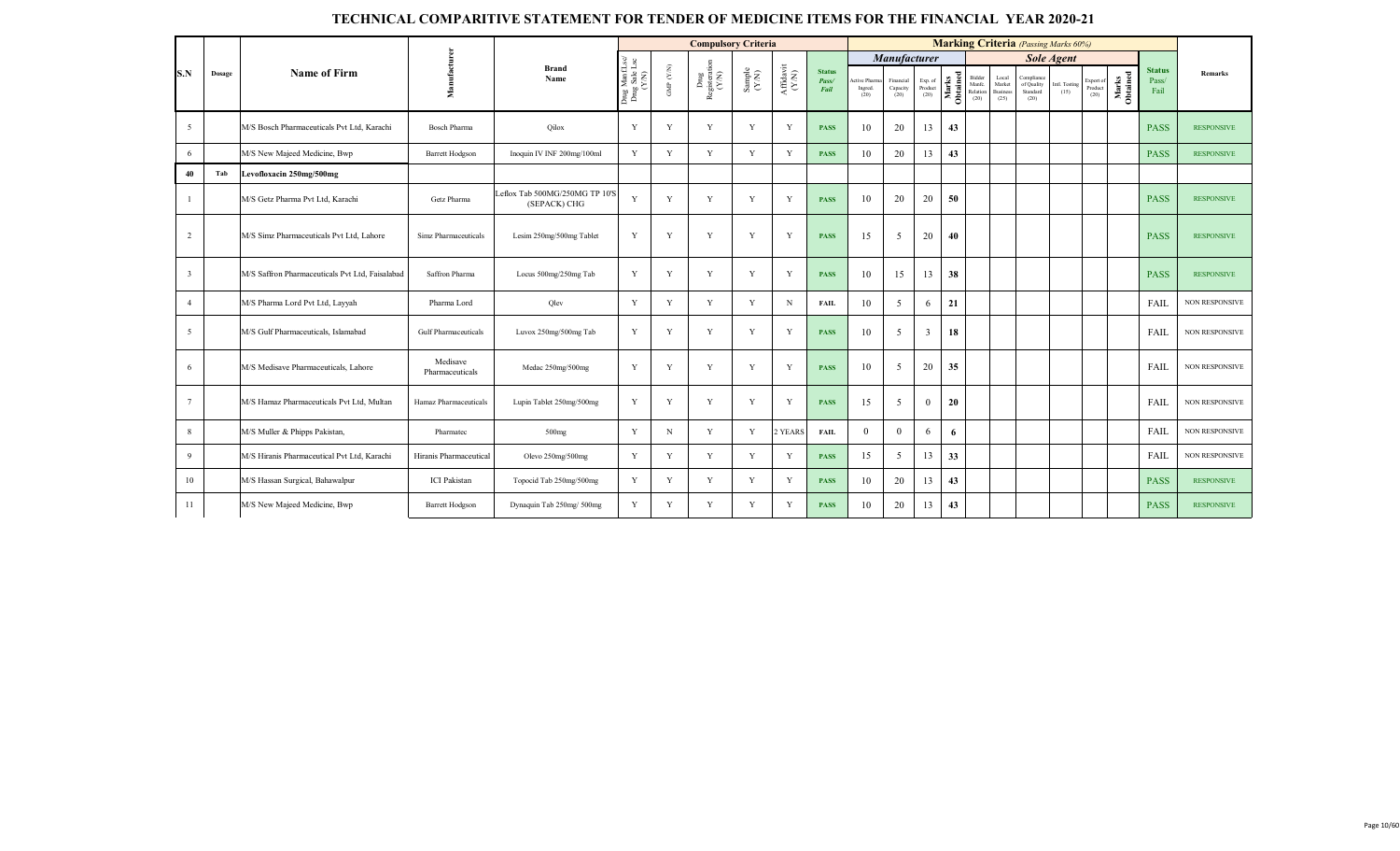|                |        |                                                 |                             |                                                |                                          |                      | <b>Compulsory Criteria</b>     |                                                             |                                           |                                |                                |                               |                            |                   |                                     |                                            | <b>Marking Criteria</b> (Passing Marks 60%)  |                       |                           |                   |                                |                       |
|----------------|--------|-------------------------------------------------|-----------------------------|------------------------------------------------|------------------------------------------|----------------------|--------------------------------|-------------------------------------------------------------|-------------------------------------------|--------------------------------|--------------------------------|-------------------------------|----------------------------|-------------------|-------------------------------------|--------------------------------------------|----------------------------------------------|-----------------------|---------------------------|-------------------|--------------------------------|-----------------------|
|                |        |                                                 |                             |                                                |                                          |                      |                                |                                                             |                                           |                                |                                | Manufacturer                  |                            |                   |                                     |                                            |                                              | <b>Sole Agent</b>     |                           |                   |                                |                       |
| S.N            | Dosage | <b>Name of Firm</b>                             | Manufacturer                | <b>Brand</b><br>Name                           | Drug Manf.Lsc/<br>Drug Sale Lsc<br>(Y/N) | GMP $(\mathbf{Y/N})$ | Drug<br>Registeration<br>(Y/N) | $\begin{array}{c} \text{Sample} \\ (\text{YM}) \end{array}$ | ${\bf Aff} {\bf davit} \atop ({\bf Y/N})$ | <b>Status</b><br>Pass/<br>Fail | ctive Pharm<br>Ingred.<br>(20) | Financial<br>Capacity<br>(20) | Exp. of<br>Product<br>(20) | Marks<br>Obtained | Bidder<br>Manfc<br>Relation<br>(20) | Local<br>Market<br><b>Business</b><br>(25) | Compliance<br>of Quality<br>Standard<br>(20) | Intl. Testing<br>(15) | xport o<br>Produc<br>(20) | Marks<br>Obtained | <b>Status</b><br>Pass/<br>Fail | <b>Remarks</b>        |
| 5              |        | M/S Bosch Pharmaceuticals Pvt Ltd, Karachi      | <b>Bosch Pharma</b>         | Qilox                                          | Y                                        | Y                    | Y                              | Y                                                           | Y                                         | <b>PASS</b>                    | 10                             | 20                            | 13                         | 43                |                                     |                                            |                                              |                       |                           |                   | <b>PASS</b>                    | <b>RESPONSIVE</b>     |
| 6              |        | M/S New Majeed Medicine, Bwp                    | <b>Barrett Hodgson</b>      | Inoquin IV INF 200mg/100ml                     | Y                                        | Y                    | Y                              | Y                                                           | Y                                         | <b>PASS</b>                    | 10                             | 20                            | 13                         | 43                |                                     |                                            |                                              |                       |                           |                   | <b>PASS</b>                    | <b>RESPONSIVE</b>     |
| 40             | Tab    | Levofloxacin 250mg/500mg                        |                             |                                                |                                          |                      |                                |                                                             |                                           |                                |                                |                               |                            |                   |                                     |                                            |                                              |                       |                           |                   |                                |                       |
|                |        | M/S Getz Pharma Pvt Ltd, Karachi                | Getz Pharma                 | Leflox Tab 500MG/250MG TP 10'S<br>(SEPACK) CHG | Y                                        | Y                    | Y                              | Y                                                           | Y                                         | <b>PASS</b>                    | 10                             | 20                            | 20                         | 50                |                                     |                                            |                                              |                       |                           |                   | <b>PASS</b>                    | <b>RESPONSIVE</b>     |
| $\overline{2}$ |        | M/S Simz Pharmaceuticals Pvt Ltd, Lahore        | Simz Pharmaceuticals        | Lesim 250mg/500mg Tablet                       | Y                                        | Y                    | Y                              | Y                                                           | Y                                         | <b>PASS</b>                    | 15                             | 5                             | 20                         | 40                |                                     |                                            |                                              |                       |                           |                   | <b>PASS</b>                    | <b>RESPONSIVE</b>     |
| 3              |        | M/S Saffron Pharmaceuticals Pvt Ltd, Faisalabad | Saffron Pharma              | Locus 500mg/250mg Tab                          | Y                                        | Y                    | Y                              | Y                                                           | Y                                         | <b>PASS</b>                    | 10                             | 15                            | 13                         | 38                |                                     |                                            |                                              |                       |                           |                   | <b>PASS</b>                    | <b>RESPONSIVE</b>     |
| $\overline{4}$ |        | M/S Pharma Lord Pvt Ltd, Layyah                 | Pharma Lord                 | Olev                                           | Y                                        | Y                    | Y                              | Y                                                           | N                                         | <b>FAIL</b>                    | 10                             | 5                             | 6                          | 21                |                                     |                                            |                                              |                       |                           |                   | FAIL                           | <b>NON RESPONSIVE</b> |
| 5              |        | M/S Gulf Pharmaceuticals, Islamabad             | <b>Gulf Pharmaceuticals</b> | Luvox 250mg/500mg Tab                          | Y                                        | Y                    | Y                              | Y                                                           | V                                         | <b>PASS</b>                    | 10                             | 5                             | 3                          | 18                |                                     |                                            |                                              |                       |                           |                   | FAIL                           | <b>NON RESPONSIVE</b> |
| 6              |        | M/S Medisave Pharmaceuticals, Lahore            | Medisave<br>Pharmaceuticals | Medac 250mg/500mg                              | Y                                        | Y                    | Y                              | Y                                                           | Y                                         | <b>PASS</b>                    | 10                             | 5                             | 20                         | 35                |                                     |                                            |                                              |                       |                           |                   | FAIL                           | <b>NON RESPONSIVE</b> |
| $\tau$         |        | M/S Hamaz Pharmaceuticals Pvt Ltd, Multan       | Hamaz Pharmaceuticals       | Lupin Tablet 250mg/500mg                       | Y                                        | Y                    | Y                              | Y                                                           | Y                                         | <b>PASS</b>                    | 15                             | 5                             | $\overline{0}$             | 20                |                                     |                                            |                                              |                       |                           |                   | FAIL                           | <b>NON RESPONSIVE</b> |
| 8              |        | M/S Muller & Phipps Pakistan,                   | Pharmatec                   | $500$ mg                                       | Y                                        | $\mathbf N$          | Y                              | Y                                                           | 2 YEARS                                   | <b>FAIL</b>                    | $\Omega$                       | $\mathbf{0}$                  | 6                          | 6                 |                                     |                                            |                                              |                       |                           |                   | FAIL                           | <b>NON RESPONSIVE</b> |
| 9              |        | M/S Hiranis Pharmaceutical Pvt Ltd, Karachi     | Hiranis Pharmaceutical      | Olevo 250mg/500mg                              | Y                                        | Y                    | Y                              | Y                                                           | Y                                         | <b>PASS</b>                    | 15                             | 5                             | 13                         | 33                |                                     |                                            |                                              |                       |                           |                   | FAIL                           | <b>NON RESPONSIVE</b> |
| 10             |        | M/S Hassan Surgical, Bahawalpur                 | <b>ICI</b> Pakistan         | Topocid Tab 250mg/500mg                        | Y                                        | Y                    | Y                              | Y                                                           | V                                         | <b>PASS</b>                    | 10                             | 20                            | 13                         | 43                |                                     |                                            |                                              |                       |                           |                   | <b>PASS</b>                    | <b>RESPONSIVE</b>     |
| 11             |        | M/S New Majeed Medicine, Bwp                    | <b>Barrett Hodgson</b>      | Dynaquin Tab 250mg/ 500mg                      | Y                                        | Y                    | Y                              | Y                                                           | V                                         | <b>PASS</b>                    | 10                             | 20                            | 13                         | 43                |                                     |                                            |                                              |                       |                           |                   | <b>PASS</b>                    | <b>RESPONSIVE</b>     |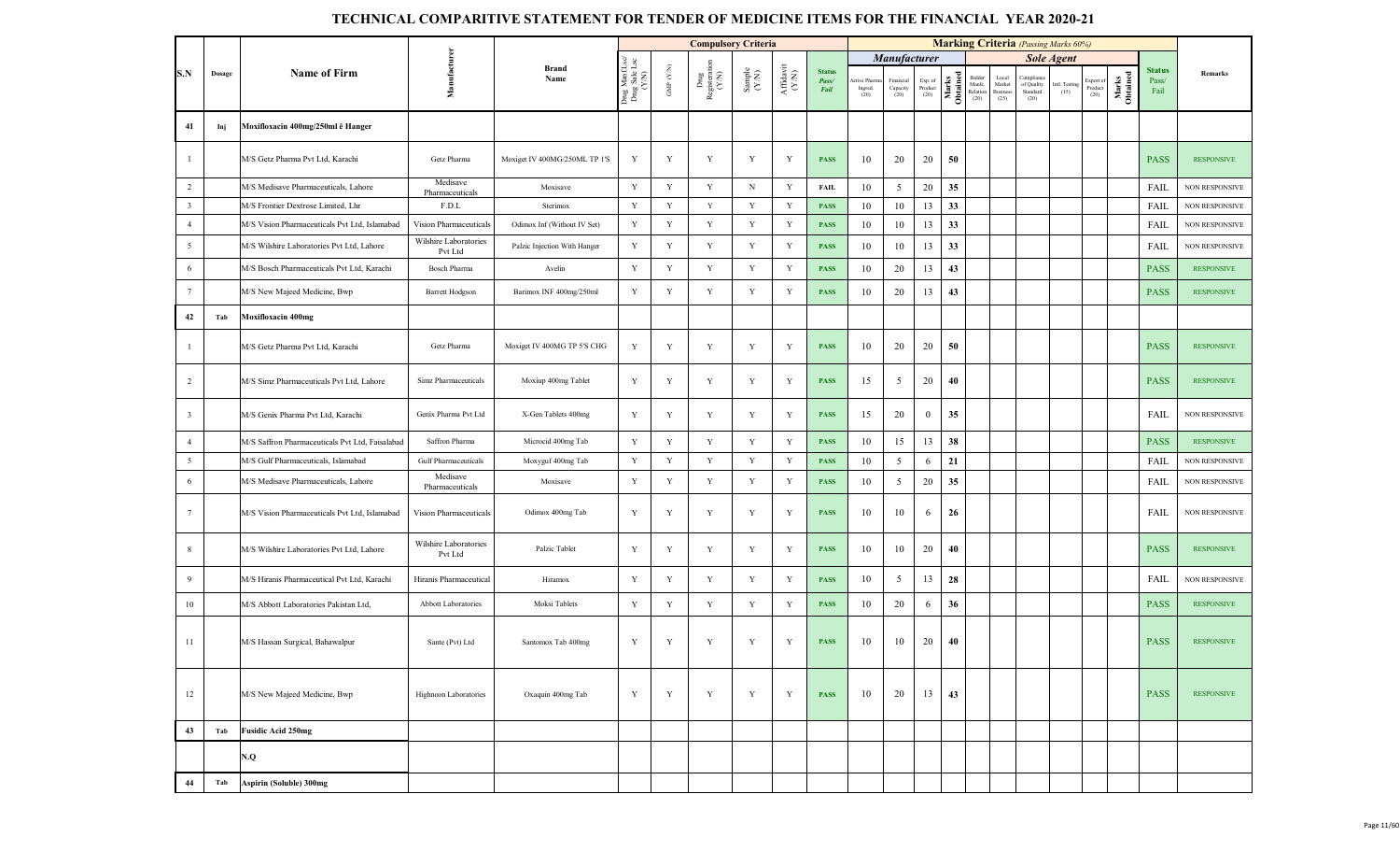|                         |        |                                                 |                                  |                               |                                         |                    | <b>Compulsory Criteria</b>                                                      |                                                             |                                                                                                 |                                |                               |                                               |                            |                   |                                      |                                     | <b>Marking Criteria</b> (Passing Marks 60%) |                                            |                              |                   |                                |                       |
|-------------------------|--------|-------------------------------------------------|----------------------------------|-------------------------------|-----------------------------------------|--------------------|---------------------------------------------------------------------------------|-------------------------------------------------------------|-------------------------------------------------------------------------------------------------|--------------------------------|-------------------------------|-----------------------------------------------|----------------------------|-------------------|--------------------------------------|-------------------------------------|---------------------------------------------|--------------------------------------------|------------------------------|-------------------|--------------------------------|-----------------------|
|                         |        |                                                 |                                  |                               |                                         |                    |                                                                                 |                                                             |                                                                                                 |                                |                               |                                               |                            |                   |                                      |                                     |                                             |                                            |                              |                   |                                |                       |
| S.N                     | Dosage | <b>Name of Firm</b>                             | Manufacture                      | <b>Brand</b><br>Name          | Drug ManfLsc/<br>Drug Sale Lsc<br>(Y/N) | GMP $(\text{Y/N})$ | $\begin{array}{c} \mathrm{Dng} \\ \mathrm{Registeration} \\ (Y\!N) \end{array}$ | $\begin{array}{c} \text{Sample} \\ (\text{YN}) \end{array}$ | $\begin{array}{c} \mathrm{Aff} \mathrm{d} \mathrm{av} \mathrm{i} \\ (\mathrm{Y/N}) \end{array}$ | <b>Status</b><br>Pass/<br>Fail | ctive Phan<br>Ingred.<br>(20) | Manufacturer<br>Financial<br>Capacity<br>(20) | Exp. of<br>Product<br>(20) | Obtained<br>Marks | Bidder<br>Manfe.<br>Relation<br>(20) | Local<br>Market<br>Business<br>(25) | Compliane<br>of Quality<br>Standard<br>(20) | <b>Sole Agent</b><br>Intl. Testing<br>(15) | Export of<br>Product<br>(20) | Marks<br>Obtained | <b>Status</b><br>Pass/<br>Fail | Remarks               |
| 41                      | Inj    | Moxifloxacin 400mg/250ml ë Hanger               |                                  |                               |                                         |                    |                                                                                 |                                                             |                                                                                                 |                                |                               |                                               |                            |                   |                                      |                                     |                                             |                                            |                              |                   |                                |                       |
| $\overline{1}$          |        | M/S Getz Pharma Pvt Ltd, Karachi                | Getz Pharma                      | Moxiget IV 400MG/250ML TP 1'S | Y                                       | Y                  | Y                                                                               | Y                                                           | Y                                                                                               | <b>PASS</b>                    | 10                            | 20                                            | 20                         | 50                |                                      |                                     |                                             |                                            |                              |                   | <b>PASS</b>                    | <b>RESPONSIVE</b>     |
| $\overline{2}$          |        | M/S Medisave Pharmaceuticals, Lahore            | Medisave<br>Pharmaceuticals      | Moxisave                      | Y                                       | Y                  | Y                                                                               | $_{\rm N}$                                                  | Y                                                                                               | FAIL                           | 10                            | 5                                             | 20                         | 35                |                                      |                                     |                                             |                                            |                              |                   | FAIL                           | <b>NON RESPONSIVE</b> |
| $\overline{\mathbf{3}}$ |        | M/S Frontier Dextrose Limited, Lhr              | F.D.L                            | Sterimox                      | Y                                       | Y                  | Y                                                                               | Y                                                           | $\mathbf Y$                                                                                     | <b>PASS</b>                    | 10                            | 10                                            | 13                         | 33                |                                      |                                     |                                             |                                            |                              |                   | <b>FAIL</b>                    | NON RESPONSIVE        |
| $\overline{4}$          |        | M/S Vision Pharmaceuticals Pvt Ltd, Islamabad   | Vision Pharmaceuticals           | Odimox Inf (Without IV Set)   | $\mathbf Y$                             | $\mathbf Y$        | Y                                                                               | $\mathbf Y$                                                 | $\mathbf Y$                                                                                     | <b>PASS</b>                    | 10                            | 10                                            | 13                         | 33                |                                      |                                     |                                             |                                            |                              |                   | FAIL                           | NON RESPONSIVE        |
| $\overline{5}$          |        | M/S Wilshire Laboratories Pvt Ltd, Lahore       | Wilshire Laboratories<br>Pvt Ltd | Palzic Injection With Hanger  | Y                                       | Y                  | Y                                                                               | Y                                                           | Y                                                                                               | <b>PASS</b>                    | 10                            | 10                                            | 13                         | 33                |                                      |                                     |                                             |                                            |                              |                   | FAIL                           | <b>NON RESPONSIVE</b> |
| 6                       |        | M/S Bosch Pharmaceuticals Pvt Ltd, Karachi      | Bosch Pharma                     | Avelin                        | Y                                       | Y                  | Y                                                                               | $\mathbf Y$                                                 | Y                                                                                               | <b>PASS</b>                    | 10                            | 20                                            | 13                         | 43                |                                      |                                     |                                             |                                            |                              |                   | <b>PASS</b>                    | <b>RESPONSIVE</b>     |
| $7\overline{ }$         |        | M/S New Majeed Medicine, Bwp                    | <b>Barrett Hodgson</b>           | Barimox INF 400mg/250ml       | Y                                       | Y                  | Y                                                                               | Y                                                           | Y                                                                                               | <b>PASS</b>                    | 10                            | 20                                            | 13                         | 43                |                                      |                                     |                                             |                                            |                              |                   | <b>PASS</b>                    | <b>RESPONSIVE</b>     |
| 42                      | Tab    | Moxifloxacin 400mg                              |                                  |                               |                                         |                    |                                                                                 |                                                             |                                                                                                 |                                |                               |                                               |                            |                   |                                      |                                     |                                             |                                            |                              |                   |                                |                       |
| $\overline{1}$          |        | M/S Getz Pharma Pvt Ltd. Karachi                | Getz Pharma                      | Moxiget IV 400MG TP 5'S CHG   | Y                                       | Y                  | Y                                                                               | Y                                                           | Y                                                                                               | <b>PASS</b>                    | 10                            | 20                                            | 20                         | 50                |                                      |                                     |                                             |                                            |                              |                   | <b>PASS</b>                    | <b>RESPONSIVE</b>     |
| 2                       |        | M/S Simz Pharmaceuticals Pvt Ltd, Lahore        | Simz Pharmaceuticals             | Moxiup 400mg Tablet           | Y                                       | Y                  | Y                                                                               | $\mathbf Y$                                                 | Y                                                                                               | <b>PASS</b>                    | 15                            | 5                                             | 20                         | 40                |                                      |                                     |                                             |                                            |                              |                   | <b>PASS</b>                    | <b>RESPONSIVE</b>     |
| $\overline{\mathbf{3}}$ |        | M/S Genix Pharma Pvt Ltd, Karachi               | Genix Pharma Pvt Ltd             | X-Gen Tablets 400mg           | Y                                       | Y                  | Y                                                                               | Y                                                           | Y                                                                                               | <b>PASS</b>                    | 15                            | 20                                            | $\mathbf{0}$               | 35                |                                      |                                     |                                             |                                            |                              |                   | FAIL                           | <b>NON RESPONSIVE</b> |
| $\overline{4}$          |        | M/S Saffron Pharmaceuticals Pvt Ltd, Faisalabad | Saffron Pharma                   | Microcid 400mg Tab            | Y                                       | Y                  | Y                                                                               | $\mathbf Y$                                                 | $\mathbf Y$                                                                                     | <b>PASS</b>                    | 10                            | 15                                            | 13                         | 38                |                                      |                                     |                                             |                                            |                              |                   | <b>PASS</b>                    | <b>RESPONSIVE</b>     |
| $5\overline{5}$         |        | M/S Gulf Pharmaceuticals, Islamabad             | <b>Gulf Pharmaceuticals</b>      | Moxyguf 400mg Tab             | Y                                       | Y                  | Y                                                                               | Y                                                           | Y                                                                                               | <b>PASS</b>                    | 10                            | 5                                             | 6                          | 21                |                                      |                                     |                                             |                                            |                              |                   | FAIL                           | <b>NON RESPONSIVE</b> |
| 6                       |        | M/S Medisave Pharmaceuticals, Lahore            | Medisave<br>Pharmaceuticals      | Moxisave                      | Y                                       | $\mathbf Y$        | $\mathbf Y$                                                                     | $\mathbf Y$                                                 | Y                                                                                               | <b>PASS</b>                    | 10                            | $\mathfrak{s}$                                | 20                         | 35                |                                      |                                     |                                             |                                            |                              |                   | FAIL                           | NON RESPONSIVE        |
| $7\overline{ }$         |        | M/S Vision Pharmaceuticals Pvt Ltd, Islamabad   | Vision Pharmaceuticals           | Odimox 400mg Tab              | Y                                       | Y                  | Y                                                                               | Y                                                           | Y                                                                                               | <b>PASS</b>                    | 10                            | 10                                            | 6                          | 26                |                                      |                                     |                                             |                                            |                              |                   | FAIL                           | <b>NON RESPONSIVE</b> |
| 8                       |        | M/S Wilshire Laboratories Pvt Ltd, Lahore       | Wilshire Laboratories<br>Pvt Ltd | Palzic Tablet                 | Y                                       | Y                  | Y                                                                               | Y                                                           | Y                                                                                               | <b>PASS</b>                    | 10                            | 10                                            | 20                         | 40                |                                      |                                     |                                             |                                            |                              |                   | <b>PASS</b>                    | <b>RESPONSIVE</b>     |
| 9                       |        | M/S Hiranis Pharmaceutical Pvt Ltd, Karachi     | Hiranis Pharmaceutical           | Hiramox                       | Y                                       | Y                  | Y                                                                               | Y                                                           | Y                                                                                               | <b>PASS</b>                    | 10                            | 5                                             | 13                         | 28                |                                      |                                     |                                             |                                            |                              |                   | FAIL                           | NON RESPONSIVE        |
| 10                      |        | M/S Abbott Laboratories Pakistan Ltd,           | Abbott Laboratories              | Moksi Tablets                 | Y                                       | $\mathbf Y$        | Y                                                                               | $\mathbf Y$                                                 | Y                                                                                               | <b>PASS</b>                    | 10                            | 20                                            | 6                          | 36                |                                      |                                     |                                             |                                            |                              |                   | <b>PASS</b>                    | <b>RESPONSIVE</b>     |
| -11                     |        | M/S Hassan Surgical, Bahawalpur                 | Sante (Pvt) Ltd                  | Santomox Tab 400mg            | Y                                       | Y                  | $\mathbf Y$                                                                     | Y                                                           | Y                                                                                               | <b>PASS</b>                    | 10                            | 10                                            | 20                         | 40                |                                      |                                     |                                             |                                            |                              |                   | <b>PASS</b>                    | <b>RESPONSIVE</b>     |
| 12                      |        | M/S New Majeed Medicine, Bwp                    | Highnoon Laboratories            | Oxaquin 400mg Tab             | Y                                       | $\mathbf Y$        | Y                                                                               | $\mathbf Y$                                                 | Y                                                                                               | <b>PASS</b>                    | 10                            | 20                                            | 13                         | 43                |                                      |                                     |                                             |                                            |                              |                   | <b>PASS</b>                    | <b>RESPONSIVE</b>     |
| 43                      | Tab    | <b>Fusidic Acid 250mg</b>                       |                                  |                               |                                         |                    |                                                                                 |                                                             |                                                                                                 |                                |                               |                                               |                            |                   |                                      |                                     |                                             |                                            |                              |                   |                                |                       |
|                         |        | N.Q                                             |                                  |                               |                                         |                    |                                                                                 |                                                             |                                                                                                 |                                |                               |                                               |                            |                   |                                      |                                     |                                             |                                            |                              |                   |                                |                       |
| 44                      | Tab    | Aspirin (Soluble) 300mg                         |                                  |                               |                                         |                    |                                                                                 |                                                             |                                                                                                 |                                |                               |                                               |                            |                   |                                      |                                     |                                             |                                            |                              |                   |                                |                       |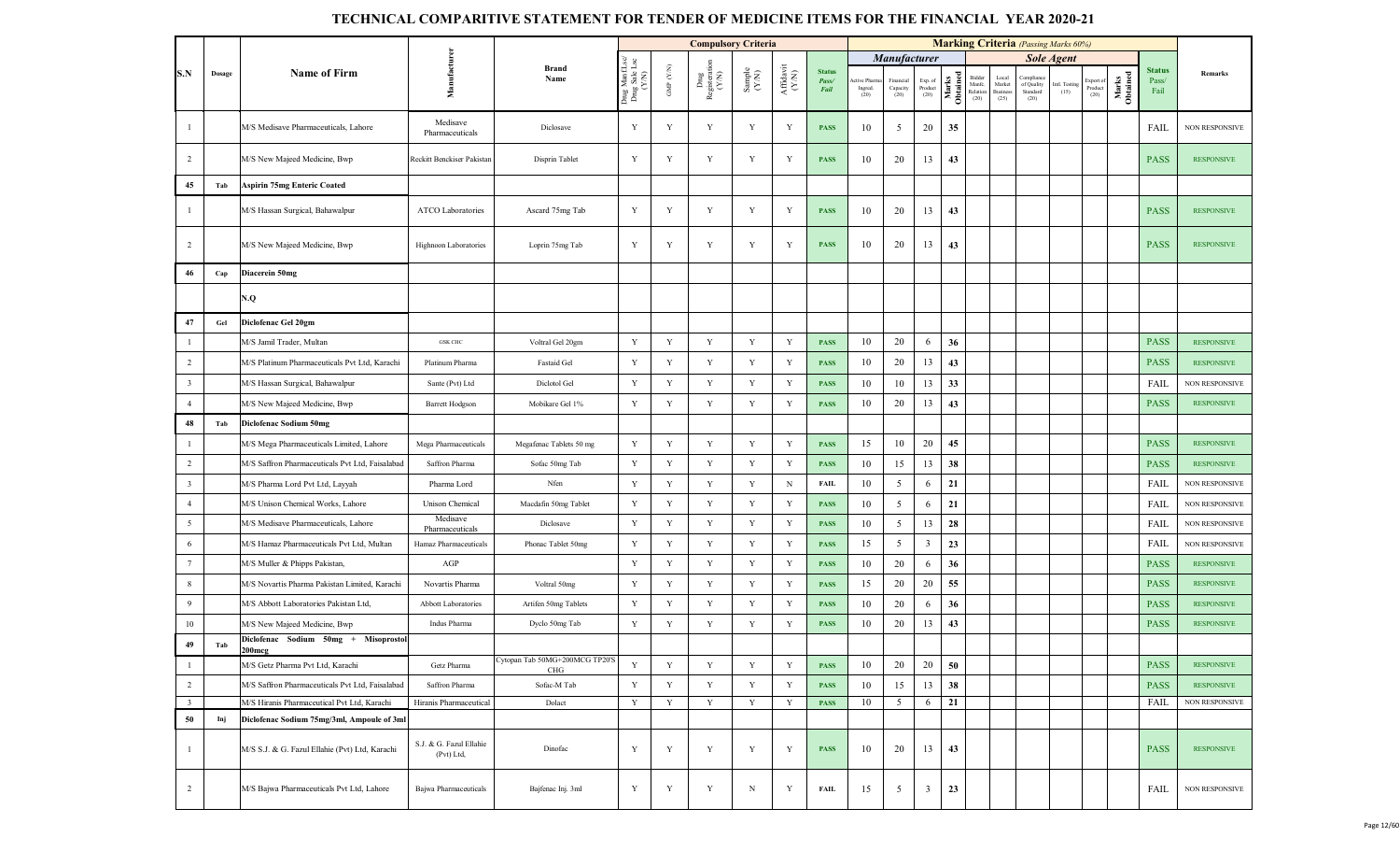|                         |        |                                                   |                                       |                                       |                                     |                          | <b>Compulsory Criteria</b>   |                                                             |                                        |                                |                                |                               |                                                                        |                   |                                     |                                           | <b>Marking Criteria</b> (Passing Marks 60%) |                       |                              |                   |                                |                       |
|-------------------------|--------|---------------------------------------------------|---------------------------------------|---------------------------------------|-------------------------------------|--------------------------|------------------------------|-------------------------------------------------------------|----------------------------------------|--------------------------------|--------------------------------|-------------------------------|------------------------------------------------------------------------|-------------------|-------------------------------------|-------------------------------------------|---------------------------------------------|-----------------------|------------------------------|-------------------|--------------------------------|-----------------------|
|                         |        |                                                   |                                       |                                       | Lse<br>Lse                          |                          |                              |                                                             |                                        |                                |                                | <b>Manufacturer</b>           |                                                                        |                   |                                     |                                           |                                             | <b>Sole Agent</b>     |                              |                   |                                |                       |
| S.N                     | Dosage | <b>Name of Firm</b>                               | Manufacture                           | <b>Brand</b><br>Name                  | Drug Manf.I<br>Drug Sale L<br>(Y/N) | ${\rm GMP}$ ${\rm (YN)}$ | Drug<br>Registerati<br>(Y/N) | $\begin{array}{c} \text{Sample} \\ (\text{YN}) \end{array}$ | ${\bf Aff} {\bf davit} \\ {\bf (N/N)}$ | <b>Status</b><br>Pass/<br>Fail | ctive Pharm<br>Ingred.<br>(20) | Financial<br>Capacity<br>(20) | $\begin{array}{c} \text{Exp. of}\\ \text{Product} \end{array}$<br>(20) | Obtained<br>Marks | Bidde<br>Manfc.<br>Relation<br>(20) | Local<br>Market<br><b>Busines</b><br>(25) | Compliane<br>of Quality<br>Standard<br>(20) | Intl. Testing<br>(15) | Export of<br>Product<br>(20) | Marks<br>Obtained | <b>Status</b><br>Pass/<br>Fail | Remarks               |
| $\mathbf{1}$            |        | M/S Medisave Pharmaceuticals, Lahore              | Medisave<br>Pharmaceuticals           | Diclosave                             | Y                                   | Y                        | Y                            | Y                                                           | Y                                      | <b>PASS</b>                    | 10                             | 5                             | 20                                                                     | 35                |                                     |                                           |                                             |                       |                              |                   | FAIL                           | NON RESPONSIVE        |
| $\overline{2}$          |        | M/S New Majeed Medicine, Bwp                      | Reckitt Benckiser Pakistan            | Disprin Tablet                        | Y                                   | Y                        | $\mathbf Y$                  | Y                                                           | Y                                      | <b>PASS</b>                    | 10                             | 20                            | 13                                                                     | 43                |                                     |                                           |                                             |                       |                              |                   | <b>PASS</b>                    | <b>RESPONSIVE</b>     |
| 45                      | Tab    | <b>Aspirin 75mg Enteric Coated</b>                |                                       |                                       |                                     |                          |                              |                                                             |                                        |                                |                                |                               |                                                                        |                   |                                     |                                           |                                             |                       |                              |                   |                                |                       |
| $\mathbf{1}$            |        | M/S Hassan Surgical, Bahawalpur                   | <b>ATCO Laboratories</b>              | Ascard 75mg Tab                       | Y                                   | Y                        | Y                            | Y                                                           | Y                                      | <b>PASS</b>                    | 10                             | 20                            | 13                                                                     | 43                |                                     |                                           |                                             |                       |                              |                   | <b>PASS</b>                    | <b>RESPONSIVE</b>     |
| $\overline{2}$          |        | M/S New Majeed Medicine, Bwp                      | Highnoon Laboratories                 | Loprin 75mg Tab                       | Y                                   | Y                        | Y                            | Y                                                           | Y                                      | <b>PASS</b>                    | 10                             | 20                            | 13                                                                     | 43                |                                     |                                           |                                             |                       |                              |                   | <b>PASS</b>                    | <b>RESPONSIVE</b>     |
| 46                      | Cap    | Diacerein 50mg                                    |                                       |                                       |                                     |                          |                              |                                                             |                                        |                                |                                |                               |                                                                        |                   |                                     |                                           |                                             |                       |                              |                   |                                |                       |
|                         |        | N.Q                                               |                                       |                                       |                                     |                          |                              |                                                             |                                        |                                |                                |                               |                                                                        |                   |                                     |                                           |                                             |                       |                              |                   |                                |                       |
| 47                      | Gel    | Diclofenac Gel 20gm                               |                                       |                                       |                                     |                          |                              |                                                             |                                        |                                |                                |                               |                                                                        |                   |                                     |                                           |                                             |                       |                              |                   |                                |                       |
| $\mathbf{1}$            |        | M/S Jamil Trader, Multan                          | <b>GSK CHC</b>                        | Voltral Gel 20gm                      | Y                                   | Y                        | Y                            | Y                                                           | Y                                      | <b>PASS</b>                    | 10                             | 20                            | 6                                                                      | 36                |                                     |                                           |                                             |                       |                              |                   | <b>PASS</b>                    | <b>RESPONSIVE</b>     |
| $\overline{2}$          |        | M/S Platinum Pharmaceuticals Pvt Ltd, Karachi     | Platinum Pharma                       | Fastaid Gel                           | Y                                   | $\mathbf Y$              | $\mathbf Y$                  | $\mathbf Y$                                                 | Y                                      | <b>PASS</b>                    | 10                             | 20                            | 13                                                                     | 43                |                                     |                                           |                                             |                       |                              |                   | <b>PASS</b>                    | <b>RESPONSIVE</b>     |
| $\overline{\mathbf{3}}$ |        | M/S Hassan Surgical, Bahawalpur                   | Sante (Pvt) Ltd                       | Diclotol Gel                          | $\mathbf Y$                         | Y                        | $\mathbf Y$                  | Y                                                           | Y                                      | <b>PASS</b>                    | 10                             | 10                            | 13                                                                     | 33                |                                     |                                           |                                             |                       |                              |                   | FAIL                           | <b>NON RESPONSIVE</b> |
| $\overline{4}$          |        | M/S New Majeed Medicine, Bwp                      | <b>Barrett Hodgson</b>                | Mobikare Gel 1%                       | Y                                   | Y                        | Y                            | Y                                                           | Y                                      | <b>PASS</b>                    | 10                             | 20                            | 13                                                                     | 43                |                                     |                                           |                                             |                       |                              |                   | <b>PASS</b>                    | <b>RESPONSIVE</b>     |
| 48                      | Tab    | Diclofenac Sodium 50mg                            |                                       |                                       |                                     |                          |                              |                                                             |                                        |                                |                                |                               |                                                                        |                   |                                     |                                           |                                             |                       |                              |                   |                                |                       |
| $\mathbf{1}$            |        | M/S Mega Pharmaceuticals Limited, Lahore          | Mega Pharmaceuticals                  | Megafenac Tablets 50 mg               | Y                                   | Y                        | Y                            | Y                                                           | Y                                      | <b>PASS</b>                    | 15                             | 10                            | 20                                                                     | 45                |                                     |                                           |                                             |                       |                              |                   | <b>PASS</b>                    | <b>RESPONSIVE</b>     |
| $\overline{2}$          |        | M/S Saffron Pharmaceuticals Pvt Ltd, Faisalabad   | Saffron Pharma                        | Sofac 50mg Tab                        | Y                                   | Y                        | Y                            | Y                                                           | $\mathbf Y$                            | <b>PASS</b>                    | 10                             | 15                            | 13                                                                     | 38                |                                     |                                           |                                             |                       |                              |                   | <b>PASS</b>                    | <b>RESPONSIVE</b>     |
| $\overline{\mathbf{3}}$ |        | M/S Pharma Lord Pvt Ltd, Layyah                   | Pharma Lord                           | Nfen                                  | Y                                   | Y                        | $\mathbf Y$                  | $\mathbf Y$                                                 | $\, {\rm N}$                           | <b>FAIL</b>                    | 10                             | 5                             | 6                                                                      | 21                |                                     |                                           |                                             |                       |                              |                   | FAIL                           | NON RESPONSIVE        |
| $\overline{4}$          |        | M/S Unison Chemical Works, Lahore                 | Unison Chemical                       | Macdafin 50mg Tablet                  | Y                                   | Y                        | $\mathbf Y$                  | $\mathbf Y$                                                 | Y                                      | <b>PASS</b>                    | 10                             | $\mathfrak{S}$                | 6                                                                      | 21                |                                     |                                           |                                             |                       |                              |                   | FAIL                           | NON RESPONSIVE        |
| $5\overline{)}$         |        | M/S Medisave Pharmaceuticals, Lahore              | Medisave<br>Pharmaceuticals           | Diclosave                             | Y                                   | Y                        | Y                            | Y                                                           | $\mathbf Y$                            | <b>PASS</b>                    | 10                             | 5                             | 13                                                                     | 28                |                                     |                                           |                                             |                       |                              |                   | FAIL                           | NON RESPONSIVE        |
| 6                       |        | M/S Hamaz Pharmaceuticals Pvt Ltd, Multan         | Hamaz Pharmaceuticals                 | Phonac Tablet 50mg                    | Y                                   | Y                        | Y                            | Y                                                           | Y                                      | <b>PASS</b>                    | 15                             | 5                             | $\mathbf{3}$                                                           | 23                |                                     |                                           |                                             |                       |                              |                   | FAIL                           | NON RESPONSIVE        |
| $7\phantom{.0}$         |        | M/S Muller & Phipps Pakistan,                     | AGP                                   |                                       | Y                                   | Y                        | Y                            | Y                                                           | Y                                      | <b>PASS</b>                    | 10                             | 20                            | 6                                                                      | 36                |                                     |                                           |                                             |                       |                              |                   | <b>PASS</b>                    | <b>RESPONSIVE</b>     |
| 8                       |        | M/S Novartis Pharma Pakistan Limited, Karachi     | Novartis Pharma                       | Voltral 50mg                          | $\mathbf Y$                         | Y                        | $\mathbf Y$                  | Y                                                           | Y                                      | <b>PASS</b>                    | 15                             | 20                            | 20                                                                     | 55                |                                     |                                           |                                             |                       |                              |                   | <b>PASS</b>                    | <b>RESPONSIVE</b>     |
| 9                       |        | M/S Abbott Laboratories Pakistan Ltd,             | <b>Abbott Laboratories</b>            | Artifen 50mg Tablets                  | Y                                   | Y                        | Y                            | $\mathbf Y$                                                 | Y                                      | <b>PASS</b>                    | 10                             | 20                            | 6                                                                      | 36                |                                     |                                           |                                             |                       |                              |                   | <b>PASS</b>                    | <b>RESPONSIVE</b>     |
| 10                      |        | M/S New Majeed Medicine, Bwp                      | Indus Pharma                          | Dyclo 50mg Tab                        | Y                                   | Y                        | $\mathbf Y$                  | Y                                                           | $\mathbf Y$                            | <b>PASS</b>                    | 10                             | 20                            | 13                                                                     | 43                |                                     |                                           |                                             |                       |                              |                   | <b>PASS</b>                    | <b>RESPONSIVE</b>     |
| 49                      | Tab    | Diclofenac Sodium 50mg + Misoprostol<br>$200$ mcg |                                       |                                       |                                     |                          |                              |                                                             |                                        |                                |                                |                               |                                                                        |                   |                                     |                                           |                                             |                       |                              |                   |                                |                       |
| $\mathbf{1}$            |        | M/S Getz Pharma Pvt Ltd, Karachi                  | Getz Pharma                           | Cytopan Tab 50MG+200MCG TP20'S<br>CHG | Y                                   | Y                        | $\mathbf Y$                  | $\mathbf Y$                                                 | Y                                      | <b>PASS</b>                    | 10                             | 20                            | 20                                                                     | 50                |                                     |                                           |                                             |                       |                              |                   | <b>PASS</b>                    | <b>RESPONSIVE</b>     |
| $\overline{2}$          |        | M/S Saffron Pharmaceuticals Pvt Ltd, Faisalabad   | Saffron Pharma                        | Sofac-M Tab                           | $\mathbf Y$                         | Y                        | Y                            | Y                                                           | Y                                      | <b>PASS</b>                    | 10                             | 15                            | 13                                                                     | 38                |                                     |                                           |                                             |                       |                              |                   | <b>PASS</b>                    | <b>RESPONSIVE</b>     |
| $\overline{\mathbf{3}}$ |        | M/S Hiranis Pharmaceutical Pvt Ltd, Karachi       | Hiranis Pharmaceutical                | Dolact                                | Y                                   | Y                        | $\mathbf Y$                  | $\mathbf Y$                                                 | Y                                      | <b>PASS</b>                    | 10                             | 5                             | 6                                                                      | 21                |                                     |                                           |                                             |                       |                              |                   | FAIL                           | NON RESPONSIVE        |
| 50                      | Inj    | Diclofenac Sodium 75mg/3ml, Ampoule of 3ml        |                                       |                                       |                                     |                          |                              |                                                             |                                        |                                |                                |                               |                                                                        |                   |                                     |                                           |                                             |                       |                              |                   |                                |                       |
| $\mathbf{1}$            |        | M/S S.J. & G. Fazul Ellahie (Pvt) Ltd, Karachi    | S.J. & G. Fazul Ellahie<br>(Pvt) Ltd, | Dinofac                               | Y                                   | Y                        | $\mathbf Y$                  | Y                                                           | Y                                      | <b>PASS</b>                    | 10                             | 20                            | 13                                                                     | 43                |                                     |                                           |                                             |                       |                              |                   | <b>PASS</b>                    | <b>RESPONSIVE</b>     |
| $\overline{2}$          |        | M/S Bajwa Pharmaceuticals Pvt Ltd, Lahore         | Bajwa Pharmaceuticals                 | Bajfenac Inj. 3ml                     | Y                                   | Y                        | Y                            | N                                                           | Y                                      | <b>FAIL</b>                    | 15                             | 5                             | $\mathbf{3}$                                                           | 23                |                                     |                                           |                                             |                       |                              |                   | FAIL                           | NON RESPONSIVE        |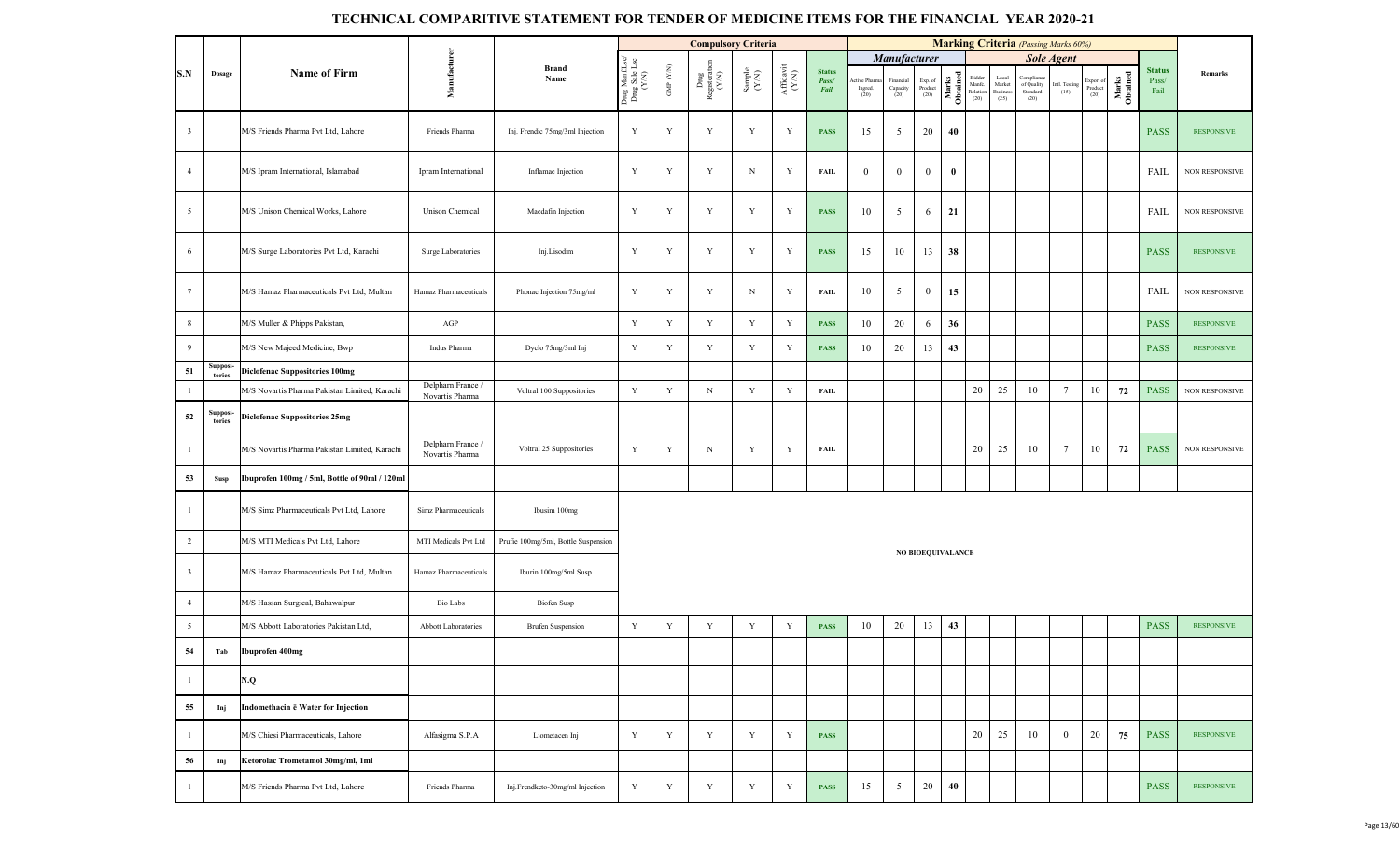|                         |                    |                                               |                                      |                                     |                                         |                      | <b>Compulsory Criteria</b>    |                                                             |                                           |                                |                               |                               |                            |                   |                                      |                                           | <b>Marking Criteria</b> (Passing Marks 60%)  |                       |                              |                   |                                |                   |
|-------------------------|--------------------|-----------------------------------------------|--------------------------------------|-------------------------------------|-----------------------------------------|----------------------|-------------------------------|-------------------------------------------------------------|-------------------------------------------|--------------------------------|-------------------------------|-------------------------------|----------------------------|-------------------|--------------------------------------|-------------------------------------------|----------------------------------------------|-----------------------|------------------------------|-------------------|--------------------------------|-------------------|
|                         |                    |                                               |                                      |                                     |                                         |                      |                               |                                                             |                                           |                                |                               | <b>Manufacturer</b>           |                            |                   |                                      |                                           |                                              | <b>Sole Agent</b>     |                              |                   |                                |                   |
| S.N                     | Dosage             | <b>Name of Firm</b>                           | Manufacturer                         | <b>Brand</b><br>Name                | Drug ManfLsc/<br>Drug Sale Lsc<br>(Y/N) | GMP $(\mathbf{Y/N})$ | Dng<br>Registeration<br>(Y/N) | $\begin{array}{c} \text{Sample} \\ (\text{YM}) \end{array}$ | ${\bf Aff} {\bf davit} \atop ({\bf Y/N})$ | <b>Status</b><br>Pass/<br>Fail | tive Pharm<br>Ingred.<br>(20) | Financial<br>Capacity<br>(20) | Exp. of<br>Product<br>(20) | Marks<br>Obtained | Bidder<br>Manfc.<br>Relation<br>(20) | Local<br>Market<br><b>Busines</b><br>(25) | Compliance<br>of Quality<br>Standard<br>(20) | Intl. Testing<br>(15) | Export of<br>Product<br>(20) | Marks<br>Obtained | <b>Status</b><br>Pass/<br>Fail | Remarks           |
| $\overline{\mathbf{3}}$ |                    | M/S Friends Pharma Pvt Ltd, Lahore            | Friends Pharma                       | Inj. Frendic 75mg/3ml Injection     | $\mathbf Y$                             | Y                    | $\mathbf Y$                   | Y                                                           | Y                                         | <b>PASS</b>                    | 15                            | $\overline{5}$                | 20                         | 40                |                                      |                                           |                                              |                       |                              |                   | <b>PASS</b>                    | <b>RESPONSIVE</b> |
| $\overline{4}$          |                    | M/S Ipram International, Islamabad            | Ipram International                  | Inflamac Injection                  | Y                                       | $\mathbf Y$          | $\mathbf Y$                   | $_{\rm N}$                                                  | Y                                         | <b>FAIL</b>                    | $\overline{0}$                | $\boldsymbol{0}$              | $\mathbf{0}$               | $\bf{0}$          |                                      |                                           |                                              |                       |                              |                   | FAIL                           | NON RESPONSIVE    |
| $5\overline{)}$         |                    | M/S Unison Chemical Works, Lahore             | Unison Chemical                      | Macdafin Injection                  | Y                                       | Y                    | $\mathbf Y$                   | Y                                                           | Y                                         | <b>PASS</b>                    | 10                            | $\overline{5}$                | 6                          | 21                |                                      |                                           |                                              |                       |                              |                   | FAIL                           | NON RESPONSIVE    |
| 6                       |                    | M/S Surge Laboratories Pvt Ltd, Karachi       | Surge Laboratories                   | Inj.Lisodim                         | $\mathbf Y$                             | $\mathbf Y$          | $\mathbf Y$                   | Y                                                           | Y                                         | <b>PASS</b>                    | 15                            | 10                            | 13                         | 38                |                                      |                                           |                                              |                       |                              |                   | <b>PASS</b>                    | <b>RESPONSIVE</b> |
| $7\phantom{.0}$         |                    | M/S Hamaz Pharmaceuticals Pvt Ltd, Multan     | Hamaz Pharmaceuticals                | Phonac Injection 75mg/ml            | Y                                       | $\mathbf Y$          | $\mathbf Y$                   | $_{\rm N}$                                                  | Y                                         | <b>FAIL</b>                    | 10                            | 5                             | $\bf{0}$                   | 15                |                                      |                                           |                                              |                       |                              |                   | FAIL                           | NON RESPONSIVE    |
| 8                       |                    | M/S Muller & Phipps Pakistan,                 | AGP                                  |                                     | $\mathbf Y$                             | Y                    | $\mathbf Y$                   | $\mathbf Y$                                                 | Y                                         | <b>PASS</b>                    | 10                            | 20                            | 6                          | 36                |                                      |                                           |                                              |                       |                              |                   | <b>PASS</b>                    | <b>RESPONSIVE</b> |
| 9                       |                    | M/S New Majeed Medicine, Bwp                  | Indus Pharma                         | Dyclo 75mg/3ml Inj                  | Y                                       | Y                    | $\mathbf Y$                   | Y                                                           | Y                                         | <b>PASS</b>                    | 10                            | 20                            | 13                         | 43                |                                      |                                           |                                              |                       |                              |                   | <b>PASS</b>                    | <b>RESPONSIVE</b> |
| 51                      | Supposi-<br>tories | <b>Diclofenac Suppositories 100mg</b>         |                                      |                                     |                                         |                      |                               |                                                             |                                           |                                |                               |                               |                            |                   |                                      |                                           |                                              |                       |                              |                   |                                |                   |
| $\mathbf{1}$            |                    | M/S Novartis Pharma Pakistan Limited, Karachi | Delpharn France /<br>Novartis Pharma | Voltral 100 Suppositories           | $\mathbf Y$                             | Y                    | $_{\rm N}$                    | Y                                                           | Y                                         | <b>FAIL</b>                    |                               |                               |                            |                   | 20                                   | 25                                        | 10                                           | $7\phantom{.0}$       | 10                           | 72                | <b>PASS</b>                    | NON RESPONSIVE    |
| 52                      | Supposi-<br>tories | <b>Diclofenac Suppositories 25mg</b>          |                                      |                                     |                                         |                      |                               |                                                             |                                           |                                |                               |                               |                            |                   |                                      |                                           |                                              |                       |                              |                   |                                |                   |
| $\overline{1}$          |                    | M/S Novartis Pharma Pakistan Limited, Karachi | Delpharn France /<br>Novartis Pharma | Voltral 25 Suppositories            | Y                                       | Y                    | $_{\rm N}$                    | Y                                                           | Y                                         | <b>FAIL</b>                    |                               |                               |                            |                   | 20                                   | 25                                        | 10                                           | $7\phantom{.0}$       | 10                           | 72                | <b>PASS</b>                    | NON RESPONSIVE    |
| 53                      | Susp               | Ibuprofen 100mg / 5ml, Bottle of 90ml / 120ml |                                      |                                     |                                         |                      |                               |                                                             |                                           |                                |                               |                               |                            |                   |                                      |                                           |                                              |                       |                              |                   |                                |                   |
| $\overline{1}$          |                    | M/S Simz Pharmaceuticals Pvt Ltd, Lahore      | Simz Pharmaceuticals                 | Ibusim 100mg                        |                                         |                      |                               |                                                             |                                           |                                |                               |                               |                            |                   |                                      |                                           |                                              |                       |                              |                   |                                |                   |
| $\overline{2}$          |                    | M/S MTI Medicals Pvt Ltd, Lahore              | MTI Medicals Pvt Ltd                 | Prufie 100mg/5ml, Bottle Suspension |                                         |                      |                               |                                                             |                                           |                                |                               |                               |                            |                   |                                      |                                           |                                              |                       |                              |                   |                                |                   |
| $\overline{\mathbf{3}}$ |                    | M/S Hamaz Pharmaceuticals Pvt Ltd, Multan     | Hamaz Pharmaceuticals                | Iburin 100mg/5ml Susp               |                                         |                      |                               |                                                             |                                           |                                |                               |                               | NO BIOEQUIVALANCE          |                   |                                      |                                           |                                              |                       |                              |                   |                                |                   |
| $\overline{4}$          |                    | M/S Hassan Surgical, Bahawalpur               | <b>Bio Labs</b>                      | <b>Biofen Susp</b>                  |                                         |                      |                               |                                                             |                                           |                                |                               |                               |                            |                   |                                      |                                           |                                              |                       |                              |                   |                                |                   |
| 5                       |                    | M/S Abbott Laboratories Pakistan Ltd,         | Abbott Laboratories                  | <b>Brufen Suspension</b>            | $\mathbf Y$                             | Y                    | $\mathbf Y$                   | Y                                                           | Y                                         | <b>PASS</b>                    | 10                            | 20                            | 13                         | 43                |                                      |                                           |                                              |                       |                              |                   | <b>PASS</b>                    | <b>RESPONSIVE</b> |
| 54                      | Tab                | Ibuprofen 400mg                               |                                      |                                     |                                         |                      |                               |                                                             |                                           |                                |                               |                               |                            |                   |                                      |                                           |                                              |                       |                              |                   |                                |                   |
| $\mathbf{1}$            |                    | N.Q                                           |                                      |                                     |                                         |                      |                               |                                                             |                                           |                                |                               |                               |                            |                   |                                      |                                           |                                              |                       |                              |                   |                                |                   |
| 55                      | Inj                | Indomethacin ë Water for Injection            |                                      |                                     |                                         |                      |                               |                                                             |                                           |                                |                               |                               |                            |                   |                                      |                                           |                                              |                       |                              |                   |                                |                   |
| -1                      |                    | M/S Chiesi Pharmaceuticals, Lahore            | Alfasigma S.P.A                      | Liometacen Inj                      | Y                                       | Y                    | Y                             | Y                                                           | Y                                         | <b>PASS</b>                    |                               |                               |                            |                   | 20                                   | 25                                        | 10                                           | $\mathbf{0}$          | 20                           | 75                | <b>PASS</b>                    | <b>RESPONSIVE</b> |
| 56                      | Inj                | Ketorolac Trometamol 30mg/ml, 1ml             |                                      |                                     |                                         |                      |                               |                                                             |                                           |                                |                               |                               |                            |                   |                                      |                                           |                                              |                       |                              |                   |                                |                   |
| $\overline{1}$          |                    | M/S Friends Pharma Pvt Ltd, Lahore            | Friends Pharma                       | Inj.Frendketo-30mg/ml Injection     | Y                                       | Y                    | Y                             | Y                                                           | Y                                         | <b>PASS</b>                    | 15                            | $\overline{5}$                | 20                         | 40                |                                      |                                           |                                              |                       |                              |                   | <b>PASS</b>                    | <b>RESPONSIVE</b> |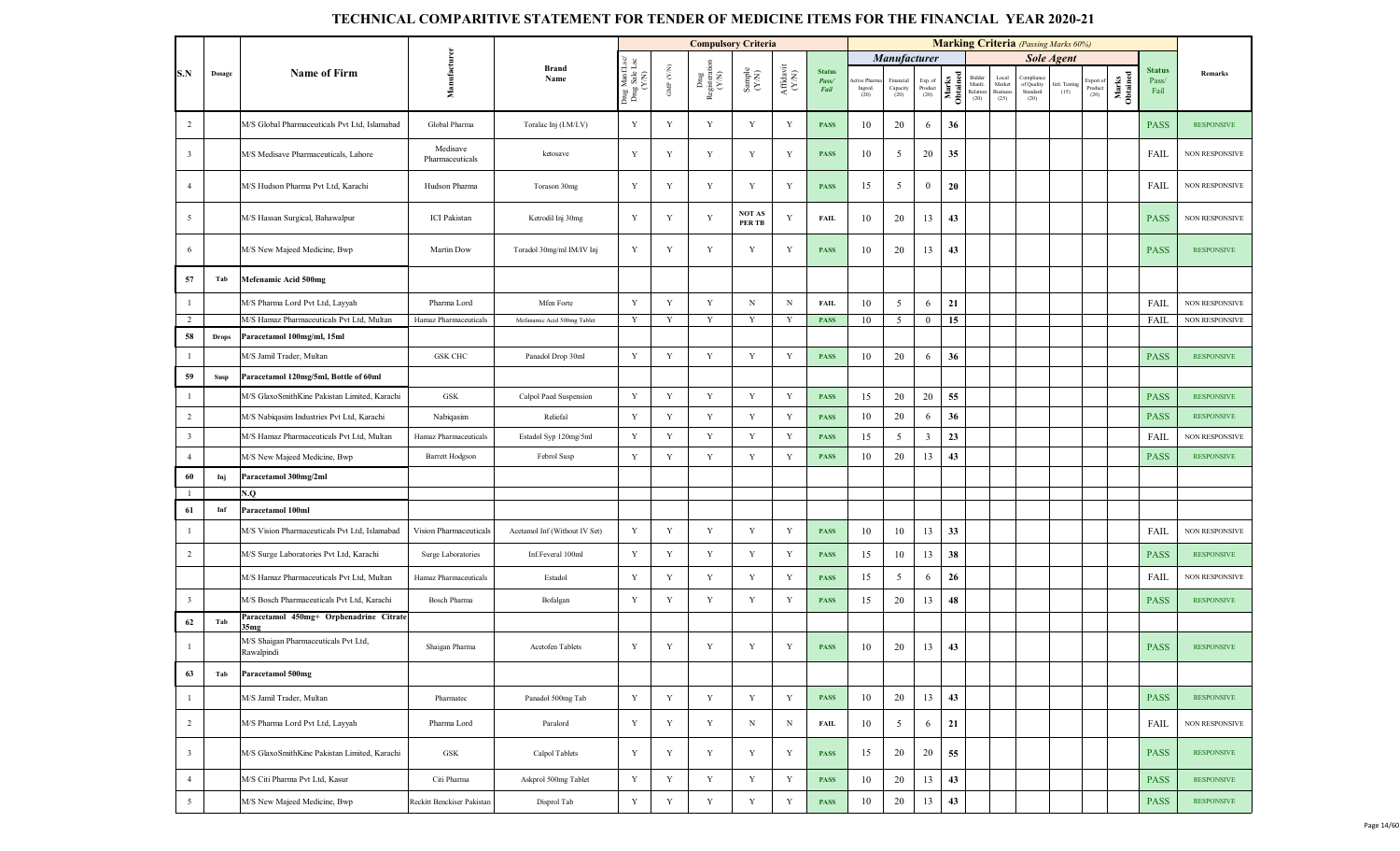|                         |              |                                                    |                             |                               |                                          |                          |                                                                                     | <b>Compulsory Criteria</b>                                  |                                |                                |                                |                                 |                            |                   |                                      |                                                    |                                            | <b>Marking Criteria</b> (Passing Marks 60%) |                             |                   |                                |                       |
|-------------------------|--------------|----------------------------------------------------|-----------------------------|-------------------------------|------------------------------------------|--------------------------|-------------------------------------------------------------------------------------|-------------------------------------------------------------|--------------------------------|--------------------------------|--------------------------------|---------------------------------|----------------------------|-------------------|--------------------------------------|----------------------------------------------------|--------------------------------------------|---------------------------------------------|-----------------------------|-------------------|--------------------------------|-----------------------|
|                         |              |                                                    |                             |                               |                                          |                          |                                                                                     |                                                             |                                |                                |                                | Manufacturer                    |                            |                   |                                      |                                                    |                                            | <b>Sole Agent</b>                           |                             |                   |                                |                       |
| S.N                     | Dosage       | <b>Name of Firm</b>                                | Manufactur                  | <b>Brand</b><br>Name          | Drug Manf.Lsc/<br>Drug Sale Lsc<br>(Y/N) | ${\rm GMP}$ ${\rm (YN)}$ | $\begin{array}{c}\n\text{Dng} \\ \text{Registeration} \\ \text{(Y/N)}\n\end{array}$ | $\begin{array}{c} \text{Sample} \\ (\text{YN}) \end{array}$ | ${\bf Affaavit}\\ ({\bf Y/N})$ | <b>Status</b><br>Pass/<br>Fail | ctive Pharm<br>Ingred.<br>(20) | Financial<br>Capacity<br>$(20)$ | Exp. of<br>Product<br>(20) | Marks<br>Obtained | Bidder<br>Manfc.<br>Relation<br>(20) | Local<br>${\rm Market}$<br><b>Business</b><br>(25) | Complian<br>of Quality<br>Standard<br>(20) | Intl. Testing<br>(15)                       | xport of<br>Product<br>(20) | Marks<br>Obtained | <b>Status</b><br>Pass/<br>Fail | Remarks               |
| 2                       |              | M/S Global Pharmaceuticals Pvt Ltd, Islamabad      | Global Pharma               | Toralac Inj (I.M/I.V)         | Y                                        | Y                        | $\mathbf Y$                                                                         | Y                                                           | $\mathbf Y$                    | <b>PASS</b>                    | 10                             | 20                              | 6                          | 36                |                                      |                                                    |                                            |                                             |                             |                   | <b>PASS</b>                    | <b>RESPONSIVE</b>     |
| $\overline{\mathbf{3}}$ |              | M/S Medisave Pharmaceuticals, Lahore               | Medisave<br>Pharmaceuticals | ketosave                      | Y                                        | Y                        | Y                                                                                   | Y                                                           | Y                              | <b>PASS</b>                    | 10                             | 5                               | 20                         | 35                |                                      |                                                    |                                            |                                             |                             |                   | FAIL                           | NON RESPONSIVE        |
| $\overline{4}$          |              | M/S Hudson Pharma Pvt Ltd, Karachi                 | Hudson Pharma               | Torason 30mg                  | Y                                        | Y                        | Y                                                                                   | Y                                                           | Y                              | <b>PASS</b>                    | 15                             | 5                               | $\overline{0}$             | 20                |                                      |                                                    |                                            |                                             |                             |                   | FAIL                           | <b>NON RESPONSIVE</b> |
| 5                       |              | M/S Hassan Surgical, Bahawalpur                    | <b>ICI</b> Pakistan         | Ketrodil Inj 30mg             | Y                                        | Y                        | Y                                                                                   | <b>NOT AS</b><br>PER TB                                     | Y                              | FAIL                           | 10                             | 20                              | 13                         | 43                |                                      |                                                    |                                            |                                             |                             |                   | <b>PASS</b>                    | <b>NON RESPONSIVE</b> |
| 6                       |              | M/S New Majeed Medicine, Bwp                       | Martin Dow                  | Toradol 30mg/ml IM/IV Inj     | Y                                        | $\mathbf Y$              | $\mathbf Y$                                                                         | Y                                                           | Y                              | <b>PASS</b>                    | 10                             | 20                              | 13                         | 43                |                                      |                                                    |                                            |                                             |                             |                   | <b>PASS</b>                    | <b>RESPONSIVE</b>     |
| 57                      | Tab          | Mefenamic Acid 500mg                               |                             |                               |                                          |                          |                                                                                     |                                                             |                                |                                |                                |                                 |                            |                   |                                      |                                                    |                                            |                                             |                             |                   |                                |                       |
| $\overline{1}$          |              | M/S Pharma Lord Pvt Ltd, Layyah                    | Pharma Lord                 | Mfen Forte                    | Y                                        | Y                        | $\mathbf Y$                                                                         | $\, {\rm N}$                                                | $\, {\rm N}$                   | <b>FAIL</b>                    | 10                             | 5                               | 6                          | 21                |                                      |                                                    |                                            |                                             |                             |                   | <b>FAIL</b>                    | NON RESPONSIVE        |
| 2                       |              | M/S Hamaz Pharmaceuticals Pvt Ltd, Multan          | Hamaz Pharmaceuticals       | Mefanamic Acid 500mg Tablet   | Y                                        | Y                        | Y                                                                                   | Y                                                           | Y                              | <b>PASS</b>                    | 10                             | 5                               | $\boldsymbol{0}$           | 15                |                                      |                                                    |                                            |                                             |                             |                   | <b>FAIL</b>                    | <b>NON RESPONSIVE</b> |
| 58                      | <b>Drops</b> | Paracetamol 100mg/ml, 15ml                         |                             |                               |                                          |                          |                                                                                     |                                                             |                                |                                |                                |                                 |                            |                   |                                      |                                                    |                                            |                                             |                             |                   |                                |                       |
| $\mathbf{1}$            |              | M/S Jamil Trader, Multan                           | <b>GSK CHC</b>              | Panadol Drop 30ml             | $\mathbf Y$                              | $\mathbf Y$              | Y                                                                                   | Y                                                           | Y                              | <b>PASS</b>                    | 10                             | 20                              | 6                          | 36                |                                      |                                                    |                                            |                                             |                             |                   | <b>PASS</b>                    | <b>RESPONSIVE</b>     |
| 59                      | <b>Susp</b>  | Paracetamol 120mg/5ml, Bottle of 60ml              |                             |                               |                                          |                          |                                                                                     |                                                             |                                |                                |                                |                                 |                            |                   |                                      |                                                    |                                            |                                             |                             |                   |                                |                       |
| $\overline{1}$          |              | M/S GlaxoSmithKine Pakistan Limited, Karachi       | GSK                         | Calpol Paed Suspension        | Y                                        | Y                        | Y                                                                                   | Y                                                           | Y                              | <b>PASS</b>                    | 15                             | 20                              | 20                         | 55                |                                      |                                                    |                                            |                                             |                             |                   | <b>PASS</b>                    | <b>RESPONSIVE</b>     |
| $\overline{2}$          |              | M/S Nabiqasim Industries Pvt Ltd, Karachi          | Nabiqasim                   | Reliefal                      | Y                                        | Y                        | $\mathbf Y$                                                                         | Y                                                           | Y                              | <b>PASS</b>                    | 10                             | 20                              | 6                          | 36                |                                      |                                                    |                                            |                                             |                             |                   | <b>PASS</b>                    | <b>RESPONSIVE</b>     |
| $\overline{\mathbf{3}}$ |              | M/S Hamaz Pharmaceuticals Pvt Ltd, Multan          | Hamaz Pharmaceuticals       | Estadol Syp 120mg/5ml         | Y                                        | $\mathbf Y$              | $\mathbf Y$                                                                         | Y                                                           | Y                              | <b>PASS</b>                    | 15                             | 5                               | $\mathbf{3}$               | 23                |                                      |                                                    |                                            |                                             |                             |                   | <b>FAIL</b>                    | <b>NON RESPONSIVE</b> |
| $\overline{4}$          |              | M/S New Majeed Medicine, Bwp                       | <b>Barrett Hodgson</b>      | Febrol Susp                   | $\mathbf Y$                              | $\mathbf Y$              | $\mathbf Y$                                                                         | Y                                                           | Y                              | <b>PASS</b>                    | 10                             | 20                              | 13                         | 43                |                                      |                                                    |                                            |                                             |                             |                   | <b>PASS</b>                    | <b>RESPONSIVE</b>     |
| 60                      | Inj          | Paracetamol 300mg/2ml                              |                             |                               |                                          |                          |                                                                                     |                                                             |                                |                                |                                |                                 |                            |                   |                                      |                                                    |                                            |                                             |                             |                   |                                |                       |
| $\mathbf{1}$            |              | N.Q                                                |                             |                               |                                          |                          |                                                                                     |                                                             |                                |                                |                                |                                 |                            |                   |                                      |                                                    |                                            |                                             |                             |                   |                                |                       |
| 61                      | Inf          | Paracetamol 100ml                                  |                             |                               |                                          |                          |                                                                                     |                                                             |                                |                                |                                |                                 |                            |                   |                                      |                                                    |                                            |                                             |                             |                   |                                |                       |
| $\mathbf{1}$            |              | M/S Vision Pharmaceuticals Pvt Ltd, Islamabad      | Vision Pharmaceuticals      | Acetamol Inf (Without IV Set) | Y                                        | $\mathbf Y$              | Y                                                                                   | Y                                                           | Y                              | <b>PASS</b>                    | 10                             | 10                              | 13                         | 33                |                                      |                                                    |                                            |                                             |                             |                   | FAIL                           | <b>NON RESPONSIVE</b> |
| $\overline{2}$          |              | M/S Surge Laboratories Pvt Ltd, Karachi            | Surge Laboratories          | Inf.Feveral 100ml             | Y                                        | $\mathbf Y$              | Y                                                                                   | $\mathbf Y$                                                 | Y                              | <b>PASS</b>                    | 15                             | 10                              | 13                         | 38                |                                      |                                                    |                                            |                                             |                             |                   | <b>PASS</b>                    | <b>RESPONSIVE</b>     |
|                         |              | M/S Hamaz Pharmaceuticals Pvt Ltd, Multan          | Hamaz Pharmaceuticals       | Estadol                       | $\mathbf Y$                              | $\mathbf Y$              | Y                                                                                   | Y                                                           | Y                              | <b>PASS</b>                    | 15                             | $\overline{5}$                  | 6                          | 26                |                                      |                                                    |                                            |                                             |                             |                   | FAIL                           | <b>NON RESPONSIVE</b> |
| $\overline{\mathbf{3}}$ |              | M/S Bosch Pharmaceuticals Pvt Ltd, Karachi         | <b>Bosch Pharma</b>         | Bofalgan                      | Y                                        | $\mathbf Y$              | Y                                                                                   | $\mathbf Y$                                                 | Y                              | <b>PASS</b>                    | 15                             | 20                              | 13                         | 48                |                                      |                                                    |                                            |                                             |                             |                   | <b>PASS</b>                    | <b>RESPONSIVE</b>     |
| 62                      | Tab          | Paracetamol 450mg+ Orphenadrine Citrate<br>35mg    |                             |                               |                                          |                          |                                                                                     |                                                             |                                |                                |                                |                                 |                            |                   |                                      |                                                    |                                            |                                             |                             |                   |                                |                       |
| $\overline{1}$          |              | M/S Shaigan Pharmaceuticals Pvt Ltd,<br>Rawalpindi | Shaigan Pharma              | Acetofen Tablets              | Y                                        | Y                        | Y                                                                                   | Y                                                           | Y                              | <b>PASS</b>                    | 10                             | 20                              | 13                         | 43                |                                      |                                                    |                                            |                                             |                             |                   | <b>PASS</b>                    | <b>RESPONSIVE</b>     |
| 63                      | Tab          | Paracetamol 500mg                                  |                             |                               |                                          |                          |                                                                                     |                                                             |                                |                                |                                |                                 |                            |                   |                                      |                                                    |                                            |                                             |                             |                   |                                |                       |
| $\mathbf{1}$            |              | M/S Jamil Trader, Multan                           | Pharmatec                   | Panadol 500mg Tab             | $\mathbf Y$                              | $\mathbf Y$              | Y                                                                                   | $\mathbf Y$                                                 | Y                              | <b>PASS</b>                    | 10                             | 20                              | 13                         | 43                |                                      |                                                    |                                            |                                             |                             |                   | <b>PASS</b>                    | <b>RESPONSIVE</b>     |
| $\overline{2}$          |              | M/S Pharma Lord Pvt Ltd, Layyah                    | Pharma Lord                 | Paralord                      | $\mathbf Y$                              | $\mathbf Y$              | Y                                                                                   | N                                                           | N                              | <b>FAIL</b>                    | 10                             | 5                               | 6                          | 21                |                                      |                                                    |                                            |                                             |                             |                   | FAIL                           | NON RESPONSIVE        |
| $\overline{\mathbf{3}}$ |              | M/S GlaxoSmithKine Pakistan Limited, Karachi       | GSK                         | Calpol Tablets                | Y                                        | Y                        | Y                                                                                   | Y                                                           | Y                              | <b>PASS</b>                    | 15                             | 20                              | 20                         | 55                |                                      |                                                    |                                            |                                             |                             |                   | <b>PASS</b>                    | <b>RESPONSIVE</b>     |
| $\overline{4}$          |              | M/S Citi Pharma Pvt Ltd, Kasur                     | Citi Pharma                 | Askprol 500mg Tablet          | $\mathbf Y$                              | $\mathbf Y$              | Y                                                                                   | Y                                                           | $\mathbf Y$                    | <b>PASS</b>                    | 10                             | 20                              | 13                         | 43                |                                      |                                                    |                                            |                                             |                             |                   | <b>PASS</b>                    | <b>RESPONSIVE</b>     |
| 5                       |              | M/S New Majeed Medicine, Bwp                       | Reckitt Benckiser Pakistan  | Disprol Tab                   | $\mathbf Y$                              | $\mathbf Y$              | $\mathbf Y$                                                                         | $\mathbf Y$                                                 | $\mathbf Y$                    | <b>PASS</b>                    | 10                             | 20                              | 13                         | $43\,$            |                                      |                                                    |                                            |                                             |                             |                   | <b>PASS</b>                    | <b>RESPONSIVE</b>     |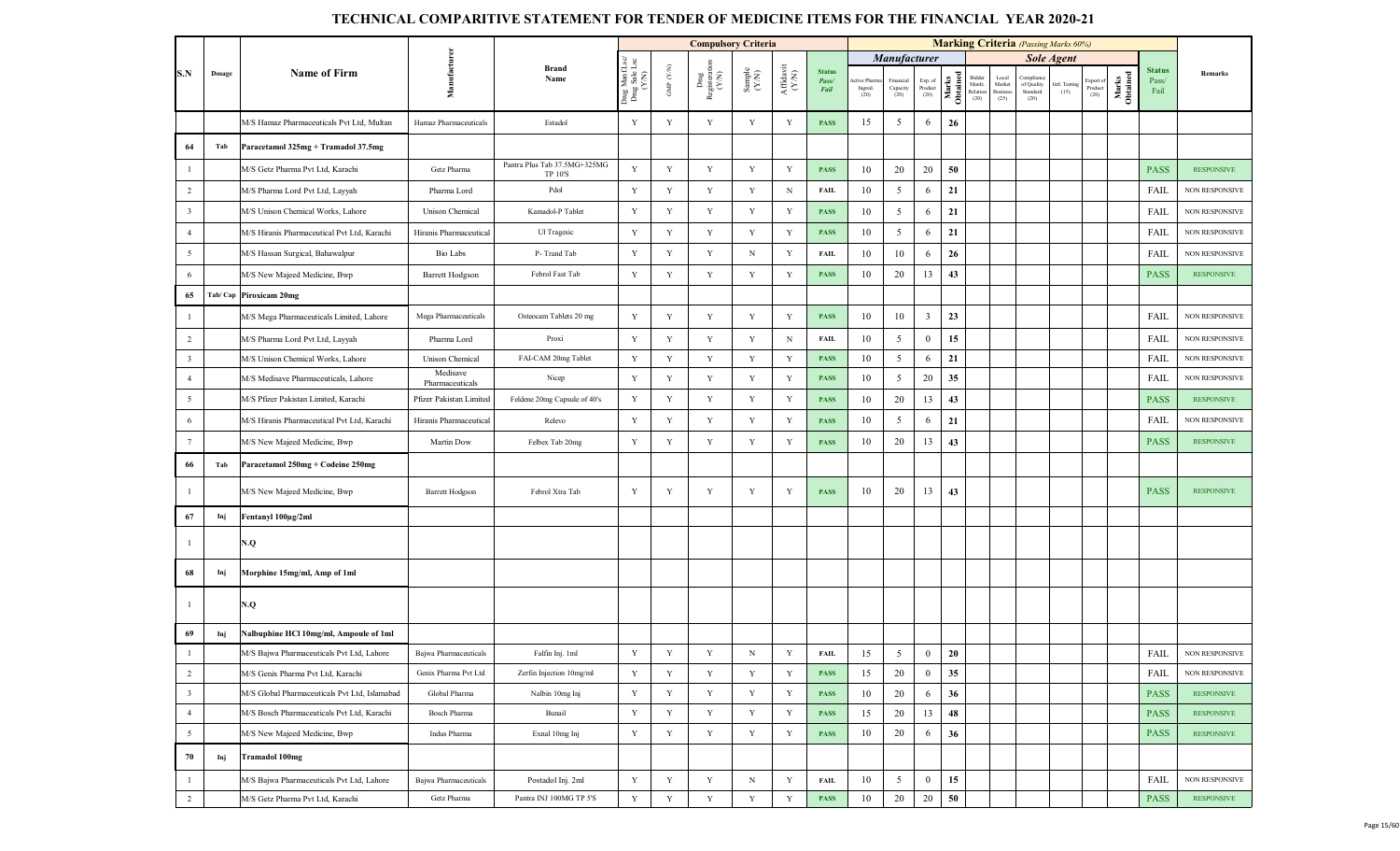|                         |         |                                               |                             |                                         |                                         |                    | <b>Compulsory Criteria</b>     |                                                              |                                |                                |                                |                                |                            |                   |                                      |                                    | <b>Marking Criteria</b> (Passing Marks 60%) |                       |                             |                   |                                |                       |
|-------------------------|---------|-----------------------------------------------|-----------------------------|-----------------------------------------|-----------------------------------------|--------------------|--------------------------------|--------------------------------------------------------------|--------------------------------|--------------------------------|--------------------------------|--------------------------------|----------------------------|-------------------|--------------------------------------|------------------------------------|---------------------------------------------|-----------------------|-----------------------------|-------------------|--------------------------------|-----------------------|
|                         |         |                                               |                             |                                         |                                         |                    |                                |                                                              |                                |                                |                                | Manufacturer                   |                            |                   |                                      |                                    |                                             | <b>Sole Agent</b>     |                             |                   |                                |                       |
| S.N                     | Dosage  | <b>Name of Firm</b>                           | Manufactu                   | Brand<br>Name                           | Drug ManfLsc/<br>Drug Sale Lsc<br>(Y/N) | GMP $(\text{Y/N})$ | Drug<br>Registeration<br>(Y/N) | $\begin{array}{c} \text{Sample} \\ (\text{Y/N}) \end{array}$ | ${\bf Affaavit}\\ ({\bf Y/N})$ | <b>Status</b><br>Pass/<br>Fail | ctive Pharm<br>Ingred.<br>(20) | inancial<br>Capacity<br>$(20)$ | Exp. of<br>Product<br>(20) | Marks<br>Obtained | Bidder<br>Manfe.<br>Relation<br>(20) | Loca<br>Market<br>Business<br>(25) | Complian<br>of Quality<br>Standard<br>(20)  | Intl. Testing<br>(15) | xport of<br>Product<br>(20) | Marks<br>Obtained | <b>Status</b><br>Pass/<br>Fail | Remarks               |
|                         |         | M/S Hamaz Pharmaceuticals Pvt Ltd, Multan     | Hamaz Pharmaceuticals       | Estadol                                 | Y                                       | $\mathbf Y$        | Y                              | Y                                                            | $\mathbf Y$                    | <b>PASS</b>                    | 15                             | 5                              | 6                          | 26                |                                      |                                    |                                             |                       |                             |                   |                                |                       |
| 64                      | Tab     | Paracetamol 325mg + Tramadol 37.5mg           |                             |                                         |                                         |                    |                                |                                                              |                                |                                |                                |                                |                            |                   |                                      |                                    |                                             |                       |                             |                   |                                |                       |
| $\overline{1}$          |         | M/S Getz Pharma Pvt Ltd, Karachi              | Getz Pharma                 | Pantra Plus Tab 37.5MG+325MG<br>TP 10'S | Y                                       | $\mathbf Y$        | Y                              | $\mathbf Y$                                                  | Y                              | <b>PASS</b>                    | 10                             | 20                             | 20                         | 50                |                                      |                                    |                                             |                       |                             |                   | <b>PASS</b>                    | <b>RESPONSIVE</b>     |
| $\overline{2}$          |         | M/S Pharma Lord Pvt Ltd, Layyah               | Pharma Lord                 | Pdol                                    | Y                                       | Y                  | Y                              | Y                                                            | $_{\rm N}$                     | <b>FAIL</b>                    | 10                             | 5                              | 6                          | 21                |                                      |                                    |                                             |                       |                             |                   | <b>FAIL</b>                    | NON RESPONSIVE        |
| $\overline{\mathbf{3}}$ |         | M/S Unison Chemical Works, Lahore             | Unison Chemical             | Kamadol-P Tablet                        | Y                                       | Y                  | Y                              | Y                                                            | Y                              | <b>PASS</b>                    | 10                             | 5                              | 6                          | 21                |                                      |                                    |                                             |                       |                             |                   | <b>FAIL</b>                    | NON RESPONSIVE        |
| $\overline{4}$          |         | M/S Hiranis Pharmaceutical Pvt Ltd, Karachi   | Hiranis Pharmaceutical      | Ul Tragesic                             | Y                                       | Y                  | Y                              | $\mathbf Y$                                                  | Y                              | <b>PASS</b>                    | 10                             | 5                              | 6                          | 21                |                                      |                                    |                                             |                       |                             |                   | FAIL                           | NON RESPONSIVE        |
| $\sqrt{5}$              |         | M/S Hassan Surgical, Bahawalpur               | <b>Bio Labs</b>             | P-Trand Tab                             | Y                                       | Y                  | Y                              | N                                                            | Y                              | <b>FAIL</b>                    | 10                             | 10                             | 6                          | 26                |                                      |                                    |                                             |                       |                             |                   | <b>FAIL</b>                    | NON RESPONSIVE        |
| 6                       |         | M/S New Majeed Medicine, Bwp                  | <b>Barrett Hodgson</b>      | Febrol Fast Tab                         | Y                                       | Y                  | $\mathbf Y$                    | $\mathbf Y$                                                  | Y                              | <b>PASS</b>                    | 10                             | 20                             | 13                         | 43                |                                      |                                    |                                             |                       |                             |                   | <b>PASS</b>                    | <b>RESPONSIVE</b>     |
| 65                      | Tab/Cap | Piroxicam 20mg                                |                             |                                         |                                         |                    |                                |                                                              |                                |                                |                                |                                |                            |                   |                                      |                                    |                                             |                       |                             |                   |                                |                       |
| $\mathbf{1}$            |         | M/S Mega Pharmaceuticals Limited, Lahore      | Mega Pharmaceuticals        | Osteocam Tablets 20 mg                  | Y                                       | $\mathbf Y$        | $\mathbf Y$                    | $\mathbf Y$                                                  | Y                              | <b>PASS</b>                    | 10                             | 10                             | $\overline{\mathbf{3}}$    | 23                |                                      |                                    |                                             |                       |                             |                   | FAIL                           | NON RESPONSIVE        |
| $\overline{2}$          |         | M/S Pharma Lord Pvt Ltd, Layyah               | Pharma Lord                 | Proxi                                   | Y                                       | $\mathbf Y$        | Y                              | $\mathbf Y$                                                  | $\, {\rm N}$                   | <b>FAIL</b>                    | 10                             | 5                              | $\boldsymbol{0}$           | 15                |                                      |                                    |                                             |                       |                             |                   | <b>FAIL</b>                    | <b>NON RESPONSIVE</b> |
| $\overline{\mathbf{3}}$ |         | M/S Unison Chemical Works, Lahore             | Unison Chemical             | FAI-CAM 20mg Tablet                     | Y                                       | $\mathbf Y$        | Y                              | $\mathbf Y$                                                  | Y                              | <b>PASS</b>                    | 10                             | $\mathfrak{S}$                 | 6                          | 21                |                                      |                                    |                                             |                       |                             |                   | FAIL                           | <b>NON RESPONSIVE</b> |
| $\overline{4}$          |         | M/S Medisave Pharmaceuticals, Lahore          | Medisave<br>Pharmaceuticals | Nicep                                   | $\mathbf Y$                             | Y                  | Y                              | $\mathbf Y$                                                  | Y                              | <b>PASS</b>                    | 10                             | 5                              | 20                         | 35                |                                      |                                    |                                             |                       |                             |                   | <b>FAIL</b>                    | NON RESPONSIVE        |
| 5                       |         | M/S Pfizer Pakistan Limited, Karachi          | Pfizer Pakistan Limited     | Feldene 20mg Capsule of 40's            | $\mathbf Y$                             | Y                  | $\mathbf Y$                    | $\mathbf Y$                                                  | Y                              | <b>PASS</b>                    | 10                             | 20                             | 13                         | 43                |                                      |                                    |                                             |                       |                             |                   | <b>PASS</b>                    | <b>RESPONSIVE</b>     |
| 6                       |         | M/S Hiranis Pharmaceutical Pvt Ltd, Karachi   | Hiranis Pharmaceutical      | Relevo                                  | Y                                       | Y                  | Y                              | $\mathbf Y$                                                  | Y                              | <b>PASS</b>                    | 10                             | 5                              | 6                          | 21                |                                      |                                    |                                             |                       |                             |                   | <b>FAIL</b>                    | <b>NON RESPONSIVE</b> |
| $7\phantom{.0}$         |         | M/S New Majeed Medicine, Bwp                  | Martin Dow                  | Felbex Tab 20mg                         | Y                                       | Y                  | $\mathbf Y$                    | $\mathbf Y$                                                  | Y                              | <b>PASS</b>                    | 10                             | 20                             | 13                         | 43                |                                      |                                    |                                             |                       |                             |                   | <b>PASS</b>                    | <b>RESPONSIVE</b>     |
| 66                      | Tab     | Paracetamol 250mg + Codeine 250mg             |                             |                                         |                                         |                    |                                |                                                              |                                |                                |                                |                                |                            |                   |                                      |                                    |                                             |                       |                             |                   |                                |                       |
| -1                      |         | M/S New Majeed Medicine, Bwp                  | <b>Barrett Hodgson</b>      | Febrol Xtra Tab                         | Y                                       | Y                  | $\mathbf Y$                    | Y                                                            | Y                              | <b>PASS</b>                    | 10                             | 20                             | 13                         | 43                |                                      |                                    |                                             |                       |                             |                   | <b>PASS</b>                    | <b>RESPONSIVE</b>     |
| 67                      | Inj     | Fentanyl 100µg/2ml                            |                             |                                         |                                         |                    |                                |                                                              |                                |                                |                                |                                |                            |                   |                                      |                                    |                                             |                       |                             |                   |                                |                       |
| $\overline{1}$          |         | N.Q                                           |                             |                                         |                                         |                    |                                |                                                              |                                |                                |                                |                                |                            |                   |                                      |                                    |                                             |                       |                             |                   |                                |                       |
| 68                      | Inj     | Morphine 15mg/ml, Amp of 1ml                  |                             |                                         |                                         |                    |                                |                                                              |                                |                                |                                |                                |                            |                   |                                      |                                    |                                             |                       |                             |                   |                                |                       |
| $\overline{1}$          |         | N.Q                                           |                             |                                         |                                         |                    |                                |                                                              |                                |                                |                                |                                |                            |                   |                                      |                                    |                                             |                       |                             |                   |                                |                       |
| 69                      | Inj     | Nalbuphine HCl 10mg/ml, Ampoule of 1ml        |                             |                                         |                                         |                    |                                |                                                              |                                |                                |                                |                                |                            |                   |                                      |                                    |                                             |                       |                             |                   |                                |                       |
| $\overline{1}$          |         | M/S Bajwa Pharmaceuticals Pvt Ltd, Lahore     | Bajwa Pharmaceuticals       | Falfin Inj. 1ml                         | Y                                       | Y                  | Y                              | $_{\rm N}$                                                   | Y                              | <b>FAIL</b>                    | 15                             | 5                              | $\mathbf{0}$               | 20                |                                      |                                    |                                             |                       |                             |                   | FAIL                           | <b>NON RESPONSIVE</b> |
| $\overline{2}$          |         | M/S Genix Pharma Pvt Ltd, Karachi             | Genix Pharma Pvt Ltd        | Zerfin Injection 10mg/ml                | $\mathbf Y$                             | $\mathbf Y$        | $\mathbf Y$                    | $\mathbf Y$                                                  | $\mathbf Y$                    | <b>PASS</b>                    | 15                             | 20                             | $\boldsymbol{0}$           | 35                |                                      |                                    |                                             |                       |                             |                   | <b>FAIL</b>                    | <b>NON RESPONSIVE</b> |
| $\overline{\mathbf{3}}$ |         | M/S Global Pharmaceuticals Pvt Ltd, Islamabad | Global Pharma               | Nalbin 10mg Inj                         | $\mathbf Y$                             | $\mathbf Y$        | $\mathbf Y$                    | $\mathbf Y$                                                  | $\mathbf Y$                    | <b>PASS</b>                    | 10                             | 20                             | 6                          | 36                |                                      |                                    |                                             |                       |                             |                   | <b>PASS</b>                    | <b>RESPONSIVE</b>     |
| $\overline{4}$          |         | M/S Bosch Pharmaceuticals Pvt Ltd, Karachi    | Bosch Pharma                | Bunail                                  | $\mathbf Y$                             | Y                  | $\mathbf Y$                    | Y                                                            | $\mathbf Y$                    | <b>PASS</b>                    | 15                             | 20                             | 13                         | 48                |                                      |                                    |                                             |                       |                             |                   | <b>PASS</b>                    | <b>RESPONSIVE</b>     |
| $5\overline{)}$         |         | M/S New Majeed Medicine, Bwp                  | Indus Pharma                | Exnal 10mg Inj                          | Y                                       | $\mathbf Y$        | Y                              | Y                                                            | $\mathbf Y$                    | <b>PASS</b>                    | 10                             | 20                             | 6                          | 36                |                                      |                                    |                                             |                       |                             |                   | <b>PASS</b>                    | <b>RESPONSIVE</b>     |
| 70                      | Inj     | <b>Tramadol 100mg</b>                         |                             |                                         |                                         |                    |                                |                                                              |                                |                                |                                |                                |                            |                   |                                      |                                    |                                             |                       |                             |                   |                                |                       |
| $\mathbf{1}$            |         | M/S Bajwa Pharmaceuticals Pvt Ltd, Lahore     | Bajwa Pharmaceuticals       | Postadol Inj. 2ml                       | $\mathbf Y$                             | $\mathbf Y$        | $\mathbf Y$                    | $_{\rm N}$                                                   | Y                              | <b>FAIL</b>                    | 10                             | 5                              | $\boldsymbol{0}$           | 15                |                                      |                                    |                                             |                       |                             |                   | <b>FAIL</b>                    | NON RESPONSIVE        |
| 2                       |         | M/S Getz Pharma Pvt Ltd, Karachi              | Getz Pharma                 | Pantra INJ 100MG TP 5'S                 | $\mathbf Y$                             | $\mathbf Y$        | $\mathbf Y$                    | $\mathbf Y$                                                  | $\mathbf Y$                    | <b>PASS</b>                    | 10                             | 20                             | 20                         | 50                |                                      |                                    |                                             |                       |                             |                   | <b>PASS</b>                    | <b>RESPONSIVE</b>     |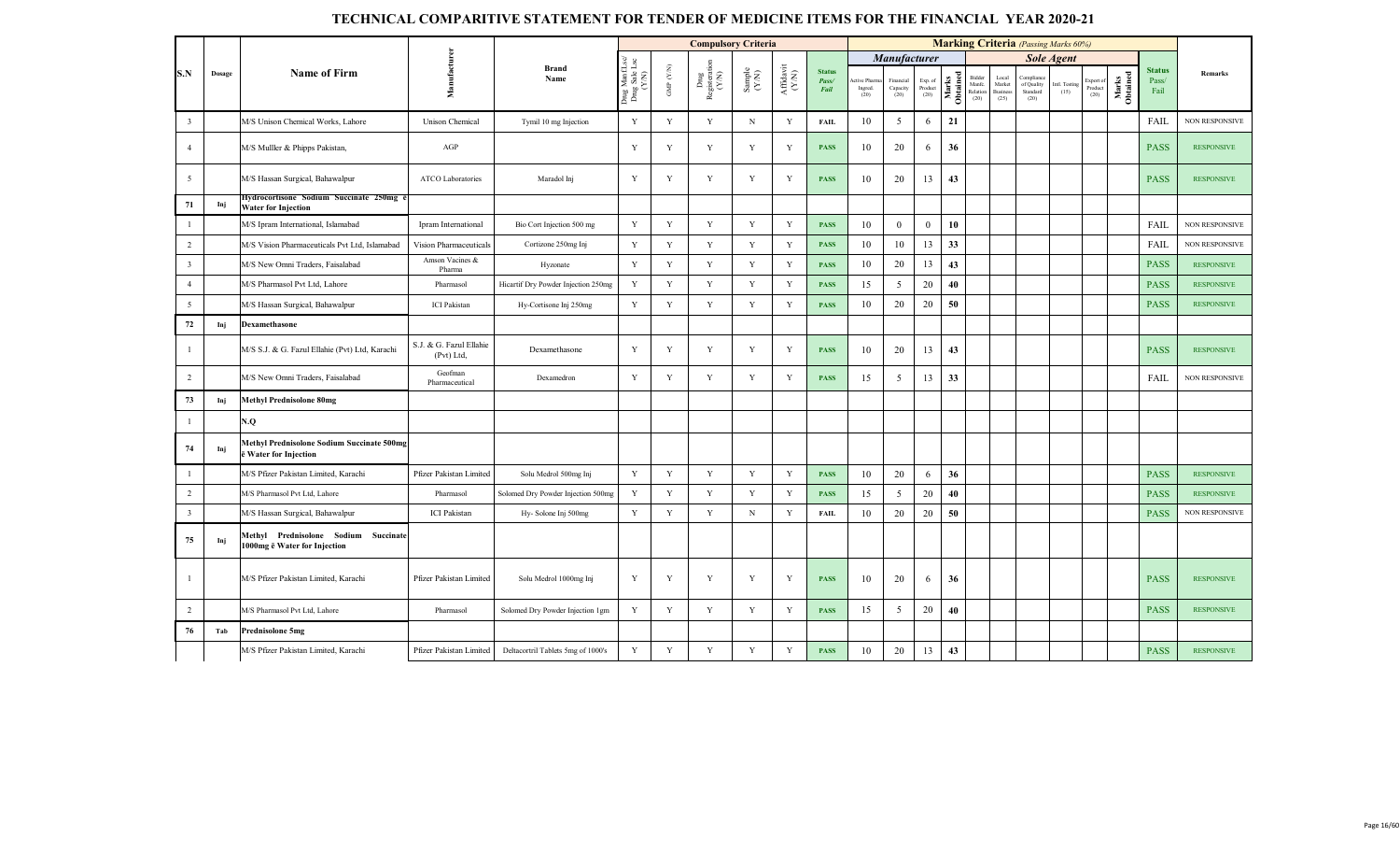|                |        |                                                                            |                                       |                                     |                                                    |                             |                               | <b>Compulsory Criteria</b>                                  |                                                                             |                                |                                 |                               |                            |                   |                                     |                                            | <b>Marking Criteria</b> (Passing Marks 60%) |                       |                              |                   |                                |                       |
|----------------|--------|----------------------------------------------------------------------------|---------------------------------------|-------------------------------------|----------------------------------------------------|-----------------------------|-------------------------------|-------------------------------------------------------------|-----------------------------------------------------------------------------|--------------------------------|---------------------------------|-------------------------------|----------------------------|-------------------|-------------------------------------|--------------------------------------------|---------------------------------------------|-----------------------|------------------------------|-------------------|--------------------------------|-----------------------|
|                |        |                                                                            |                                       | <b>Brand</b>                        |                                                    |                             |                               |                                                             |                                                                             |                                |                                 | <b>Manufacturer</b>           |                            |                   |                                     |                                            |                                             | <b>Sole Agent</b>     |                              |                   |                                |                       |
| S.N            | Dosage | <b>Name of Firm</b>                                                        | Manufacturer                          | Name                                | g ManfLsc/<br>ug Sale Lsc<br>(Y/N)<br>Drug<br>Drug | $_{\rm CN}$<br>$_{\rm GMP}$ | Dmg<br>Registeration<br>(Y/N) | $\begin{array}{c} \text{Sample} \\ (\text{YN}) \end{array}$ | $\begin{array}{c} \mathrm{Aff} \mathrm{davit} \\ (\mathrm{YM}) \end{array}$ | <b>Status</b><br>Pass/<br>Fail | ctive Pharma<br>Ingred.<br>(20) | Financial<br>Capacity<br>(20) | Exp. of<br>Product<br>(20) | Marks<br>Obtained | Bidde<br>Manfc.<br>Relation<br>(20) | Local<br>Market<br><b>Business</b><br>(25) | of Quality<br>Standard<br>(20)              | Intl. Testing<br>(15) | Export of<br>Product<br>(20) | Marks<br>Obtained | <b>Status</b><br>Pass/<br>Fail | Remarks               |
| $\overline{3}$ |        | M/S Unison Chemical Works, Lahore                                          | <b>Unison Chemical</b>                | Tymil 10 mg Injection               | Y                                                  | Y                           | Y                             | $\mathbf N$                                                 | Y                                                                           | FAIL                           | 10                              | 5                             | 6                          | 21                |                                     |                                            |                                             |                       |                              |                   | FAIL                           | NON RESPONSIVE        |
| $\overline{4}$ |        | M/S Mulller & Phipps Pakistan,                                             | AGP                                   |                                     | Y                                                  | Y                           | Y                             | Y                                                           | Y                                                                           | <b>PASS</b>                    | 10                              | 20                            | 6                          | 36                |                                     |                                            |                                             |                       |                              |                   | <b>PASS</b>                    | <b>RESPONSIVE</b>     |
| 5              |        | M/S Hassan Surgical, Bahawalpur                                            | ATCO Laboratories                     | Maradol Inj                         | Y                                                  | Y                           | Y                             | $\mathbf Y$                                                 | $\mathbf Y$                                                                 | <b>PASS</b>                    | 10                              | 20                            | 13                         | 43                |                                     |                                            |                                             |                       |                              |                   | <b>PASS</b>                    | <b>RESPONSIVE</b>     |
| 71             | Inj    | Hydrocortisone Sodium Succinate 250mg<br><b>Water for Injection</b>        |                                       |                                     |                                                    |                             |                               |                                                             |                                                                             |                                |                                 |                               |                            |                   |                                     |                                            |                                             |                       |                              |                   |                                |                       |
| $\mathbf{1}$   |        | M/S Ipram International, Islamabad                                         | Ipram International                   | Bio Cort Injection 500 mg           | $\mathbf Y$                                        | $\mathbf Y$                 | $\mathbf Y$                   | Y                                                           | $\mathbf Y$                                                                 | <b>PASS</b>                    | 10                              | $\mathbf{0}$                  | $\mathbf{0}$               | 10                |                                     |                                            |                                             |                       |                              |                   | FAIL                           | NON RESPONSIVE        |
| $\overline{2}$ |        | M/S Vision Pharmaceuticals Pvt Ltd, Islamabad                              | Vision Pharmaceuticals                | Cortizone 250mg Inj                 | $\mathbf Y$                                        | Y                           | Y                             | Y                                                           | $\mathbf Y$                                                                 | <b>PASS</b>                    | 10                              | 10                            | 13                         | 33                |                                     |                                            |                                             |                       |                              |                   | FAIL                           | <b>NON RESPONSIVE</b> |
| $\overline{3}$ |        | M/S New Omni Traders, Faisalabad                                           | Amson Vacines &<br>Pharma             | Hyzonate                            | Y                                                  | Y                           | $\mathbf Y$                   | Y                                                           | Y                                                                           | <b>PASS</b>                    | 10                              | 20                            | 13                         | 43                |                                     |                                            |                                             |                       |                              |                   | <b>PASS</b>                    | <b>RESPONSIVE</b>     |
| $\overline{4}$ |        | M/S Pharmasol Pvt Ltd, Lahore                                              | Pharmasol                             | Hicartif Dry Powder Injection 250mg | Y                                                  | Y                           | Y                             | $\mathbf Y$                                                 | Y                                                                           | <b>PASS</b>                    | 15                              | 5                             | 20                         | 40                |                                     |                                            |                                             |                       |                              |                   | <b>PASS</b>                    | <b>RESPONSIVE</b>     |
| 5              |        | M/S Hassan Surgical, Bahawalpur                                            | <b>ICI</b> Pakistan                   | Hy-Cortisone Inj 250mg              | Y                                                  | Y                           | Y                             | Y                                                           | $\mathbf Y$                                                                 | <b>PASS</b>                    | 10                              | 20                            | 20                         | 50                |                                     |                                            |                                             |                       |                              |                   | <b>PASS</b>                    | <b>RESPONSIVE</b>     |
| 72             | Inj    | Dexamethasone                                                              |                                       |                                     |                                                    |                             |                               |                                                             |                                                                             |                                |                                 |                               |                            |                   |                                     |                                            |                                             |                       |                              |                   |                                |                       |
| $\overline{1}$ |        | M/S S.J. & G. Fazul Ellahie (Pvt) Ltd, Karachi                             | S.J. & G. Fazul Ellahie<br>(Pvt) Ltd. | Dexamethasone                       | Y                                                  | Y                           | Y                             | Y                                                           | Y                                                                           | <b>PASS</b>                    | 10                              | 20                            | 13                         | 43                |                                     |                                            |                                             |                       |                              |                   | <b>PASS</b>                    | <b>RESPONSIVE</b>     |
| $\overline{2}$ |        | M/S New Omni Traders, Faisalabad                                           | Geofman<br>Pharmaceutical             | Dexamedron                          | Y                                                  | Y                           | Y                             | Y                                                           | Y                                                                           | <b>PASS</b>                    | 15                              | 5                             | 13                         | 33                |                                     |                                            |                                             |                       |                              |                   | FAIL                           | <b>NON RESPONSIVE</b> |
| 73             | Inj    | <b>Methyl Prednisolone 80mg</b>                                            |                                       |                                     |                                                    |                             |                               |                                                             |                                                                             |                                |                                 |                               |                            |                   |                                     |                                            |                                             |                       |                              |                   |                                |                       |
|                |        | N.Q                                                                        |                                       |                                     |                                                    |                             |                               |                                                             |                                                                             |                                |                                 |                               |                            |                   |                                     |                                            |                                             |                       |                              |                   |                                |                       |
| 74             | Inj    | <b>Methyl Prednisolone Sodium Succinate 500mg</b><br>ë Water for Injection |                                       |                                     |                                                    |                             |                               |                                                             |                                                                             |                                |                                 |                               |                            |                   |                                     |                                            |                                             |                       |                              |                   |                                |                       |
| $\overline{1}$ |        | M/S Pfizer Pakistan Limited, Karachi                                       | Pfizer Pakistan Limited               | Solu Medrol 500mg Inj               | $\mathbf Y$                                        | $\mathbf Y$                 | $\mathbf Y$                   | Y                                                           | Y                                                                           | <b>PASS</b>                    | 10                              | 20                            | 6                          | 36                |                                     |                                            |                                             |                       |                              |                   | <b>PASS</b>                    | <b>RESPONSIVE</b>     |
| $\overline{2}$ |        | M/S Pharmasol Pvt Ltd, Lahore                                              | Pharmasol                             | Solomed Dry Powder Injection 500mg  | $\mathbf Y$                                        | Y                           | Y                             | Y                                                           | Y                                                                           | <b>PASS</b>                    | 15                              | 5                             | 20                         | 40                |                                     |                                            |                                             |                       |                              |                   | <b>PASS</b>                    | <b>RESPONSIVE</b>     |
| $\overline{3}$ |        | M/S Hassan Surgical, Bahawalpur                                            | <b>ICI</b> Pakistan                   | Hy-Solone Inj 500mg                 | $\mathbf Y$                                        | Y                           | Y                             | $\mathbf N$                                                 | Y                                                                           | <b>FAIL</b>                    | 10                              | 20                            | 20                         | 50                |                                     |                                            |                                             |                       |                              |                   | <b>PASS</b>                    | <b>NON RESPONSIVE</b> |
| 75             | Inj    | Methyl Prednisolone Sodium Succinate<br>1000mg ë Water for Injection       |                                       |                                     |                                                    |                             |                               |                                                             |                                                                             |                                |                                 |                               |                            |                   |                                     |                                            |                                             |                       |                              |                   |                                |                       |
| $\overline{1}$ |        | M/S Pfizer Pakistan Limited, Karachi                                       | Pfizer Pakistan Limited               | Solu Medrol 1000mg Inj              | Y                                                  | Y                           | Y                             | Y                                                           | Y                                                                           | <b>PASS</b>                    | 10                              | 20                            | 6                          | 36                |                                     |                                            |                                             |                       |                              |                   | <b>PASS</b>                    | <b>RESPONSIVE</b>     |
| $\overline{2}$ |        | M/S Pharmasol Pvt Ltd, Lahore                                              | Pharmasol                             | Solomed Dry Powder Injection 1gm    | $\mathbf Y$                                        | $\mathbf Y$                 | Y                             | Y                                                           | Y                                                                           | <b>PASS</b>                    | 15                              | 5                             | 20                         | 40                |                                     |                                            |                                             |                       |                              |                   | <b>PASS</b>                    | <b>RESPONSIVE</b>     |
| 76             | Tab    | Prednisolone 5mg                                                           |                                       |                                     |                                                    |                             |                               |                                                             |                                                                             |                                |                                 |                               |                            |                   |                                     |                                            |                                             |                       |                              |                   |                                |                       |
|                |        | M/S Pfizer Pakistan Limited, Karachi                                       | Pfizer Pakistan Limited               | Deltacortril Tablets 5mg of 1000's  | $\mathbf Y$                                        | Y                           | Y                             | Y                                                           | Y                                                                           | <b>PASS</b>                    | 10                              | 20                            | 13                         | 43                |                                     |                                            |                                             |                       |                              |                   | <b>PASS</b>                    | <b>RESPONSIVE</b>     |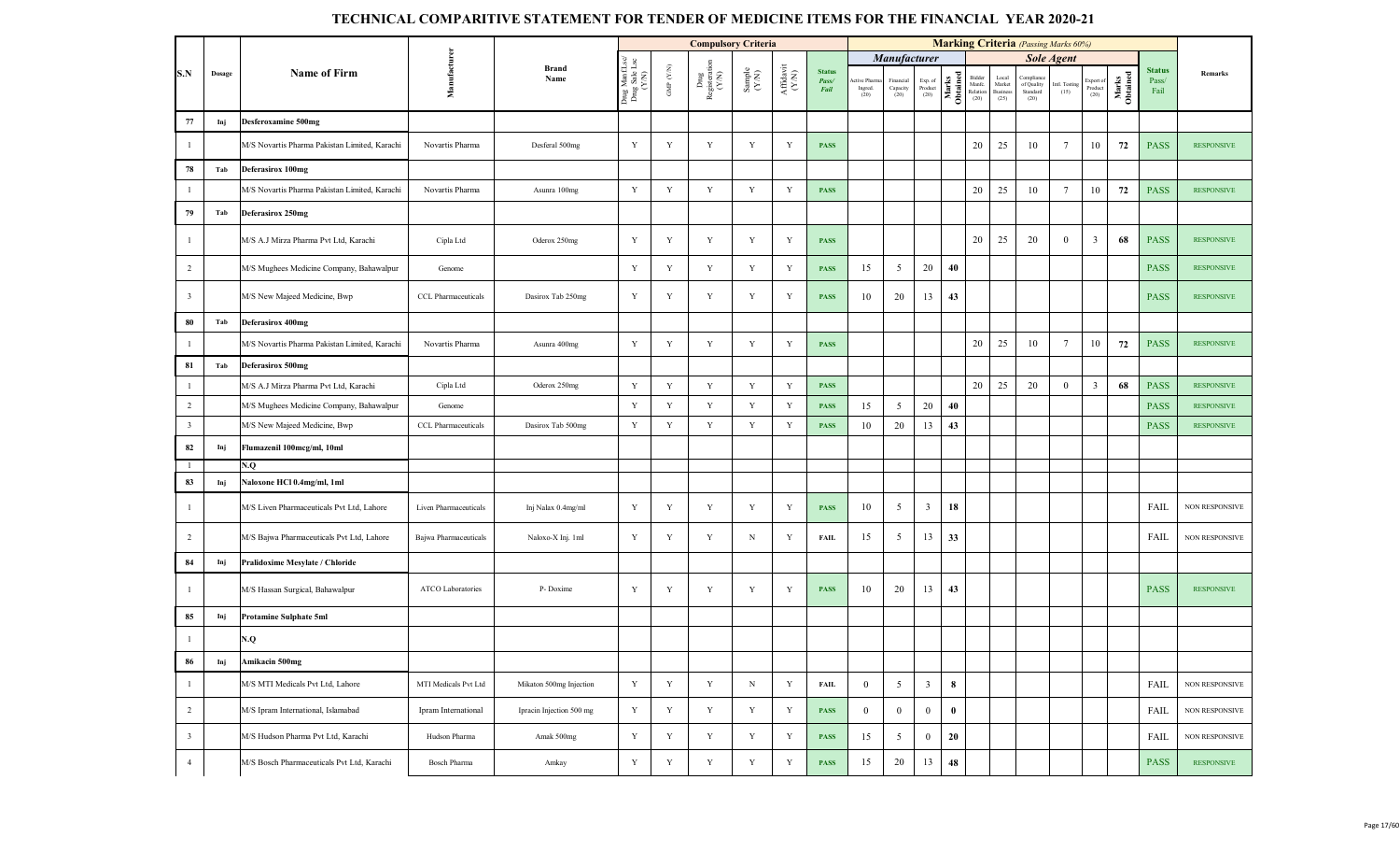|                         |        |                                               |                       |                          |                                         |             | <b>Compulsory Criteria</b>                                                          |                                                              |                                                                                                        |                                |                                 |                                                |                                       | <b>Marking Criteria</b> (Passing Marks 60%) |    |                                     |                                            |                       |                              |                   |                                |                       |
|-------------------------|--------|-----------------------------------------------|-----------------------|--------------------------|-----------------------------------------|-------------|-------------------------------------------------------------------------------------|--------------------------------------------------------------|--------------------------------------------------------------------------------------------------------|--------------------------------|---------------------------------|------------------------------------------------|---------------------------------------|---------------------------------------------|----|-------------------------------------|--------------------------------------------|-----------------------|------------------------------|-------------------|--------------------------------|-----------------------|
|                         |        |                                               |                       | <b>Brand</b>             |                                         |             |                                                                                     |                                                              |                                                                                                        |                                |                                 | <b>Manufacturer</b>                            |                                       |                                             |    |                                     |                                            | <b>Sole Agent</b>     |                              |                   |                                |                       |
| S.N                     | Dosage | <b>Name of Firm</b>                           | Manufacturer          | Name                     | Drug ManfLsc/<br>Drug Sale Lsc<br>(Y/N) | GMP $(YN)$  | $\begin{array}{c}\n\text{Dng} \\ \text{Registeration} \\ \text{(Y/N)}\n\end{array}$ | $\begin{array}{c} \text{Sample} \\ (\text{Y/N}) \end{array}$ | $\begin{array}{c} \mathbf{Aff} \mathbf{d}\mathbf{a}\mathbf{v}\mathbf{i} \\ (\mathbf{Y/N}) \end{array}$ | <b>Status</b><br>Pass/<br>Fail | ctive Pharma<br>Ingred.<br>(20) | Financial<br>$\operatorname{Capacity}$<br>(20) | Exp. of<br>Product $\left( 20\right)$ | Marks<br>Manfc.<br>Distribution<br>CO (20)  |    | Local<br>Market<br>Business<br>(25) | Complian<br>of Quality<br>Standard<br>(20) | Intl. Testing<br>(15) | Export of<br>Product<br>(20) | Marks<br>Obtained | <b>Status</b><br>Pass/<br>Fail | Remarks               |
| 77                      | Inj    | <b>Desferoxamine 500mg</b>                    |                       |                          |                                         |             |                                                                                     |                                                              |                                                                                                        |                                |                                 |                                                |                                       |                                             |    |                                     |                                            |                       |                              |                   |                                |                       |
|                         |        | M/S Novartis Pharma Pakistan Limited, Karachi | Novartis Pharma       | Desferal 500mg           | Y                                       | Y           | Y                                                                                   | Y                                                            | Y                                                                                                      | <b>PASS</b>                    |                                 |                                                |                                       |                                             | 20 | 25                                  | 10                                         | 7                     | 10                           | 72                | <b>PASS</b>                    | <b>RESPONSIVE</b>     |
| 78                      | Tab    | Deferasirox 100mg                             |                       |                          |                                         |             |                                                                                     |                                                              |                                                                                                        |                                |                                 |                                                |                                       |                                             |    |                                     |                                            |                       |                              |                   |                                |                       |
| $\overline{1}$          |        | M/S Novartis Pharma Pakistan Limited, Karachi | Novartis Pharma       | Asunra 100mg             | $\mathbf Y$                             | Y           | $\mathbf Y$                                                                         | $\mathbf Y$                                                  | $\mathbf Y$                                                                                            | <b>PASS</b>                    |                                 |                                                |                                       |                                             | 20 | 25                                  | 10                                         | $7\phantom{.0}$       | 10                           | 72                | <b>PASS</b>                    | <b>RESPONSIVE</b>     |
| 79                      | Tab    | Deferasirox 250mg                             |                       |                          |                                         |             |                                                                                     |                                                              |                                                                                                        |                                |                                 |                                                |                                       |                                             |    |                                     |                                            |                       |                              |                   |                                |                       |
|                         |        | M/S A.J Mirza Pharma Pvt Ltd, Karachi         | Cipla Ltd             | Oderox 250mg             | Y                                       | Y           | Y                                                                                   | Y                                                            | Y                                                                                                      | <b>PASS</b>                    |                                 |                                                |                                       |                                             | 20 | 25                                  | 20                                         | $\mathbf{0}$          | $\mathbf{3}$                 | 68                | <b>PASS</b>                    | <b>RESPONSIVE</b>     |
| 2                       |        | M/S Mughees Medicine Company, Bahawalpur      | Genome                |                          | $\mathbf Y$                             | Y           | $\mathbf Y$                                                                         | Y                                                            | Y                                                                                                      | <b>PASS</b>                    | 15                              | 5                                              | 20                                    | 40                                          |    |                                     |                                            |                       |                              |                   | <b>PASS</b>                    | <b>RESPONSIVE</b>     |
| $\overline{\mathbf{3}}$ |        | M/S New Majeed Medicine, Bwp                  | CCL Pharmaceuticals   | Dasirox Tab 250mg        | Y                                       | Y           | Y                                                                                   | Y                                                            | Y                                                                                                      | <b>PASS</b>                    | 10                              | 20                                             | 13                                    | 43                                          |    |                                     |                                            |                       |                              |                   | <b>PASS</b>                    | <b>RESPONSIVE</b>     |
| 80                      | Tab    | <b>Deferasirox 400mg</b>                      |                       |                          |                                         |             |                                                                                     |                                                              |                                                                                                        |                                |                                 |                                                |                                       |                                             |    |                                     |                                            |                       |                              |                   |                                |                       |
|                         |        | M/S Novartis Pharma Pakistan Limited, Karachi | Novartis Pharma       | Asunra 400mg             | $\mathbf Y$                             | Y           | Y                                                                                   | Y                                                            | $\mathbf Y$                                                                                            | <b>PASS</b>                    |                                 |                                                |                                       |                                             | 20 | 25                                  | 10                                         | $7\phantom{.0}$       | 10                           | 72                | <b>PASS</b>                    | <b>RESPONSIVE</b>     |
| 81                      | Tab    | Deferasirox 500mg                             |                       |                          |                                         |             |                                                                                     |                                                              |                                                                                                        |                                |                                 |                                                |                                       |                                             |    |                                     |                                            |                       |                              |                   |                                |                       |
| -1                      |        | M/S A.J Mirza Pharma Pvt Ltd, Karachi         | Cipla Ltd             | Oderox 250mg             | $\mathbf Y$                             | Y           | $\mathbf Y$                                                                         | $\mathbf Y$                                                  | $\mathbf Y$                                                                                            | <b>PASS</b>                    |                                 |                                                |                                       |                                             | 20 | 25                                  | 20                                         | $\mathbf{0}$          | $\mathbf{3}$                 | 68                | <b>PASS</b>                    | <b>RESPONSIVE</b>     |
| 2                       |        | M/S Mughees Medicine Company, Bahawalpur      | Genome                |                          | $\mathbf Y$                             | Y           | $\mathbf Y$                                                                         | Y                                                            | Y                                                                                                      | <b>PASS</b>                    | 15                              | 5                                              | 20                                    | 40                                          |    |                                     |                                            |                       |                              |                   | <b>PASS</b>                    | <b>RESPONSIVE</b>     |
| $\overline{\mathbf{3}}$ |        | M/S New Majeed Medicine, Bwp                  | CCL Pharmaceuticals   | Dasirox Tab 500mg        | $\mathbf Y$                             | Y           | Y                                                                                   | Y                                                            | Y                                                                                                      | <b>PASS</b>                    | 10                              | 20                                             | 13                                    | 43                                          |    |                                     |                                            |                       |                              |                   | <b>PASS</b>                    | <b>RESPONSIVE</b>     |
| 82                      | Inj    | Flumazenil 100mcg/ml, 10ml                    |                       |                          |                                         |             |                                                                                     |                                                              |                                                                                                        |                                |                                 |                                                |                                       |                                             |    |                                     |                                            |                       |                              |                   |                                |                       |
| -1                      |        | N.Q                                           |                       |                          |                                         |             |                                                                                     |                                                              |                                                                                                        |                                |                                 |                                                |                                       |                                             |    |                                     |                                            |                       |                              |                   |                                |                       |
| 83                      | Inj    | Naloxone HCl 0.4mg/ml, 1ml                    |                       |                          |                                         |             |                                                                                     |                                                              |                                                                                                        |                                |                                 |                                                |                                       |                                             |    |                                     |                                            |                       |                              |                   |                                |                       |
|                         |        | M/S Liven Pharmaceuticals Pvt Ltd, Lahore     | Liven Pharmaceuticals | Inj Nalax 0.4mg/ml       | Y                                       | Y           | $\mathbf Y$                                                                         | Y                                                            | Y                                                                                                      | <b>PASS</b>                    | 10                              | 5                                              | $\mathbf{3}$                          | 18                                          |    |                                     |                                            |                       |                              |                   | FAIL                           | <b>NON RESPONSIVE</b> |
| $\overline{2}$          |        | M/S Bajwa Pharmaceuticals Pvt Ltd, Lahore     | Bajwa Pharmaceuticals | Naloxo-X Inj. 1ml        | Y                                       | Y           | Y                                                                                   | N                                                            | Y                                                                                                      | <b>FAIL</b>                    | 15                              | 5                                              | 13                                    | 33                                          |    |                                     |                                            |                       |                              |                   | FAIL                           | <b>NON RESPONSIVE</b> |
| 84                      | Inj    | Pralidoxime Mesylate / Chloride               |                       |                          |                                         |             |                                                                                     |                                                              |                                                                                                        |                                |                                 |                                                |                                       |                                             |    |                                     |                                            |                       |                              |                   |                                |                       |
|                         |        | M/S Hassan Surgical, Bahawalpur               | ATCO Laboratories     | P-Doxime                 | $\mathbf Y$                             | Y           | Y                                                                                   | Y                                                            | Y                                                                                                      | <b>PASS</b>                    | 10                              | 20                                             | 13                                    | 43                                          |    |                                     |                                            |                       |                              |                   | <b>PASS</b>                    | <b>RESPONSIVE</b>     |
| 85                      | Inj    | Protamine Sulphate 5ml                        |                       |                          |                                         |             |                                                                                     |                                                              |                                                                                                        |                                |                                 |                                                |                                       |                                             |    |                                     |                                            |                       |                              |                   |                                |                       |
|                         |        | N.Q                                           |                       |                          |                                         |             |                                                                                     |                                                              |                                                                                                        |                                |                                 |                                                |                                       |                                             |    |                                     |                                            |                       |                              |                   |                                |                       |
| ${\bf 86}$              | Inj    | Amikacin 500mg                                |                       |                          |                                         |             |                                                                                     |                                                              |                                                                                                        |                                |                                 |                                                |                                       |                                             |    |                                     |                                            |                       |                              |                   |                                |                       |
|                         |        | M/S MTI Medicals Pvt Ltd, Lahore              | MTI Medicals Pvt Ltd  | Mikaton 500mg Injection  | $\mathbf Y$                             | $\mathbf Y$ | $\mathbf Y$                                                                         | $_{\rm N}$                                                   | $\mathbf Y$                                                                                            | <b>FAIL</b>                    | $\bf{0}$                        | 5                                              | $\mathbf{3}$                          | 8                                           |    |                                     |                                            |                       |                              |                   | FAIL                           | NON RESPONSIVE        |
| $\overline{2}$          |        | M/S Ipram International, Islamabad            | Ipram International   | Ipracin Injection 500 mg | $\mathbf Y$                             | $\mathbf Y$ | $\mathbf Y$                                                                         | Y                                                            | $\mathbf Y$                                                                                            | <b>PASS</b>                    | $\overline{0}$                  | $\bf{0}$                                       | $\mathbf{0}$                          | $\bf{0}$                                    |    |                                     |                                            |                       |                              |                   | FAIL                           | NON RESPONSIVE        |
| $\overline{\mathbf{3}}$ |        | M/S Hudson Pharma Pvt Ltd, Karachi            | Hudson Pharma         | Amak 500mg               | $\mathbf Y$                             | Y           | Y                                                                                   | Y                                                            | Y                                                                                                      | <b>PASS</b>                    | 15                              | 5                                              | $\mathbf{0}$                          | 20                                          |    |                                     |                                            |                       |                              |                   | FAIL                           | NON RESPONSIVE        |
| $\overline{4}$          |        | M/S Bosch Pharmaceuticals Pvt Ltd, Karachi    | <b>Bosch Pharma</b>   | Amkay                    | Y                                       | Y           | Y                                                                                   | Y                                                            | Y                                                                                                      | <b>PASS</b>                    | 15                              | 20                                             | 13                                    | 48                                          |    |                                     |                                            |                       |                              |                   | <b>PASS</b>                    | <b>RESPONSIVE</b>     |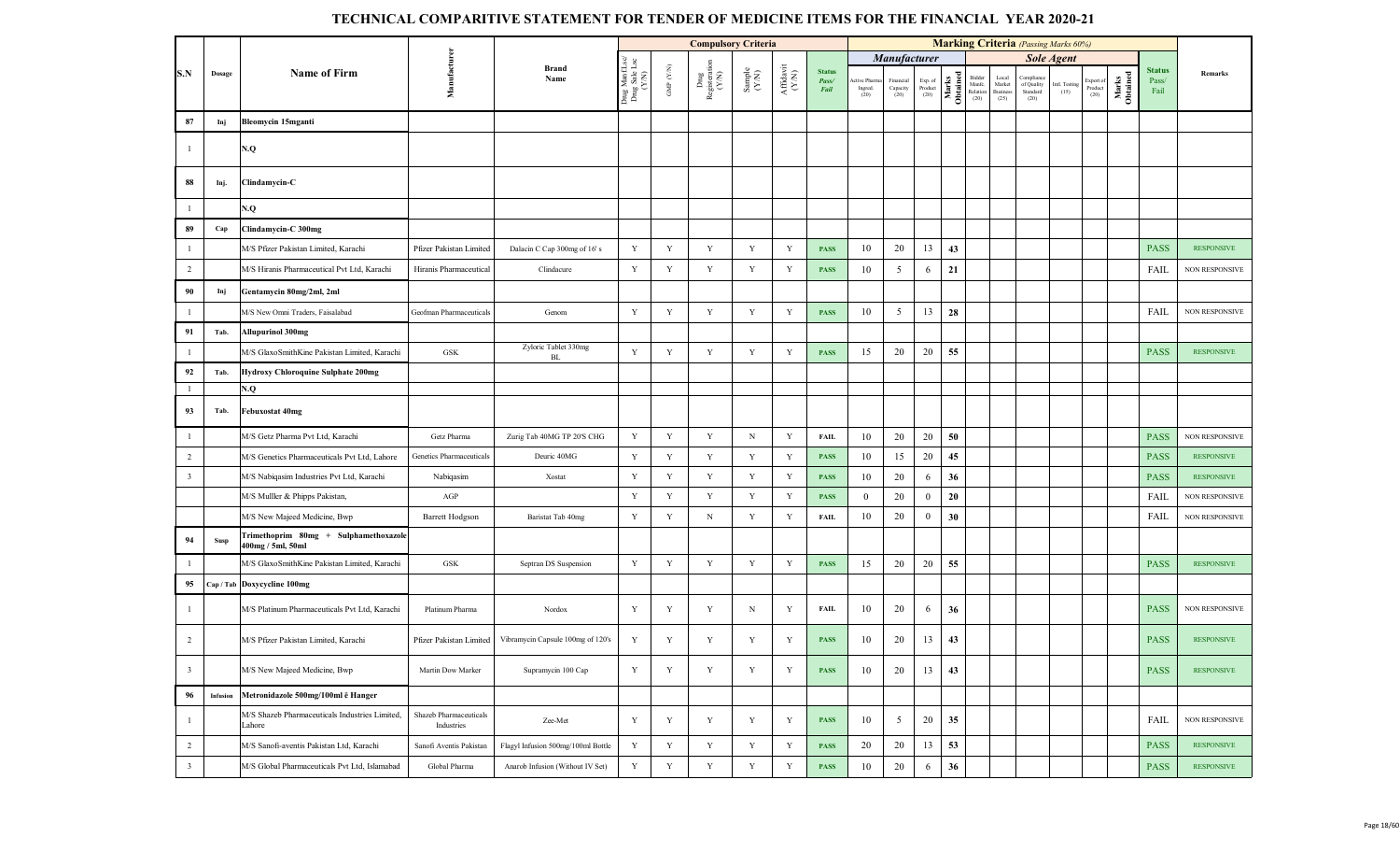|                         |           |                                                            |                                      |                                    |                                         |                          | <b>Compulsory Criteria</b>     |                                                              |                   |                                |                                                  |                                                |                            |                   |                                      |                                     | <b>Marking Criteria</b> (Passing Marks 60%) |                       |                             |                   |                                |                       |
|-------------------------|-----------|------------------------------------------------------------|--------------------------------------|------------------------------------|-----------------------------------------|--------------------------|--------------------------------|--------------------------------------------------------------|-------------------|--------------------------------|--------------------------------------------------|------------------------------------------------|----------------------------|-------------------|--------------------------------------|-------------------------------------|---------------------------------------------|-----------------------|-----------------------------|-------------------|--------------------------------|-----------------------|
|                         |           |                                                            |                                      |                                    |                                         |                          |                                |                                                              |                   |                                |                                                  | Manufacturer                                   |                            |                   |                                      |                                     |                                             | <b>Sole Agent</b>     |                             |                   |                                |                       |
| S.N                     | Dosage    | <b>Name of Firm</b>                                        | Manufacturen                         | Brand<br>Name                      | Drug ManfLsc/<br>Drug Sale Lsc<br>(Y/N) | ${\rm GMP}$ ${\rm (YN)}$ | Drug<br>Registeration<br>(Y/N) | $\begin{array}{c} \text{Sample} \\ (\text{Y/N}) \end{array}$ | Affdavit<br>(Y/N) | <b>Status</b><br>Pass/<br>Fail | ctive Pharm<br>$\operatorname*{Ingred}.$<br>(20) | Financial<br>$\operatorname{Capacity}$<br>(20) | Exp. of<br>Product<br>(20) | Marks<br>Obtained | Bidder<br>Manfc.<br>Relation<br>(20) | Local<br>Market<br>Business<br>(25) | Complian<br>of Quality<br>Standard<br>(20)  | Intl. Testing<br>(15) | Export of<br>$Product (20)$ | Marks<br>Obtained | <b>Status</b><br>Pass/<br>Fail | Remarks               |
| 87                      | Inj       | Bleomycin 15mganti                                         |                                      |                                    |                                         |                          |                                |                                                              |                   |                                |                                                  |                                                |                            |                   |                                      |                                     |                                             |                       |                             |                   |                                |                       |
|                         |           | N.Q                                                        |                                      |                                    |                                         |                          |                                |                                                              |                   |                                |                                                  |                                                |                            |                   |                                      |                                     |                                             |                       |                             |                   |                                |                       |
| 88                      | Inj.      | Clindamycin-C                                              |                                      |                                    |                                         |                          |                                |                                                              |                   |                                |                                                  |                                                |                            |                   |                                      |                                     |                                             |                       |                             |                   |                                |                       |
| $\mathbf{1}$            |           | N.Q                                                        |                                      |                                    |                                         |                          |                                |                                                              |                   |                                |                                                  |                                                |                            |                   |                                      |                                     |                                             |                       |                             |                   |                                |                       |
| 89                      | Cap       | Clindamycin-C 300mg                                        |                                      |                                    |                                         |                          |                                |                                                              |                   |                                |                                                  |                                                |                            |                   |                                      |                                     |                                             |                       |                             |                   |                                |                       |
| $\overline{1}$          |           | M/S Pfizer Pakistan Limited, Karachi                       | Pfizer Pakistan Limited              | Dalacin C Cap 300mg of 16's        | Y                                       | Y                        | Y                              | Y                                                            | Y                 | <b>PASS</b>                    | 10                                               | 20                                             | 13                         | 43                |                                      |                                     |                                             |                       |                             |                   | <b>PASS</b>                    | <b>RESPONSIVE</b>     |
| $\overline{2}$          |           | M/S Hiranis Pharmaceutical Pvt Ltd, Karachi                | Hiranis Pharmaceutical               | Clindacure                         | Y                                       | Y                        | $\mathbf Y$                    | $\mathbf Y$                                                  | Y                 | <b>PASS</b>                    | 10                                               | 5                                              | 6                          | 21                |                                      |                                     |                                             |                       |                             |                   | FAIL                           | <b>NON RESPONSIVE</b> |
| 90                      | Inj       | Gentamycin 80mg/2ml, 2ml                                   |                                      |                                    |                                         |                          |                                |                                                              |                   |                                |                                                  |                                                |                            |                   |                                      |                                     |                                             |                       |                             |                   |                                |                       |
| $\mathbf{1}$            |           | M/S New Omni Traders, Faisalabad                           | Geofman Pharmaceuticals              | Genom                              | Y                                       | Y                        | Y                              | Y                                                            | $\mathbf Y$       | <b>PASS</b>                    | 10                                               | 5                                              | 13                         | 28                |                                      |                                     |                                             |                       |                             |                   | FAIL                           | NON RESPONSIVE        |
| 91                      | Tab.      | Allupurinol 300mg                                          |                                      |                                    |                                         |                          |                                |                                                              |                   |                                |                                                  |                                                |                            |                   |                                      |                                     |                                             |                       |                             |                   |                                |                       |
| $\overline{1}$          |           | M/S GlaxoSmithKine Pakistan Limited, Karachi               | GSK                                  | Zyloric Tablet 330mg<br><b>BL</b>  | Y                                       | Y                        | $\mathbf Y$                    | $\mathbf Y$                                                  | Y                 | <b>PASS</b>                    | 15                                               | 20                                             | 20                         | 55                |                                      |                                     |                                             |                       |                             |                   | <b>PASS</b>                    | <b>RESPONSIVE</b>     |
| 92                      | Tab.      | Hydroxy Chloroquine Sulphate 200mg                         |                                      |                                    |                                         |                          |                                |                                                              |                   |                                |                                                  |                                                |                            |                   |                                      |                                     |                                             |                       |                             |                   |                                |                       |
| $\overline{1}$          |           | N.Q                                                        |                                      |                                    |                                         |                          |                                |                                                              |                   |                                |                                                  |                                                |                            |                   |                                      |                                     |                                             |                       |                             |                   |                                |                       |
| 93                      | Tab.      | Febuxostat 40mg                                            |                                      |                                    |                                         |                          |                                |                                                              |                   |                                |                                                  |                                                |                            |                   |                                      |                                     |                                             |                       |                             |                   |                                |                       |
| $\mathbf{1}$            |           | M/S Getz Pharma Pvt Ltd, Karachi                           | Getz Pharma                          | Zurig Tab 40MG TP 20'S CHG         | Y                                       | Y                        | $\mathbf Y$                    | N                                                            | $\mathbf Y$       | <b>FAIL</b>                    | 10                                               | 20                                             | 20                         | 50                |                                      |                                     |                                             |                       |                             |                   | <b>PASS</b>                    | NON RESPONSIVE        |
| $\overline{2}$          |           | M/S Genetics Pharmaceuticals Pvt Ltd, Lahore               | Genetics Pharmaceuticals             | Deuric 40MG                        | Y                                       | Y                        | Y                              | Y                                                            | Y                 | <b>PASS</b>                    | 10                                               | 15                                             | 20                         | 45                |                                      |                                     |                                             |                       |                             |                   | <b>PASS</b>                    | <b>RESPONSIVE</b>     |
| $\overline{\mathbf{3}}$ |           | M/S Nabiqasim Industries Pvt Ltd, Karachi                  | Nabiqasim                            | Xostat                             | $\mathbf Y$                             | Y                        | Y                              | Y                                                            | $\mathbf Y$       | <b>PASS</b>                    | 10                                               | 20                                             | 6                          | 36                |                                      |                                     |                                             |                       |                             |                   | <b>PASS</b>                    | <b>RESPONSIVE</b>     |
|                         |           | M/S Mulller & Phipps Pakistan,                             | AGP                                  |                                    | Y                                       | Y                        | Y                              | Y                                                            | $\mathbf Y$       | <b>PASS</b>                    | $\mathbf{0}$                                     | 20                                             | $\mathbf{0}$               | 20                |                                      |                                     |                                             |                       |                             |                   | FAIL                           | <b>NON RESPONSIVE</b> |
|                         |           | M/S New Majeed Medicine, Bwp                               | <b>Barrett Hodgson</b>               | Baristat Tab 40mg                  | $\mathbf Y$                             | Y                        | $\mathbf N$                    | $\mathbf Y$                                                  | Y                 | <b>FAIL</b>                    | 10                                               | 20                                             | $\bf{0}$                   | 30                |                                      |                                     |                                             |                       |                             |                   | FAIL                           | <b>NON RESPONSIVE</b> |
| 94                      | Susp      | Frimethoprim 80mg + Sulphamethoxazole<br>400mg / 5ml, 50ml |                                      |                                    |                                         |                          |                                |                                                              |                   |                                |                                                  |                                                |                            |                   |                                      |                                     |                                             |                       |                             |                   |                                |                       |
| $\mathbf{1}$            |           | M/S GlaxoSmithKine Pakistan Limited, Karachi               | ${\rm GSK}$                          | Septran DS Suspension              | Y                                       | Y                        | $\mathbf Y$                    | $\mathbf Y$                                                  | Y                 | <b>PASS</b>                    | 15                                               | 20                                             | 20                         | 55                |                                      |                                     |                                             |                       |                             |                   | <b>PASS</b>                    | <b>RESPONSIVE</b>     |
| 95                      | Cap / Tab | Doxycycline 100mg                                          |                                      |                                    |                                         |                          |                                |                                                              |                   |                                |                                                  |                                                |                            |                   |                                      |                                     |                                             |                       |                             |                   |                                |                       |
| $\mathbf{1}$            |           | M/S Platinum Pharmaceuticals Pvt Ltd, Karachi              | Platinum Pharma                      | Nordox                             | Y                                       | Y                        | Y                              | N                                                            | Y                 | <b>FAIL</b>                    | 10                                               | 20                                             | 6                          | 36                |                                      |                                     |                                             |                       |                             |                   | <b>PASS</b>                    | <b>NON RESPONSIVE</b> |
| $\overline{2}$          |           | M/S Pfizer Pakistan Limited, Karachi                       | Pfizer Pakistan Limited              | Vibramycin Capsule 100mg of 120's  | Y                                       | Y                        | Y                              | Y                                                            | Y                 | <b>PASS</b>                    | 10                                               | 20                                             | 13                         | 43                |                                      |                                     |                                             |                       |                             |                   | <b>PASS</b>                    | <b>RESPONSIVE</b>     |
| $\overline{\mathbf{3}}$ |           | M/S New Majeed Medicine, Bwp                               | Martin Dow Marker                    | Supramycin 100 Cap                 | Y                                       | Y                        | $\mathbf Y$                    | $\mathbf Y$                                                  | Y                 | <b>PASS</b>                    | 10                                               | 20                                             | 13                         | 43                |                                      |                                     |                                             |                       |                             |                   | <b>PASS</b>                    | <b>RESPONSIVE</b>     |
| 96                      | Infusion  | Metronidazole 500mg/100ml ē Hanger                         |                                      |                                    |                                         |                          |                                |                                                              |                   |                                |                                                  |                                                |                            |                   |                                      |                                     |                                             |                       |                             |                   |                                |                       |
| $\overline{1}$          |           | M/S Shazeb Pharmaceuticals Industries Limited,<br>Lahore   | Shazeb Pharmaceuticals<br>Industries | Zee-Met                            | Y                                       | Y                        | $\mathbf Y$                    | $\mathbf Y$                                                  | Y                 | <b>PASS</b>                    | 10                                               | 5                                              | 20                         | 35                |                                      |                                     |                                             |                       |                             |                   | FAIL                           | <b>NON RESPONSIVE</b> |
| $\overline{2}$          |           | M/S Sanofi-aventis Pakistan Ltd, Karachi                   | Sanofi Aventis Pakistan              | Flagyl Infusion 500mg/100ml Bottle | Y                                       | Y                        | Y                              | Y                                                            | Y                 | <b>PASS</b>                    | 20                                               | 20                                             | 13                         | 53                |                                      |                                     |                                             |                       |                             |                   | <b>PASS</b>                    | <b>RESPONSIVE</b>     |
| $\overline{\mathbf{3}}$ |           | M/S Global Pharmaceuticals Pvt Ltd, Islamabad              | Global Pharma                        | Anarob Infusion (Without IV Set)   | $\mathbf Y$                             | $\mathbf Y$              | $\mathbf Y$                    | $\mathbf Y$                                                  | $\mathbf Y$       | <b>PASS</b>                    | 10                                               | 20                                             | 6                          | 36                |                                      |                                     |                                             |                       |                             |                   | <b>PASS</b>                    | <b>RESPONSIVE</b>     |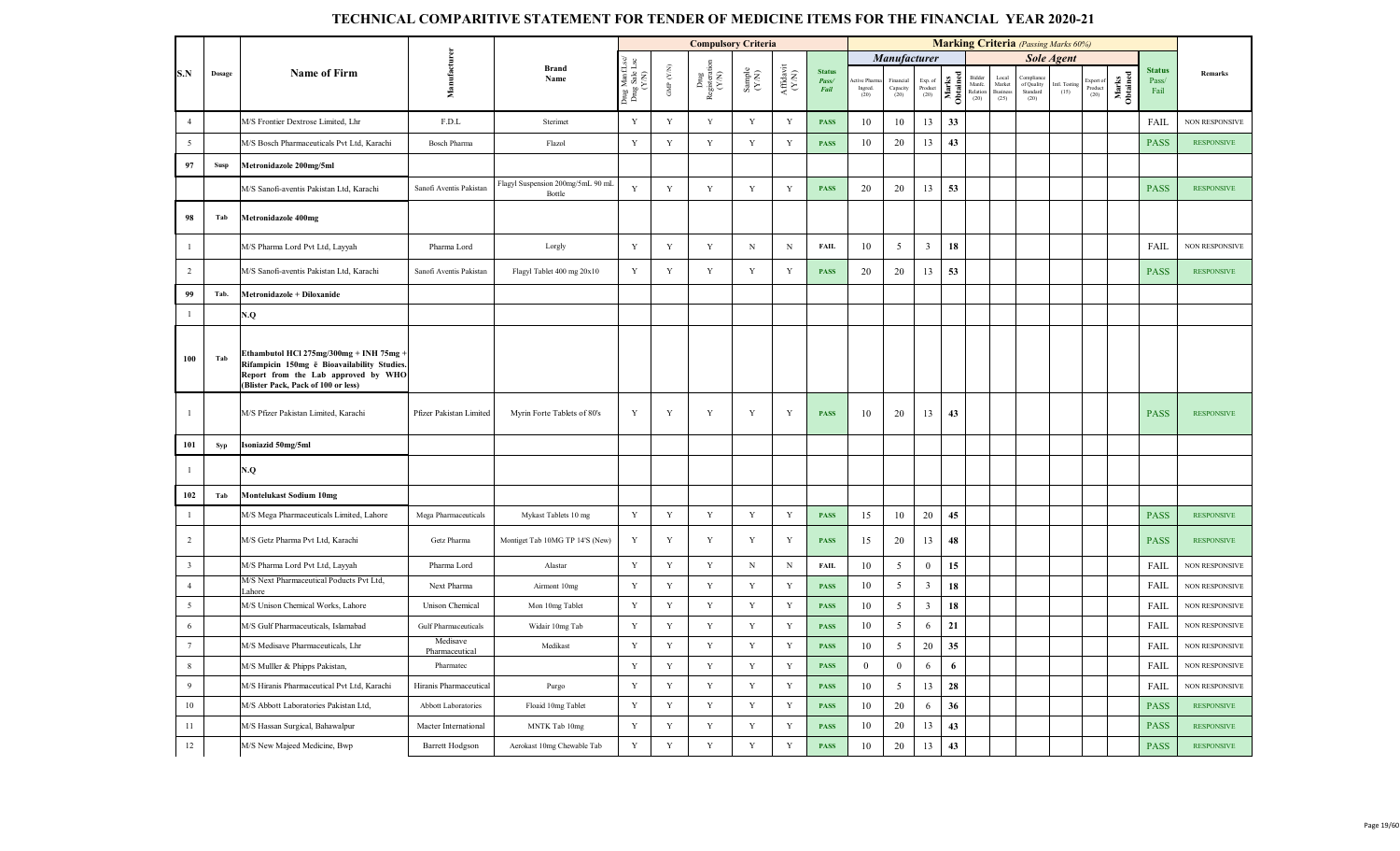|                 |        |                                                                                                                                                                      |                            |                                             |                                     |             | <b>Compulsory Criteria</b>                                               |                                                              |                                           |                                |                                 |                                |                                           |                   |                                      |                                           | <b>Marking Criteria</b> (Passing Marks 60%) |                       |                              |                   |                                |                       |
|-----------------|--------|----------------------------------------------------------------------------------------------------------------------------------------------------------------------|----------------------------|---------------------------------------------|-------------------------------------|-------------|--------------------------------------------------------------------------|--------------------------------------------------------------|-------------------------------------------|--------------------------------|---------------------------------|--------------------------------|-------------------------------------------|-------------------|--------------------------------------|-------------------------------------------|---------------------------------------------|-----------------------|------------------------------|-------------------|--------------------------------|-----------------------|
|                 |        |                                                                                                                                                                      |                            |                                             | i<br>1<br>1                         |             |                                                                          |                                                              |                                           |                                |                                 | <b>Manufacturer</b>            |                                           |                   |                                      |                                           |                                             | <b>Sole Agent</b>     |                              |                   |                                |                       |
| S.N             | Dosage | <b>Name of Firm</b>                                                                                                                                                  | Manufacture                | <b>Brand</b><br>Name                        | Drug Manf.I<br>Drug Sale I<br>(Y/N) | GMP (Y/N)   | $\begin{array}{c} \text{Dng} \\ \text{Registerati} \\ (Y/N) \end{array}$ | $\begin{array}{c} \text{Sample} \\ (\text{Y/N}) \end{array}$ | ${\bf Aff} {\bf davit} \atop ({\bf Y/N})$ | <b>Status</b><br>Pass/<br>Fail | tive Pharr<br>Ingred.<br>$(20)$ | Financia<br>Capacity<br>$(20)$ | $\mathop{\text{Exp. of}}$ Product<br>(20) | Marks<br>Obtained | Bidder<br>Manfc.<br>Relation<br>(20) | Local<br>Market<br><b>Busines</b><br>(25) | complian<br>of Quality<br>Standard<br>(20)  | Intl. Testing<br>(15) | Export of<br>Product<br>(20) | Marks<br>Obtained | <b>Status</b><br>Pass/<br>Fail | Remarks               |
| $\overline{4}$  |        | M/S Frontier Dextrose Limited, Lhr                                                                                                                                   | F.D.L                      | Sterimet                                    | $\mathbf Y$                         | $\mathbf Y$ | $\mathbf Y$                                                              | $\mathbf Y$                                                  | $\mathbf Y$                               | <b>PASS</b>                    | 10                              | 10                             | 13                                        | 33                |                                      |                                           |                                             |                       |                              |                   | FAIL                           | <b>NON RESPONSIVE</b> |
| 5               |        | M/S Bosch Pharmaceuticals Pvt Ltd, Karachi                                                                                                                           | Bosch Pharma               | Flazol                                      | $\mathbf Y$                         | $\mathbf Y$ | Y                                                                        | Y                                                            | $\mathbf Y$                               | <b>PASS</b>                    | 10                              | 20                             | 13                                        | 43                |                                      |                                           |                                             |                       |                              |                   | <b>PASS</b>                    | <b>RESPONSIVE</b>     |
| 97              | Susp   | Metronidazole 200mg/5ml                                                                                                                                              |                            |                                             |                                     |             |                                                                          |                                                              |                                           |                                |                                 |                                |                                           |                   |                                      |                                           |                                             |                       |                              |                   |                                |                       |
|                 |        | M/S Sanofi-aventis Pakistan Ltd, Karachi                                                                                                                             | Sanofi Aventis Pakistan    | Flagyl Suspension 200mg/5mL 90 mL<br>Bottle | Y                                   | Y           | Y                                                                        | Y                                                            | Y                                         | <b>PASS</b>                    | 20                              | 20                             | 13                                        | 53                |                                      |                                           |                                             |                       |                              |                   | <b>PASS</b>                    | <b>RESPONSIVE</b>     |
| 98              | Tab    | <b>Metronidazole 400mg</b>                                                                                                                                           |                            |                                             |                                     |             |                                                                          |                                                              |                                           |                                |                                 |                                |                                           |                   |                                      |                                           |                                             |                       |                              |                   |                                |                       |
| $\overline{1}$  |        | M/S Pharma Lord Pvt Ltd, Layyah                                                                                                                                      | Pharma Lord                | Lorgly                                      | $\mathbf Y$                         | Y           | Y                                                                        | $\, {\rm N}$                                                 | $\, {\rm N}$                              | <b>FAIL</b>                    | 10                              | $\mathfrak{S}$                 | $\overline{\mathbf{3}}$                   | 18                |                                      |                                           |                                             |                       |                              |                   | FAIL                           | <b>NON RESPONSIVE</b> |
| $\overline{2}$  |        | M/S Sanofi-aventis Pakistan Ltd, Karachi                                                                                                                             | Sanofi Aventis Pakistan    | Flagyl Tablet 400 mg 20x10                  | $\mathbf Y$                         | $\mathbf Y$ | $\mathbf Y$                                                              | $\mathbf Y$                                                  | Y                                         | <b>PASS</b>                    | 20                              | 20                             | 13                                        | 53                |                                      |                                           |                                             |                       |                              |                   | <b>PASS</b>                    | <b>RESPONSIVE</b>     |
| 99              | Tab.   | Metronidazole + Diloxanide                                                                                                                                           |                            |                                             |                                     |             |                                                                          |                                                              |                                           |                                |                                 |                                |                                           |                   |                                      |                                           |                                             |                       |                              |                   |                                |                       |
| $\overline{1}$  |        | N.Q                                                                                                                                                                  |                            |                                             |                                     |             |                                                                          |                                                              |                                           |                                |                                 |                                |                                           |                   |                                      |                                           |                                             |                       |                              |                   |                                |                       |
| 100             | Tab    | Ethambutol HCl 275mg/300mg + INH 75mg ·<br>Rifampicin 150mg ē Bioavailability Studies.<br>Report from the Lab approved by WHO<br>(Blister Pack, Pack of 100 or less) |                            |                                             |                                     |             |                                                                          |                                                              |                                           |                                |                                 |                                |                                           |                   |                                      |                                           |                                             |                       |                              |                   |                                |                       |
| $\overline{1}$  |        | M/S Pfizer Pakistan Limited, Karachi                                                                                                                                 | Pfizer Pakistan Limited    | Myrin Forte Tablets of 80's                 | Y                                   | Y           | Y                                                                        | $\mathbf Y$                                                  | Y                                         | <b>PASS</b>                    | 10                              | 20                             | 13                                        | 43                |                                      |                                           |                                             |                       |                              |                   | <b>PASS</b>                    | <b>RESPONSIVE</b>     |
| 101             | Syp    | Isoniazid 50mg/5ml                                                                                                                                                   |                            |                                             |                                     |             |                                                                          |                                                              |                                           |                                |                                 |                                |                                           |                   |                                      |                                           |                                             |                       |                              |                   |                                |                       |
|                 |        | N.Q                                                                                                                                                                  |                            |                                             |                                     |             |                                                                          |                                                              |                                           |                                |                                 |                                |                                           |                   |                                      |                                           |                                             |                       |                              |                   |                                |                       |
| 102             | Tab    | <b>Montelukast Sodium 10mg</b>                                                                                                                                       |                            |                                             |                                     |             |                                                                          |                                                              |                                           |                                |                                 |                                |                                           |                   |                                      |                                           |                                             |                       |                              |                   |                                |                       |
| $\mathbf{1}$    |        | M/S Mega Pharmaceuticals Limited, Lahore                                                                                                                             | Mega Pharmaceuticals       | Mykast Tablets 10 mg                        | $\mathbf Y$                         | Y           | $\mathbf Y$                                                              | $\mathbf Y$                                                  | $\mathbf Y$                               | <b>PASS</b>                    | 15                              | 10                             | 20                                        | 45                |                                      |                                           |                                             |                       |                              |                   | <b>PASS</b>                    | <b>RESPONSIVE</b>     |
| $\overline{2}$  |        | M/S Getz Pharma Pvt Ltd, Karachi                                                                                                                                     | Getz Pharma                | Montiget Tab 10MG TP 14'S (New)             | Y                                   | Y           | $\mathbf Y$                                                              | Y                                                            | Y                                         | <b>PASS</b>                    | 15                              | 20                             | 13                                        | 48                |                                      |                                           |                                             |                       |                              |                   | <b>PASS</b>                    | <b>RESPONSIVE</b>     |
| $\overline{3}$  |        | M/S Pharma Lord Pvt Ltd, Layyah                                                                                                                                      | Pharma Lord                | Alastar                                     | $\mathbf Y$                         | $\mathbf Y$ | $\mathbf Y$                                                              | $\mathbf N$                                                  | $\mathbf N$                               | <b>FAIL</b>                    | 10                              | 5                              | $\bf{0}$                                  | 15                |                                      |                                           |                                             |                       |                              |                   | FAIL                           | <b>NON RESPONSIVE</b> |
| $\overline{4}$  |        | M/S Next Pharmaceutical Poducts Pvt Ltd,<br>ahore                                                                                                                    | Next Pharma                | Airmont 10mg                                | Y                                   | Y           | Y                                                                        | Y                                                            | Y                                         | <b>PASS</b>                    | 10                              | 5                              | $\overline{\mathbf{3}}$                   | 18                |                                      |                                           |                                             |                       |                              |                   | <b>FAIL</b>                    | <b>NON RESPONSIVE</b> |
| 5               |        | M/S Unison Chemical Works, Lahore                                                                                                                                    | Unison Chemical            | Mon 10mg Tablet                             | $\mathbf Y$                         | $\mathbf Y$ | $\mathbf Y$                                                              | $\mathbf Y$                                                  | $\mathbf Y$                               | <b>PASS</b>                    | 10                              | $5\overline{)}$                | $\overline{3}$                            | 18                |                                      |                                           |                                             |                       |                              |                   | FAIL                           | <b>NON RESPONSIVE</b> |
| 6               |        | M/S Gulf Pharmaceuticals, Islamabad                                                                                                                                  | Gulf Pharmaceuticals       | Widair 10mg Tab                             | $\mathbf Y$                         | $\mathbf Y$ | $\mathbf Y$                                                              | $\mathbf Y$                                                  | $\mathbf Y$                               | <b>PASS</b>                    | $10\,$                          | $5\overline{)}$                | 6                                         | 21                |                                      |                                           |                                             |                       |                              |                   | FAIL                           | <b>NON RESPONSIVE</b> |
| $7\phantom{.0}$ |        | M/S Medisave Pharmaceuticals, Lhr                                                                                                                                    | Medisave<br>Pharmaceutical | Medikast                                    | Y                                   | Y           | Y                                                                        | Y                                                            | Y                                         | <b>PASS</b>                    | 10                              | 5                              | 20                                        | 35                |                                      |                                           |                                             |                       |                              |                   | FAIL                           | <b>NON RESPONSIVE</b> |
| $\,8\,$         |        | M/S Mulller & Phipps Pakistan,                                                                                                                                       | Pharmatec                  |                                             | $\mathbf Y$                         | $\mathbf Y$ | Y                                                                        | $\mathbf Y$                                                  | $\mathbf Y$                               | <b>PASS</b>                    | $\overline{0}$                  | $\overline{0}$                 | 6                                         | 6                 |                                      |                                           |                                             |                       |                              |                   | <b>FAIL</b>                    | <b>NON RESPONSIVE</b> |
| $\overline{9}$  |        | M/S Hiranis Pharmaceutical Pvt Ltd, Karachi                                                                                                                          | Hiranis Pharmaceutical     | Purgo                                       | $\mathbf Y$                         | $\mathbf Y$ | $\mathbf Y$                                                              | $\mathbf Y$                                                  | $\mathbf Y$                               | <b>PASS</b>                    | 10                              | 5                              | 13                                        | 28                |                                      |                                           |                                             |                       |                              |                   | FAIL                           | <b>NON RESPONSIVE</b> |
| 10              |        | M/S Abbott Laboratories Pakistan Ltd.                                                                                                                                | Abbott Laboratories        | Floaid 10mg Tablet                          | $\mathbf Y$                         | Y           | $\mathbf Y$                                                              | $\mathbf Y$                                                  | $\mathbf Y$                               | <b>PASS</b>                    | 10                              | 20                             | 6                                         | 36                |                                      |                                           |                                             |                       |                              |                   | <b>PASS</b>                    | <b>RESPONSIVE</b>     |
| 11              |        | M/S Hassan Surgical, Bahawalpur                                                                                                                                      | Macter International       | MNTK Tab 10mg                               | Y                                   | Y           | Y                                                                        | Y                                                            | $\mathbf Y$                               | <b>PASS</b>                    | $10\,$                          | 20                             | 13                                        | 43                |                                      |                                           |                                             |                       |                              |                   | <b>PASS</b>                    | <b>RESPONSIVE</b>     |
| 12              |        | M/S New Majeed Medicine, Bwp                                                                                                                                         | <b>Barrett Hodgson</b>     | Aerokast 10mg Chewable Tab                  | $\mathbf Y$                         | $\mathbf Y$ | $\mathbf Y$                                                              | $\mathbf Y$                                                  | $\mathbf Y$                               | <b>PASS</b>                    | 10                              | 20                             | 13                                        | 43                |                                      |                                           |                                             |                       |                              |                   | <b>PASS</b>                    | <b>RESPONSIVE</b>     |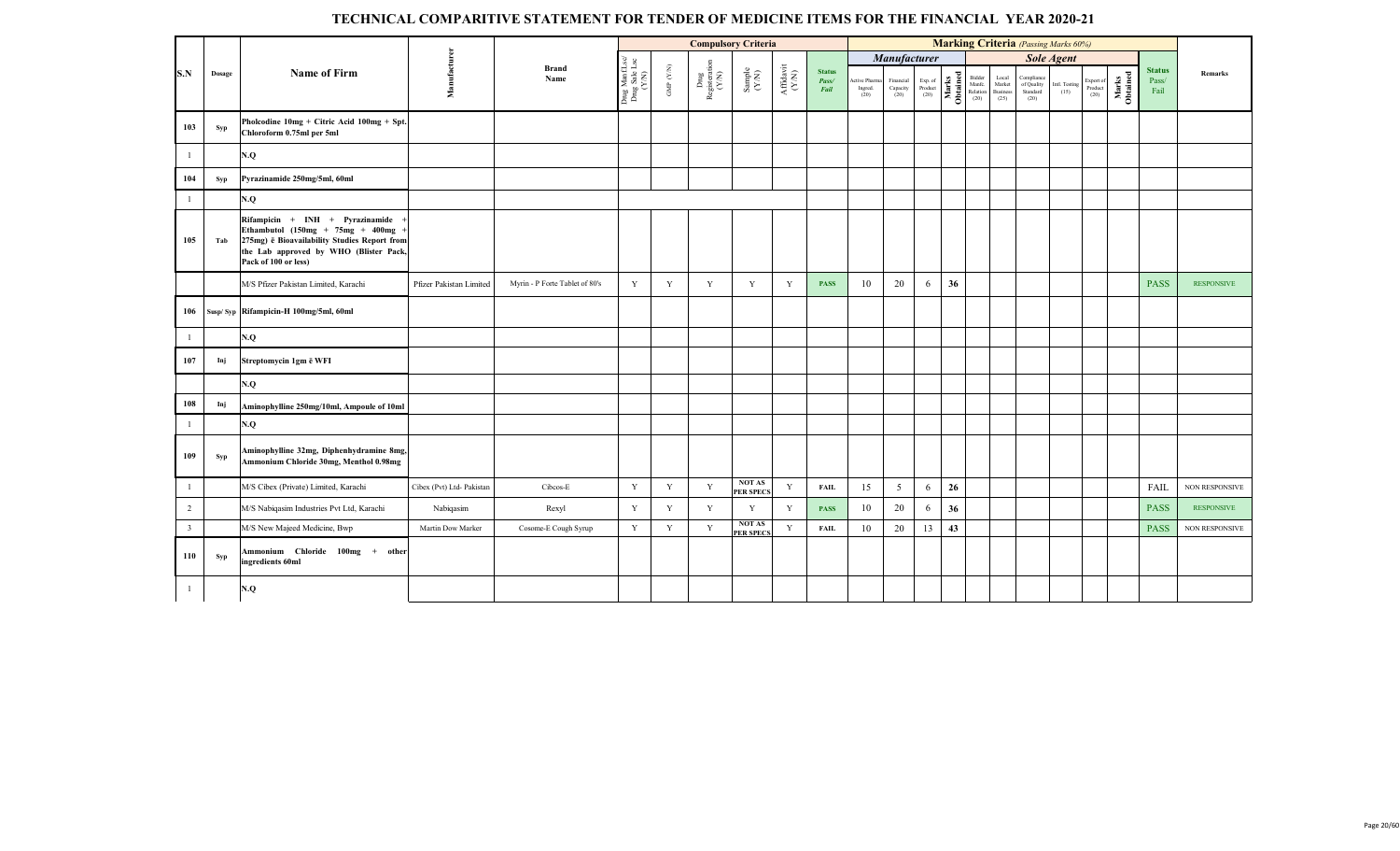|                         |        |                                                                                                                                                                                          |                           |                                |                                          |                      | <b>Compulsory Criteria</b>     |                                                             |                                       |                                |                                    |                               |                            |                   |                                   |                                                          |                                              | <b>Marking Criteria</b> (Passing Marks 60%) |                                                                         |                   |                                |                       |
|-------------------------|--------|------------------------------------------------------------------------------------------------------------------------------------------------------------------------------------------|---------------------------|--------------------------------|------------------------------------------|----------------------|--------------------------------|-------------------------------------------------------------|---------------------------------------|--------------------------------|------------------------------------|-------------------------------|----------------------------|-------------------|-----------------------------------|----------------------------------------------------------|----------------------------------------------|---------------------------------------------|-------------------------------------------------------------------------|-------------------|--------------------------------|-----------------------|
|                         |        |                                                                                                                                                                                          |                           |                                |                                          |                      |                                |                                                             |                                       |                                |                                    | Manufacturer                  |                            |                   |                                   |                                                          |                                              | Sole Agent                                  |                                                                         |                   |                                |                       |
| S.N                     | Dosage | <b>Name of Firm</b>                                                                                                                                                                      | Manufacturer              | <b>Brand</b><br>Name           | Drug Manf.Lsc/<br>Drug Sale Lsc<br>(Y/N) | GMP $(\mathbf{Y/N})$ | Dnıg<br>Registeration<br>(Y/N) | $\begin{array}{c} \text{Sample} \\ (\text{YM}) \end{array}$ | $\frac{\text{Affdavit}}{\text{N-N)}}$ | <b>Status</b><br>Pass/<br>Fail | Active Pharma<br>Ingred.<br>$(20)$ | Financial<br>Capacity<br>(20) | Exp. of<br>Product<br>(20) | Marks<br>Obtained | Bidder<br>Manfe.<br>Relation (20) | $\frac{\text{Local}}{\text{Market}}$<br>Business<br>(25) | Compliance<br>of Quality<br>Standard<br>(20) | Intl. Testing<br>(15)                       | $\begin{array}{c} \text{Expert of}\\ \text{Product}\\ (20) \end{array}$ | Marks<br>Obtained | <b>Status</b><br>Pass/<br>Fail | Remarks               |
| 103                     | Syp    | Pholcodine 10mg + Citric Acid 100mg + Spt.<br>Chloroform 0.75ml per 5ml                                                                                                                  |                           |                                |                                          |                      |                                |                                                             |                                       |                                |                                    |                               |                            |                   |                                   |                                                          |                                              |                                             |                                                                         |                   |                                |                       |
|                         |        | N.Q                                                                                                                                                                                      |                           |                                |                                          |                      |                                |                                                             |                                       |                                |                                    |                               |                            |                   |                                   |                                                          |                                              |                                             |                                                                         |                   |                                |                       |
| 104                     | Syp    | Pyrazinamide 250mg/5ml, 60ml                                                                                                                                                             |                           |                                |                                          |                      |                                |                                                             |                                       |                                |                                    |                               |                            |                   |                                   |                                                          |                                              |                                             |                                                                         |                   |                                |                       |
|                         |        | N.Q                                                                                                                                                                                      |                           |                                |                                          |                      |                                |                                                             |                                       |                                |                                    |                               |                            |                   |                                   |                                                          |                                              |                                             |                                                                         |                   |                                |                       |
| 105                     | Tab    | Rifampicin + INH + Pyrazinamide<br>Ethambutol $(150mg + 75mg + 400mg)$<br>275mg) ë Bioavailability Studies Report from<br>the Lab approved by WHO (Blister Pack,<br>Pack of 100 or less) |                           |                                |                                          |                      |                                |                                                             |                                       |                                |                                    |                               |                            |                   |                                   |                                                          |                                              |                                             |                                                                         |                   |                                |                       |
|                         |        | M/S Pfizer Pakistan Limited, Karachi                                                                                                                                                     | Pfizer Pakistan Limited   | Myrin - P Forte Tablet of 80's | $\mathbf Y$                              | Y                    | Y                              | Y                                                           | Y                                     | <b>PASS</b>                    | 10                                 | 20                            | 6                          | 36                |                                   |                                                          |                                              |                                             |                                                                         |                   | <b>PASS</b>                    | <b>RESPONSIVE</b>     |
| 106                     |        | Susp/Syp Rifampicin-H 100mg/5ml, 60ml                                                                                                                                                    |                           |                                |                                          |                      |                                |                                                             |                                       |                                |                                    |                               |                            |                   |                                   |                                                          |                                              |                                             |                                                                         |                   |                                |                       |
|                         |        | N.Q                                                                                                                                                                                      |                           |                                |                                          |                      |                                |                                                             |                                       |                                |                                    |                               |                            |                   |                                   |                                                          |                                              |                                             |                                                                         |                   |                                |                       |
| 107                     | Inj    | Streptomycin 1gm ē WFI                                                                                                                                                                   |                           |                                |                                          |                      |                                |                                                             |                                       |                                |                                    |                               |                            |                   |                                   |                                                          |                                              |                                             |                                                                         |                   |                                |                       |
|                         |        | N.Q                                                                                                                                                                                      |                           |                                |                                          |                      |                                |                                                             |                                       |                                |                                    |                               |                            |                   |                                   |                                                          |                                              |                                             |                                                                         |                   |                                |                       |
| 108                     | Inj    | Aminophylline 250mg/10ml, Ampoule of 10ml                                                                                                                                                |                           |                                |                                          |                      |                                |                                                             |                                       |                                |                                    |                               |                            |                   |                                   |                                                          |                                              |                                             |                                                                         |                   |                                |                       |
|                         |        | N.Q                                                                                                                                                                                      |                           |                                |                                          |                      |                                |                                                             |                                       |                                |                                    |                               |                            |                   |                                   |                                                          |                                              |                                             |                                                                         |                   |                                |                       |
| 109                     | Syp    | Aminophylline 32mg, Diphenhydramine 8mg,<br>Ammonium Chloride 30mg, Menthol 0.98mg                                                                                                       |                           |                                |                                          |                      |                                |                                                             |                                       |                                |                                    |                               |                            |                   |                                   |                                                          |                                              |                                             |                                                                         |                   |                                |                       |
|                         |        | M/S Cibex (Private) Limited, Karachi                                                                                                                                                     | Cibex (Pvt) Ltd- Pakistan | Cibcos-E                       | $\mathbf Y$                              | $\mathbf Y$          | $\mathbf Y$                    | <b>NOT AS</b><br><b>PER SPECS</b>                           | $\mathbf Y$                           | FAIL                           | 15                                 | $\mathfrak{S}$                | 6                          | 26                |                                   |                                                          |                                              |                                             |                                                                         |                   | FAIL                           | <b>NON RESPONSIVE</b> |
| $\overline{2}$          |        | M/S Nabiqasim Industries Pvt Ltd, Karachi                                                                                                                                                | Nabiqasim                 | Rexyl                          | $\mathbf Y$                              | Y                    | Y                              | $\mathbf Y$                                                 | $\mathbf Y$                           | <b>PASS</b>                    | 10                                 | 20                            | 6                          | 36                |                                   |                                                          |                                              |                                             |                                                                         |                   | <b>PASS</b>                    | <b>RESPONSIVE</b>     |
| $\overline{\mathbf{3}}$ |        | M/S New Majeed Medicine, Bwp                                                                                                                                                             | Martin Dow Marker         | Cosome-E Cough Syrup           | Y                                        | Y                    | Y                              | <b>NOT AS</b><br><b>PER SPECS</b>                           | $\mathbf Y$                           | <b>FAIL</b>                    | 10                                 | 20                            | 13                         | 43                |                                   |                                                          |                                              |                                             |                                                                         |                   | <b>PASS</b>                    | <b>NON RESPONSIVE</b> |
| 110                     | Syp    | Ammonium Chloride 100mg + other<br>ingredients 60ml                                                                                                                                      |                           |                                |                                          |                      |                                |                                                             |                                       |                                |                                    |                               |                            |                   |                                   |                                                          |                                              |                                             |                                                                         |                   |                                |                       |
|                         |        | N.Q                                                                                                                                                                                      |                           |                                |                                          |                      |                                |                                                             |                                       |                                |                                    |                               |                            |                   |                                   |                                                          |                                              |                                             |                                                                         |                   |                                |                       |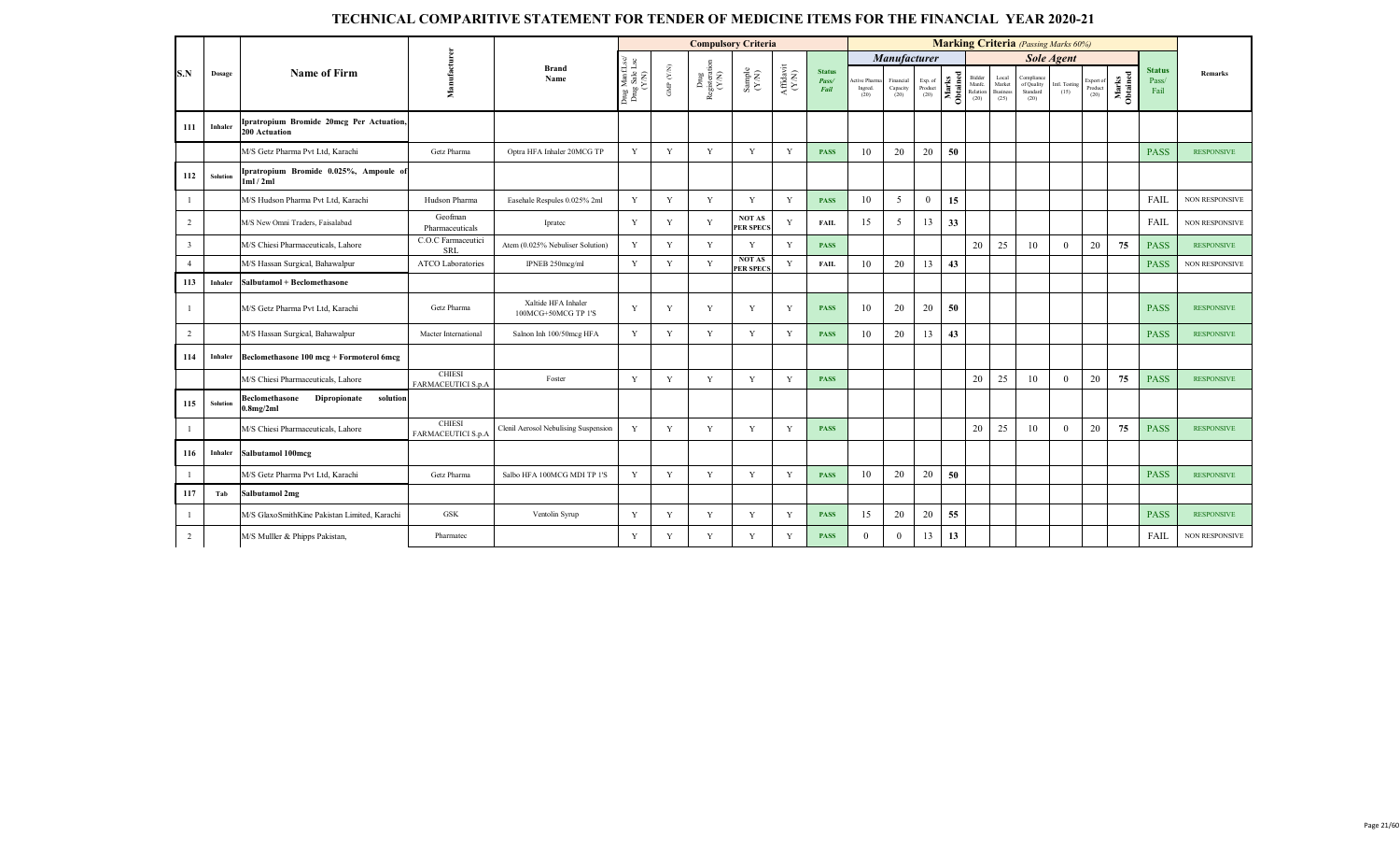|                         |          |                                                                  |                                     |                                            |                                         |                      | <b>Compulsory Criteria</b>      |                                                             |                   |                                |                                  |                               |                            |                   |                                   |                                     | <b>Marking Criteria</b> (Passing Marks 60%)  |                      |                              |                   |                                |                       |
|-------------------------|----------|------------------------------------------------------------------|-------------------------------------|--------------------------------------------|-----------------------------------------|----------------------|---------------------------------|-------------------------------------------------------------|-------------------|--------------------------------|----------------------------------|-------------------------------|----------------------------|-------------------|-----------------------------------|-------------------------------------|----------------------------------------------|----------------------|------------------------------|-------------------|--------------------------------|-----------------------|
|                         |          |                                                                  |                                     |                                            |                                         |                      |                                 |                                                             |                   |                                |                                  | Manufacturer                  |                            |                   |                                   |                                     |                                              | <b>Sole Agent</b>    |                              |                   |                                |                       |
| S.N                     | Dosage   | Name of Firm                                                     | Manufact                            | <b>Brand</b><br>Name                       | Drug ManfLsc/<br>Drug Sale Lsc<br>(Y/N) | GMP $(\mathbf{Y/N})$ | ${\rm Dng}$ Registeration (Y/N) | $\begin{array}{c} \text{Sample} \\ (\text{YN}) \end{array}$ | Affidavit<br>(YN) | <b>Status</b><br>Pass/<br>Fail | Active Pharma<br>Ingred.<br>(20) | Financial<br>Capacity<br>(20) | Exp. of<br>Product<br>(20) | Marks<br>Obtained | Bidder<br>Manfe.<br>Relation (20) | Local<br>Market<br>Business<br>(25) | Compliance<br>of Quality<br>Standard<br>(20) | ntl. Testing<br>(15) | Export of<br>Product<br>(20) | Marks<br>Obtained | <b>Status</b><br>Pass/<br>Fail | Remarks               |
| 111                     | Inhaler  | Ipratropium Bromide 20mcg Per Actuation,<br><b>200 Actuation</b> |                                     |                                            |                                         |                      |                                 |                                                             |                   |                                |                                  |                               |                            |                   |                                   |                                     |                                              |                      |                              |                   |                                |                       |
|                         |          | M/S Getz Pharma Pvt Ltd, Karachi                                 | Getz Pharma                         | Optra HFA Inhaler 20MCG TP                 | Y                                       | Y                    | Y                               | Y                                                           | Y                 | <b>PASS</b>                    | 10                               | 20                            | 20                         | 50                |                                   |                                     |                                              |                      |                              |                   | <b>PASS</b>                    | <b>RESPONSIVE</b>     |
| 112                     | Solution | Ipratropium Bromide 0.025%, Ampoule of<br>1ml/2ml                |                                     |                                            |                                         |                      |                                 |                                                             |                   |                                |                                  |                               |                            |                   |                                   |                                     |                                              |                      |                              |                   |                                |                       |
| -1                      |          | M/S Hudson Pharma Pvt Ltd, Karachi                               | Hudson Pharma                       | Easehale Respules 0.025% 2ml               | Y                                       | Y                    | Y                               | Y                                                           | Y                 | <b>PASS</b>                    | 10                               | 5                             | $\mathbf{0}$               | 15                |                                   |                                     |                                              |                      |                              |                   | FAIL                           | <b>NON RESPONSIVE</b> |
| $\overline{2}$          |          | M/S New Omni Traders, Faisalabad                                 | Geofman<br>Pharmaceuticals          | Ipratec                                    | Y                                       | Y                    | Y                               | <b>NOT AS</b><br><b>PER SPECS</b>                           | Y                 | <b>FAIL</b>                    | 15                               | 5                             | 13                         | 33                |                                   |                                     |                                              |                      |                              |                   | FAIL                           | <b>NON RESPONSIVE</b> |
| $\overline{\mathbf{3}}$ |          | M/S Chiesi Pharmaceuticals, Lahore                               | C.O.C Farmaceutici<br><b>SRL</b>    | Atem (0.025% Nebuliser Solution)           | Y                                       | Y                    | Y                               | Y                                                           | Y                 | <b>PASS</b>                    |                                  |                               |                            |                   | 20                                | 25                                  | 10                                           | $\Omega$             | 20                           | 75                | <b>PASS</b>                    | <b>RESPONSIVE</b>     |
| $\overline{4}$          |          | M/S Hassan Surgical, Bahawalpur                                  | ATCO Laboratories                   | IPNEB 250mcg/ml                            | Y                                       | Y                    | Y                               | <b>NOT AS</b><br><b>PER SPECS</b>                           | Y                 | FAIL                           | 10                               | 20                            | 13                         | 43                |                                   |                                     |                                              |                      |                              |                   | <b>PASS</b>                    | <b>NON RESPONSIVE</b> |
| 113                     | Inhaler  | Salbutamol + Beclomethasone                                      |                                     |                                            |                                         |                      |                                 |                                                             |                   |                                |                                  |                               |                            |                   |                                   |                                     |                                              |                      |                              |                   |                                |                       |
|                         |          | M/S Getz Pharma Pvt Ltd, Karachi                                 | Getz Pharma                         | Xaltide HFA Inhaler<br>100MCG+50MCG TP 1'S | Y                                       | Y                    | Y                               | Y                                                           | Y                 | <b>PASS</b>                    | 10                               | 20                            | 20                         | 50                |                                   |                                     |                                              |                      |                              |                   | <b>PASS</b>                    | <b>RESPONSIVE</b>     |
| $\overline{2}$          |          | M/S Hassan Surgical, Bahawalpur                                  | Macter International                | Salnon Inh 100/50mcg HFA                   | Y                                       | Y                    | Y                               | Y                                                           | Y                 | <b>PASS</b>                    | 10                               | 20                            | 13                         | 43                |                                   |                                     |                                              |                      |                              |                   | <b>PASS</b>                    | <b>RESPONSIVE</b>     |
| 114                     | Inhaler  | Beclomethasone 100 mcg + Formoterol 6mcg                         |                                     |                                            |                                         |                      |                                 |                                                             |                   |                                |                                  |                               |                            |                   |                                   |                                     |                                              |                      |                              |                   |                                |                       |
|                         |          | M/S Chiesi Pharmaceuticals, Lahore                               | <b>CHIESI</b><br>FARMACEUTICI S.p.A | Foster                                     | Y                                       | Y                    | Y                               | Y                                                           | Y                 | <b>PASS</b>                    |                                  |                               |                            |                   | 20                                | 25                                  | 10                                           | $\overline{0}$       | 20                           | 75                | <b>PASS</b>                    | <b>RESPONSIVE</b>     |
| 115                     | Solution | solution<br>Beclomethasone<br>Dipropionate<br>$0.8$ mg/ $2$ ml   |                                     |                                            |                                         |                      |                                 |                                                             |                   |                                |                                  |                               |                            |                   |                                   |                                     |                                              |                      |                              |                   |                                |                       |
|                         |          | M/S Chiesi Pharmaceuticals, Lahore                               | <b>CHIESI</b><br>FARMACEUTICI S.p.A | Clenil Aerosol Nebulising Suspension       | Y                                       | Y                    | Y                               | Y                                                           | Y                 | <b>PASS</b>                    |                                  |                               |                            |                   | 20                                | 25                                  | 10                                           | $\Omega$             | 20                           | 75                | <b>PASS</b>                    | <b>RESPONSIVE</b>     |
| 116                     | Inhaler  | Salbutamol 100mcg                                                |                                     |                                            |                                         |                      |                                 |                                                             |                   |                                |                                  |                               |                            |                   |                                   |                                     |                                              |                      |                              |                   |                                |                       |
| $\overline{1}$          |          | M/S Getz Pharma Pvt Ltd. Karachi                                 | Getz Pharma                         | Salbo HFA 100MCG MDI TP 1'S                | Y                                       | Y                    | Y                               | Y                                                           | Y                 | <b>PASS</b>                    | 10                               | 20                            | 20                         | 50                |                                   |                                     |                                              |                      |                              |                   | <b>PASS</b>                    | <b>RESPONSIVE</b>     |
| 117                     | Tab      | Salbutamol 2mg                                                   |                                     |                                            |                                         |                      |                                 |                                                             |                   |                                |                                  |                               |                            |                   |                                   |                                     |                                              |                      |                              |                   |                                |                       |
|                         |          | M/S GlaxoSmithKine Pakistan Limited, Karachi                     | <b>GSK</b>                          | Ventolin Syrup                             | Y                                       | Y                    | Y                               | Y                                                           | Y                 | <b>PASS</b>                    | 15                               | 20                            | 20                         | 55                |                                   |                                     |                                              |                      |                              |                   | <b>PASS</b>                    | <b>RESPONSIVE</b>     |
| $\overline{2}$          |          | M/S Mulller & Phipps Pakistan,                                   | Pharmatec                           |                                            | Y                                       | Y                    | Y                               | Y                                                           | Y                 | <b>PASS</b>                    | $\mathbf{0}$                     | $\boldsymbol{0}$              | 13                         | 13                |                                   |                                     |                                              |                      |                              |                   | <b>FAIL</b>                    | <b>NON RESPONSIVE</b> |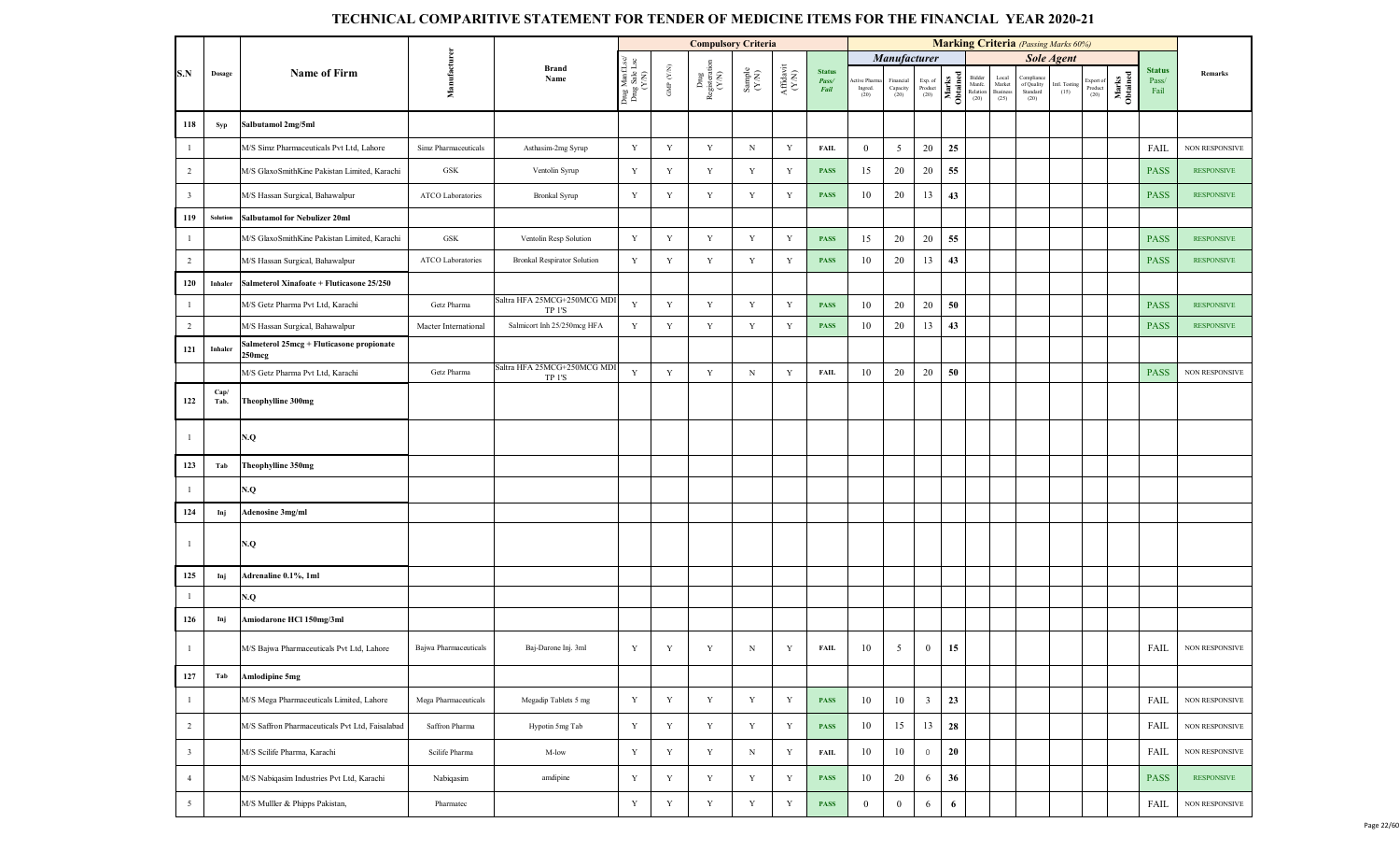|                         |                 |                                                     |                       |                                       |                                         |                    | <b>Compulsory Criteria</b>     |                                                              |                                           |                                |                                 |                                 |                            |                   |                                      |                                     | <b>Marking Criteria</b> (Passing Marks 60%) |                       |                             |                   |                                |                       |
|-------------------------|-----------------|-----------------------------------------------------|-----------------------|---------------------------------------|-----------------------------------------|--------------------|--------------------------------|--------------------------------------------------------------|-------------------------------------------|--------------------------------|---------------------------------|---------------------------------|----------------------------|-------------------|--------------------------------------|-------------------------------------|---------------------------------------------|-----------------------|-----------------------------|-------------------|--------------------------------|-----------------------|
|                         |                 |                                                     |                       |                                       |                                         |                    |                                |                                                              |                                           |                                |                                 | Manufacturer                    |                            |                   |                                      |                                     |                                             | <b>Sole Agent</b>     |                             |                   |                                |                       |
| S.N                     | Dosage          | <b>Name of Firm</b>                                 | Manufacturen          | <b>Brand</b><br>Name                  | Drug ManfLsc/<br>Drug Sale Lsc<br>(Y/N) | GMP $(\text{Y/N})$ | Drug<br>Registeration<br>(Y/N) | $\begin{array}{c} \text{Sample} \\ (\text{Y/N}) \end{array}$ | ${\bf Aff} {\bf davit} \atop ({\bf Y/N})$ | <b>Status</b><br>Pass/<br>Fail | Active Pharm<br>Ingred.<br>(20) | Financial<br>Capacity<br>$(20)$ | Exp. of<br>Product<br>(20) | Marks<br>Obtained | Bidder<br>Manfe.<br>Relation<br>(20) | Local<br>Market<br>Business<br>(25) | Compliano<br>of Quality<br>Standard<br>(20) | Intl. Testing<br>(15) | xport of<br>Product<br>(20) | Marks<br>Obtained | <b>Status</b><br>Pass/<br>Fail | Remarks               |
| 118                     | Syp             | Salbutamol 2mg/5ml                                  |                       |                                       |                                         |                    |                                |                                                              |                                           |                                |                                 |                                 |                            |                   |                                      |                                     |                                             |                       |                             |                   |                                |                       |
| $\mathbf{1}$            |                 | M/S Simz Pharmaceuticals Pvt Ltd, Lahore            | Simz Pharmaceuticals  | Asthasim-2mg Syrup                    | Y                                       | $\mathbf Y$        | Y                              | $\, {\rm N}$                                                 | Y                                         | <b>FAIL</b>                    | $\mathbf{0}$                    | $\overline{5}$                  | 20                         | 25                |                                      |                                     |                                             |                       |                             |                   | FAIL                           | NON RESPONSIVE        |
| $\overline{2}$          |                 | M/S GlaxoSmithKine Pakistan Limited, Karachi        | GSK                   | Ventolin Syrup                        | Y                                       | $\mathbf Y$        | Y                              | $\mathbf Y$                                                  | Y                                         | <b>PASS</b>                    | 15                              | 20                              | $20\,$                     | 55                |                                      |                                     |                                             |                       |                             |                   | <b>PASS</b>                    | <b>RESPONSIVE</b>     |
| $\overline{\mathbf{3}}$ |                 | M/S Hassan Surgical, Bahawalpur                     | ATCO Laboratories     | Bronkal Syrup                         | Y                                       | $\mathbf Y$        | Y                              | $\mathbf Y$                                                  | Y                                         | <b>PASS</b>                    | 10                              | 20                              | 13                         | 43                |                                      |                                     |                                             |                       |                             |                   | <b>PASS</b>                    | <b>RESPONSIVE</b>     |
| 119                     | <b>Solution</b> | Salbutamol for Nebulizer 20ml                       |                       |                                       |                                         |                    |                                |                                                              |                                           |                                |                                 |                                 |                            |                   |                                      |                                     |                                             |                       |                             |                   |                                |                       |
| $\mathbf{1}$            |                 | M/S GlaxoSmithKine Pakistan Limited, Karachi        | GSK                   | Ventolin Resp Solution                | $\mathbf Y$                             | $\mathbf Y$        | Y                              | Y                                                            | Y                                         | PASS                           | 15                              | 20                              | 20                         | 55                |                                      |                                     |                                             |                       |                             |                   | <b>PASS</b>                    | <b>RESPONSIVE</b>     |
| $\overline{2}$          |                 | M/S Hassan Surgical, Bahawalpur                     | ATCO Laboratories     | <b>Bronkal Respirator Solution</b>    | Y                                       | $\mathbf Y$        | Y                              | $\mathbf Y$                                                  | Y                                         | <b>PASS</b>                    | 10                              | 20                              | 13                         | 43                |                                      |                                     |                                             |                       |                             |                   | <b>PASS</b>                    | <b>RESPONSIVE</b>     |
| 120                     | Inhaler         | Salmeterol Xinafoate + Fluticasone 25/250           |                       |                                       |                                         |                    |                                |                                                              |                                           |                                |                                 |                                 |                            |                   |                                      |                                     |                                             |                       |                             |                   |                                |                       |
| $\mathbf{1}$            |                 | M/S Getz Pharma Pvt Ltd, Karachi                    | Getz Pharma           | Saltra HFA 25MCG+250MCG MDI<br>TP 1'S | $\mathbf Y$                             | $\mathbf Y$        | $\mathbf Y$                    | Y                                                            | Y                                         | <b>PASS</b>                    | 10                              | 20                              | $20\,$                     | 50                |                                      |                                     |                                             |                       |                             |                   | <b>PASS</b>                    | <b>RESPONSIVE</b>     |
| $\overline{2}$          |                 | M/S Hassan Surgical, Bahawalpur                     | Macter International  | Salmicort Inh 25/250mcg HFA           | Y                                       | $\mathbf Y$        | Y                              | $\mathbf Y$                                                  | $\mathbf Y$                               | <b>PASS</b>                    | 10                              | 20                              | 13                         | 43                |                                      |                                     |                                             |                       |                             |                   | <b>PASS</b>                    | <b>RESPONSIVE</b>     |
| 121                     | Inhaler         | Salmeterol 25mcg + Fluticasone propionate<br>250mcg |                       |                                       |                                         |                    |                                |                                                              |                                           |                                |                                 |                                 |                            |                   |                                      |                                     |                                             |                       |                             |                   |                                |                       |
|                         |                 | M/S Getz Pharma Pvt Ltd, Karachi                    | Getz Pharma           | Saltra HFA 25MCG+250MCG MDI<br>TP 1'S | $\mathbf Y$                             | $\mathbf Y$        | Y                              | $\mathbf N$                                                  | $\mathbf Y$                               | <b>FAIL</b>                    | 10                              | 20                              | 20                         | 50                |                                      |                                     |                                             |                       |                             |                   | <b>PASS</b>                    | <b>NON RESPONSIVE</b> |
| 122                     | Cap/<br>Tab.    | Theophylline 300mg                                  |                       |                                       |                                         |                    |                                |                                                              |                                           |                                |                                 |                                 |                            |                   |                                      |                                     |                                             |                       |                             |                   |                                |                       |
| $\mathbf{1}$            |                 | N.Q                                                 |                       |                                       |                                         |                    |                                |                                                              |                                           |                                |                                 |                                 |                            |                   |                                      |                                     |                                             |                       |                             |                   |                                |                       |
| 123                     | Tab             | Theophylline 350mg                                  |                       |                                       |                                         |                    |                                |                                                              |                                           |                                |                                 |                                 |                            |                   |                                      |                                     |                                             |                       |                             |                   |                                |                       |
| $\mathbf{1}$            |                 | N.Q                                                 |                       |                                       |                                         |                    |                                |                                                              |                                           |                                |                                 |                                 |                            |                   |                                      |                                     |                                             |                       |                             |                   |                                |                       |
| 124                     | Inj             | <b>Adenosine 3mg/ml</b>                             |                       |                                       |                                         |                    |                                |                                                              |                                           |                                |                                 |                                 |                            |                   |                                      |                                     |                                             |                       |                             |                   |                                |                       |
| $\mathbf{1}$            |                 | N.Q                                                 |                       |                                       |                                         |                    |                                |                                                              |                                           |                                |                                 |                                 |                            |                   |                                      |                                     |                                             |                       |                             |                   |                                |                       |
| 125                     | Inj             | Adrenaline 0.1%, 1ml                                |                       |                                       |                                         |                    |                                |                                                              |                                           |                                |                                 |                                 |                            |                   |                                      |                                     |                                             |                       |                             |                   |                                |                       |
| $\mathbf{1}$            |                 | N.Q                                                 |                       |                                       |                                         |                    |                                |                                                              |                                           |                                |                                 |                                 |                            |                   |                                      |                                     |                                             |                       |                             |                   |                                |                       |
| 126                     | Inj             | Amiodarone HCl 150mg/3ml                            |                       |                                       |                                         |                    |                                |                                                              |                                           |                                |                                 |                                 |                            |                   |                                      |                                     |                                             |                       |                             |                   |                                |                       |
| $\mathbf{1}$            |                 | M/S Bajwa Pharmaceuticals Pvt Ltd, Lahore           | Bajwa Pharmaceuticals | Baj-Darone Inj. 3ml                   | Y                                       | $\mathbf Y$        | Y                              | $\, {\rm N}$                                                 | Y                                         | <b>FAIL</b>                    | 10                              | $\overline{5}$                  | $\mathbf{0}$               | 15                |                                      |                                     |                                             |                       |                             |                   | FAIL                           | <b>NON RESPONSIVE</b> |
| 127                     | Tab             | <b>Amlodipine 5mg</b>                               |                       |                                       |                                         |                    |                                |                                                              |                                           |                                |                                 |                                 |                            |                   |                                      |                                     |                                             |                       |                             |                   |                                |                       |
| $\mathbf{1}$            |                 | M/S Mega Pharmaceuticals Limited, Lahore            | Mega Pharmaceuticals  | Megadip Tablets 5 mg                  | $\mathbf Y$                             | $\mathbf Y$        | Y                              | $\mathbf Y$                                                  | $\mathbf Y$                               | <b>PASS</b>                    | 10                              | 10                              | $\overline{\mathbf{3}}$    | 23                |                                      |                                     |                                             |                       |                             |                   | FAIL                           | NON RESPONSIVE        |
| $\overline{2}$          |                 | M/S Saffron Pharmaceuticals Pvt Ltd, Faisalabad     | Saffron Pharma        | Hypotin 5mg Tab                       | $\mathbf Y$                             | $\mathbf Y$        | $\mathbf Y$                    | $\mathbf Y$                                                  | $\mathbf Y$                               | <b>PASS</b>                    | 10                              | 15                              | 13                         | 28                |                                      |                                     |                                             |                       |                             |                   | FAIL                           | NON RESPONSIVE        |
| $\overline{\mathbf{3}}$ |                 | M/S Scilife Pharma, Karachi                         | Scilife Pharma        | M-low                                 | $\mathbf Y$                             | $\mathbf Y$        | Y                              | $_{\rm N}$                                                   | $\mathbf Y$                               | <b>FAIL</b>                    | 10                              | 10                              | $\,0\,$                    | 20                |                                      |                                     |                                             |                       |                             |                   | FAIL                           | NON RESPONSIVE        |
| $\overline{4}$          |                 | M/S Nabiqasim Industries Pvt Ltd, Karachi           | Nabiqasim             | amdipine                              | $\mathbf Y$                             | $\mathbf Y$        | Y                              | Y                                                            | Y                                         | <b>PASS</b>                    | 10                              | 20                              | 6                          | 36                |                                      |                                     |                                             |                       |                             |                   | <b>PASS</b>                    | <b>RESPONSIVE</b>     |
| $5\overline{)}$         |                 | M/S Mulller & Phipps Pakistan,                      | Pharmatec             |                                       | $\mathbf Y$                             | $\mathbf Y$        | $\mathbf Y$                    | $\mathbf Y$                                                  | $\mathbf Y$                               | <b>PASS</b>                    | $\overline{0}$                  | $\bf{0}$                        | 6                          | 6                 |                                      |                                     |                                             |                       |                             |                   | FAIL                           | <b>NON RESPONSIVE</b> |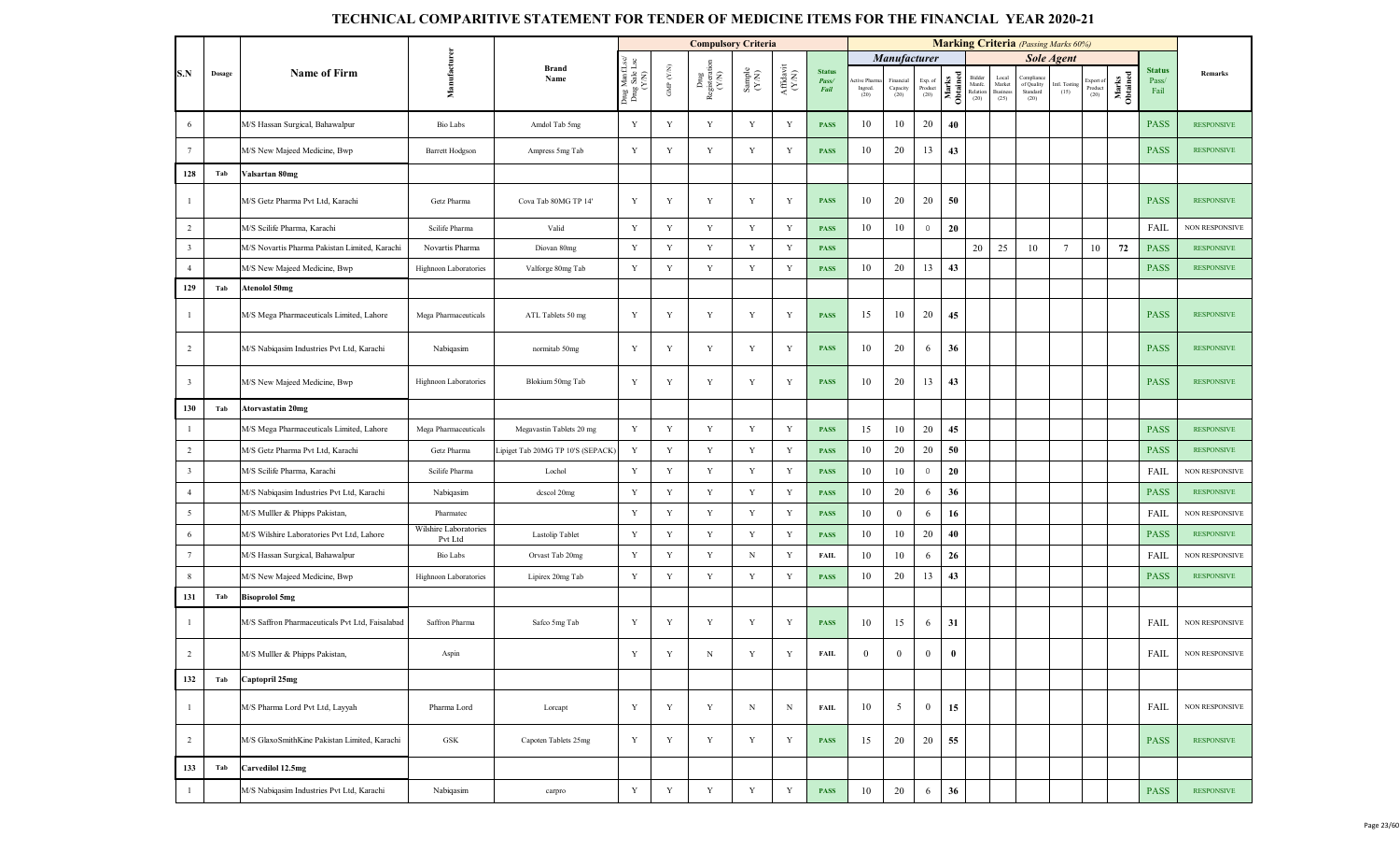|                         |        |                                                 |                                  |                                   |                                     |                    | <b>Compulsory Criteria</b>   |                                                                                  |                                                                              |                                |                                |                               |                                                                        |                   | <b>Marking Criteria</b> (Passing Marks 60%) |                                            |                                             |                       |                              |                   |                                |                       |
|-------------------------|--------|-------------------------------------------------|----------------------------------|-----------------------------------|-------------------------------------|--------------------|------------------------------|----------------------------------------------------------------------------------|------------------------------------------------------------------------------|--------------------------------|--------------------------------|-------------------------------|------------------------------------------------------------------------|-------------------|---------------------------------------------|--------------------------------------------|---------------------------------------------|-----------------------|------------------------------|-------------------|--------------------------------|-----------------------|
|                         |        |                                                 |                                  |                                   | $_{\text{Lsc}}$                     |                    |                              |                                                                                  |                                                                              |                                |                                | Manufacturer                  |                                                                        |                   |                                             |                                            |                                             | <b>Sole Agent</b>     |                              |                   |                                |                       |
| S.N                     | Dosage | <b>Name of Firm</b>                             | Manufactu                        | <b>Brand</b><br>Name              | Drug Manf.I<br>Drug Sale L<br>(Y/N) | GMP $(\text{Y/N})$ | Drug<br>Registerati<br>(Y/N) | $\begin{array}{c} \text{Sample} \\ \text{C} \\ \text{N} \\ \text{N} \end{array}$ | $\begin{array}{c} \mathbf{Aff} \mathbf{davit} \\ (\mathbf{Y/N}) \end{array}$ | <b>Status</b><br>Pass/<br>Fail | ctive Pharm<br>Ingred.<br>(20) | Financial<br>Capacity<br>(20) | $\begin{array}{c} \text{Exp. of}\\ \text{Product} \end{array}$<br>(20) | Marks<br>Obtained | Bidder<br>Manfe.<br>Relation<br>(20)        | Local<br>Market<br><b>Business</b><br>(25) | Compliano<br>of Quality<br>Standard<br>(20) | Intl. Testing<br>(15) | Export of<br>Product<br>(20) | Marks<br>Obtained | <b>Status</b><br>Pass/<br>Fail | Remarks               |
| 6                       |        | M/S Hassan Surgical, Bahawalpur                 | Bio Labs                         | Amdol Tab 5mg                     | Y                                   | Y                  | Y                            | Y                                                                                | Y                                                                            | <b>PASS</b>                    | 10                             | 10                            | 20                                                                     | 40                |                                             |                                            |                                             |                       |                              |                   | <b>PASS</b>                    | <b>RESPONSIVE</b>     |
| $\overline{7}$          |        | M/S New Majeed Medicine, Bwp                    | <b>Barrett Hodgson</b>           | Ampress 5mg Tab                   | Y                                   | Y                  | $\mathbf Y$                  | Y                                                                                | Y                                                                            | <b>PASS</b>                    | 10                             | 20                            | 13                                                                     | 43                |                                             |                                            |                                             |                       |                              |                   | <b>PASS</b>                    | <b>RESPONSIVE</b>     |
| 128                     | Tab    | Valsartan 80mg                                  |                                  |                                   |                                     |                    |                              |                                                                                  |                                                                              |                                |                                |                               |                                                                        |                   |                                             |                                            |                                             |                       |                              |                   |                                |                       |
| - 1                     |        | M/S Getz Pharma Pvt Ltd, Karachi                | Getz Pharma                      | Cova Tab 80MG TP 14'              | Y                                   | Y                  | $\mathbf Y$                  | Y                                                                                | Y                                                                            | <b>PASS</b>                    | 10                             | 20                            | 20                                                                     | 50                |                                             |                                            |                                             |                       |                              |                   | <b>PASS</b>                    | <b>RESPONSIVE</b>     |
| $\overline{2}$          |        | M/S Scilife Pharma, Karachi                     | Scilife Pharma                   | Valid                             | $\mathbf Y$                         | Y                  | Y                            | $\mathbf Y$                                                                      | Y                                                                            | <b>PASS</b>                    | 10                             | 10                            | $\overline{0}$                                                         | 20                |                                             |                                            |                                             |                       |                              |                   | FAIL                           | <b>NON RESPONSIVE</b> |
| $\overline{\mathbf{3}}$ |        | M/S Novartis Pharma Pakistan Limited, Karachi   | Novartis Pharma                  | Diovan 80mg                       | Y                                   | Y                  | Y                            | Y                                                                                | Y                                                                            | <b>PASS</b>                    |                                |                               |                                                                        |                   | 20                                          | 25                                         | 10                                          | $7\phantom{.0}$       | 10                           | 72                | <b>PASS</b>                    | <b>RESPONSIVE</b>     |
| $\overline{4}$          |        | M/S New Majeed Medicine, Bwp                    | Highnoon Laboratories            | Valforge 80mg Tab                 | Y                                   | Y                  | $\mathbf Y$                  | Y                                                                                | Y                                                                            | <b>PASS</b>                    | 10                             | 20                            | 13                                                                     | 43                |                                             |                                            |                                             |                       |                              |                   | <b>PASS</b>                    | <b>RESPONSIVE</b>     |
| 129                     | Tab    | <b>Atenolol 50mg</b>                            |                                  |                                   |                                     |                    |                              |                                                                                  |                                                                              |                                |                                |                               |                                                                        |                   |                                             |                                            |                                             |                       |                              |                   |                                |                       |
| $\overline{1}$          |        | M/S Mega Pharmaceuticals Limited, Lahore        | Mega Pharmaceuticals             | ATL Tablets 50 mg                 | Y                                   | Y                  | $\mathbf Y$                  | $\mathbf Y$                                                                      | Y                                                                            | <b>PASS</b>                    | 15                             | 10                            | 20                                                                     | 45                |                                             |                                            |                                             |                       |                              |                   | <b>PASS</b>                    | <b>RESPONSIVE</b>     |
| 2                       |        | M/S Nabiqasim Industries Pvt Ltd, Karachi       | Nabiqasim                        | normitab 50mg                     | Y                                   | Y                  | $\mathbf Y$                  | Y                                                                                | Y                                                                            | <b>PASS</b>                    | 10                             | 20                            | 6                                                                      | 36                |                                             |                                            |                                             |                       |                              |                   | <b>PASS</b>                    | <b>RESPONSIVE</b>     |
| $\overline{\mathbf{3}}$ |        | M/S New Majeed Medicine, Bwp                    | Highnoon Laboratories            | Blokium 50mg Tab                  | Y                                   | $\mathbf Y$        | $\mathbf Y$                  | Y                                                                                | Y                                                                            | <b>PASS</b>                    | 10                             | 20                            | 13                                                                     | 43                |                                             |                                            |                                             |                       |                              |                   | <b>PASS</b>                    | <b>RESPONSIVE</b>     |
| 130                     | Tab    | Atorvastatin 20mg                               |                                  |                                   |                                     |                    |                              |                                                                                  |                                                                              |                                |                                |                               |                                                                        |                   |                                             |                                            |                                             |                       |                              |                   |                                |                       |
| $\mathbf{1}$            |        | M/S Mega Pharmaceuticals Limited, Lahore        | Mega Pharmaceuticals             | Megavastin Tablets 20 mg          | Y                                   | Y                  | Y                            | $\mathbf Y$                                                                      | Y                                                                            | <b>PASS</b>                    | 15                             | 10                            | 20                                                                     | 45                |                                             |                                            |                                             |                       |                              |                   | <b>PASS</b>                    | <b>RESPONSIVE</b>     |
| $\overline{2}$          |        | M/S Getz Pharma Pvt Ltd, Karachi                | Getz Pharma                      | Lipiget Tab 20MG TP 10'S (SEPACK) | Y                                   | Y                  | $\mathbf Y$                  | Y                                                                                | Y                                                                            | <b>PASS</b>                    | 10                             | 20                            | 20                                                                     | 50                |                                             |                                            |                                             |                       |                              |                   | <b>PASS</b>                    | <b>RESPONSIVE</b>     |
| $\overline{\mathbf{3}}$ |        | M/S Scilife Pharma, Karachi                     | Scilife Pharma                   | Lochol                            | $\mathbf Y$                         | $\mathbf Y$        | Y                            | $\mathbf Y$                                                                      | Y                                                                            | <b>PASS</b>                    | 10                             | 10                            | $\mathbb O$                                                            | 20                |                                             |                                            |                                             |                       |                              |                   | FAIL                           | <b>NON RESPONSIVE</b> |
| $\overline{4}$          |        | M/S Nabiqasim Industries Pvt Ltd, Karachi       | Nabiqasim                        | dcscol 20mg                       | $\mathbf Y$                         | Y                  | $\mathbf Y$                  | $\mathbf Y$                                                                      | Y                                                                            | <b>PASS</b>                    | 10                             | 20                            | 6                                                                      | 36                |                                             |                                            |                                             |                       |                              |                   | <b>PASS</b>                    | <b>RESPONSIVE</b>     |
| $5\overline{)}$         |        | M/S Mulller & Phipps Pakistan,                  | Pharmatec                        |                                   | $\mathbf Y$                         | $\mathbf Y$        | Y                            | $\mathbf Y$                                                                      | Y                                                                            | <b>PASS</b>                    | 10                             | $\mathbf{0}$                  | 6                                                                      | 16                |                                             |                                            |                                             |                       |                              |                   | FAIL                           | <b>NON RESPONSIVE</b> |
| 6                       |        | M/S Wilshire Laboratories Pvt Ltd, Lahore       | Wilshire Laboratories<br>Pvt Ltd | Lastolip Tablet                   | Y                                   | Y                  | Y                            | Y                                                                                | Y                                                                            | <b>PASS</b>                    | 10                             | 10                            | 20                                                                     | 40                |                                             |                                            |                                             |                       |                              |                   | <b>PASS</b>                    | <b>RESPONSIVE</b>     |
| $7\phantom{.0}$         |        | M/S Hassan Surgical, Bahawalpur                 | Bio Labs                         | Orvast Tab 20mg                   | $\mathbf Y$                         | Y                  | Y                            | $_{\rm N}$                                                                       | $\mathbf Y$                                                                  | <b>FAIL</b>                    | 10                             | 10                            | 6                                                                      | 26                |                                             |                                            |                                             |                       |                              |                   | FAIL                           | <b>NON RESPONSIVE</b> |
| $\,$ 8 $\,$             |        | M/S New Majeed Medicine, Bwp                    | Highnoon Laboratories            | Lipirex 20mg Tab                  | $\mathbf Y$                         | Y                  | Y                            | Y                                                                                | Y                                                                            | <b>PASS</b>                    | 10                             | 20                            | 13                                                                     | 43                |                                             |                                            |                                             |                       |                              |                   | <b>PASS</b>                    | <b>RESPONSIVE</b>     |
| 131                     | Tab    | <b>Bisoprolol</b> 5mg                           |                                  |                                   |                                     |                    |                              |                                                                                  |                                                                              |                                |                                |                               |                                                                        |                   |                                             |                                            |                                             |                       |                              |                   |                                |                       |
| $\overline{1}$          |        | M/S Saffron Pharmaceuticals Pvt Ltd, Faisalabad | Saffron Pharma                   | Safco 5mg Tab                     | Y                                   | Y                  | Y                            | Y                                                                                | Y                                                                            | <b>PASS</b>                    | 10                             | 15                            | 6                                                                      | 31                |                                             |                                            |                                             |                       |                              |                   | FAIL                           | NON RESPONSIVE        |
| $\overline{2}$          |        | M/S Mulller & Phipps Pakistan,                  | Aspin                            |                                   | Y                                   | $\mathbf Y$        | $\mathbf N$                  | Y                                                                                | Y                                                                            | <b>FAIL</b>                    | $\theta$                       | $\theta$                      | $\theta$                                                               | $\bf{0}$          |                                             |                                            |                                             |                       |                              |                   | FAIL                           | <b>NON RESPONSIVE</b> |
| 132                     | Tab    | Captopril 25mg                                  |                                  |                                   |                                     |                    |                              |                                                                                  |                                                                              |                                |                                |                               |                                                                        |                   |                                             |                                            |                                             |                       |                              |                   |                                |                       |
| $\overline{1}$          |        | M/S Pharma Lord Pvt Ltd, Layyah                 | Pharma Lord                      | Lorcapt                           | Y                                   | $\mathbf Y$        | Y                            | N                                                                                | N                                                                            | <b>FAIL</b>                    | 10                             | $5\overline{)}$               | $\overline{0}$                                                         | 15                |                                             |                                            |                                             |                       |                              |                   | FAIL                           | NON RESPONSIVE        |
| $\overline{2}$          |        | M/S GlaxoSmithKine Pakistan Limited, Karachi    | GSK                              | Capoten Tablets 25mg              | $\mathbf Y$                         | Y                  | Y                            | $\mathbf Y$                                                                      | Y                                                                            | <b>PASS</b>                    | 15                             | 20                            | 20                                                                     | 55                |                                             |                                            |                                             |                       |                              |                   | <b>PASS</b>                    | <b>RESPONSIVE</b>     |
| 133                     | Tab    | Carvedilol 12.5mg                               |                                  |                                   |                                     |                    |                              |                                                                                  |                                                                              |                                |                                |                               |                                                                        |                   |                                             |                                            |                                             |                       |                              |                   |                                |                       |
| $\overline{1}$          |        | M/S Nabiqasim Industries Pvt Ltd, Karachi       | Nabiqasim                        | carpro                            | $\mathbf Y$                         | $\mathbf Y$        | $\mathbf Y$                  | $\mathbf Y$                                                                      | $\mathbf Y$                                                                  | <b>PASS</b>                    | 10                             | 20                            | 6                                                                      | 36                |                                             |                                            |                                             |                       |                              |                   | <b>PASS</b>                    | <b>RESPONSIVE</b>     |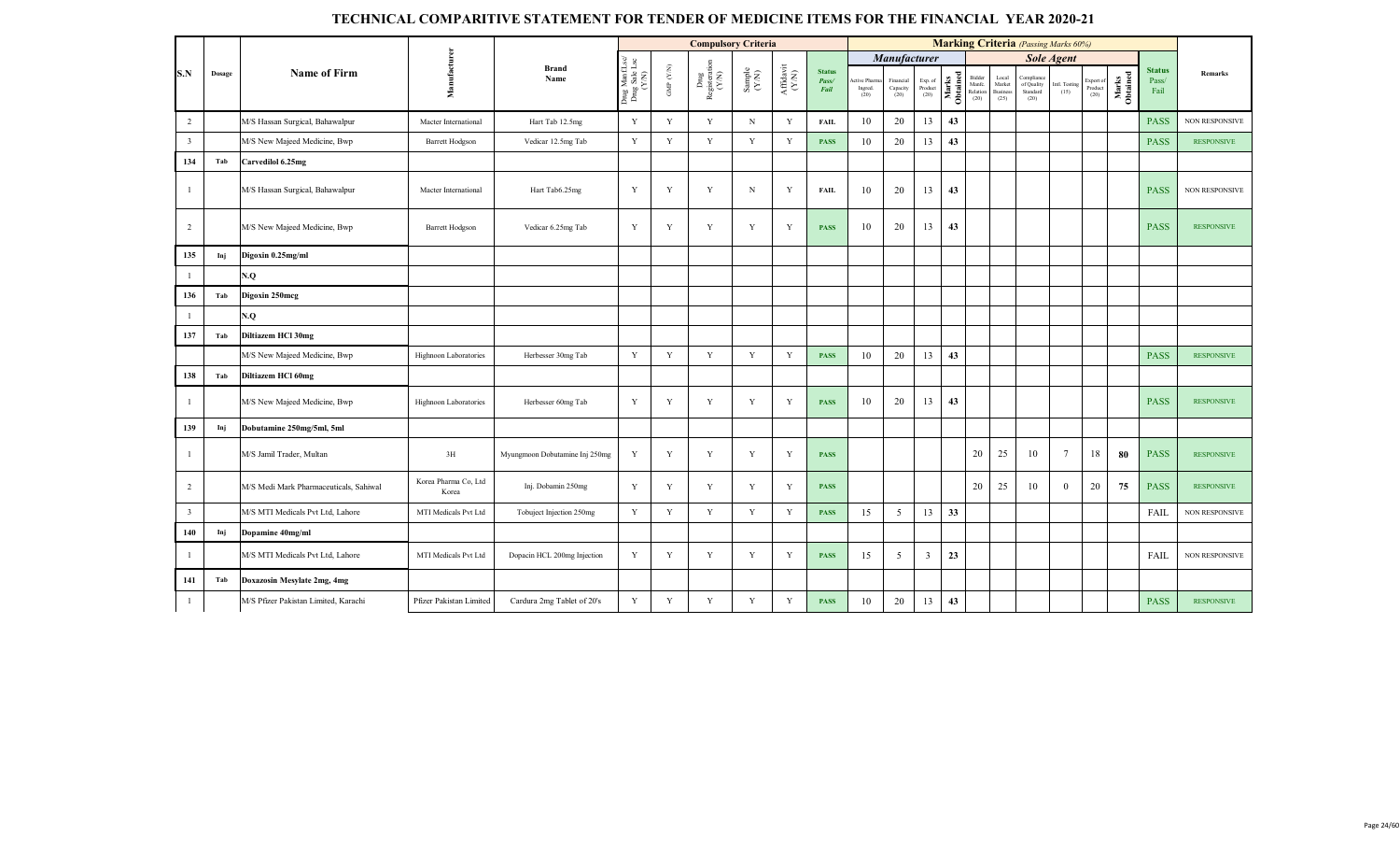|                         |        |                                        |                               |                                |                                          |                       | <b>Compulsory Criteria</b>                                                          |                                                              |                                                                                                 |                                |                               |                              |                                       |                   |                                      |                                           | <b>Marking Criteria</b> (Passing Marks 60%)  |                       |                              |                   |                                |                       |
|-------------------------|--------|----------------------------------------|-------------------------------|--------------------------------|------------------------------------------|-----------------------|-------------------------------------------------------------------------------------|--------------------------------------------------------------|-------------------------------------------------------------------------------------------------|--------------------------------|-------------------------------|------------------------------|---------------------------------------|-------------------|--------------------------------------|-------------------------------------------|----------------------------------------------|-----------------------|------------------------------|-------------------|--------------------------------|-----------------------|
|                         |        |                                        |                               |                                |                                          |                       |                                                                                     |                                                              |                                                                                                 |                                |                               | Manufacturer                 |                                       |                   |                                      |                                           |                                              | <b>Sole Agent</b>     |                              |                   |                                |                       |
| S.N                     | Dosage | <b>Name of Firm</b>                    | Manufacturer                  | <b>Brand</b><br>Name           | Drug Manf.Lsc/<br>Drug Sale Lsc<br>(Y/N) | GMP $(\mathcal{V/N})$ | $\begin{array}{c}\n\text{Dng} \\ \text{Registeration} \\ \text{(Y/N)}\n\end{array}$ | $\begin{array}{c} \text{Sample} \\ (\text{Y/N}) \end{array}$ | $\begin{array}{c} \mathrm{Aff} \mathrm{d} \mathrm{av} \mathrm{i} \\ (\mathrm{Y/N}) \end{array}$ | <b>Status</b><br>Pass/<br>Fail | tive Pharm<br>Ingred.<br>(20) | inancial<br>Capacity<br>(20) | Exp. of<br>Product $\left( 20\right)$ | Marks<br>Obtained | Bidder<br>Manfc.<br>Relation<br>(20) | Local<br>Marke<br><b>Business</b><br>(25) | Compliance<br>of Quality<br>Standard<br>(20) | Intl. Testing<br>(15) | Export of<br>Product<br>(20) | Marks<br>Obtained | <b>Status</b><br>Pass/<br>Fail | Remarks               |
| $\overline{2}$          |        | M/S Hassan Surgical, Bahawalpur        | Macter International          | Hart Tab 12.5mg                | $\mathbf Y$                              | Y                     | $\mathbf Y$                                                                         | $_{\rm N}$                                                   | $\mathbf Y$                                                                                     | FAIL                           | 10                            | 20                           | 13                                    | 43                |                                      |                                           |                                              |                       |                              |                   | <b>PASS</b>                    | NON RESPONSIVE        |
| $\overline{\mathbf{3}}$ |        | M/S New Majeed Medicine, Bwp           | <b>Barrett Hodgson</b>        | Vedicar 12.5mg Tab             | $\mathbf Y$                              | Y                     | Y                                                                                   | Y                                                            | Y                                                                                               | <b>PASS</b>                    | 10                            | 20                           | 13                                    | 43                |                                      |                                           |                                              |                       |                              |                   | <b>PASS</b>                    | <b>RESPONSIVE</b>     |
| 134                     | Tab    | Carvedilol 6.25mg                      |                               |                                |                                          |                       |                                                                                     |                                                              |                                                                                                 |                                |                               |                              |                                       |                   |                                      |                                           |                                              |                       |                              |                   |                                |                       |
| $\mathbf{1}$            |        | M/S Hassan Surgical, Bahawalpur        | Macter International          | Hart Tab6.25mg                 | Y                                        | Y                     | $\mathbf Y$                                                                         | $_{\rm N}$                                                   | Y                                                                                               | <b>FAIL</b>                    | 10                            | 20                           | 13                                    | 43                |                                      |                                           |                                              |                       |                              |                   | <b>PASS</b>                    | NON RESPONSIVE        |
| 2                       |        | M/S New Majeed Medicine, Bwp           | <b>Barrett Hodgson</b>        | Vedicar 6.25mg Tab             | Y                                        | Y                     | Y                                                                                   | $\mathbf Y$                                                  | Y                                                                                               | <b>PASS</b>                    | 10                            | 20                           | 13                                    | 43                |                                      |                                           |                                              |                       |                              |                   | <b>PASS</b>                    | <b>RESPONSIVE</b>     |
| 135                     | Inj    | Digoxin 0.25mg/ml                      |                               |                                |                                          |                       |                                                                                     |                                                              |                                                                                                 |                                |                               |                              |                                       |                   |                                      |                                           |                                              |                       |                              |                   |                                |                       |
| $\mathbf{1}$            |        | Q.V                                    |                               |                                |                                          |                       |                                                                                     |                                                              |                                                                                                 |                                |                               |                              |                                       |                   |                                      |                                           |                                              |                       |                              |                   |                                |                       |
| 136                     | Tab    | Digoxin 250mcg                         |                               |                                |                                          |                       |                                                                                     |                                                              |                                                                                                 |                                |                               |                              |                                       |                   |                                      |                                           |                                              |                       |                              |                   |                                |                       |
| $\mathbf{1}$            |        | N.Q                                    |                               |                                |                                          |                       |                                                                                     |                                                              |                                                                                                 |                                |                               |                              |                                       |                   |                                      |                                           |                                              |                       |                              |                   |                                |                       |
| 137                     | Tab    | <b>Diltiazem HCl 30mg</b>              |                               |                                |                                          |                       |                                                                                     |                                                              |                                                                                                 |                                |                               |                              |                                       |                   |                                      |                                           |                                              |                       |                              |                   |                                |                       |
|                         |        | M/S New Majeed Medicine, Bwp           | Highnoon Laboratories         | Herbesser 30mg Tab             | Y                                        | Y                     | Y                                                                                   | $\mathbf Y$                                                  | Y                                                                                               | <b>PASS</b>                    | 10                            | 20                           | 13                                    | 43                |                                      |                                           |                                              |                       |                              |                   | <b>PASS</b>                    | <b>RESPONSIVE</b>     |
| 138                     | Tab    | Diltiazem HCl 60mg                     |                               |                                |                                          |                       |                                                                                     |                                                              |                                                                                                 |                                |                               |                              |                                       |                   |                                      |                                           |                                              |                       |                              |                   |                                |                       |
| $\mathbf{1}$            |        | M/S New Majeed Medicine, Bwp           | Highnoon Laboratories         | Herbesser 60mg Tab             | Y                                        | Y                     | Y                                                                                   | Y                                                            | Y                                                                                               | <b>PASS</b>                    | 10                            | 20                           | 13                                    | 43                |                                      |                                           |                                              |                       |                              |                   | <b>PASS</b>                    | <b>RESPONSIVE</b>     |
| 139                     | Inj    | Dobutamine 250mg/5ml, 5ml              |                               |                                |                                          |                       |                                                                                     |                                                              |                                                                                                 |                                |                               |                              |                                       |                   |                                      |                                           |                                              |                       |                              |                   |                                |                       |
| $\mathbf{1}$            |        | M/S Jamil Trader, Multan               | 3H                            | Myungmoon Dobutamine Inj 250mg | Y                                        | Y                     | Y                                                                                   | Y                                                            | Y                                                                                               | <b>PASS</b>                    |                               |                              |                                       |                   | 20                                   | 25                                        | 10                                           | 7                     | 18                           | 80                | <b>PASS</b>                    | <b>RESPONSIVE</b>     |
| $\overline{2}$          |        | M/S Medi Mark Pharmaceuticals, Sahiwal | Korea Pharma Co, Ltd<br>Korea | Inj. Dobamin 250mg             | Y                                        | $\mathbf Y$           | $\mathbf Y$                                                                         | $\mathbf Y$                                                  | Y                                                                                               | <b>PASS</b>                    |                               |                              |                                       |                   | 20                                   | 25                                        | 10                                           | $\Omega$              | 20                           | 75                | <b>PASS</b>                    | <b>RESPONSIVE</b>     |
| $\overline{\mathbf{3}}$ |        | M/S MTI Medicals Pvt Ltd, Lahore       | MTI Medicals Pvt Ltd          | Tobuject Injection 250mg       | $\mathbf Y$                              | Y                     | Y                                                                                   | Y                                                            | Y                                                                                               | <b>PASS</b>                    | 15                            | $5\overline{5}$              | 13                                    | 33                |                                      |                                           |                                              |                       |                              |                   | FAIL                           | NON RESPONSIVE        |
| 140                     | Inj    | Dopamine 40mg/ml                       |                               |                                |                                          |                       |                                                                                     |                                                              |                                                                                                 |                                |                               |                              |                                       |                   |                                      |                                           |                                              |                       |                              |                   |                                |                       |
| $\mathbf{1}$            |        | M/S MTI Medicals Pvt Ltd, Lahore       | MTI Medicals Pvt Ltd          | Dopacin HCL 200mg Injection    | Y                                        | Y                     | Y                                                                                   | Y                                                            | Y                                                                                               | <b>PASS</b>                    | 15                            | 5                            | $\overline{\mathbf{3}}$               | 23                |                                      |                                           |                                              |                       |                              |                   | FAIL                           | <b>NON RESPONSIVE</b> |
| 141                     | Tab    | Doxazosin Mesylate 2mg, 4mg            |                               |                                |                                          |                       |                                                                                     |                                                              |                                                                                                 |                                |                               |                              |                                       |                   |                                      |                                           |                                              |                       |                              |                   |                                |                       |
| $\mathbf{1}$            |        | M/S Pfizer Pakistan Limited, Karachi   | Pfizer Pakistan Limited       | Cardura 2mg Tablet of 20's     | $\mathbf Y$                              | $\mathbf Y$           | $\mathbf Y$                                                                         | $\mathbf Y$                                                  | Y                                                                                               | <b>PASS</b>                    | 10                            | 20                           | 13                                    | 43                |                                      |                                           |                                              |                       |                              |                   | <b>PASS</b>                    | <b>RESPONSIVE</b>     |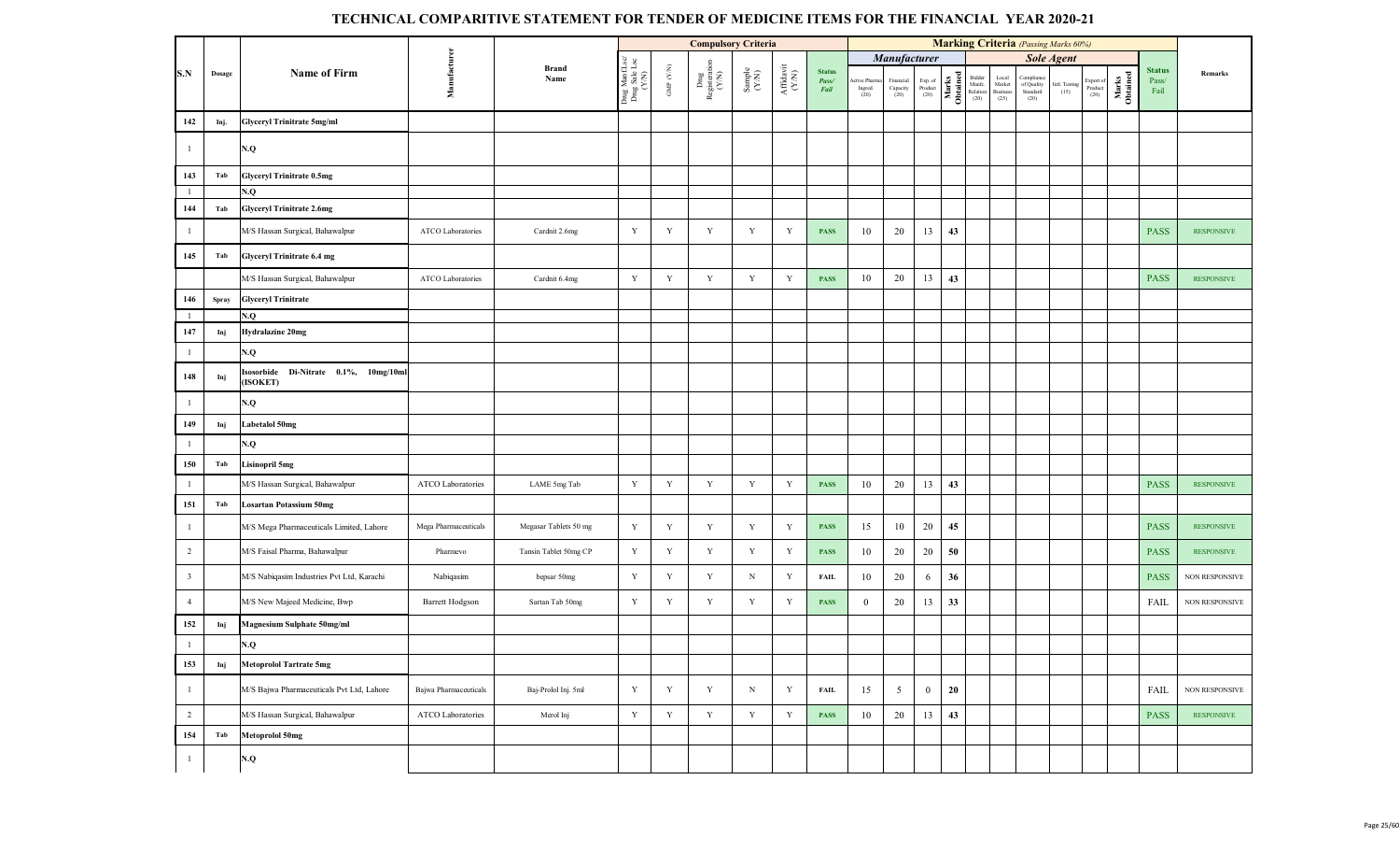|                |        |                                                      |                        |                       |                                          |                               | <b>Compulsory Criteria</b>                     |                                                             |                                      |                                |                                |                                    |                            |                   |                                      |                                     |                                                                                                | <b>Marking Criteria</b> (Passing Marks 60%) |                              |                   |                                |                       |
|----------------|--------|------------------------------------------------------|------------------------|-----------------------|------------------------------------------|-------------------------------|------------------------------------------------|-------------------------------------------------------------|--------------------------------------|--------------------------------|--------------------------------|------------------------------------|----------------------------|-------------------|--------------------------------------|-------------------------------------|------------------------------------------------------------------------------------------------|---------------------------------------------|------------------------------|-------------------|--------------------------------|-----------------------|
|                |        |                                                      |                        |                       |                                          |                               |                                                |                                                             |                                      |                                |                                | Manufacturer                       |                            |                   |                                      |                                     |                                                                                                | <b>Sole Agent</b>                           |                              |                   |                                |                       |
| S.N            | Dosage | <b>Name of Firm</b>                                  | Manufacturer           | <b>Brand</b><br>Name  | Drug Manf.Lsc/<br>Drug Sale Lsc<br>(Y/N) | GMP $(\mathbf{Y} \mathbf{N})$ | ${\operatorname{\bf Dng}}$ Registeration (Y/N) | $\begin{array}{c} \text{Sample} \\ (\text{YM}) \end{array}$ | $\frac{\text{Affdavit}}{\text{N/N}}$ | <b>Status</b><br>Pass/<br>Fail | ctive Pharm<br>Ingred.<br>(20) | Financial<br>Capacity<br>(20) $\,$ | Exp. of<br>Product<br>(20) | Marks<br>Obtained | Bidder<br>Manfc.<br>Relation<br>(20) | Local<br>Market<br>Business<br>(25) | Compliance<br>$% \left( \left\vert \mathcal{A}\right\vert \right)$ of Quality Standard<br>(20) | Intl. Testing<br>$(15)$                     | Export of<br>Product<br>(20) | Marks<br>Obtained | <b>Status</b><br>Pass/<br>Fail | Remarks               |
| 142            | Inj.   | <b>Glyceryl Trinitrate 5mg/ml</b>                    |                        |                       |                                          |                               |                                                |                                                             |                                      |                                |                                |                                    |                            |                   |                                      |                                     |                                                                                                |                                             |                              |                   |                                |                       |
| $\mathbf{1}$   |        | N.Q                                                  |                        |                       |                                          |                               |                                                |                                                             |                                      |                                |                                |                                    |                            |                   |                                      |                                     |                                                                                                |                                             |                              |                   |                                |                       |
| 143            | Tab    | <b>Glyceryl Trinitrate 0.5mg</b>                     |                        |                       |                                          |                               |                                                |                                                             |                                      |                                |                                |                                    |                            |                   |                                      |                                     |                                                                                                |                                             |                              |                   |                                |                       |
| $\mathbf{1}$   |        | N.Q                                                  |                        |                       |                                          |                               |                                                |                                                             |                                      |                                |                                |                                    |                            |                   |                                      |                                     |                                                                                                |                                             |                              |                   |                                |                       |
| 144            | Tab    | <b>Glyceryl Trinitrate 2.6mg</b>                     |                        |                       |                                          |                               |                                                |                                                             |                                      |                                |                                |                                    |                            |                   |                                      |                                     |                                                                                                |                                             |                              |                   |                                |                       |
| $\mathbf{1}$   |        | M/S Hassan Surgical, Bahawalpur                      | ATCO Laboratories      | Cardnit 2.6mg         | $\mathbf Y$                              | Y                             | Y                                              | Y                                                           | Y                                    | <b>PASS</b>                    | 10                             | 20                                 | 13                         | 43                |                                      |                                     |                                                                                                |                                             |                              |                   | <b>PASS</b>                    | <b>RESPONSIVE</b>     |
| 145            | Tab    | Glyceryl Trinitrate 6.4 mg                           |                        |                       |                                          |                               |                                                |                                                             |                                      |                                |                                |                                    |                            |                   |                                      |                                     |                                                                                                |                                             |                              |                   |                                |                       |
|                |        | M/S Hassan Surgical, Bahawalpur                      | ATCO Laboratories      | Cardnit 6.4mg         | $\mathbf Y$                              | $\mathbf Y$                   | $\mathbf Y$                                    | $\mathbf Y$                                                 | $\mathbf Y$                          | <b>PASS</b>                    | 10                             | 20                                 | 13                         | 43                |                                      |                                     |                                                                                                |                                             |                              |                   | <b>PASS</b>                    | <b>RESPONSIVE</b>     |
| 146            | Spray  | <b>Glyceryl Trinitrate</b>                           |                        |                       |                                          |                               |                                                |                                                             |                                      |                                |                                |                                    |                            |                   |                                      |                                     |                                                                                                |                                             |                              |                   |                                |                       |
| -1             |        | N.Q                                                  |                        |                       |                                          |                               |                                                |                                                             |                                      |                                |                                |                                    |                            |                   |                                      |                                     |                                                                                                |                                             |                              |                   |                                |                       |
| 147            | Inj    | <b>Hydralazine 20mg</b>                              |                        |                       |                                          |                               |                                                |                                                             |                                      |                                |                                |                                    |                            |                   |                                      |                                     |                                                                                                |                                             |                              |                   |                                |                       |
| $\mathbf{1}$   |        | N.Q                                                  |                        |                       |                                          |                               |                                                |                                                             |                                      |                                |                                |                                    |                            |                   |                                      |                                     |                                                                                                |                                             |                              |                   |                                |                       |
| 148            | Inj    | Isosorbide<br>Di-Nitrate 0.1%, 10mg/10ml<br>(ISOKET) |                        |                       |                                          |                               |                                                |                                                             |                                      |                                |                                |                                    |                            |                   |                                      |                                     |                                                                                                |                                             |                              |                   |                                |                       |
| $\mathbf{1}$   |        | N.Q                                                  |                        |                       |                                          |                               |                                                |                                                             |                                      |                                |                                |                                    |                            |                   |                                      |                                     |                                                                                                |                                             |                              |                   |                                |                       |
| 149            | Inj    | Labetalol 50mg                                       |                        |                       |                                          |                               |                                                |                                                             |                                      |                                |                                |                                    |                            |                   |                                      |                                     |                                                                                                |                                             |                              |                   |                                |                       |
| $\mathbf{1}$   |        | N.Q                                                  |                        |                       |                                          |                               |                                                |                                                             |                                      |                                |                                |                                    |                            |                   |                                      |                                     |                                                                                                |                                             |                              |                   |                                |                       |
| 150            | Tab    | <b>Lisinopril 5mg</b>                                |                        |                       |                                          |                               |                                                |                                                             |                                      |                                |                                |                                    |                            |                   |                                      |                                     |                                                                                                |                                             |                              |                   |                                |                       |
| $\mathbf{1}$   |        | M/S Hassan Surgical, Bahawalpur                      | ATCO Laboratories      | LAME 5mg Tab          | $\mathbf Y$                              | Y                             | Y                                              | $\mathbf Y$                                                 | $\mathbf Y$                          | <b>PASS</b>                    | 10                             | 20                                 | 13                         | 43                |                                      |                                     |                                                                                                |                                             |                              |                   | <b>PASS</b>                    | <b>RESPONSIVE</b>     |
| 151            | Tab    | <b>Losartan Potassium 50mg</b>                       |                        |                       |                                          |                               |                                                |                                                             |                                      |                                |                                |                                    |                            |                   |                                      |                                     |                                                                                                |                                             |                              |                   |                                |                       |
| $\mathbf{1}$   |        | M/S Mega Pharmaceuticals Limited, Lahore             | Mega Pharmaceuticals   | Megasar Tablets 50 mg | $\mathbf Y$                              | Y                             | Y                                              | Y                                                           | Y                                    | <b>PASS</b>                    | 15                             | 10                                 | 20                         | 45                |                                      |                                     |                                                                                                |                                             |                              |                   | <b>PASS</b>                    | <b>RESPONSIVE</b>     |
| $\overline{2}$ |        | M/S Faisal Pharma, Bahawalpur                        | Pharmevo               | Tansin Tablet 50mg CP | Y                                        | Y                             | Y                                              | Y                                                           | Y                                    | <b>PASS</b>                    | 10                             | 20                                 | 20                         | 50                |                                      |                                     |                                                                                                |                                             |                              |                   | <b>PASS</b>                    | <b>RESPONSIVE</b>     |
| $\mathbf{3}$   |        | M/S Nabiqasim Industries Pvt Ltd, Karachi            | Nabiqasim              | bepsar 50mg           | Y                                        | Y                             | Y                                              | $_{\rm N}$                                                  | $\mathbf Y$                          | <b>FAIL</b>                    | 10                             | 20                                 | 6                          | 36                |                                      |                                     |                                                                                                |                                             |                              |                   | <b>PASS</b>                    | NON RESPONSIVE        |
| $\overline{4}$ |        | M/S New Majeed Medicine, Bwp                         | <b>Barrett Hodgson</b> | Sartan Tab 50mg       | $\mathbf Y$                              | Y                             | Y                                              | Y                                                           | Y                                    | <b>PASS</b>                    | $\overline{0}$                 | 20                                 | 13                         | 33                |                                      |                                     |                                                                                                |                                             |                              |                   | FAIL                           | <b>NON RESPONSIVE</b> |
| 152            | Inj    | <b>Magnesium Sulphate 50mg/ml</b>                    |                        |                       |                                          |                               |                                                |                                                             |                                      |                                |                                |                                    |                            |                   |                                      |                                     |                                                                                                |                                             |                              |                   |                                |                       |
| $\mathbf{1}$   |        | $\mathbf{N}.\mathbf{Q}$                              |                        |                       |                                          |                               |                                                |                                                             |                                      |                                |                                |                                    |                            |                   |                                      |                                     |                                                                                                |                                             |                              |                   |                                |                       |
| 153            | Inj    | <b>Metoprolol Tartrate 5mg</b>                       |                        |                       |                                          |                               |                                                |                                                             |                                      |                                |                                |                                    |                            |                   |                                      |                                     |                                                                                                |                                             |                              |                   |                                |                       |
| $\mathbf{1}$   |        | M/S Bajwa Pharmaceuticals Pvt Ltd, Lahore            | Bajwa Pharmaceuticals  | Baj-Prolol Inj. 5ml   | Y                                        | Y                             | $\mathbf Y$                                    | $\mathbf N$                                                 | Y                                    | <b>FAIL</b>                    | 15                             | 5 <sup>5</sup>                     | $\overline{0}$             | 20                |                                      |                                     |                                                                                                |                                             |                              |                   | FAIL                           | NON RESPONSIVE        |
| $\overline{2}$ |        | M/S Hassan Surgical, Bahawalpur                      | ATCO Laboratories      | Merol Inj             | $\mathbf Y$                              | Y                             | $\mathbf Y$                                    | Y                                                           | $\mathbf Y$                          | <b>PASS</b>                    | 10                             | 20                                 | 13                         | 43                |                                      |                                     |                                                                                                |                                             |                              |                   | <b>PASS</b>                    | <b>RESPONSIVE</b>     |
| 154            | Tab    | <b>Metoprolol 50mg</b>                               |                        |                       |                                          |                               |                                                |                                                             |                                      |                                |                                |                                    |                            |                   |                                      |                                     |                                                                                                |                                             |                              |                   |                                |                       |
| -1             |        | $\mathbf{N}.\mathbf{Q}$                              |                        |                       |                                          |                               |                                                |                                                             |                                      |                                |                                |                                    |                            |                   |                                      |                                     |                                                                                                |                                             |                              |                   |                                |                       |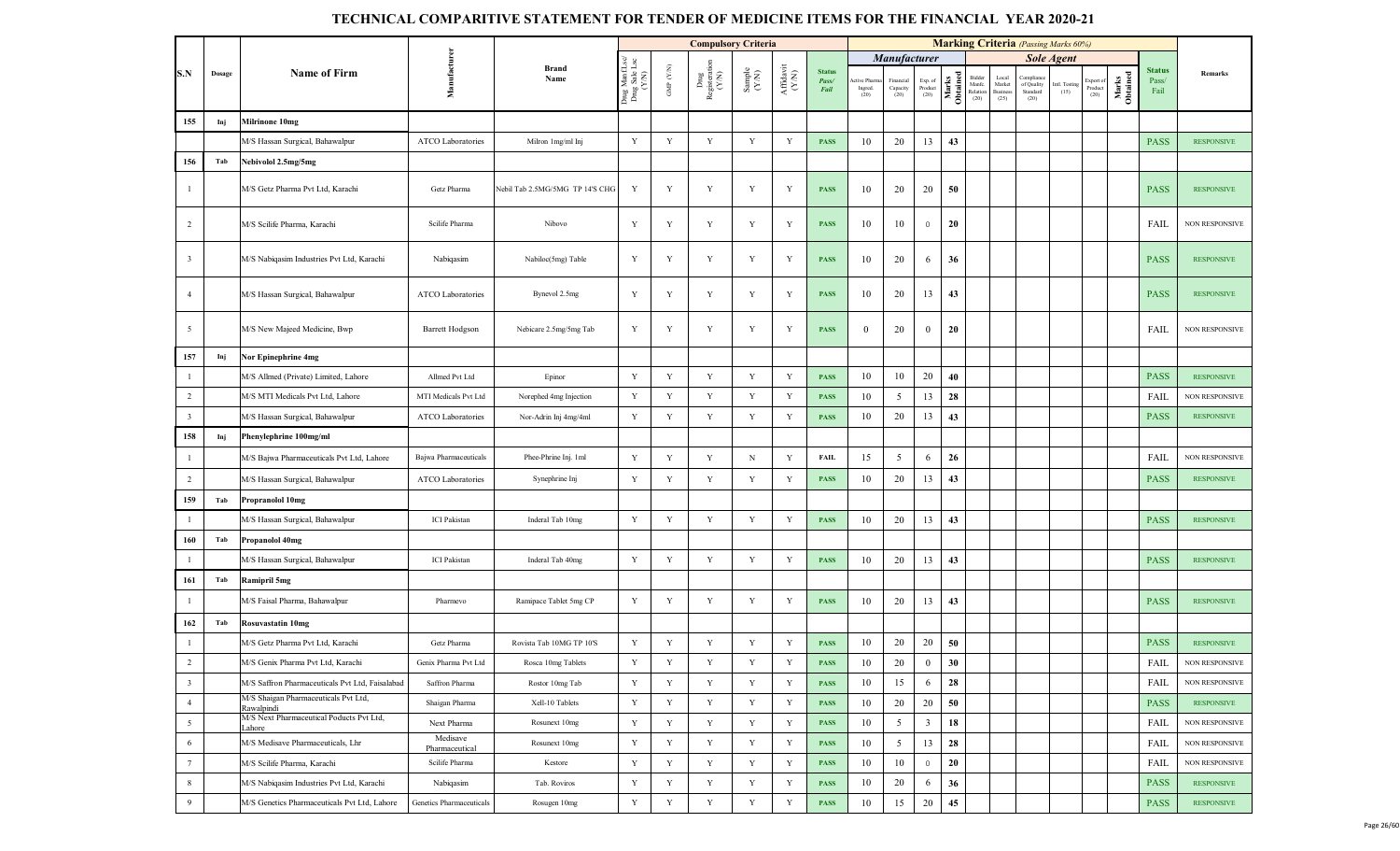|                         |        |                                                    |                            |                                 |                                         |                      | <b>Compulsory Criteria</b>     |                                                              |                                                                                                        |                                |                              |                              |                            |                   |                                   |                                            |                                             | <b>Marking Criteria</b> (Passing Marks 60%) |                              |                   |                                |                       |
|-------------------------|--------|----------------------------------------------------|----------------------------|---------------------------------|-----------------------------------------|----------------------|--------------------------------|--------------------------------------------------------------|--------------------------------------------------------------------------------------------------------|--------------------------------|------------------------------|------------------------------|----------------------------|-------------------|-----------------------------------|--------------------------------------------|---------------------------------------------|---------------------------------------------|------------------------------|-------------------|--------------------------------|-----------------------|
|                         |        |                                                    |                            |                                 |                                         |                      |                                |                                                              |                                                                                                        |                                |                              | Manufacturer                 |                            |                   |                                   |                                            |                                             | <b>Sole Agent</b>                           |                              |                   |                                |                       |
| S.N                     | Dosage | <b>Name of Firm</b>                                | Manufacturen               | <b>Brand</b><br>Name            | Drug ManfLsc/<br>Drug Sale Lsc<br>(Y/N) | GMP $(\mathbf{Y/N})$ | Drug<br>Registeration<br>(Y/N) | $\begin{array}{c} \text{Sample} \\ (\text{Y/N}) \end{array}$ | $\begin{array}{c} \mathbf{Aff} \mathbf{d}\mathbf{a}\mathbf{v}\mathbf{i} \\ (\mathbf{Y/N}) \end{array}$ | <b>Status</b><br>Pass/<br>Fail | tive Pham<br>Ingred.<br>(20) | Financia<br>Capacity<br>(20) | Exp. of<br>Product<br>(20) | Marks<br>Obtained | Bidder<br>Manfc.<br>Relation (20) | Local<br>Market<br><b>Business</b><br>(25) | Compliano<br>of Quality<br>Standard<br>(20) | Intl. Testing<br>(15)                       | Export of<br>Product<br>(20) | Marks<br>Obtained | <b>Status</b><br>Pass/<br>Fail | Remarks               |
| 155                     | Inj    | <b>Milrinone 10mg</b>                              |                            |                                 |                                         |                      |                                |                                                              |                                                                                                        |                                |                              |                              |                            |                   |                                   |                                            |                                             |                                             |                              |                   |                                |                       |
|                         |        | M/S Hassan Surgical, Bahawalpur                    | ATCO Laboratories          | Milron 1mg/ml Inj               | Y                                       | Y                    | Y                              | Y                                                            | Y                                                                                                      | <b>PASS</b>                    | 10                           | 20                           | 13                         | 43                |                                   |                                            |                                             |                                             |                              |                   | <b>PASS</b>                    | <b>RESPONSIVE</b>     |
| 156                     | Tab    | Nebivolol 2.5mg/5mg                                |                            |                                 |                                         |                      |                                |                                                              |                                                                                                        |                                |                              |                              |                            |                   |                                   |                                            |                                             |                                             |                              |                   |                                |                       |
| $\mathbf{1}$            |        | M/S Getz Pharma Pvt Ltd, Karachi                   | Getz Pharma                | Nebil Tab 2.5MG/5MG TP 14'S CHG | Y                                       | Y                    | Y                              | Y                                                            | Y                                                                                                      | <b>PASS</b>                    | 10                           | 20                           | 20                         | 50                |                                   |                                            |                                             |                                             |                              |                   | <b>PASS</b>                    | <b>RESPONSIVE</b>     |
| $\overline{2}$          |        | M/S Scilife Pharma, Karachi                        | Scilife Pharma             | Nibovo                          | Y                                       | Y                    | Y                              | Y                                                            | Y                                                                                                      | <b>PASS</b>                    | 10                           | 10                           | $\overline{0}$             | 20                |                                   |                                            |                                             |                                             |                              |                   | FAIL                           | <b>NON RESPONSIVE</b> |
| $\overline{\mathbf{3}}$ |        | M/S Nabiqasim Industries Pvt Ltd, Karachi          | Nabiqasim                  | Nabiloc(5mg) Table              | Y                                       | $\mathbf Y$          | $\mathbf Y$                    | Y                                                            | Y                                                                                                      | <b>PASS</b>                    | 10                           | 20                           | 6                          | 36                |                                   |                                            |                                             |                                             |                              |                   | <b>PASS</b>                    | <b>RESPONSIVE</b>     |
| $\overline{4}$          |        | M/S Hassan Surgical, Bahawalpur                    | ATCO Laboratories          | Bynevol 2.5mg                   | Y                                       | Y                    | $\mathbf Y$                    | Y                                                            | Y                                                                                                      | <b>PASS</b>                    | 10                           | 20                           | 13                         | 43                |                                   |                                            |                                             |                                             |                              |                   | <b>PASS</b>                    | <b>RESPONSIVE</b>     |
| $5\overline{5}$         |        | M/S New Majeed Medicine, Bwp                       | <b>Barrett Hodgson</b>     | Nebicare 2.5mg/5mg Tab          | Y                                       | Y                    | Y                              | Y                                                            | Y                                                                                                      | <b>PASS</b>                    | $\mathbf{0}$                 | 20                           | $\mathbf{0}$               | 20                |                                   |                                            |                                             |                                             |                              |                   | FAIL                           | <b>NON RESPONSIVE</b> |
| 157                     | Inj    | Nor Epinephrine 4mg                                |                            |                                 |                                         |                      |                                |                                                              |                                                                                                        |                                |                              |                              |                            |                   |                                   |                                            |                                             |                                             |                              |                   |                                |                       |
| $\mathbf{1}$            |        | M/S Allmed (Private) Limited, Lahore               | Allmed Pvt Ltd             | Epinor                          | $\mathbf Y$                             | $\mathbf Y$          | $\mathbf Y$                    | $\mathbf Y$                                                  | Y                                                                                                      | <b>PASS</b>                    | 10                           | 10                           | 20                         | 40                |                                   |                                            |                                             |                                             |                              |                   | <b>PASS</b>                    | <b>RESPONSIVE</b>     |
| $\overline{2}$          |        | M/S MTI Medicals Pvt Ltd, Lahore                   | MTI Medicals Pvt Ltd       | Norephed 4mg Injection          | Y                                       | $\mathbf Y$          | Y                              | $\mathbf Y$                                                  | Y                                                                                                      | <b>PASS</b>                    | 10                           | 5                            | 13                         | 28                |                                   |                                            |                                             |                                             |                              |                   | FAIL                           | NON RESPONSIVE        |
| $\overline{\mathbf{3}}$ |        | M/S Hassan Surgical, Bahawalpur                    | ATCO Laboratories          | Nor-Adrin Inj 4mg/4ml           | Y                                       | Y                    | Y                              | $\mathbf Y$                                                  | Y                                                                                                      | <b>PASS</b>                    | 10                           | 20                           | 13                         | 43                |                                   |                                            |                                             |                                             |                              |                   | <b>PASS</b>                    | <b>RESPONSIVE</b>     |
| 158                     | Inj    | Phenylephrine 100mg/ml                             |                            |                                 |                                         |                      |                                |                                                              |                                                                                                        |                                |                              |                              |                            |                   |                                   |                                            |                                             |                                             |                              |                   |                                |                       |
| $\mathbf{1}$            |        | M/S Bajwa Pharmaceuticals Pvt Ltd, Lahore          | Bajwa Pharmaceuticals      | Phee-Phrine Inj. 1ml            | Y                                       | $\mathbf Y$          | Y                              | $_{\rm N}$                                                   | Y                                                                                                      | <b>FAIL</b>                    | 15                           | 5                            | 6                          | 26                |                                   |                                            |                                             |                                             |                              |                   | <b>FAIL</b>                    | <b>NON RESPONSIVE</b> |
| $\overline{2}$          |        | M/S Hassan Surgical, Bahawalpur                    | ATCO Laboratories          | Synephrine Inj                  | $\mathbf Y$                             | Y                    | Y                              | Y                                                            | Y                                                                                                      | <b>PASS</b>                    | 10                           | 20                           | 13                         | 43                |                                   |                                            |                                             |                                             |                              |                   | <b>PASS</b>                    | <b>RESPONSIVE</b>     |
| 159                     | Tab    | <b>Propranolol 10mg</b>                            |                            |                                 |                                         |                      |                                |                                                              |                                                                                                        |                                |                              |                              |                            |                   |                                   |                                            |                                             |                                             |                              |                   |                                |                       |
| $\mathbf{1}$            |        | M/S Hassan Surgical, Bahawalpur                    | <b>ICI</b> Pakistan        | Inderal Tab 10mg                | Y                                       | $\mathbf Y$          | $\mathbf Y$                    | Y                                                            | Y                                                                                                      | <b>PASS</b>                    | 10                           | 20                           | 13                         | 43                |                                   |                                            |                                             |                                             |                              |                   | <b>PASS</b>                    | <b>RESPONSIVE</b>     |
| 160                     | Tab    | Propanolol 40mg                                    |                            |                                 |                                         |                      |                                |                                                              |                                                                                                        |                                |                              |                              |                            |                   |                                   |                                            |                                             |                                             |                              |                   |                                |                       |
| $\mathbf{1}$            |        | M/S Hassan Surgical, Bahawalpur                    | <b>ICI</b> Pakistan        | Inderal Tab 40mg                | $\mathbf Y$                             | $\mathbf Y$          | Y                              | $\mathbf Y$                                                  | Y                                                                                                      | <b>PASS</b>                    | 10                           | 20                           | 13                         | 43                |                                   |                                            |                                             |                                             |                              |                   | <b>PASS</b>                    | <b>RESPONSIVE</b>     |
| 161                     | Tab    | <b>Ramipril 5mg</b>                                |                            |                                 |                                         |                      |                                |                                                              |                                                                                                        |                                |                              |                              |                            |                   |                                   |                                            |                                             |                                             |                              |                   |                                |                       |
| $\mathbf{1}$            |        | M/S Faisal Pharma, Bahawalpur                      | Pharmevo                   | Ramipace Tablet 5mg CP          | $\mathbf Y$                             | $\mathbf Y$          | $\mathbf Y$                    | Y                                                            | Y                                                                                                      | <b>PASS</b>                    | 10                           | 20                           | 13                         | 43                |                                   |                                            |                                             |                                             |                              |                   | <b>PASS</b>                    | <b>RESPONSIVE</b>     |
| 162                     | Tab    | <b>Rosuvastatin 10mg</b>                           |                            |                                 |                                         |                      |                                |                                                              |                                                                                                        |                                |                              |                              |                            |                   |                                   |                                            |                                             |                                             |                              |                   |                                |                       |
| $\mathbf{1}$            |        | M/S Getz Pharma Pvt Ltd, Karachi                   | Getz Pharma                | Rovista Tab 10MG TP 10'S        | Y                                       | $\mathbf Y$          | Y                              | $\mathbf Y$                                                  | Y                                                                                                      | <b>PASS</b>                    | 10                           | 20                           | 20                         | 50                |                                   |                                            |                                             |                                             |                              |                   | <b>PASS</b>                    | <b>RESPONSIVE</b>     |
| $\overline{2}$          |        | M/S Genix Pharma Pvt Ltd, Karachi                  | Genix Pharma Pvt Ltd       | Rosca 10mg Tablets              | Y                                       | Y                    | Y                              | Y                                                            | Y                                                                                                      | <b>PASS</b>                    | 10                           | 20                           | $\bf{0}$                   | 30                |                                   |                                            |                                             |                                             |                              |                   | FAIL                           | NON RESPONSIVE        |
| $\overline{\mathbf{3}}$ |        | M/S Saffron Pharmaceuticals Pvt Ltd, Faisalabad    | Saffron Pharma             | Rostor 10mg Tab                 | $\mathbf Y$                             | Y                    | Y                              | Y                                                            | $\mathbf Y$                                                                                            | <b>PASS</b>                    | 10                           | 15                           | 6                          | 28                |                                   |                                            |                                             |                                             |                              |                   | <b>FAIL</b>                    | NON RESPONSIVE        |
| $\overline{4}$          |        | M/S Shaigan Pharmaceuticals Pvt Ltd,<br>Rawalpindi | Shaigan Pharma             | Xell-10 Tablets                 | Y                                       | Y                    | Y                              | Y                                                            | Y                                                                                                      | <b>PASS</b>                    | 10                           | 20                           | 20                         | 50                |                                   |                                            |                                             |                                             |                              |                   | <b>PASS</b>                    | <b>RESPONSIVE</b>     |
| 5                       |        | M/S Next Pharmaceutical Poducts Pvt Ltd,<br>Lahore | Next Pharma                | Rosunext 10mg                   | Y                                       | Y                    | Y                              | Y                                                            | Y                                                                                                      | <b>PASS</b>                    | 10                           | 5                            | $\mathbf{3}$               | 18                |                                   |                                            |                                             |                                             |                              |                   | FAIL                           | NON RESPONSIVE        |
| 6                       |        | M/S Medisave Pharmaceuticals, Lhr                  | Medisave<br>Pharmaceutical | Rosunext 10mg                   | $\mathbf Y$                             | $\mathbf Y$          | Y                              | Y                                                            | Y                                                                                                      | <b>PASS</b>                    | 10                           | 5                            | 13                         | 28                |                                   |                                            |                                             |                                             |                              |                   | FAIL                           | NON RESPONSIVE        |
| $7\phantom{.0}$         |        | M/S Scilife Pharma, Karachi                        | Scilife Pharma             | Kestore                         | Y                                       | Y                    | Y                              | Y                                                            | Y                                                                                                      | <b>PASS</b>                    | 10                           | 10                           | $\overline{0}$             | 20                |                                   |                                            |                                             |                                             |                              |                   | FAIL                           | <b>NON RESPONSIVE</b> |
| 8                       |        | M/S Nabiqasim Industries Pvt Ltd, Karachi          | Nabiqasim                  | Tab. Roviros                    | Y                                       | Y                    | Y                              | $\mathbf Y$                                                  | Y                                                                                                      | <b>PASS</b>                    | 10                           | 20                           | 6                          | 36                |                                   |                                            |                                             |                                             |                              |                   | <b>PASS</b>                    | <b>RESPONSIVE</b>     |
| 9                       |        | M/S Genetics Pharmaceuticals Pvt Ltd, Lahore       | Genetics Pharmaceuticals   | Rosugen 10mg                    | Y                                       | $\mathbf Y$          | $\mathbf Y$                    | $\mathbf Y$                                                  | Y                                                                                                      | <b>PASS</b>                    | 10                           | 15                           | 20                         | 45                |                                   |                                            |                                             |                                             |                              |                   | <b>PASS</b>                    | <b>RESPONSIVE</b>     |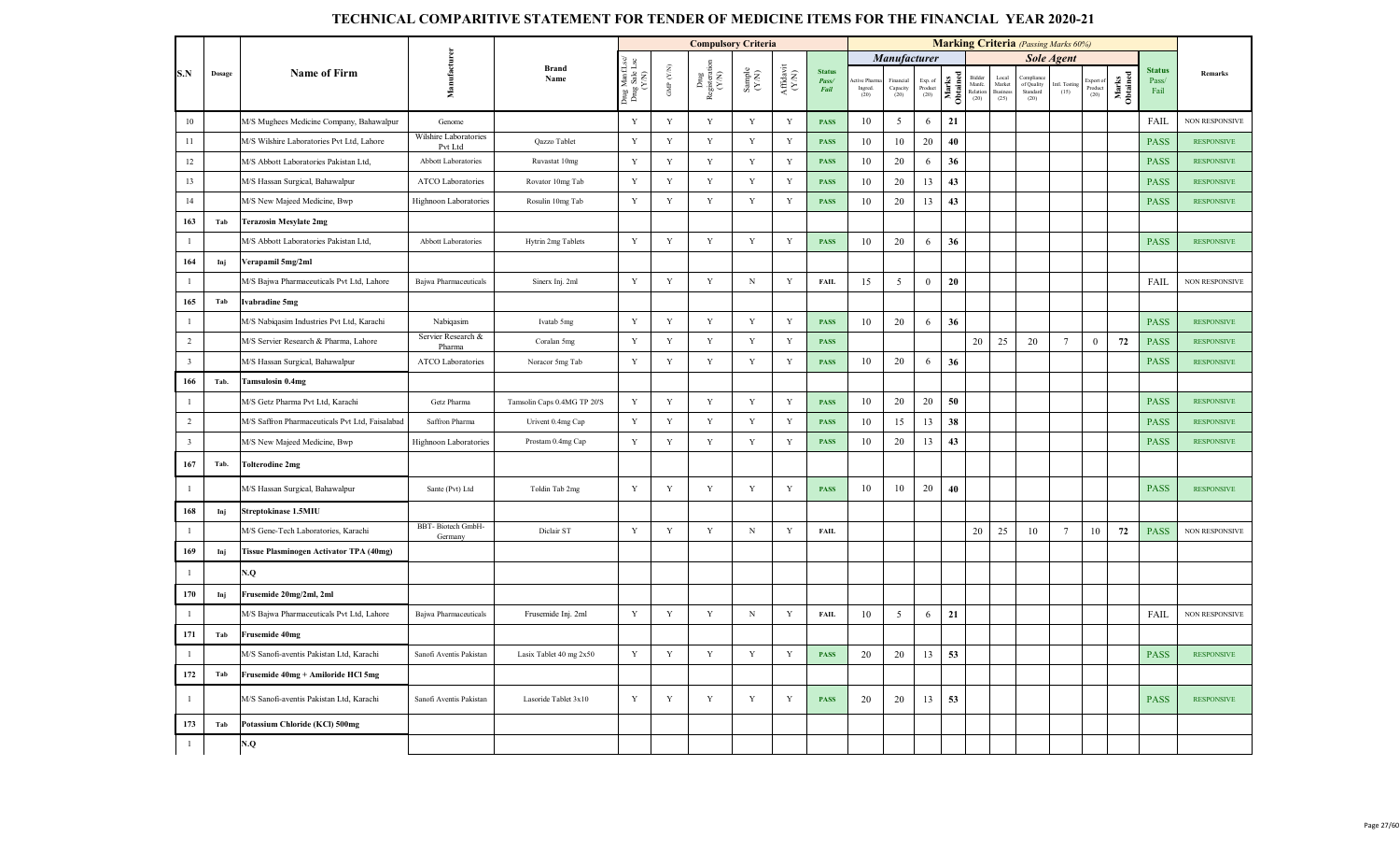|                |        |                                                 |                                  |                             |                                     |                      | <b>Compulsory Criteria</b>                                             |                                                             |                                       |                                |                                |                              |                            |                   |                                      |                                           | <b>Marking Criteria</b> (Passing Marks 60%) |                       |                          |                   |                                |                       |
|----------------|--------|-------------------------------------------------|----------------------------------|-----------------------------|-------------------------------------|----------------------|------------------------------------------------------------------------|-------------------------------------------------------------|---------------------------------------|--------------------------------|--------------------------------|------------------------------|----------------------------|-------------------|--------------------------------------|-------------------------------------------|---------------------------------------------|-----------------------|--------------------------|-------------------|--------------------------------|-----------------------|
|                |        |                                                 |                                  |                             |                                     |                      |                                                                        |                                                             |                                       |                                |                                | Manufacturer                 |                            |                   |                                      |                                           |                                             | <b>Sole Agent</b>     |                          |                   |                                |                       |
| S.N            | Dosage | <b>Name of Firm</b>                             | Manufacturer                     | <b>Brand</b><br>Name        | Drug Manf.L<br>Drug Sale L<br>(Y/N) | GMP $(\mathbf{Y/N})$ | $\begin{array}{c} \rm{Dng} \\ \rm{Registeration} \\ (Y/N) \end{array}$ | $\begin{array}{c} \text{Sample} \\ (\text{YM}) \end{array}$ | ${\bf Aff} {\bf davit} \\ {\bf (YN)}$ | <b>Status</b><br>Pass/<br>Fail | ive Pharm<br>Ingred.<br>$(20)$ | Financia<br>Capacity<br>(20) | Exp. of<br>Product<br>(20) | Marks<br>Obtained | Bidder<br>Manfe.<br>Relation<br>(20) | Local<br>Market<br><b>Busines</b><br>(25) | Compliano<br>of Quality<br>Standard<br>(20) | Intl. Testing<br>(15) | xport<br>Product<br>(20) | Marks<br>Obtained | <b>Status</b><br>Pass/<br>Fail | Remarks               |
| 10             |        | M/S Mughees Medicine Company, Bahawalpur        | Genome                           |                             | Y                                   | Y                    | Y                                                                      | Y                                                           | Y                                     | <b>PASS</b>                    | 10                             | 5                            | 6                          | 21                |                                      |                                           |                                             |                       |                          |                   | <b>FAIL</b>                    | <b>NON RESPONSIVE</b> |
| 11             |        | M/S Wilshire Laboratories Pvt Ltd, Lahore       | Wilshire Laboratories<br>Pvt Ltd | Qazzo Tablet                | $\mathbf Y$                         | $\mathbf Y$          | Y                                                                      | $\mathbf Y$                                                 | Y                                     | <b>PASS</b>                    | 10                             | 10                           | 20                         | 40                |                                      |                                           |                                             |                       |                          |                   | <b>PASS</b>                    | <b>RESPONSIVE</b>     |
| 12             |        | M/S Abbott Laboratories Pakistan Ltd,           | Abbott Laboratories              | Ruvastat 10mg               | $\mathbf Y$                         | Y                    | Y                                                                      | Y                                                           | $\mathbf Y$                           | <b>PASS</b>                    | 10                             | 20                           | 6                          | 36                |                                      |                                           |                                             |                       |                          |                   | <b>PASS</b>                    | <b>RESPONSIVE</b>     |
| 13             |        | M/S Hassan Surgical, Bahawalpur                 | ATCO Laboratories                | Rovator 10mg Tab            | $\mathbf Y$                         | $\mathbf Y$          | $\mathbf Y$                                                            | $\mathbf Y$                                                 | Y                                     | <b>PASS</b>                    | 10                             | 20                           | 13                         | 43                |                                      |                                           |                                             |                       |                          |                   | <b>PASS</b>                    | <b>RESPONSIVE</b>     |
| 14             |        | M/S New Majeed Medicine, Bwp                    | Highnoon Laboratories            | Rosulin 10mg Tab            | Y                                   | Y                    | Y                                                                      | Y                                                           | Y                                     | <b>PASS</b>                    | 10                             | 20                           | 13                         | 43                |                                      |                                           |                                             |                       |                          |                   | <b>PASS</b>                    | <b>RESPONSIVE</b>     |
| 163            | Tab    | <b>Terazosin Mesylate 2mg</b>                   |                                  |                             |                                     |                      |                                                                        |                                                             |                                       |                                |                                |                              |                            |                   |                                      |                                           |                                             |                       |                          |                   |                                |                       |
| $\mathbf{1}$   |        | M/S Abbott Laboratories Pakistan Ltd,           | Abbott Laboratories              | Hytrin 2mg Tablets          | Y                                   | $\mathbf Y$          | $\mathbf Y$                                                            | $\mathbf Y$                                                 | Y                                     | <b>PASS</b>                    | 10                             | 20                           | 6                          | 36                |                                      |                                           |                                             |                       |                          |                   | <b>PASS</b>                    | <b>RESPONSIVE</b>     |
| 164            | Inj    | Verapamil 5mg/2ml                               |                                  |                             |                                     |                      |                                                                        |                                                             |                                       |                                |                                |                              |                            |                   |                                      |                                           |                                             |                       |                          |                   |                                |                       |
| $\mathbf{1}$   |        | M/S Bajwa Pharmaceuticals Pvt Ltd, Lahore       | Bajwa Pharmaceuticals            | Sinerx Inj. 2ml             | Y                                   | $\mathbf Y$          | $\mathbf Y$                                                            | $_{\rm N}$                                                  | $\mathbf Y$                           | <b>FAIL</b>                    | 15                             | $\mathfrak{S}$               | $\overline{0}$             | 20                |                                      |                                           |                                             |                       |                          |                   | FAIL                           | <b>NON RESPONSIVE</b> |
| 165            | Tab    | Ivabradine 5mg                                  |                                  |                             |                                     |                      |                                                                        |                                                             |                                       |                                |                                |                              |                            |                   |                                      |                                           |                                             |                       |                          |                   |                                |                       |
| $\mathbf{1}$   |        | M/S Nabiqasim Industries Pvt Ltd, Karachi       | Nabiqasim                        | Ivatab 5mg                  | Y                                   | Y                    | $\mathbf Y$                                                            | Y                                                           | Y                                     | <b>PASS</b>                    | 10                             | 20                           | 6                          | 36                |                                      |                                           |                                             |                       |                          |                   | <b>PASS</b>                    | <b>RESPONSIVE</b>     |
| $\overline{2}$ |        | M/S Servier Research & Pharma, Lahore           | Servier Research &<br>Pharma     | Coralan 5mg                 | $\mathbf Y$                         | $\mathbf Y$          | $\mathbf Y$                                                            | Y                                                           | Y                                     | <b>PASS</b>                    |                                |                              |                            |                   | 20                                   | 25                                        | 20                                          | $7\phantom{.0}$       | $\bf{0}$                 | 72                | <b>PASS</b>                    | <b>RESPONSIVE</b>     |
| $\overline{3}$ |        | M/S Hassan Surgical, Bahawalpur                 | ATCO Laboratories                | Noracor 5mg Tab             | Y                                   | $\mathbf Y$          | $\mathbf Y$                                                            | $\mathbf Y$                                                 | Y                                     | <b>PASS</b>                    | 10                             | 20                           | 6                          | 36                |                                      |                                           |                                             |                       |                          |                   | <b>PASS</b>                    | <b>RESPONSIVE</b>     |
| 166            | Tab.   | Tamsulosin 0.4mg                                |                                  |                             |                                     |                      |                                                                        |                                                             |                                       |                                |                                |                              |                            |                   |                                      |                                           |                                             |                       |                          |                   |                                |                       |
| 1              |        | M/S Getz Pharma Pvt Ltd, Karachi                | Getz Pharma                      | Tamsolin Caps 0.4MG TP 20'S | $\mathbf Y$                         | Y                    | Y                                                                      | Y                                                           | Y                                     | <b>PASS</b>                    | 10                             | 20                           | 20                         | 50                |                                      |                                           |                                             |                       |                          |                   | <b>PASS</b>                    | <b>RESPONSIVE</b>     |
| $\sqrt{2}$     |        | M/S Saffron Pharmaceuticals Pvt Ltd, Faisalabad | Saffron Pharma                   | Urivent 0.4mg Cap           | $\mathbf Y$                         | $\mathbf Y$          | $\mathbf Y$                                                            | $\mathbf Y$                                                 | $\mathbf Y$                           | <b>PASS</b>                    | 10                             | 15                           | 13                         | 38                |                                      |                                           |                                             |                       |                          |                   | <b>PASS</b>                    | <b>RESPONSIVE</b>     |
| $\overline{3}$ |        | M/S New Majeed Medicine, Bwp                    | <b>Highnoon Laboratories</b>     | Prostam 0.4mg Cap           | $\mathbf Y$                         | Y                    | $\mathbf Y$                                                            | $\mathbf Y$                                                 | Y                                     | <b>PASS</b>                    | 10                             | 20                           | 13                         | 43                |                                      |                                           |                                             |                       |                          |                   | <b>PASS</b>                    | <b>RESPONSIVE</b>     |
| 167            | Tab.   | <b>Tolterodine 2mg</b>                          |                                  |                             |                                     |                      |                                                                        |                                                             |                                       |                                |                                |                              |                            |                   |                                      |                                           |                                             |                       |                          |                   |                                |                       |
| 1              |        | M/S Hassan Surgical, Bahawalpur                 | Sante (Pvt) Ltd                  | Toldin Tab 2mg              | $\mathbf Y$                         | $\mathbf Y$          | $\mathbf Y$                                                            | $\mathbf Y$                                                 | Y                                     | <b>PASS</b>                    | 10                             | 10                           | 20                         | 40                |                                      |                                           |                                             |                       |                          |                   | <b>PASS</b>                    | <b>RESPONSIVE</b>     |
| 168            | Inj    | Streptokinase 1.5MIU                            |                                  |                             |                                     |                      |                                                                        |                                                             |                                       |                                |                                |                              |                            |                   |                                      |                                           |                                             |                       |                          |                   |                                |                       |
| $\mathbf{1}$   |        | M/S Gene-Tech Laboratories, Karachi             | BBT-Biotech GmbH-<br>Germany     | Diclair ST                  | Y                                   | Y                    | Y                                                                      | $_{\rm N}$                                                  | Y                                     | <b>FAIL</b>                    |                                |                              |                            |                   | 20                                   | 25                                        | 10                                          | $7\phantom{.0}$       | 10                       | 72                | <b>PASS</b>                    | NON RESPONSIVE        |
| 169            | Inj    | Tissue Plasminogen Activator TPA (40mg)         |                                  |                             |                                     |                      |                                                                        |                                                             |                                       |                                |                                |                              |                            |                   |                                      |                                           |                                             |                       |                          |                   |                                |                       |
| $\mathbf{1}$   |        | N.Q                                             |                                  |                             |                                     |                      |                                                                        |                                                             |                                       |                                |                                |                              |                            |                   |                                      |                                           |                                             |                       |                          |                   |                                |                       |
| 170            | Inj    | Frusemide 20mg/2ml, 2ml                         |                                  |                             |                                     |                      |                                                                        |                                                             |                                       |                                |                                |                              |                            |                   |                                      |                                           |                                             |                       |                          |                   |                                |                       |
| $\mathbf{1}$   |        | M/S Bajwa Pharmaceuticals Pvt Ltd, Lahore       | Bajwa Pharmaceuticals            | Frusemide Inj. 2ml          | $\mathbf Y$                         | $\mathbf Y$          | $\mathbf Y$                                                            | $\mathbf N$                                                 | Y                                     | <b>FAIL</b>                    | 10                             | 5                            | 6                          | 21                |                                      |                                           |                                             |                       |                          |                   | FAIL                           | <b>NON RESPONSIVE</b> |
| 171            | Tab    | Frusemide 40mg                                  |                                  |                             |                                     |                      |                                                                        |                                                             |                                       |                                |                                |                              |                            |                   |                                      |                                           |                                             |                       |                          |                   |                                |                       |
| $\mathbf{1}$   |        | M/S Sanofi-aventis Pakistan Ltd, Karachi        | Sanofi Aventis Pakistan          | Lasix Tablet 40 mg 2x50     | Y                                   | Y                    | Y                                                                      | Y                                                           | Y                                     | <b>PASS</b>                    | 20                             | 20                           | 13                         | 53                |                                      |                                           |                                             |                       |                          |                   | <b>PASS</b>                    | <b>RESPONSIVE</b>     |
| 172            | Tab    | Frusemide 40mg + Amiloride HCl 5mg              |                                  |                             |                                     |                      |                                                                        |                                                             |                                       |                                |                                |                              |                            |                   |                                      |                                           |                                             |                       |                          |                   |                                |                       |
| -1             |        | M/S Sanofi-aventis Pakistan Ltd, Karachi        | Sanofi Aventis Pakistan          | Lasoride Tablet 3x10        | Y                                   | Y                    | $\mathbf Y$                                                            | $\mathbf Y$                                                 | Y                                     | <b>PASS</b>                    | 20                             | 20                           | 13                         | 53                |                                      |                                           |                                             |                       |                          |                   | <b>PASS</b>                    | <b>RESPONSIVE</b>     |
| 173            | Tab    | Potassium Chloride (KCl) 500mg                  |                                  |                             |                                     |                      |                                                                        |                                                             |                                       |                                |                                |                              |                            |                   |                                      |                                           |                                             |                       |                          |                   |                                |                       |
| $\mathbf{1}$   |        | N.Q                                             |                                  |                             |                                     |                      |                                                                        |                                                             |                                       |                                |                                |                              |                            |                   |                                      |                                           |                                             |                       |                          |                   |                                |                       |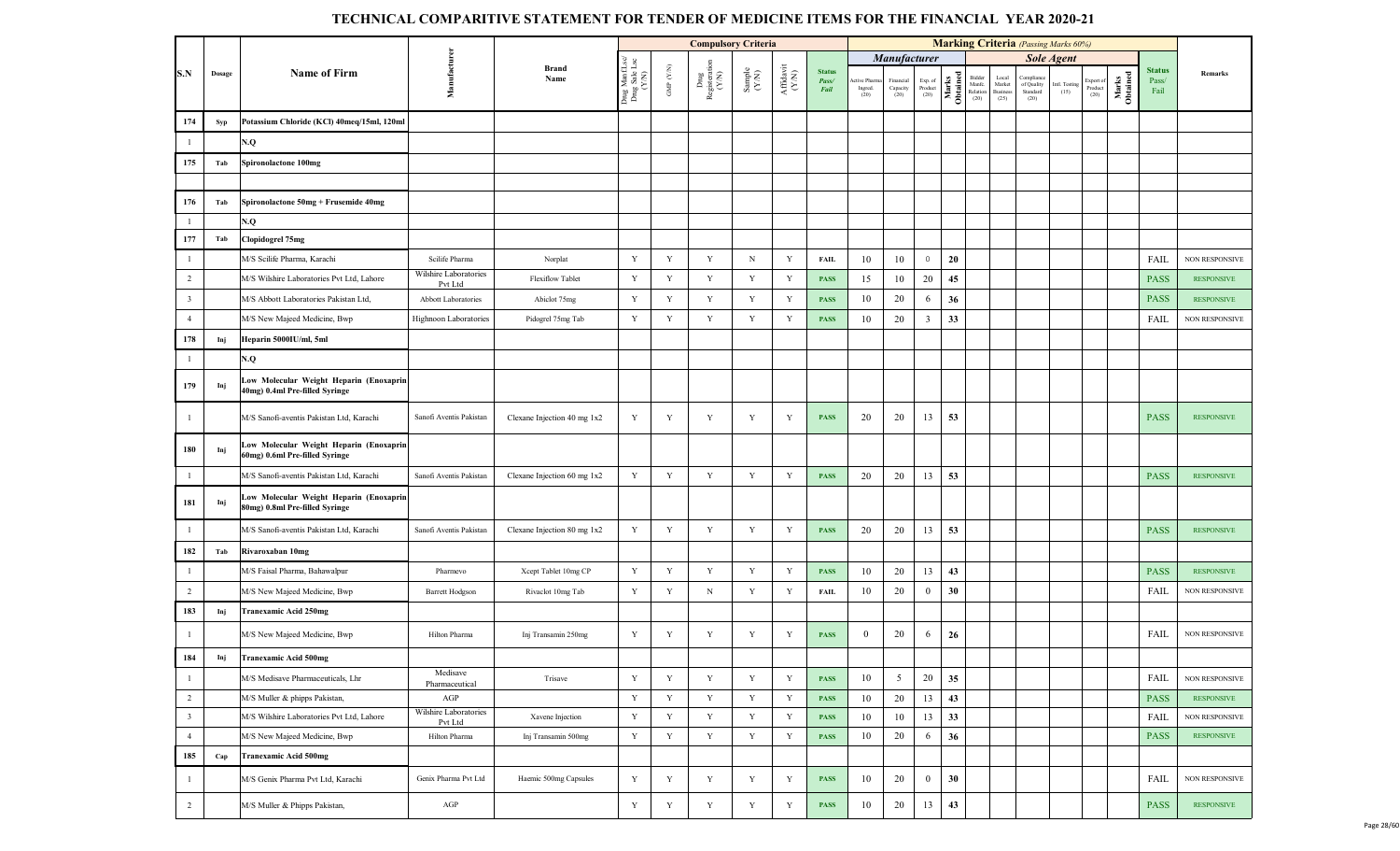|                         |        |                                                                           |                                  |                             |                                         |                                 | <b>Compulsory Criteria</b>     |                                                             |                              |                                |                                |                               |                            |                   |                                     |                                             | <b>Marking Criteria</b> (Passing Marks 60%) |                       |                             |                   |                                |                       |
|-------------------------|--------|---------------------------------------------------------------------------|----------------------------------|-----------------------------|-----------------------------------------|---------------------------------|--------------------------------|-------------------------------------------------------------|------------------------------|--------------------------------|--------------------------------|-------------------------------|----------------------------|-------------------|-------------------------------------|---------------------------------------------|---------------------------------------------|-----------------------|-----------------------------|-------------------|--------------------------------|-----------------------|
|                         |        |                                                                           |                                  |                             |                                         |                                 |                                |                                                             |                              |                                |                                | Manufacturer                  |                            |                   |                                     |                                             |                                             | <b>Sole Agent</b>     |                             |                   |                                |                       |
| S.N                     | Dosage | <b>Name of Firm</b>                                                       | Manufacturer                     | <b>Brand</b><br>Name        | Drug ManfLsc/<br>Drug Sale Lsc<br>(Y/N) | GMP $(\mathcal{Y},\mathcal{N})$ | Drug<br>Registeration<br>(Y/N) | $\begin{array}{c} \text{Sample} \\ (\text{YN}) \end{array}$ | ${\bf Affa} {\bf vit}$ (Y/N) | <b>Status</b><br>Pass/<br>Fail | ctive Pharm<br>Ingred.<br>(20) | Financial<br>Capacity<br>(20) | Exp. of<br>Product<br>(20) | Marks<br>Obtained | Bidde<br>Manfe.<br>Relation<br>(20) | Local<br>${\rm Market}$<br>Business<br>(25) | Complian<br>of Quality<br>Standard<br>(20)  | Intl. Testing<br>(15) | xport of<br>Product<br>(20) | Marks<br>Obtained | <b>Status</b><br>Pass/<br>Fail | Remarks               |
| 174                     | Syp    | Potassium Chloride (KCl) 40meq/15ml, 120ml                                |                                  |                             |                                         |                                 |                                |                                                             |                              |                                |                                |                               |                            |                   |                                     |                                             |                                             |                       |                             |                   |                                |                       |
| $\mathbf{1}$            |        | N.Q                                                                       |                                  |                             |                                         |                                 |                                |                                                             |                              |                                |                                |                               |                            |                   |                                     |                                             |                                             |                       |                             |                   |                                |                       |
| 175                     | Tab    | Spironolactone 100mg                                                      |                                  |                             |                                         |                                 |                                |                                                             |                              |                                |                                |                               |                            |                   |                                     |                                             |                                             |                       |                             |                   |                                |                       |
|                         |        |                                                                           |                                  |                             |                                         |                                 |                                |                                                             |                              |                                |                                |                               |                            |                   |                                     |                                             |                                             |                       |                             |                   |                                |                       |
| 176                     | Tab    | Spironolactone 50mg + Frusemide 40mg                                      |                                  |                             |                                         |                                 |                                |                                                             |                              |                                |                                |                               |                            |                   |                                     |                                             |                                             |                       |                             |                   |                                |                       |
| $\mathbf{1}$            |        | N.Q                                                                       |                                  |                             |                                         |                                 |                                |                                                             |                              |                                |                                |                               |                            |                   |                                     |                                             |                                             |                       |                             |                   |                                |                       |
| 177                     | Tab    | Clopidogrel 75mg                                                          |                                  |                             |                                         |                                 |                                |                                                             |                              |                                |                                |                               |                            |                   |                                     |                                             |                                             |                       |                             |                   |                                |                       |
| $\mathbf{1}$            |        | M/S Scilife Pharma, Karachi                                               | Scilife Pharma                   | Norplat                     | Y                                       | Y                               | Y                              | $\mathbf N$                                                 | Y                            | <b>FAIL</b>                    | 10                             | 10                            | $\,0\,$                    | 20                |                                     |                                             |                                             |                       |                             |                   | <b>FAIL</b>                    | NON RESPONSIVE        |
| 2                       |        | M/S Wilshire Laboratories Pvt Ltd, Lahore                                 | Wilshire Laboratories<br>Pvt Ltd | <b>Flexiflow Tablet</b>     | Y                                       | Y                               | Y                              | Y                                                           | Y                            | <b>PASS</b>                    | 15                             | 10                            | 20                         | 45                |                                     |                                             |                                             |                       |                             |                   | <b>PASS</b>                    | <b>RESPONSIVE</b>     |
| $\overline{\mathbf{3}}$ |        | M/S Abbott Laboratories Pakistan Ltd,                                     | Abbott Laboratories              | Abiclot 75mg                | $\mathbf Y$                             | Y                               | Y                              | Y                                                           | Y                            | <b>PASS</b>                    | 10                             | 20                            | 6                          | 36                |                                     |                                             |                                             |                       |                             |                   | <b>PASS</b>                    | <b>RESPONSIVE</b>     |
| $\overline{4}$          |        | M/S New Majeed Medicine, Bwp                                              | <b>Highnoon Laboratories</b>     | Pidogrel 75mg Tab           | $\mathbf Y$                             | $\mathbf Y$                     | $\mathbf Y$                    | Y                                                           | Y                            | <b>PASS</b>                    | 10                             | 20                            | $\overline{3}$             | 33                |                                     |                                             |                                             |                       |                             |                   | FAIL                           | <b>NON RESPONSIVE</b> |
| 178                     | Inj    | Heparin 5000IU/ml, 5ml                                                    |                                  |                             |                                         |                                 |                                |                                                             |                              |                                |                                |                               |                            |                   |                                     |                                             |                                             |                       |                             |                   |                                |                       |
| $\mathbf{1}$            |        | N.Q                                                                       |                                  |                             |                                         |                                 |                                |                                                             |                              |                                |                                |                               |                            |                   |                                     |                                             |                                             |                       |                             |                   |                                |                       |
| 179                     | Inj    | Low Molecular Weight Heparin (Enoxaprin<br>40mg) 0.4ml Pre-filled Syringe |                                  |                             |                                         |                                 |                                |                                                             |                              |                                |                                |                               |                            |                   |                                     |                                             |                                             |                       |                             |                   |                                |                       |
| $\mathbf{1}$            |        | M/S Sanofi-aventis Pakistan Ltd, Karachi                                  | Sanofi Aventis Pakistan          | Clexane Injection 40 mg 1x2 | Y                                       | Y                               | Y                              | Y                                                           | Y                            | <b>PASS</b>                    | 20                             | 20                            | 13                         | 53                |                                     |                                             |                                             |                       |                             |                   | <b>PASS</b>                    | <b>RESPONSIVE</b>     |
| 180                     | Inj    | Low Molecular Weight Heparin (Enoxaprin<br>60mg) 0.6ml Pre-filled Syringe |                                  |                             |                                         |                                 |                                |                                                             |                              |                                |                                |                               |                            |                   |                                     |                                             |                                             |                       |                             |                   |                                |                       |
| $\mathbf{1}$            |        | M/S Sanofi-aventis Pakistan Ltd, Karachi                                  | Sanofi Aventis Pakistan          | Clexane Injection 60 mg 1x2 | $\mathbf Y$                             | Y                               | Y                              | $\mathbf Y$                                                 | Y                            | <b>PASS</b>                    | 20                             | 20                            | 13                         | 53                |                                     |                                             |                                             |                       |                             |                   | <b>PASS</b>                    | <b>RESPONSIVE</b>     |
| 181                     | Inj    | Low Molecular Weight Heparin (Enoxaprin<br>80mg) 0.8ml Pre-filled Syringe |                                  |                             |                                         |                                 |                                |                                                             |                              |                                |                                |                               |                            |                   |                                     |                                             |                                             |                       |                             |                   |                                |                       |
| -1                      |        | M/S Sanofi-aventis Pakistan Ltd, Karachi                                  | Sanofi Aventis Pakistan          | Clexane Injection 80 mg 1x2 | Y                                       | Y                               | Y                              | Y                                                           | Y                            | <b>PASS</b>                    | 20                             | 20                            | 13                         | 53                |                                     |                                             |                                             |                       |                             |                   | <b>PASS</b>                    | <b>RESPONSIVE</b>     |
| 182                     | Tab    | Rivaroxaban 10mg                                                          |                                  |                             |                                         |                                 |                                |                                                             |                              |                                |                                |                               |                            |                   |                                     |                                             |                                             |                       |                             |                   |                                |                       |
| $\mathbf{1}$            |        | M/S Faisal Pharma, Bahawalpur                                             | Pharmevo                         | Xcept Tablet 10mg CP        | Y                                       | Y                               | $\mathbf Y$                    | Y                                                           | Y                            | <b>PASS</b>                    | 10                             | 20                            | 13                         | 43                |                                     |                                             |                                             |                       |                             |                   | <b>PASS</b>                    | <b>RESPONSIVE</b>     |
| 2                       |        | M/S New Majeed Medicine, Bwp                                              | <b>Barrett Hodgson</b>           | Rivaclot 10mg Tab           | Y                                       | Y                               | $\mathbf N$                    | Y                                                           | Y                            | <b>FAIL</b>                    | 10                             | 20                            | $\bf{0}$                   | 30                |                                     |                                             |                                             |                       |                             |                   | <b>FAIL</b>                    | NON RESPONSIVE        |
| 183                     | Inj    | Tranexamic Acid 250mg                                                     |                                  |                             |                                         |                                 |                                |                                                             |                              |                                |                                |                               |                            |                   |                                     |                                             |                                             |                       |                             |                   |                                |                       |
| $\mathbf{1}$            |        | M/S New Majeed Medicine, Bwp                                              | Hilton Pharma                    | Inj Transamin 250mg         | Y                                       | Y                               | Y                              | Y                                                           | Y                            | <b>PASS</b>                    | $\mathbf{0}$                   | 20                            | 6                          | 26                |                                     |                                             |                                             |                       |                             |                   | FAIL                           | <b>NON RESPONSIVE</b> |
| 184                     | Inj    | Tranexamic Acid 500mg                                                     |                                  |                             |                                         |                                 |                                |                                                             |                              |                                |                                |                               |                            |                   |                                     |                                             |                                             |                       |                             |                   |                                |                       |
| $\mathbf{1}$            |        | M/S Medisave Pharmaceuticals, Lhr                                         | Medisave<br>Pharmaceutical       | Trisave                     | Y                                       | Y                               | Y                              | $\mathbf Y$                                                 | Y                            | <b>PASS</b>                    | 10                             | 5                             | 20                         | 35                |                                     |                                             |                                             |                       |                             |                   | FAIL                           | NON RESPONSIVE        |
| $\overline{2}$          |        | M/S Muller & phipps Pakistan,                                             | AGP                              |                             | $\mathbf Y$                             | Y                               | Y                              | $\mathbf Y$                                                 | Y                            | <b>PASS</b>                    | 10                             | 20                            | 13                         | 43                |                                     |                                             |                                             |                       |                             |                   | <b>PASS</b>                    | <b>RESPONSIVE</b>     |
| $\overline{\mathbf{3}}$ |        | M/S Wilshire Laboratories Pvt Ltd, Lahore                                 | Wilshire Laboratories<br>Pvt Ltd | Xavene Injection            | $\mathbf Y$                             | $\mathbf Y$                     | Y                              | $\mathbf Y$                                                 | Y                            | <b>PASS</b>                    | 10                             | 10                            | 13                         | 33                |                                     |                                             |                                             |                       |                             |                   | <b>FAIL</b>                    | NON RESPONSIVE        |
| $\overline{4}$          |        | M/S New Majeed Medicine, Bwp                                              | Hilton Pharma                    | Inj Transamin 500mg         | $\mathbf Y$                             | $\mathbf Y$                     | Y                              | $\mathbf Y$                                                 | $\mathbf Y$                  | <b>PASS</b>                    | 10                             | 20                            | 6                          | 36                |                                     |                                             |                                             |                       |                             |                   | <b>PASS</b>                    | <b>RESPONSIVE</b>     |
| 185                     | Cap    | <b>Tranexamic Acid 500mg</b>                                              |                                  |                             |                                         |                                 |                                |                                                             |                              |                                |                                |                               |                            |                   |                                     |                                             |                                             |                       |                             |                   |                                |                       |
| $\mathbf{1}$            |        | M/S Genix Pharma Pvt Ltd, Karachi                                         | Genix Pharma Pvt Ltd             | Haemic 500mg Capsules       | Y                                       | Y                               | Y                              | Y                                                           | Y                            | <b>PASS</b>                    | 10                             | 20                            | $\overline{0}$             | 30                |                                     |                                             |                                             |                       |                             |                   | FAIL                           | NON RESPONSIVE        |
| $\overline{2}$          |        | M/S Muller & Phipps Pakistan,                                             | $\mathbf{AGP}$                   |                             | $\mathbf Y$                             | $\mathbf Y$                     | $\mathbf Y$                    | $\mathbf Y$                                                 | Y                            | <b>PASS</b>                    | 10                             | 20                            | 13                         | 43                |                                     |                                             |                                             |                       |                             |                   | <b>PASS</b>                    | <b>RESPONSIVE</b>     |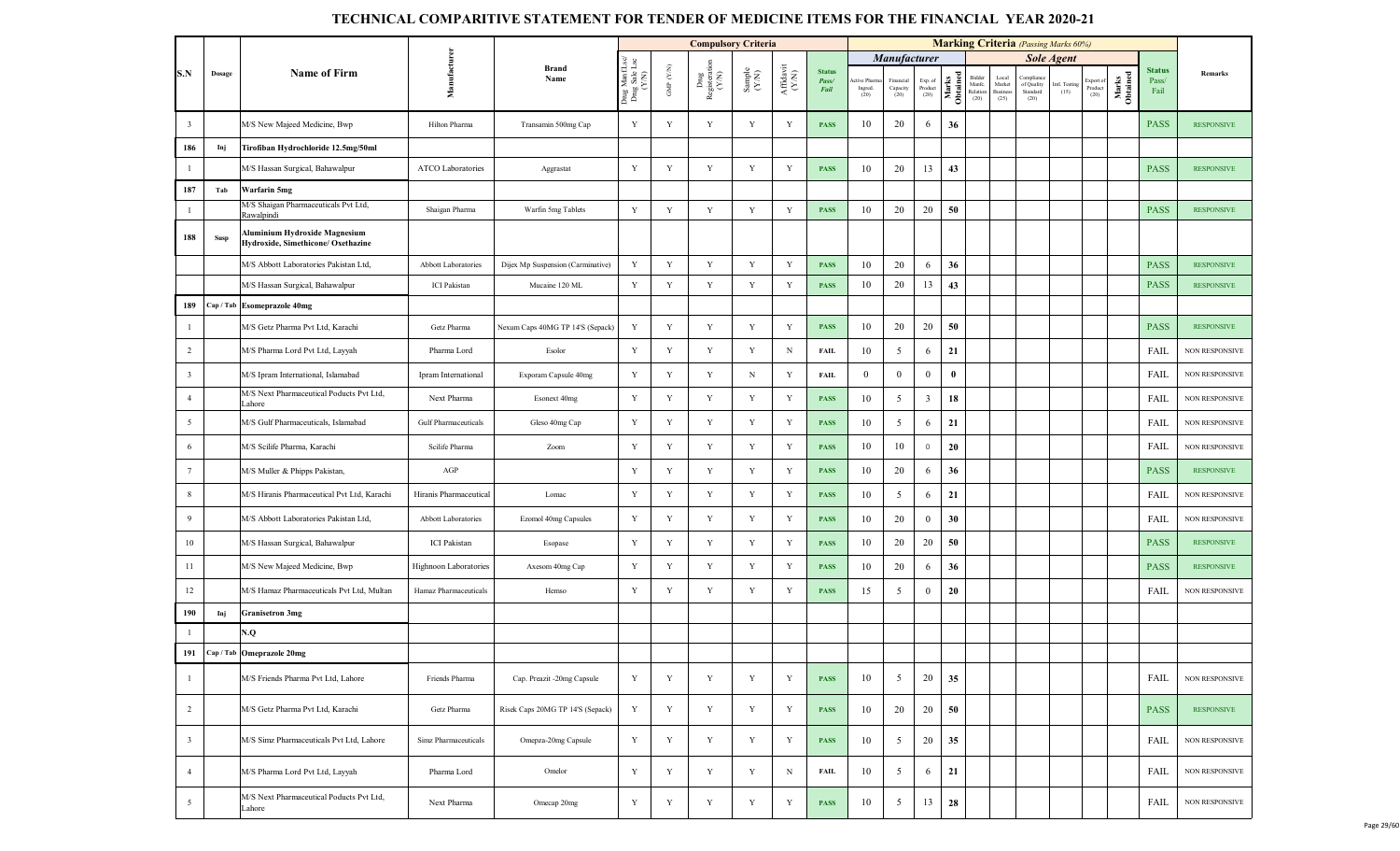|                         |             |                                                                     |                        |                                   |                                         |                                 | <b>Compulsory Criteria</b>                                             |                                                              |                                                                                                        |                                |                               |                               |                            |                   |                                      |                                     | <b>Marking Criteria</b> (Passing Marks 60%)         |                       |                             |                   |                                |                   |
|-------------------------|-------------|---------------------------------------------------------------------|------------------------|-----------------------------------|-----------------------------------------|---------------------------------|------------------------------------------------------------------------|--------------------------------------------------------------|--------------------------------------------------------------------------------------------------------|--------------------------------|-------------------------------|-------------------------------|----------------------------|-------------------|--------------------------------------|-------------------------------------|-----------------------------------------------------|-----------------------|-----------------------------|-------------------|--------------------------------|-------------------|
|                         |             |                                                                     |                        |                                   |                                         |                                 |                                                                        |                                                              |                                                                                                        |                                |                               | <b>Manufacturer</b>           |                            |                   |                                      |                                     |                                                     | <b>Sole Agent</b>     |                             |                   |                                |                   |
| S.N                     | Dosage      | <b>Name of Firm</b>                                                 | Manufacture            | <b>Brand</b><br>Name              | Drug ManfLsc/<br>Drug Sale Lsc<br>(Y/N) | GMP $(\mathcal{Y},\mathcal{N})$ | $\begin{array}{c} \rm{Dng} \\ \rm{Registeration} \\ (Y/N) \end{array}$ | $\begin{array}{c} \text{Sample} \\ (\text{Y-N}) \end{array}$ | $\begin{array}{c} \mathbf{Aff} \mathbf{d}\mathbf{a}\mathbf{v}\mathbf{i} \\ (\mathbf{Y/N}) \end{array}$ | <b>Status</b><br>Pass/<br>Fail | tive Pharm<br>Ingred.<br>(20) | Financial<br>Capacity<br>(20) | Exp. of<br>Product<br>(20) | Marks<br>Obtained | Bidder<br>Manfc.<br>Relation<br>(20) | Local<br>Market<br>Business<br>(25) | <b>Compliance</b><br>of Quality<br>Standard<br>(20) | Intl. Testing<br>(15) | Export o<br>Product<br>(20) | Marks<br>Obtained | <b>Status</b><br>Pass/<br>Fail | Remarks           |
| $\overline{\mathbf{3}}$ |             | M/S New Majeed Medicine, Bwp                                        | Hilton Pharma          | Transamin 500mg Cap               | Y                                       | $\mathbf Y$                     | Y                                                                      | Y                                                            | Y                                                                                                      | <b>PASS</b>                    | 10                            | 20                            | 6                          | 36                |                                      |                                     |                                                     |                       |                             |                   | <b>PASS</b>                    | <b>RESPONSIVE</b> |
| 186                     | Inj         | Tirofiban Hydrochloride 12.5mg/50ml                                 |                        |                                   |                                         |                                 |                                                                        |                                                              |                                                                                                        |                                |                               |                               |                            |                   |                                      |                                     |                                                     |                       |                             |                   |                                |                   |
| $\mathbf{1}$            |             | M/S Hassan Surgical, Bahawalpur                                     | ATCO Laboratories      | Aggrastat                         | Y                                       | Y                               | Y                                                                      | Y                                                            | Y                                                                                                      | <b>PASS</b>                    | 10                            | 20                            | 13                         | 43                |                                      |                                     |                                                     |                       |                             |                   | <b>PASS</b>                    | <b>RESPONSIVE</b> |
| 187                     | Tab         | Warfarin 5mg                                                        |                        |                                   |                                         |                                 |                                                                        |                                                              |                                                                                                        |                                |                               |                               |                            |                   |                                      |                                     |                                                     |                       |                             |                   |                                |                   |
| $\overline{1}$          |             | M/S Shaigan Pharmaceuticals Pvt Ltd,<br><b>Lawalpindi</b>           | Shaigan Pharma         | Warfin 5mg Tablets                | Y                                       | $\mathbf Y$                     | $\mathbf Y$                                                            | Y                                                            | Y                                                                                                      | <b>PASS</b>                    | 10                            | 20                            | 20                         | 50                |                                      |                                     |                                                     |                       |                             |                   | <b>PASS</b>                    | <b>RESPONSIVE</b> |
| 188                     | <b>Susp</b> | Aluminium Hydroxide Magnesium<br>Hydroxide, Simethicone/ Oxethazine |                        |                                   |                                         |                                 |                                                                        |                                                              |                                                                                                        |                                |                               |                               |                            |                   |                                      |                                     |                                                     |                       |                             |                   |                                |                   |
|                         |             | M/S Abbott Laboratories Pakistan Ltd.                               | Abbott Laboratories    | Dijex Mp Suspension (Carminative) | Y                                       | Y                               | Y                                                                      | Y                                                            | $\mathbf Y$                                                                                            | <b>PASS</b>                    | 10                            | 20                            | 6                          | 36                |                                      |                                     |                                                     |                       |                             |                   | <b>PASS</b>                    | <b>RESPONSIVE</b> |
|                         |             | M/S Hassan Surgical, Bahawalpur                                     | <b>ICI</b> Pakistan    | Mucaine 120 ML                    | Y                                       | Y                               | $\mathbf Y$                                                            | Y                                                            | Y                                                                                                      | <b>PASS</b>                    | 10                            | 20                            | 13                         | 43                |                                      |                                     |                                                     |                       |                             |                   | <b>PASS</b>                    | <b>RESPONSIVE</b> |
| 189                     | Cap / Tab   | <b>Esomeprazole 40mg</b>                                            |                        |                                   |                                         |                                 |                                                                        |                                                              |                                                                                                        |                                |                               |                               |                            |                   |                                      |                                     |                                                     |                       |                             |                   |                                |                   |
| $\overline{1}$          |             | M/S Getz Pharma Pvt Ltd. Karachi                                    | Getz Pharma            | Nexum Caps 40MG TP 14'S (Sepack)  | Y                                       | Y                               | Y                                                                      | Y                                                            | $\mathbf Y$                                                                                            | <b>PASS</b>                    | 10                            | 20                            | 20                         | 50                |                                      |                                     |                                                     |                       |                             |                   | <b>PASS</b>                    | <b>RESPONSIVE</b> |
| $\overline{2}$          |             | M/S Pharma Lord Pvt Ltd, Layyah                                     | Pharma Lord            | Esolor                            | $\mathbf Y$                             | $\mathbf Y$                     | Y                                                                      | $\mathbf Y$                                                  | $\, {\rm N}$                                                                                           | <b>FAIL</b>                    | 10                            | 5                             | 6                          | 21                |                                      |                                     |                                                     |                       |                             |                   | FAIL                           | NON RESPONSIVE    |
| $\overline{\mathbf{3}}$ |             | M/S Ipram International, Islamabad                                  | Ipram International    | Exporam Capsule 40mg              | Y                                       | Y                               | $\mathbf Y$                                                            | N                                                            | $\mathbf Y$                                                                                            | <b>FAIL</b>                    | $\mathbf{0}$                  | $\mathbf{0}$                  | $\overline{0}$             | $\bf{0}$          |                                      |                                     |                                                     |                       |                             |                   | <b>FAIL</b>                    | NON RESPONSIVE    |
| $\overline{4}$          |             | M/S Next Pharmaceutical Poducts Pvt Ltd,<br>Lahore                  | Next Pharma            | Esonext 40mg                      | $\mathbf Y$                             | Y                               | Y                                                                      | $\mathbf Y$                                                  | Y                                                                                                      | <b>PASS</b>                    | 10                            | 5                             | $\mathbf{3}$               | 18                |                                      |                                     |                                                     |                       |                             |                   | <b>FAIL</b>                    | NON RESPONSIVE    |
| $5\overline{5}$         |             | M/S Gulf Pharmaceuticals, Islamabad                                 | Gulf Pharmaceuticals   | Gleso 40mg Cap                    | $\mathbf Y$                             | Y                               | Y                                                                      | Y                                                            | Y                                                                                                      | <b>PASS</b>                    | 10                            | 5                             | 6                          | 21                |                                      |                                     |                                                     |                       |                             |                   | <b>FAIL</b>                    | NON RESPONSIVE    |
| 6                       |             | M/S Scilife Pharma, Karachi                                         | Scilife Pharma         | Zoom                              | Y                                       | Y                               | Y                                                                      | Y                                                            | Y                                                                                                      | <b>PASS</b>                    | 10                            | 10                            | $\circ$                    | 20                |                                      |                                     |                                                     |                       |                             |                   | FAIL                           | NON RESPONSIVE    |
| $7\phantom{.0}$         |             | M/S Muller & Phipps Pakistan,                                       | $\rm{AGP}$             |                                   | Y                                       | $\mathbf Y$                     | Y                                                                      | Y                                                            | Y                                                                                                      | <b>PASS</b>                    | 10                            | 20                            | 6                          | 36                |                                      |                                     |                                                     |                       |                             |                   | <b>PASS</b>                    | <b>RESPONSIVE</b> |
| 8                       |             | M/S Hiranis Pharmaceutical Pvt Ltd, Karachi                         | Hiranis Pharmaceutical | Lomac                             | Y                                       | $\mathbf Y$                     | Y                                                                      | Y                                                            | Y                                                                                                      | <b>PASS</b>                    | 10                            | 5                             | 6                          | 21                |                                      |                                     |                                                     |                       |                             |                   | <b>FAIL</b>                    | NON RESPONSIVE    |
| 9                       |             | M/S Abbott Laboratories Pakistan Ltd,                               | Abbott Laboratories    | Ezomol 40mg Capsules              | Y                                       | Y                               | Y                                                                      | Y                                                            | Y                                                                                                      | <b>PASS</b>                    | 10                            | 20                            | $\mathbf{0}$               | 30                |                                      |                                     |                                                     |                       |                             |                   | FAIL                           | NON RESPONSIVE    |
| 10                      |             | M/S Hassan Surgical, Bahawalpur                                     | <b>ICI</b> Pakistan    | Esopase                           | Y                                       | Y                               | $\mathbf Y$                                                            | $\mathbf Y$                                                  | Y                                                                                                      | <b>PASS</b>                    | 10                            | 20                            | 20                         | 50                |                                      |                                     |                                                     |                       |                             |                   | <b>PASS</b>                    | <b>RESPONSIVE</b> |
| 11                      |             | M/S New Majeed Medicine, Bwp                                        | Highnoon Laboratories  | Axesom 40mg Cap                   | $\mathbf Y$                             | $\mathbf Y$                     | Y                                                                      | $\mathbf Y$                                                  | $\mathbf Y$                                                                                            | <b>PASS</b>                    | 10                            | 20                            | 6                          | 36                |                                      |                                     |                                                     |                       |                             |                   | <b>PASS</b>                    | <b>RESPONSIVE</b> |
| 12                      |             | M/S Hamaz Pharmaceuticals Pvt Ltd, Multan                           | Hamaz Pharmaceuticals  | Hemso                             | Y                                       | Y                               | Y                                                                      | $\mathbf Y$                                                  | Y                                                                                                      | <b>PASS</b>                    | 15                            | 5                             | $\mathbf{0}$               | 20                |                                      |                                     |                                                     |                       |                             |                   | <b>FAIL</b>                    | NON RESPONSIVE    |
| 190                     | Inj         | <b>Granisetron 3mg</b>                                              |                        |                                   |                                         |                                 |                                                                        |                                                              |                                                                                                        |                                |                               |                               |                            |                   |                                      |                                     |                                                     |                       |                             |                   |                                |                   |
| $\overline{1}$          |             | N.Q                                                                 |                        |                                   |                                         |                                 |                                                                        |                                                              |                                                                                                        |                                |                               |                               |                            |                   |                                      |                                     |                                                     |                       |                             |                   |                                |                   |
| 191                     |             | Cap / Tab   Omeprazole 20mg                                         |                        |                                   |                                         |                                 |                                                                        |                                                              |                                                                                                        |                                |                               |                               |                            |                   |                                      |                                     |                                                     |                       |                             |                   |                                |                   |
| $\overline{1}$          |             | M/S Friends Pharma Pvt Ltd, Lahore                                  | Friends Pharma         | Cap. Preazit -20mg Capsule        | Y                                       | Y                               | $\mathbf Y$                                                            | $\mathbf Y$                                                  | Y                                                                                                      | <b>PASS</b>                    | 10                            | 5                             | 20                         | 35                |                                      |                                     |                                                     |                       |                             |                   | <b>FAIL</b>                    | NON RESPONSIVE    |
| $\overline{2}$          |             | M/S Getz Pharma Pvt Ltd, Karachi                                    | Getz Pharma            | Risek Caps 20MG TP 14'S (Sepack)  | Y                                       | Y                               | Y                                                                      | $\mathbf Y$                                                  | Y                                                                                                      | <b>PASS</b>                    | 10                            | 20                            | 20                         | 50                |                                      |                                     |                                                     |                       |                             |                   | <b>PASS</b>                    | <b>RESPONSIVE</b> |
| $\overline{\mathbf{3}}$ |             | M/S Simz Pharmaceuticals Pvt Ltd, Lahore                            | Simz Pharmaceuticals   | Omepza-20mg Capsule               | $\mathbf Y$                             | $\mathbf Y$                     | Y                                                                      | $\mathbf Y$                                                  | Y                                                                                                      | <b>PASS</b>                    | 10                            | 5                             | 20                         | 35                |                                      |                                     |                                                     |                       |                             |                   | FAIL                           | NON RESPONSIVE    |
| $\overline{4}$          |             | M/S Pharma Lord Pvt Ltd, Layyah                                     | Pharma Lord            | Omelor                            | Y                                       | $\mathbf Y$                     | Y                                                                      | Y                                                            | N                                                                                                      | <b>FAIL</b>                    | 10                            | 5                             | 6                          | 21                |                                      |                                     |                                                     |                       |                             |                   | <b>FAIL</b>                    | NON RESPONSIVE    |
| $\overline{5}$          |             | M/S Next Pharmaceutical Poducts Pvt Ltd,<br>Lahore                  | Next Pharma            | Omecap 20mg                       | Y                                       | $\mathbf Y$                     | $\mathbf Y$                                                            | $\mathbf Y$                                                  | Y                                                                                                      | <b>PASS</b>                    | 10                            | $5\overline{)}$               | 13                         | 28                |                                      |                                     |                                                     |                       |                             |                   | FAIL                           | NON RESPONSIVE    |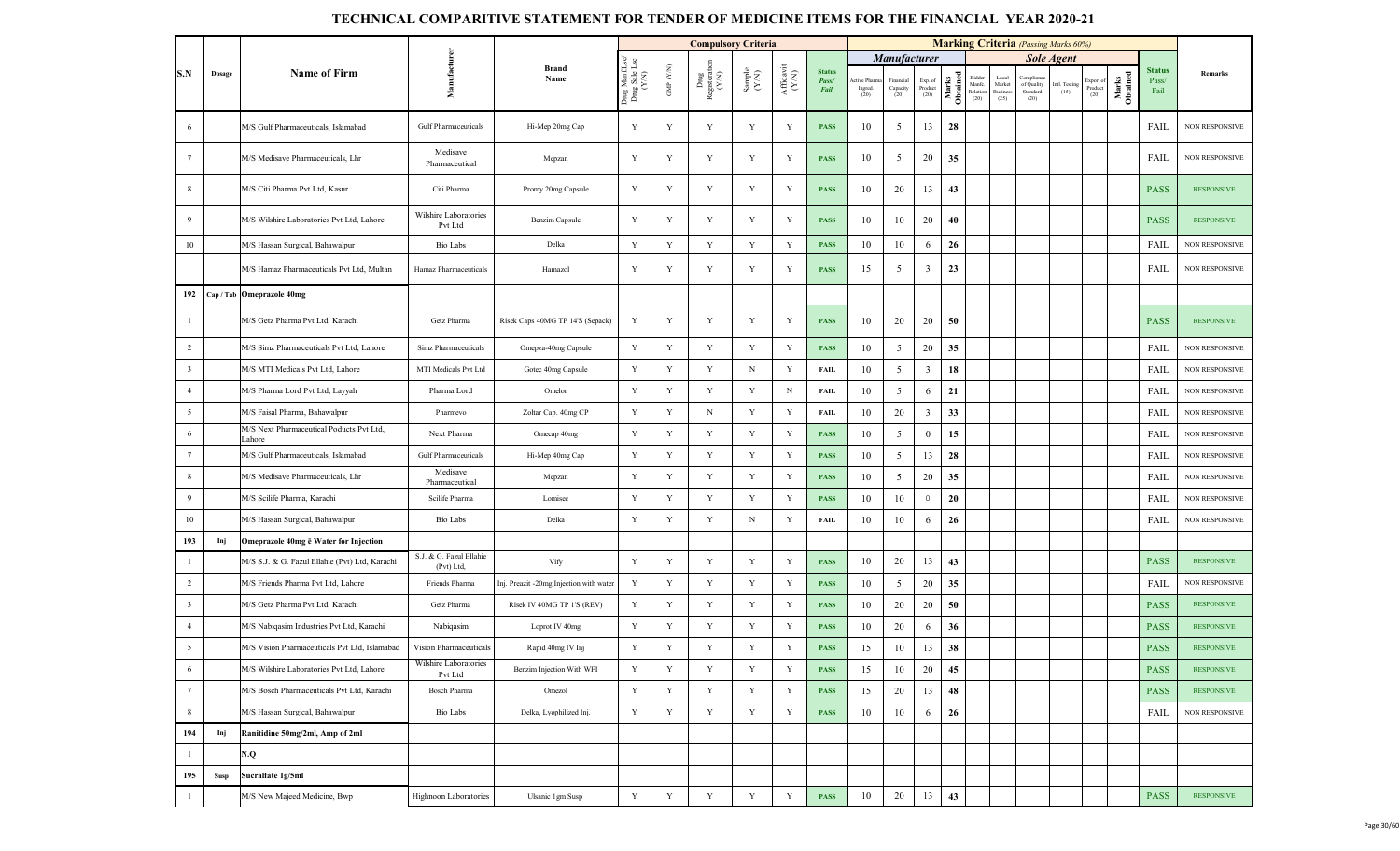|                         |                                |                                                    |                                       |                                         |                                         |                                                         | <b>Compulsory Criteria</b>                                                       |                                                             |                                                                              |                                |                              |                               |                            |                   |                                      |                                            | <b>Marking Criteria</b> (Passing Marks 60%) |                       |                              |                   |                                |                       |
|-------------------------|--------------------------------|----------------------------------------------------|---------------------------------------|-----------------------------------------|-----------------------------------------|---------------------------------------------------------|----------------------------------------------------------------------------------|-------------------------------------------------------------|------------------------------------------------------------------------------|--------------------------------|------------------------------|-------------------------------|----------------------------|-------------------|--------------------------------------|--------------------------------------------|---------------------------------------------|-----------------------|------------------------------|-------------------|--------------------------------|-----------------------|
|                         |                                |                                                    |                                       |                                         |                                         |                                                         |                                                                                  |                                                             |                                                                              |                                |                              | <b>Manufacturer</b>           |                            |                   |                                      |                                            |                                             | <b>Sole Agent</b>     |                              |                   |                                |                       |
| S.N                     | Dosage                         | <b>Name of Firm</b>                                | Manufacturer                          | <b>Brand</b><br>Name                    | Drug ManfLsc/<br>Drug Sale Lsc<br>(Y/N) | $\ensuremath{\mathsf{GMP}}$ $\ensuremath{\mathsf{N/N}}$ | $\begin{array}{c}\text{Dng} \\ \text{Resisteration} \\ (\text{Y/N}) \end{array}$ | $\begin{array}{c} \text{Sample} \\ (\text{YN}) \end{array}$ | $\begin{array}{c} \mathbf{Aff} \mathbf{davit} \\ (\mathbf{Y/N}) \end{array}$ | <b>Status</b><br>Pass/<br>Fail | tive Pham<br>Ingred.<br>(20) | Financial<br>Capacity<br>(20) | Exp. of<br>Product<br>(20) | Marks<br>Obtained | Bidder<br>Manfc.<br>Relation<br>(20) | Local<br>Market<br><b>Business</b><br>(25) | Compliar<br>of Quality<br>Standard<br>(20)  | Intl. Testing<br>(15) | Export of<br>Product<br>(20) | Marks<br>Obtained | <b>Status</b><br>Pass/<br>Fail | Remarks               |
| 6                       |                                | M/S Gulf Pharmaceuticals, Islamabad                | Gulf Pharmaceuticals                  | Hi-Mep 20mg Cap                         | Y                                       | Y                                                       | Y                                                                                | Y                                                           | Y                                                                            | <b>PASS</b>                    | 10                           | 5                             | 13                         | 28                |                                      |                                            |                                             |                       |                              |                   | FAIL                           | <b>NON RESPONSIVE</b> |
| $7\phantom{.0}$         |                                | M/S Medisave Pharmaceuticals, Lhr                  | Medisave<br>Pharmaceutical            | Mepzan                                  | Y                                       | Y                                                       | Y                                                                                | Y                                                           | Y                                                                            | <b>PASS</b>                    | 10                           | 5                             | 20                         | 35                |                                      |                                            |                                             |                       |                              |                   | FAIL                           | NON RESPONSIVE        |
| 8                       |                                | M/S Citi Pharma Pvt Ltd, Kasur                     | Citi Pharma                           | Promy 20mg Capsule                      | Y                                       | Y                                                       | Y                                                                                | Y                                                           | Y                                                                            | <b>PASS</b>                    | 10                           | 20                            | 13                         | 43                |                                      |                                            |                                             |                       |                              |                   | <b>PASS</b>                    | <b>RESPONSIVE</b>     |
| 9                       |                                | M/S Wilshire Laboratories Pvt Ltd. Lahore          | Wilshire Laboratories<br>Pvt Ltd      | Benzim Capsule                          | Y                                       | Y                                                       | Y                                                                                | Y                                                           | Y                                                                            | <b>PASS</b>                    | 10                           | 10                            | 20                         | 40                |                                      |                                            |                                             |                       |                              |                   | <b>PASS</b>                    | <b>RESPONSIVE</b>     |
| 10                      |                                | M/S Hassan Surgical, Bahawalpur                    | <b>Bio Labs</b>                       | Delka                                   | Y                                       | Y                                                       | Y                                                                                | Y                                                           | Y                                                                            | <b>PASS</b>                    | 10                           | 10                            | 6                          | 26                |                                      |                                            |                                             |                       |                              |                   | FAIL                           | <b>NON RESPONSIVE</b> |
|                         |                                | M/S Hamaz Pharmaceuticals Pvt Ltd, Multan          | Hamaz Pharmaceuticals                 | Hamazol                                 | Y                                       | Y                                                       | Y                                                                                | Y                                                           | Y                                                                            | <b>PASS</b>                    | 15                           | 5                             | $\overline{3}$             | 23                |                                      |                                            |                                             |                       |                              |                   | FAIL                           | NON RESPONSIVE        |
| 192                     |                                | Cap / Tab Omeprazole 40mg                          |                                       |                                         |                                         |                                                         |                                                                                  |                                                             |                                                                              |                                |                              |                               |                            |                   |                                      |                                            |                                             |                       |                              |                   |                                |                       |
| -1                      |                                | M/S Getz Pharma Pvt Ltd, Karachi                   | Getz Pharma                           | Risek Caps 40MG TP 14'S (Sepack)        | Y                                       | Y                                                       | Y                                                                                | Y                                                           | Y                                                                            | <b>PASS</b>                    | 10                           | 20                            | 20                         | 50                |                                      |                                            |                                             |                       |                              |                   | <b>PASS</b>                    | <b>RESPONSIVE</b>     |
| $\overline{2}$          |                                | M/S Simz Pharmaceuticals Pvt Ltd, Lahore           | Simz Pharmaceuticals                  | Omepza-40mg Capsule                     | $\mathbf Y$                             | Y                                                       | Y                                                                                | Y                                                           | Y                                                                            | <b>PASS</b>                    | 10                           | $5\overline{)}$               | 20                         | 35                |                                      |                                            |                                             |                       |                              |                   | FAIL                           | <b>NON RESPONSIVE</b> |
| $\overline{\mathbf{3}}$ |                                | M/S MTI Medicals Pvt Ltd, Lahore                   | MTI Medicals Pvt Ltd                  | Gotec 40mg Capsule                      | Y                                       | Y                                                       | Y                                                                                | $_{\rm N}$                                                  | Y                                                                            | <b>FAIL</b>                    | 10                           | 5                             | 3                          | 18                |                                      |                                            |                                             |                       |                              |                   | FAIL                           | <b>NON RESPONSIVE</b> |
| $\overline{4}$          |                                | M/S Pharma Lord Pvt Ltd, Layyah                    | Pharma Lord                           | Omelor                                  | $\mathbf Y$                             | Y                                                       | Y                                                                                | Y                                                           | N                                                                            | <b>FAIL</b>                    | 10                           | 5                             | 6                          | 21                |                                      |                                            |                                             |                       |                              |                   | FAIL                           | NON RESPONSIVE        |
| 5                       |                                | M/S Faisal Pharma, Bahawalpur                      | Pharmevo                              | Zoltar Cap. 40mg CP                     | $\mathbf Y$                             | $\mathbf Y$                                             | N                                                                                | $\mathbf Y$                                                 | $\mathbf Y$                                                                  | <b>FAIL</b>                    | 10                           | 20                            | $\overline{\mathbf{3}}$    | 33                |                                      |                                            |                                             |                       |                              |                   | FAIL                           | <b>NON RESPONSIVE</b> |
| 6                       |                                | M/S Next Pharmaceutical Poducts Pvt Ltd,<br>Lahore | Next Pharma                           | Omecap 40mg                             | $\mathbf Y$                             | Y                                                       | $\mathbf Y$                                                                      | Y                                                           | Y                                                                            | <b>PASS</b>                    | 10                           | 5                             | $\bf{0}$                   | 15                |                                      |                                            |                                             |                       |                              |                   | FAIL                           | <b>NON RESPONSIVE</b> |
| $7\phantom{.0}$         |                                | M/S Gulf Pharmaceuticals, Islamabad                | <b>Gulf Pharmaceuticals</b>           | Hi-Mep 40mg Cap                         | $\mathbf Y$                             | $\mathbf Y$                                             | $\mathbf Y$                                                                      | Y                                                           | $\mathbf Y$                                                                  | <b>PASS</b>                    | 10                           | $5\overline{)}$               | 13                         | 28                |                                      |                                            |                                             |                       |                              |                   | FAIL                           | <b>NON RESPONSIVE</b> |
| 8                       |                                | M/S Medisave Pharmaceuticals, Lhr                  | Medisave<br>Pharmaceutical            | Mepzan                                  | $\mathbf Y$                             | Y                                                       | Y                                                                                | Y                                                           | Y                                                                            | <b>PASS</b>                    | 10                           | 5                             | 20                         | 35                |                                      |                                            |                                             |                       |                              |                   | FAIL                           | <b>NON RESPONSIVE</b> |
| 9                       |                                | M/S Scilife Pharma, Karachi                        | Scilife Pharma                        | Lomisec                                 | Y                                       | Y                                                       | Y                                                                                | Y                                                           | Y                                                                            | <b>PASS</b>                    | 10                           | 10                            | $\circ$                    | 20                |                                      |                                            |                                             |                       |                              |                   | <b>FAIL</b>                    | <b>NON RESPONSIVE</b> |
| 10                      |                                | M/S Hassan Surgical, Bahawalpur                    | Bio Labs                              | Delka                                   | Y                                       | Y                                                       | Y                                                                                | N                                                           | Y                                                                            | <b>FAIL</b>                    | 10                           | 10                            | 6                          | 26                |                                      |                                            |                                             |                       |                              |                   | FAIL                           | <b>NON RESPONSIVE</b> |
| 193                     | Inj                            | Omeprazole 40mg ē Water for Injection              |                                       |                                         |                                         |                                                         |                                                                                  |                                                             |                                                                              |                                |                              |                               |                            |                   |                                      |                                            |                                             |                       |                              |                   |                                |                       |
| -1                      |                                | M/S S.J. & G. Fazul Ellahie (Pvt) Ltd, Karachi     | S.J. & G. Fazul Ellahie<br>(Pvt) Ltd, | Vify                                    | Y                                       | $\mathbf Y$                                             | $\mathbf Y$                                                                      | Y                                                           | Y                                                                            | <b>PASS</b>                    | 10                           | 20                            | 13                         | 43                |                                      |                                            |                                             |                       |                              |                   | <b>PASS</b>                    | <b>RESPONSIVE</b>     |
| $\overline{2}$          |                                | M/S Friends Pharma Pvt Ltd, Lahore                 | Friends Pharma                        | Inj. Preazit -20mg Injection with water | Y                                       | Y                                                       | Y                                                                                | Y                                                           | Y                                                                            | <b>PASS</b>                    | 10                           | $\overline{5}$                | 20                         | 35                |                                      |                                            |                                             |                       |                              |                   | FAIL                           | NON RESPONSIVE        |
| $\overline{\mathbf{3}}$ |                                | M/S Getz Pharma Pvt Ltd, Karachi                   | Getz Pharma                           | Risek IV 40MG TP 1'S (REV)              | $\mathbf Y$                             | Y                                                       | $\mathbf Y$                                                                      | $\mathbf Y$                                                 | Y                                                                            | <b>PASS</b>                    | 10                           | 20                            | 20                         | 50                |                                      |                                            |                                             |                       |                              |                   | <b>PASS</b>                    | <b>RESPONSIVE</b>     |
| $\overline{4}$          |                                | M/S Nabiqasim Industries Pvt Ltd, Karachi          | Nabiqasim                             | Loprot IV 40mg                          | $\mathbf Y$                             | Y                                                       | Y                                                                                | Y                                                           | Y                                                                            | <b>PASS</b>                    | 10                           | 20                            | 6                          | 36                |                                      |                                            |                                             |                       |                              |                   | <b>PASS</b>                    | <b>RESPONSIVE</b>     |
| 5                       |                                | M/S Vision Pharmaceuticals Pvt Ltd, Islamabad      | Vision Pharmaceuticals                | Rapid 40mg IV Inj                       | $\mathbf Y$                             | Y                                                       | Y                                                                                | $\mathbf Y$                                                 | Y                                                                            | <b>PASS</b>                    | 15                           | 10                            | 13                         | 38                |                                      |                                            |                                             |                       |                              |                   | <b>PASS</b>                    | <b>RESPONSIVE</b>     |
| 6                       |                                | M/S Wilshire Laboratories Pvt Ltd, Lahore          | Wilshire Laboratories<br>Pvt Ltd      | Benzim Injection With WFI               | $\mathbf Y$                             | $\mathbf Y$                                             | $\mathbf Y$                                                                      | Y                                                           | Y                                                                            | <b>PASS</b>                    | 15                           | 10                            | 20                         | 45                |                                      |                                            |                                             |                       |                              |                   | <b>PASS</b>                    | <b>RESPONSIVE</b>     |
| $7\overline{ }$         |                                | M/S Bosch Pharmaceuticals Pvt Ltd, Karachi         | Bosch Pharma                          | Omezol                                  | $\mathbf Y$                             | $\mathbf Y$                                             | Y                                                                                | $\mathbf Y$                                                 | $\mathbf Y$                                                                  | <b>PASS</b>                    | 15                           | 20                            | 13                         | 48                |                                      |                                            |                                             |                       |                              |                   | <b>PASS</b>                    | <b>RESPONSIVE</b>     |
| $\,$ 8 $\,$             |                                | M/S Hassan Surgical, Bahawalpur                    | Bio Labs                              | Delka, Lyophilized Inj.                 | $\mathbf Y$                             | Y                                                       | Y                                                                                | Y                                                           | Y                                                                            | <b>PASS</b>                    | 10                           | 10                            | 6                          | 26                |                                      |                                            |                                             |                       |                              |                   | FAIL                           | <b>NON RESPONSIVE</b> |
| 194                     | Inj                            | Ranitidine 50mg/2ml, Amp of 2ml                    |                                       |                                         |                                         |                                                         |                                                                                  |                                                             |                                                                              |                                |                              |                               |                            |                   |                                      |                                            |                                             |                       |                              |                   |                                |                       |
| $\overline{1}$          |                                | N.Q                                                |                                       |                                         |                                         |                                                         |                                                                                  |                                                             |                                                                              |                                |                              |                               |                            |                   |                                      |                                            |                                             |                       |                              |                   |                                |                       |
| 195                     | $\operatorname{\mathbf{Susp}}$ | Sucralfate 1g/5ml                                  |                                       |                                         |                                         |                                                         |                                                                                  |                                                             |                                                                              |                                |                              |                               |                            |                   |                                      |                                            |                                             |                       |                              |                   |                                |                       |
| $\mathbf{1}$            |                                | M/S New Majeed Medicine, Bwp                       | Highnoon Laboratories                 | Ulsanic 1gm Susp                        | $\mathbf Y$                             | $\mathbf Y$                                             | $\mathbf Y$                                                                      | $\mathbf Y$                                                 | $\mathbf Y$                                                                  | <b>PASS</b>                    | 10                           | 20                            | 13                         | 43                |                                      |                                            |                                             |                       |                              |                   | <b>PASS</b>                    | <b>RESPONSIVE</b>     |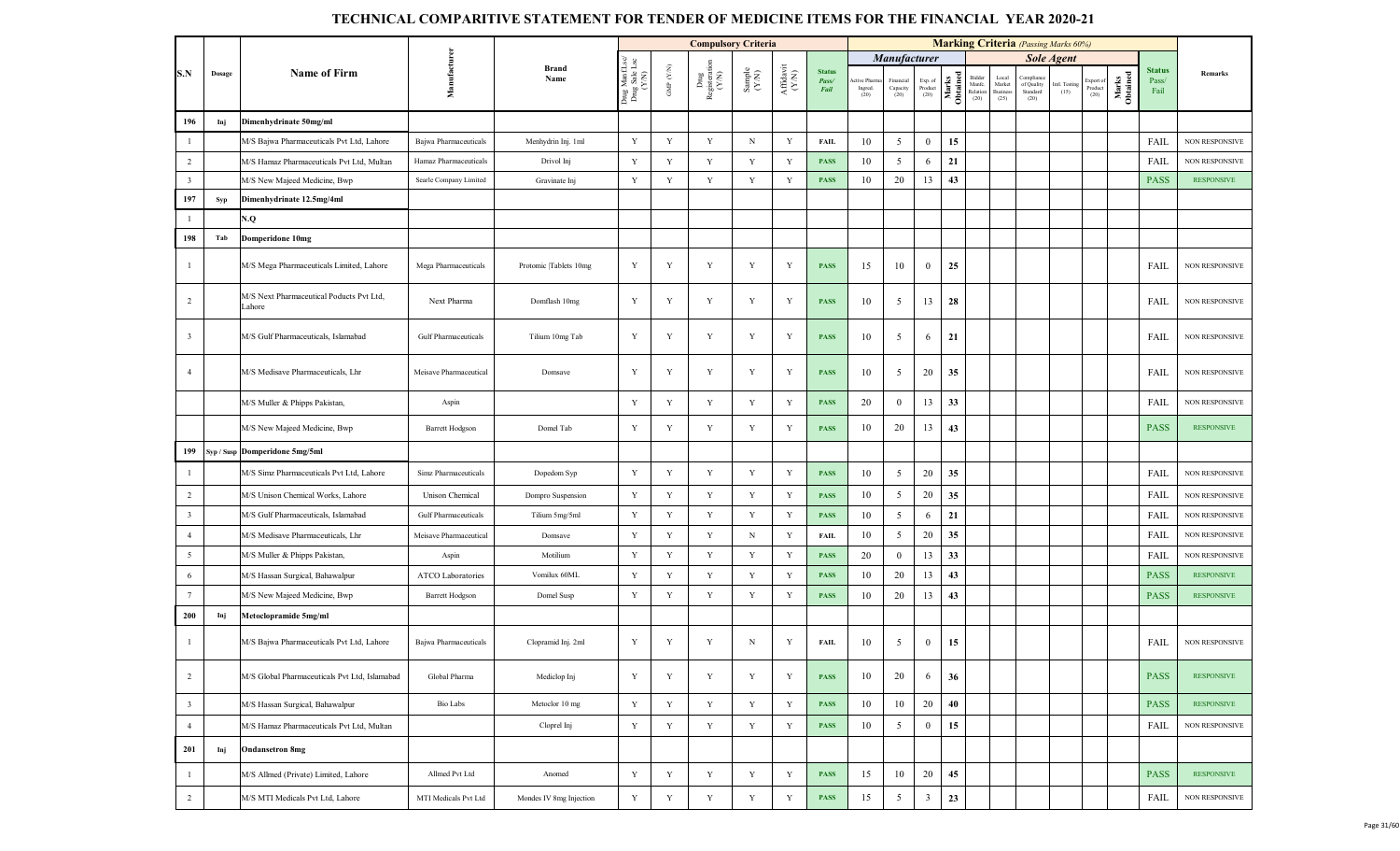|                         |        |                                                    |                        |                         |                                         |                      | <b>Compulsory Criteria</b>     |                                                              |                               |                                       |                                |                               |                            |                   |                                      |                                            |                                             | <b>Marking Criteria</b> (Passing Marks 60%) |                             |                   |                                |                       |
|-------------------------|--------|----------------------------------------------------|------------------------|-------------------------|-----------------------------------------|----------------------|--------------------------------|--------------------------------------------------------------|-------------------------------|---------------------------------------|--------------------------------|-------------------------------|----------------------------|-------------------|--------------------------------------|--------------------------------------------|---------------------------------------------|---------------------------------------------|-----------------------------|-------------------|--------------------------------|-----------------------|
|                         |        |                                                    |                        |                         |                                         |                      |                                |                                                              |                               |                                       |                                | Manufacturer                  |                            |                   |                                      |                                            |                                             | <b>Sole Agent</b>                           |                             |                   |                                |                       |
| S.N                     | Dosage | <b>Name of Firm</b>                                | Manufactur             | <b>Brand</b><br>Name    | Drug ManfLsc/<br>Drug Sale Lsc<br>(Y/N) | GMP $(\mathbf{Y/N})$ | Drug<br>Registeration<br>(Y/N) | $\begin{array}{c} \text{Sample} \\ (\text{Y-N}) \end{array}$ | ${\bf Affaavit}\\ ({\bf YN})$ | <b>Status</b><br>Pass/<br><b>Fail</b> | ctive Pharm<br>Ingred.<br>(20) | Financial<br>Capacity<br>(20) | Exp. of<br>Product<br>(20) | Marks<br>Obtained | Bidder<br>Manfc.<br>Relation<br>(20) | Local<br>Market<br><b>Business</b><br>(25) | Compliane<br>of Quality<br>Standard<br>(20) | Intl. Testing<br>(15)                       | xport of<br>Product<br>(20) | Marks<br>Obtained | <b>Status</b><br>Pass/<br>Fail | Remarks               |
| 196                     | Inj    | Dimenhydrinate 50mg/ml                             |                        |                         |                                         |                      |                                |                                                              |                               |                                       |                                |                               |                            |                   |                                      |                                            |                                             |                                             |                             |                   |                                |                       |
| $\overline{1}$          |        | M/S Bajwa Pharmaceuticals Pvt Ltd, Lahore          | Bajwa Pharmaceuticals  | Menhydrin Inj. 1ml      | Y                                       | Y                    | Y                              | $_{\rm N}$                                                   | Y                             | <b>FAIL</b>                           | 10                             | 5                             | $\bf{0}$                   | 15                |                                      |                                            |                                             |                                             |                             |                   | FAIL                           | NON RESPONSIVE        |
| 2                       |        | M/S Hamaz Pharmaceuticals Pvt Ltd, Multan          | Hamaz Pharmaceuticals  | Drivol Inj              | Y                                       | Y                    | Y                              | Y                                                            | Y                             | <b>PASS</b>                           | 10                             | $\mathfrak{S}$                | 6                          | 21                |                                      |                                            |                                             |                                             |                             |                   | FAIL                           | <b>NON RESPONSIVE</b> |
| $\overline{\mathbf{3}}$ |        | M/S New Majeed Medicine, Bwp                       | Searle Company Limited | Gravinate Inj           | Y                                       | Y                    | Y                              | Y                                                            | Y                             | <b>PASS</b>                           | 10                             | 20                            | 13                         | 43                |                                      |                                            |                                             |                                             |                             |                   | <b>PASS</b>                    | <b>RESPONSIVE</b>     |
| 197                     | Syp    | Dimenhydrinate 12.5mg/4ml                          |                        |                         |                                         |                      |                                |                                                              |                               |                                       |                                |                               |                            |                   |                                      |                                            |                                             |                                             |                             |                   |                                |                       |
| $\mathbf{1}$            |        | V.Q                                                |                        |                         |                                         |                      |                                |                                                              |                               |                                       |                                |                               |                            |                   |                                      |                                            |                                             |                                             |                             |                   |                                |                       |
| 198                     | Tab    | <b>Domperidone 10mg</b>                            |                        |                         |                                         |                      |                                |                                                              |                               |                                       |                                |                               |                            |                   |                                      |                                            |                                             |                                             |                             |                   |                                |                       |
| $\overline{1}$          |        | M/S Mega Pharmaceuticals Limited, Lahore           | Mega Pharmaceuticals   | Protomic Tablets 10mg   | Y                                       | Y                    | Y                              | Y                                                            | Y                             | <b>PASS</b>                           | 15                             | 10                            | $\mathbf{0}$               | 25                |                                      |                                            |                                             |                                             |                             |                   | FAIL                           | <b>NON RESPONSIVE</b> |
| $\overline{2}$          |        | M/S Next Pharmaceutical Poducts Pvt Ltd,<br>Lahore | Next Pharma            | Domflash 10mg           | Y                                       | Y                    | Y                              | Y                                                            | Y                             | <b>PASS</b>                           | 10                             | 5                             | 13                         | 28                |                                      |                                            |                                             |                                             |                             |                   | FAIL                           | <b>NON RESPONSIVE</b> |
| $\overline{\mathbf{3}}$ |        | M/S Gulf Pharmaceuticals, Islamabad                | Gulf Pharmaceuticals   | Tilium 10mg Tab         | Y                                       | Y                    | Y                              | Y                                                            | Y                             | <b>PASS</b>                           | 10                             | 5                             | 6                          | 21                |                                      |                                            |                                             |                                             |                             |                   | FAIL                           | <b>NON RESPONSIVE</b> |
| $\overline{4}$          |        | M/S Medisave Pharmaceuticals, Lhr                  | Meisave Pharmaceutical | Domsave                 | Y                                       | Y                    | Y                              | Y                                                            | Y                             | <b>PASS</b>                           | 10                             | 5                             | 20                         | 35                |                                      |                                            |                                             |                                             |                             |                   | FAIL                           | <b>NON RESPONSIVE</b> |
|                         |        | M/S Muller & Phipps Pakistan,                      | Aspin                  |                         | Y                                       | Y                    | Y                              | Y                                                            | Y                             | <b>PASS</b>                           | 20                             | $\bf{0}$                      | 13                         | 33                |                                      |                                            |                                             |                                             |                             |                   | FAIL                           | <b>NON RESPONSIVE</b> |
|                         |        | M/S New Majeed Medicine, Bwp                       | <b>Barrett Hodgson</b> | Domel Tab               | Y                                       | Y                    | Y                              | Y                                                            | Y                             | <b>PASS</b>                           | 10                             | 20                            | 13                         | 43                |                                      |                                            |                                             |                                             |                             |                   | <b>PASS</b>                    | <b>RESPONSIVE</b>     |
| 199                     |        | Syp / Susp Domperidone 5mg/5ml                     |                        |                         |                                         |                      |                                |                                                              |                               |                                       |                                |                               |                            |                   |                                      |                                            |                                             |                                             |                             |                   |                                |                       |
| $\overline{1}$          |        | M/S Simz Pharmaceuticals Pvt Ltd, Lahore           | Simz Pharmaceuticals   | Dopedom Syp             | Y                                       | Y                    | Y                              | $\mathbf Y$                                                  | Y                             | <b>PASS</b>                           | 10                             | $\overline{5}$                | 20                         | 35                |                                      |                                            |                                             |                                             |                             |                   | FAIL                           | <b>NON RESPONSIVE</b> |
| $\overline{2}$          |        | M/S Unison Chemical Works, Lahore                  | Unison Chemical        | Dompro Suspension       | Y                                       | Y                    | Y                              | Y                                                            | Y                             | <b>PASS</b>                           | 10                             | 5                             | 20                         | 35                |                                      |                                            |                                             |                                             |                             |                   | FAIL                           | <b>NON RESPONSIVE</b> |
| $\overline{\mathbf{3}}$ |        | M/S Gulf Pharmaceuticals, Islamabad                | Gulf Pharmaceuticals   | Tilium 5mg/5ml          | Y                                       | Y                    | Y                              | Y                                                            | Y                             | <b>PASS</b>                           | 10                             | $\mathfrak{S}$                | 6                          | 21                |                                      |                                            |                                             |                                             |                             |                   | FAIL                           | <b>NON RESPONSIVE</b> |
| $\overline{4}$          |        | M/S Medisave Pharmaceuticals, Lhr                  | Meisave Pharmaceutical | Domsave                 | Y                                       | Y                    | $\mathbf Y$                    | $_{\rm N}$                                                   | Y                             | <b>FAIL</b>                           | 10                             | 5                             | 20                         | 35                |                                      |                                            |                                             |                                             |                             |                   | FAIL                           | <b>NON RESPONSIVE</b> |
| $5\overline{5}$         |        | M/S Muller & Phipps Pakistan,                      | Aspin                  | Motilium                | Y                                       | $\mathbf Y$          | Y                              | $\mathbf Y$                                                  | Y                             | <b>PASS</b>                           | 20                             | $\mathbf{0}$                  | 13                         | 33                |                                      |                                            |                                             |                                             |                             |                   | FAIL                           | NON RESPONSIVE        |
| 6                       |        | M/S Hassan Surgical, Bahawalpur                    | ATCO Laboratories      | Vomilux 60ML            | Y                                       | Y                    | Y                              | $\mathbf Y$                                                  | Y                             | <b>PASS</b>                           | 10                             | 20                            | 13                         | 43                |                                      |                                            |                                             |                                             |                             |                   | <b>PASS</b>                    | <b>RESPONSIVE</b>     |
| $7\phantom{.0}$         |        | M/S New Majeed Medicine, Bwp                       | <b>Barrett Hodgson</b> | Domel Susp              | Y                                       | Y                    | $\mathbf Y$                    | $\mathbf Y$                                                  | Y                             | <b>PASS</b>                           | 10                             | 20                            | 13                         | 43                |                                      |                                            |                                             |                                             |                             |                   | <b>PASS</b>                    | <b>RESPONSIVE</b>     |
| 200                     | Inj    | Metoclopramide 5mg/ml                              |                        |                         |                                         |                      |                                |                                                              |                               |                                       |                                |                               |                            |                   |                                      |                                            |                                             |                                             |                             |                   |                                |                       |
| $\mathbf{1}$            |        | M/S Bajwa Pharmaceuticals Pvt Ltd, Lahore          | Bajwa Pharmaceuticals  | Clopramid Inj. 2ml      | Y                                       | Y                    | Y                              | N                                                            | Y                             | <b>FAIL</b>                           | 10                             | 5                             | $\overline{0}$             | 15                |                                      |                                            |                                             |                                             |                             |                   | FAIL                           | <b>NON RESPONSIVE</b> |
| 2                       |        | M/S Global Pharmaceuticals Pvt Ltd, Islamabad      | Global Pharma          | Mediclop Inj            | Y                                       | Y                    | $\mathbf Y$                    | Y                                                            | Y                             | <b>PASS</b>                           | 10                             | 20                            | 6                          | 36                |                                      |                                            |                                             |                                             |                             |                   | <b>PASS</b>                    | <b>RESPONSIVE</b>     |
| $\overline{\mathbf{3}}$ |        | M/S Hassan Surgical, Bahawalpur                    | Bio Labs               | Metoclor 10 mg          | Y                                       | $\mathbf Y$          | $\mathbf Y$                    | $\mathbf Y$                                                  | Y                             | <b>PASS</b>                           | 10                             | 10                            | 20                         | 40                |                                      |                                            |                                             |                                             |                             |                   | <b>PASS</b>                    | <b>RESPONSIVE</b>     |
| $\overline{4}$          |        | M/S Hamaz Pharmaceuticals Pvt Ltd, Multan          |                        | Cloprel Inj             | Y                                       | $\mathbf Y$          | $\mathbf Y$                    | $\mathbf Y$                                                  | Y                             | <b>PASS</b>                           | 10                             | $\mathfrak{S}$                | $\boldsymbol{0}$           | 15                |                                      |                                            |                                             |                                             |                             |                   | FAIL                           | NON RESPONSIVE        |
| 201                     | Inj    | <b>Ondansetron 8mg</b>                             |                        |                         |                                         |                      |                                |                                                              |                               |                                       |                                |                               |                            |                   |                                      |                                            |                                             |                                             |                             |                   |                                |                       |
| $\mathbf{1}$            |        | M/S Allmed (Private) Limited, Lahore               | Allmed Pvt Ltd         | Anomed                  | Y                                       | $\mathbf Y$          | Y                              | Y                                                            | Y                             | <b>PASS</b>                           | 15                             | 10                            | 20                         | 45                |                                      |                                            |                                             |                                             |                             |                   | <b>PASS</b>                    | <b>RESPONSIVE</b>     |
| $\overline{2}$          |        | M/S MTI Medicals Pvt Ltd, Lahore                   | MTI Medicals Pvt Ltd   | Mondes IV 8mg Injection | Y                                       | Y                    | Y                              | Y                                                            | Y                             | <b>PASS</b>                           | 15                             | $\mathfrak{S}$                | $\mathbf{3}$               | 23                |                                      |                                            |                                             |                                             |                             |                   | FAIL                           | NON RESPONSIVE        |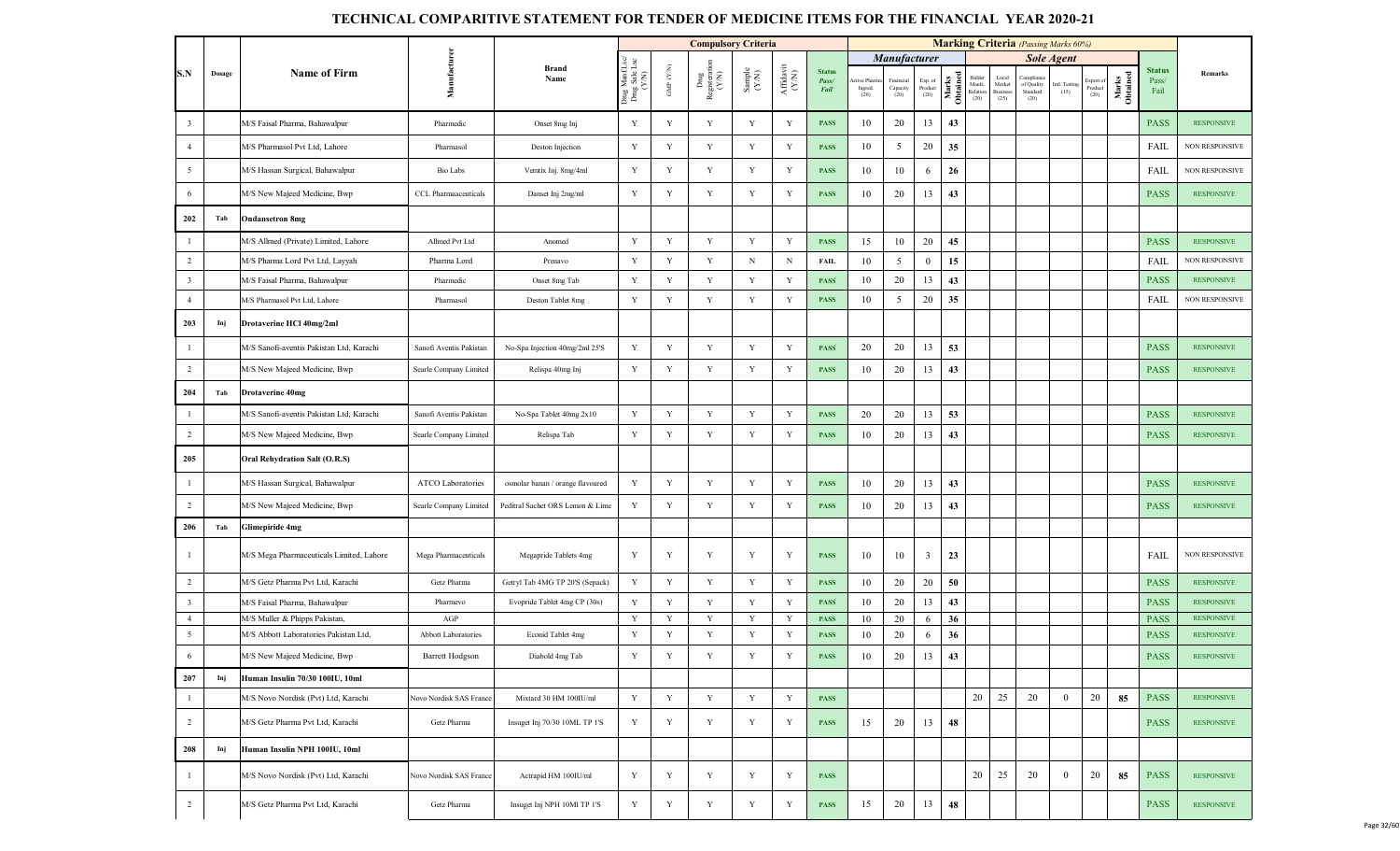|                         |        |                                          |                             |                                  |                                         |                   | <b>Compulsory Criteria</b>                     |                                                              |                    |                                |                               |                               |                                                                        |                   |                                      |                                            | <b>Marking Criteria</b> (Passing Marks 60%)  |                       |                              |                   |                         |                       |
|-------------------------|--------|------------------------------------------|-----------------------------|----------------------------------|-----------------------------------------|-------------------|------------------------------------------------|--------------------------------------------------------------|--------------------|--------------------------------|-------------------------------|-------------------------------|------------------------------------------------------------------------|-------------------|--------------------------------------|--------------------------------------------|----------------------------------------------|-----------------------|------------------------------|-------------------|-------------------------|-----------------------|
|                         |        |                                          |                             |                                  |                                         |                   |                                                |                                                              |                    |                                |                               | <b>Manufacturer</b>           |                                                                        |                   |                                      |                                            |                                              | <b>Sole Agent</b>     |                              |                   |                         |                       |
| S.N                     | Dosage | Name of Firm                             | Manufacture                 | <b>Brand</b><br>Name             | Drug ManfLsc/<br>Drug Sale Lsc<br>(Y/N) | GMP $(\text{YM})$ | $_{\mbox{Registent}}^{\mbox{Dng}}$ Registerati | $\begin{array}{c} \text{Sample} \\ (\text{Y-N}) \end{array}$ | Affidavit<br>(Y/N) | <b>Status</b><br>Pass/<br>Fail | tive Pharm<br>Ingred.<br>(20) | Financial<br>Capacity<br>(20) | $\begin{array}{c} \text{Exp. of}\\ \text{Product} \\ (20) \end{array}$ | Marks<br>Obtained | Bidder<br>Manfc.<br>Relation<br>(20) | Local<br>Market<br><b>Business</b><br>(25) | Compliance<br>of Quality<br>Standard<br>(20) | intl. Testing<br>(15) | Export of<br>Product<br>(20) | Marks<br>Obtained | Status<br>Pass/<br>Fail | Remarks               |
| $\overline{\mathbf{3}}$ |        | M/S Faisal Pharma, Bahawalpur            | Pharmedic                   | Onset 8mg Inj                    | Y                                       | Y                 | Y                                              | Y                                                            | Y                  | <b>PASS</b>                    | 10                            | 20                            | 13                                                                     | 43                |                                      |                                            |                                              |                       |                              |                   | <b>PASS</b>             | <b>RESPONSIVE</b>     |
| $\overline{4}$          |        | M/S Pharmasol Pvt Ltd, Lahore            | Pharmasol                   | Deston Injection                 | Y                                       | Y                 | $\mathbf Y$                                    | Y                                                            | Y                  | <b>PASS</b>                    | 10                            | 5                             | 20                                                                     | 35                |                                      |                                            |                                              |                       |                              |                   | FAIL                    | NON RESPONSIVE        |
| $5\overline{5}$         |        | M/S Hassan Surgical, Bahawalpur          | Bio Labs                    | Vemtix Inj. 8mg/4ml              | $\mathbf Y$                             | Y                 | Y                                              | Y                                                            | Y                  | <b>PASS</b>                    | 10                            | 10                            | 6                                                                      | 26                |                                      |                                            |                                              |                       |                              |                   | FAIL                    | NON RESPONSIVE        |
| 6                       |        | M/S New Majeed Medicine, Bwp             | <b>CCL Pharmaaceuticals</b> | Danset Inj 2mg/ml                | Y                                       | Y                 | $\mathbf Y$                                    | Y                                                            | Y                  | <b>PASS</b>                    | 10                            | 20                            | 13                                                                     | 43                |                                      |                                            |                                              |                       |                              |                   | <b>PASS</b>             | <b>RESPONSIVE</b>     |
| 202                     | Tab    | <b>Ondansetron 8mg</b>                   |                             |                                  |                                         |                   |                                                |                                                              |                    |                                |                               |                               |                                                                        |                   |                                      |                                            |                                              |                       |                              |                   |                         |                       |
| $\mathbf{1}$            |        | M/S Allmed (Private) Limited, Lahore     | Allmed Pvt Ltd              | Anomed                           | $\mathbf Y$                             | Y                 | $\mathbf Y$                                    | $\mathbf Y$                                                  | Y                  | <b>PASS</b>                    | 15                            | 10                            | 20                                                                     | 45                |                                      |                                            |                                              |                       |                              |                   | <b>PASS</b>             | <b>RESPONSIVE</b>     |
| $\overline{2}$          |        | M/S Pharma Lord Pvt Ltd, Layyah          | Pharma Lord                 | Prenavo                          | $\mathbf Y$                             | Y                 | $\mathbf Y$                                    | N                                                            | $\, {\rm N}$       | <b>FAIL</b>                    | 10                            | 5                             | $\mathbf{0}$                                                           | 15                |                                      |                                            |                                              |                       |                              |                   | FAIL                    | <b>NON RESPONSIVE</b> |
| $\overline{\mathbf{3}}$ |        | M/S Faisal Pharma, Bahawalpur            | Pharmedic                   | Onset 8mg Tab                    | Y                                       | Y                 | $\mathbf Y$                                    | $\mathbf Y$                                                  | $\mathbf Y$        | <b>PASS</b>                    | 10                            | 20                            | 13                                                                     | 43                |                                      |                                            |                                              |                       |                              |                   | <b>PASS</b>             | <b>RESPONSIVE</b>     |
| $\overline{4}$          |        | M/S Pharmasol Pvt Ltd, Lahore            | Pharmasol                   | Deston Tablet 8mg                | $\mathbf Y$                             | $\mathbf Y$       | $\mathbf Y$                                    | $\mathbf Y$                                                  | Y                  | <b>PASS</b>                    | 10                            | $\mathfrak{S}$                | 20                                                                     | 35                |                                      |                                            |                                              |                       |                              |                   | FAIL                    | NON RESPONSIVE        |
| 203                     | Inj    | Drotaverine HCl 40mg/2ml                 |                             |                                  |                                         |                   |                                                |                                                              |                    |                                |                               |                               |                                                                        |                   |                                      |                                            |                                              |                       |                              |                   |                         |                       |
| $\mathbf{1}$            |        | M/S Sanofi-aventis Pakistan Ltd, Karachi | Sanofi Aventis Pakistan     | No-Spa Injection 40mg/2ml 25'S   | $\mathbf Y$                             | Y                 | $\mathbf Y$                                    | $\mathbf Y$                                                  | Y                  | <b>PASS</b>                    | 20                            | 20                            | 13                                                                     | 53                |                                      |                                            |                                              |                       |                              |                   | <b>PASS</b>             | <b>RESPONSIVE</b>     |
| $\overline{2}$          |        | M/S New Majeed Medicine, Bwp             | Searle Company Limited      | Relispa 40mg Inj                 | $\mathbf Y$                             | $\mathbf Y$       | $\mathbf Y$                                    | $\mathbf Y$                                                  | Y                  | <b>PASS</b>                    | 10                            | 20                            | 13                                                                     | 43                |                                      |                                            |                                              |                       |                              |                   | <b>PASS</b>             | <b>RESPONSIVE</b>     |
| 204                     | Tab    | <b>Drotaverine 40mg</b>                  |                             |                                  |                                         |                   |                                                |                                                              |                    |                                |                               |                               |                                                                        |                   |                                      |                                            |                                              |                       |                              |                   |                         |                       |
| $\mathbf{1}$            |        | M/S Sanofi-aventis Pakistan Ltd, Karachi | Sanofi Aventis Pakistan     | No-Spa Tablet 40mg 2x10          | Y                                       | Y                 | $\mathbf Y$                                    | $\mathbf Y$                                                  | $\mathbf Y$        | <b>PASS</b>                    | 20                            | 20                            | 13                                                                     | 53                |                                      |                                            |                                              |                       |                              |                   | <b>PASS</b>             | <b>RESPONSIVE</b>     |
| $\overline{2}$          |        | M/S New Majeed Medicine, Bwp             | Searle Company Limited      | Relispa Tab                      | Y                                       | Y                 | $\mathbf Y$                                    | $\mathbf Y$                                                  | $\mathbf Y$        | <b>PASS</b>                    | 10                            | 20                            | 13                                                                     | 43                |                                      |                                            |                                              |                       |                              |                   | <b>PASS</b>             | <b>RESPONSIVE</b>     |
| 205                     |        | <b>Oral Rehydration Salt (O.R.S)</b>     |                             |                                  |                                         |                   |                                                |                                                              |                    |                                |                               |                               |                                                                        |                   |                                      |                                            |                                              |                       |                              |                   |                         |                       |
| $\mathbf{1}$            |        | M/S Hassan Surgical, Bahawalpur          | ATCO Laboratories           | osmolar banan / orange flavoured | Y                                       | $\mathbf Y$       | $\mathbf Y$                                    | Y                                                            | Y                  | <b>PASS</b>                    | 10                            | 20                            | 13                                                                     | 43                |                                      |                                            |                                              |                       |                              |                   | <b>PASS</b>             | <b>RESPONSIVE</b>     |
| $\overline{2}$          |        | M/S New Majeed Medicine, Bwp             | Searle Company Limited      | Peditral Sachet ORS Lemon & Lime | Y                                       | Y                 | Y                                              | Y                                                            | Y                  | <b>PASS</b>                    | 10                            | 20                            | 13                                                                     | 43                |                                      |                                            |                                              |                       |                              |                   | <b>PASS</b>             | <b>RESPONSIVE</b>     |
| 206                     | Tab    | <b>Glimepiride 4mg</b>                   |                             |                                  |                                         |                   |                                                |                                                              |                    |                                |                               |                               |                                                                        |                   |                                      |                                            |                                              |                       |                              |                   |                         |                       |
| $\overline{1}$          |        | M/S Mega Pharmaceuticals Limited, Lahore | Mega Pharmaceuticals        | Megapride Tablets 4mg            | Y                                       | Y                 | Y                                              | Y                                                            | Y                  | <b>PASS</b>                    | 10                            | 10                            | $\mathbf{3}$                                                           | 23                |                                      |                                            |                                              |                       |                              |                   | FAIL                    | NON RESPONSIVE        |
| $\overline{2}$          |        | M/S Getz Pharma Pvt Ltd. Karachi         | Getz Pharma                 | Getryl Tab 4MG TP 20'S (Sepack)  | $\mathbf Y$                             | Y                 | Y                                              | $\mathbf Y$                                                  | $\mathbf Y$        | <b>PASS</b>                    | 10                            | 20                            | 20                                                                     | 50                |                                      |                                            |                                              |                       |                              |                   | <b>PASS</b>             | <b>RESPONSIVE</b>     |
| $\overline{\mathbf{3}}$ |        | M/S Faisal Pharma, Bahawalpur            | Pharmevo                    | Evopride Tablet 4mg CP (30s)     | $\mathbf Y$                             | Y                 | $\mathbf Y$                                    | $\mathbf Y$                                                  | Y                  | <b>PASS</b>                    | 10                            | 20                            | 13                                                                     | 43                |                                      |                                            |                                              |                       |                              |                   | <b>PASS</b>             | <b>RESPONSIVE</b>     |
| $\overline{4}$          |        | M/S Muller & Phipps Pakistan,            | AGP                         |                                  | Y                                       | Y                 | Y                                              | Y                                                            | Y                  | <b>PASS</b>                    | 10                            | 20                            | 6                                                                      | 36                |                                      |                                            |                                              |                       |                              |                   | <b>PASS</b>             | <b>RESPONSIVE</b>     |
| 5                       |        | M/S Abbott Laboratories Pakistan Ltd,    | Abbott Laboratories         | Econid Tablet 4mg                | Y                                       | Y                 | $\mathbf Y$                                    | $\mathbf Y$                                                  | $\mathbf Y$        | <b>PASS</b>                    | 10                            | 20                            | 6                                                                      | 36                |                                      |                                            |                                              |                       |                              |                   | <b>PASS</b>             | <b>RESPONSIVE</b>     |
| 6                       |        | M/S New Majeed Medicine, Bwp             | Barrett Hodgson             | Diabold 4mg Tab                  | Y                                       | Y                 | Y                                              | Y                                                            | Y                  | <b>PASS</b>                    | 10                            | 20                            | 13                                                                     | 43                |                                      |                                            |                                              |                       |                              |                   | <b>PASS</b>             | <b>RESPONSIVE</b>     |
| 207                     | Inj    | Human Insulin 70/30 100IU, 10ml          |                             |                                  |                                         |                   |                                                |                                                              |                    |                                |                               |                               |                                                                        |                   |                                      |                                            |                                              |                       |                              |                   |                         |                       |
| $\mathbf{1}$            |        | M/S Novo Nordisk (Pvt) Ltd, Karachi      | Novo Nordisk SAS France     | Mixtard 30 HM 100IU/ml           | Y                                       | Y                 | Y                                              | $\mathbf Y$                                                  | $\mathbf Y$        | <b>PASS</b>                    |                               |                               |                                                                        |                   | 20                                   | 25                                         | 20                                           | $\mathbf{0}$          | 20                           | 85                | <b>PASS</b>             | <b>RESPONSIVE</b>     |
| $\overline{2}$          |        | M/S Getz Pharma Pvt Ltd, Karachi         | Getz Pharma                 | Insuget Inj 70/30 10ML TP 1'S    | $\mathbf Y$                             | Y                 | $\mathbf Y$                                    | Y                                                            | Y                  | <b>PASS</b>                    | 15                            | 20                            | 13                                                                     | 48                |                                      |                                            |                                              |                       |                              |                   | <b>PASS</b>             | <b>RESPONSIVE</b>     |
| 208                     | Inj    | Human Insulin NPH 100IU, 10ml            |                             |                                  |                                         |                   |                                                |                                                              |                    |                                |                               |                               |                                                                        |                   |                                      |                                            |                                              |                       |                              |                   |                         |                       |
| $\mathbf{1}$            |        | M/S Novo Nordisk (Pvt) Ltd, Karachi      | Novo Nordisk SAS France     | Actrapid HM 100IU/ml             | Y                                       | Y                 | Y                                              | $\mathbf Y$                                                  | Y                  | <b>PASS</b>                    |                               |                               |                                                                        |                   | 20                                   | 25                                         | 20                                           | $\boldsymbol{0}$      | 20                           | 85                | <b>PASS</b>             | <b>RESPONSIVE</b>     |
| $\overline{2}$          |        | M/S Getz Pharma Pvt Ltd, Karachi         | Getz Pharma                 | Insuget Inj NPH 10Ml TP 1'S      | $\mathbf Y$                             | Y                 | $\mathbf Y$                                    | Y                                                            | Y                  | <b>PASS</b>                    | 15                            | 20                            | 13                                                                     | 48                |                                      |                                            |                                              |                       |                              |                   | <b>PASS</b>             | <b>RESPONSIVE</b>     |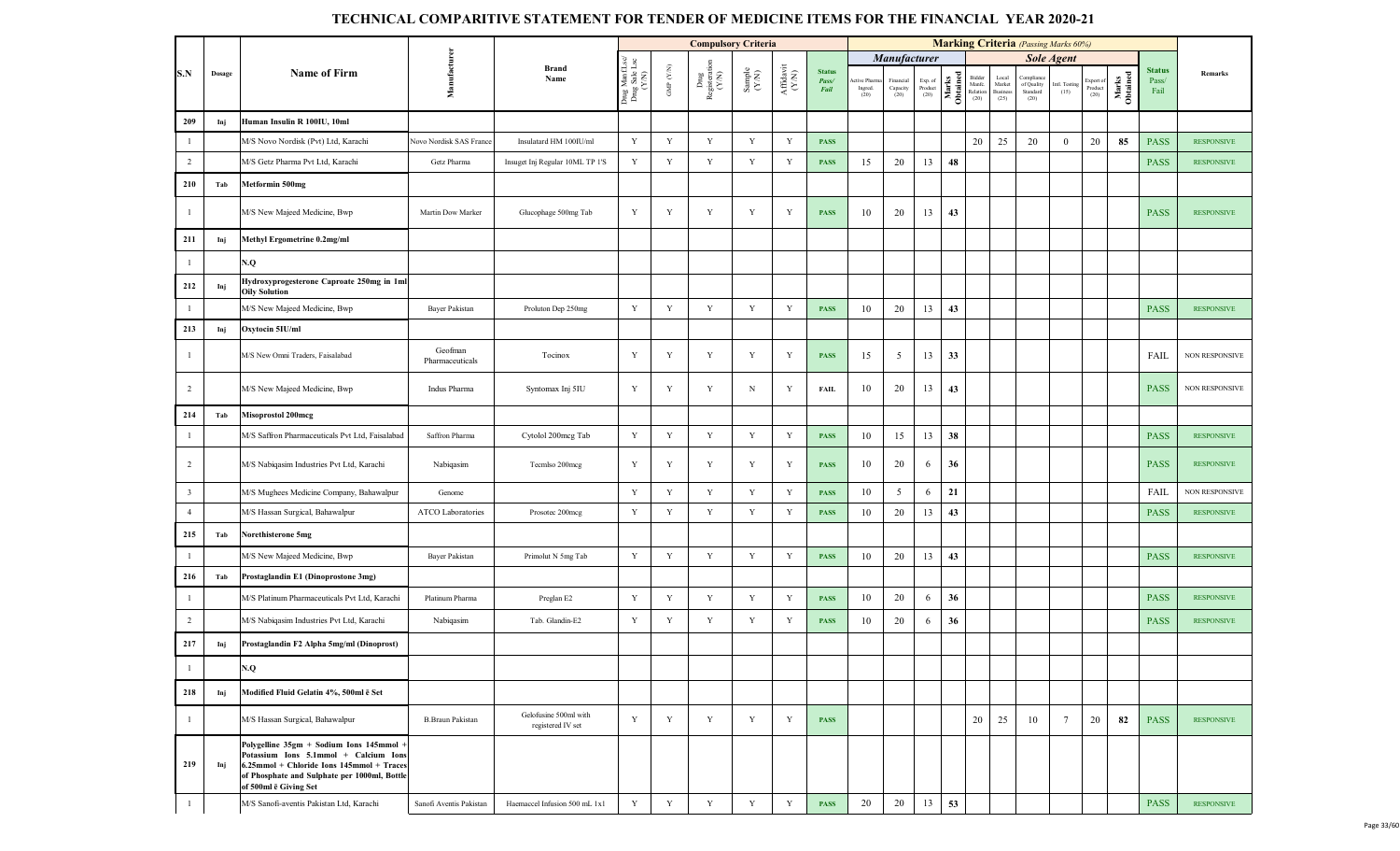|                         |        |                                                                                                                                                                                                         |                            |                                            |                                          |                                 | <b>Compulsory Criteria</b>                                                        |                                                             |                    |                                |                                 |                               |                            |                   |                                      |                                             | <b>Marking Criteria</b> (Passing Marks 60%) |                       |                              |                   |                                |                       |
|-------------------------|--------|---------------------------------------------------------------------------------------------------------------------------------------------------------------------------------------------------------|----------------------------|--------------------------------------------|------------------------------------------|---------------------------------|-----------------------------------------------------------------------------------|-------------------------------------------------------------|--------------------|--------------------------------|---------------------------------|-------------------------------|----------------------------|-------------------|--------------------------------------|---------------------------------------------|---------------------------------------------|-----------------------|------------------------------|-------------------|--------------------------------|-----------------------|
|                         |        |                                                                                                                                                                                                         |                            |                                            |                                          |                                 |                                                                                   |                                                             |                    |                                |                                 | <b>Manufacturer</b>           |                            |                   |                                      |                                             |                                             | <b>Sole Agent</b>     |                              |                   |                                |                       |
| S.N                     | Dosage | <b>Name of Firm</b>                                                                                                                                                                                     | Manufacturer               | <b>Brand</b><br>Name                       | Drug Manf.Lsc/<br>Drug Sale Lsc<br>(Y/N) | GMP $(\mathcal{Y},\mathcal{N})$ | $\begin{array}{c}\mathbf{Dng}\\\mathbf{Registeration}\\\mathbf{(Y/N)}\end{array}$ | $\begin{array}{c} \text{Sample} \\ (\text{YN}) \end{array}$ | Affidavit<br>(Y/N) | <b>Status</b><br>Pass/<br>Fail | ctive Pharma<br>Ingred.<br>(20) | Financial<br>Capacity<br>(20) | Exp. of<br>Product<br>(20) | Marks<br>Obtained | Bidder<br>Manfc.<br>Relation<br>(20) | Local<br>${\rm Market}$<br>Business<br>(25) | of Quality<br>Standard<br>(20)              | Intl. Testing<br>(15) | ixport of<br>Product<br>(20) | Marks<br>Obtained | <b>Status</b><br>Pass/<br>Fail | Remarks               |
| 209                     | Inj    | Human Insulin R 100IU, 10ml                                                                                                                                                                             |                            |                                            |                                          |                                 |                                                                                   |                                                             |                    |                                |                                 |                               |                            |                   |                                      |                                             |                                             |                       |                              |                   |                                |                       |
| $\overline{1}$          |        | M/S Novo Nordisk (Pvt) Ltd, Karachi                                                                                                                                                                     | Novo Nordisk SAS France    | Insulatard HM 100IU/ml                     | Y                                        | Y                               | $\mathbf Y$                                                                       | $\mathbf Y$                                                 | $\mathbf Y$        | <b>PASS</b>                    |                                 |                               |                            |                   | 20                                   | 25                                          | 20                                          | $\mathbf{0}$          | 20                           | 85                | <b>PASS</b>                    | <b>RESPONSIVE</b>     |
| $\overline{2}$          |        | M/S Getz Pharma Pvt Ltd, Karachi                                                                                                                                                                        | Getz Pharma                | Insuget Inj Regular 10ML TP 1'S            | $\mathbf Y$                              | Y                               | Y                                                                                 | Y                                                           | Y                  | <b>PASS</b>                    | 15                              | 20                            | 13                         | 48                |                                      |                                             |                                             |                       |                              |                   | <b>PASS</b>                    | <b>RESPONSIVE</b>     |
| 210                     | Tab    | Metformin 500mg                                                                                                                                                                                         |                            |                                            |                                          |                                 |                                                                                   |                                                             |                    |                                |                                 |                               |                            |                   |                                      |                                             |                                             |                       |                              |                   |                                |                       |
| -1                      |        | M/S New Majeed Medicine, Bwp                                                                                                                                                                            | Martin Dow Marker          | Glucophage 500mg Tab                       | $\mathbf Y$                              | Y                               | Y                                                                                 | Y                                                           | Y                  | <b>PASS</b>                    | 10                              | 20                            | 13                         | 43                |                                      |                                             |                                             |                       |                              |                   | <b>PASS</b>                    | <b>RESPONSIVE</b>     |
| 211                     | Inj    | Methyl Ergometrine 0.2mg/ml                                                                                                                                                                             |                            |                                            |                                          |                                 |                                                                                   |                                                             |                    |                                |                                 |                               |                            |                   |                                      |                                             |                                             |                       |                              |                   |                                |                       |
|                         |        | V.Q                                                                                                                                                                                                     |                            |                                            |                                          |                                 |                                                                                   |                                                             |                    |                                |                                 |                               |                            |                   |                                      |                                             |                                             |                       |                              |                   |                                |                       |
| 212                     | Inj    | Hydroxyprogesterone Caproate 250mg in 1ml<br><b>Oily Solution</b>                                                                                                                                       |                            |                                            |                                          |                                 |                                                                                   |                                                             |                    |                                |                                 |                               |                            |                   |                                      |                                             |                                             |                       |                              |                   |                                |                       |
|                         |        | M/S New Majeed Medicine, Bwp                                                                                                                                                                            | Bayer Pakistan             | Proluton Dep 250mg                         | $\mathbf Y$                              | Y                               | $\mathbf Y$                                                                       | Y                                                           | $\mathbf Y$        | <b>PASS</b>                    | 10                              | 20                            | 13                         | 43                |                                      |                                             |                                             |                       |                              |                   | <b>PASS</b>                    | <b>RESPONSIVE</b>     |
| 213                     | Inj    | Oxytocin 5IU/ml                                                                                                                                                                                         |                            |                                            |                                          |                                 |                                                                                   |                                                             |                    |                                |                                 |                               |                            |                   |                                      |                                             |                                             |                       |                              |                   |                                |                       |
| -1                      |        | M/S New Omni Traders, Faisalabad                                                                                                                                                                        | Geofman<br>Pharmaceuticals | Tocinox                                    | Y                                        | Y                               | Y                                                                                 | Y                                                           | Y                  | <b>PASS</b>                    | 15                              | 5                             | 13                         | 33                |                                      |                                             |                                             |                       |                              |                   | FAIL                           | <b>NON RESPONSIVE</b> |
| $\overline{2}$          |        | M/S New Majeed Medicine, Bwp                                                                                                                                                                            | Indus Pharma               | Syntomax Inj 5IU                           | Y                                        | Y                               | Y                                                                                 | N                                                           | Y                  | <b>FAIL</b>                    | 10                              | 20                            | 13                         | 43                |                                      |                                             |                                             |                       |                              |                   | <b>PASS</b>                    | NON RESPONSIVE        |
| 214                     | Tab    | <b>Misoprostol 200mcg</b>                                                                                                                                                                               |                            |                                            |                                          |                                 |                                                                                   |                                                             |                    |                                |                                 |                               |                            |                   |                                      |                                             |                                             |                       |                              |                   |                                |                       |
|                         |        | M/S Saffron Pharmaceuticals Pvt Ltd, Faisalabad                                                                                                                                                         | Saffron Pharma             | Cytolol 200mcg Tab                         | $\mathbf Y$                              | Y                               | $\mathbf Y$                                                                       | $\mathbf Y$                                                 | Y                  | <b>PASS</b>                    | 10                              | 15                            | 13                         | 38                |                                      |                                             |                                             |                       |                              |                   | <b>PASS</b>                    | <b>RESPONSIVE</b>     |
| $\overline{2}$          |        | M/S Nabiqasim Industries Pvt Ltd, Karachi                                                                                                                                                               | Nabiqasim                  | Tecmlso 200mcg                             | $\mathbf Y$                              | Y                               | Y                                                                                 | Y                                                           | Y                  | <b>PASS</b>                    | 10                              | 20                            | 6                          | 36                |                                      |                                             |                                             |                       |                              |                   | <b>PASS</b>                    | <b>RESPONSIVE</b>     |
| $\overline{\mathbf{3}}$ |        | M/S Mughees Medicine Company, Bahawalpur                                                                                                                                                                | Genome                     |                                            | $\mathbf Y$                              | Y                               | $\mathbf Y$                                                                       | Y                                                           | $\mathbf Y$        | <b>PASS</b>                    | 10                              | $\mathfrak{S}$                | 6                          | 21                |                                      |                                             |                                             |                       |                              |                   | FAIL                           | NON RESPONSIVE        |
| $\overline{4}$          |        | M/S Hassan Surgical, Bahawalpur                                                                                                                                                                         | ATCO Laboratories          | Prosotec 200mcg                            | Y                                        | Y                               | Y                                                                                 | Y                                                           | Y                  | <b>PASS</b>                    | 10                              | 20                            | 13                         | 43                |                                      |                                             |                                             |                       |                              |                   | <b>PASS</b>                    | <b>RESPONSIVE</b>     |
| 215                     | Tab    | Norethisterone 5mg                                                                                                                                                                                      |                            |                                            |                                          |                                 |                                                                                   |                                                             |                    |                                |                                 |                               |                            |                   |                                      |                                             |                                             |                       |                              |                   |                                |                       |
|                         |        | M/S New Majeed Medicine, Bwp                                                                                                                                                                            | Bayer Pakistan             | Primolut N 5mg Tab                         | $\mathbf Y$                              | Y                               | $\mathbf Y$                                                                       | Y                                                           | Y                  | <b>PASS</b>                    | 10                              | 20                            | 13                         | 43                |                                      |                                             |                                             |                       |                              |                   | <b>PASS</b>                    | <b>RESPONSIVE</b>     |
| 216                     | Tab    | Prostaglandin E1 (Dinoprostone 3mg)                                                                                                                                                                     |                            |                                            |                                          |                                 |                                                                                   |                                                             |                    |                                |                                 |                               |                            |                   |                                      |                                             |                                             |                       |                              |                   |                                |                       |
| $\overline{1}$          |        | M/S Platinum Pharmaceuticals Pvt Ltd, Karachi                                                                                                                                                           | Platinum Pharma            | Preglan E2                                 | $\mathbf Y$                              | Y                               | Y                                                                                 | Y                                                           | Y                  | <b>PASS</b>                    | 10                              | 20                            | 6                          | 36                |                                      |                                             |                                             |                       |                              |                   | <b>PASS</b>                    | <b>RESPONSIVE</b>     |
| $\overline{c}$          |        | M/S Nabiqasim Industries Pvt Ltd, Karachi                                                                                                                                                               | Nabiqasim                  | Tab. Glandin-E2                            | $\mathbf Y$                              | Y                               | Y                                                                                 | Y                                                           | Y                  | <b>PASS</b>                    | 10                              | 20                            | 6                          | 36                |                                      |                                             |                                             |                       |                              |                   | <b>PASS</b>                    | <b>RESPONSIVE</b>     |
| 217                     | Inj    | Prostaglandin F2 Alpha 5mg/ml (Dinoprost)                                                                                                                                                               |                            |                                            |                                          |                                 |                                                                                   |                                                             |                    |                                |                                 |                               |                            |                   |                                      |                                             |                                             |                       |                              |                   |                                |                       |
|                         |        | N.Q                                                                                                                                                                                                     |                            |                                            |                                          |                                 |                                                                                   |                                                             |                    |                                |                                 |                               |                            |                   |                                      |                                             |                                             |                       |                              |                   |                                |                       |
| 218                     | Inj    | Modified Fluid Gelatin 4%, 500ml ē Set                                                                                                                                                                  |                            |                                            |                                          |                                 |                                                                                   |                                                             |                    |                                |                                 |                               |                            |                   |                                      |                                             |                                             |                       |                              |                   |                                |                       |
| -1                      |        | M/S Hassan Surgical, Bahawalpur                                                                                                                                                                         | <b>B.Braun Pakistan</b>    | Gelofusine 500ml with<br>registered IV set | Y                                        | Y                               | Y                                                                                 | Y                                                           | Y                  | <b>PASS</b>                    |                                 |                               |                            |                   | 20                                   | 25                                          | 10                                          | $7\phantom{.0}$       | 20                           | 82                | <b>PASS</b>                    | <b>RESPONSIVE</b>     |
| 219                     | Inj    | Polygelline 35gm + Sodium Ions 145mmol +<br>Potassium Ions 5.1mmol + Calcium Ions<br>6.25mmol + Chloride Ions 145mmol + Traces<br>of Phosphate and Sulphate per 1000ml, Bottle<br>of 500ml ē Giving Set |                            |                                            |                                          |                                 |                                                                                   |                                                             |                    |                                |                                 |                               |                            |                   |                                      |                                             |                                             |                       |                              |                   |                                |                       |
|                         |        | M/S Sanofi-aventis Pakistan Ltd, Karachi                                                                                                                                                                | Sanofi Aventis Pakistan    | Haemaccel Infusion 500 mL 1x1              | Y                                        | Y                               | Y                                                                                 | Y                                                           | Y                  | <b>PASS</b>                    | 20                              | 20                            | 13                         | 53                |                                      |                                             |                                             |                       |                              |                   | <b>PASS</b>                    | <b>RESPONSIVE</b>     |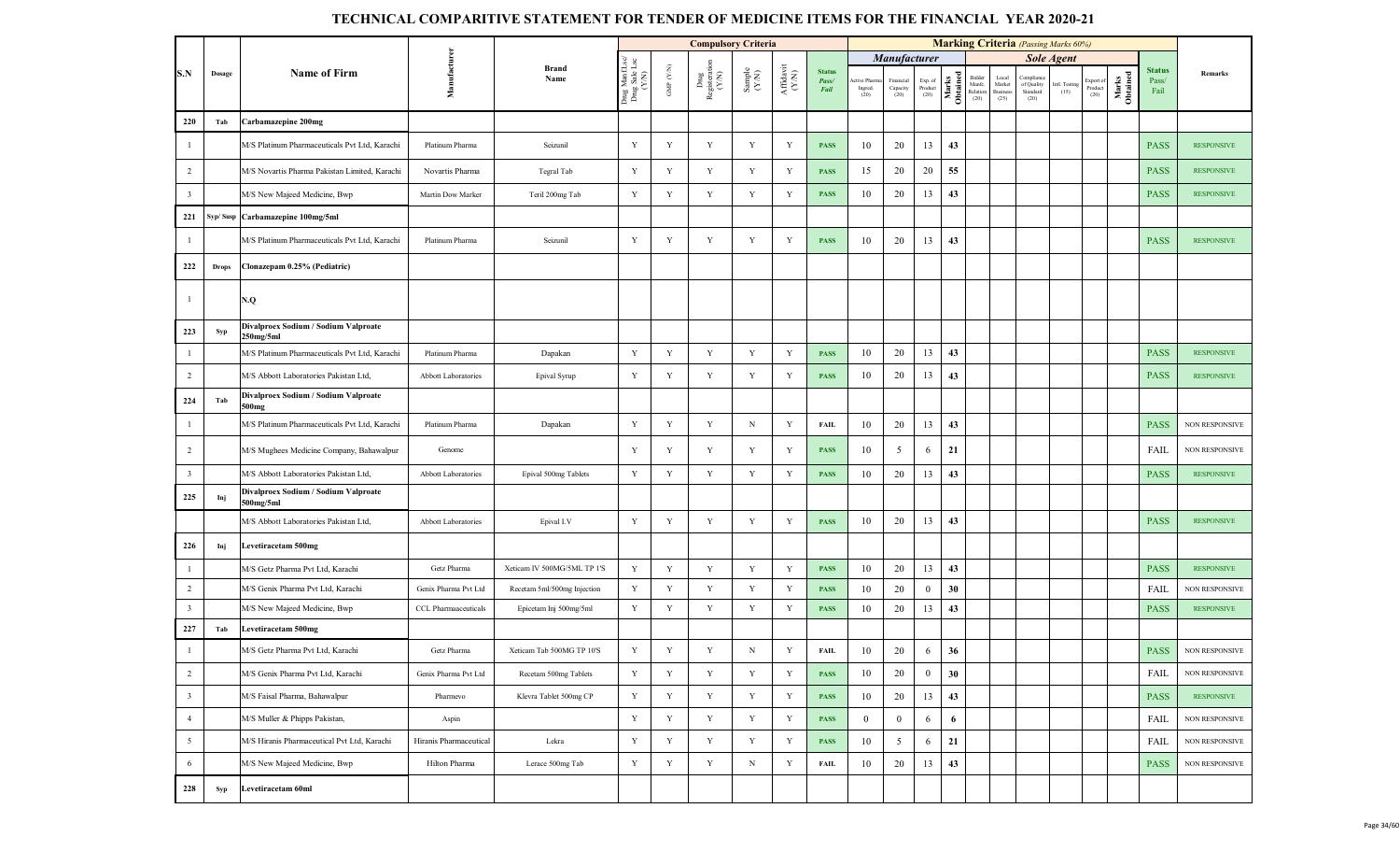|                         |              |                                                           |                        |                             |                                    |                      | <b>Compulsory Criteria</b>     |                                                              |                                                                                                 |                                |                               |                              |                                                                        |                   |                                      |                                     | <b>Marking Criteria</b> (Passing Marks 60%) |                       |                            |                   |                                |                       |
|-------------------------|--------------|-----------------------------------------------------------|------------------------|-----------------------------|------------------------------------|----------------------|--------------------------------|--------------------------------------------------------------|-------------------------------------------------------------------------------------------------|--------------------------------|-------------------------------|------------------------------|------------------------------------------------------------------------|-------------------|--------------------------------------|-------------------------------------|---------------------------------------------|-----------------------|----------------------------|-------------------|--------------------------------|-----------------------|
|                         |              |                                                           |                        |                             |                                    |                      |                                |                                                              |                                                                                                 |                                |                               | Manufacturer                 |                                                                        |                   |                                      |                                     |                                             | <b>Sole Agent</b>     |                            |                   |                                |                       |
| S.N                     | Dosage       | <b>Name of Firm</b>                                       | Manufacture            | <b>Brand</b><br>Name        | Drug ManfI<br>Drug Sale L<br>(Y/N) | GMP $(\mathbf{Y/N})$ | Drug<br>Registeration<br>(Y/N) | $\begin{array}{c} \text{Sample} \\ (\text{Y/N}) \end{array}$ | $\begin{array}{c} \mathrm{Aff} \mathrm{d} \mathrm{av} \mathrm{i} \\ (\mathrm{Y/N}) \end{array}$ | <b>Status</b><br>Pass/<br>Fail | tive Pharm<br>Ingred.<br>(20) | inancial<br>Capacity<br>(20) | $\begin{array}{c} \text{Exp. of}\\ \text{Product} \\ (20) \end{array}$ | Marks<br>Obtained | Bidder<br>Manfc.<br>Relation<br>(20) | Local<br>Market<br>Business<br>(25) | Complian<br>of Quality<br>Standard<br>(20)  | intl. Testing<br>(15) | xport o<br>Product<br>(20) | Marks<br>Obtained | <b>Status</b><br>Pass/<br>Fail | Remarks               |
| 220                     | Tab          | Carbamazepine 200mg                                       |                        |                             |                                    |                      |                                |                                                              |                                                                                                 |                                |                               |                              |                                                                        |                   |                                      |                                     |                                             |                       |                            |                   |                                |                       |
| $\mathbf{1}$            |              | M/S Platinum Pharmaceuticals Pvt Ltd, Karachi             | Platinum Pharma        | Seizunil                    | Y                                  | Y                    | Y                              | Y                                                            | Y                                                                                               | <b>PASS</b>                    | 10                            | 20                           | 13                                                                     | 43                |                                      |                                     |                                             |                       |                            |                   | <b>PASS</b>                    | <b>RESPONSIVE</b>     |
| $\overline{2}$          |              | M/S Novartis Pharma Pakistan Limited, Karachi             | Novartis Pharma        | Tegral Tab                  | Y                                  | Y                    | Y                              | Y                                                            | Y                                                                                               | <b>PASS</b>                    | 15                            | 20                           | 20                                                                     | 55                |                                      |                                     |                                             |                       |                            |                   | <b>PASS</b>                    | <b>RESPONSIVE</b>     |
| $\overline{\mathbf{3}}$ |              | M/S New Majeed Medicine, Bwp                              | Martin Dow Marker      | Teril 200mg Tab             | Y                                  | Y                    | Y                              | $\mathbf Y$                                                  | Y                                                                                               | <b>PASS</b>                    | 10                            | 20                           | 13                                                                     | 43                |                                      |                                     |                                             |                       |                            |                   | <b>PASS</b>                    | <b>RESPONSIVE</b>     |
| 221                     |              | Syp/Susp Carbamazepine 100mg/5ml                          |                        |                             |                                    |                      |                                |                                                              |                                                                                                 |                                |                               |                              |                                                                        |                   |                                      |                                     |                                             |                       |                            |                   |                                |                       |
| $\mathbf{1}$            |              | M/S Platinum Pharmaceuticals Pvt Ltd, Karachi             | Platinum Pharma        | Seizunil                    | Y                                  | Y                    | Y                              | Y                                                            | Y                                                                                               | <b>PASS</b>                    | 10                            | 20                           | 13                                                                     | 43                |                                      |                                     |                                             |                       |                            |                   | <b>PASS</b>                    | <b>RESPONSIVE</b>     |
| 222                     | <b>Drops</b> | Clonazepam 0.25% (Pediatric)                              |                        |                             |                                    |                      |                                |                                                              |                                                                                                 |                                |                               |                              |                                                                        |                   |                                      |                                     |                                             |                       |                            |                   |                                |                       |
| $\mathbf{1}$            |              | N.Q                                                       |                        |                             |                                    |                      |                                |                                                              |                                                                                                 |                                |                               |                              |                                                                        |                   |                                      |                                     |                                             |                       |                            |                   |                                |                       |
| 223                     | Syp          | Divalproex Sodium / Sodium Valproate<br>250mg/5ml         |                        |                             |                                    |                      |                                |                                                              |                                                                                                 |                                |                               |                              |                                                                        |                   |                                      |                                     |                                             |                       |                            |                   |                                |                       |
| $\mathbf{1}$            |              | M/S Platinum Pharmaceuticals Pvt Ltd, Karachi             | Platinum Pharma        | Dapakan                     | Y                                  | $\mathbf Y$          | Y                              | $\mathbf Y$                                                  | Y                                                                                               | <b>PASS</b>                    | 10                            | 20                           | 13                                                                     | 43                |                                      |                                     |                                             |                       |                            |                   | <b>PASS</b>                    | <b>RESPONSIVE</b>     |
| $\overline{2}$          |              | M/S Abbott Laboratories Pakistan Ltd,                     | Abbott Laboratories    | Epival Syrup                | Y                                  | Y                    | Y                              | Y                                                            | Y                                                                                               | <b>PASS</b>                    | 10                            | 20                           | 13                                                                     | 43                |                                      |                                     |                                             |                       |                            |                   | <b>PASS</b>                    | <b>RESPONSIVE</b>     |
| 224                     | Tab          | Divalproex Sodium / Sodium Valproate<br>500 <sub>mg</sub> |                        |                             |                                    |                      |                                |                                                              |                                                                                                 |                                |                               |                              |                                                                        |                   |                                      |                                     |                                             |                       |                            |                   |                                |                       |
| $\mathbf{1}$            |              | M/S Platinum Pharmaceuticals Pvt Ltd, Karachi             | Platinum Pharma        | Dapakan                     | Y                                  | $\mathbf Y$          | Y                              | $_{\rm N}$                                                   | Y                                                                                               | <b>FAIL</b>                    | 10                            | 20                           | 13                                                                     | 43                |                                      |                                     |                                             |                       |                            |                   | <b>PASS</b>                    | <b>NON RESPONSIVE</b> |
| $\overline{2}$          |              | M/S Mughees Medicine Company, Bahawalpur                  | Genome                 |                             | Y                                  | Y                    | Y                              | Y                                                            | Y                                                                                               | <b>PASS</b>                    | 10                            | 5                            | 6                                                                      | 21                |                                      |                                     |                                             |                       |                            |                   | FAIL                           | <b>NON RESPONSIVE</b> |
| $\overline{\mathbf{3}}$ |              | M/S Abbott Laboratories Pakistan Ltd,                     | Abbott Laboratories    | Epival 500mg Tablets        | Y                                  | Y                    | Y                              | $\mathbf Y$                                                  | Y                                                                                               | <b>PASS</b>                    | 10                            | 20                           | 13                                                                     | 43                |                                      |                                     |                                             |                       |                            |                   | <b>PASS</b>                    | <b>RESPONSIVE</b>     |
| 225                     | Inj          | Divalproex Sodium / Sodium Valproate<br>500mg/5ml         |                        |                             |                                    |                      |                                |                                                              |                                                                                                 |                                |                               |                              |                                                                        |                   |                                      |                                     |                                             |                       |                            |                   |                                |                       |
|                         |              | M/S Abbott Laboratories Pakistan Ltd,                     | Abbott Laboratories    | Epival I.V                  | Y                                  | Y                    | Y                              | Y                                                            | Y                                                                                               | <b>PASS</b>                    | 10                            | 20                           | 13                                                                     | 43                |                                      |                                     |                                             |                       |                            |                   | <b>PASS</b>                    | <b>RESPONSIVE</b>     |
| 226                     | Inj          | Levetiracetam 500mg                                       |                        |                             |                                    |                      |                                |                                                              |                                                                                                 |                                |                               |                              |                                                                        |                   |                                      |                                     |                                             |                       |                            |                   |                                |                       |
| $\mathbf{1}$            |              | M/S Getz Pharma Pvt Ltd, Karachi                          | Getz Pharma            | Xeticam IV 500MG/5ML TP 1'S | $\mathbf Y$                        | $\mathbf Y$          | Y                              | $\mathbf Y$                                                  | Y                                                                                               | <b>PASS</b>                    | 10                            | 20                           | 13                                                                     | 43                |                                      |                                     |                                             |                       |                            |                   | <b>PASS</b>                    | <b>RESPONSIVE</b>     |
| $\overline{2}$          |              | M/S Genix Pharma Pvt Ltd, Karachi                         | Genix Pharma Pvt Ltd   | Recetam 5ml/500mg Injection | Y                                  | Y                    | Y                              | Y                                                            | Y                                                                                               | <b>PASS</b>                    | 10                            | 20                           | $\mathbf{0}$                                                           | 30                |                                      |                                     |                                             |                       |                            |                   | FAIL                           | <b>NON RESPONSIVE</b> |
| $\overline{\mathbf{3}}$ |              | M/S New Majeed Medicine, Bwp                              | CCL Pharmaaceuticals   | Epicetam Inj 500mg/5ml      | $\mathbf Y$                        | $\mathbf Y$          | Y                              | $\mathbf Y$                                                  | Y                                                                                               | <b>PASS</b>                    | 10                            | 20                           | 13                                                                     | 43                |                                      |                                     |                                             |                       |                            |                   | <b>PASS</b>                    | <b>RESPONSIVE</b>     |
| 227                     | Tab          | <b>Levetiracetam 500mg</b>                                |                        |                             |                                    |                      |                                |                                                              |                                                                                                 |                                |                               |                              |                                                                        |                   |                                      |                                     |                                             |                       |                            |                   |                                |                       |
| $\mathbf{1}$            |              | M/S Getz Pharma Pvt Ltd, Karachi                          | Getz Pharma            | Xeticam Tab 500MG TP 10'S   | Y                                  | Y                    | Y                              | $_{\rm N}$                                                   | Y                                                                                               | <b>FAIL</b>                    | 10                            | 20                           | 6                                                                      | 36                |                                      |                                     |                                             |                       |                            |                   | <b>PASS</b>                    | NON RESPONSIVE        |
| 2                       |              | M/S Genix Pharma Pvt Ltd, Karachi                         | Genix Pharma Pvt Ltd   | Recetam 500mg Tablets       | $\mathbf Y$                        | $\mathbf Y$          | $\mathbf Y$                    | $\mathbf Y$                                                  | $\mathbf Y$                                                                                     | <b>PASS</b>                    | 10                            | 20                           | $\mathbf{0}$                                                           | 30                |                                      |                                     |                                             |                       |                            |                   | <b>FAIL</b>                    | NON RESPONSIVE        |
| $\overline{\mathbf{3}}$ |              | M/S Faisal Pharma, Bahawalpur                             | Pharmevo               | Klevra Tablet 500mg CP      | $\mathbf Y$                        | $\mathbf Y$          | Y                              | $\mathbf Y$                                                  | $\mathbf Y$                                                                                     | <b>PASS</b>                    | 10                            | 20                           | 13                                                                     | 43                |                                      |                                     |                                             |                       |                            |                   | <b>PASS</b>                    | <b>RESPONSIVE</b>     |
| $\overline{4}$          |              | M/S Muller & Phipps Pakistan,                             | Aspin                  |                             | Y                                  | $\mathbf Y$          | Y                              | $\mathbf Y$                                                  | Y                                                                                               | <b>PASS</b>                    | $\mathbf{0}$                  | $\bf{0}$                     | 6                                                                      | 6                 |                                      |                                     |                                             |                       |                            |                   | <b>FAIL</b>                    | NON RESPONSIVE        |
| 5                       |              | M/S Hiranis Pharmaceutical Pvt Ltd, Karachi               | Hiranis Pharmaceutical | Lekra                       | $\mathbf Y$                        | $\mathbf Y$          | Y                              | $\mathbf Y$                                                  | Y                                                                                               | <b>PASS</b>                    | 10                            | 5                            | 6                                                                      | 21                |                                      |                                     |                                             |                       |                            |                   | <b>FAIL</b>                    | NON RESPONSIVE        |
| 6                       |              | M/S New Majeed Medicine, Bwp                              | Hilton Pharma          | Lerace 500mg Tab            | Y                                  | $\mathbf Y$          | Y                              | $_{\rm N}$                                                   | Y                                                                                               | <b>FAIL</b>                    | 10                            | 20                           | 13                                                                     | 43                |                                      |                                     |                                             |                       |                            |                   | <b>PASS</b>                    | NON RESPONSIVE        |
| 228                     | Syp          | Levetiracetam 60ml                                        |                        |                             |                                    |                      |                                |                                                              |                                                                                                 |                                |                               |                              |                                                                        |                   |                                      |                                     |                                             |                       |                            |                   |                                |                       |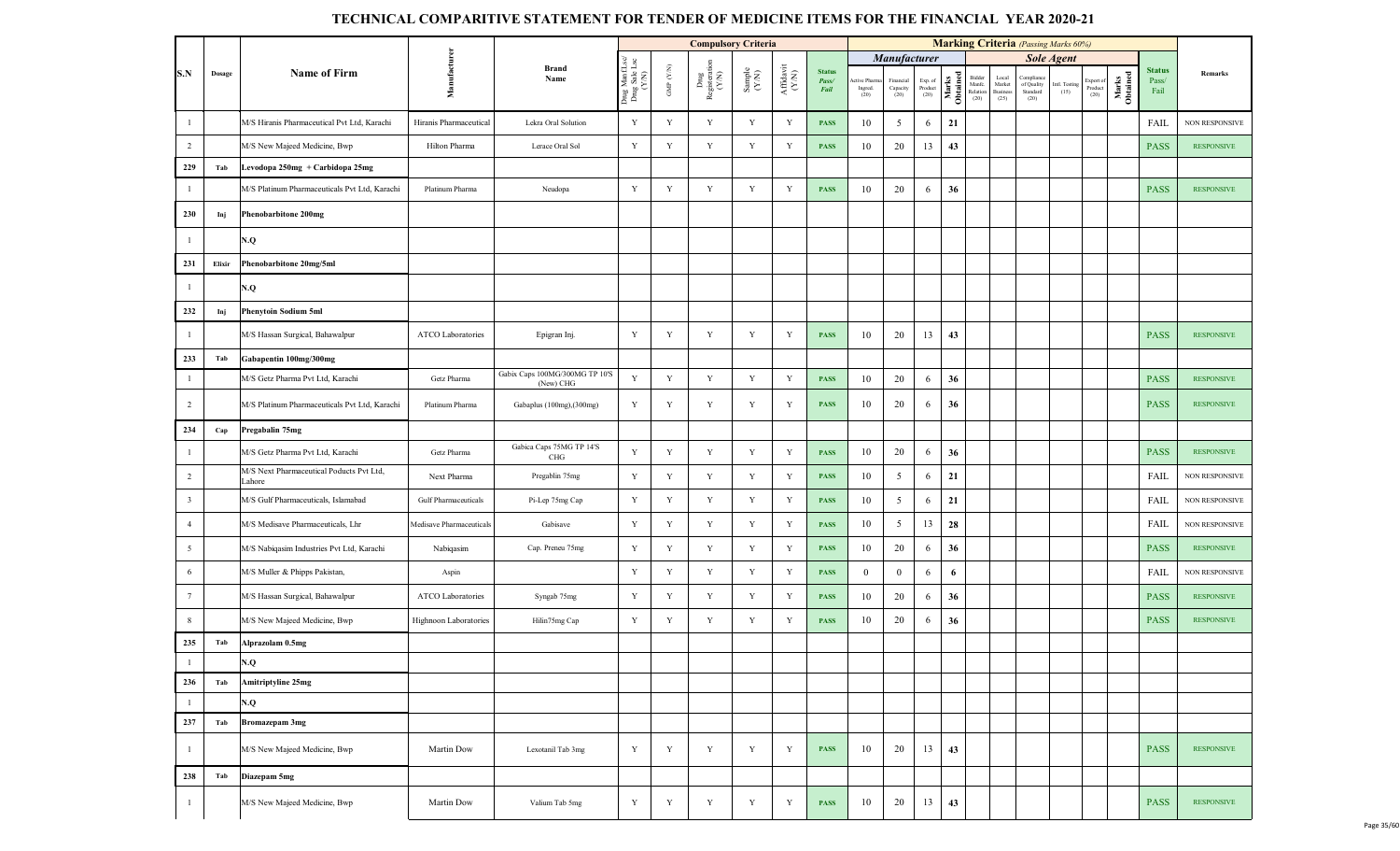|                         |        |                                                    |                          |                                             |                                         |                    | <b>Compulsory Criteria</b>                                                          |                                                             |                                 |                                |                                |                                 |                            |                   |                                      |                                     |                                            | <b>Marking Criteria</b> (Passing Marks 60%) |                              |                   |                                |                       |
|-------------------------|--------|----------------------------------------------------|--------------------------|---------------------------------------------|-----------------------------------------|--------------------|-------------------------------------------------------------------------------------|-------------------------------------------------------------|---------------------------------|--------------------------------|--------------------------------|---------------------------------|----------------------------|-------------------|--------------------------------------|-------------------------------------|--------------------------------------------|---------------------------------------------|------------------------------|-------------------|--------------------------------|-----------------------|
|                         |        |                                                    |                          |                                             |                                         |                    |                                                                                     |                                                             |                                 |                                |                                | Manufacturer                    |                            |                   |                                      |                                     |                                            | <b>Sole Agent</b>                           |                              |                   |                                |                       |
| S.N                     | Dosage | <b>Name of Firm</b>                                | Manufacturer             | <b>Brand</b><br>Name                        | Drug ManfLsc/<br>Drug Sale Lsc<br>(Y/N) | GMP $(\text{Y/N})$ | $\begin{array}{c}\n\text{Dng} \\ \text{Registeration} \\ \text{(Y/N)}\n\end{array}$ | $\begin{array}{c} \text{Sample} \\ (\text{YN}) \end{array}$ | ${\bf Afflavit} \\ {\bf (N,N)}$ | <b>Status</b><br>Pass/<br>Fail | ctive Pharm<br>Ingred.<br>(20) | Financial<br>Capacity<br>$(20)$ | Exp. of<br>Product<br>(20) | Marks<br>Obtained | Bidder<br>Manfe.<br>Relation<br>(20) | Local<br>Market<br>Business<br>(25) | Complian<br>of Quality<br>Standard<br>(20) | Intl. Testing<br>(15)                       | Export of<br>Product<br>(20) | Marks<br>Obtained | <b>Status</b><br>Pass/<br>Fail | Remarks               |
|                         |        | M/S Hiranis Pharmaceutical Pvt Ltd, Karachi        | Hiranis Pharmaceutical   | Lekra Oral Solution                         | $\mathbf Y$                             | $\mathbf Y$        | Y                                                                                   | Y                                                           | $\mathbf Y$                     | <b>PASS</b>                    | 10                             | 5                               | 6                          | 21                |                                      |                                     |                                            |                                             |                              |                   | <b>FAIL</b>                    | NON RESPONSIVE        |
| $\overline{2}$          |        | M/S New Majeed Medicine, Bwp                       | Hilton Pharma            | Lerace Oral Sol                             | $\mathbf Y$                             | Y                  | $\mathbf Y$                                                                         | $\mathbf Y$                                                 | $\mathbf Y$                     | <b>PASS</b>                    | 10                             | 20                              | 13                         | 43                |                                      |                                     |                                            |                                             |                              |                   | <b>PASS</b>                    | <b>RESPONSIVE</b>     |
| 229                     | Tab    | Levodopa 250mg + Carbidopa 25mg                    |                          |                                             |                                         |                    |                                                                                     |                                                             |                                 |                                |                                |                                 |                            |                   |                                      |                                     |                                            |                                             |                              |                   |                                |                       |
|                         |        | M/S Platinum Pharmaceuticals Pvt Ltd, Karachi      | Platinum Pharma          | Neudopa                                     | $\mathbf Y$                             | $\mathbf Y$        | $\mathbf Y$                                                                         | $\mathbf Y$                                                 | Y                               | <b>PASS</b>                    | 10                             | 20                              | 6                          | 36                |                                      |                                     |                                            |                                             |                              |                   | <b>PASS</b>                    | <b>RESPONSIVE</b>     |
| 230                     | Inj    | Phenobarbitone 200mg                               |                          |                                             |                                         |                    |                                                                                     |                                                             |                                 |                                |                                |                                 |                            |                   |                                      |                                     |                                            |                                             |                              |                   |                                |                       |
|                         |        | N.Q                                                |                          |                                             |                                         |                    |                                                                                     |                                                             |                                 |                                |                                |                                 |                            |                   |                                      |                                     |                                            |                                             |                              |                   |                                |                       |
| 231                     | Elixir | Phenobarbitone 20mg/5ml                            |                          |                                             |                                         |                    |                                                                                     |                                                             |                                 |                                |                                |                                 |                            |                   |                                      |                                     |                                            |                                             |                              |                   |                                |                       |
|                         |        | N.Q                                                |                          |                                             |                                         |                    |                                                                                     |                                                             |                                 |                                |                                |                                 |                            |                   |                                      |                                     |                                            |                                             |                              |                   |                                |                       |
| 232                     | Inj    | <b>Phenytoin Sodium 5ml</b>                        |                          |                                             |                                         |                    |                                                                                     |                                                             |                                 |                                |                                |                                 |                            |                   |                                      |                                     |                                            |                                             |                              |                   |                                |                       |
| -1                      |        | M/S Hassan Surgical, Bahawalpur                    | ATCO Laboratories        | Epigran Inj.                                | $\mathbf Y$                             | Y                  | Y                                                                                   | Y                                                           | Y                               | <b>PASS</b>                    | 10                             | 20                              | 13                         | 43                |                                      |                                     |                                            |                                             |                              |                   | <b>PASS</b>                    | <b>RESPONSIVE</b>     |
| 233                     | Tab    | Gabapentin 100mg/300mg                             |                          |                                             |                                         |                    |                                                                                     |                                                             |                                 |                                |                                |                                 |                            |                   |                                      |                                     |                                            |                                             |                              |                   |                                |                       |
| -1                      |        | M/S Getz Pharma Pvt Ltd, Karachi                   | Getz Pharma              | Gabix Caps 100MG/300MG TP 10'S<br>(New) CHG | $\mathbf Y$                             | $\mathbf Y$        | Y                                                                                   | Y                                                           | $\mathbf Y$                     | <b>PASS</b>                    | 10                             | 20                              | 6                          | 36                |                                      |                                     |                                            |                                             |                              |                   | <b>PASS</b>                    | <b>RESPONSIVE</b>     |
| 2                       |        | M/S Platinum Pharmaceuticals Pvt Ltd, Karachi      | Platinum Pharma          | Gabaplus (100mg), (300mg)                   | $\mathbf Y$                             | Y                  | Y                                                                                   | Y                                                           | Y                               | <b>PASS</b>                    | 10                             | 20                              | 6                          | 36                |                                      |                                     |                                            |                                             |                              |                   | <b>PASS</b>                    | <b>RESPONSIVE</b>     |
| 234                     | Cap    | Pregabalin 75mg                                    |                          |                                             |                                         |                    |                                                                                     |                                                             |                                 |                                |                                |                                 |                            |                   |                                      |                                     |                                            |                                             |                              |                   |                                |                       |
| -1                      |        | M/S Getz Pharma Pvt Ltd, Karachi                   | Getz Pharma              | Gabica Caps 75MG TP 14'S<br>CHG             | $\mathbf Y$                             | Y                  | Y                                                                                   | $\mathbf Y$                                                 | Y                               | <b>PASS</b>                    | 10                             | 20                              | 6                          | 36                |                                      |                                     |                                            |                                             |                              |                   | <b>PASS</b>                    | <b>RESPONSIVE</b>     |
| $\overline{2}$          |        | M/S Next Pharmaceutical Poducts Pvt Ltd,<br>Lahore | Next Pharma              | Pregablin 75mg                              | Y                                       | Y                  | Y                                                                                   | $\mathbf Y$                                                 | Y                               | <b>PASS</b>                    | 10                             | 5                               | 6                          | 21                |                                      |                                     |                                            |                                             |                              |                   | <b>FAIL</b>                    | <b>NON RESPONSIVE</b> |
| $\overline{\mathbf{3}}$ |        | M/S Gulf Pharmaceuticals, Islamabad                | Gulf Pharmaceuticals     | Pi-Lep 75mg Cap                             | $\mathbf Y$                             | $\mathbf Y$        | Y                                                                                   | $\mathbf Y$                                                 | $\mathbf Y$                     | <b>PASS</b>                    | 10                             | $\overline{5}$                  | 6                          | 21                |                                      |                                     |                                            |                                             |                              |                   | <b>FAIL</b>                    | NON RESPONSIVE        |
| $\overline{4}$          |        | M/S Medisave Pharmaceuticals, Lhr                  | Medisave Pharmaceuticals | Gabisave                                    | $\mathbf Y$                             | $\mathbf Y$        | Y                                                                                   | Y                                                           | $\mathbf Y$                     | <b>PASS</b>                    | 10                             | 5                               | 13                         | 28                |                                      |                                     |                                            |                                             |                              |                   | <b>FAIL</b>                    | NON RESPONSIVE        |
| $\overline{5}$          |        | M/S Nabiqasim Industries Pvt Ltd, Karachi          | Nabiqasim                | Cap. Preneu 75mg                            | $\mathbf Y$                             | Y                  | Y                                                                                   | $\mathbf Y$                                                 | Y                               | <b>PASS</b>                    | 10                             | 20                              | 6                          | 36                |                                      |                                     |                                            |                                             |                              |                   | <b>PASS</b>                    | <b>RESPONSIVE</b>     |
| 6                       |        | M/S Muller & Phipps Pakistan,                      | Aspin                    |                                             | $\mathbf Y$                             | $\mathbf Y$        | Y                                                                                   | Y                                                           | $\mathbf Y$                     | <b>PASS</b>                    | $\overline{0}$                 | $\overline{0}$                  | 6                          | 6                 |                                      |                                     |                                            |                                             |                              |                   | <b>FAIL</b>                    | NON RESPONSIVE        |
| $7\phantom{.0}$         |        | M/S Hassan Surgical, Bahawalpur                    | ATCO Laboratories        | Syngab 75mg                                 | $\mathbf Y$                             | Y                  | Y                                                                                   | Y                                                           | Y                               | <b>PASS</b>                    | 10                             | 20                              | 6                          | 36                |                                      |                                     |                                            |                                             |                              |                   | <b>PASS</b>                    | <b>RESPONSIVE</b>     |
| $8\phantom{.0}$         |        | M/S New Majeed Medicine, Bwp                       | Highnoon Laboratories    | Hilin75mg Cap                               | $\mathbf Y$                             | Y                  | $\mathbf Y$                                                                         | $\mathbf Y$                                                 | Y                               | <b>PASS</b>                    | 10                             | 20                              | 6                          | 36                |                                      |                                     |                                            |                                             |                              |                   | <b>PASS</b>                    | <b>RESPONSIVE</b>     |
| 235                     | Tab    | Alprazolam 0.5mg                                   |                          |                                             |                                         |                    |                                                                                     |                                                             |                                 |                                |                                |                                 |                            |                   |                                      |                                     |                                            |                                             |                              |                   |                                |                       |
|                         |        | N.Q                                                |                          |                                             |                                         |                    |                                                                                     |                                                             |                                 |                                |                                |                                 |                            |                   |                                      |                                     |                                            |                                             |                              |                   |                                |                       |
| 236                     | Tab    | <b>Amitriptyline 25mg</b>                          |                          |                                             |                                         |                    |                                                                                     |                                                             |                                 |                                |                                |                                 |                            |                   |                                      |                                     |                                            |                                             |                              |                   |                                |                       |
|                         |        | N.Q                                                |                          |                                             |                                         |                    |                                                                                     |                                                             |                                 |                                |                                |                                 |                            |                   |                                      |                                     |                                            |                                             |                              |                   |                                |                       |
| 237                     | Tab    | Bromazepam 3mg                                     |                          |                                             |                                         |                    |                                                                                     |                                                             |                                 |                                |                                |                                 |                            |                   |                                      |                                     |                                            |                                             |                              |                   |                                |                       |
|                         |        | M/S New Majeed Medicine, Bwp                       | Martin Dow               | Lexotanil Tab 3mg                           | Y                                       | Y                  | Y                                                                                   | $\mathbf Y$                                                 | Y                               | <b>PASS</b>                    | 10                             | 20                              | 13                         | 43                |                                      |                                     |                                            |                                             |                              |                   | <b>PASS</b>                    | <b>RESPONSIVE</b>     |
| 238                     | Tab    | Diazepam 5mg                                       |                          |                                             |                                         |                    |                                                                                     |                                                             |                                 |                                |                                |                                 |                            |                   |                                      |                                     |                                            |                                             |                              |                   |                                |                       |
| -1                      |        | M/S New Majeed Medicine, Bwp                       | Martin Dow               | Valium Tab 5mg                              | Y                                       | Y                  | Y                                                                                   | $\mathbf Y$                                                 | Y                               | <b>PASS</b>                    | 10                             | 20                              | 13                         | 43                |                                      |                                     |                                            |                                             |                              |                   | <b>PASS</b>                    | <b>RESPONSIVE</b>     |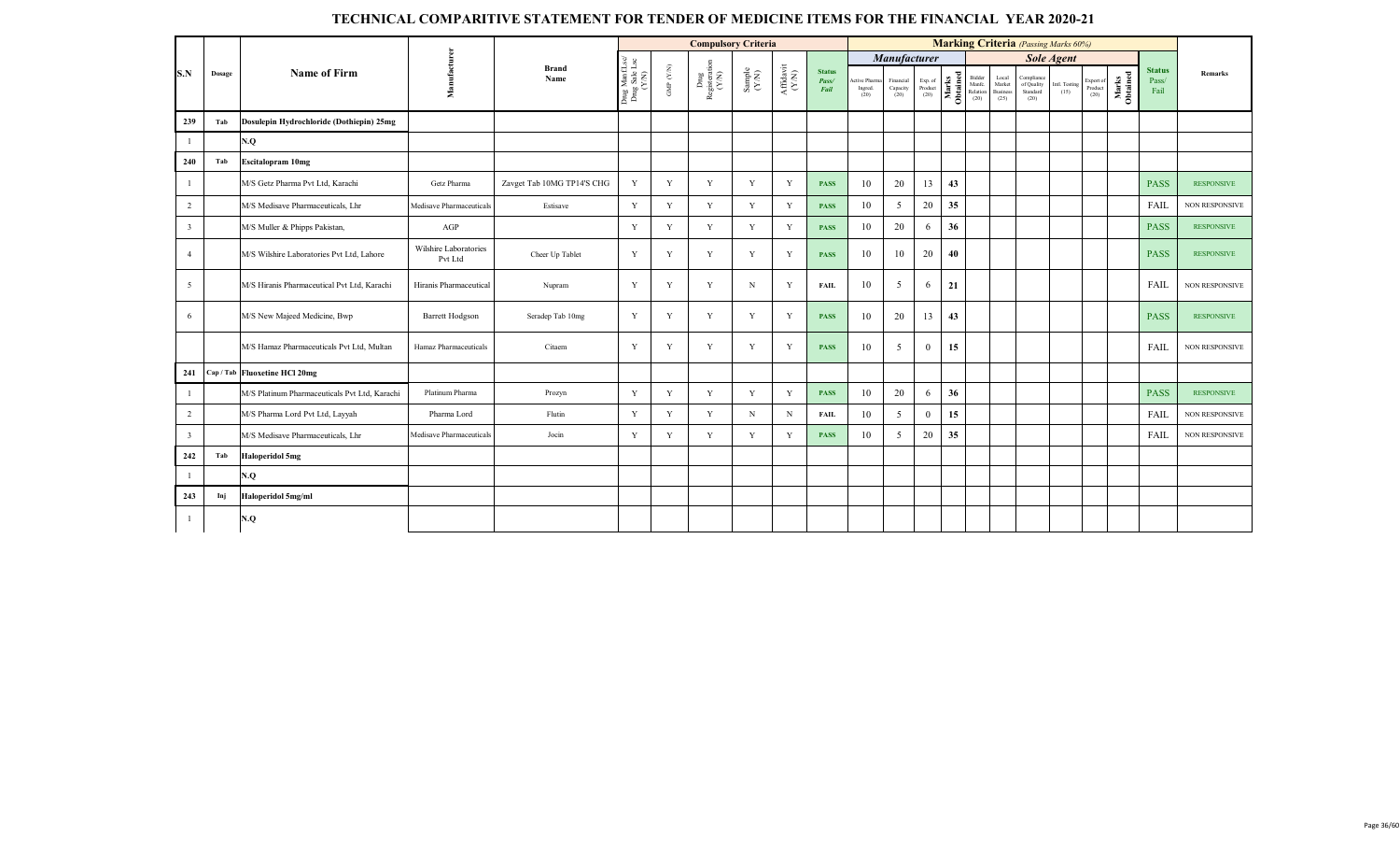|                         |        |                                               |                                  |                            |                                         |                           | <b>Compulsory Criteria</b>     |                                                              |                                                                                       |                                |                                  |                               |                                                                        |                                                   |                                           | <b>Marking Criteria</b> (Passing Marks 60%)  |                       |                              |                   |                                |                       |
|-------------------------|--------|-----------------------------------------------|----------------------------------|----------------------------|-----------------------------------------|---------------------------|--------------------------------|--------------------------------------------------------------|---------------------------------------------------------------------------------------|--------------------------------|----------------------------------|-------------------------------|------------------------------------------------------------------------|---------------------------------------------------|-------------------------------------------|----------------------------------------------|-----------------------|------------------------------|-------------------|--------------------------------|-----------------------|
|                         |        |                                               |                                  |                            |                                         |                           |                                |                                                              |                                                                                       |                                |                                  | <b>Manufacturer</b>           |                                                                        |                                                   |                                           |                                              | <b>Sole Agent</b>     |                              |                   |                                |                       |
| S.N                     | Dosage | <b>Name of Firm</b>                           | Manufactu                        | <b>Brand</b><br>Name       | Drug ManfLsc/<br>Drug Sale Lsc<br>(Y/N) | ${\rm GMP}$ ${\rm (V/N)}$ | Drug<br>Registeration<br>(Y/N) | $\begin{array}{c} \text{Sample} \\ (\text{Y-N}) \end{array}$ | $\begin{array}{c} \mathbf{Aff} \mathbf{davit} \\ (\mathbf{Y} \mathbf{N}) \end{array}$ | <b>Status</b><br>Pass/<br>Fail | Active Pharma<br>Ingred.<br>(20) | Financial<br>Capacity<br>(20) | $\begin{array}{c} \text{Exp. of}\\ \text{Product} \\ (20) \end{array}$ | Mark Bidder<br>Manfc.<br>Dibital Relation<br>(20) | Local<br>Market<br><b>Busines</b><br>(25) | Compliance<br>of Quality<br>Standard<br>(20) | Intl. Testing<br>(15) | Export of<br>Product<br>(20) | Marks<br>Obtained | <b>Status</b><br>Pass/<br>Fail | Remarks               |
| 239                     | Tab    | Dosulepin Hydrochloride (Dothiepin) 25mg      |                                  |                            |                                         |                           |                                |                                                              |                                                                                       |                                |                                  |                               |                                                                        |                                                   |                                           |                                              |                       |                              |                   |                                |                       |
|                         |        | N.Q                                           |                                  |                            |                                         |                           |                                |                                                              |                                                                                       |                                |                                  |                               |                                                                        |                                                   |                                           |                                              |                       |                              |                   |                                |                       |
| 240                     | Tab    | <b>Escitalopram 10mg</b>                      |                                  |                            |                                         |                           |                                |                                                              |                                                                                       |                                |                                  |                               |                                                                        |                                                   |                                           |                                              |                       |                              |                   |                                |                       |
| $\overline{1}$          |        | M/S Getz Pharma Pvt Ltd, Karachi              | Getz Pharma                      | Zavget Tab 10MG TP14'S CHG | Y                                       | Y                         | Y                              | Y                                                            | Y                                                                                     | <b>PASS</b>                    | 10                               | 20                            | 13                                                                     | 43                                                |                                           |                                              |                       |                              |                   | <b>PASS</b>                    | <b>RESPONSIVE</b>     |
| $\overline{2}$          |        | M/S Medisave Pharmaceuticals. Lhr             | Medisave Pharmaceuticals         | Estisave                   | Y                                       | Y                         | Y                              | Y                                                            | Y                                                                                     | <b>PASS</b>                    | 10                               | 5                             | 20                                                                     | 35                                                |                                           |                                              |                       |                              |                   | FAIL                           | <b>NON RESPONSIVE</b> |
| $\overline{\mathbf{3}}$ |        | M/S Muller & Phipps Pakistan,                 | AGP                              |                            | Y                                       | Y                         | Y                              | Y                                                            | Y                                                                                     | <b>PASS</b>                    | 10                               | 20                            | 6                                                                      | 36                                                |                                           |                                              |                       |                              |                   | <b>PASS</b>                    | <b>RESPONSIVE</b>     |
| $\overline{4}$          |        | M/S Wilshire Laboratories Pvt Ltd, Lahore     | Wilshire Laboratories<br>Pvt Ltd | Cheer Up Tablet            | Y                                       | Y                         | Y                              | Y                                                            | Y                                                                                     | <b>PASS</b>                    | 10                               | 10                            | 20                                                                     | 40                                                |                                           |                                              |                       |                              |                   | <b>PASS</b>                    | <b>RESPONSIVE</b>     |
| 5                       |        | M/S Hiranis Pharmaceutical Pvt Ltd, Karachi   | Hiranis Pharmaceutical           | Nupram                     | Y                                       | Y                         | Y                              | N                                                            | Y                                                                                     | <b>FAIL</b>                    | 10                               | 5                             | 6                                                                      | 21                                                |                                           |                                              |                       |                              |                   | FAIL                           | <b>NON RESPONSIVE</b> |
| 6                       |        | M/S New Majeed Medicine, Bwp                  | <b>Barrett Hodgson</b>           | Seradep Tab 10mg           | Y                                       | Y                         | Y                              | Y                                                            | Y                                                                                     | <b>PASS</b>                    | 10                               | 20                            | 13                                                                     | 43                                                |                                           |                                              |                       |                              |                   | <b>PASS</b>                    | <b>RESPONSIVE</b>     |
|                         |        | M/S Hamaz Pharmaceuticals Pvt Ltd, Multan     | Hamaz Pharmaceuticals            | Citaem                     | Y                                       | Y                         | Y                              | Y                                                            | Y                                                                                     | <b>PASS</b>                    | 10                               | $\mathfrak{S}$                | $\mathbf{0}$                                                           | 15                                                |                                           |                                              |                       |                              |                   | FAIL                           | <b>NON RESPONSIVE</b> |
| 241                     |        | Cap / Tab Fluoxetine HCl 20mg                 |                                  |                            |                                         |                           |                                |                                                              |                                                                                       |                                |                                  |                               |                                                                        |                                                   |                                           |                                              |                       |                              |                   |                                |                       |
| -1                      |        | M/S Platinum Pharmaceuticals Pvt Ltd, Karachi | Platinum Pharma                  | Prozyn                     | Y                                       | Y                         | Y                              | Y                                                            | Y                                                                                     | <b>PASS</b>                    | 10                               | 20                            | 6                                                                      | 36                                                |                                           |                                              |                       |                              |                   | <b>PASS</b>                    | <b>RESPONSIVE</b>     |
| $\overline{2}$          |        | M/S Pharma Lord Pvt Ltd, Layyah               | Pharma Lord                      | Flutin                     | Y                                       | Y                         | Y                              | N                                                            | N                                                                                     | <b>FAIL</b>                    | 10                               | $\mathfrak{S}$                | $\mathbf{0}$                                                           | 15                                                |                                           |                                              |                       |                              |                   | FAIL                           | <b>NON RESPONSIVE</b> |
| $\overline{\mathbf{3}}$ |        | M/S Medisave Pharmaceuticals, Lhr             | Medisave Pharmaceuticals         | Jocin                      | Y                                       | Y                         | Y                              | Y                                                            | Y                                                                                     | <b>PASS</b>                    | 10                               | 5                             | 20                                                                     | 35                                                |                                           |                                              |                       |                              |                   | FAIL                           | <b>NON RESPONSIVE</b> |
| 242                     | Tab    | <b>Haloperidol 5mg</b>                        |                                  |                            |                                         |                           |                                |                                                              |                                                                                       |                                |                                  |                               |                                                                        |                                                   |                                           |                                              |                       |                              |                   |                                |                       |
| $\overline{1}$          |        | N.Q                                           |                                  |                            |                                         |                           |                                |                                                              |                                                                                       |                                |                                  |                               |                                                                        |                                                   |                                           |                                              |                       |                              |                   |                                |                       |
| 243                     | Inj    | Haloperidol 5mg/ml                            |                                  |                            |                                         |                           |                                |                                                              |                                                                                       |                                |                                  |                               |                                                                        |                                                   |                                           |                                              |                       |                              |                   |                                |                       |
| $\overline{1}$          |        | N.Q                                           |                                  |                            |                                         |                           |                                |                                                              |                                                                                       |                                |                                  |                               |                                                                        |                                                   |                                           |                                              |                       |                              |                   |                                |                       |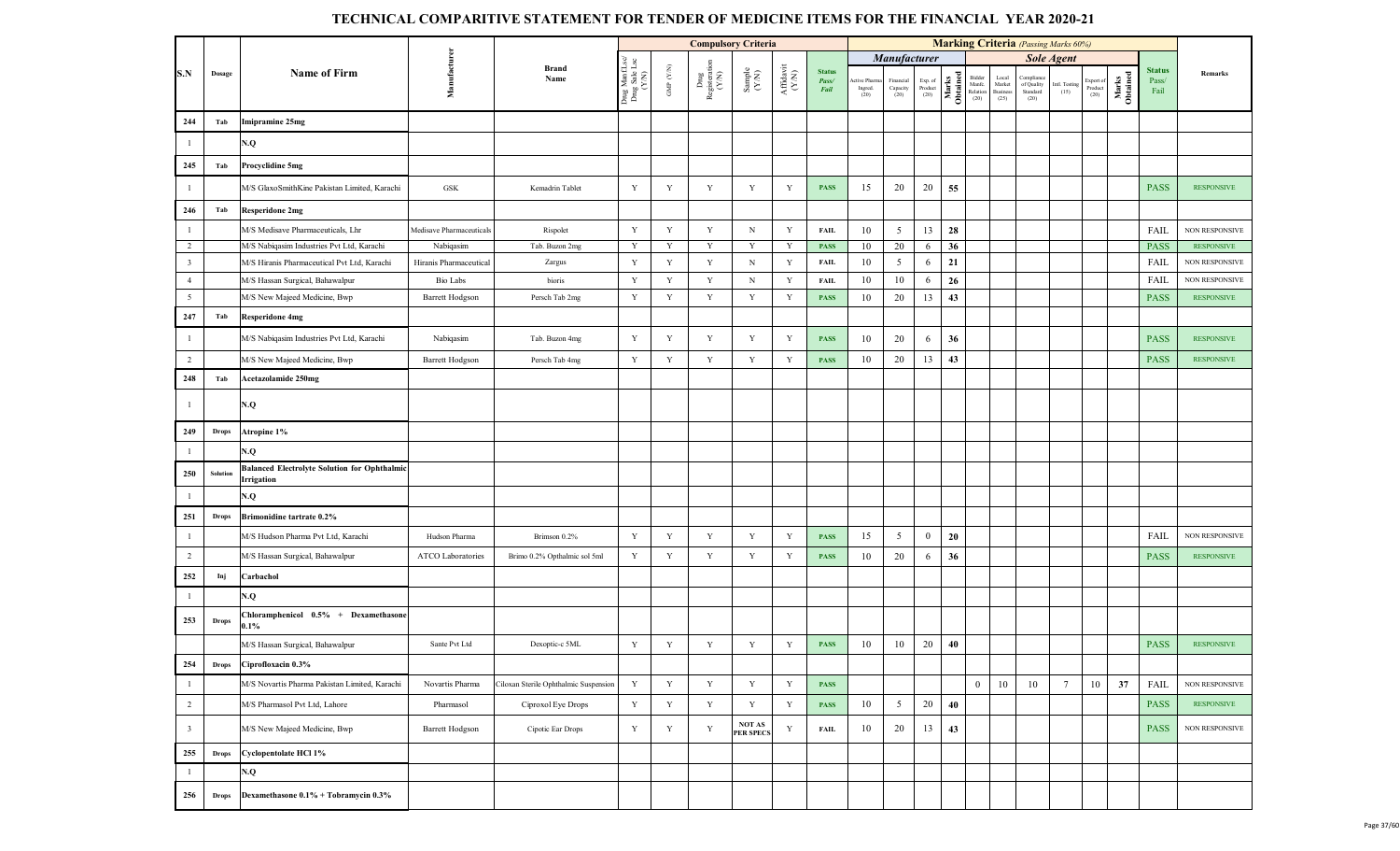|                         |              |                                                                   |                          |                                       |                                         |                          |                                | <b>Compulsory Criteria</b>                                   |                    |                                |                                  |                                          |                            |                   |                                      |                                     | <b>Marking Criteria</b> (Passing Marks 60%) |                       |                              |                   |                                |                       |
|-------------------------|--------------|-------------------------------------------------------------------|--------------------------|---------------------------------------|-----------------------------------------|--------------------------|--------------------------------|--------------------------------------------------------------|--------------------|--------------------------------|----------------------------------|------------------------------------------|----------------------------|-------------------|--------------------------------------|-------------------------------------|---------------------------------------------|-----------------------|------------------------------|-------------------|--------------------------------|-----------------------|
|                         |              |                                                                   |                          |                                       |                                         |                          |                                |                                                              |                    |                                |                                  | Manufacturer                             |                            |                   |                                      |                                     |                                             | <b>Sole Agent</b>     |                              |                   |                                |                       |
| S.N                     | Dosage       | <b>Name of Firm</b>                                               | Manufacture              | <b>Brand</b><br>Name                  | Drug ManfLsc/<br>Drug Sale Lsc<br>(Y/N) | ${\rm GMP}$ ${\rm (YN)}$ | Drug<br>Registeration<br>(Y/N) | $\begin{array}{c} \text{Sample} \\ (\text{Y/N}) \end{array}$ | Affidavit<br>(Y/N) | <b>Status</b><br>Pass/<br>Fail | ctive Pharm<br>Ingred.<br>$(20)$ | Financial<br>Capacity $\left( 20\right)$ | Exp. of<br>Product<br>(20) | Marks<br>Obtained | Bidder<br>Manfe.<br>Relation<br>(20) | Local<br>Market<br>Business<br>(25) | Complian<br>of Quality<br>Standard<br>(20)  | Intl. Testing<br>(15) | Export of<br>Product<br>(20) | Marks<br>Obtained | <b>Status</b><br>Pass/<br>Fail | Remarks               |
| 244                     | Tab          | mipramine 25mg                                                    |                          |                                       |                                         |                          |                                |                                                              |                    |                                |                                  |                                          |                            |                   |                                      |                                     |                                             |                       |                              |                   |                                |                       |
| $\overline{1}$          |              | N.Q                                                               |                          |                                       |                                         |                          |                                |                                                              |                    |                                |                                  |                                          |                            |                   |                                      |                                     |                                             |                       |                              |                   |                                |                       |
| 245                     | Tab          | Procyclidine 5mg                                                  |                          |                                       |                                         |                          |                                |                                                              |                    |                                |                                  |                                          |                            |                   |                                      |                                     |                                             |                       |                              |                   |                                |                       |
| $\overline{1}$          |              | M/S GlaxoSmithKine Pakistan Limited, Karachi                      | GSK                      | Kemadrin Tablet                       | Y                                       | Y                        | Y                              | Y                                                            | Y                  | <b>PASS</b>                    | 15                               | 20                                       | 20                         | 55                |                                      |                                     |                                             |                       |                              |                   | <b>PASS</b>                    | <b>RESPONSIVE</b>     |
| 246                     | Tab          | Resperidone 2mg                                                   |                          |                                       |                                         |                          |                                |                                                              |                    |                                |                                  |                                          |                            |                   |                                      |                                     |                                             |                       |                              |                   |                                |                       |
| $\overline{1}$          |              | M/S Medisave Pharmaceuticals, Lhr                                 | Medisave Pharmaceuticals | Rispolet                              | $\mathbf Y$                             | $\mathbf Y$              | Y                              | $\mathbf N$                                                  | Y                  | <b>FAIL</b>                    | 10                               | 5                                        | 13                         | 28                |                                      |                                     |                                             |                       |                              |                   | FAIL                           | <b>NON RESPONSIVE</b> |
| 2                       |              | M/S Nabiqasim Industries Pvt Ltd, Karachi                         | Nabiqasim                | Tab. Buzon 2mg                        | Y                                       | Y                        | Y                              | Y                                                            | Y                  | <b>PASS</b>                    | 10                               | 20                                       | 6                          | 36                |                                      |                                     |                                             |                       |                              |                   | <b>PASS</b>                    | <b>RESPONSIVE</b>     |
| $\overline{\mathbf{3}}$ |              | M/S Hiranis Pharmaceutical Pvt Ltd, Karachi                       | Hiranis Pharmaceutical   | Zargus                                | Y                                       | Y                        | Y                              | N                                                            | Y                  | <b>FAIL</b>                    | 10                               | 5                                        | 6                          | 21                |                                      |                                     |                                             |                       |                              |                   | FAIL                           | NON RESPONSIVE        |
| $\overline{4}$          |              | M/S Hassan Surgical, Bahawalpur                                   | <b>Bio Labs</b>          | bioris                                | Y                                       | Y                        | Y                              | $_{\rm N}$                                                   | Y                  | <b>FAIL</b>                    | 10                               | 10                                       | 6                          | 26                |                                      |                                     |                                             |                       |                              |                   | FAIL                           | <b>NON RESPONSIVE</b> |
| $5\overline{)}$         |              | M/S New Majeed Medicine, Bwp                                      | <b>Barrett Hodgson</b>   | Persch Tab 2mg                        | Y                                       | Y                        | Y                              | Y                                                            | Y                  | <b>PASS</b>                    | 10                               | 20                                       | 13                         | 43                |                                      |                                     |                                             |                       |                              |                   | <b>PASS</b>                    | <b>RESPONSIVE</b>     |
| 247                     | Tab          | <b>Resperidone 4mg</b>                                            |                          |                                       |                                         |                          |                                |                                                              |                    |                                |                                  |                                          |                            |                   |                                      |                                     |                                             |                       |                              |                   |                                |                       |
| $\mathbf{1}$            |              | M/S Nabiqasim Industries Pvt Ltd, Karachi                         | Nabiqasim                | Tab. Buzon 4mg                        | Y                                       | Y                        | Y                              | Y                                                            | Y                  | <b>PASS</b>                    | 10                               | 20                                       | 6                          | 36                |                                      |                                     |                                             |                       |                              |                   | <b>PASS</b>                    | <b>RESPONSIVE</b>     |
| $\overline{2}$          |              | M/S New Majeed Medicine, Bwp                                      | <b>Barrett Hodgson</b>   | Persch Tab 4mg                        | $\mathbf Y$                             | Y                        | Y                              | Y                                                            | Y                  | <b>PASS</b>                    | 10                               | 20                                       | 13                         | 43                |                                      |                                     |                                             |                       |                              |                   | <b>PASS</b>                    | <b>RESPONSIVE</b>     |
| 248                     | Tab          | Acetazolamide 250mg                                               |                          |                                       |                                         |                          |                                |                                                              |                    |                                |                                  |                                          |                            |                   |                                      |                                     |                                             |                       |                              |                   |                                |                       |
| $\overline{1}$          |              | N.Q                                                               |                          |                                       |                                         |                          |                                |                                                              |                    |                                |                                  |                                          |                            |                   |                                      |                                     |                                             |                       |                              |                   |                                |                       |
| 249                     | <b>Drops</b> | Atropine 1%                                                       |                          |                                       |                                         |                          |                                |                                                              |                    |                                |                                  |                                          |                            |                   |                                      |                                     |                                             |                       |                              |                   |                                |                       |
| $\overline{1}$          |              | N.Q                                                               |                          |                                       |                                         |                          |                                |                                                              |                    |                                |                                  |                                          |                            |                   |                                      |                                     |                                             |                       |                              |                   |                                |                       |
| 250                     | Solution     | <b>Balanced Electrolyte Solution for Ophthalmic</b><br>Irrigation |                          |                                       |                                         |                          |                                |                                                              |                    |                                |                                  |                                          |                            |                   |                                      |                                     |                                             |                       |                              |                   |                                |                       |
| $\overline{1}$          |              | N.Q                                                               |                          |                                       |                                         |                          |                                |                                                              |                    |                                |                                  |                                          |                            |                   |                                      |                                     |                                             |                       |                              |                   |                                |                       |
| 251                     | <b>Drops</b> | <b>Brimonidine tartrate 0.2%</b>                                  |                          |                                       |                                         |                          |                                |                                                              |                    |                                |                                  |                                          |                            |                   |                                      |                                     |                                             |                       |                              |                   |                                |                       |
| $\overline{1}$          |              | M/S Hudson Pharma Pvt Ltd, Karachi                                | Hudson Pharma            | Brimson 0.2%                          | Y                                       | Y                        | Y                              | Y                                                            | Y                  | <b>PASS</b>                    | 15                               | 5                                        | $\boldsymbol{0}$           | 20                |                                      |                                     |                                             |                       |                              |                   | FAIL                           | <b>NON RESPONSIVE</b> |
| $\overline{2}$          |              | M/S Hassan Surgical, Bahawalpur                                   | ATCO Laboratories        | Brimo 0.2% Opthalmic sol 5ml          | $\mathbf Y$                             | Y                        | Y                              | Y                                                            | $\mathbf Y$        | <b>PASS</b>                    | 10                               | 20                                       | 6                          | 36                |                                      |                                     |                                             |                       |                              |                   | <b>PASS</b>                    | <b>RESPONSIVE</b>     |
| 252                     | Inj          | Carbachol                                                         |                          |                                       |                                         |                          |                                |                                                              |                    |                                |                                  |                                          |                            |                   |                                      |                                     |                                             |                       |                              |                   |                                |                       |
| $\overline{1}$          |              | N.Q                                                               |                          |                                       |                                         |                          |                                |                                                              |                    |                                |                                  |                                          |                            |                   |                                      |                                     |                                             |                       |                              |                   |                                |                       |
| 253                     | <b>Drops</b> | Chloramphenicol 0.5% + Dexamethasone<br>$0.1\%$                   |                          |                                       |                                         |                          |                                |                                                              |                    |                                |                                  |                                          |                            |                   |                                      |                                     |                                             |                       |                              |                   |                                |                       |
|                         |              | M/S Hassan Surgical, Bahawalpur                                   | Sante Pvt Ltd            | Dexoptic-c 5ML                        | $\mathbf Y$                             | $\mathbf Y$              | Y                              | Y                                                            | Y                  | <b>PASS</b>                    | 10                               | 10                                       | 20                         | 40                |                                      |                                     |                                             |                       |                              |                   | <b>PASS</b>                    | <b>RESPONSIVE</b>     |
| 254                     | <b>Drops</b> | Ciprofloxacin 0.3%                                                |                          |                                       |                                         |                          |                                |                                                              |                    |                                |                                  |                                          |                            |                   |                                      |                                     |                                             |                       |                              |                   |                                |                       |
| $\mathbf{1}$            |              | M/S Novartis Pharma Pakistan Limited, Karachi                     | Novartis Pharma          | Ciloxan Sterile Ophthalmic Suspension | $\mathbf Y$                             | $\mathbf Y$              | $\mathbf Y$                    | $\mathbf Y$                                                  | $\mathbf Y$        | <b>PASS</b>                    |                                  |                                          |                            |                   | $\overline{0}$                       | 10                                  | 10                                          | $7\phantom{.0}$       | 10                           | 37                | FAIL                           | <b>NON RESPONSIVE</b> |
| 2                       |              | M/S Pharmasol Pvt Ltd, Lahore                                     | Pharmasol                | Ciproxol Eye Drops                    | $\mathbf Y$                             | $\mathbf Y$              | $\mathbf Y$                    | $\mathbf Y$                                                  | Y                  | <b>PASS</b>                    | 10                               | 5                                        | 20                         | 40                |                                      |                                     |                                             |                       |                              |                   | <b>PASS</b>                    | <b>RESPONSIVE</b>     |
| $\overline{\mathbf{3}}$ |              | M/S New Majeed Medicine, Bwp                                      | <b>Barrett Hodgson</b>   | Cipotic Ear Drops                     | Y                                       | Y                        | Y                              | NOT AS<br><b>PER SPECS</b>                                   | Y                  | <b>FAIL</b>                    | 10                               | 20                                       | 13                         | 43                |                                      |                                     |                                             |                       |                              |                   | <b>PASS</b>                    | <b>NON RESPONSIVE</b> |
| 255                     | <b>Drops</b> | Cyclopentolate HCl 1%                                             |                          |                                       |                                         |                          |                                |                                                              |                    |                                |                                  |                                          |                            |                   |                                      |                                     |                                             |                       |                              |                   |                                |                       |
| $\mathbf{1}$            |              | N.Q                                                               |                          |                                       |                                         |                          |                                |                                                              |                    |                                |                                  |                                          |                            |                   |                                      |                                     |                                             |                       |                              |                   |                                |                       |
| 256                     | <b>Drops</b> | Dexamethasone 0.1% + Tobramycin 0.3%                              |                          |                                       |                                         |                          |                                |                                                              |                    |                                |                                  |                                          |                            |                   |                                      |                                     |                                             |                       |                              |                   |                                |                       |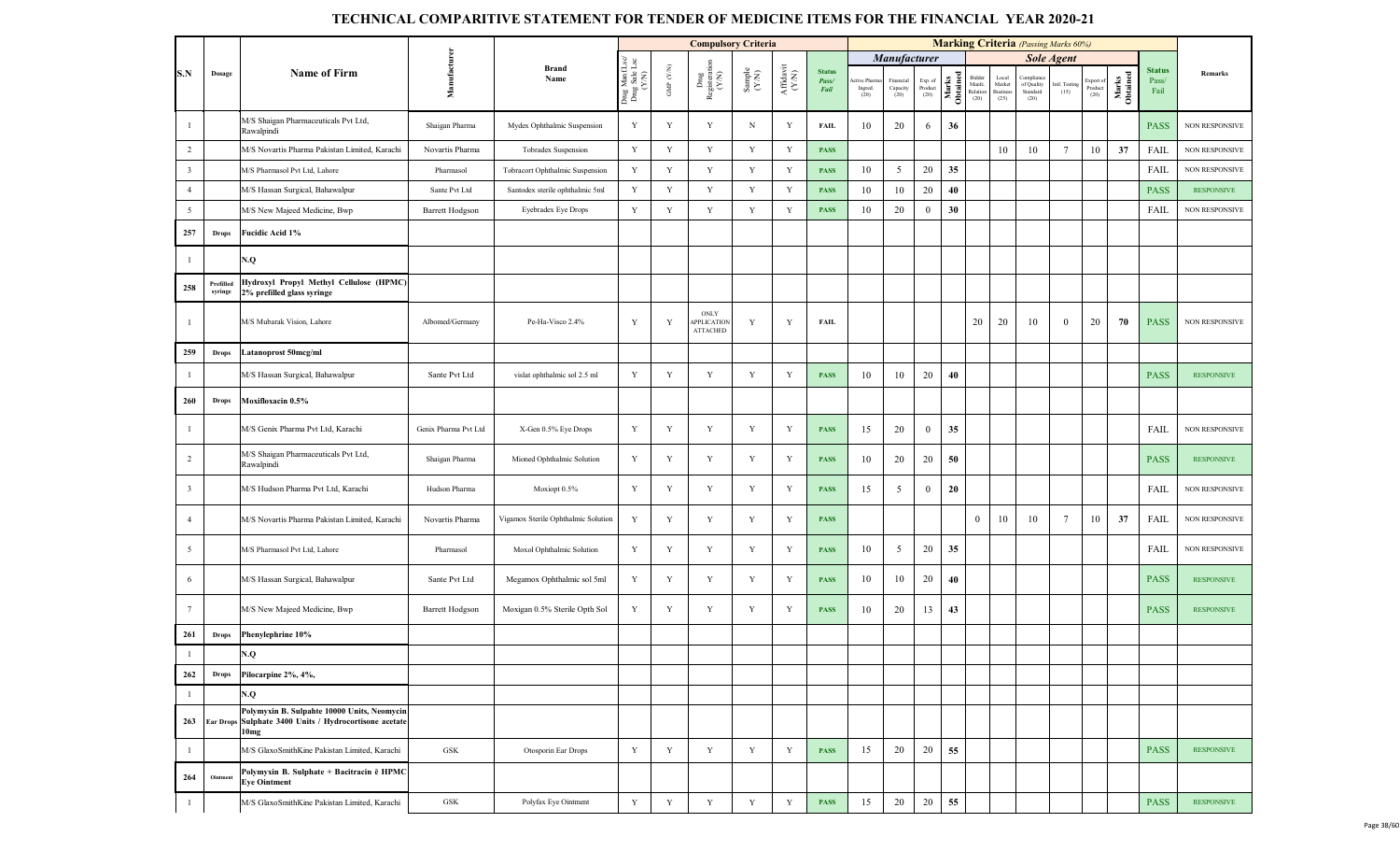|                         |                      |                                                                                                                           |                        |                                     |                                         |                      | <b>Compulsory Criteria</b>                    |                                                              |                                           |                                |                                |                               |                            |                   |                                      |                                            | <b>Marking Criteria</b> (Passing Marks 60%) |                       |                             |                   |                                |                       |
|-------------------------|----------------------|---------------------------------------------------------------------------------------------------------------------------|------------------------|-------------------------------------|-----------------------------------------|----------------------|-----------------------------------------------|--------------------------------------------------------------|-------------------------------------------|--------------------------------|--------------------------------|-------------------------------|----------------------------|-------------------|--------------------------------------|--------------------------------------------|---------------------------------------------|-----------------------|-----------------------------|-------------------|--------------------------------|-----------------------|
|                         |                      |                                                                                                                           |                        |                                     |                                         |                      |                                               |                                                              |                                           |                                |                                | <b>Manufacturer</b>           |                            |                   |                                      |                                            |                                             | <b>Sole Agent</b>     |                             |                   |                                |                       |
| S.N                     | Dosage               | <b>Name of Firm</b>                                                                                                       | Manufacturen           | <b>Brand</b><br>Name                | Drug ManfLsc/<br>Drug Sale Lsc<br>(Y/N) | GMP $(\mathbf{Y/N})$ | Drug<br>Registeration<br>(Y/N)                | $\begin{array}{c} \text{Sample} \\ (\text{Y-N}) \end{array}$ | ${\bf Aff} {\bf davit} \atop ({\bf Y/N})$ | <b>Status</b><br>Pass/<br>Fail | ctive Pharm<br>Ingred.<br>(20) | Financial<br>Capacity<br>(20) | Exp. of<br>Product<br>(20) | Marks<br>Obtained | Bidder<br>Manfc.<br>Relation<br>(20) | Local<br>Market<br><b>Business</b><br>(25) | Compliane<br>of Quality<br>Standard<br>(20) | Intl. Testing<br>(15) | xport of<br>Product<br>(20) | Marks<br>Obtained | <b>Status</b><br>Pass/<br>Fail | Remarks               |
| $\overline{1}$          |                      | M/S Shaigan Pharmaceuticals Pvt Ltd,<br>Rawalpindi                                                                        | Shaigan Pharma         | Mydex Ophthalmic Suspension         | Y                                       | Y                    | $\mathbf Y$                                   | N                                                            | Y                                         | <b>FAIL</b>                    | 10                             | 20                            | 6                          | 36                |                                      |                                            |                                             |                       |                             |                   | <b>PASS</b>                    | <b>NON RESPONSIVE</b> |
| $\overline{2}$          |                      | M/S Novartis Pharma Pakistan Limited, Karachi                                                                             | Novartis Pharma        | Tobradex Suspension                 | $\mathbf Y$                             | $\mathbf Y$          | $\mathbf Y$                                   | Y                                                            | Y                                         | <b>PASS</b>                    |                                |                               |                            |                   |                                      | 10                                         | 10                                          | $7\phantom{.0}$       | 10                          | 37                | FAIL                           | <b>NON RESPONSIVE</b> |
| $\overline{\mathbf{3}}$ |                      | M/S Pharmasol Pvt Ltd, Lahore                                                                                             | Pharmasol              | Tobracort Ophthalmic Suspension     | Y                                       | Y                    | Y                                             | Y                                                            | Y                                         | <b>PASS</b>                    | 10                             | $\mathfrak{S}$                | 20                         | 35                |                                      |                                            |                                             |                       |                             |                   | FAIL                           | NON RESPONSIVE        |
| $\overline{4}$          |                      | M/S Hassan Surgical, Bahawalpur                                                                                           | Sante Pvt Ltd          | Santodex sterile ophthalmic 5ml     | Y                                       | Y                    | Y                                             | Y                                                            | $\mathbf Y$                               | <b>PASS</b>                    | 10                             | 10                            | 20                         | 40                |                                      |                                            |                                             |                       |                             |                   | <b>PASS</b>                    | <b>RESPONSIVE</b>     |
| 5                       |                      | M/S New Majeed Medicine, Bwp                                                                                              | <b>Barrett Hodgson</b> | Eyebradex Eye Drops                 | Y                                       | $\mathbf Y$          | $\mathbf Y$                                   | $\mathbf Y$                                                  | Y                                         | <b>PASS</b>                    | 10                             | 20                            | $\mathbf{0}$               | 30                |                                      |                                            |                                             |                       |                             |                   | FAIL                           | NON RESPONSIVE        |
| 257                     | <b>Drops</b>         | Fucidic Acid 1%                                                                                                           |                        |                                     |                                         |                      |                                               |                                                              |                                           |                                |                                |                               |                            |                   |                                      |                                            |                                             |                       |                             |                   |                                |                       |
| $\overline{1}$          |                      | N.Q                                                                                                                       |                        |                                     |                                         |                      |                                               |                                                              |                                           |                                |                                |                               |                            |                   |                                      |                                            |                                             |                       |                             |                   |                                |                       |
| 258                     | Prefilled<br>syringe | Hydroxyl Propyl Methyl Cellulose (HPMC)<br>2% prefilled glass syringe                                                     |                        |                                     |                                         |                      |                                               |                                                              |                                           |                                |                                |                               |                            |                   |                                      |                                            |                                             |                       |                             |                   |                                |                       |
| $\overline{1}$          |                      | M/S Mubarak Vision, Lahore                                                                                                | Albomed/Germany        | Pe-Ha-Visco 2.4%                    | Y                                       | Y                    | ONLY<br><b>APPLICATION</b><br><b>ATTACHED</b> | Y                                                            | Y                                         | FAIL                           |                                |                               |                            |                   | 20                                   | 20                                         | 10                                          | $\bf{0}$              | 20                          | 70                | <b>PASS</b>                    | <b>NON RESPONSIVE</b> |
| 259                     | <b>Drops</b>         | Latanoprost 50mcg/ml                                                                                                      |                        |                                     |                                         |                      |                                               |                                                              |                                           |                                |                                |                               |                            |                   |                                      |                                            |                                             |                       |                             |                   |                                |                       |
| $\overline{1}$          |                      | M/S Hassan Surgical, Bahawalpur                                                                                           | Sante Pvt Ltd          | vislat ophthalmic sol 2.5 ml        | Y                                       | $\mathbf Y$          | $\mathbf Y$                                   | $\mathbf Y$                                                  | Y                                         | <b>PASS</b>                    | 10                             | 10                            | 20                         | 40                |                                      |                                            |                                             |                       |                             |                   | <b>PASS</b>                    | <b>RESPONSIVE</b>     |
| 260                     | <b>Drops</b>         | Moxifloxacin 0.5%                                                                                                         |                        |                                     |                                         |                      |                                               |                                                              |                                           |                                |                                |                               |                            |                   |                                      |                                            |                                             |                       |                             |                   |                                |                       |
| $\mathbf{1}$            |                      | M/S Genix Pharma Pvt Ltd, Karachi                                                                                         | Genix Pharma Pvt Ltd   | X-Gen 0.5% Eye Drops                | Y                                       | $\mathbf Y$          | $\mathbf Y$                                   | $\mathbf Y$                                                  | Y                                         | <b>PASS</b>                    | 15                             | 20                            | $\mathbf{0}$               | 35                |                                      |                                            |                                             |                       |                             |                   | FAIL                           | <b>NON RESPONSIVE</b> |
| $\overline{2}$          |                      | M/S Shaigan Pharmaceuticals Pvt Ltd,<br>Rawalpindi                                                                        | Shaigan Pharma         | Mioned Ophthalmic Solution          | Y                                       | Y                    | $\mathbf Y$                                   | Y                                                            | Y                                         | <b>PASS</b>                    | 10                             | 20                            | 20                         | 50                |                                      |                                            |                                             |                       |                             |                   | <b>PASS</b>                    | <b>RESPONSIVE</b>     |
| $\overline{\mathbf{3}}$ |                      | M/S Hudson Pharma Pvt Ltd, Karachi                                                                                        | Hudson Pharma          | Moxiopt 0.5%                        | Y                                       | Y                    | Y                                             | Y                                                            | Y                                         | <b>PASS</b>                    | 15                             | 5                             | $\overline{0}$             | 20                |                                      |                                            |                                             |                       |                             |                   | FAIL                           | NON RESPONSIVE        |
| $\overline{4}$          |                      | M/S Novartis Pharma Pakistan Limited, Karachi                                                                             | Novartis Pharma        | Vigamox Sterile Ophthalmic Solution | Y                                       | Y                    | Y                                             | Y                                                            | Y                                         | <b>PASS</b>                    |                                |                               |                            |                   | $\mathbf{0}$                         | 10                                         | 10                                          | $7\phantom{.0}$       | 10                          | 37                | FAIL                           | <b>NON RESPONSIVE</b> |
| 5                       |                      | M/S Pharmasol Pvt Ltd, Lahore                                                                                             | Pharmasol              | Moxol Ophthalmic Solution           | Y                                       | Y                    | Y                                             | $\mathbf Y$                                                  | Y                                         | <b>PASS</b>                    | 10                             | 5                             | 20                         | 35                |                                      |                                            |                                             |                       |                             |                   | FAIL                           | NON RESPONSIVE        |
| 6                       |                      | M/S Hassan Surgical, Bahawalpur                                                                                           | Sante Pvt Ltd          | Megamox Ophthalmic sol 5ml          | Y                                       | Y                    | $\mathbf Y$                                   | $\mathbf Y$                                                  | Y                                         | <b>PASS</b>                    | 10                             | 10                            | 20                         | 40                |                                      |                                            |                                             |                       |                             |                   | <b>PASS</b>                    | <b>RESPONSIVE</b>     |
| $7\phantom{.0}$         |                      | M/S New Majeed Medicine, Bwp                                                                                              | <b>Barrett Hodgson</b> | Moxigan 0.5% Sterile Opth Sol       | Y                                       | Y                    | $\mathbf Y$                                   | Y                                                            | Y                                         | <b>PASS</b>                    | 10                             | 20                            | 13                         | 43                |                                      |                                            |                                             |                       |                             |                   | <b>PASS</b>                    | <b>RESPONSIVE</b>     |
| 261                     | <b>Drops</b>         | Phenylephrine 10%                                                                                                         |                        |                                     |                                         |                      |                                               |                                                              |                                           |                                |                                |                               |                            |                   |                                      |                                            |                                             |                       |                             |                   |                                |                       |
| $\overline{1}$          |                      | N.Q                                                                                                                       |                        |                                     |                                         |                      |                                               |                                                              |                                           |                                |                                |                               |                            |                   |                                      |                                            |                                             |                       |                             |                   |                                |                       |
| 262                     | <b>Drops</b>         | Pilocarpine 2%, 4%,                                                                                                       |                        |                                     |                                         |                      |                                               |                                                              |                                           |                                |                                |                               |                            |                   |                                      |                                            |                                             |                       |                             |                   |                                |                       |
| $\overline{1}$          |                      | N.Q                                                                                                                       |                        |                                     |                                         |                      |                                               |                                                              |                                           |                                |                                |                               |                            |                   |                                      |                                            |                                             |                       |                             |                   |                                |                       |
| 263                     |                      | Polymyxin B. Sulpahte 10000 Units, Neomycin<br>Ear Drops Sulphate 3400 Units / Hydrocortisone acetate<br>10 <sub>mg</sub> |                        |                                     |                                         |                      |                                               |                                                              |                                           |                                |                                |                               |                            |                   |                                      |                                            |                                             |                       |                             |                   |                                |                       |
| $\overline{1}$          |                      | M/S GlaxoSmithKine Pakistan Limited, Karachi                                                                              | GSK                    | Otosporin Ear Drops                 | Y                                       | Y                    | Y                                             | $\mathbf Y$                                                  | Y                                         | <b>PASS</b>                    | 15                             | 20                            | 20                         | 55                |                                      |                                            |                                             |                       |                             |                   | <b>PASS</b>                    | <b>RESPONSIVE</b>     |
| 264                     | Ointment             | Polymyxin B. Sulphate + Bacitracin ē HPMC<br>Eye Ointment                                                                 |                        |                                     |                                         |                      |                                               |                                                              |                                           |                                |                                |                               |                            |                   |                                      |                                            |                                             |                       |                             |                   |                                |                       |
| $\overline{1}$          |                      | M/S GlaxoSmithKine Pakistan Limited, Karachi                                                                              | <b>GSK</b>             | Polyfax Eye Ointment                | Y                                       | Y                    | Y                                             | $\mathbf Y$                                                  | Y                                         | <b>PASS</b>                    | 15                             | 20                            | 20                         | 55                |                                      |                                            |                                             |                       |                             |                   | <b>PASS</b>                    | <b>RESPONSIVE</b>     |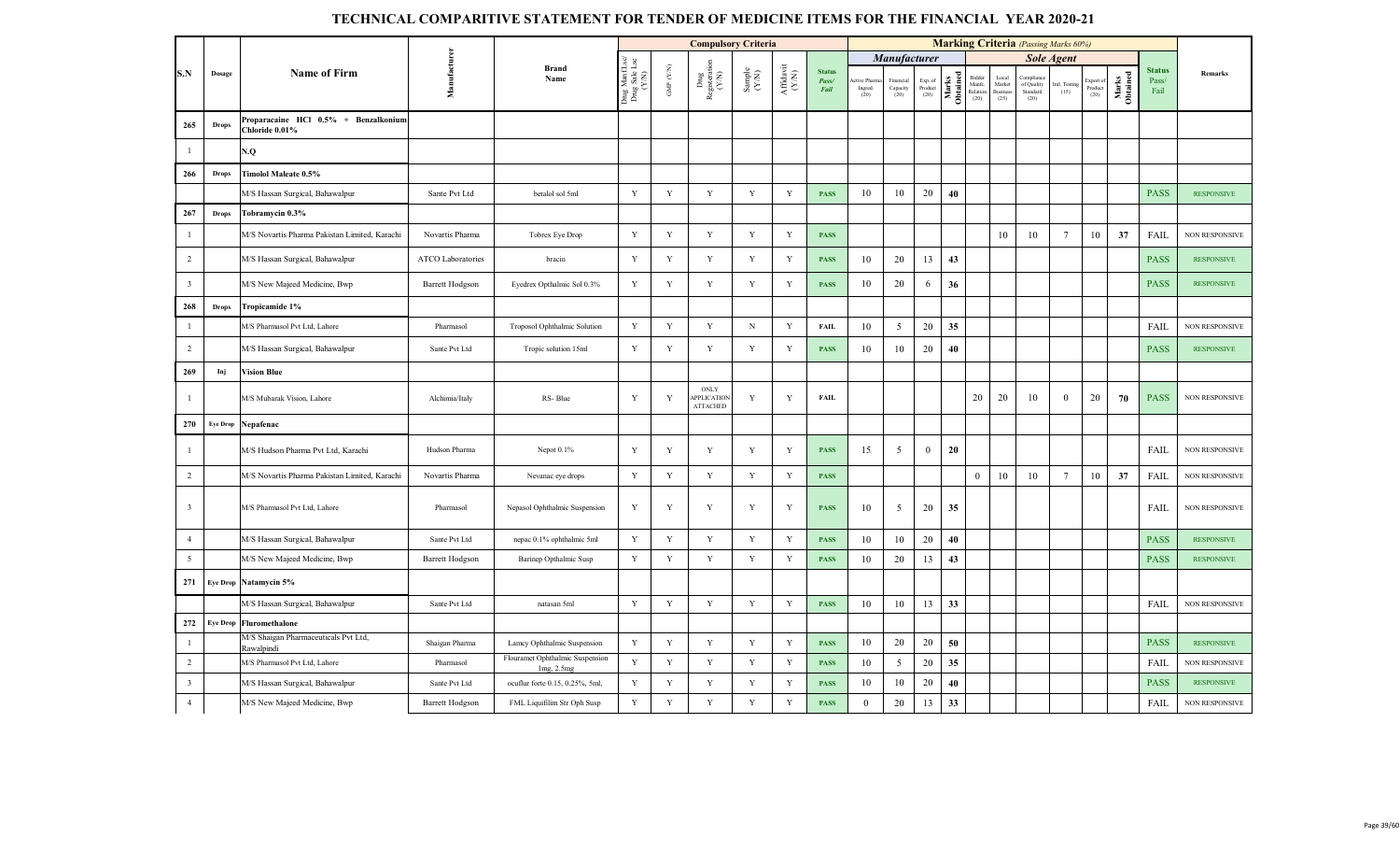|                         |                 |                                                        |                          |                                               |                                         |                               | <b>Compulsory Criteria</b>                    |                                                             |                                           |                                |                                |                                 |                            |                   |                                      |                                     | <b>Marking Criteria</b> (Passing Marks 60%) |                       |                             |                   |                                |                       |
|-------------------------|-----------------|--------------------------------------------------------|--------------------------|-----------------------------------------------|-----------------------------------------|-------------------------------|-----------------------------------------------|-------------------------------------------------------------|-------------------------------------------|--------------------------------|--------------------------------|---------------------------------|----------------------------|-------------------|--------------------------------------|-------------------------------------|---------------------------------------------|-----------------------|-----------------------------|-------------------|--------------------------------|-----------------------|
|                         |                 |                                                        |                          |                                               |                                         |                               |                                               |                                                             |                                           |                                |                                | Manufacturer                    |                            |                   |                                      |                                     |                                             | <b>Sole Agent</b>     |                             |                   |                                |                       |
| S.N                     | Dosage          | <b>Name of Firm</b>                                    | Manufacturen             | <b>Brand</b><br>Name                          | Drug ManfLsc/<br>Drug Sale Lsc<br>(Y/N) | GMP $(\mathbf{Y} \mathbf{N})$ | Drug<br>Registeration<br>(Y/N)                | $\begin{array}{c} \text{Sample} \\ (\text{YN}) \end{array}$ | ${\bf Aff} {\bf davit} \atop ({\bf Y/N})$ | <b>Status</b><br>Pass/<br>Fail | ctive Pharn<br>Ingred.<br>(20) | Financial<br>Capacity<br>$(20)$ | Exp. of<br>Product<br>(20) | Marks<br>Obtained | Bidder<br>Manfe.<br>Relation<br>(20) | Local<br>Market<br>Business<br>(25) | Complia<br>of Quality<br>Standard<br>(20)   | Intl. Testing<br>(15) | xport of<br>Product<br>(20) | Marks<br>Obtained | <b>Status</b><br>Pass/<br>Fail | <b>Remarks</b>        |
| 265                     | <b>Drops</b>    | Proparacaine HCl 0.5% + Benzalkonium<br>Chloride 0.01% |                          |                                               |                                         |                               |                                               |                                                             |                                           |                                |                                |                                 |                            |                   |                                      |                                     |                                             |                       |                             |                   |                                |                       |
| -1                      |                 | N.Q                                                    |                          |                                               |                                         |                               |                                               |                                                             |                                           |                                |                                |                                 |                            |                   |                                      |                                     |                                             |                       |                             |                   |                                |                       |
| 266                     | <b>Drops</b>    | Timolol Maleate 0.5%                                   |                          |                                               |                                         |                               |                                               |                                                             |                                           |                                |                                |                                 |                            |                   |                                      |                                     |                                             |                       |                             |                   |                                |                       |
|                         |                 | M/S Hassan Surgical, Bahawalpur                        | Sante Pvt Ltd            | betalol sol 5ml                               | Y                                       | Y                             | Y                                             | $\mathbf Y$                                                 | Y                                         | <b>PASS</b>                    | 10                             | 10                              | 20                         | 40                |                                      |                                     |                                             |                       |                             |                   | <b>PASS</b>                    | <b>RESPONSIVE</b>     |
| 267                     | <b>Drops</b>    | Tobramycin 0.3%                                        |                          |                                               |                                         |                               |                                               |                                                             |                                           |                                |                                |                                 |                            |                   |                                      |                                     |                                             |                       |                             |                   |                                |                       |
| $\overline{1}$          |                 | M/S Novartis Pharma Pakistan Limited, Karachi          | Novartis Pharma          | Tobrex Eye Drop                               | Y                                       | $\mathbf Y$                   | $\mathbf Y$                                   | $\mathbf Y$                                                 | $\mathbf Y$                               | <b>PASS</b>                    |                                |                                 |                            |                   |                                      | 10                                  | 10                                          | $7\phantom{.0}$       | 10                          | 37                | FAIL                           | NON RESPONSIVE        |
| $\overline{2}$          |                 | M/S Hassan Surgical, Bahawalpur                        | <b>ATCO Laboratories</b> | bracin                                        | Y                                       | Y                             | Y                                             | $\mathbf Y$                                                 | Y                                         | <b>PASS</b>                    | 10                             | 20                              | 13                         | 43                |                                      |                                     |                                             |                       |                             |                   | <b>PASS</b>                    | <b>RESPONSIVE</b>     |
| $\overline{\mathbf{3}}$ |                 | M/S New Majeed Medicine, Bwp                           | Barrett Hodgson          | Eyedrex Opthalmic Sol 0.3%                    | $\mathbf Y$                             | $\mathbf Y$                   | $\mathbf Y$                                   | $\mathbf Y$                                                 | Y                                         | <b>PASS</b>                    | 10                             | 20                              | 6                          | 36                |                                      |                                     |                                             |                       |                             |                   | <b>PASS</b>                    | <b>RESPONSIVE</b>     |
| 268                     | <b>Drops</b>    | Tropicamide 1%                                         |                          |                                               |                                         |                               |                                               |                                                             |                                           |                                |                                |                                 |                            |                   |                                      |                                     |                                             |                       |                             |                   |                                |                       |
| $\overline{1}$          |                 | M/S Pharmasol Pvt Ltd, Lahore                          | Pharmasol                | Troposol Ophthalmic Solution                  | $\mathbf Y$                             | $\mathbf Y$                   | $\mathbf Y$                                   | $_{\rm N}$                                                  | Y                                         | <b>FAIL</b>                    | 10                             | 5                               | 20                         | 35                |                                      |                                     |                                             |                       |                             |                   | FAIL                           | NON RESPONSIVE        |
| 2                       |                 | M/S Hassan Surgical, Bahawalpur                        | Sante Pvt Ltd            | Tropic solution 15ml                          | Y                                       | Y                             | $\mathbf Y$                                   | $\mathbf Y$                                                 | Y                                         | <b>PASS</b>                    | 10                             | 10                              | 20                         | 40                |                                      |                                     |                                             |                       |                             |                   | <b>PASS</b>                    | <b>RESPONSIVE</b>     |
| 269                     | Inj             | <b>Vision Blue</b>                                     |                          |                                               |                                         |                               |                                               |                                                             |                                           |                                |                                |                                 |                            |                   |                                      |                                     |                                             |                       |                             |                   |                                |                       |
| - 1                     |                 | M/S Mubarak Vision, Lahore                             | Alchimia/Italy           | RS-Blue                                       | Y                                       | Y                             | ONLY<br><b>APPLICATION</b><br><b>ATTACHED</b> | Y                                                           | Y                                         | <b>FAIL</b>                    |                                |                                 |                            |                   | 20                                   | 20                                  | 10                                          | $\theta$              | 20                          | 70                | <b>PASS</b>                    | <b>NON RESPONSIVE</b> |
| 270                     | <b>Eye Drop</b> | Nepafenac                                              |                          |                                               |                                         |                               |                                               |                                                             |                                           |                                |                                |                                 |                            |                   |                                      |                                     |                                             |                       |                             |                   |                                |                       |
| -1                      |                 | M/S Hudson Pharma Pvt Ltd, Karachi                     | Hudson Pharma            | Nepot $0.1\%$                                 | Y                                       | $\mathbf Y$                   | $\mathbf Y$                                   | $\mathbf Y$                                                 | Y                                         | <b>PASS</b>                    | 15                             | 5                               | $\mathbf{0}$               | 20                |                                      |                                     |                                             |                       |                             |                   | <b>FAIL</b>                    | NON RESPONSIVE        |
| $\overline{2}$          |                 | M/S Novartis Pharma Pakistan Limited, Karachi          | Novartis Pharma          | Nevanac eye drops                             | Y                                       | Y                             | Y                                             | Y                                                           | Y                                         | <b>PASS</b>                    |                                |                                 |                            |                   | $\bf{0}$                             | 10                                  | 10                                          | $7\phantom{.0}$       | 10                          | 37                | FAIL                           | NON RESPONSIVE        |
| $\overline{\mathbf{3}}$ |                 | M/S Pharmasol Pvt Ltd, Lahore                          | Pharmasol                | Nepasol Ophthalmic Suspension                 | Y                                       | Y                             | Y                                             | $\mathbf Y$                                                 | Y                                         | <b>PASS</b>                    | 10                             | 5                               | 20                         | 35                |                                      |                                     |                                             |                       |                             |                   | FAIL                           | <b>NON RESPONSIVE</b> |
| $\overline{4}$          |                 | M/S Hassan Surgical, Bahawalpur                        | Sante Pvt Ltd            | nepac 0.1% ophthalmic 5ml                     | Y                                       | Y                             | Y                                             | Y                                                           | Y                                         | <b>PASS</b>                    | 10                             | 10                              | 20                         | 40                |                                      |                                     |                                             |                       |                             |                   | <b>PASS</b>                    | <b>RESPONSIVE</b>     |
| $5\overline{)}$         |                 | M/S New Majeed Medicine, Bwp                           | <b>Barrett Hodgson</b>   | Barinep Opthalmic Susp                        | Y                                       | Y                             | Y                                             | $\mathbf Y$                                                 | Y                                         | <b>PASS</b>                    | 10                             | 20                              | 13                         | 43                |                                      |                                     |                                             |                       |                             |                   | <b>PASS</b>                    | <b>RESPONSIVE</b>     |
| 271                     |                 | Eye Drop Natamycin 5%                                  |                          |                                               |                                         |                               |                                               |                                                             |                                           |                                |                                |                                 |                            |                   |                                      |                                     |                                             |                       |                             |                   |                                |                       |
|                         |                 | M/S Hassan Surgical, Bahawalpur                        | Sante Pvt Ltd            | natasan 5ml                                   | Y                                       | $\mathbf Y$                   | $\mathbf Y$                                   | $\mathbf Y$                                                 | $\mathbf Y$                               | <b>PASS</b>                    | 10                             | 10                              | 13                         | 33                |                                      |                                     |                                             |                       |                             |                   | FAIL                           | NON RESPONSIVE        |
| 272                     | <b>Eye Drop</b> | Fluromethalone                                         |                          |                                               |                                         |                               |                                               |                                                             |                                           |                                |                                |                                 |                            |                   |                                      |                                     |                                             |                       |                             |                   |                                |                       |
| $\overline{1}$          |                 | M/S Shaigan Pharmaceuticals Pvt Ltd,<br>Rawalpindi     | Shaigan Pharma           | Lamcy Ophthalmic Suspension                   | $\mathbf Y$                             | Y                             | $\mathbf Y$                                   | Y                                                           | Y                                         | <b>PASS</b>                    | 10                             | 20                              | 20                         | 50                |                                      |                                     |                                             |                       |                             |                   | <b>PASS</b>                    | <b>RESPONSIVE</b>     |
| $\overline{2}$          |                 | M/S Pharmasol Pvt Ltd, Lahore                          | Pharmasol                | Flouramet Ophthalmic Suspension<br>1mg, 2.5mg | $\mathbf Y$                             | Y                             | Y                                             | $\mathbf Y$                                                 | Y                                         | <b>PASS</b>                    | 10                             | 5                               | 20                         | 35                |                                      |                                     |                                             |                       |                             |                   | <b>FAIL</b>                    | NON RESPONSIVE        |
| $\overline{\mathbf{3}}$ |                 | M/S Hassan Surgical, Bahawalpur                        | Sante Pvt Ltd            | ocuflur forte 0.15, 0.25%, 5ml,               | Y                                       | Y                             | Y                                             | $\mathbf Y$                                                 | Y                                         | <b>PASS</b>                    | 10                             | 10                              | 20                         | 40                |                                      |                                     |                                             |                       |                             |                   | <b>PASS</b>                    | <b>RESPONSIVE</b>     |
| $\overline{4}$          |                 | M/S New Majeed Medicine, Bwp                           | <b>Barrett Hodgson</b>   | FML Liquifilim Str Oph Susp                   | Y                                       | Y                             | Y                                             | $\mathbf Y$                                                 | $\mathbf Y$                               | <b>PASS</b>                    | $\mathbf{0}$                   | 20                              | 13                         | 33                |                                      |                                     |                                             |                       |                             |                   | <b>FAIL</b>                    | NON RESPONSIVE        |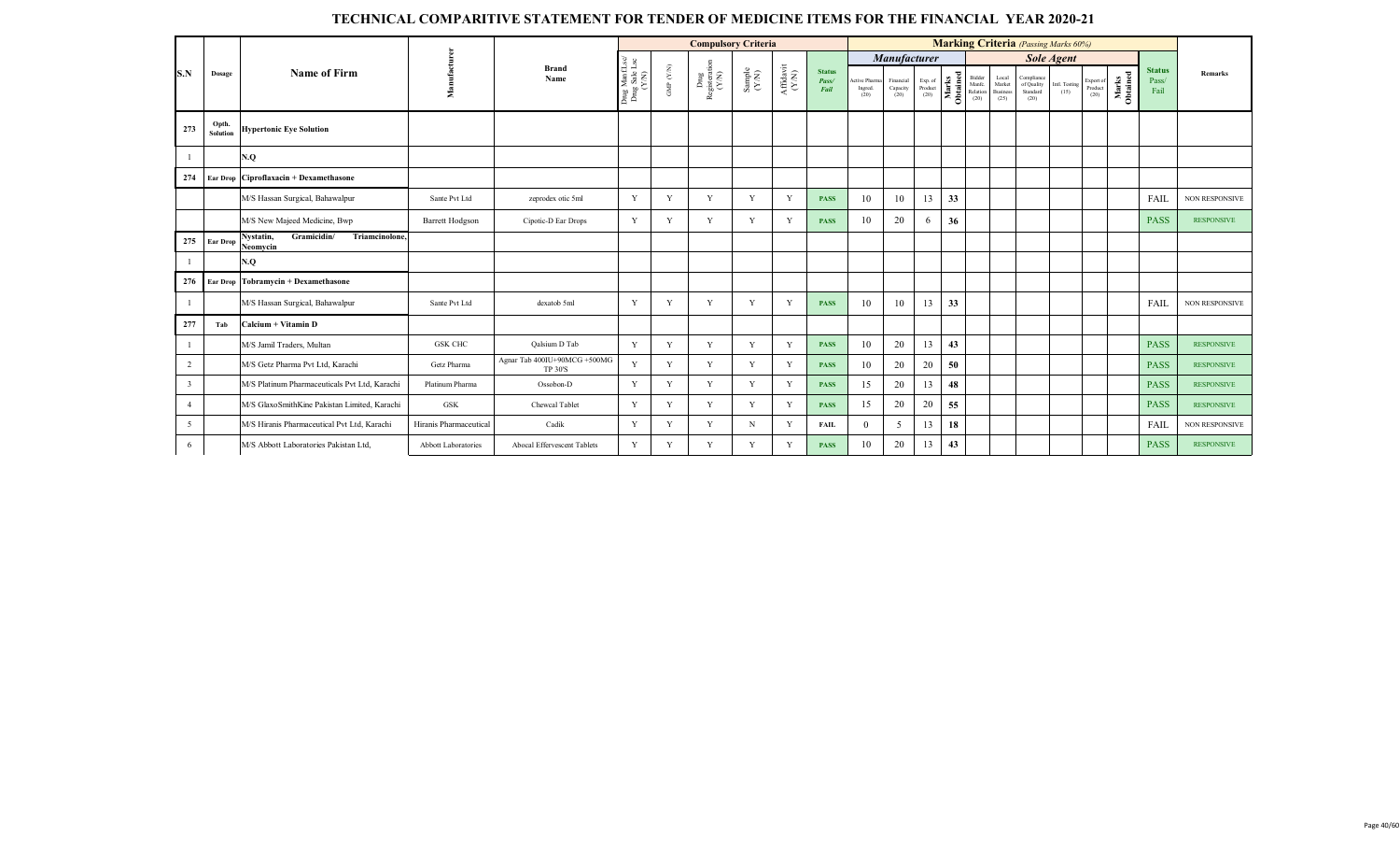|                |                   |                                                        |                            |                                                |                                          |                                   | <b>Compulsory Criteria</b>     |                                                              |                   |                                |                                 |                               |                            |       |                                      |                                           |                                              | <b>Marking Criteria</b> (Passing Marks 60%) |                             |                   |                                |                       |
|----------------|-------------------|--------------------------------------------------------|----------------------------|------------------------------------------------|------------------------------------------|-----------------------------------|--------------------------------|--------------------------------------------------------------|-------------------|--------------------------------|---------------------------------|-------------------------------|----------------------------|-------|--------------------------------------|-------------------------------------------|----------------------------------------------|---------------------------------------------|-----------------------------|-------------------|--------------------------------|-----------------------|
|                |                   |                                                        |                            |                                                |                                          |                                   |                                |                                                              |                   |                                |                                 | Manufacturer                  |                            |       |                                      |                                           |                                              | <b>Sole Agent</b>                           |                             |                   |                                |                       |
| S.N            | Dosage            | Name of Firm                                           | f<br>š                     | <b>Brand</b><br>Name                           | Drug Manf.Lsc/<br>Drug Sale Lsc<br>(Y/N) | GMP $(\mathcal{Y} / \mathcal{N})$ | Drug<br>Registeration<br>(Y/N) | $\begin{array}{c} \text{Sample} \\ (\text{Y/N}) \end{array}$ | Affidavit<br>(YN) | <b>Status</b><br>Pass/<br>Fail | Active Pharm<br>Ingred.<br>(20) | Financial<br>Capacity<br>(20) | Exp. of<br>Product<br>(20) | Marks | Bidder<br>Manfc.<br>Relation<br>(20) | Local<br>Marke<br><b>Business</b><br>(25) | Compliance<br>of Quality<br>Standard<br>(20) | Intl. Testing<br>(15)                       | Export o<br>Product<br>(20) | Marks<br>Obtained | <b>Status</b><br>Pass/<br>Fail | <b>Remarks</b>        |
| 273            | Opth.<br>Solution | <b>Hypertonic Eye Solution</b>                         |                            |                                                |                                          |                                   |                                |                                                              |                   |                                |                                 |                               |                            |       |                                      |                                           |                                              |                                             |                             |                   |                                |                       |
| $\overline{1}$ |                   | N.Q                                                    |                            |                                                |                                          |                                   |                                |                                                              |                   |                                |                                 |                               |                            |       |                                      |                                           |                                              |                                             |                             |                   |                                |                       |
| 274            |                   | Ear Drop Ciproflaxacin + Dexamethasone                 |                            |                                                |                                          |                                   |                                |                                                              |                   |                                |                                 |                               |                            |       |                                      |                                           |                                              |                                             |                             |                   |                                |                       |
|                |                   | M/S Hassan Surgical, Bahawalpur                        | Sante Pvt Ltd              | zeprodex otic 5ml                              | Y                                        | Y                                 | Y                              | Y                                                            | Y                 | <b>PASS</b>                    | 10                              | 10                            | 13                         | 33    |                                      |                                           |                                              |                                             |                             |                   | <b>FAIL</b>                    | <b>NON RESPONSIVE</b> |
|                |                   | M/S New Majeed Medicine, Bwp                           | <b>Barrett Hodgson</b>     | Cipotic-D Ear Drops                            | Y                                        | Y                                 | Y                              | Y                                                            | Y                 | <b>PASS</b>                    | 10                              | 20                            | 6                          | 36    |                                      |                                           |                                              |                                             |                             |                   | <b>PASS</b>                    | <b>RESPONSIVE</b>     |
| 275            | Ear Drop          | Gramicidin/<br>Triamcinolone.<br>Nvstatin,<br>Neomvcin |                            |                                                |                                          |                                   |                                |                                                              |                   |                                |                                 |                               |                            |       |                                      |                                           |                                              |                                             |                             |                   |                                |                       |
|                |                   | N.O                                                    |                            |                                                |                                          |                                   |                                |                                                              |                   |                                |                                 |                               |                            |       |                                      |                                           |                                              |                                             |                             |                   |                                |                       |
| 276            |                   | Ear Drop Tobramycin + Dexamethasone                    |                            |                                                |                                          |                                   |                                |                                                              |                   |                                |                                 |                               |                            |       |                                      |                                           |                                              |                                             |                             |                   |                                |                       |
| 1              |                   | M/S Hassan Surgical, Bahawalpur                        | Sante Pvt Ltd              | dexatob 5ml                                    | Y                                        | Y                                 | Y                              | Y                                                            | <sup>V</sup>      | <b>PASS</b>                    | 10                              | 10                            | 13                         | 33    |                                      |                                           |                                              |                                             |                             |                   | FAIL                           | <b>NON RESPONSIVE</b> |
| 277            | Tab               | Calcium + Vitamin D                                    |                            |                                                |                                          |                                   |                                |                                                              |                   |                                |                                 |                               |                            |       |                                      |                                           |                                              |                                             |                             |                   |                                |                       |
|                |                   | M/S Jamil Traders, Multan                              | <b>GSK CHC</b>             | Qalsium D Tab                                  | Y                                        | Y                                 | Y                              | Y                                                            | Y                 | <b>PASS</b>                    | 10                              | 20                            | 13                         | 43    |                                      |                                           |                                              |                                             |                             |                   | <b>PASS</b>                    | <b>RESPONSIVE</b>     |
| $\overline{2}$ |                   | M/S Getz Pharma Pvt Ltd, Karachi                       | Getz Pharma                | Agnar Tab 400IU+90MCG +500MG<br><b>TP 30'S</b> | Y                                        | Y                                 | Y                              | Y                                                            | Y                 | <b>PASS</b>                    | 10                              | 20                            | 20                         | 50    |                                      |                                           |                                              |                                             |                             |                   | <b>PASS</b>                    | <b>RESPONSIVE</b>     |
| $\overline{3}$ |                   | M/S Platinum Pharmaceuticals Pvt Ltd, Karachi          | Platinum Pharma            | Ossobon-D                                      | Y                                        | Y                                 | Y                              | Y                                                            | Y                 | <b>PASS</b>                    | 15                              | 20                            | 13                         | 48    |                                      |                                           |                                              |                                             |                             |                   | <b>PASS</b>                    | <b>RESPONSIVE</b>     |
| $\overline{4}$ |                   | M/S GlaxoSmithKine Pakistan Limited, Karachi           | <b>GSK</b>                 | Chewcal Tablet                                 | Y                                        | Y                                 | Y                              | Y                                                            | Y                 | <b>PASS</b>                    | 15                              | 20                            | 20                         | 55    |                                      |                                           |                                              |                                             |                             |                   | <b>PASS</b>                    | <b>RESPONSIVE</b>     |
| $\overline{5}$ |                   | M/S Hiranis Pharmaceutical Pvt Ltd, Karachi            | Hiranis Pharmaceutical     | Cadik                                          | Y                                        | Y                                 | Y                              | N                                                            | Y                 | FAIL                           | $\theta$                        | 5                             | 13                         | 18    |                                      |                                           |                                              |                                             |                             |                   | FAIL                           | <b>NON RESPONSIVE</b> |
| 6              |                   | M/S Abbott Laboratories Pakistan Ltd,                  | <b>Abbott Laboratories</b> | Abocal Effervescent Tablets                    | Y                                        | Y                                 | Y                              | Y                                                            | Y                 | <b>PASS</b>                    | 10                              | 20                            | 13                         | 43    |                                      |                                           |                                              |                                             |                             |                   | <b>PASS</b>                    | <b>RESPONSIVE</b>     |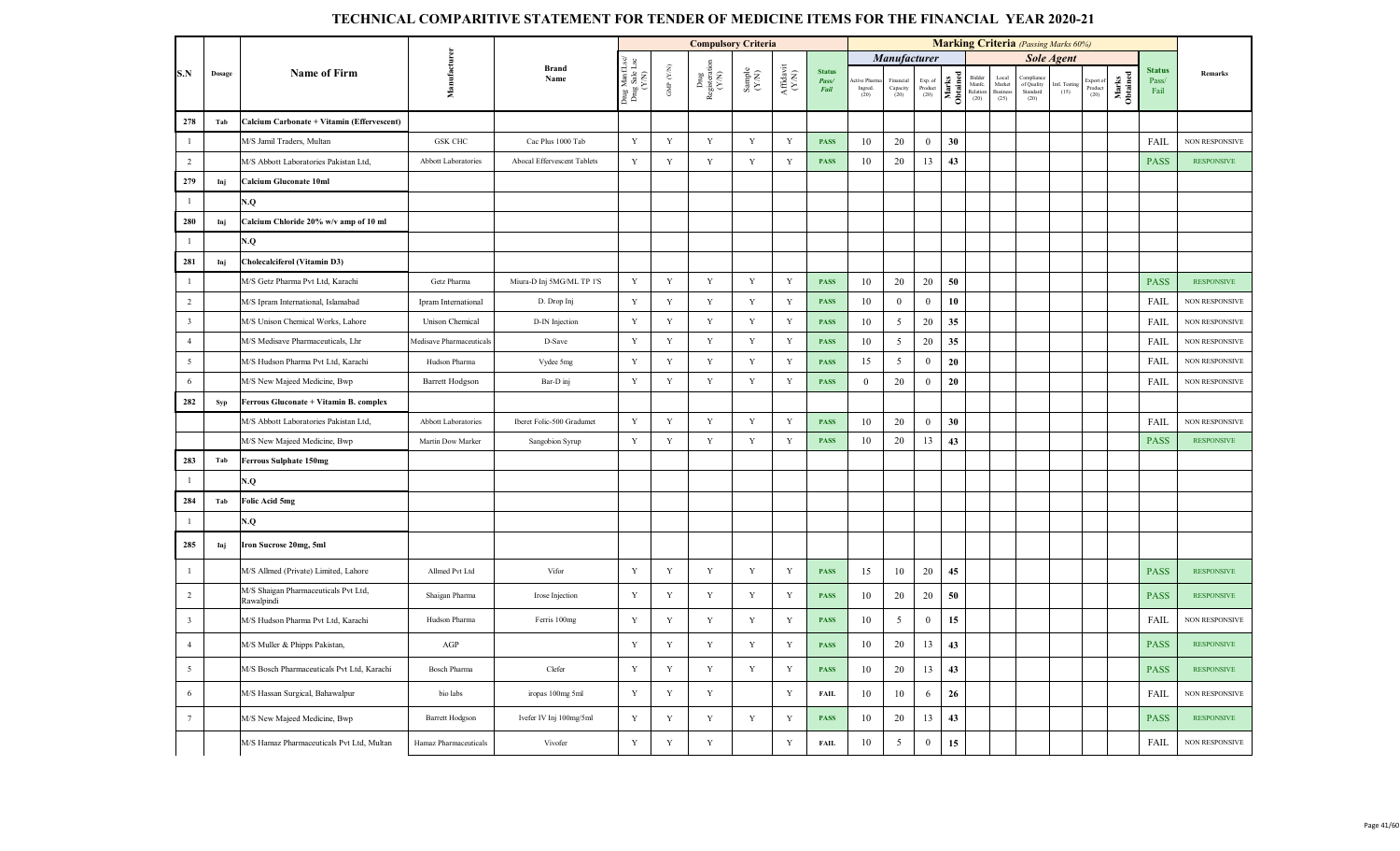|                         |               |                                                    |                          |                             |                                     |                    | <b>Compulsory Criteria</b>   |                                                              |                                       |                                |                              |                             |                            |                   |                                      |                                            | <b>Marking Criteria</b> (Passing Marks 60%) |                       |                          |                   |                                |                       |
|-------------------------|---------------|----------------------------------------------------|--------------------------|-----------------------------|-------------------------------------|--------------------|------------------------------|--------------------------------------------------------------|---------------------------------------|--------------------------------|------------------------------|-----------------------------|----------------------------|-------------------|--------------------------------------|--------------------------------------------|---------------------------------------------|-----------------------|--------------------------|-------------------|--------------------------------|-----------------------|
|                         |               |                                                    |                          |                             |                                     |                    |                              |                                                              |                                       |                                |                              | <b>Manufacturer</b>         |                            |                   |                                      |                                            |                                             | <b>Sole Agent</b>     |                          |                   |                                |                       |
| S.N                     | <b>Dosage</b> | <b>Name of Firm</b>                                | Manufacturen             | <b>Brand</b><br>Name        | Drug Manf.I<br>Drug Sale L<br>(Y/N) | GMP $(\text{Y/N})$ | Drug<br>Registerati<br>(Y/N) | $\begin{array}{c} \text{Sample} \\ (\text{Y/N}) \end{array}$ | ${\bf Aff} {\bf davit} \\ {\bf (YN)}$ | <b>Status</b><br>Pass/<br>Fail | ive Pharr<br>Ingred.<br>(20) | inancia<br>Capacity<br>(20) | Exp. of<br>Product<br>(20) | Marks<br>Obtained | Bidder<br>Manfe.<br>Relation<br>(20) | Local<br>Market<br><b>Business</b><br>(25) | Complian<br>of Quality<br>Standard<br>(20)  | Intl. Testing<br>(15) | xport<br>Product<br>(20) | Marks<br>Obtained | <b>Status</b><br>Pass/<br>Fail | Remarks               |
| 278                     | Tab           | Calcium Carbonate + Vitamin (Effervescent)         |                          |                             |                                     |                    |                              |                                                              |                                       |                                |                              |                             |                            |                   |                                      |                                            |                                             |                       |                          |                   |                                |                       |
| $\overline{1}$          |               | M/S Jamil Traders, Multan                          | <b>GSK CHC</b>           | Cac Plus 1000 Tab           | Y                                   | Y                  | Y                            | Y                                                            | Y                                     | <b>PASS</b>                    | 10                           | 20                          | $\overline{0}$             | 30                |                                      |                                            |                                             |                       |                          |                   | FAIL                           | <b>NON RESPONSIVE</b> |
| $\overline{2}$          |               | M/S Abbott Laboratories Pakistan Ltd,              | Abbott Laboratories      | Abocal Effervescent Tablets | $\mathbf Y$                         | $\mathbf Y$        | $\mathbf Y$                  | $\mathbf Y$                                                  | $\mathbf Y$                           | <b>PASS</b>                    | 10                           | 20                          | 13                         | 43                |                                      |                                            |                                             |                       |                          |                   | <b>PASS</b>                    | <b>RESPONSIVE</b>     |
| 279                     | Inj           | <b>Calcium Gluconate 10ml</b>                      |                          |                             |                                     |                    |                              |                                                              |                                       |                                |                              |                             |                            |                   |                                      |                                            |                                             |                       |                          |                   |                                |                       |
| $\overline{1}$          |               | N.Q                                                |                          |                             |                                     |                    |                              |                                                              |                                       |                                |                              |                             |                            |                   |                                      |                                            |                                             |                       |                          |                   |                                |                       |
| 280                     | Inj           | Calcium Chloride 20% w/v amp of 10 ml              |                          |                             |                                     |                    |                              |                                                              |                                       |                                |                              |                             |                            |                   |                                      |                                            |                                             |                       |                          |                   |                                |                       |
| $\mathbf{1}$            |               | N.Q                                                |                          |                             |                                     |                    |                              |                                                              |                                       |                                |                              |                             |                            |                   |                                      |                                            |                                             |                       |                          |                   |                                |                       |
| 281                     | Inj           | Cholecalciferol (Vitamin D3)                       |                          |                             |                                     |                    |                              |                                                              |                                       |                                |                              |                             |                            |                   |                                      |                                            |                                             |                       |                          |                   |                                |                       |
| $\overline{1}$          |               | M/S Getz Pharma Pvt Ltd, Karachi                   | Getz Pharma              | Miura-D Inj 5MG/ML TP 1'S   | $\mathbf Y$                         | Y                  | Y                            | $\mathbf Y$                                                  | Y                                     | <b>PASS</b>                    | 10                           | 20                          | 20                         | 50                |                                      |                                            |                                             |                       |                          |                   | <b>PASS</b>                    | <b>RESPONSIVE</b>     |
| $\overline{2}$          |               | M/S Ipram International, Islamabad                 | Ipram International      | D. Drop Inj                 | $\mathbf Y$                         | $\mathbf Y$        | $\mathbf Y$                  | $\mathbf Y$                                                  | $\mathbf Y$                           | <b>PASS</b>                    | $10\,$                       | $\boldsymbol{0}$            | $\overline{0}$             | 10                |                                      |                                            |                                             |                       |                          |                   | FAIL                           | <b>NON RESPONSIVE</b> |
| $\overline{\mathbf{3}}$ |               | M/S Unison Chemical Works, Lahore                  | Unison Chemical          | D-IN Injection              | $\mathbf Y$                         | $\mathbf Y$        | $\mathbf Y$                  | $\mathbf Y$                                                  | $\mathbf Y$                           | <b>PASS</b>                    | 10                           | 5                           | 20                         | 35                |                                      |                                            |                                             |                       |                          |                   | FAIL                           | <b>NON RESPONSIVE</b> |
| $\overline{4}$          |               | M/S Medisave Pharmaceuticals, Lhr                  | Medisave Pharmaceuticals | D-Save                      | $\mathbf Y$                         | Y                  | $\mathbf Y$                  | $\mathbf Y$                                                  | Y                                     | <b>PASS</b>                    | 10                           | 5                           | 20                         | 35                |                                      |                                            |                                             |                       |                          |                   | FAIL                           | NON RESPONSIVE        |
| $5\overline{)}$         |               | M/S Hudson Pharma Pvt Ltd, Karachi                 | Hudson Pharma            | Vydee 5mg                   | $\mathbf Y$                         | $\mathbf Y$        | $\mathbf Y$                  | $\mathbf Y$                                                  | Y                                     | <b>PASS</b>                    | 15                           | 5                           | $\overline{0}$             | 20                |                                      |                                            |                                             |                       |                          |                   | FAIL                           | NON RESPONSIVE        |
| 6                       |               | M/S New Majeed Medicine, Bwp                       | Barrett Hodgson          | Bar-D inj                   | $\mathbf Y$                         | $\mathbf Y$        | $\mathbf Y$                  | $\mathbf Y$                                                  | $\mathbf Y$                           | <b>PASS</b>                    | $\mathbf{0}$                 | 20                          | $\mathbf{0}$               | 20                |                                      |                                            |                                             |                       |                          |                   | FAIL                           | <b>NON RESPONSIVE</b> |
| 282                     | Syp           | Ferrous Gluconate + Vitamin B. complex             |                          |                             |                                     |                    |                              |                                                              |                                       |                                |                              |                             |                            |                   |                                      |                                            |                                             |                       |                          |                   |                                |                       |
|                         |               | M/S Abbott Laboratories Pakistan Ltd,              | Abbott Laboratories      | Iberet Folic-500 Gradumet   | $\mathbf Y$                         | Y                  | Y                            | Y                                                            | Y                                     | <b>PASS</b>                    | 10                           | 20                          | $\overline{0}$             | 30                |                                      |                                            |                                             |                       |                          |                   | FAIL                           | NON RESPONSIVE        |
|                         |               | M/S New Majeed Medicine, Bwp                       | Martin Dow Marker        | Sangobion Syrup             | $\mathbf Y$                         | $\mathbf Y$        | Y                            | $\mathbf Y$                                                  | Y                                     | <b>PASS</b>                    | 10                           | 20                          | 13                         | 43                |                                      |                                            |                                             |                       |                          |                   | <b>PASS</b>                    | <b>RESPONSIVE</b>     |
| 283                     | Tab           | <b>Ferrous Sulphate 150mg</b>                      |                          |                             |                                     |                    |                              |                                                              |                                       |                                |                              |                             |                            |                   |                                      |                                            |                                             |                       |                          |                   |                                |                       |
| $\overline{1}$          |               | N.Q                                                |                          |                             |                                     |                    |                              |                                                              |                                       |                                |                              |                             |                            |                   |                                      |                                            |                                             |                       |                          |                   |                                |                       |
| 284                     | Tab           | Folic Acid 5mg                                     |                          |                             |                                     |                    |                              |                                                              |                                       |                                |                              |                             |                            |                   |                                      |                                            |                                             |                       |                          |                   |                                |                       |
| $\mathbf{1}$            |               | N.Q                                                |                          |                             |                                     |                    |                              |                                                              |                                       |                                |                              |                             |                            |                   |                                      |                                            |                                             |                       |                          |                   |                                |                       |
| 285                     | Inj           | Iron Sucrose 20mg, 5ml                             |                          |                             |                                     |                    |                              |                                                              |                                       |                                |                              |                             |                            |                   |                                      |                                            |                                             |                       |                          |                   |                                |                       |
| $\overline{1}$          |               | M/S Allmed (Private) Limited, Lahore               | Allmed Pvt Ltd           | Vifor                       | Y                                   | Y                  | Y                            | Y                                                            | Y                                     | <b>PASS</b>                    | 15                           | 10                          | 20                         | 45                |                                      |                                            |                                             |                       |                          |                   | <b>PASS</b>                    | <b>RESPONSIVE</b>     |
| $\overline{2}$          |               | M/S Shaigan Pharmaceuticals Pvt Ltd,<br>Rawalpindi | Shaigan Pharma           | Irose Injection             | $\mathbf Y$                         | Y                  | Y                            | Y                                                            | Y                                     | <b>PASS</b>                    | 10                           | 20                          | 20                         | 50                |                                      |                                            |                                             |                       |                          |                   | <b>PASS</b>                    | <b>RESPONSIVE</b>     |
| $\overline{\mathbf{3}}$ |               | M/S Hudson Pharma Pvt Ltd, Karachi                 | Hudson Pharma            | Ferris 100mg                | $\mathbf Y$                         | $\mathbf Y$        | $\mathbf Y$                  | $\mathbf Y$                                                  | $\mathbf Y$                           | <b>PASS</b>                    | 10                           | 5                           | $\overline{0}$             | 15                |                                      |                                            |                                             |                       |                          |                   | FAIL                           | <b>NON RESPONSIVE</b> |
| $\overline{4}$          |               | M/S Muller & Phipps Pakistan,                      | AGP                      |                             | $\mathbf Y$                         | $\mathbf Y$        | $\mathbf Y$                  | $\mathbf Y$                                                  | Y                                     | <b>PASS</b>                    | 10                           | 20                          | 13                         | 43                |                                      |                                            |                                             |                       |                          |                   | <b>PASS</b>                    | <b>RESPONSIVE</b>     |
| 5                       |               | M/S Bosch Pharmaceuticals Pvt Ltd, Karachi         | Bosch Pharma             | Clefer                      | $\mathbf Y$                         | $\mathbf Y$        | $\mathbf Y$                  | $\mathbf Y$                                                  | Y                                     | <b>PASS</b>                    | 10                           | 20                          | 13                         | 43                |                                      |                                            |                                             |                       |                          |                   | <b>PASS</b>                    | <b>RESPONSIVE</b>     |
| 6                       |               | M/S Hassan Surgical, Bahawalpur                    | bio labs                 | iropas 100mg 5ml            | Y                                   | $\mathbf Y$        | Y                            |                                                              | Y                                     | <b>FAIL</b>                    | 10                           | 10                          | 6                          | 26                |                                      |                                            |                                             |                       |                          |                   | <b>FAIL</b>                    | <b>NON RESPONSIVE</b> |
| $7\phantom{.0}$         |               | M/S New Majeed Medicine, Bwp                       | <b>Barrett Hodgson</b>   | Ivefer IV Inj 100mg/5ml     | $\mathbf Y$                         | $\mathbf Y$        | Y                            | $\mathbf Y$                                                  | $\mathbf Y$                           | <b>PASS</b>                    | 10                           | 20                          | 13                         | 43                |                                      |                                            |                                             |                       |                          |                   | <b>PASS</b>                    | <b>RESPONSIVE</b>     |
|                         |               | M/S Hamaz Pharmaceuticals Pvt Ltd, Multan          | Hamaz Pharmaceuticals    | Vivofer                     | $\mathbf Y$                         | $\mathbf Y$        | $\mathbf Y$                  |                                                              | Y                                     | <b>FAIL</b>                    | 10                           | $5\overline{ }$             | $\bf{0}$                   | 15                |                                      |                                            |                                             |                       |                          |                   | FAIL                           | NON RESPONSIVE        |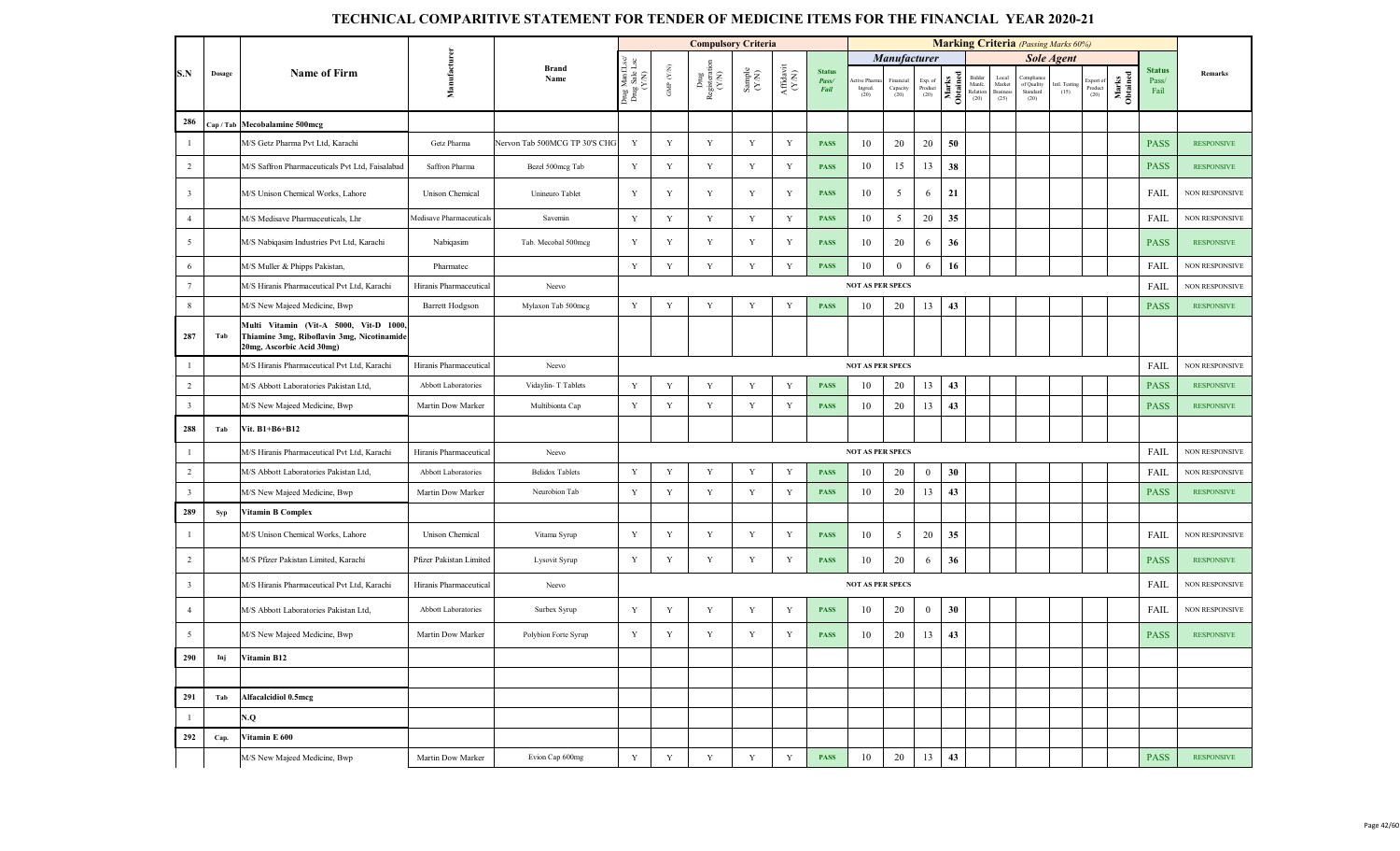|                         |           |                                                                                                                   |                          |                               |                                         |                    | <b>Compulsory Criteria</b>   |                                                             |                              |                                |                               |                               |                            |                   |                                      |                                     | <b>Marking Criteria</b> (Passing Marks 60%) |                       |                              |                   |                                |                       |
|-------------------------|-----------|-------------------------------------------------------------------------------------------------------------------|--------------------------|-------------------------------|-----------------------------------------|--------------------|------------------------------|-------------------------------------------------------------|------------------------------|--------------------------------|-------------------------------|-------------------------------|----------------------------|-------------------|--------------------------------------|-------------------------------------|---------------------------------------------|-----------------------|------------------------------|-------------------|--------------------------------|-----------------------|
|                         |           |                                                                                                                   |                          |                               |                                         |                    |                              |                                                             |                              |                                |                               | Manufacturer                  |                            |                   |                                      |                                     |                                             | <b>Sole Agent</b>     |                              |                   |                                |                       |
| S.N                     | Dosage    | <b>Name of Firm</b>                                                                                               | Manufacture              | <b>Brand</b><br>Name          | Drug ManfLsc/<br>Drug Sale Lsc<br>(Y/N) | GMP $(\text{Y/N})$ | Dnıg<br>Registerati<br>(Y/N) | $\begin{array}{c} \text{Sample} \\ (\text{YN}) \end{array}$ | ${\bf Affa} {\bf vit}$ (Y/N) | <b>Status</b><br>Pass/<br>Fail | ctive Phan<br>Ingred.<br>(20) | Financial<br>Capacity<br>(20) | Exp. of<br>Product<br>(20) | Obtained<br>Marks | Bidder<br>Manfe.<br>Relation<br>(20) | Local<br>Market<br>Business<br>(25) | Complian<br>of Quality<br>Standard<br>(20)  | Intl. Testing<br>(15) | Export of<br>Product<br>(20) | Marks<br>Obtained | <b>Status</b><br>Pass/<br>Fail | Remarks               |
| 286                     |           | Cap / Tab Mecobalamine 500mcg                                                                                     |                          |                               |                                         |                    |                              |                                                             |                              |                                |                               |                               |                            |                   |                                      |                                     |                                             |                       |                              |                   |                                |                       |
| $\mathbf{1}$            |           | M/S Getz Pharma Pvt Ltd, Karachi                                                                                  | Getz Pharma              | Nervon Tab 500MCG TP 30'S CHG | Y                                       | Y                  | Y                            | $\mathbf Y$                                                 | Y                            | <b>PASS</b>                    | 10                            | 20                            | 20                         | 50                |                                      |                                     |                                             |                       |                              |                   | <b>PASS</b>                    | <b>RESPONSIVE</b>     |
| $\overline{2}$          |           | M/S Saffron Pharmaceuticals Pvt Ltd, Faisalabad                                                                   | Saffron Pharma           | Bezel 500mcg Tab              | Y                                       | Y                  | Y                            | Y                                                           | Y                            | <b>PASS</b>                    | 10                            | 15                            | 13                         | 38                |                                      |                                     |                                             |                       |                              |                   | <b>PASS</b>                    | <b>RESPONSIVE</b>     |
| $\overline{\mathbf{3}}$ |           | M/S Unison Chemical Works, Lahore                                                                                 | Unison Chemical          | Unineuro Tablet               | Y                                       | Y                  | Y                            | Y                                                           | Y                            | <b>PASS</b>                    | 10                            | 5                             | 6                          | 21                |                                      |                                     |                                             |                       |                              |                   | FAIL                           | <b>NON RESPONSIVE</b> |
| $\overline{4}$          |           | M/S Medisave Pharmaceuticals, Lhr                                                                                 | Medisave Pharmaceuticals | Savemin                       | Y                                       | Y                  | Y                            | Y                                                           | Y                            | <b>PASS</b>                    | 10                            | 5                             | 20                         | 35                |                                      |                                     |                                             |                       |                              |                   | FAIL                           | <b>NON RESPONSIVE</b> |
| $5\overline{5}$         |           | M/S Nabiqasim Industries Pvt Ltd, Karachi                                                                         | Nabiqasim                | Tab. Mecobal 500mcg           | Y                                       | Y                  | Y                            | Y                                                           | Y                            | <b>PASS</b>                    | 10                            | 20                            | 6                          | 36                |                                      |                                     |                                             |                       |                              |                   | <b>PASS</b>                    | <b>RESPONSIVE</b>     |
| 6                       |           | M/S Muller & Phipps Pakistan,                                                                                     | Pharmatec                |                               | Y                                       | Y                  | $\mathbf Y$                  | $\mathbf Y$                                                 | Y                            | <b>PASS</b>                    | 10                            | $\overline{0}$                | 6                          | 16                |                                      |                                     |                                             |                       |                              |                   | FAIL                           | <b>NON RESPONSIVE</b> |
| $7\phantom{.0}$         |           | M/S Hiranis Pharmaceutical Pvt Ltd, Karachi                                                                       | Hiranis Pharmaceutical   | Neevo                         |                                         |                    |                              |                                                             |                              |                                | <b>NOT AS PER SPECS</b>       |                               |                            |                   |                                      |                                     |                                             |                       |                              |                   | FAIL                           | NON RESPONSIVE        |
| 8                       |           | M/S New Majeed Medicine, Bwp                                                                                      | Barrett Hodgson          | Mylaxon Tab 500mcg            | Y                                       | Y                  | $\mathbf Y$                  | $\mathbf Y$                                                 | Y                            | <b>PASS</b>                    | 10                            | 20                            | 13                         | 43                |                                      |                                     |                                             |                       |                              |                   | <b>PASS</b>                    | <b>RESPONSIVE</b>     |
| 287                     | Tab       | Multi Vitamin (Vit-A 5000, Vit-D 1000,<br>Thiamine 3mg, Riboflavin 3mg, Nicotinamide<br>20mg, Ascorbic Acid 30mg) |                          |                               |                                         |                    |                              |                                                             |                              |                                |                               |                               |                            |                   |                                      |                                     |                                             |                       |                              |                   |                                |                       |
| $\mathbf{1}$            |           | M/S Hiranis Pharmaceutical Pvt Ltd, Karachi                                                                       | Hiranis Pharmaceutical   | Neevo                         |                                         |                    |                              |                                                             |                              |                                | <b>NOT AS PER SPECS</b>       |                               |                            |                   |                                      |                                     |                                             |                       |                              |                   | FAIL                           | <b>NON RESPONSIVE</b> |
| $\overline{2}$          |           | M/S Abbott Laboratories Pakistan Ltd,                                                                             | Abbott Laboratories      | Vidaylin-T Tablets            | Y                                       | Y                  | $\mathbf Y$                  | $\mathbf Y$                                                 | Y                            | <b>PASS</b>                    | 10                            | 20                            | 13                         | 43                |                                      |                                     |                                             |                       |                              |                   | <b>PASS</b>                    | <b>RESPONSIVE</b>     |
| $\overline{\mathbf{3}}$ |           | M/S New Majeed Medicine, Bwp                                                                                      | Martin Dow Marker        | Multibionta Cap               | Y                                       | Y                  | Y                            | $\mathbf Y$                                                 | Y                            | <b>PASS</b>                    | 10                            | 20                            | 13                         | 43                |                                      |                                     |                                             |                       |                              |                   | <b>PASS</b>                    | <b>RESPONSIVE</b>     |
| 288                     | Tab       | Vit. B1+B6+B12                                                                                                    |                          |                               |                                         |                    |                              |                                                             |                              |                                |                               |                               |                            |                   |                                      |                                     |                                             |                       |                              |                   |                                |                       |
| $\mathbf{1}$            |           | M/S Hiranis Pharmaceutical Pvt Ltd, Karachi                                                                       | Hiranis Pharmaceutical   | Neevo                         |                                         |                    |                              |                                                             |                              |                                | <b>NOT AS PER SPECS</b>       |                               |                            |                   |                                      |                                     |                                             |                       |                              |                   | FAIL                           | NON RESPONSIVE        |
| $\overline{2}$          |           | M/S Abbott Laboratories Pakistan Ltd,                                                                             | Abbott Laboratories      | <b>Belidox Tablets</b>        | Y                                       | Y                  | $\mathbf Y$                  | Y                                                           | Y                            | <b>PASS</b>                    | 10                            | 20                            | $\boldsymbol{0}$           | 30                |                                      |                                     |                                             |                       |                              |                   | FAIL                           | NON RESPONSIVE        |
| $\overline{\mathbf{3}}$ |           | M/S New Majeed Medicine, Bwp                                                                                      | Martin Dow Marker        | Neurobion Tab                 | Y                                       | Y                  | Y                            | $\mathbf Y$                                                 | $\mathbf Y$                  | <b>PASS</b>                    | 10                            | 20                            | 13                         | 43                |                                      |                                     |                                             |                       |                              |                   | <b>PASS</b>                    | <b>RESPONSIVE</b>     |
| 289                     | Syp       | <b>Vitamin B Complex</b>                                                                                          |                          |                               |                                         |                    |                              |                                                             |                              |                                |                               |                               |                            |                   |                                      |                                     |                                             |                       |                              |                   |                                |                       |
| $\mathbf{1}$            |           | M/S Unison Chemical Works, Lahore                                                                                 | Unison Chemical          | Vitama Syrup                  | Y                                       | Y                  | Y                            | Y                                                           | Y                            | <b>PASS</b>                    | 10                            | 5                             | 20                         | 35                |                                      |                                     |                                             |                       |                              |                   | FAIL                           | <b>NON RESPONSIVE</b> |
| $\overline{2}$          |           | M/S Pfizer Pakistan Limited, Karachi                                                                              | Pfizer Pakistan Limited  | Lysovit Syrup                 | Y                                       | Y                  | Y                            | Y                                                           | Y                            | <b>PASS</b>                    | 10                            | 20                            | 6                          | 36                |                                      |                                     |                                             |                       |                              |                   | <b>PASS</b>                    | <b>RESPONSIVE</b>     |
| $\overline{\mathbf{3}}$ |           | M/S Hiranis Pharmaceutical Pvt Ltd, Karachi                                                                       | Hiranis Pharmaceutical   | Neevo                         |                                         |                    |                              |                                                             |                              |                                | <b>NOT AS PER SPECS</b>       |                               |                            |                   |                                      |                                     |                                             |                       |                              |                   | FAIL                           | <b>NON RESPONSIVE</b> |
| $\overline{4}$          |           | M/S Abbott Laboratories Pakistan Ltd,                                                                             | Abbott Laboratories      | Surbex Syrup                  | Y                                       | Y                  | Y                            | Y                                                           | Y                            | <b>PASS</b>                    | 10                            | 20                            | $\overline{0}$             | 30                |                                      |                                     |                                             |                       |                              |                   | FAIL                           | <b>NON RESPONSIVE</b> |
| $5\overline{5}$         |           | M/S New Majeed Medicine, Bwp                                                                                      | Martin Dow Marker        | Polybion Forte Syrup          | Y                                       | Y                  | Y                            | Y                                                           | Y                            | <b>PASS</b>                    | 10                            | 20                            | 13                         | 43                |                                      |                                     |                                             |                       |                              |                   | <b>PASS</b>                    | <b>RESPONSIVE</b>     |
|                         | $290$ Inj | Vitamin B12                                                                                                       |                          |                               |                                         |                    |                              |                                                             |                              |                                |                               |                               |                            |                   |                                      |                                     |                                             |                       |                              |                   |                                |                       |
|                         |           |                                                                                                                   |                          |                               |                                         |                    |                              |                                                             |                              |                                |                               |                               |                            |                   |                                      |                                     |                                             |                       |                              |                   |                                |                       |
| 291                     | Tab       | <b>Alfacalcidiol 0.5mcg</b>                                                                                       |                          |                               |                                         |                    |                              |                                                             |                              |                                |                               |                               |                            |                   |                                      |                                     |                                             |                       |                              |                   |                                |                       |
| $\mathbf{1}$            |           | N.Q                                                                                                               |                          |                               |                                         |                    |                              |                                                             |                              |                                |                               |                               |                            |                   |                                      |                                     |                                             |                       |                              |                   |                                |                       |
| 292                     | Cap.      | Vitamin E 600                                                                                                     |                          |                               |                                         |                    |                              |                                                             |                              |                                |                               |                               |                            |                   |                                      |                                     |                                             |                       |                              |                   |                                |                       |
|                         |           | M/S New Majeed Medicine, Bwp                                                                                      | Martin Dow Marker        | Evion Cap 600mg               | $\mathbf Y$                             | $\mathbf Y$        | $\mathbf Y$                  | $\mathbf Y$                                                 | $\mathbf Y$                  | <b>PASS</b>                    | 10                            | $20\,$                        | $13\,$                     | 43                |                                      |                                     |                                             |                       |                              |                   | <b>PASS</b>                    | <b>RESPONSIVE</b>     |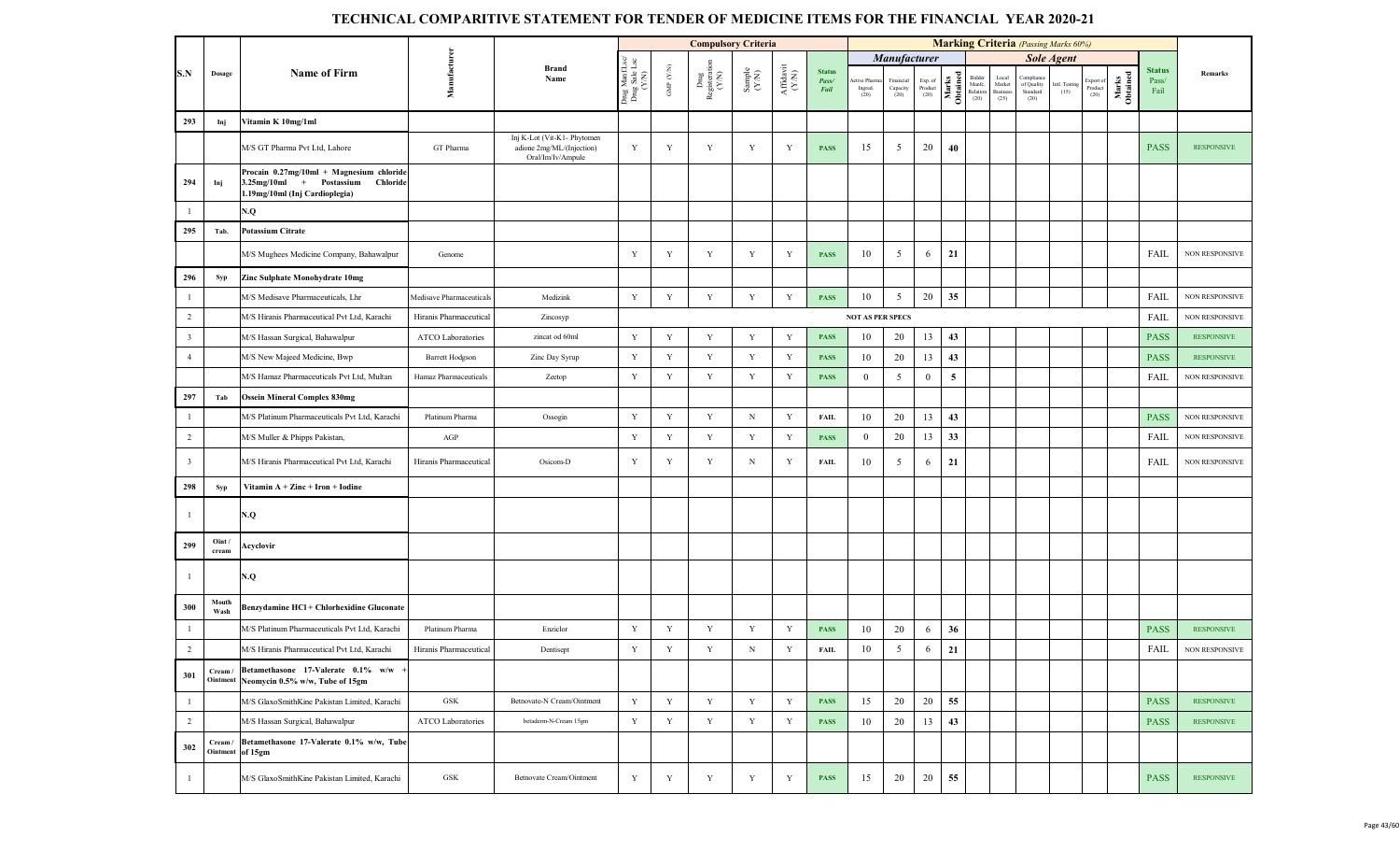|                         |                   |                                                                                                                          |                          |                                                                               |                                          |                                 | <b>Compulsory Criteria</b>     |                                                              |                              |                                |                                |                                          |                            |                         |                                      |                                     | <b>Marking Criteria</b> (Passing Marks 60%) |                       |                             |                   |                                |                       |
|-------------------------|-------------------|--------------------------------------------------------------------------------------------------------------------------|--------------------------|-------------------------------------------------------------------------------|------------------------------------------|---------------------------------|--------------------------------|--------------------------------------------------------------|------------------------------|--------------------------------|--------------------------------|------------------------------------------|----------------------------|-------------------------|--------------------------------------|-------------------------------------|---------------------------------------------|-----------------------|-----------------------------|-------------------|--------------------------------|-----------------------|
|                         |                   |                                                                                                                          |                          |                                                                               |                                          |                                 |                                |                                                              |                              |                                |                                | Manufacturer                             |                            |                         |                                      |                                     |                                             | <b>Sole Agent</b>     |                             |                   |                                |                       |
| S.N                     | Dosage            | <b>Name of Firm</b>                                                                                                      | Manufacture              | <b>Brand</b><br>Name                                                          | Drug Manf.Lsc/<br>Drug Sale Lsc<br>(Y/N) | GMP $(\mathcal{Y},\mathcal{N})$ | Drug<br>Registeration<br>(Y/N) | $\begin{array}{c} \text{Sample} \\ (\text{Y/N}) \end{array}$ | ${\bf Affa} {\bf vit}$ (Y/N) | <b>Status</b><br>Pass/<br>Fail | ctive Pharm<br>Ingred.<br>(20) | Financial<br>Capacity $\left( 20\right)$ | Exp. of<br>Product<br>(20) | Marks<br>Obtained       | Bidder<br>Manfe.<br>Relation<br>(20) | Local<br>Market<br>Business<br>(25) | Complian<br>of Quality<br>Standard<br>(20)  | Intl. Testing<br>(15) | xport of<br>Product<br>(20) | Marks<br>Obtained | <b>Status</b><br>Pass/<br>Fail | Remarks               |
| 293                     | Inj               | Vitamin K 10mg/1ml                                                                                                       |                          |                                                                               |                                          |                                 |                                |                                                              |                              |                                |                                |                                          |                            |                         |                                      |                                     |                                             |                       |                             |                   |                                |                       |
|                         |                   | M/S GT Pharma Pvt Ltd, Lahore                                                                                            | GT Pharma                | Inj K-Lot (Vit-K1- Phytomen<br>adione 2mg/ML/(Injection)<br>Oral/Im/Iv/Ampule | $\mathbf Y$                              | $\mathbf Y$                     | Y                              | Y                                                            | Y                            | <b>PASS</b>                    | 15                             | 5                                        | 20                         | 40                      |                                      |                                     |                                             |                       |                             |                   | <b>PASS</b>                    | <b>RESPONSIVE</b>     |
| 294                     | Inj               | Procain 0.27mg/10ml + Magnesium chloride<br>$3.25$ mg/10ml +<br>Postassium<br>Chloride<br>1.19mg/10ml (Inj Cardioplegia) |                          |                                                                               |                                          |                                 |                                |                                                              |                              |                                |                                |                                          |                            |                         |                                      |                                     |                                             |                       |                             |                   |                                |                       |
| $\mathbf{1}$            |                   | N.Q                                                                                                                      |                          |                                                                               |                                          |                                 |                                |                                                              |                              |                                |                                |                                          |                            |                         |                                      |                                     |                                             |                       |                             |                   |                                |                       |
| 295                     | Tab.              | <b>Potassium Citrate</b>                                                                                                 |                          |                                                                               |                                          |                                 |                                |                                                              |                              |                                |                                |                                          |                            |                         |                                      |                                     |                                             |                       |                             |                   |                                |                       |
|                         |                   | M/S Mughees Medicine Company, Bahawalpur                                                                                 | Genome                   |                                                                               | Y                                        | Y                               | Y                              | Y                                                            | Y                            | <b>PASS</b>                    | 10                             | 5                                        | 6                          | 21                      |                                      |                                     |                                             |                       |                             |                   | FAIL                           | <b>NON RESPONSIVE</b> |
| 296                     | Syp               | Zinc Sulphate Monohydrate 10mg                                                                                           |                          |                                                                               |                                          |                                 |                                |                                                              |                              |                                |                                |                                          |                            |                         |                                      |                                     |                                             |                       |                             |                   |                                |                       |
| $\overline{1}$          |                   | M/S Medisave Pharmaceuticals, Lhr                                                                                        | Medisave Pharmaceuticals | Medizink                                                                      | $\mathbf Y$                              | $\mathbf Y$                     | Y                              | Y                                                            | Y                            | <b>PASS</b>                    | 10                             | 5                                        | 20                         | 35                      |                                      |                                     |                                             |                       |                             |                   | FAIL                           | <b>NON RESPONSIVE</b> |
| $\overline{2}$          |                   | M/S Hiranis Pharmaceutical Pvt Ltd, Karachi                                                                              | Hiranis Pharmaceutical   | Zincosyp                                                                      |                                          |                                 |                                |                                                              |                              |                                | <b>NOT AS PER SPECS</b>        |                                          |                            |                         |                                      |                                     |                                             |                       |                             |                   | FAIL                           | <b>NON RESPONSIVE</b> |
| $\overline{\mathbf{3}}$ |                   | M/S Hassan Surgical, Bahawalpur                                                                                          | ATCO Laboratories        | zincat od 60ml                                                                | Y                                        | Y                               | Y                              | Y                                                            | Y                            | <b>PASS</b>                    | 10                             | 20                                       | 13                         | 43                      |                                      |                                     |                                             |                       |                             |                   | <b>PASS</b>                    | <b>RESPONSIVE</b>     |
| $\overline{4}$          |                   | M/S New Majeed Medicine, Bwp                                                                                             | <b>Barrett Hodgson</b>   | Zinc Day Syrup                                                                | $\mathbf Y$                              | Y                               | Y                              | $\mathbf Y$                                                  | Y                            | <b>PASS</b>                    | 10                             | 20                                       | 13                         | 43                      |                                      |                                     |                                             |                       |                             |                   | <b>PASS</b>                    | <b>RESPONSIVE</b>     |
|                         |                   | M/S Hamaz Pharmaceuticals Pvt Ltd, Multan                                                                                | Hamaz Pharmaceuticals    | Zeetop                                                                        | $\mathbf Y$                              | $\mathbf Y$                     | Y                              | Y                                                            | $\mathbf Y$                  | <b>PASS</b>                    | $\mathbf{0}$                   | 5                                        | $\boldsymbol{0}$           | $\overline{\mathbf{5}}$ |                                      |                                     |                                             |                       |                             |                   | <b>FAIL</b>                    | <b>NON RESPONSIVE</b> |
| 297                     | Tab               | <b>Ossein Mineral Complex 830mg</b>                                                                                      |                          |                                                                               |                                          |                                 |                                |                                                              |                              |                                |                                |                                          |                            |                         |                                      |                                     |                                             |                       |                             |                   |                                |                       |
| $\mathbf{1}$            |                   | M/S Platinum Pharmaceuticals Pvt Ltd, Karachi                                                                            | Platinum Pharma          | Ossogin                                                                       | Y                                        | $\mathbf Y$                     | Y                              | $\mathbf N$                                                  | Y                            | FAIL                           | 10                             | 20                                       | 13                         | 43                      |                                      |                                     |                                             |                       |                             |                   | <b>PASS</b>                    | <b>NON RESPONSIVE</b> |
| 2                       |                   | M/S Muller & Phipps Pakistan,                                                                                            | $\rm{AGP}$               |                                                                               | $\mathbf Y$                              | $\mathbf Y$                     | Y                              | Y                                                            | Y                            | <b>PASS</b>                    | $\mathbf{0}$                   | 20                                       | 13                         | 33                      |                                      |                                     |                                             |                       |                             |                   | FAIL                           | NON RESPONSIVE        |
| $\overline{\mathbf{3}}$ |                   | M/S Hiranis Pharmaceutical Pvt Ltd, Karachi                                                                              | Hiranis Pharmaceutical   | Osicom-D                                                                      | Y                                        | Y                               | Y                              | N                                                            | Y                            | FAIL                           | 10                             | 5                                        | 6                          | 21                      |                                      |                                     |                                             |                       |                             |                   | FAIL                           | NON RESPONSIVE        |
| 298                     | Syp               | Vitamin A + Zinc + Iron + Iodine                                                                                         |                          |                                                                               |                                          |                                 |                                |                                                              |                              |                                |                                |                                          |                            |                         |                                      |                                     |                                             |                       |                             |                   |                                |                       |
| $\overline{1}$          |                   | N.Q                                                                                                                      |                          |                                                                               |                                          |                                 |                                |                                                              |                              |                                |                                |                                          |                            |                         |                                      |                                     |                                             |                       |                             |                   |                                |                       |
| 299                     | Oint/<br>cream    | Acyclovir                                                                                                                |                          |                                                                               |                                          |                                 |                                |                                                              |                              |                                |                                |                                          |                            |                         |                                      |                                     |                                             |                       |                             |                   |                                |                       |
| $\overline{1}$          |                   | N.Q                                                                                                                      |                          |                                                                               |                                          |                                 |                                |                                                              |                              |                                |                                |                                          |                            |                         |                                      |                                     |                                             |                       |                             |                   |                                |                       |
| 300                     | Mouth<br>Wash     | <b>Benzydamine HCl + Chlorhexidine Gluconate</b>                                                                         |                          |                                                                               |                                          |                                 |                                |                                                              |                              |                                |                                |                                          |                            |                         |                                      |                                     |                                             |                       |                             |                   |                                |                       |
| $\mathbf{1}$            |                   | M/S Platinum Pharmaceuticals Pvt Ltd, Karachi                                                                            | Platinum Pharma          | Enziclor                                                                      | Y                                        | Y                               | Y                              | Y                                                            | Y                            | <b>PASS</b>                    | 10                             | 20                                       | 6                          | 36                      |                                      |                                     |                                             |                       |                             |                   | <b>PASS</b>                    | <b>RESPONSIVE</b>     |
| $\overline{2}$          |                   | M/S Hiranis Pharmaceutical Pvt Ltd, Karachi                                                                              | Hiranis Pharmaceutical   | Dentisept                                                                     | $\mathbf Y$                              | $\mathbf Y$                     | $\mathbf Y$                    | $\, {\rm N}$                                                 | Y                            | <b>FAIL</b>                    | 10                             | 5                                        | 6                          | 21                      |                                      |                                     |                                             |                       |                             |                   | FAIL                           | <b>NON RESPONSIVE</b> |
| 301                     | Cream<br>Ointment | Betamethasone 17-Valerate 0.1% w/w<br>Neomycin 0.5% w/w, Tube of 15gm                                                    |                          |                                                                               |                                          |                                 |                                |                                                              |                              |                                |                                |                                          |                            |                         |                                      |                                     |                                             |                       |                             |                   |                                |                       |
| $\mathbf{1}$            |                   | M/S GlaxoSmithKine Pakistan Limited, Karachi                                                                             | ${\rm GSK}$              | Betnovate-N Cream/Ointment                                                    | $\mathbf Y$                              | $\mathbf Y$                     | $\mathbf Y$                    | $\mathbf Y$                                                  | Y                            | <b>PASS</b>                    | 15                             | 20                                       | 20                         | 55                      |                                      |                                     |                                             |                       |                             |                   | <b>PASS</b>                    | <b>RESPONSIVE</b>     |
| $\overline{2}$          |                   | M/S Hassan Surgical, Bahawalpur                                                                                          | ATCO Laboratories        | betaderm-N-Cream 15gm                                                         | $\mathbf Y$                              | $\mathbf Y$                     | $\mathbf Y$                    | $\mathbf Y$                                                  | $\mathbf Y$                  | <b>PASS</b>                    | 10                             | 20                                       | 13                         | 43                      |                                      |                                     |                                             |                       |                             |                   | <b>PASS</b>                    | <b>RESPONSIVE</b>     |
| 302                     | Cream<br>Ointment | Betamethasone 17-Valerate 0.1% w/w, Tube<br>of 15gm                                                                      |                          |                                                                               |                                          |                                 |                                |                                                              |                              |                                |                                |                                          |                            |                         |                                      |                                     |                                             |                       |                             |                   |                                |                       |
| $\mathbf{1}$            |                   | M/S GlaxoSmithKine Pakistan Limited, Karachi                                                                             | GSK                      | <b>Betnovate Cream/Ointment</b>                                               | $\mathbf Y$                              | $\mathbf Y$                     | Y                              | Y                                                            | Y                            | <b>PASS</b>                    | 15                             | 20                                       | 20                         | 55                      |                                      |                                     |                                             |                       |                             |                   | <b>PASS</b>                    | <b>RESPONSIVE</b>     |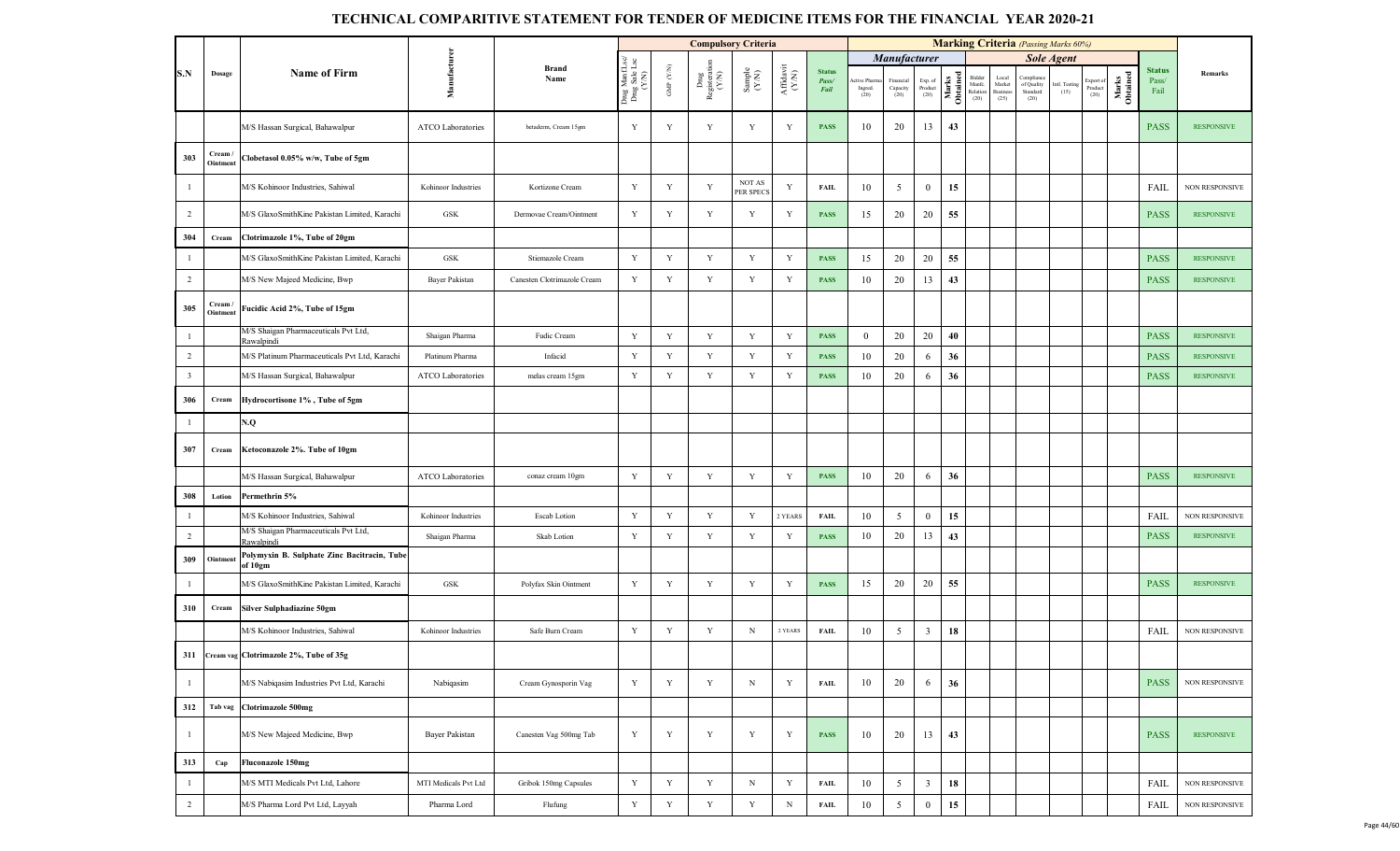|                         |                   |                                                             |                          |                             |                                         |                          |                                | <b>Compulsory Criteria</b>                                   |                              |                                |                                |                                          |                            |                   |                                      |                                     | <b>Marking Criteria</b> (Passing Marks 60%) |                       |                             |                   |                                |                       |
|-------------------------|-------------------|-------------------------------------------------------------|--------------------------|-----------------------------|-----------------------------------------|--------------------------|--------------------------------|--------------------------------------------------------------|------------------------------|--------------------------------|--------------------------------|------------------------------------------|----------------------------|-------------------|--------------------------------------|-------------------------------------|---------------------------------------------|-----------------------|-----------------------------|-------------------|--------------------------------|-----------------------|
|                         |                   |                                                             |                          |                             |                                         |                          |                                |                                                              |                              |                                |                                | Manufacturer                             |                            |                   |                                      |                                     |                                             | <b>Sole Agent</b>     |                             |                   |                                |                       |
| S.N                     | Dosage            | <b>Name of Firm</b>                                         | Manufacturer             | Brand<br>Name               | Drug ManfLsc/<br>Drug Sale Lsc<br>(Y/N) | ${\rm GMP}$ ${\rm (YN)}$ | Drug<br>Registeration<br>(Y/N) | $\begin{array}{c} \text{Sample} \\ (\text{Y/N}) \end{array}$ | ${\bf Affa} {\bf vit}$ (Y/N) | <b>Status</b><br>Pass/<br>Fail | ctive Pharm<br>Ingred.<br>(20) | Financial<br>Capacity $\left( 20\right)$ | Exp. of<br>Product<br>(20) | Marks<br>Obtained | Bidder<br>Manfe.<br>Relation<br>(20) | Local<br>Market<br>Business<br>(25) | Compliar<br>of Quality<br>Standard<br>(20)  | Intl. Testing<br>(15) | xport of<br>Product<br>(20) | Marks<br>Obtained | <b>Status</b><br>Pass/<br>Fail | Remarks               |
|                         |                   | M/S Hassan Surgical, Bahawalpur                             | <b>ATCO Laboratories</b> | betaderm, Cream 15gm        | Y                                       | Y                        | Y                              | Y                                                            | Y                            | <b>PASS</b>                    | 10                             | 20                                       | 13                         | 43                |                                      |                                     |                                             |                       |                             |                   | <b>PASS</b>                    | <b>RESPONSIVE</b>     |
| 303                     | Cream<br>Ointment | Clobetasol 0.05% w/w, Tube of 5gm                           |                          |                             |                                         |                          |                                |                                                              |                              |                                |                                |                                          |                            |                   |                                      |                                     |                                             |                       |                             |                   |                                |                       |
| $\mathbf{1}$            |                   | M/S Kohinoor Industries, Sahiwal                            | Kohinoor Industries      | Kortizone Cream             | Y                                       | Y                        | Y                              | NOT AS<br>PER SPECS                                          | Y                            | FAIL                           | 10                             | 5                                        | $\mathbf{0}$               | 15                |                                      |                                     |                                             |                       |                             |                   | FAIL                           | <b>NON RESPONSIVE</b> |
| 2                       |                   | M/S GlaxoSmithKine Pakistan Limited, Karachi                | GSK                      | Dermovae Cream/Ointment     | Y                                       | Y                        | Y                              | Y                                                            | Y                            | <b>PASS</b>                    | 15                             | 20                                       | 20                         | 55                |                                      |                                     |                                             |                       |                             |                   | <b>PASS</b>                    | <b>RESPONSIVE</b>     |
| 304                     | Cream             | Clotrimazole 1%, Tube of 20gm                               |                          |                             |                                         |                          |                                |                                                              |                              |                                |                                |                                          |                            |                   |                                      |                                     |                                             |                       |                             |                   |                                |                       |
| $\mathbf{1}$            |                   | M/S GlaxoSmithKine Pakistan Limited, Karachi                | ${\rm GSK}$              | Stiemazole Cream            | Y                                       | $\mathbf Y$              | $\mathbf Y$                    | Y                                                            | Y                            | <b>PASS</b>                    | 15                             | 20                                       | 20                         | 55                |                                      |                                     |                                             |                       |                             |                   | <b>PASS</b>                    | <b>RESPONSIVE</b>     |
| 2                       |                   | M/S New Majeed Medicine, Bwp                                | Bayer Pakistan           | Canesten Clotrimazole Cream | Y                                       | Y                        | $\mathbf Y$                    | $\mathbf Y$                                                  | Y                            | <b>PASS</b>                    | 10                             | 20                                       | 13                         | 43                |                                      |                                     |                                             |                       |                             |                   | <b>PASS</b>                    | <b>RESPONSIVE</b>     |
| 305                     | Cream<br>Ointment | Fucidic Acid 2%, Tube of 15gm                               |                          |                             |                                         |                          |                                |                                                              |                              |                                |                                |                                          |                            |                   |                                      |                                     |                                             |                       |                             |                   |                                |                       |
| $\mathbf{1}$            |                   | M/S Shaigan Pharmaceuticals Pvt Ltd,                        | Shaigan Pharma           | Fudic Cream                 | Y                                       | Y                        | Y                              | Y                                                            | Y                            | <b>PASS</b>                    | $\mathbf{0}$                   | 20                                       | 20                         | 40                |                                      |                                     |                                             |                       |                             |                   | <b>PASS</b>                    | <b>RESPONSIVE</b>     |
| $\overline{2}$          |                   | Rawalpindi<br>M/S Platinum Pharmaceuticals Pvt Ltd, Karachi | Platinum Pharma          | Infacid                     | $\mathbf Y$                             | Y                        | Y                              | Y                                                            | Y                            | <b>PASS</b>                    | 10                             | 20                                       | 6                          | 36                |                                      |                                     |                                             |                       |                             |                   | <b>PASS</b>                    | <b>RESPONSIVE</b>     |
| $\overline{\mathbf{3}}$ |                   | M/S Hassan Surgical, Bahawalpur                             | <b>ATCO Laboratories</b> | melas cream 15gm            | Y                                       | Y                        | $\mathbf Y$                    | Y                                                            | Y                            | <b>PASS</b>                    | 10                             | 20                                       | 6                          | 36                |                                      |                                     |                                             |                       |                             |                   | <b>PASS</b>                    | <b>RESPONSIVE</b>     |
| 306                     | Cream             | Hydrocortisone 1%, Tube of 5gm                              |                          |                             |                                         |                          |                                |                                                              |                              |                                |                                |                                          |                            |                   |                                      |                                     |                                             |                       |                             |                   |                                |                       |
| $\mathbf{1}$            |                   | Q.V                                                         |                          |                             |                                         |                          |                                |                                                              |                              |                                |                                |                                          |                            |                   |                                      |                                     |                                             |                       |                             |                   |                                |                       |
| 307                     | Cream             | Ketoconazole 2%. Tube of 10gm                               |                          |                             |                                         |                          |                                |                                                              |                              |                                |                                |                                          |                            |                   |                                      |                                     |                                             |                       |                             |                   |                                |                       |
|                         |                   | M/S Hassan Surgical, Bahawalpur                             | ATCO Laboratories        | conaz cream 10gm            | Y                                       | $\mathbf Y$              | Y                              | $\mathbf Y$                                                  | Y                            | <b>PASS</b>                    | 10                             | 20                                       | 6                          | 36                |                                      |                                     |                                             |                       |                             |                   | <b>PASS</b>                    | <b>RESPONSIVE</b>     |
| 308                     | Lotion            | Permethrin 5%                                               |                          |                             |                                         |                          |                                |                                                              |                              |                                |                                |                                          |                            |                   |                                      |                                     |                                             |                       |                             |                   |                                |                       |
| $\mathbf{1}$            |                   | M/S Kohinoor Industries, Sahiwal                            | Kohinoor Industries      | Escab Lotion                | Y                                       | Y                        | $\mathbf Y$                    | Y                                                            | 2 YEARS                      | <b>FAIL</b>                    | 10                             | 5                                        | $\overline{0}$             | 15                |                                      |                                     |                                             |                       |                             |                   | FAIL                           | <b>NON RESPONSIVE</b> |
| 2                       |                   | M/S Shaigan Pharmaceuticals Pvt Ltd,<br>Rawalpindi          | Shaigan Pharma           | Skab Lotion                 | Y                                       | Y                        | Y                              | Y                                                            | Y                            | <b>PASS</b>                    | 10                             | 20                                       | 13                         | 43                |                                      |                                     |                                             |                       |                             |                   | <b>PASS</b>                    | <b>RESPONSIVE</b>     |
| 309                     | Ointmen           | Polymyxin B. Sulphate Zinc Bacitracin, Tube<br>of 10gm      |                          |                             |                                         |                          |                                |                                                              |                              |                                |                                |                                          |                            |                   |                                      |                                     |                                             |                       |                             |                   |                                |                       |
| $\mathbf{1}$            |                   | M/S GlaxoSmithKine Pakistan Limited, Karachi                | ${\rm GSK}$              | Polyfax Skin Ointment       | $\mathbf Y$                             | Y                        | Y                              | Y                                                            | Y                            | <b>PASS</b>                    | 15                             | 20                                       | 20                         | 55                |                                      |                                     |                                             |                       |                             |                   | <b>PASS</b>                    | <b>RESPONSIVE</b>     |
| 310                     | Cream             | Silver Sulphadiazine 50gm                                   |                          |                             |                                         |                          |                                |                                                              |                              |                                |                                |                                          |                            |                   |                                      |                                     |                                             |                       |                             |                   |                                |                       |
|                         |                   | M/S Kohinoor Industries, Sahiwal                            | Kohinoor Industries      | Safe Burn Cream             | Y                                       | $\mathbf Y$              | Y                              | $_{\rm N}$                                                   | 2 YEARS                      | FAIL                           | 10                             | 5                                        | $\overline{3}$             | 18                |                                      |                                     |                                             |                       |                             |                   | <b>FAIL</b>                    | NON RESPONSIVE        |
|                         |                   | 311 Cream vag Clotrimazole 2%, Tube of 35g                  |                          |                             |                                         |                          |                                |                                                              |                              |                                |                                |                                          |                            |                   |                                      |                                     |                                             |                       |                             |                   |                                |                       |
| $\mathbf{1}$            |                   | M/S Nabiqasim Industries Pvt Ltd, Karachi                   | Nabiqasim                | Cream Gynosporin Vag        | $\mathbf Y$                             | $\mathbf Y$              | Y                              | $\mathbf N$                                                  | Y                            | <b>FAIL</b>                    | 10                             | 20                                       | 6                          | 36                |                                      |                                     |                                             |                       |                             |                   | <b>PASS</b>                    | NON RESPONSIVE        |
| 312                     | Tab vag           | Clotrimazole 500mg                                          |                          |                             |                                         |                          |                                |                                                              |                              |                                |                                |                                          |                            |                   |                                      |                                     |                                             |                       |                             |                   |                                |                       |
| $\mathbf{1}$            |                   | M/S New Majeed Medicine, Bwp                                | Bayer Pakistan           | Canesten Vag 500mg Tab      | Y                                       | Y                        | Y                              | Y                                                            | Y                            | <b>PASS</b>                    | 10                             | 20                                       | 13                         | 43                |                                      |                                     |                                             |                       |                             |                   | <b>PASS</b>                    | <b>RESPONSIVE</b>     |
| 313                     | Cap               | <b>Fluconazole 150mg</b>                                    |                          |                             |                                         |                          |                                |                                                              |                              |                                |                                |                                          |                            |                   |                                      |                                     |                                             |                       |                             |                   |                                |                       |
| $\mathbf{1}$            |                   | M/S MTI Medicals Pvt Ltd, Lahore                            | MTI Medicals Pvt Ltd     | Gribok 150mg Capsules       | $\mathbf Y$                             | Y                        | $\mathbf Y$                    | $\mathbf N$                                                  | $\mathbf Y$                  | <b>FAIL</b>                    | 10                             | 5                                        | $\overline{\mathbf{3}}$    | 18                |                                      |                                     |                                             |                       |                             |                   | FAIL                           | NON RESPONSIVE        |
| $\overline{2}$          |                   | M/S Pharma Lord Pvt Ltd, Layyah                             | Pharma Lord              | Flufung                     | $\mathbf Y$                             | $\mathbf Y$              | $\mathbf Y$                    | $\mathbf Y$                                                  | $\mathbf N$                  | <b>FAIL</b>                    | 10                             | 5                                        | $\boldsymbol{0}$           | 15                |                                      |                                     |                                             |                       |                             |                   | FAIL                           | NON RESPONSIVE        |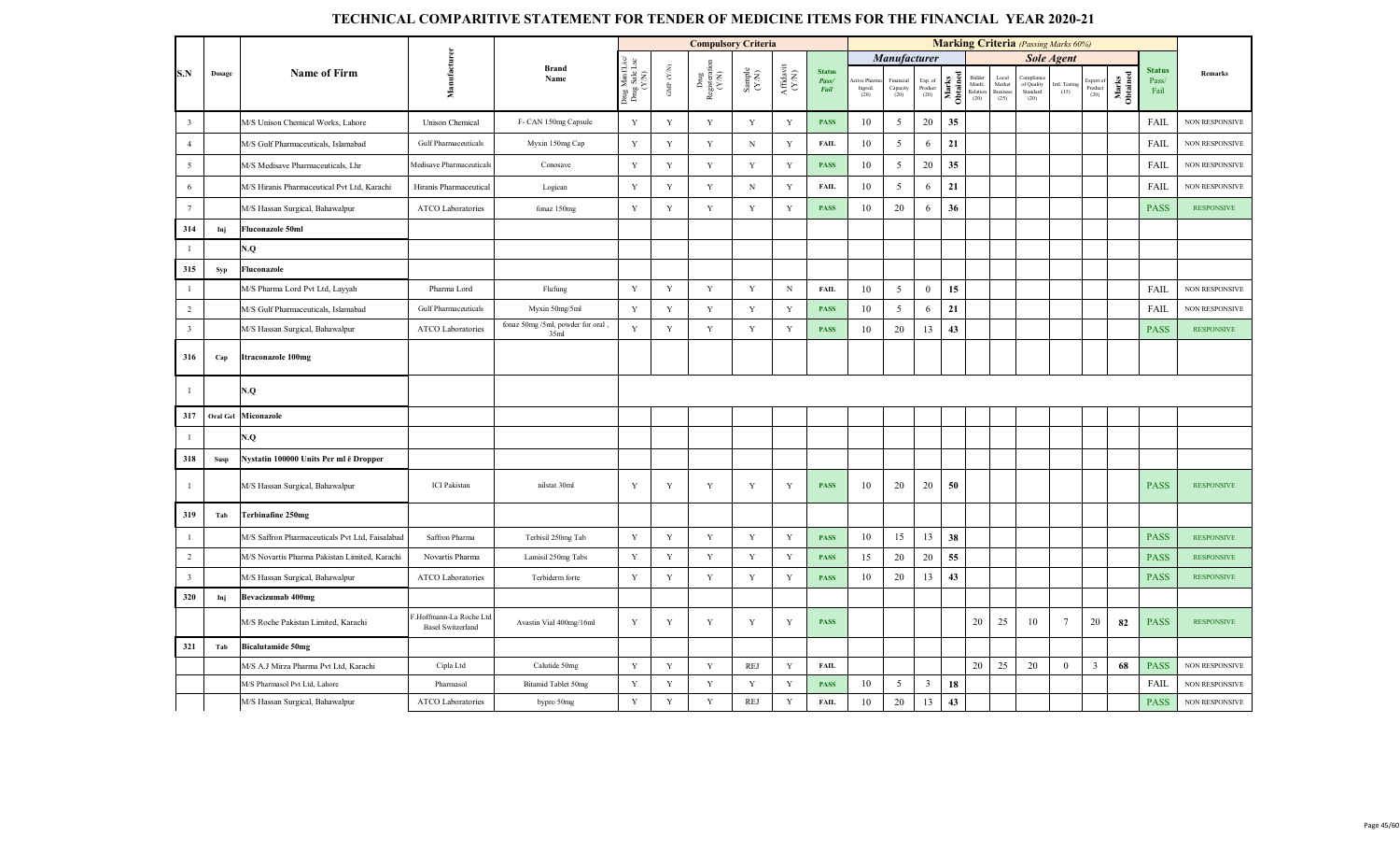|                         |          |                                                 |                                                   |                                          |                                          |                    | <b>Compulsory Criteria</b>     |                                                             |                                                                                                 |                                |                               |                               |                         |                   |                                      |                                           | <b>Marking Criteria</b> (Passing Marks 60%) |                      |                              |                   |                                |                       |
|-------------------------|----------|-------------------------------------------------|---------------------------------------------------|------------------------------------------|------------------------------------------|--------------------|--------------------------------|-------------------------------------------------------------|-------------------------------------------------------------------------------------------------|--------------------------------|-------------------------------|-------------------------------|-------------------------|-------------------|--------------------------------------|-------------------------------------------|---------------------------------------------|----------------------|------------------------------|-------------------|--------------------------------|-----------------------|
|                         |          |                                                 |                                                   |                                          |                                          |                    |                                |                                                             |                                                                                                 |                                |                               | <b>Manufacturer</b>           |                         |                   |                                      |                                           |                                             | <b>Sole Agent</b>    |                              |                   |                                |                       |
| S.N                     | Dosage   | <b>Name of Firm</b>                             | Manufacturer                                      | <b>Brand</b><br>Name                     | Drug Manf.Lsc/<br>Drug Sale Lsc<br>(Y/N) | GMP $(\text{Y/N})$ | Drug<br>Registeration<br>(Y/N) | $\begin{array}{c} \text{Sample} \\ (\text{YN}) \end{array}$ | $\begin{array}{c} \mathrm{Aff} \mathrm{d} \mathrm{av} \mathrm{i} \\ (\mathrm{Y/N}) \end{array}$ | <b>Status</b><br>Pass/<br>Fail | tive Pharn<br>Ingred.<br>(20) | Financial<br>Capacity<br>(20) | Exp. of<br>Product (20) | Marks<br>Obtained | Bidder<br>Manfe.<br>Relation<br>(20) | Loca<br>Market<br><b>Business</b><br>(25) | Compliar<br>of Quality<br>Standard<br>(20)  | atl. Testing<br>(15) | Export of<br>Product<br>(20) | Marks<br>Obtained | <b>Status</b><br>Pass/<br>Fail | Remarks               |
| $\overline{\mathbf{3}}$ |          | M/S Unison Chemical Works, Lahore               | <b>Unison Chemical</b>                            | F- CAN 150mg Capsule                     | Y                                        | $\mathbf Y$        | Y                              | $\mathbf Y$                                                 | Y                                                                                               | <b>PASS</b>                    | 10                            | 5                             | 20                      | 35                |                                      |                                           |                                             |                      |                              |                   | <b>FAIL</b>                    | NON RESPONSIVE        |
| $\overline{4}$          |          | M/S Gulf Pharmaceuticals, Islamabad             | <b>Gulf Pharmaceuticals</b>                       | Myxin 150mg Cap                          | Y                                        | $\mathbf Y$        | $\mathbf Y$                    | ${\bf N}$                                                   | $\mathbf Y$                                                                                     | <b>FAIL</b>                    | 10                            | $\mathfrak{S}$                | 6                       | 21                |                                      |                                           |                                             |                      |                              |                   | FAIL                           | <b>NON RESPONSIVE</b> |
| $\overline{5}$          |          | M/S Medisave Pharmaceuticals, Lhr               | Medisave Pharmaceuticals                          | Conosave                                 | Y                                        | Y                  | Y                              | $\mathbf Y$                                                 | $\mathbf Y$                                                                                     | <b>PASS</b>                    | 10                            | 5                             | 20                      | 35                |                                      |                                           |                                             |                      |                              |                   | <b>FAIL</b>                    | NON RESPONSIVE        |
| $\sqrt{6}$              |          | M/S Hiranis Pharmaceutical Pvt Ltd, Karachi     | Hiranis Pharmaceutical                            | Logican                                  | Y                                        | Y                  | Y                              | $_{\rm N}$                                                  | Y                                                                                               | <b>FAIL</b>                    | 10                            | $\overline{5}$                | 6                       | 21                |                                      |                                           |                                             |                      |                              |                   | <b>FAIL</b>                    | <b>NON RESPONSIVE</b> |
| $7\overline{ }$         |          | M/S Hassan Surgical, Bahawalpur                 | ATCO Laboratories                                 | fonaz 150mg                              | Y                                        | Y                  | Y                              | $\mathbf Y$                                                 | Y                                                                                               | <b>PASS</b>                    | 10                            | 20                            | 6                       | 36                |                                      |                                           |                                             |                      |                              |                   | <b>PASS</b>                    | <b>RESPONSIVE</b>     |
| 314                     | Inj      | <b>Fluconazole 50ml</b>                         |                                                   |                                          |                                          |                    |                                |                                                             |                                                                                                 |                                |                               |                               |                         |                   |                                      |                                           |                                             |                      |                              |                   |                                |                       |
| $\mathbf{1}$            |          | N.Q                                             |                                                   |                                          |                                          |                    |                                |                                                             |                                                                                                 |                                |                               |                               |                         |                   |                                      |                                           |                                             |                      |                              |                   |                                |                       |
| 315                     | Syp      | Fluconazole                                     |                                                   |                                          |                                          |                    |                                |                                                             |                                                                                                 |                                |                               |                               |                         |                   |                                      |                                           |                                             |                      |                              |                   |                                |                       |
| $\overline{1}$          |          | M/S Pharma Lord Pvt Ltd, Layyah                 | Pharma Lord                                       | Flufung                                  | Y                                        | Y                  | $\mathbf Y$                    | $\mathbf Y$                                                 | N                                                                                               | <b>FAIL</b>                    | 10                            | 5                             | $\mathbf{0}$            | 15                |                                      |                                           |                                             |                      |                              |                   | FAIL                           | <b>NON RESPONSIVE</b> |
| $\overline{2}$          |          | M/S Gulf Pharmaceuticals, Islamabad             | <b>Gulf Pharmaceuticals</b>                       | Myxin 50mg/5ml                           | Y                                        | Y                  | Y                              | $\mathbf Y$                                                 | Y                                                                                               | <b>PASS</b>                    | 10                            | 5                             | 6                       | 21                |                                      |                                           |                                             |                      |                              |                   | FAIL                           | NON RESPONSIVE        |
| $\overline{\mathbf{3}}$ |          | M/S Hassan Surgical, Bahawalpur                 | ATCO Laboratories                                 | fonaz 50mg /5ml, powder for oral<br>35ml | $\mathbf Y$                              | Y                  | $\mathbf Y$                    | $\mathbf Y$                                                 | $\mathbf Y$                                                                                     | <b>PASS</b>                    | 10                            | 20                            | 13                      | 43                |                                      |                                           |                                             |                      |                              |                   | <b>PASS</b>                    | <b>RESPONSIVE</b>     |
| 316                     | Cap      | <b>Itraconazole 100mg</b>                       |                                                   |                                          |                                          |                    |                                |                                                             |                                                                                                 |                                |                               |                               |                         |                   |                                      |                                           |                                             |                      |                              |                   |                                |                       |
| -1                      |          | N.Q                                             |                                                   |                                          |                                          |                    |                                |                                                             |                                                                                                 |                                |                               |                               |                         |                   |                                      |                                           |                                             |                      |                              |                   |                                |                       |
| 317                     | Oral Gel | <b>Miconazole</b>                               |                                                   |                                          |                                          |                    |                                |                                                             |                                                                                                 |                                |                               |                               |                         |                   |                                      |                                           |                                             |                      |                              |                   |                                |                       |
| $\mathbf{1}$            |          | V.Q                                             |                                                   |                                          |                                          |                    |                                |                                                             |                                                                                                 |                                |                               |                               |                         |                   |                                      |                                           |                                             |                      |                              |                   |                                |                       |
| 318                     | Susp     | Nystatin 100000 Units Per ml ē Dropper          |                                                   |                                          |                                          |                    |                                |                                                             |                                                                                                 |                                |                               |                               |                         |                   |                                      |                                           |                                             |                      |                              |                   |                                |                       |
| $\mathbf{1}$            |          | M/S Hassan Surgical, Bahawalpur                 | <b>ICI</b> Pakistan                               | nilstat 30ml                             | Y                                        | Y                  | $\mathbf Y$                    | $\mathbf Y$                                                 | Y                                                                                               | <b>PASS</b>                    | 10                            | 20                            | 20                      | 50                |                                      |                                           |                                             |                      |                              |                   | <b>PASS</b>                    | <b>RESPONSIVE</b>     |
| 319                     | Tab      | <b>Terbinafine 250mg</b>                        |                                                   |                                          |                                          |                    |                                |                                                             |                                                                                                 |                                |                               |                               |                         |                   |                                      |                                           |                                             |                      |                              |                   |                                |                       |
| $\mathbf{1}$            |          | M/S Saffron Pharmaceuticals Pvt Ltd, Faisalabad | Saffron Pharma                                    | Terbisil 250mg Tab                       | Y                                        | Y                  | $\mathbf Y$                    | Y                                                           | Y                                                                                               | <b>PASS</b>                    | 10                            | 15                            | 13                      | 38                |                                      |                                           |                                             |                      |                              |                   | <b>PASS</b>                    | <b>RESPONSIVE</b>     |
| 2                       |          | M/S Novartis Pharma Pakistan Limited, Karachi   | Novartis Pharma                                   | Lamisil 250mg Tabs                       | Y                                        | Y                  | $\mathbf Y$                    | $\mathbf Y$                                                 | Y                                                                                               | <b>PASS</b>                    | 15                            | 20                            | 20                      | 55                |                                      |                                           |                                             |                      |                              |                   | <b>PASS</b>                    | <b>RESPONSIVE</b>     |
| $\overline{\mathbf{3}}$ |          | M/S Hassan Surgical, Bahawalpur                 | <b>ATCO Laboratories</b>                          | Terbiderm forte                          | Y                                        | Y                  | $\mathbf Y$                    | $\mathbf Y$                                                 | Y                                                                                               | <b>PASS</b>                    | 10                            | 20                            | 13                      | 43                |                                      |                                           |                                             |                      |                              |                   | <b>PASS</b>                    | <b>RESPONSIVE</b>     |
| 320                     | Inj      | Bevacizumab 400mg                               |                                                   |                                          |                                          |                    |                                |                                                             |                                                                                                 |                                |                               |                               |                         |                   |                                      |                                           |                                             |                      |                              |                   |                                |                       |
|                         |          | M/S Roche Pakistan Limited, Karachi             | Hoffmann-La Roche Ltd<br><b>Basel Switzerland</b> | Avastin Vial 400mg/16ml                  | Y                                        | Y                  | Y                              | Y                                                           | Y                                                                                               | <b>PASS</b>                    |                               |                               |                         |                   | 20                                   | 25                                        | 10                                          | $\overline{7}$       | 20                           | 82                | <b>PASS</b>                    | <b>RESPONSIVE</b>     |
| 321                     | Tab      | <b>Bicalutamide 50mg</b>                        |                                                   |                                          |                                          |                    |                                |                                                             |                                                                                                 |                                |                               |                               |                         |                   |                                      |                                           |                                             |                      |                              |                   |                                |                       |
|                         |          | M/S A.J Mirza Pharma Pvt Ltd, Karachi           | Cipla Ltd                                         | Calutide 50mg                            | $\mathbf Y$                              | $\mathbf Y$        | $\mathbf Y$                    | REJ                                                         | $\mathbf Y$                                                                                     | <b>FAIL</b>                    |                               |                               |                         |                   | 20                                   | 25                                        | 20                                          | $\mathbf{0}$         | $\overline{3}$               | 68                | <b>PASS</b>                    | <b>NON RESPONSIVE</b> |
|                         |          | M/S Pharmasol Pvt Ltd, Lahore                   | Pharmasol                                         | <b>Bitamid Tablet 50mg</b>               | $\mathbf Y$                              | $\mathbf Y$        | $\mathbf Y$                    | $\mathbf Y$                                                 | $\mathbf Y$                                                                                     | PASS                           | 10                            | 5                             | $\overline{3}$          | 18                |                                      |                                           |                                             |                      |                              |                   | <b>FAIL</b>                    | NON RESPONSIVE        |
|                         |          | M/S Hassan Surgical, Bahawalpur                 | ATCO Laboratories                                 | bypro 50mg                               | $\mathbf Y$                              | Y                  | $\mathbf Y$                    | <b>REJ</b>                                                  | Y                                                                                               | <b>FAIL</b>                    | 10                            | 20                            | 13                      | 43                |                                      |                                           |                                             |                      |                              |                   | <b>PASS</b>                    | NON RESPONSIVE        |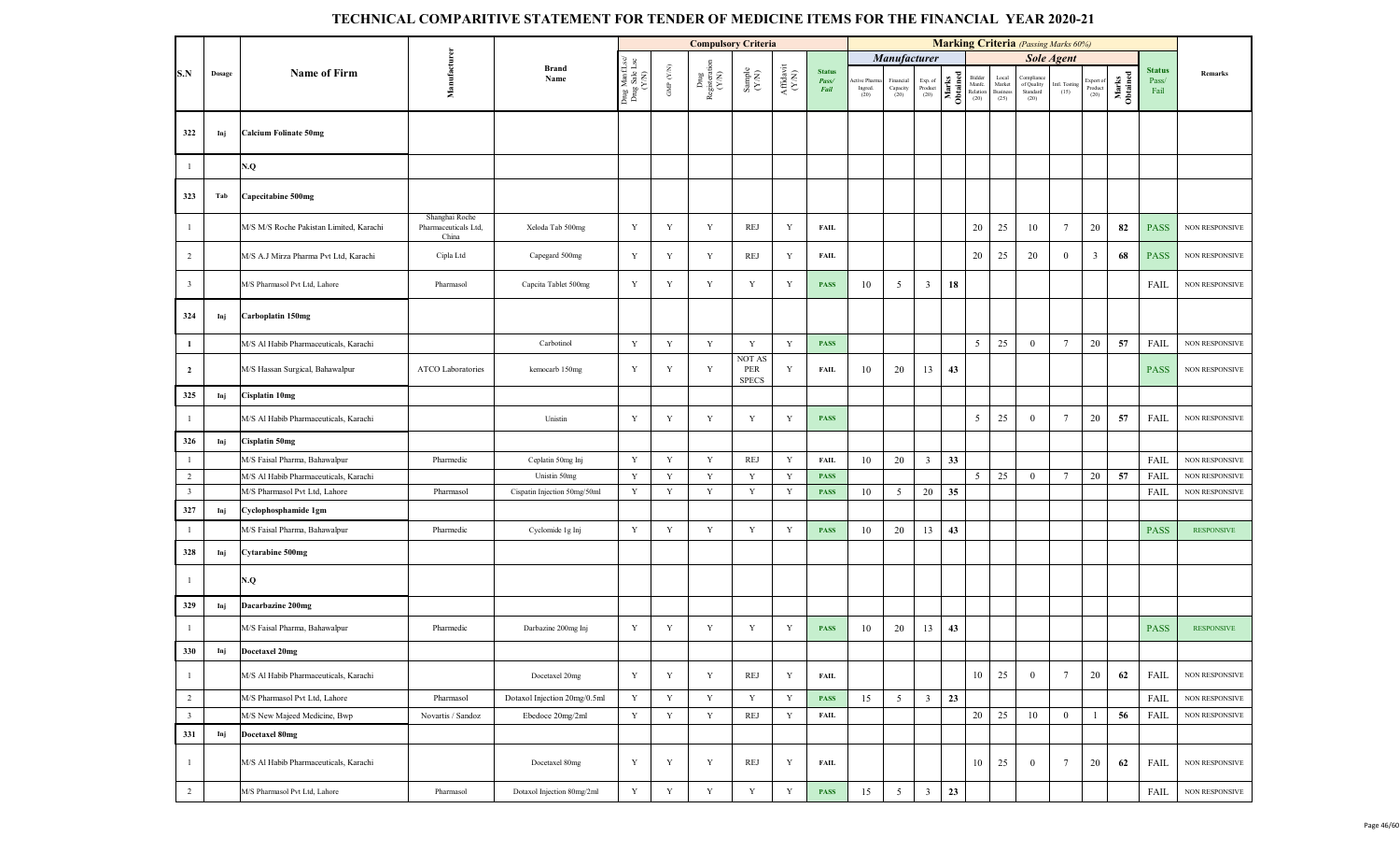|                         |        |                                         |                                                 |                              |                                         |                    | <b>Compulsory Criteria</b>   |                                                             |                                                                                                 |                                |                                |                               |                            |                   |                                      |                                     | <b>Marking Criteria</b> (Passing Marks 60%) |                       |                              |                   |                                |                       |
|-------------------------|--------|-----------------------------------------|-------------------------------------------------|------------------------------|-----------------------------------------|--------------------|------------------------------|-------------------------------------------------------------|-------------------------------------------------------------------------------------------------|--------------------------------|--------------------------------|-------------------------------|----------------------------|-------------------|--------------------------------------|-------------------------------------|---------------------------------------------|-----------------------|------------------------------|-------------------|--------------------------------|-----------------------|
|                         |        |                                         |                                                 |                              |                                         |                    |                              |                                                             |                                                                                                 |                                |                                | Manufacturer                  |                            |                   |                                      |                                     |                                             | <b>Sole Agent</b>     |                              |                   |                                |                       |
| S.N                     | Dosage | <b>Name of Firm</b>                     | Manufacturer                                    | <b>Brand</b><br>Name         | Drug ManfLsc/<br>Drug Sale Lsc<br>(Y/N) | GMP $(\text{Y/N})$ | Drug<br>Registerati<br>(Y/N) | $\begin{array}{c} \text{Sample} \\ (\text{YN}) \end{array}$ | $\begin{array}{c} \mathrm{Aff} \mathrm{d} \mathrm{av} \mathrm{i} \\ (\mathrm{Y/N}) \end{array}$ | <b>Status</b><br>Pass/<br>Fail | ctive Pharr<br>Ingred.<br>(20) | Financial<br>Capacity<br>(20) | Exp. of<br>Product<br>(20) | Marks<br>Obtained | Bidder<br>Manfe.<br>Relation<br>(20) | Local<br>Market<br>Business<br>(25) | Compliane<br>of Quality<br>Standard<br>(20) | Intl. Testing<br>(15) | Export of<br>Product<br>(20) | Marks<br>Obtained | <b>Status</b><br>Pass/<br>Fail | Remarks               |
| 322                     | Inj    | <b>Calcium Folinate 50mg</b>            |                                                 |                              |                                         |                    |                              |                                                             |                                                                                                 |                                |                                |                               |                            |                   |                                      |                                     |                                             |                       |                              |                   |                                |                       |
| $\mathbf{1}$            |        | N.Q                                     |                                                 |                              |                                         |                    |                              |                                                             |                                                                                                 |                                |                                |                               |                            |                   |                                      |                                     |                                             |                       |                              |                   |                                |                       |
| 323                     | Tab    | Capecitabine 500mg                      |                                                 |                              |                                         |                    |                              |                                                             |                                                                                                 |                                |                                |                               |                            |                   |                                      |                                     |                                             |                       |                              |                   |                                |                       |
| $\mathbf{1}$            |        | M/S M/S Roche Pakistan Limited, Karachi | Shanghai Roche<br>Pharmaceuticals Ltd,<br>China | Xeloda Tab 500mg             | Y                                       | $\mathbf Y$        | Y                            | REJ                                                         | Y                                                                                               | <b>FAIL</b>                    |                                |                               |                            |                   | 20                                   | 25                                  | 10                                          | $\overline{7}$        | 20                           | 82                | <b>PASS</b>                    | NON RESPONSIVE        |
| $\overline{2}$          |        | M/S A.J Mirza Pharma Pvt Ltd, Karachi   | Cipla Ltd                                       | Capegard 500mg               | Y                                       | $\mathbf Y$        | Y                            | REJ                                                         | Y                                                                                               | <b>FAIL</b>                    |                                |                               |                            |                   | 20                                   | 25                                  | 20                                          | $\mathbf{0}$          | $\overline{3}$               | 68                | <b>PASS</b>                    | <b>NON RESPONSIVE</b> |
| $\overline{\mathbf{3}}$ |        | M/S Pharmasol Pvt Ltd, Lahore           | Pharmasol                                       | Capcita Tablet 500mg         | Y                                       | Y                  | Y                            | Y                                                           | Y                                                                                               | <b>PASS</b>                    | 10                             | 5                             | $\overline{3}$             | 18                |                                      |                                     |                                             |                       |                              |                   | FAIL                           | <b>NON RESPONSIVE</b> |
| 324                     | Inj    | Carboplatin 150mg                       |                                                 |                              |                                         |                    |                              |                                                             |                                                                                                 |                                |                                |                               |                            |                   |                                      |                                     |                                             |                       |                              |                   |                                |                       |
| $\mathbf{1}$            |        | M/S Al Habib Pharmaceuticals, Karachi   |                                                 | Carbotinol                   | $\mathbf Y$                             | $\mathbf Y$        | Y                            | Y                                                           | Y                                                                                               | <b>PASS</b>                    |                                |                               |                            |                   | 5                                    | 25                                  | $\overline{0}$                              | $7\phantom{.0}$       | 20                           | 57                | FAIL                           | NON RESPONSIVE        |
| $\overline{2}$          |        | M/S Hassan Surgical, Bahawalpur         | <b>ATCO Laboratories</b>                        | kemocarb 150mg               | Y                                       | Y                  | Y                            | NOT AS<br>PER<br><b>SPECS</b>                               | Y                                                                                               | <b>FAIL</b>                    | 10                             | 20                            | 13                         | 43                |                                      |                                     |                                             |                       |                              |                   | <b>PASS</b>                    | <b>NON RESPONSIVE</b> |
| 325                     | Inj    | <b>Cisplatin 10mg</b>                   |                                                 |                              |                                         |                    |                              |                                                             |                                                                                                 |                                |                                |                               |                            |                   |                                      |                                     |                                             |                       |                              |                   |                                |                       |
| $\mathbf{1}$            |        | M/S Al Habib Pharmaceuticals, Karachi   |                                                 | Unistin                      | Y                                       | $\mathbf Y$        | Y                            | $\mathbf Y$                                                 | Y                                                                                               | <b>PASS</b>                    |                                |                               |                            |                   | 5                                    | 25                                  | $\overline{0}$                              | $7\phantom{.0}$       | 20                           | 57                | FAIL                           | NON RESPONSIVE        |
| 326                     | Inj    | <b>Cisplatin 50mg</b>                   |                                                 |                              |                                         |                    |                              |                                                             |                                                                                                 |                                |                                |                               |                            |                   |                                      |                                     |                                             |                       |                              |                   |                                |                       |
| $\mathbf{1}$            |        | M/S Faisal Pharma, Bahawalpur           | Pharmedic                                       | Ceplatin 50mg Inj            | $\mathbf Y$                             | Y                  | Y                            | REJ                                                         | Y                                                                                               | <b>FAIL</b>                    | 10                             | 20                            | $\overline{\mathbf{3}}$    | 33                |                                      |                                     |                                             |                       |                              |                   | FAIL                           | NON RESPONSIVE        |
| 2                       |        | M/S Al Habib Pharmaceuticals, Karachi   |                                                 | Unistin 50mg                 | Y                                       | $\mathbf Y$        | Y                            | Y                                                           | Y                                                                                               | <b>PASS</b>                    |                                |                               |                            |                   | 5                                    | 25                                  | $\overline{0}$                              | $7\phantom{.0}$       | 20                           | 57                | FAIL                           | <b>NON RESPONSIVE</b> |
| $\overline{\mathbf{3}}$ |        | M/S Pharmasol Pvt Ltd, Lahore           | Pharmasol                                       | Cispatin Injection 50mg/50ml | $\mathbf Y$                             | Y                  | Y                            | $\mathbf Y$                                                 | Y                                                                                               | <b>PASS</b>                    | 10                             | 5                             | 20                         | 35                |                                      |                                     |                                             |                       |                              |                   | FAIL                           | <b>NON RESPONSIVE</b> |
| 327                     | Inj    | Cyclophosphamide 1gm                    |                                                 |                              |                                         |                    |                              |                                                             |                                                                                                 |                                |                                |                               |                            |                   |                                      |                                     |                                             |                       |                              |                   |                                |                       |
| $\mathbf{1}$            |        | M/S Faisal Pharma, Bahawalpur           | Pharmedic                                       | Cyclomide 1g Inj             | $\mathbf Y$                             | $\mathbf Y$        | Y                            | $\mathbf Y$                                                 | $\mathbf Y$                                                                                     | <b>PASS</b>                    | 10                             | 20                            | 13                         | 43                |                                      |                                     |                                             |                       |                              |                   | <b>PASS</b>                    | <b>RESPONSIVE</b>     |
| 328                     | Inj    | <b>Cytarabine 500mg</b>                 |                                                 |                              |                                         |                    |                              |                                                             |                                                                                                 |                                |                                |                               |                            |                   |                                      |                                     |                                             |                       |                              |                   |                                |                       |
| -1                      |        | N.Q                                     |                                                 |                              |                                         |                    |                              |                                                             |                                                                                                 |                                |                                |                               |                            |                   |                                      |                                     |                                             |                       |                              |                   |                                |                       |
| 329                     | Inj    | Dacarbazine 200mg                       |                                                 |                              |                                         |                    |                              |                                                             |                                                                                                 |                                |                                |                               |                            |                   |                                      |                                     |                                             |                       |                              |                   |                                |                       |
| $\mathbf{1}$            |        | M/S Faisal Pharma, Bahawalpur           | Pharmedic                                       | Darbazine 200mg Inj          | Y                                       | $\mathbf Y$        | Y                            | $\mathbf Y$                                                 | Y                                                                                               | <b>PASS</b>                    | 10                             | 20                            | 13                         | 43                |                                      |                                     |                                             |                       |                              |                   | <b>PASS</b>                    | <b>RESPONSIVE</b>     |
| 330                     | Inj    | Docetaxel 20mg                          |                                                 |                              |                                         |                    |                              |                                                             |                                                                                                 |                                |                                |                               |                            |                   |                                      |                                     |                                             |                       |                              |                   |                                |                       |
| $\mathbf{1}$            |        | M/S Al Habib Pharmaceuticals, Karachi   |                                                 | Docetaxel 20mg               | Y                                       | Y                  | Y                            | REJ                                                         | Y                                                                                               | <b>FAIL</b>                    |                                |                               |                            |                   | 10                                   | 25                                  | $\overline{0}$                              | $7\phantom{.0}$       | 20                           | 62                | FAIL                           | NON RESPONSIVE        |
| $\overline{2}$          |        | M/S Pharmasol Pvt Ltd, Lahore           | Pharmasol                                       | Dotaxol Injection 20mg/0.5ml | $\mathbf Y$                             | $\mathbf Y$        | Y                            | $\mathbf Y$                                                 | $\mathbf Y$                                                                                     | <b>PASS</b>                    | 15                             | $5\overline{)}$               | $\overline{\mathbf{3}}$    | 23                |                                      |                                     |                                             |                       |                              |                   | FAIL                           | NON RESPONSIVE        |
| $\overline{\mathbf{3}}$ |        | M/S New Majeed Medicine, Bwp            | Novartis / Sandoz                               | Ebedoce 20mg/2ml             | $\mathbf Y$                             | Y                  | Y                            | REJ                                                         | Y                                                                                               | <b>FAIL</b>                    |                                |                               |                            |                   | 20                                   | 25                                  | 10                                          | $\boldsymbol{0}$      |                              | 56                | <b>FAIL</b>                    | NON RESPONSIVE        |
| 331                     | Inj    | <b>Docetaxel 80mg</b>                   |                                                 |                              |                                         |                    |                              |                                                             |                                                                                                 |                                |                                |                               |                            |                   |                                      |                                     |                                             |                       |                              |                   |                                |                       |
| $\mathbf{1}$            |        | M/S Al Habib Pharmaceuticals, Karachi   |                                                 | Docetaxel 80mg               | $\mathbf Y$                             | $\mathbf Y$        | Y                            | REJ                                                         | Y                                                                                               | <b>FAIL</b>                    |                                |                               |                            |                   | 10                                   | 25                                  | $\overline{0}$                              | 7                     | 20                           | 62                | FAIL                           | NON RESPONSIVE        |
| $\overline{2}$          |        | M/S Pharmasol Pvt Ltd, Lahore           | Pharmasol                                       | Dotaxol Injection 80mg/2ml   | $\mathbf Y$                             | $\mathbf Y$        | $\mathbf Y$                  | $\mathbf Y$                                                 | $\mathbf Y$                                                                                     | <b>PASS</b>                    | 15                             | $5\overline{)}$               | $\overline{\mathbf{3}}$    | 23                |                                      |                                     |                                             |                       |                              |                   | FAIL                           | NON RESPONSIVE        |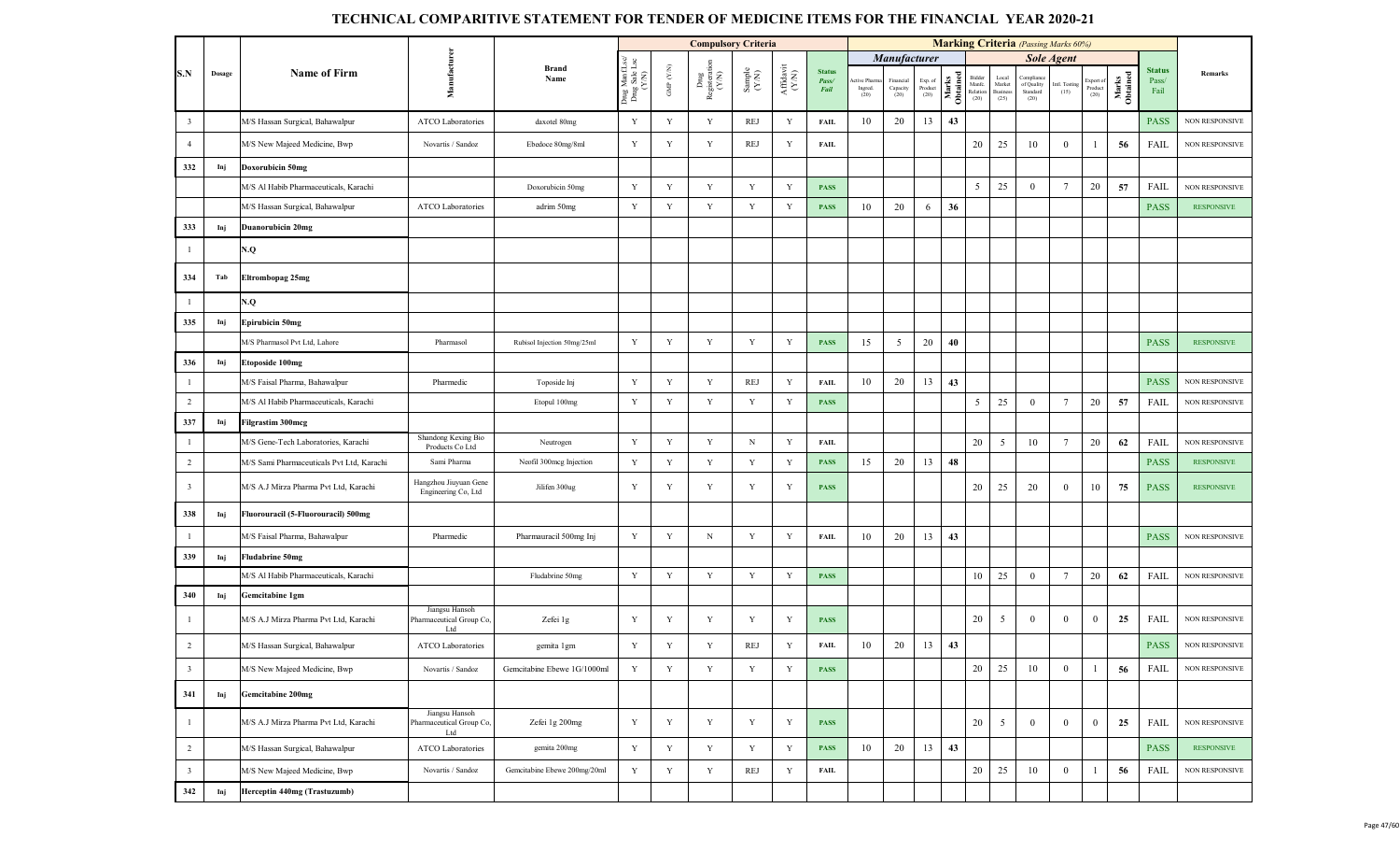|                         |        |                                           |                                                   |                              |                                         |                    | <b>Compulsory Criteria</b>                                                      |                                                              |                                                                                                 |                                       |                                |                                |                            |                   |                                                         |                                    | <b>Marking Criteria</b> (Passing Marks 60%) |                       |                              |                   |                                |                       |
|-------------------------|--------|-------------------------------------------|---------------------------------------------------|------------------------------|-----------------------------------------|--------------------|---------------------------------------------------------------------------------|--------------------------------------------------------------|-------------------------------------------------------------------------------------------------|---------------------------------------|--------------------------------|--------------------------------|----------------------------|-------------------|---------------------------------------------------------|------------------------------------|---------------------------------------------|-----------------------|------------------------------|-------------------|--------------------------------|-----------------------|
|                         |        |                                           |                                                   |                              |                                         |                    |                                                                                 |                                                              |                                                                                                 |                                       |                                | Manufacturer                   |                            |                   |                                                         |                                    |                                             | <b>Sole Agent</b>     |                              |                   |                                |                       |
| S.N                     | Dosage | <b>Name of Firm</b>                       | Manufacturer                                      | <b>Brand</b><br>Name         | Drug ManfLsc/<br>Drug Sale Lsc<br>(Y/N) | GMP $(\text{Y/N})$ | $\begin{array}{c} \mathrm{Dng} \\ \mathrm{Registeration} \\ (Y\!N) \end{array}$ | $\begin{array}{c} \text{Sample} \\ (\text{Y-N}) \end{array}$ | $\begin{array}{c} \mathrm{Aff} \mathrm{d} \mathrm{av} \mathrm{i} \\ (\mathrm{Y/N}) \end{array}$ | <b>Status</b><br>Pass/<br><b>Fail</b> | ctive Pharm<br>Ingred.<br>(20) | inancial<br>Capacity<br>$(20)$ | Exp. of<br>Product<br>(20) | Marks<br>Obtained | Bidder<br>$\mathop{\mathsf{Manfc}}$<br>Relation<br>(20) | Loca<br>Market<br>Business<br>(25) | Complian<br>of Quality<br>Standard<br>(20)  | Intl. Testing<br>(15) | Export of<br>Product<br>(20) | Marks<br>Obtained | <b>Status</b><br>Pass/<br>Fail | Remarks               |
| $\overline{\mathbf{3}}$ |        | M/S Hassan Surgical, Bahawalpur           | ATCO Laboratories                                 | daxotel 80mg                 | Y                                       | Y                  | Y                                                                               | REJ                                                          | Y                                                                                               | <b>FAIL</b>                           | 10                             | 20                             | 13                         | 43                |                                                         |                                    |                                             |                       |                              |                   | <b>PASS</b>                    | NON RESPONSIVE        |
| $\overline{4}$          |        | M/S New Majeed Medicine, Bwp              | Novartis / Sandoz                                 | Ebedoce 80mg/8ml             | Y                                       | Y                  | Y                                                                               | REJ                                                          | Y                                                                                               | <b>FAIL</b>                           |                                |                                |                            |                   | 20                                                      | 25                                 | 10                                          | $\bf{0}$              |                              | 56                | FAIL                           | <b>NON RESPONSIVE</b> |
| 332                     | Inj    | Doxorubicin 50mg                          |                                                   |                              |                                         |                    |                                                                                 |                                                              |                                                                                                 |                                       |                                |                                |                            |                   |                                                         |                                    |                                             |                       |                              |                   |                                |                       |
|                         |        | M/S Al Habib Pharmaceuticals, Karachi     |                                                   | Doxorubicin 50mg             | Y                                       | Y                  | Y                                                                               | Y                                                            | Y                                                                                               | <b>PASS</b>                           |                                |                                |                            |                   | 5                                                       | 25                                 | $\overline{0}$                              | $7\phantom{.0}$       | 20                           | 57                | FAIL                           | NON RESPONSIVE        |
|                         |        | M/S Hassan Surgical, Bahawalpur           | <b>ATCO Laboratories</b>                          | adrim 50mg                   | Y                                       | Y                  | Y                                                                               | $\mathbf Y$                                                  | Y                                                                                               | <b>PASS</b>                           | 10                             | 20                             | 6                          | 36                |                                                         |                                    |                                             |                       |                              |                   | <b>PASS</b>                    | <b>RESPONSIVE</b>     |
| 333                     | Inj    | <b>Duanorubicin 20mg</b>                  |                                                   |                              |                                         |                    |                                                                                 |                                                              |                                                                                                 |                                       |                                |                                |                            |                   |                                                         |                                    |                                             |                       |                              |                   |                                |                       |
| -1                      |        | N.Q                                       |                                                   |                              |                                         |                    |                                                                                 |                                                              |                                                                                                 |                                       |                                |                                |                            |                   |                                                         |                                    |                                             |                       |                              |                   |                                |                       |
| 334                     | Tab    | <b>Eltrombopag 25mg</b>                   |                                                   |                              |                                         |                    |                                                                                 |                                                              |                                                                                                 |                                       |                                |                                |                            |                   |                                                         |                                    |                                             |                       |                              |                   |                                |                       |
| $\mathbf{1}$            |        | Q.V                                       |                                                   |                              |                                         |                    |                                                                                 |                                                              |                                                                                                 |                                       |                                |                                |                            |                   |                                                         |                                    |                                             |                       |                              |                   |                                |                       |
| 335                     | Inj    | Epirubicin 50mg                           |                                                   |                              |                                         |                    |                                                                                 |                                                              |                                                                                                 |                                       |                                |                                |                            |                   |                                                         |                                    |                                             |                       |                              |                   |                                |                       |
|                         |        | M/S Pharmasol Pvt Ltd, Lahore             | Pharmasol                                         | Rubisol Injection 50mg/25ml  | Y                                       | Y                  | Y                                                                               | Y                                                            | Y                                                                                               | <b>PASS</b>                           | 15                             | 5                              | 20                         | 40                |                                                         |                                    |                                             |                       |                              |                   | <b>PASS</b>                    | <b>RESPONSIVE</b>     |
| 336                     | Inj    | <b>Etoposide 100mg</b>                    |                                                   |                              |                                         |                    |                                                                                 |                                                              |                                                                                                 |                                       |                                |                                |                            |                   |                                                         |                                    |                                             |                       |                              |                   |                                |                       |
| $\mathbf{1}$            |        | M/S Faisal Pharma, Bahawalpur             | Pharmedic                                         | Toposide Inj                 | Y                                       | Y                  | Y                                                                               | REJ                                                          | Y                                                                                               | <b>FAIL</b>                           | 10                             | 20                             | 13                         | 43                |                                                         |                                    |                                             |                       |                              |                   | <b>PASS</b>                    | NON RESPONSIVE        |
| $\overline{2}$          |        | M/S Al Habib Pharmaceuticals, Karachi     |                                                   | Etopul 100mg                 | Y                                       | $\mathbf Y$        | $\mathbf Y$                                                                     | $\mathbf Y$                                                  | Y                                                                                               | <b>PASS</b>                           |                                |                                |                            |                   | 5                                                       | 25                                 | $\theta$                                    | $7\phantom{.0}$       | 20                           | 57                | FAIL                           | <b>NON RESPONSIVE</b> |
| 337                     | Inj    | <b>Filgrastim 300mcg</b>                  |                                                   |                              |                                         |                    |                                                                                 |                                                              |                                                                                                 |                                       |                                |                                |                            |                   |                                                         |                                    |                                             |                       |                              |                   |                                |                       |
| $\mathbf{1}$            |        | M/S Gene-Tech Laboratories, Karachi       | Shandong Kexing Bio<br>Products Co Ltd            | Neutrogen                    | Y                                       | Y                  | Y                                                                               | $_{\rm N}$                                                   | Y                                                                                               | <b>FAIL</b>                           |                                |                                |                            |                   | 20                                                      | 5                                  | 10                                          | $7\phantom{.0}$       | 20                           | 62                | FAIL                           | <b>NON RESPONSIVE</b> |
| $\overline{2}$          |        | M/S Sami Pharmaceuticals Pvt Ltd, Karachi | Sami Pharma                                       | Neofil 300mcg Injection      | Y                                       | Y                  | Y                                                                               | Y                                                            | Y                                                                                               | <b>PASS</b>                           | 15                             | 20                             | 13                         | 48                |                                                         |                                    |                                             |                       |                              |                   | <b>PASS</b>                    | <b>RESPONSIVE</b>     |
| $\overline{\mathbf{3}}$ |        | M/S A.J Mirza Pharma Pvt Ltd, Karachi     | Hangzhou Jiuyuan Gene<br>Engineering Co, Ltd      | Jilifen 300ug                | Y                                       | Y                  | Y                                                                               | Y                                                            | Y                                                                                               | <b>PASS</b>                           |                                |                                |                            |                   | 20                                                      | 25                                 | 20                                          | $\mathbf{0}$          | 10                           | 75                | <b>PASS</b>                    | <b>RESPONSIVE</b>     |
| 338                     | Inj    | Fluorouracil (5-Fluorouracil) 500mg       |                                                   |                              |                                         |                    |                                                                                 |                                                              |                                                                                                 |                                       |                                |                                |                            |                   |                                                         |                                    |                                             |                       |                              |                   |                                |                       |
| $\mathbf{1}$            |        | M/S Faisal Pharma, Bahawalpur             | Pharmedic                                         | Pharmauracil 500mg Inj       | Y                                       | Y                  | $_{\rm N}$                                                                      | Y                                                            | Y                                                                                               | <b>FAIL</b>                           | 10                             | 20                             | 13                         | 43                |                                                         |                                    |                                             |                       |                              |                   | <b>PASS</b>                    | <b>NON RESPONSIVE</b> |
| 339                     | Inj    | <b>Fludabrine 50mg</b>                    |                                                   |                              |                                         |                    |                                                                                 |                                                              |                                                                                                 |                                       |                                |                                |                            |                   |                                                         |                                    |                                             |                       |                              |                   |                                |                       |
|                         |        | M/S Al Habib Pharmaceuticals, Karachi     |                                                   | Fludabrine 50mg              | Y                                       | Y                  | $\mathbf Y$                                                                     | Y                                                            | Y                                                                                               | <b>PASS</b>                           |                                |                                |                            |                   | 10                                                      | 25                                 | $\overline{0}$                              | $7\phantom{.0}$       | 20                           | 62                | FAIL                           | NON RESPONSIVE        |
| 340                     | Inj    | Gemcitabine 1gm                           |                                                   |                              |                                         |                    |                                                                                 |                                                              |                                                                                                 |                                       |                                |                                |                            |                   |                                                         |                                    |                                             |                       |                              |                   |                                |                       |
| - 1                     |        | M/S A.J Mirza Pharma Pvt Ltd, Karachi     | Jiangsu Hansoh<br>Pharmaceutical Group Co,<br>Ltd | Zefei 1g                     | Y                                       | Y                  | Y                                                                               | Y                                                            | Y                                                                                               | <b>PASS</b>                           |                                |                                |                            |                   | 20                                                      | 5                                  | $\theta$                                    | $\bf{0}$              | $\bf{0}$                     | 25                | FAIL                           | <b>NON RESPONSIVE</b> |
| 2                       |        | M/S Hassan Surgical, Bahawalpur           | ATCO Laboratories                                 | gemita 1gm                   | Y                                       | Y                  | Y                                                                               | REJ                                                          | Y                                                                                               | <b>FAIL</b>                           | 10                             | 20                             | 13                         | 43                |                                                         |                                    |                                             |                       |                              |                   | <b>PASS</b>                    | NON RESPONSIVE        |
| $\overline{\mathbf{3}}$ |        | M/S New Majeed Medicine, Bwp              | Novartis / Sandoz                                 | Gemcitabine Ebewe 1G/1000ml  | Y                                       | Y                  | $\mathbf Y$                                                                     | $\mathbf Y$                                                  | Y                                                                                               | <b>PASS</b>                           |                                |                                |                            |                   | 20                                                      | 25                                 | 10                                          | $\bf{0}$              | -1                           | 56                | FAIL                           | NON RESPONSIVE        |
| 341                     | Inj    | <b>Gemcitabine 200mg</b>                  |                                                   |                              |                                         |                    |                                                                                 |                                                              |                                                                                                 |                                       |                                |                                |                            |                   |                                                         |                                    |                                             |                       |                              |                   |                                |                       |
| -1                      |        | M/S A.J Mirza Pharma Pvt Ltd, Karachi     | Jiangsu Hansoh<br>Pharmaceutical Group Co,<br>Ltd | Zefei 1g 200mg               | Y                                       | Y                  | Y                                                                               | Y                                                            | Y                                                                                               | <b>PASS</b>                           |                                |                                |                            |                   | $20\,$                                                  | 5                                  | $\overline{0}$                              | $\overline{0}$        | $\overline{0}$               | 25                | FAIL                           | NON RESPONSIVE        |
| $\overline{2}$          |        | M/S Hassan Surgical, Bahawalpur           | ATCO Laboratories                                 | gemita 200mg                 | Y                                       | $\mathbf Y$        | Y                                                                               | Y                                                            | Y                                                                                               | <b>PASS</b>                           | 10                             | 20                             | 13                         | 43                |                                                         |                                    |                                             |                       |                              |                   | <b>PASS</b>                    | <b>RESPONSIVE</b>     |
| $\overline{\mathbf{3}}$ |        | M/S New Majeed Medicine, Bwp              | Novartis / Sandoz                                 | Gemcitabine Ebewe 200mg/20ml | Y                                       | $\mathbf Y$        | $\mathbf Y$                                                                     | REJ                                                          | Y                                                                                               | FAIL                                  |                                |                                |                            |                   | 20                                                      | 25                                 | 10                                          | $\overline{0}$        | 1                            | 56                | FAIL                           | NON RESPONSIVE        |
| 342                     | Inj    | Herceptin 440mg (Trastuzumb)              |                                                   |                              |                                         |                    |                                                                                 |                                                              |                                                                                                 |                                       |                                |                                |                            |                   |                                                         |                                    |                                             |                       |                              |                   |                                |                       |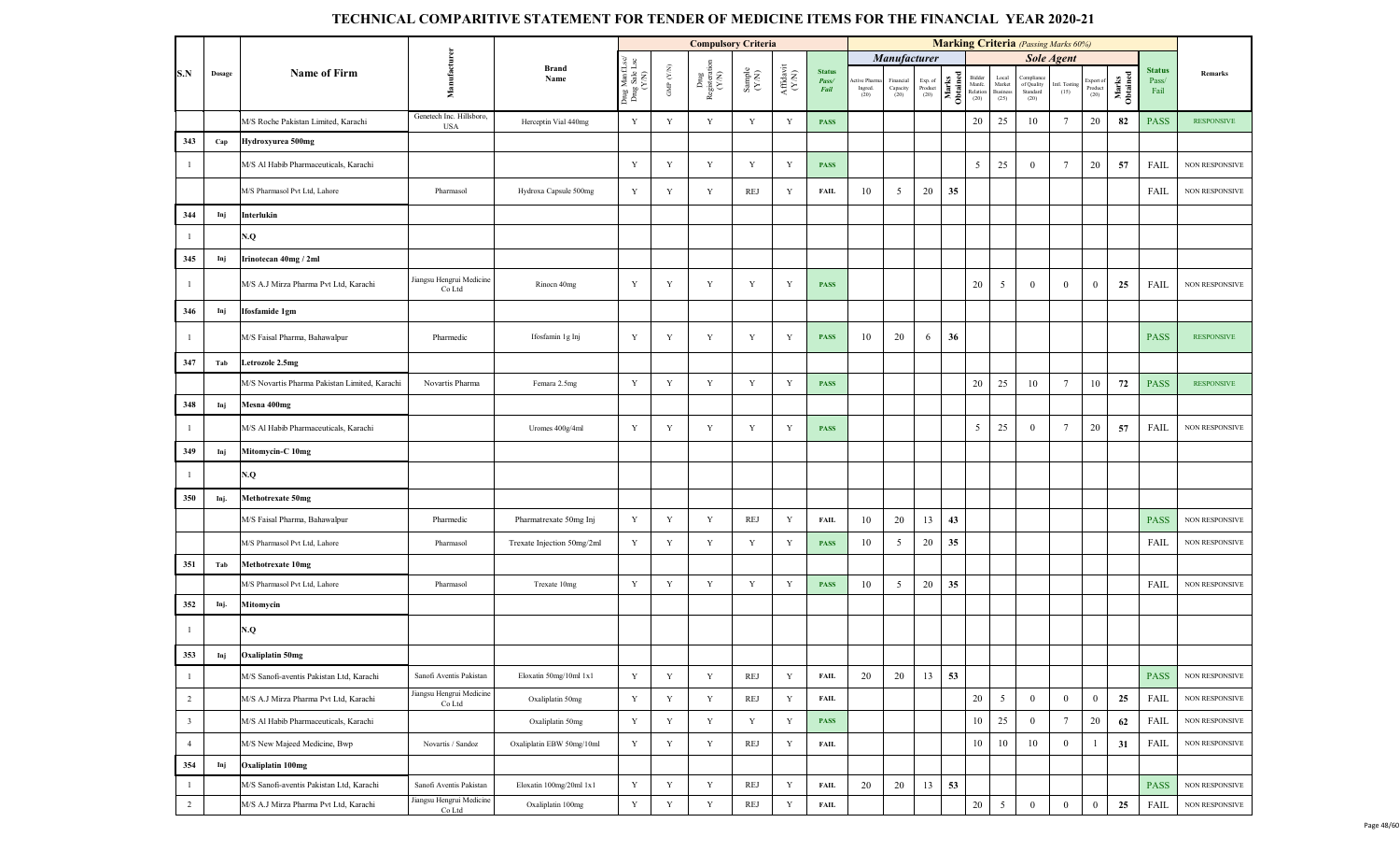|                         |        |                                               |                                        |                            |                                         |                      | <b>Compulsory Criteria</b>     |                                                             |                                       |                                |                                |                               |                            |                   |                                        |                                       | <b>Marking Criteria</b> (Passing Marks 60%) |                       |                              |                   |                                |                       |
|-------------------------|--------|-----------------------------------------------|----------------------------------------|----------------------------|-----------------------------------------|----------------------|--------------------------------|-------------------------------------------------------------|---------------------------------------|--------------------------------|--------------------------------|-------------------------------|----------------------------|-------------------|----------------------------------------|---------------------------------------|---------------------------------------------|-----------------------|------------------------------|-------------------|--------------------------------|-----------------------|
|                         |        |                                               |                                        |                            |                                         |                      |                                |                                                             |                                       |                                |                                | <b>Manufacturer</b>           |                            |                   |                                        |                                       |                                             | <b>Sole Agent</b>     |                              |                   |                                |                       |
| S.N                     | Dosage | <b>Name of Firm</b>                           | Manufacture                            | <b>Brand</b><br>Name       | Drug ManfLsc/<br>Drug Sale Lsc<br>(Y/N) | GMP $(\mathbf{Y/N})$ | Drug<br>Registeration<br>(Y/N) | $\begin{array}{c} \text{Sample} \\ (\text{YN}) \end{array}$ | $\frac{\text{Affdavit}}{\text{N-N)}}$ | <b>Status</b><br>Pass/<br>Fail | ctive Pharm<br>Ingred.<br>(20) | Financial<br>Capacity<br>(20) | Exp. of<br>Product<br>(20) | Marks<br>Obtained | Bidder<br>Manfc.<br>Relation<br>$(20)$ | Local<br>Market<br>Business<br>$(25)$ | Compliand<br>of Quality<br>Standard<br>(20) | intl. Testing<br>(15) | Export of<br>Product<br>(20) | Marks<br>Obtained | <b>Status</b><br>Pass/<br>Fail | Remarks               |
|                         |        | M/S Roche Pakistan Limited, Karachi           | Genetech Inc. Hillsboro,<br><b>USA</b> | Herceptin Vial 440mg       | Y                                       | Y                    | $\mathbf Y$                    | Y                                                           | Y                                     | <b>PASS</b>                    |                                |                               |                            |                   | 20                                     | 25                                    | 10                                          | $\overline{7}$        | 20                           | 82                | <b>PASS</b>                    | <b>RESPONSIVE</b>     |
| 343                     | Cap    | Hydroxyurea 500mg                             |                                        |                            |                                         |                      |                                |                                                             |                                       |                                |                                |                               |                            |                   |                                        |                                       |                                             |                       |                              |                   |                                |                       |
| $\mathbf{1}$            |        | M/S Al Habib Pharmaceuticals, Karachi         |                                        |                            | Y                                       | Y                    | Y                              | Y                                                           | Y                                     | <b>PASS</b>                    |                                |                               |                            |                   | 5                                      | 25                                    | $\overline{0}$                              | 7                     | 20                           | 57                | FAIL                           | NON RESPONSIVE        |
|                         |        | M/S Pharmasol Pvt Ltd, Lahore                 | Pharmasol                              | Hydroxa Capsule 500mg      | Y                                       | Y                    | Y                              | REJ                                                         | Y                                     | <b>FAIL</b>                    | 10                             | 5                             | 20                         | 35                |                                        |                                       |                                             |                       |                              |                   | FAIL                           | <b>NON RESPONSIVE</b> |
| 344                     | Inj    | Interlukin                                    |                                        |                            |                                         |                      |                                |                                                             |                                       |                                |                                |                               |                            |                   |                                        |                                       |                                             |                       |                              |                   |                                |                       |
| -1                      |        | N.Q                                           |                                        |                            |                                         |                      |                                |                                                             |                                       |                                |                                |                               |                            |                   |                                        |                                       |                                             |                       |                              |                   |                                |                       |
| 345                     | Inj    | Irinotecan 40mg / 2ml                         |                                        |                            |                                         |                      |                                |                                                             |                                       |                                |                                |                               |                            |                   |                                        |                                       |                                             |                       |                              |                   |                                |                       |
| $\mathbf{1}$            |        | M/S A.J Mirza Pharma Pvt Ltd, Karachi         | Jiangsu Hengrui Medicine<br>Co Ltd     | Rinocn 40mg                | Y                                       | Y                    | $\mathbf Y$                    | Y                                                           | Y                                     | <b>PASS</b>                    |                                |                               |                            |                   | 20                                     | 5                                     | $\theta$                                    | $\mathbf{0}$          | $\bf{0}$                     | 25                | FAIL                           | <b>NON RESPONSIVE</b> |
| 346                     | Inj    | Ifosfamide 1gm                                |                                        |                            |                                         |                      |                                |                                                             |                                       |                                |                                |                               |                            |                   |                                        |                                       |                                             |                       |                              |                   |                                |                       |
| $\overline{1}$          |        | M/S Faisal Pharma, Bahawalpur                 | Pharmedic                              | Ifosfamin 1g Inj           | Y                                       | Y                    | Y                              | Y                                                           | Y                                     | <b>PASS</b>                    | 10                             | 20                            | 6                          | 36                |                                        |                                       |                                             |                       |                              |                   | <b>PASS</b>                    | <b>RESPONSIVE</b>     |
| 347                     | Tab    | Letrozole 2.5mg                               |                                        |                            |                                         |                      |                                |                                                             |                                       |                                |                                |                               |                            |                   |                                        |                                       |                                             |                       |                              |                   |                                |                       |
|                         |        | M/S Novartis Pharma Pakistan Limited, Karachi | Novartis Pharma                        | Femara 2.5mg               | Y                                       | Y                    | $\mathbf Y$                    | $\mathbf Y$                                                 | Y                                     | <b>PASS</b>                    |                                |                               |                            |                   | 20                                     | 25                                    | 10                                          | $7\phantom{.0}$       | 10                           | 72                | <b>PASS</b>                    | <b>RESPONSIVE</b>     |
| 348                     | Inj    | Mesna 400mg                                   |                                        |                            |                                         |                      |                                |                                                             |                                       |                                |                                |                               |                            |                   |                                        |                                       |                                             |                       |                              |                   |                                |                       |
| $\overline{1}$          |        | M/S Al Habib Pharmaceuticals, Karachi         |                                        | Uromes 400g/4ml            | Y                                       | Y                    | Y                              | Y                                                           | Y                                     | <b>PASS</b>                    |                                |                               |                            |                   | 5                                      | 25                                    | $\overline{0}$                              | -7                    | 20                           | 57                | FAIL                           | NON RESPONSIVE        |
| 349                     | Inj    | Mitomycin-C 10mg                              |                                        |                            |                                         |                      |                                |                                                             |                                       |                                |                                |                               |                            |                   |                                        |                                       |                                             |                       |                              |                   |                                |                       |
| $\mathbf{1}$            |        | N.Q                                           |                                        |                            |                                         |                      |                                |                                                             |                                       |                                |                                |                               |                            |                   |                                        |                                       |                                             |                       |                              |                   |                                |                       |
| 350                     | Inj.   | <b>Methotrexate 50mg</b>                      |                                        |                            |                                         |                      |                                |                                                             |                                       |                                |                                |                               |                            |                   |                                        |                                       |                                             |                       |                              |                   |                                |                       |
|                         |        | M/S Faisal Pharma, Bahawalpur                 | Pharmedic                              | Pharmatrexate 50mg Inj     | Y                                       | Y                    | Y                              | REJ                                                         | Y                                     | <b>FAIL</b>                    | 10                             | 20                            | 13                         | 43                |                                        |                                       |                                             |                       |                              |                   | <b>PASS</b>                    | NON RESPONSIVE        |
|                         |        | M/S Pharmasol Pvt Ltd, Lahore                 | Pharmasol                              | Trexate Injection 50mg/2ml | Y                                       | $\mathbf Y$          | Y                              | $\mathbf Y$                                                 | Y                                     | <b>PASS</b>                    | 10                             | 5                             | $20\,$                     | 35                |                                        |                                       |                                             |                       |                              |                   | FAIL                           | NON RESPONSIVE        |
| 351                     | Tab    | <b>Methotrexate 10mg</b>                      |                                        |                            |                                         |                      |                                |                                                             |                                       |                                |                                |                               |                            |                   |                                        |                                       |                                             |                       |                              |                   |                                |                       |
|                         |        | M/S Pharmasol Pvt Ltd, Lahore                 | Pharmasol                              | Trexate 10mg               | Y                                       | $\mathbf Y$          | $\mathbf Y$                    | $\mathbf Y$                                                 | Y                                     | <b>PASS</b>                    | 10                             | 5                             | 20                         | 35                |                                        |                                       |                                             |                       |                              |                   | FAIL                           | NON RESPONSIVE        |
| 352                     | Inj.   | Mitomycin                                     |                                        |                            |                                         |                      |                                |                                                             |                                       |                                |                                |                               |                            |                   |                                        |                                       |                                             |                       |                              |                   |                                |                       |
| -1                      |        | N.Q                                           |                                        |                            |                                         |                      |                                |                                                             |                                       |                                |                                |                               |                            |                   |                                        |                                       |                                             |                       |                              |                   |                                |                       |
| 353                     | Inj    | <b>Oxaliplatin 50mg</b>                       |                                        |                            |                                         |                      |                                |                                                             |                                       |                                |                                |                               |                            |                   |                                        |                                       |                                             |                       |                              |                   |                                |                       |
| $\mathbf{1}$            |        | M/S Sanofi-aventis Pakistan Ltd, Karachi      | Sanofi Aventis Pakistan                | Eloxatin 50mg/10ml 1x1     | Y                                       | $\mathbf Y$          | $\mathbf Y$                    | REJ                                                         | Y                                     | <b>FAIL</b>                    | 20                             | 20                            | 13                         | 53                |                                        |                                       |                                             |                       |                              |                   | <b>PASS</b>                    | NON RESPONSIVE        |
| $\overline{2}$          |        | M/S A.J Mirza Pharma Pvt Ltd, Karachi         | Jiangsu Hengrui Medicine<br>Co Ltd     | Oxaliplatin 50mg           | $\mathbf Y$                             | $\mathbf Y$          | Y                              | REJ                                                         | $\mathbf Y$                           | <b>FAIL</b>                    |                                |                               |                            |                   | $20\,$                                 | $\mathfrak{s}$                        | $\mathbf{0}$                                | $\bf{0}$              | $\mathbf{0}$                 | 25                | <b>FAIL</b>                    | NON RESPONSIVE        |
| $\overline{\mathbf{3}}$ |        | M/S Al Habib Pharmaceuticals, Karachi         |                                        | Oxaliplatin 50mg           | $\mathbf Y$                             | $\mathbf Y$          | Y                              | Y                                                           | Y                                     | <b>PASS</b>                    |                                |                               |                            |                   | 10                                     | 25                                    | $\overline{0}$                              | 7                     | 20                           | 62                | <b>FAIL</b>                    | NON RESPONSIVE        |
| $\overline{4}$          |        | M/S New Majeed Medicine, Bwp                  | Novartis / Sandoz                      | Oxaliplatin EBW 50mg/10ml  | $\mathbf Y$                             | $\mathbf Y$          | $\mathbf Y$                    | REJ                                                         | $\mathbf Y$                           | <b>FAIL</b>                    |                                |                               |                            |                   | 10                                     | 10                                    | 10                                          | $\mathbf{0}$          | 1                            | 31                | FAIL                           | NON RESPONSIVE        |
| 354                     | Inj    | Oxaliplatin 100mg                             |                                        |                            |                                         |                      |                                |                                                             |                                       |                                |                                |                               |                            |                   |                                        |                                       |                                             |                       |                              |                   |                                |                       |
| $\mathbf{1}$            |        | M/S Sanofi-aventis Pakistan Ltd, Karachi      | Sanofi Aventis Pakistan                | Eloxatin 100mg/20ml 1x1    | $\mathbf Y$                             | $\mathbf Y$          | $\mathbf Y$                    | REJ                                                         | Y                                     | <b>FAIL</b>                    | 20                             | 20                            | 13                         | 53                |                                        |                                       |                                             |                       |                              |                   | <b>PASS</b>                    | <b>NON RESPONSIVE</b> |
| $\overline{2}$          |        | M/S A.J Mirza Pharma Pvt Ltd, Karachi         | Jiangsu Hengrui Medicine<br>Co Ltd     | Oxaliplatin 100mg          | $\mathbf Y$                             | $\mathbf Y$          | $\mathbf Y$                    | REJ                                                         | $\mathbf Y$                           | <b>FAIL</b>                    |                                |                               |                            |                   | $20\,$                                 | $5\overline{)}$                       | $\mathbf{0}$                                | $\bf{0}$              | $\overline{0}$               | 25                | FAIL                           | NON RESPONSIVE        |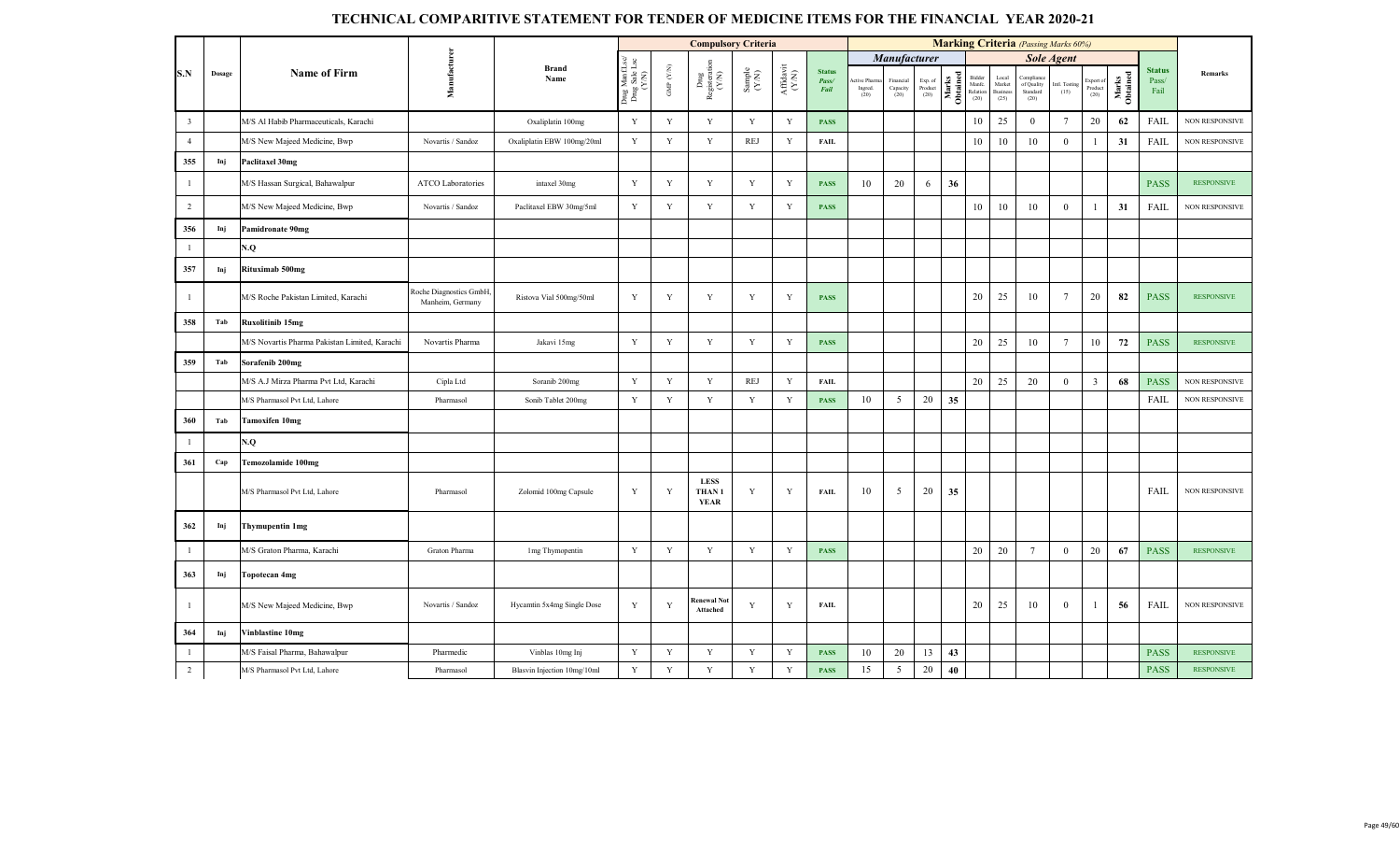|                         |        |                                               |                                            |                             |                                         |                          | <b>Compulsory Criteria</b>                                                          |                                                             |                                           |                                |                                |                               |                            |                   |                                      |                                            | <b>Marking Criteria</b> (Passing Marks 60%) |                       |                              |                   |                                |                       |
|-------------------------|--------|-----------------------------------------------|--------------------------------------------|-----------------------------|-----------------------------------------|--------------------------|-------------------------------------------------------------------------------------|-------------------------------------------------------------|-------------------------------------------|--------------------------------|--------------------------------|-------------------------------|----------------------------|-------------------|--------------------------------------|--------------------------------------------|---------------------------------------------|-----------------------|------------------------------|-------------------|--------------------------------|-----------------------|
|                         |        |                                               |                                            |                             |                                         |                          |                                                                                     |                                                             |                                           |                                |                                | Manufacturer                  |                            |                   |                                      |                                            |                                             | <b>Sole Agent</b>     |                              |                   |                                |                       |
| S.N                     | Dosage | <b>Name of Firm</b>                           | Manufacturer                               | <b>Brand</b><br>Name        | Drug ManfLsc/<br>Drug Sale Lsc<br>(Y/N) | ${\rm GMP}$ ${\rm (YN)}$ | $\begin{array}{c}\n\text{Dng} \\ \text{Registeration} \\ \text{(Y/N)}\n\end{array}$ | $\begin{array}{c} \text{Sample} \\ (\text{YN}) \end{array}$ | ${\bf Aff} {\bf davit} \atop ({\bf Y/N})$ | <b>Status</b><br>Pass/<br>Fail | \ctive Phaπ<br>Ingred.<br>(20) | Financial<br>Capacity<br>(20) | Exp. of<br>Product<br>(20) | Marks<br>Obtained | Bidder<br>Manfe.<br>Relation<br>(20) | Local<br>Market<br><b>Business</b><br>(25) | Complian<br>of Quality<br>Standard<br>(20)  | Intl. Testing<br>(15) | Export of<br>Product<br>(20) | Marks<br>Obtained | <b>Status</b><br>Pass/<br>Fail | Remarks               |
| $\overline{\mathbf{3}}$ |        | M/S Al Habib Pharmaceuticals, Karachi         |                                            | Oxaliplatin 100mg           | Y                                       | Y                        | Y                                                                                   | Y                                                           | Y                                         | <b>PASS</b>                    |                                |                               |                            |                   | 10                                   | 25                                         | $\theta$                                    | $7\phantom{.0}$       | 20                           | 62                | FAIL                           | <b>NON RESPONSIVE</b> |
| $\overline{4}$          |        | M/S New Majeed Medicine, Bwp                  | Novartis / Sandoz                          | Oxaliplatin EBW 100mg/20ml  | $\mathbf Y$                             | Y                        | $\mathbf Y$                                                                         | <b>REJ</b>                                                  | Y                                         | <b>FAIL</b>                    |                                |                               |                            |                   | 10                                   | 10                                         | 10                                          | $\mathbf{0}$          | 1                            | 31                | FAIL                           | NON RESPONSIVE        |
| 355                     | Inj    | Paclitaxel 30mg                               |                                            |                             |                                         |                          |                                                                                     |                                                             |                                           |                                |                                |                               |                            |                   |                                      |                                            |                                             |                       |                              |                   |                                |                       |
| -1                      |        | M/S Hassan Surgical, Bahawalpur               | <b>ATCO Laboratories</b>                   | intaxel 30mg                | Y                                       | Y                        | Y                                                                                   | Y                                                           | Y                                         | <b>PASS</b>                    | 10                             | 20                            | 6                          | 36                |                                      |                                            |                                             |                       |                              |                   | <b>PASS</b>                    | <b>RESPONSIVE</b>     |
| $\overline{2}$          |        | M/S New Majeed Medicine, Bwp                  | Novartis / Sandoz                          | Paclitaxel EBW 30mg/5ml     | Y                                       | Y                        | $\mathbf Y$                                                                         | Y                                                           | Y                                         | <b>PASS</b>                    |                                |                               |                            |                   | 10                                   | 10                                         | 10                                          | $\mathbf{0}$          |                              | 31                | <b>FAIL</b>                    | <b>NON RESPONSIVE</b> |
| 356                     | Inj    | Pamidronate 90mg                              |                                            |                             |                                         |                          |                                                                                     |                                                             |                                           |                                |                                |                               |                            |                   |                                      |                                            |                                             |                       |                              |                   |                                |                       |
| $\overline{1}$          |        | V.Q                                           |                                            |                             |                                         |                          |                                                                                     |                                                             |                                           |                                |                                |                               |                            |                   |                                      |                                            |                                             |                       |                              |                   |                                |                       |
| 357                     | Inj    | Rituximab 500mg                               |                                            |                             |                                         |                          |                                                                                     |                                                             |                                           |                                |                                |                               |                            |                   |                                      |                                            |                                             |                       |                              |                   |                                |                       |
| $\mathbf{1}$            |        | M/S Roche Pakistan Limited, Karachi           | Roche Diagnostics GmbH<br>Manheim, Germany | Ristova Vial 500mg/50ml     | Y                                       | Y                        | $\mathbf Y$                                                                         | Y                                                           | Y                                         | <b>PASS</b>                    |                                |                               |                            |                   | 20                                   | 25                                         | 10                                          | $7\phantom{.0}$       | 20                           | 82                | <b>PASS</b>                    | <b>RESPONSIVE</b>     |
| 358                     | Tab    | Ruxolitinib 15mg                              |                                            |                             |                                         |                          |                                                                                     |                                                             |                                           |                                |                                |                               |                            |                   |                                      |                                            |                                             |                       |                              |                   |                                |                       |
|                         |        | M/S Novartis Pharma Pakistan Limited, Karachi | Novartis Pharma                            | Jakavi 15mg                 | Y                                       | Y                        | Y                                                                                   | Y                                                           | Y                                         | <b>PASS</b>                    |                                |                               |                            |                   | 20                                   | 25                                         | 10                                          | $7\phantom{.0}$       | 10                           | 72                | <b>PASS</b>                    | <b>RESPONSIVE</b>     |
| 359                     | Tab    | Sorafenib 200mg                               |                                            |                             |                                         |                          |                                                                                     |                                                             |                                           |                                |                                |                               |                            |                   |                                      |                                            |                                             |                       |                              |                   |                                |                       |
|                         |        | M/S A.J Mirza Pharma Pvt Ltd. Karachi         | Cipla Ltd                                  | Soranib 200mg               | Y                                       | Y                        | Y                                                                                   | <b>REJ</b>                                                  | Y                                         | FAIL                           |                                |                               |                            |                   | $20\,$                               | 25                                         | 20                                          | $\mathbf{0}$          | $\overline{\mathbf{3}}$      | 68                | <b>PASS</b>                    | <b>NON RESPONSIVE</b> |
|                         |        | M/S Pharmasol Pvt Ltd, Lahore                 | Pharmasol                                  | Sonib Tablet 200mg          | $\mathbf Y$                             | Y                        | Y                                                                                   | $\mathbf Y$                                                 | $\mathbf Y$                               | <b>PASS</b>                    | 10                             | 5                             | 20                         | 35                |                                      |                                            |                                             |                       |                              |                   | FAIL                           | NON RESPONSIVE        |
| 360                     | Tab    | Tamoxifen 10mg                                |                                            |                             |                                         |                          |                                                                                     |                                                             |                                           |                                |                                |                               |                            |                   |                                      |                                            |                                             |                       |                              |                   |                                |                       |
|                         |        | V.Q                                           |                                            |                             |                                         |                          |                                                                                     |                                                             |                                           |                                |                                |                               |                            |                   |                                      |                                            |                                             |                       |                              |                   |                                |                       |
| 361                     | Cap    | Temozolamide 100mg                            |                                            |                             |                                         |                          |                                                                                     |                                                             |                                           |                                |                                |                               |                            |                   |                                      |                                            |                                             |                       |                              |                   |                                |                       |
|                         |        | M/S Pharmasol Pvt Ltd, Lahore                 | Pharmasol                                  | Zolomid 100mg Capsule       | Y                                       | Y                        | <b>LESS</b><br>THAN <sub>1</sub><br><b>YEAR</b>                                     | Y                                                           | Y                                         | <b>FAIL</b>                    | 10                             | 5                             | 20                         | 35                |                                      |                                            |                                             |                       |                              |                   | <b>FAIL</b>                    | <b>NON RESPONSIVE</b> |
| 362                     | Inj    | Thymupentin 1mg                               |                                            |                             |                                         |                          |                                                                                     |                                                             |                                           |                                |                                |                               |                            |                   |                                      |                                            |                                             |                       |                              |                   |                                |                       |
| $\mathbf{1}$            |        | M/S Graton Pharma, Karachi                    | Graton Pharma                              | 1mg Thymopentin             | $\mathbf Y$                             | Y                        | Y                                                                                   | Y                                                           | Y                                         | <b>PASS</b>                    |                                |                               |                            |                   | 20                                   | 20                                         | $7\phantom{.0}$                             | $\overline{0}$        | 20                           | 67                | <b>PASS</b>                    | <b>RESPONSIVE</b>     |
| 363                     | Inj    | <b>Topotecan 4mg</b>                          |                                            |                             |                                         |                          |                                                                                     |                                                             |                                           |                                |                                |                               |                            |                   |                                      |                                            |                                             |                       |                              |                   |                                |                       |
| $\mathbf{1}$            |        | M/S New Majeed Medicine, Bwp                  | Novartis / Sandoz                          | Hycamtin 5x4mg Single Dose  | Y                                       | Y                        | Renewal No<br>Attached                                                              | Y                                                           | Y                                         | <b>FAIL</b>                    |                                |                               |                            |                   | 20                                   | 25                                         | 10                                          | $\overline{0}$        | -1                           | 56                | <b>FAIL</b>                    | <b>NON RESPONSIVE</b> |
| 364                     | Inj    | Vinblastine 10mg                              |                                            |                             |                                         |                          |                                                                                     |                                                             |                                           |                                |                                |                               |                            |                   |                                      |                                            |                                             |                       |                              |                   |                                |                       |
| $\mathbf{1}$            |        | M/S Faisal Pharma, Bahawalpur                 | Pharmedic                                  | Vinblas 10mg Inj            | Y                                       | Y                        | Y                                                                                   | Y                                                           | Y                                         | <b>PASS</b>                    | 10                             | 20                            | 13                         | 43                |                                      |                                            |                                             |                       |                              |                   | <b>PASS</b>                    | <b>RESPONSIVE</b>     |
| $\overline{2}$          |        | M/S Pharmasol Pvt Ltd, Lahore                 | Pharmasol                                  | Blasvin Injection 10mg/10ml | $\mathbf Y$                             | Y                        | Y                                                                                   | Y                                                           | Y                                         | <b>PASS</b>                    | 15                             | 5                             | 20                         | 40                |                                      |                                            |                                             |                       |                              |                   | <b>PASS</b>                    | <b>RESPONSIVE</b>     |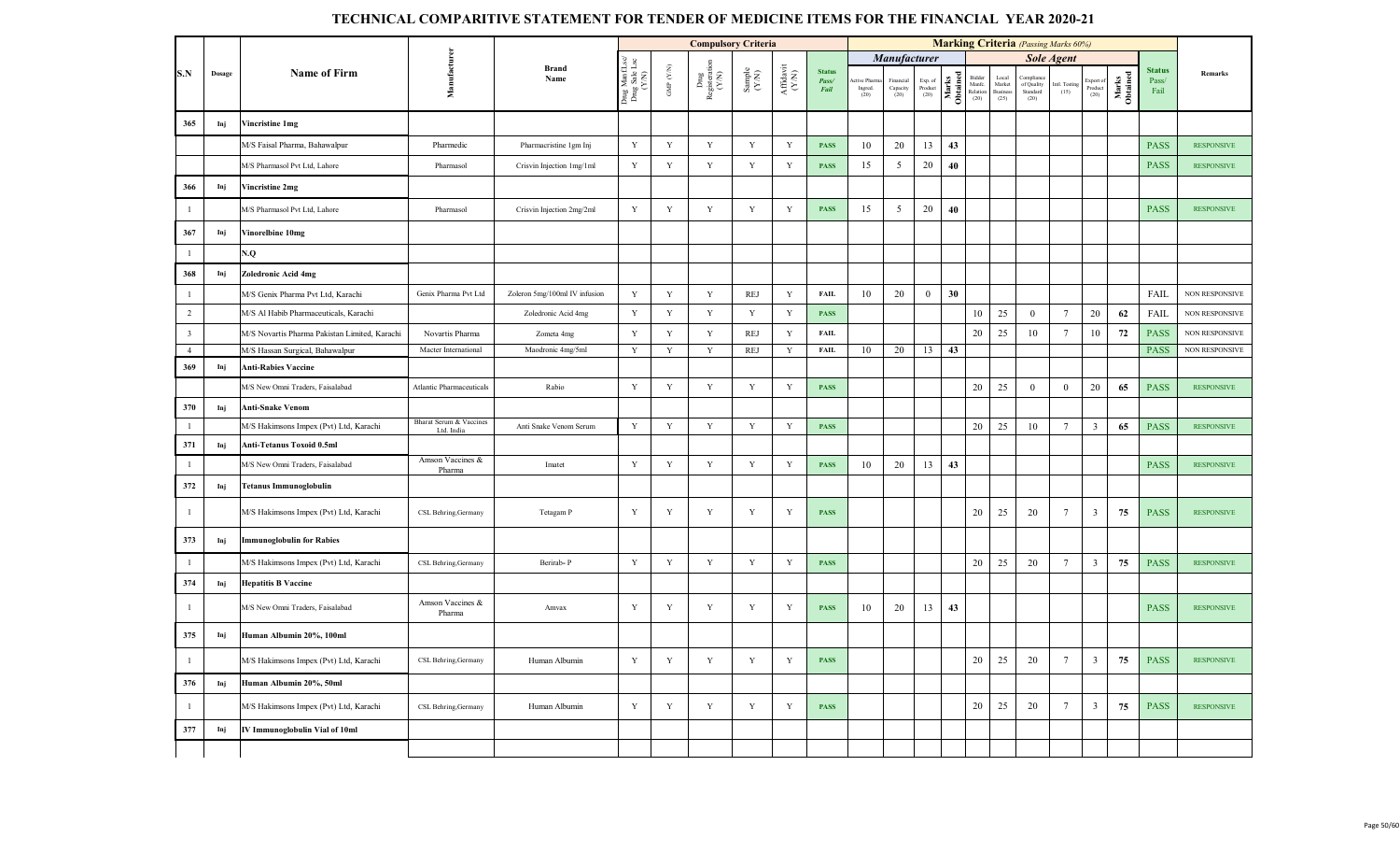|                         |        |                                               |                                       |                               |                                                     |                                 | <b>Compulsory Criteria</b>     |                                                             |                              |                                |                                |                               |                            |                   |                                     |                                    | <b>Marking Criteria</b> (Passing Marks 60%) |                       |                            |                   |                                |                   |
|-------------------------|--------|-----------------------------------------------|---------------------------------------|-------------------------------|-----------------------------------------------------|---------------------------------|--------------------------------|-------------------------------------------------------------|------------------------------|--------------------------------|--------------------------------|-------------------------------|----------------------------|-------------------|-------------------------------------|------------------------------------|---------------------------------------------|-----------------------|----------------------------|-------------------|--------------------------------|-------------------|
|                         |        |                                               |                                       |                               |                                                     |                                 |                                |                                                             |                              |                                |                                | Manufacturer                  |                            |                   |                                     |                                    |                                             | <b>Sole Agent</b>     |                            |                   |                                |                   |
| S.N                     | Dosage | <b>Name of Firm</b>                           | Manufacturen                          | <b>Brand</b><br>Name          | ¤<br>⊔<br>⊔<br>Drug Manf.L<br>Drug Sale L.<br>(Y/N) | GMP $(\mathcal{Y},\mathcal{N})$ | Drug<br>Registeration<br>(Y/N) | $\begin{array}{c} \text{Sample} \\ (\text{YM}) \end{array}$ | ${\bf Affa} {\bf vit}$ (Y/N) | <b>Status</b><br>Pass/<br>Fail | ctive Pharr<br>Ingred.<br>(20) | Financial<br>Capacity<br>(20) | Exp. of<br>Product<br>(20) | Marks<br>Obtained | Bidde<br>Manfc.<br>Relation<br>(20) | Local<br>Market<br>Busines<br>(25) | Complian<br>of Quality<br>Standard<br>(20)  | Intl. Testing<br>(15) | xport o<br>Product<br>(20) | Marks<br>Obtained | <b>Status</b><br>Pass/<br>Fail | Remarks           |
| 365                     | Inj    | Vincristine 1mg                               |                                       |                               |                                                     |                                 |                                |                                                             |                              |                                |                                |                               |                            |                   |                                     |                                    |                                             |                       |                            |                   |                                |                   |
|                         |        | M/S Faisal Pharma, Bahawalpur                 | Pharmedic                             | Pharmacristine 1gm Inj        | Y                                                   | Y                               | Y                              | Y                                                           | Y                            | <b>PASS</b>                    | 10                             | 20                            | 13                         | 43                |                                     |                                    |                                             |                       |                            |                   | <b>PASS</b>                    | <b>RESPONSIVE</b> |
|                         |        | M/S Pharmasol Pvt Ltd, Lahore                 | Pharmasol                             | Crisvin Injection 1mg/1ml     | Y                                                   | Y                               | $\mathbf Y$                    | Y                                                           | Y                            | <b>PASS</b>                    | 15                             | 5                             | 20                         | 40                |                                     |                                    |                                             |                       |                            |                   | <b>PASS</b>                    | <b>RESPONSIVE</b> |
| 366                     | Inj    | Vincristine 2mg                               |                                       |                               |                                                     |                                 |                                |                                                             |                              |                                |                                |                               |                            |                   |                                     |                                    |                                             |                       |                            |                   |                                |                   |
| $\mathbf{1}$            |        | M/S Pharmasol Pvt Ltd, Lahore                 | Pharmasol                             | Crisvin Injection 2mg/2ml     | $\mathbf Y$                                         | Y                               | $\mathbf Y$                    | $\mathbf Y$                                                 | Y                            | <b>PASS</b>                    | 15                             | $\mathfrak{S}$                | 20                         | 40                |                                     |                                    |                                             |                       |                            |                   | <b>PASS</b>                    | <b>RESPONSIVE</b> |
| 367                     | Inj    | Vinorelbine 10mg                              |                                       |                               |                                                     |                                 |                                |                                                             |                              |                                |                                |                               |                            |                   |                                     |                                    |                                             |                       |                            |                   |                                |                   |
| $\mathbf{1}$            |        | N.Q                                           |                                       |                               |                                                     |                                 |                                |                                                             |                              |                                |                                |                               |                            |                   |                                     |                                    |                                             |                       |                            |                   |                                |                   |
| 368                     | Inj    | Zoledronic Acid 4mg                           |                                       |                               |                                                     |                                 |                                |                                                             |                              |                                |                                |                               |                            |                   |                                     |                                    |                                             |                       |                            |                   |                                |                   |
| $\mathbf{1}$            |        | M/S Genix Pharma Pvt Ltd, Karachi             | Genix Pharma Pvt Ltd                  | Zoleron 5mg/100ml IV infusion | Y                                                   | Y                               | Y                              | <b>REJ</b>                                                  | Y                            | <b>FAIL</b>                    | 10                             | 20                            | $\mathbf{0}$               | 30                |                                     |                                    |                                             |                       |                            |                   | FAIL                           | NON RESPONSIVE    |
| $\overline{2}$          |        | M/S Al Habib Pharmaceuticals, Karachi         |                                       | Zoledronic Acid 4mg           | Y                                                   | $\mathbf Y$                     | Y                              | Y                                                           | $\mathbf Y$                  | <b>PASS</b>                    |                                |                               |                            |                   | 10                                  | 25                                 | $\mathbf{0}$                                | $7\phantom{.0}$       | 20                         | 62                | <b>FAIL</b>                    | NON RESPONSIVE    |
| $\overline{\mathbf{3}}$ |        | M/S Novartis Pharma Pakistan Limited, Karachi | Novartis Pharma                       | Zometa 4mg                    | Y                                                   | Y                               | $\mathbf Y$                    | <b>REJ</b>                                                  | Y                            | <b>FAIL</b>                    |                                |                               |                            |                   | 20                                  | 25                                 | 10                                          | 7                     | 10                         | 72                | <b>PASS</b>                    | NON RESPONSIVE    |
| $\overline{4}$          |        | M/S Hassan Surgical, Bahawalpur               | Macter International                  | Maodronic 4mg/5ml             | Y                                                   | Y                               | Y                              | <b>REJ</b>                                                  | Y                            | FAIL                           | 10                             | 20                            | 13                         | 43                |                                     |                                    |                                             |                       |                            |                   | <b>PASS</b>                    | NON RESPONSIVE    |
| 369                     | Inj    | <b>Anti-Rabies Vaccine</b>                    |                                       |                               |                                                     |                                 |                                |                                                             |                              |                                |                                |                               |                            |                   |                                     |                                    |                                             |                       |                            |                   |                                |                   |
|                         |        | M/S New Omni Traders, Faisalabad              | Atlantic Pharmaceuticals              | Rabio                         | $\mathbf Y$                                         | $\mathbf Y$                     | $\mathbf Y$                    | $\mathbf Y$                                                 | Y                            | <b>PASS</b>                    |                                |                               |                            |                   | 20                                  | 25                                 | $\mathbf{0}$                                | $\bf{0}$              | 20                         | 65                | <b>PASS</b>                    | <b>RESPONSIVE</b> |
| 370                     | Inj    | <b>Anti-Snake Venom</b>                       |                                       |                               |                                                     |                                 |                                |                                                             |                              |                                |                                |                               |                            |                   |                                     |                                    |                                             |                       |                            |                   |                                |                   |
| $\mathbf{1}$            |        | M/S Hakimsons Impex (Pvt) Ltd, Karachi        | Bharat Serum & Vaccines<br>Ltd. India | Anti Snake Venom Serum        | $\mathbf Y$                                         | $\mathbf Y$                     | $\mathbf Y$                    | $\mathbf Y$                                                 | $\mathbf Y$                  | <b>PASS</b>                    |                                |                               |                            |                   | 20                                  | 25                                 | 10                                          | $7\phantom{.0}$       | $\overline{3}$             | 65                | <b>PASS</b>                    | <b>RESPONSIVE</b> |
| 371                     | Inj    | Anti-Tetanus Toxoid 0.5ml                     |                                       |                               |                                                     |                                 |                                |                                                             |                              |                                |                                |                               |                            |                   |                                     |                                    |                                             |                       |                            |                   |                                |                   |
| $\mathbf{1}$            |        | M/S New Omni Traders, Faisalabad              | Amson Vaccines &<br>Pharma            | Imatet                        | $\mathbf Y$                                         | $\mathbf Y$                     | $\mathbf Y$                    | $\mathbf Y$                                                 | $\mathbf Y$                  | <b>PASS</b>                    | 10                             | 20                            | 13                         | 43                |                                     |                                    |                                             |                       |                            |                   | <b>PASS</b>                    | <b>RESPONSIVE</b> |
| 372                     | Inj    | <b>Tetanus Immunoglobulin</b>                 |                                       |                               |                                                     |                                 |                                |                                                             |                              |                                |                                |                               |                            |                   |                                     |                                    |                                             |                       |                            |                   |                                |                   |
| $\mathbf{1}$            |        | M/S Hakimsons Impex (Pvt) Ltd, Karachi        | CSL Behring, Germany                  | Tetagam P                     | Y                                                   | Y                               | Y                              | $\mathbf Y$                                                 | Y                            | <b>PASS</b>                    |                                |                               |                            |                   | 20                                  | 25                                 | 20                                          | 7                     | $\overline{\mathbf{3}}$    | 75                | <b>PASS</b>                    | <b>RESPONSIVE</b> |
| 373                     | Inj    | <b>Immunoglobulin for Rabies</b>              |                                       |                               |                                                     |                                 |                                |                                                             |                              |                                |                                |                               |                            |                   |                                     |                                    |                                             |                       |                            |                   |                                |                   |
| $\mathbf{1}$            |        | M/S Hakimsons Impex (Pvt) Ltd, Karachi        | CSL Behring, Germany                  | Berirab-P                     | Y                                                   | Y                               | $\mathbf Y$                    | Y                                                           | Y                            | <b>PASS</b>                    |                                |                               |                            |                   | 20                                  | 25                                 | 20                                          | $7\phantom{.0}$       | $\overline{3}$             | 75                | <b>PASS</b>                    | <b>RESPONSIVE</b> |
| 374                     | Inj    | <b>Hepatitis B Vaccine</b>                    |                                       |                               |                                                     |                                 |                                |                                                             |                              |                                |                                |                               |                            |                   |                                     |                                    |                                             |                       |                            |                   |                                |                   |
| $\mathbf{1}$            |        | M/S New Omni Traders, Faisalabad              | Amson Vaccines &<br>Pharma            | Amvax                         | Y                                                   | $\mathbf Y$                     | $\mathbf Y$                    | $\mathbf Y$                                                 | Y                            | <b>PASS</b>                    | 10                             | 20                            | 13                         | 43                |                                     |                                    |                                             |                       |                            |                   | <b>PASS</b>                    | <b>RESPONSIVE</b> |
| 375                     | Inj    | Human Albumin 20%, 100ml                      |                                       |                               |                                                     |                                 |                                |                                                             |                              |                                |                                |                               |                            |                   |                                     |                                    |                                             |                       |                            |                   |                                |                   |
| $\mathbf{1}$            |        | M/S Hakimsons Impex (Pvt) Ltd, Karachi        | CSL Behring, Germany                  | Human Albumin                 | Y                                                   | $\mathbf Y$                     | Y                              | Y                                                           | Y                            | <b>PASS</b>                    |                                |                               |                            |                   | 20                                  | 25                                 | 20                                          | $7\phantom{.0}$       | $\overline{3}$             | 75                | <b>PASS</b>                    | <b>RESPONSIVE</b> |
| 376                     | Inj    | Human Albumin 20%, 50ml                       |                                       |                               |                                                     |                                 |                                |                                                             |                              |                                |                                |                               |                            |                   |                                     |                                    |                                             |                       |                            |                   |                                |                   |
| $\mathbf{1}$            |        | M/S Hakimsons Impex (Pvt) Ltd, Karachi        | CSL Behring, Germany                  | Human Albumin                 | Y                                                   | Y                               | Y                              | $\mathbf Y$                                                 | Y                            | <b>PASS</b>                    |                                |                               |                            |                   | 20                                  | 25                                 | 20                                          | 7                     | $\overline{\mathbf{3}}$    | 75                | <b>PASS</b>                    | <b>RESPONSIVE</b> |
| 377                     | Inj    | IV Immunoglobulin Vial of 10ml                |                                       |                               |                                                     |                                 |                                |                                                             |                              |                                |                                |                               |                            |                   |                                     |                                    |                                             |                       |                            |                   |                                |                   |
|                         |        |                                               |                                       |                               |                                                     |                                 |                                |                                                             |                              |                                |                                |                               |                            |                   |                                     |                                    |                                             |                       |                            |                   |                                |                   |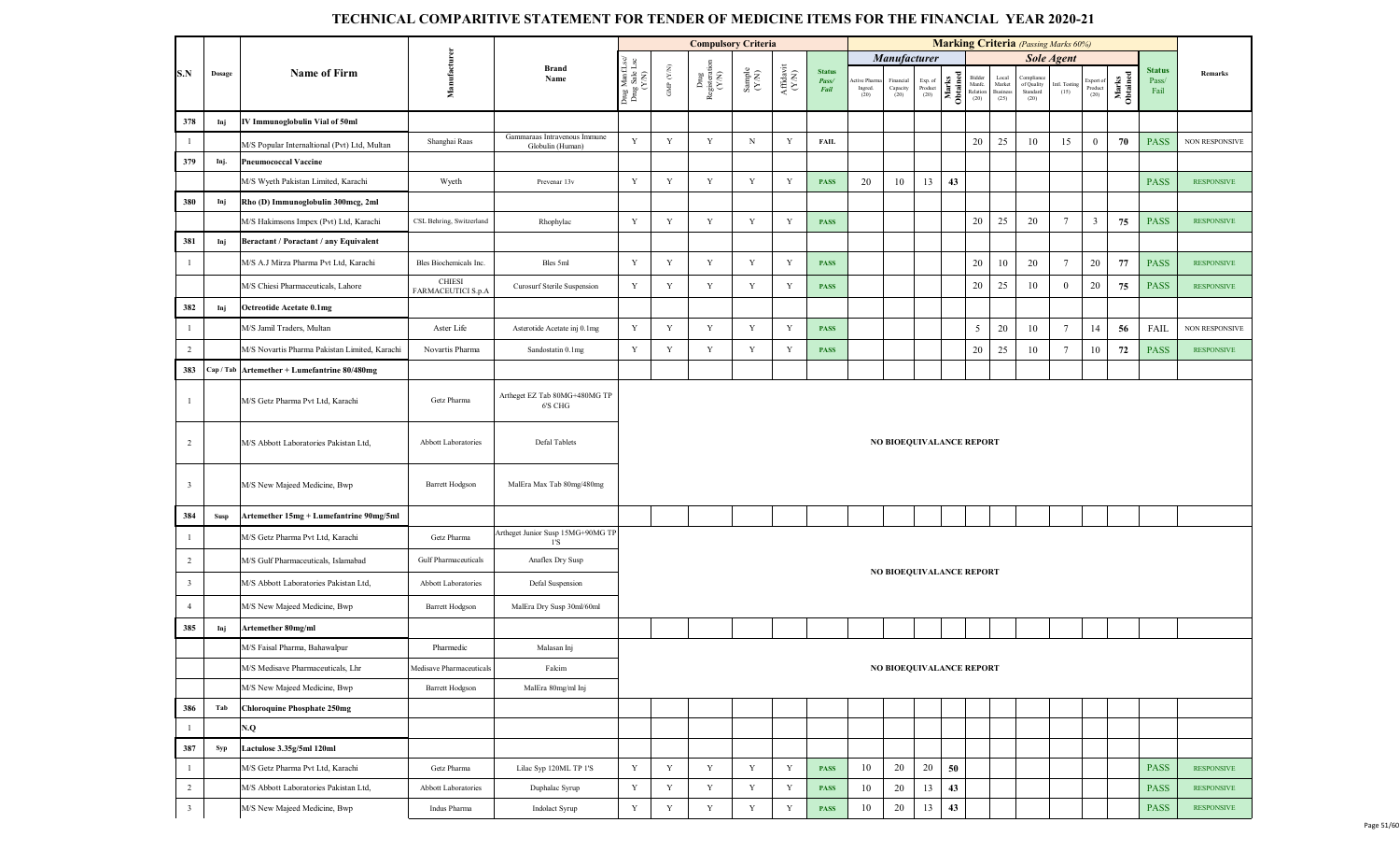|                         |        |                                                |                                     |                                                  |                                          |                      | <b>Compulsory Criteria</b>                                             |                                                             |                                                                                                         |                                |                               |                                 |                            |                   |                                      |                                            | <b>Marking Criteria</b> (Passing Marks 60%)  |                       |                              |                   |                                |                   |
|-------------------------|--------|------------------------------------------------|-------------------------------------|--------------------------------------------------|------------------------------------------|----------------------|------------------------------------------------------------------------|-------------------------------------------------------------|---------------------------------------------------------------------------------------------------------|--------------------------------|-------------------------------|---------------------------------|----------------------------|-------------------|--------------------------------------|--------------------------------------------|----------------------------------------------|-----------------------|------------------------------|-------------------|--------------------------------|-------------------|
|                         |        |                                                |                                     |                                                  |                                          |                      |                                                                        |                                                             |                                                                                                         |                                |                               | <b>Manufacturer</b>             |                            |                   |                                      |                                            |                                              | <b>Sole Agent</b>     |                              |                   |                                |                   |
| S.N                     | Dosage | <b>Name of Firm</b>                            | Manufacturer                        | <b>Brand</b><br>Name                             | Drug Manf.Lsc/<br>Drug Sale Lsc<br>(Y/N) | GMP $(\mathbf{Y/N})$ | $\begin{array}{c} \rm{Dng} \\ \rm{Registeration} \\ (Y/N) \end{array}$ | $\begin{array}{c} \text{Sample} \\ (\text{YN}) \end{array}$ | $\begin{array}{c} \textrm{Aff} \textrm{davit}\\ \textrm{(\footnotesize{Y}^{\textrm{(N)}})} \end{array}$ | <b>Status</b><br>Pass/<br>Fail | tive Pharm<br>Ingred.<br>(20) | Financial<br>Capacity<br>(20)   | Exp. of<br>Product<br>(20) | Marks<br>Obtained | Bidder<br>Manfe.<br>Relation<br>(20) | Local<br>Market<br><b>Business</b><br>(25) | Compliance<br>of Quality<br>Standard<br>(20) | Intl. Testing<br>(15) | Export of<br>Product<br>(20) | Marks<br>Obtained | <b>Status</b><br>Pass/<br>Fail | Remarks           |
| 378                     | Inj    | IV Immunoglobulin Vial of 50ml                 |                                     |                                                  |                                          |                      |                                                                        |                                                             |                                                                                                         |                                |                               |                                 |                            |                   |                                      |                                            |                                              |                       |                              |                   |                                |                   |
| $\overline{1}$          |        | M/S Popular Internaltional (Pvt) Ltd, Multan   | Shanghai Raas                       | Gammaraas Intravenous Immune<br>Globulin (Human) | $\mathbf Y$                              | Y                    | $\mathbf Y$                                                            | $_{\rm N}$                                                  | $\mathbf Y$                                                                                             | <b>FAIL</b>                    |                               |                                 |                            |                   | 20                                   | 25                                         | 10                                           | 15                    | $\bf{0}$                     | 70                | <b>PASS</b>                    | NON RESPONSIVE    |
| 379                     | Inj.   | <b>Pneumococcal Vaccine</b>                    |                                     |                                                  |                                          |                      |                                                                        |                                                             |                                                                                                         |                                |                               |                                 |                            |                   |                                      |                                            |                                              |                       |                              |                   |                                |                   |
|                         |        | M/S Wyeth Pakistan Limited, Karachi            | Wyeth                               | Prevenar 13v                                     | $\mathbf Y$                              | Y                    | Y                                                                      | $\mathbf Y$                                                 | $\mathbf Y$                                                                                             | <b>PASS</b>                    | 20                            | 10                              | 13                         | 43                |                                      |                                            |                                              |                       |                              |                   | <b>PASS</b>                    | <b>RESPONSIVE</b> |
| 380                     | Inj    | Rho (D) Immunoglobulin 300mcg, 2ml             |                                     |                                                  |                                          |                      |                                                                        |                                                             |                                                                                                         |                                |                               |                                 |                            |                   |                                      |                                            |                                              |                       |                              |                   |                                |                   |
|                         |        | M/S Hakimsons Impex (Pvt) Ltd, Karachi         | CSL Behring, Switzerland            | Rhophylac                                        | Y                                        | $\mathbf Y$          | Y                                                                      | $\mathbf Y$                                                 | Y                                                                                                       | <b>PASS</b>                    |                               |                                 |                            |                   | 20                                   | 25                                         | 20                                           | $\overline{7}$        | 3                            | 75                | <b>PASS</b>                    | <b>RESPONSIVE</b> |
| 381                     | Inj    | Beractant / Poractant / any Equivalent         |                                     |                                                  |                                          |                      |                                                                        |                                                             |                                                                                                         |                                |                               |                                 |                            |                   |                                      |                                            |                                              |                       |                              |                   |                                |                   |
| $\overline{1}$          |        | M/S A.J Mirza Pharma Pvt Ltd, Karachi          | Bles Biochemicals Inc.              | Bles 5ml                                         | $\mathbf Y$                              | $\mathbf Y$          | Y                                                                      | $\mathbf Y$                                                 | $\mathbf Y$                                                                                             | <b>PASS</b>                    |                               |                                 |                            |                   | 20                                   | 10                                         | 20                                           | $\overline{7}$        | 20                           | 77                | <b>PASS</b>                    | <b>RESPONSIVE</b> |
|                         |        | M/S Chiesi Pharmaceuticals, Lahore             | <b>CHIESI</b><br>FARMACEUTICI S.p.A | Curosurf Sterile Suspension                      | Y                                        | $\mathbf Y$          | Y                                                                      | Y                                                           | Y                                                                                                       | <b>PASS</b>                    |                               |                                 |                            |                   | 20                                   | 25                                         | 10                                           | $\bf{0}$              | 20                           | 75                | <b>PASS</b>                    | <b>RESPONSIVE</b> |
| 382                     | Inj    | <b>Octreotide Acetate 0.1mg</b>                |                                     |                                                  |                                          |                      |                                                                        |                                                             |                                                                                                         |                                |                               |                                 |                            |                   |                                      |                                            |                                              |                       |                              |                   |                                |                   |
| $\overline{1}$          |        | M/S Jamil Traders, Multan                      | Aster Life                          | Asterotide Acetate inj 0.1mg                     | Y                                        | $\mathbf Y$          | Y                                                                      | $\mathbf Y$                                                 | Y                                                                                                       | <b>PASS</b>                    |                               |                                 |                            |                   | 5                                    | 20                                         | 10                                           | $\overline{7}$        | 14                           | 56                | FAIL                           | NON RESPONSIVE    |
| $\overline{2}$          |        | M/S Novartis Pharma Pakistan Limited, Karachi  | Novartis Pharma                     | Sandostatin 0.1mg                                | Y                                        | Y                    | Y                                                                      | Y                                                           | Y                                                                                                       | <b>PASS</b>                    |                               |                                 |                            |                   | 20                                   | 25                                         | 10                                           | $7\phantom{.0}$       | 10                           | 72                | <b>PASS</b>                    | <b>RESPONSIVE</b> |
| 383                     |        | Cap / Tab   Artemether + Lumefantrine 80/480mg |                                     |                                                  |                                          |                      |                                                                        |                                                             |                                                                                                         |                                |                               |                                 |                            |                   |                                      |                                            |                                              |                       |                              |                   |                                |                   |
| $\overline{1}$          |        | M/S Getz Pharma Pvt Ltd, Karachi               | Getz Pharma                         | Artheget EZ Tab 80MG+480MG TP<br>6'S CHG         | <b>NO BIOEQUIVALANCE REPORT</b>          |                      |                                                                        |                                                             |                                                                                                         |                                |                               |                                 |                            |                   |                                      |                                            |                                              |                       |                              |                   |                                |                   |
| $\overline{2}$          |        | M/S Abbott Laboratories Pakistan Ltd,          | Abbott Laboratories                 | Defal Tablets                                    |                                          |                      |                                                                        |                                                             |                                                                                                         |                                |                               |                                 |                            |                   |                                      |                                            |                                              |                       |                              |                   |                                |                   |
| $\overline{\mathbf{3}}$ |        | M/S New Majeed Medicine, Bwp                   | <b>Barrett Hodgson</b>              | MalEra Max Tab 80mg/480mg                        |                                          |                      |                                                                        |                                                             |                                                                                                         |                                |                               |                                 |                            |                   |                                      |                                            |                                              |                       |                              |                   |                                |                   |
| 384                     | Susp   | Artemether 15mg + Lumefantrine 90mg/5ml        |                                     |                                                  |                                          |                      |                                                                        |                                                             |                                                                                                         |                                |                               |                                 |                            |                   |                                      |                                            |                                              |                       |                              |                   |                                |                   |
| $\overline{1}$          |        | M/S Getz Pharma Pvt Ltd, Karachi               | Getz Pharma                         | Artheget Junior Susp 15MG+90MG TP<br>1'S         |                                          |                      |                                                                        |                                                             |                                                                                                         |                                |                               |                                 |                            |                   |                                      |                                            |                                              |                       |                              |                   |                                |                   |
| $\overline{2}$          |        | M/S Gulf Pharmaceuticals, Islamabad            | Gulf Pharmaceuticals                | Anaflex Dry Susp                                 |                                          |                      |                                                                        |                                                             |                                                                                                         |                                |                               |                                 |                            |                   |                                      |                                            |                                              |                       |                              |                   |                                |                   |
| $\overline{\mathbf{3}}$ |        | M/S Abbott Laboratories Pakistan Ltd,          | Abbott Laboratories                 | Defal Suspension                                 |                                          |                      |                                                                        |                                                             |                                                                                                         |                                |                               | <b>NO BIOEQUIVALANCE REPORT</b> |                            |                   |                                      |                                            |                                              |                       |                              |                   |                                |                   |
| $\overline{4}$          |        | M/S New Majeed Medicine, Bwp                   | <b>Barrett Hodgson</b>              | MalEra Dry Susp 30ml/60ml                        |                                          |                      |                                                                        |                                                             |                                                                                                         |                                |                               |                                 |                            |                   |                                      |                                            |                                              |                       |                              |                   |                                |                   |
| 385                     | Inj    | Artemether 80mg/ml                             |                                     |                                                  |                                          |                      |                                                                        |                                                             |                                                                                                         |                                |                               |                                 |                            |                   |                                      |                                            |                                              |                       |                              |                   |                                |                   |
|                         |        | M/S Faisal Pharma, Bahawalpur                  | Pharmedic                           | Malasan Inj                                      |                                          |                      |                                                                        |                                                             |                                                                                                         |                                |                               |                                 |                            |                   |                                      |                                            |                                              |                       |                              |                   |                                |                   |
|                         |        | M/S Medisave Pharmaceuticals, Lhr              | Medisave Pharmaceuticals            | Falcim                                           |                                          |                      |                                                                        |                                                             |                                                                                                         |                                |                               | NO BIOEQUIVALANCE REPORT        |                            |                   |                                      |                                            |                                              |                       |                              |                   |                                |                   |
|                         |        | M/S New Majeed Medicine, Bwp                   | <b>Barrett Hodgson</b>              | MalEra 80mg/ml Inj                               |                                          |                      |                                                                        |                                                             |                                                                                                         |                                |                               |                                 |                            |                   |                                      |                                            |                                              |                       |                              |                   |                                |                   |
| 386                     | Tab    | <b>Chloroquine Phosphate 250mg</b>             |                                     |                                                  |                                          |                      |                                                                        |                                                             |                                                                                                         |                                |                               |                                 |                            |                   |                                      |                                            |                                              |                       |                              |                   |                                |                   |
| $\overline{1}$          |        | N.Q                                            |                                     |                                                  |                                          |                      |                                                                        |                                                             |                                                                                                         |                                |                               |                                 |                            |                   |                                      |                                            |                                              |                       |                              |                   |                                |                   |
| 387                     | Syp    | Lactulose 3.35g/5ml 120ml                      |                                     |                                                  |                                          |                      |                                                                        |                                                             |                                                                                                         |                                |                               |                                 |                            |                   |                                      |                                            |                                              |                       |                              |                   |                                |                   |
| $\mathbf{1}$            |        | M/S Getz Pharma Pvt Ltd, Karachi               | Getz Pharma                         | Lilac Syp 120ML TP 1'S                           | $\mathbf Y$                              | $\mathbf Y$          | $\mathbf Y$                                                            | $\mathbf Y$                                                 | $\mathbf Y$                                                                                             | <b>PASS</b>                    | 10                            | 20                              | 20                         | 50                |                                      |                                            |                                              |                       |                              |                   | <b>PASS</b>                    | <b>RESPONSIVE</b> |
| $\overline{2}$          |        | M/S Abbott Laboratories Pakistan Ltd,          | Abbott Laboratories                 | Duphalac Syrup                                   | Y                                        | $\mathbf Y$          | Y                                                                      | $\mathbf Y$                                                 | Y                                                                                                       | <b>PASS</b>                    | 10                            | 20                              | 13                         | 43                |                                      |                                            |                                              |                       |                              |                   | <b>PASS</b>                    | <b>RESPONSIVE</b> |
| $\overline{\mathbf{3}}$ |        | M/S New Majeed Medicine, Bwp                   | Indus Pharma                        | Indolact Syrup                                   | Y                                        | $\mathbf Y$          | $\mathbf Y$                                                            | $\mathbf Y$                                                 | Y                                                                                                       | <b>PASS</b>                    | 10                            | 20                              | 13                         | 43                |                                      |                                            |                                              |                       |                              |                   | <b>PASS</b>                    | <b>RESPONSIVE</b> |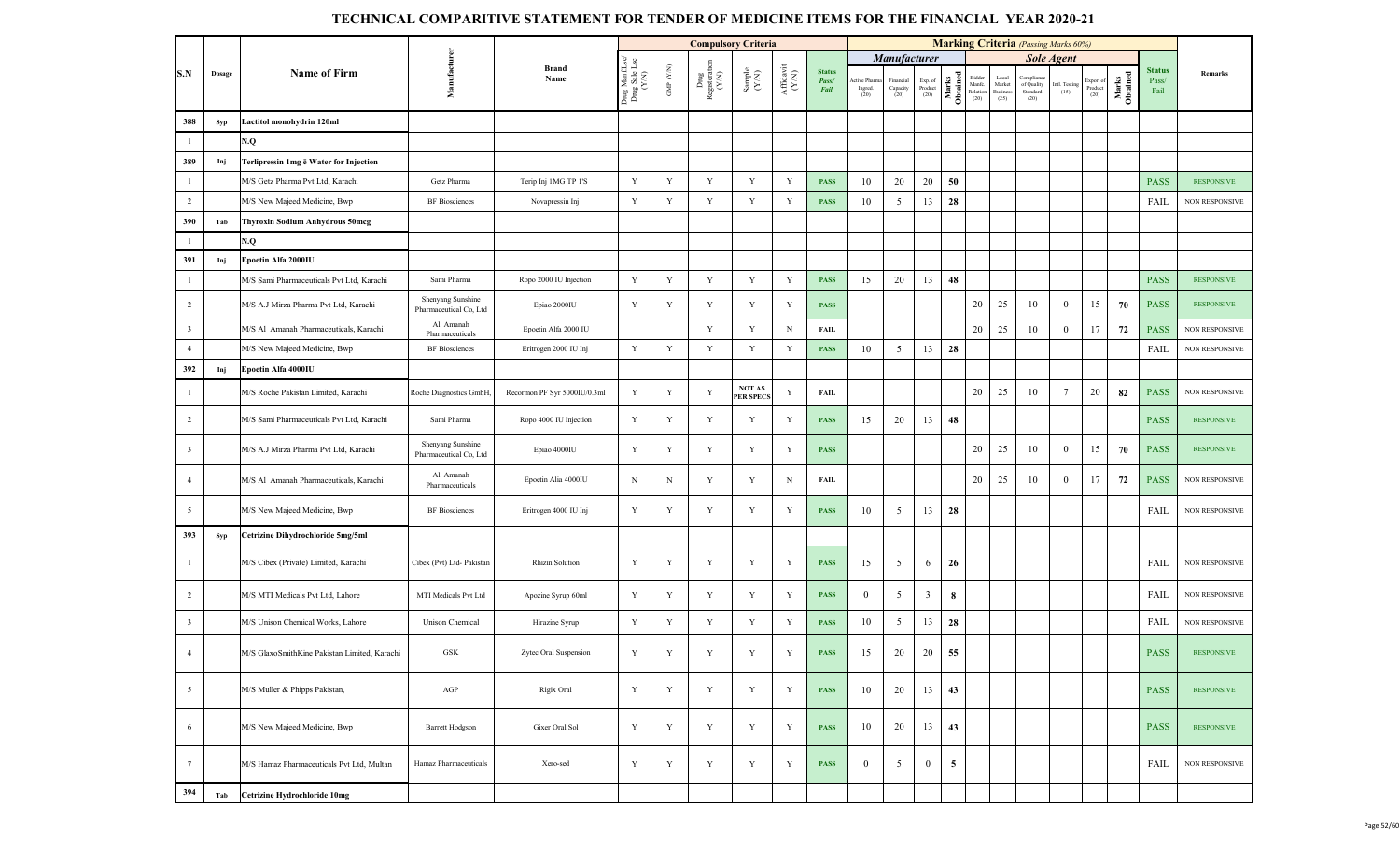|                         |        |                                              |                                             |                              |                                         |                                 | <b>Compulsory Criteria</b>    |                                                              |                                       |                                |                               |                                 |                            |                   |                                      |                                    |                                             | <b>Marking Criteria</b> (Passing Marks 60%) |                              |                   |                                |                       |
|-------------------------|--------|----------------------------------------------|---------------------------------------------|------------------------------|-----------------------------------------|---------------------------------|-------------------------------|--------------------------------------------------------------|---------------------------------------|--------------------------------|-------------------------------|---------------------------------|----------------------------|-------------------|--------------------------------------|------------------------------------|---------------------------------------------|---------------------------------------------|------------------------------|-------------------|--------------------------------|-----------------------|
|                         |        |                                              |                                             |                              |                                         |                                 |                               |                                                              |                                       |                                |                               | Manufacturer                    |                            |                   |                                      |                                    |                                             | <b>Sole Agent</b>                           |                              |                   |                                |                       |
| S.N                     | Dosage | <b>Name of Firm</b>                          | Manufacture                                 | <b>Brand</b><br>Name         | Drug ManfLsc/<br>Drug Sale Lsc<br>(Y/N) | GMP $(\mathcal{Y},\mathcal{N})$ | Drug<br>Registeratie<br>(Y/N) | $\begin{array}{c} \text{Sample} \\ (\text{Y/N}) \end{array}$ | ${\bf Aff} {\bf davit} \\ {\bf (YN)}$ | <b>Status</b><br>Pass/<br>Fail | tive Pharm<br>Ingred.<br>(20) | Financial<br>Capacity<br>$(20)$ | Exp. of<br>Product<br>(20) | Marks<br>Obtained | Bidder<br>Manfe.<br>Relation<br>(20) | Local<br>Market<br>Busines<br>(25) | Compliano<br>of Quality<br>Standard<br>(20) | Intl. Testing<br>(15)                       | Export of<br>Product<br>(20) | Marks<br>Obtained | <b>Status</b><br>Pass/<br>Fail | <b>Remarks</b>        |
| 388                     | Syp    | Lactitol monohydrin 120ml                    |                                             |                              |                                         |                                 |                               |                                                              |                                       |                                |                               |                                 |                            |                   |                                      |                                    |                                             |                                             |                              |                   |                                |                       |
| $\mathbf{1}$            |        | N.Q                                          |                                             |                              |                                         |                                 |                               |                                                              |                                       |                                |                               |                                 |                            |                   |                                      |                                    |                                             |                                             |                              |                   |                                |                       |
| 389                     | Inj    | Terlipressin 1mg ē Water for Injection       |                                             |                              |                                         |                                 |                               |                                                              |                                       |                                |                               |                                 |                            |                   |                                      |                                    |                                             |                                             |                              |                   |                                |                       |
| $\mathbf{1}$            |        | M/S Getz Pharma Pvt Ltd, Karachi             | Getz Pharma                                 | Terip Inj 1MG TP 1'S         | Y                                       | $\mathbf Y$                     | Y                             | Y                                                            | Y                                     | <b>PASS</b>                    | 10                            | 20                              | 20                         | 50                |                                      |                                    |                                             |                                             |                              |                   | <b>PASS</b>                    | <b>RESPONSIVE</b>     |
| $\overline{2}$          |        | M/S New Majeed Medicine, Bwp                 | <b>BF</b> Biosciences                       | Novapressin Inj              | Y                                       | Y                               | Y                             | Y                                                            | Y                                     | <b>PASS</b>                    | 10                            | 5                               | 13                         | 28                |                                      |                                    |                                             |                                             |                              |                   | FAIL                           | <b>NON RESPONSIVE</b> |
| 390                     | Tab    | <b>Thyroxin Sodium Anhydrous 50mcg</b>       |                                             |                              |                                         |                                 |                               |                                                              |                                       |                                |                               |                                 |                            |                   |                                      |                                    |                                             |                                             |                              |                   |                                |                       |
| $\mathbf{1}$            |        | N.Q                                          |                                             |                              |                                         |                                 |                               |                                                              |                                       |                                |                               |                                 |                            |                   |                                      |                                    |                                             |                                             |                              |                   |                                |                       |
| 391                     | Inj    | Epoetin Alfa 2000IU                          |                                             |                              |                                         |                                 |                               |                                                              |                                       |                                |                               |                                 |                            |                   |                                      |                                    |                                             |                                             |                              |                   |                                |                       |
| $\mathbf{1}$            |        | M/S Sami Pharmaceuticals Pvt Ltd, Karachi    | Sami Pharma                                 | Ropo 2000 IU Injection       | Y                                       | $\mathbf Y$                     | Y                             | Y                                                            | Y                                     | <b>PASS</b>                    | 15                            | 20                              | 13                         | 48                |                                      |                                    |                                             |                                             |                              |                   | <b>PASS</b>                    | <b>RESPONSIVE</b>     |
| $\overline{2}$          |        | M/S A.J Mirza Pharma Pvt Ltd, Karachi        | Shenyang Sunshine<br>Pharmaceutical Co, Ltd | Epiao 2000IU                 | Y                                       | Y                               | Y                             | Y                                                            | Y                                     | <b>PASS</b>                    |                               |                                 |                            |                   | 20                                   | 25                                 | 10                                          | $\overline{0}$                              | 15                           | 70                | <b>PASS</b>                    | <b>RESPONSIVE</b>     |
| $\overline{\mathbf{3}}$ |        | M/S Al Amanah Pharmaceuticals, Karachi       | Al Amanah<br>Pharmaceuticals                | Epoetin Alfa 2000 IU         |                                         |                                 | Y                             | Y                                                            | $\mathbf N$                           | <b>FAIL</b>                    |                               |                                 |                            |                   | 20                                   | 25                                 | 10                                          | $\overline{0}$                              | 17                           | 72                | <b>PASS</b>                    | NON RESPONSIVE        |
| $\overline{4}$          |        | M/S New Majeed Medicine, Bwp                 | <b>BF</b> Biosciences                       | Eritrogen 2000 IU Inj        | Y                                       | Y                               | $\mathbf Y$                   | Y                                                            | Y                                     | <b>PASS</b>                    | 10                            | 5                               | 13                         | 28                |                                      |                                    |                                             |                                             |                              |                   | FAIL                           | NON RESPONSIVE        |
| 392                     | Inj    | Epoetin Alfa 4000IU                          |                                             |                              |                                         |                                 |                               |                                                              |                                       |                                |                               |                                 |                            |                   |                                      |                                    |                                             |                                             |                              |                   |                                |                       |
| $\mathbf{1}$            |        | M/S Roche Pakistan Limited, Karachi          | Roche Diagnostics GmbH,                     | Recormon PF Syr 5000IU/0.3ml | Y                                       | Y                               | $\mathbf Y$                   | <b>NOT AS</b><br><b>PER SPECS</b>                            | Y                                     | <b>FAIL</b>                    |                               |                                 |                            |                   | 20                                   | 25                                 | 10                                          | 7                                           | 20                           | 82                | <b>PASS</b>                    | <b>NON RESPONSIVE</b> |
| $\overline{2}$          |        | M/S Sami Pharmaceuticals Pvt Ltd, Karachi    | Sami Pharma                                 | Ropo 4000 IU Injection       | Y                                       | Y                               | Y                             | Y                                                            | Y                                     | <b>PASS</b>                    | 15                            | 20                              | 13                         | 48                |                                      |                                    |                                             |                                             |                              |                   | <b>PASS</b>                    | <b>RESPONSIVE</b>     |
| $\overline{\mathbf{3}}$ |        | M/S A.J Mirza Pharma Pvt Ltd, Karachi        | Shenyang Sunshine<br>Pharmaceutical Co, Ltd | Epiao 4000IU                 | Y                                       | $\mathbf Y$                     | $\mathbf Y$                   | $\mathbf Y$                                                  | Y                                     | <b>PASS</b>                    |                               |                                 |                            |                   | 20                                   | 25                                 | 10                                          | $\mathbf{0}$                                | 15                           | 70                | <b>PASS</b>                    | <b>RESPONSIVE</b>     |
| $\overline{4}$          |        | M/S Al Amanah Pharmaceuticals, Karachi       | Al Amanah<br>Pharmaceuticals                | Epoetin Alia 4000IU          | N                                       | $\mathbf N$                     | Y                             | Y                                                            | N                                     | FAIL                           |                               |                                 |                            |                   | 20                                   | 25                                 | 10                                          | $\overline{0}$                              | 17                           | 72                | <b>PASS</b>                    | NON RESPONSIVE        |
| $5\overline{5}$         |        | M/S New Majeed Medicine, Bwp                 | <b>BF</b> Biosciences                       | Eritrogen 4000 IU Inj        | Y                                       | Y                               | Y                             | Y                                                            | Y                                     | <b>PASS</b>                    | 10                            | 5                               | 13                         | 28                |                                      |                                    |                                             |                                             |                              |                   | FAIL                           | NON RESPONSIVE        |
| 393                     | Syp    | Cetrizine Dihydrochloride 5mg/5ml            |                                             |                              |                                         |                                 |                               |                                                              |                                       |                                |                               |                                 |                            |                   |                                      |                                    |                                             |                                             |                              |                   |                                |                       |
| $\mathbf{1}$            |        | M/S Cibex (Private) Limited, Karachi         | Cibex (Pvt) Ltd- Pakistan                   | <b>Rhizin Solution</b>       | Y                                       | $\mathbf Y$                     | $\mathbf Y$                   | Y                                                            | Y                                     | <b>PASS</b>                    | 15                            | 5                               | 6                          | 26                |                                      |                                    |                                             |                                             |                              |                   | FAIL                           | <b>NON RESPONSIVE</b> |
| $\overline{2}$          |        | M/S MTI Medicals Pvt Ltd, Lahore             | MTI Medicals Pvt Ltd                        | Apozine Syrup 60ml           | Y                                       | Y                               | Y                             | Y                                                            | Y                                     | <b>PASS</b>                    | $\mathbf{0}$                  | 5                               | $\overline{\mathbf{3}}$    | 8                 |                                      |                                    |                                             |                                             |                              |                   | FAIL                           | NON RESPONSIVE        |
| $\overline{\mathbf{3}}$ |        | M/S Unison Chemical Works, Lahore            | <b>Unison Chemical</b>                      | Hirazine Syrup               | Y                                       | $\mathbf Y$                     | $\mathbf Y$                   | $\mathbf Y$                                                  | Y                                     | <b>PASS</b>                    | 10                            | 5                               | 13                         | 28                |                                      |                                    |                                             |                                             |                              |                   | <b>FAIL</b>                    | NON RESPONSIVE        |
| $\overline{4}$          |        | M/S GlaxoSmithKine Pakistan Limited, Karachi | GSK                                         | Zytec Oral Suspension        | Y                                       | $\mathbf Y$                     | Y                             | Y                                                            | Y                                     | <b>PASS</b>                    | 15                            | 20                              | 20                         | 55                |                                      |                                    |                                             |                                             |                              |                   | <b>PASS</b>                    | <b>RESPONSIVE</b>     |
| $\overline{5}$          |        | M/S Muller & Phipps Pakistan,                | AGP                                         | Rigix Oral                   | $\mathbf Y$                             | Y                               | $\mathbf Y$                   | Y                                                            | Y                                     | <b>PASS</b>                    | 10                            | 20                              | 13                         | 43                |                                      |                                    |                                             |                                             |                              |                   | <b>PASS</b>                    | <b>RESPONSIVE</b>     |
| 6                       |        | M/S New Majeed Medicine, Bwp                 | <b>Barrett Hodgson</b>                      | Gixer Oral Sol               | Y                                       | $\mathbf Y$                     | $\mathbf Y$                   | Y                                                            | Y                                     | <b>PASS</b>                    | 10                            | 20                              | 13                         | 43                |                                      |                                    |                                             |                                             |                              |                   | <b>PASS</b>                    | <b>RESPONSIVE</b>     |
| $7\phantom{.0}$         |        | M/S Hamaz Pharmaceuticals Pvt Ltd, Multan    | Hamaz Pharmaceuticals                       | Xero-sed                     | Y                                       | Y                               | Y                             | Y                                                            | Y                                     | <b>PASS</b>                    | $\overline{0}$                | 5                               | $\mathbf{0}$               | 5                 |                                      |                                    |                                             |                                             |                              |                   | FAIL                           | NON RESPONSIVE        |
| 394                     | Tab    | Cetrizine Hydrochloride 10mg                 |                                             |                              |                                         |                                 |                               |                                                              |                                       |                                |                               |                                 |                            |                   |                                      |                                    |                                             |                                             |                              |                   |                                |                       |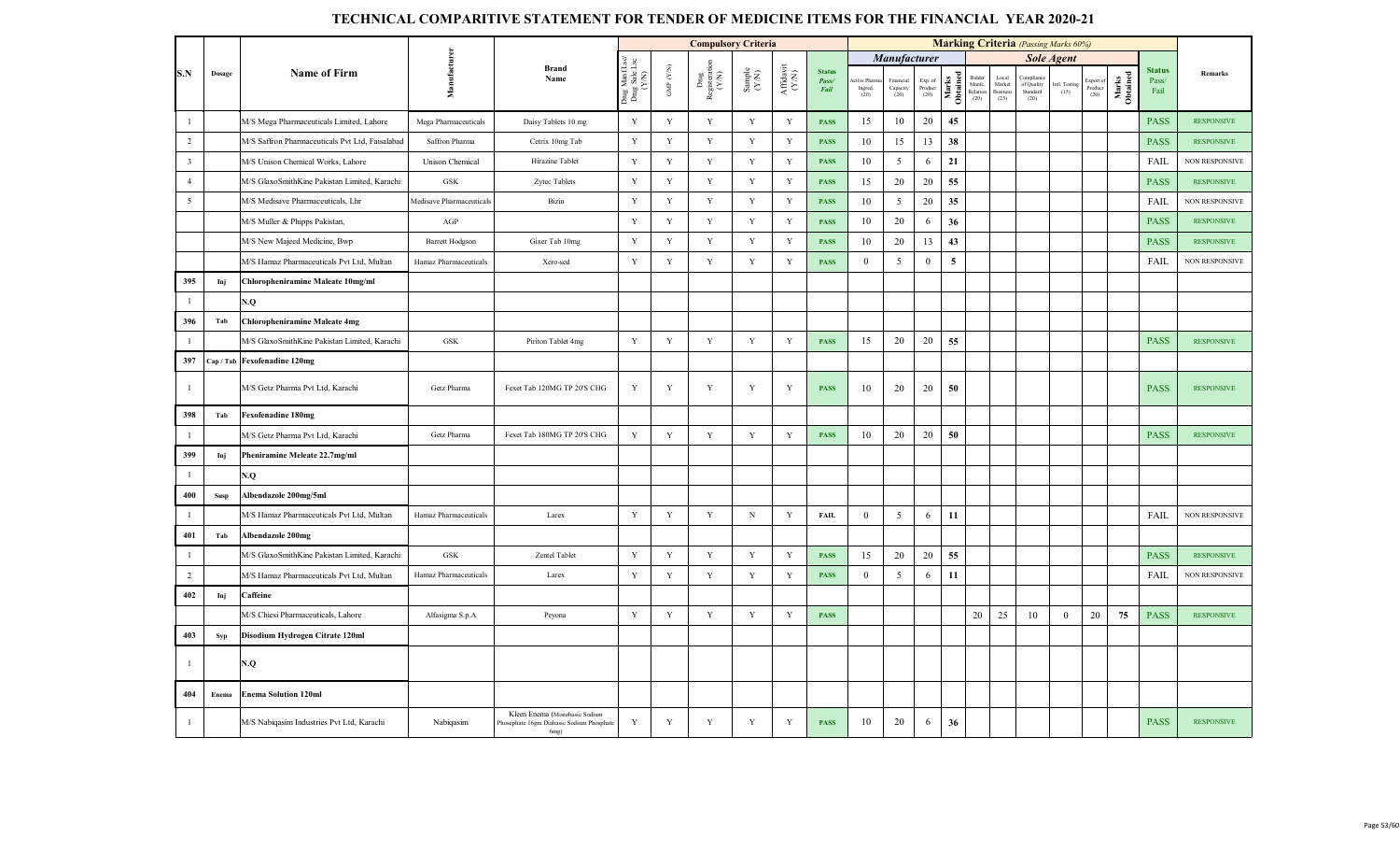|                         |        |                                                 |                          |                                                                                    |                                          |                          | <b>Compulsory Criteria</b>                                                         |                                                              |                                           |                                       |                               |                              |                            |                   |                                   |                                           | <b>Marking Criteria</b> (Passing Marks 60%)                 |                       |                            |                   |                                |                       |
|-------------------------|--------|-------------------------------------------------|--------------------------|------------------------------------------------------------------------------------|------------------------------------------|--------------------------|------------------------------------------------------------------------------------|--------------------------------------------------------------|-------------------------------------------|---------------------------------------|-------------------------------|------------------------------|----------------------------|-------------------|-----------------------------------|-------------------------------------------|-------------------------------------------------------------|-----------------------|----------------------------|-------------------|--------------------------------|-----------------------|
|                         |        |                                                 |                          |                                                                                    |                                          |                          |                                                                                    |                                                              |                                           |                                       |                               | Manufacturer                 |                            |                   |                                   |                                           |                                                             | <b>Sole Agent</b>     |                            |                   |                                |                       |
| S.N                     | Dosage | <b>Name of Firm</b>                             | Manufacturer             | Brand<br>Name                                                                      | Drug Manf.Lsc/<br>Drug Sale Lsc<br>(Y/N) | ${\rm GMP}$ ${\rm (YN)}$ | $\begin{array}{c}\n\text{Dng} \\ \text{Registeration} \\ \text{Y/N)}\n\end{array}$ | $\begin{array}{c} \text{Sample} \\ (\text{Y-N}) \end{array}$ | ${\bf Aff} {\bf davit} \atop ({\bf Y/N})$ | <b>Status</b><br>Pass/<br><b>Fail</b> | tive Pharn<br>Ingred.<br>(20) | inancial<br>Capacity<br>(20) | Exp. of<br>Product<br>(20) | Marks<br>Obtained | Bidder<br>Manfe.<br>Relation (20) | Local<br>Market<br><b>Busines</b><br>(25) | Compliar<br>$\operatorname{of}$ Quality<br>Standard<br>(20) | Intl. Testing<br>(15) | xport c<br>Product<br>(20) | Marks<br>Obtained | <b>Status</b><br>Pass/<br>Fail | Remarks               |
| $\mathbf{1}$            |        | M/S Mega Pharmaceuticals Limited, Lahore        | Mega Pharmaceuticals     | Daisy Tablets 10 mg                                                                | Y                                        | Y                        | $\mathbf Y$                                                                        | $\mathbf Y$                                                  | Y                                         | <b>PASS</b>                           | 15                            | 10                           | $20\,$                     | 45                |                                   |                                           |                                                             |                       |                            |                   | <b>PASS</b>                    | <b>RESPONSIVE</b>     |
| $\overline{2}$          |        | M/S Saffron Pharmaceuticals Pvt Ltd, Faisalabad | Saffron Pharma           | Cetrix 10mg Tab                                                                    | $\mathbf Y$                              | $\mathbf Y$              | $\mathbf Y$                                                                        | $\mathbf Y$                                                  | $\mathbf Y$                               | <b>PASS</b>                           | 10                            | 15                           | 13                         | 38                |                                   |                                           |                                                             |                       |                            |                   | <b>PASS</b>                    | <b>RESPONSIVE</b>     |
| $\overline{\mathbf{3}}$ |        | M/S Unison Chemical Works, Lahore               | <b>Unison Chemical</b>   | Hirazine Tablet                                                                    | $\mathbf Y$                              | Y                        | Y                                                                                  | Y                                                            | Y                                         | <b>PASS</b>                           | 10                            | 5                            | 6                          | 21                |                                   |                                           |                                                             |                       |                            |                   | <b>FAIL</b>                    | <b>NON RESPONSIVE</b> |
| $\overline{4}$          |        | M/S GlaxoSmithKine Pakistan Limited, Karachi    | GSK                      | Zytec Tablets                                                                      | $\mathbf Y$                              | $\mathbf Y$              | $\mathbf Y$                                                                        | $\mathbf Y$                                                  | $\mathbf Y$                               | <b>PASS</b>                           | 15                            | 20                           | 20                         | 55                |                                   |                                           |                                                             |                       |                            |                   | <b>PASS</b>                    | <b>RESPONSIVE</b>     |
| $5\overline{)}$         |        | M/S Medisave Pharmaceuticals, Lhr               | Medisave Pharmaceuticals | Bizin                                                                              | Y                                        | $\mathbf Y$              | $\mathbf Y$                                                                        | Y                                                            | Y                                         | <b>PASS</b>                           | 10                            | 5                            | 20                         | 35                |                                   |                                           |                                                             |                       |                            |                   | <b>FAIL</b>                    | <b>NON RESPONSIVE</b> |
|                         |        | M/S Muller & Phipps Pakistan,                   | AGP                      |                                                                                    | $\mathbf Y$                              | $\mathbf Y$              | $\mathbf Y$                                                                        | $\mathbf Y$                                                  | $\mathbf Y$                               | <b>PASS</b>                           | 10                            | 20                           | 6                          | 36                |                                   |                                           |                                                             |                       |                            |                   | <b>PASS</b>                    | <b>RESPONSIVE</b>     |
|                         |        | M/S New Majeed Medicine, Bwp                    | <b>Barrett Hodgson</b>   | Gixer Tab 10mg                                                                     | Y                                        | Y                        | Y                                                                                  | Y                                                            | Y                                         | <b>PASS</b>                           | 10                            | 20                           | 13                         | 43                |                                   |                                           |                                                             |                       |                            |                   | <b>PASS</b>                    | <b>RESPONSIVE</b>     |
|                         |        | M/S Hamaz Pharmaceuticals Pvt Ltd, Multan       | Hamaz Pharmaceuticals    | Xero-sed                                                                           | Y                                        | $\mathbf Y$              | $\mathbf Y$                                                                        | $\mathbf Y$                                                  | Y                                         | <b>PASS</b>                           | $\mathbf{0}$                  | 5                            | $\mathbf{0}$               | $\overline{5}$    |                                   |                                           |                                                             |                       |                            |                   | FAIL                           | NON RESPONSIVE        |
| 395                     | Inj    | Chloropheniramine Maleate 10mg/ml               |                          |                                                                                    |                                          |                          |                                                                                    |                                                              |                                           |                                       |                               |                              |                            |                   |                                   |                                           |                                                             |                       |                            |                   |                                |                       |
| $\mathbf{1}$            |        | N.Q                                             |                          |                                                                                    |                                          |                          |                                                                                    |                                                              |                                           |                                       |                               |                              |                            |                   |                                   |                                           |                                                             |                       |                            |                   |                                |                       |
| 396                     | Tab    | <b>Chloropheniramine Maleate 4mg</b>            |                          |                                                                                    |                                          |                          |                                                                                    |                                                              |                                           |                                       |                               |                              |                            |                   |                                   |                                           |                                                             |                       |                            |                   |                                |                       |
| $\mathbf{1}$            |        | M/S GlaxoSmithKine Pakistan Limited, Karachi    | $_{\mathrm{GSK}}$        | Piriton Tablet 4mg                                                                 | Y                                        | $\mathbf Y$              | $\mathbf Y$                                                                        | $\mathbf Y$                                                  | $\mathbf Y$                               | <b>PASS</b>                           | 15                            | 20                           | 20                         | 55                |                                   |                                           |                                                             |                       |                            |                   | <b>PASS</b>                    | <b>RESPONSIVE</b>     |
| 397                     |        | Cap / Tab Fexofenadine 120mg                    |                          |                                                                                    |                                          |                          |                                                                                    |                                                              |                                           |                                       |                               |                              |                            |                   |                                   |                                           |                                                             |                       |                            |                   |                                |                       |
| $\mathbf{1}$            |        | M/S Getz Pharma Pvt Ltd, Karachi                | Getz Pharma              | Fexet Tab 120MG TP 20'S CHG                                                        | Y                                        | Y                        | Y                                                                                  | Y                                                            | Y                                         | <b>PASS</b>                           | 10                            | 20                           | 20                         | 50                |                                   |                                           |                                                             |                       |                            |                   | <b>PASS</b>                    | <b>RESPONSIVE</b>     |
| 398                     | Tab    | <b>Fexofenadine 180mg</b>                       |                          |                                                                                    |                                          |                          |                                                                                    |                                                              |                                           |                                       |                               |                              |                            |                   |                                   |                                           |                                                             |                       |                            |                   |                                |                       |
| $\mathbf{1}$            |        | M/S Getz Pharma Pvt Ltd, Karachi                | Getz Pharma              | Fexet Tab 180MG TP 20'S CHG                                                        | $\mathbf Y$                              | $\mathbf Y$              | Y                                                                                  | $\mathbf Y$                                                  | $\mathbf Y$                               | <b>PASS</b>                           | 10                            | 20                           | 20                         | 50                |                                   |                                           |                                                             |                       |                            |                   | <b>PASS</b>                    | <b>RESPONSIVE</b>     |
| 399                     | Inj    | Pheniramine Meleate 22.7mg/ml                   |                          |                                                                                    |                                          |                          |                                                                                    |                                                              |                                           |                                       |                               |                              |                            |                   |                                   |                                           |                                                             |                       |                            |                   |                                |                       |
| $\mathbf{1}$            |        | N.Q                                             |                          |                                                                                    |                                          |                          |                                                                                    |                                                              |                                           |                                       |                               |                              |                            |                   |                                   |                                           |                                                             |                       |                            |                   |                                |                       |
| 400                     | Susp   | Albendazole 200mg/5ml                           |                          |                                                                                    |                                          |                          |                                                                                    |                                                              |                                           |                                       |                               |                              |                            |                   |                                   |                                           |                                                             |                       |                            |                   |                                |                       |
| $\mathbf{1}$            |        | M/S Hamaz Pharmaceuticals Pvt Ltd, Multan       | Hamaz Pharmaceuticals    | Larex                                                                              | Y                                        | Y                        | Y                                                                                  | $\mathbf N$                                                  | Y                                         | FAIL                                  | $\boldsymbol{0}$              | 5                            | 6                          | 11                |                                   |                                           |                                                             |                       |                            |                   | <b>FAIL</b>                    | NON RESPONSIVE        |
| 401                     | Tab    | Albendazole 200mg                               |                          |                                                                                    |                                          |                          |                                                                                    |                                                              |                                           |                                       |                               |                              |                            |                   |                                   |                                           |                                                             |                       |                            |                   |                                |                       |
| $\mathbf{1}$            |        | M/S GlaxoSmithKine Pakistan Limited, Karachi    | ${\rm GSK}$              | Zentel Tablet                                                                      | Y                                        | Y                        | Y                                                                                  | Y                                                            | Y                                         | <b>PASS</b>                           | 15                            | 20                           | 20                         | 55                |                                   |                                           |                                                             |                       |                            |                   | <b>PASS</b>                    | <b>RESPONSIVE</b>     |
| $\overline{2}$          |        | M/S Hamaz Pharmaceuticals Pvt Ltd, Multan       | Hamaz Pharmaceuticals    | Larex                                                                              | Y                                        | $\mathbf Y$              | $\mathbf Y$                                                                        | $\mathbf Y$                                                  | $\mathbf Y$                               | <b>PASS</b>                           | $\overline{0}$                | 5                            | 6                          | 11                |                                   |                                           |                                                             |                       |                            |                   | FAIL                           | NON RESPONSIVE        |
| 402                     | Inj    | Caffeine                                        |                          |                                                                                    |                                          |                          |                                                                                    |                                                              |                                           |                                       |                               |                              |                            |                   |                                   |                                           |                                                             |                       |                            |                   |                                |                       |
|                         |        | M/S Chiesi Pharmaceuticals, Lahore              | Alfasigma S.p.A          | Peyona                                                                             | $\mathbf Y$                              | $\mathbf Y$              | $\mathbf Y$                                                                        | $\mathbf Y$                                                  | $\mathbf Y$                               | <b>PASS</b>                           |                               |                              |                            |                   | 20                                | 25                                        | 10                                                          | $\mathbf{0}$          | 20                         | 75                | <b>PASS</b>                    | <b>RESPONSIVE</b>     |
| 403                     | Syp    | Disodium Hydrogen Citrate 120ml                 |                          |                                                                                    |                                          |                          |                                                                                    |                                                              |                                           |                                       |                               |                              |                            |                   |                                   |                                           |                                                             |                       |                            |                   |                                |                       |
| $\mathbf{1}$            |        | N.Q                                             |                          |                                                                                    |                                          |                          |                                                                                    |                                                              |                                           |                                       |                               |                              |                            |                   |                                   |                                           |                                                             |                       |                            |                   |                                |                       |
| 404                     | Enema  | <b>Enema Solution 120ml</b>                     |                          |                                                                                    |                                          |                          |                                                                                    |                                                              |                                           |                                       |                               |                              |                            |                   |                                   |                                           |                                                             |                       |                            |                   |                                |                       |
| $\mathbf{1}$            |        | M/S Nabiqasim Industries Pvt Ltd, Karachi       | Nabiqasim                | Kleen Enema (Monobasic Sodium<br>Phosephate 16gm Diabasic Sodium Phosphate<br>6mg) | Y                                        | Y                        | Y                                                                                  | Y                                                            | Y                                         | <b>PASS</b>                           | 10                            | 20                           | 6                          | 36                |                                   |                                           |                                                             |                       |                            |                   | <b>PASS</b>                    | <b>RESPONSIVE</b>     |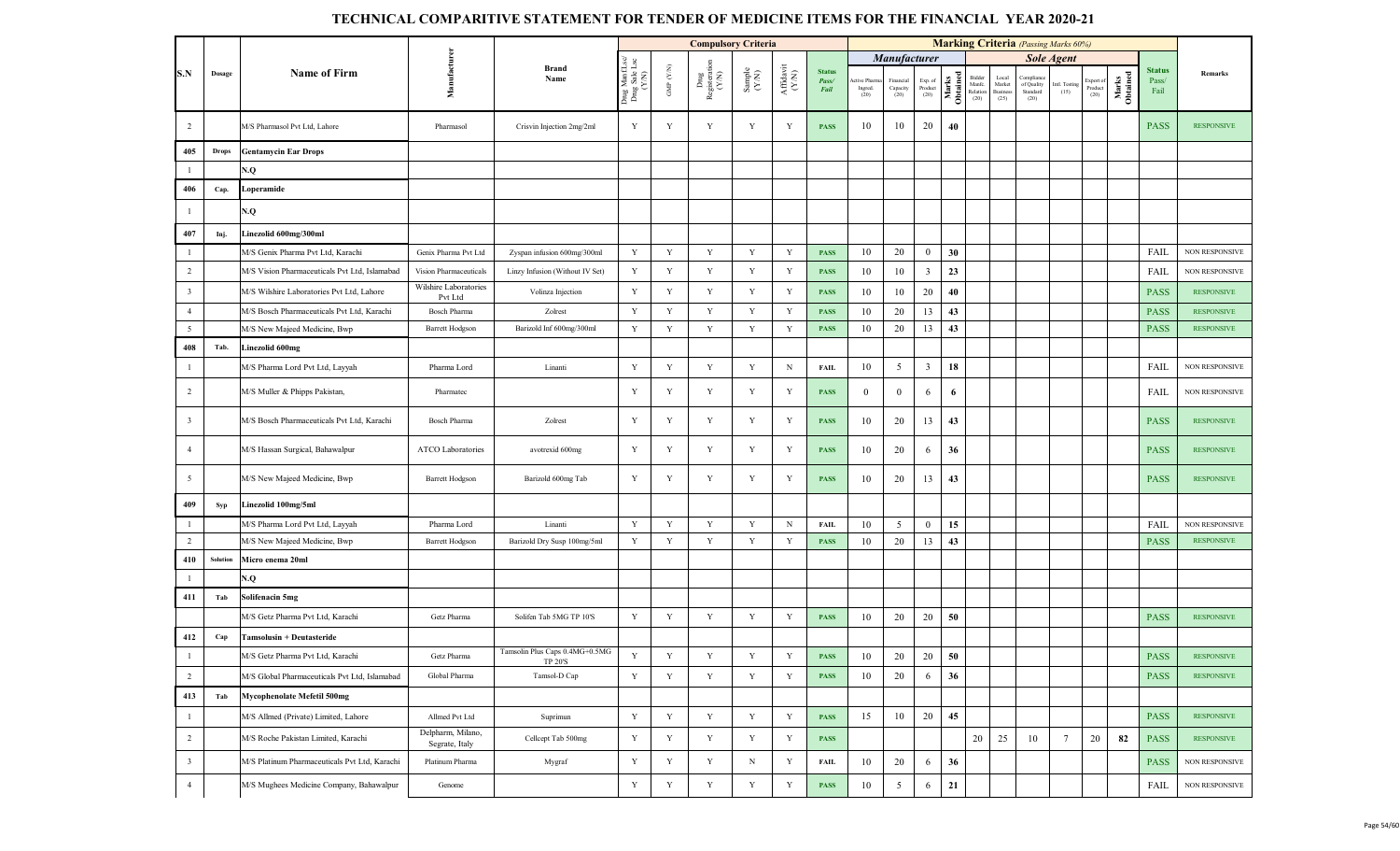|                         |              |                                               |                                     |                                           |                                         |                          | <b>Compulsory Criteria</b>                                                      |                                                             |                                           |                                |                                 |                               |                                                                        |                   |                                      |                                            | <b>Marking Criteria</b> (Passing Marks 60%)  |                       |                              |                   |                                |                   |
|-------------------------|--------------|-----------------------------------------------|-------------------------------------|-------------------------------------------|-----------------------------------------|--------------------------|---------------------------------------------------------------------------------|-------------------------------------------------------------|-------------------------------------------|--------------------------------|---------------------------------|-------------------------------|------------------------------------------------------------------------|-------------------|--------------------------------------|--------------------------------------------|----------------------------------------------|-----------------------|------------------------------|-------------------|--------------------------------|-------------------|
|                         |              |                                               |                                     |                                           |                                         |                          |                                                                                 |                                                             |                                           |                                |                                 | Manufacturer                  |                                                                        |                   |                                      |                                            |                                              | <b>Sole Agent</b>     |                              |                   |                                |                   |
| S.N                     | Dosage       | <b>Name of Firm</b>                           | Manufacturen                        | <b>Brand</b><br>Name                      | Drug ManfLsc/<br>Drug Sale Lsc<br>(Y/N) | ${\rm GMP}$ ${\rm (YN)}$ | $\begin{array}{c} \mathrm{Dng} \\ \mathrm{Registeration} \\ (Y\!N) \end{array}$ | $\begin{array}{c} \text{Sample} \\ (\text{YM}) \end{array}$ | ${\bf Aff} {\bf davit} \atop ({\bf Y/N})$ | <b>Status</b><br>Pass/<br>Fail | Active Pharm<br>Ingred.<br>(20) | Financial<br>Capacity<br>(20) | $\begin{array}{c} \text{Exp. of}\\ \text{Product} \\ (20) \end{array}$ | Marks<br>Obtained | Bidder<br>Manfc.<br>Relation<br>(20) | Local<br>Market<br><b>Business</b><br>(25) | Compliance<br>of Quality<br>Standard<br>(20) | Intl. Testing<br>(15) | Export of<br>Product<br>(20) | Marks<br>Obtained | <b>Status</b><br>Pass/<br>Fail | Remarks           |
| $\overline{2}$          |              | M/S Pharmasol Pvt Ltd, Lahore                 | Pharmasol                           | Crisvin Injection 2mg/2ml                 | Y                                       | Y                        | Y                                                                               | Y                                                           | Y                                         | <b>PASS</b>                    | 10                              | 10                            | 20                                                                     | 40                |                                      |                                            |                                              |                       |                              |                   | <b>PASS</b>                    | <b>RESPONSIVE</b> |
| 405                     | <b>Drops</b> | <b>Gentamycin Ear Drops</b>                   |                                     |                                           |                                         |                          |                                                                                 |                                                             |                                           |                                |                                 |                               |                                                                        |                   |                                      |                                            |                                              |                       |                              |                   |                                |                   |
| $\mathbf{1}$            |              | N.Q                                           |                                     |                                           |                                         |                          |                                                                                 |                                                             |                                           |                                |                                 |                               |                                                                        |                   |                                      |                                            |                                              |                       |                              |                   |                                |                   |
| 406                     | Cap.         | Loperamide                                    |                                     |                                           |                                         |                          |                                                                                 |                                                             |                                           |                                |                                 |                               |                                                                        |                   |                                      |                                            |                                              |                       |                              |                   |                                |                   |
| $\mathbf{1}$            |              | N.Q                                           |                                     |                                           |                                         |                          |                                                                                 |                                                             |                                           |                                |                                 |                               |                                                                        |                   |                                      |                                            |                                              |                       |                              |                   |                                |                   |
| 407                     | Inj.         | Linezolid 600mg/300ml                         |                                     |                                           |                                         |                          |                                                                                 |                                                             |                                           |                                |                                 |                               |                                                                        |                   |                                      |                                            |                                              |                       |                              |                   |                                |                   |
| $\mathbf{1}$            |              | M/S Genix Pharma Pvt Ltd, Karachi             | Genix Pharma Pvt Ltd                | Zyspan infusion 600mg/300ml               | $\mathbf Y$                             | $\mathbf Y$              | Y                                                                               | $\mathbf Y$                                                 | Y                                         | <b>PASS</b>                    | 10                              | 20                            | $\mathbf{0}$                                                           | 30                |                                      |                                            |                                              |                       |                              |                   | FAIL                           | NON RESPONSIVE    |
| $\overline{2}$          |              | M/S Vision Pharmaceuticals Pvt Ltd, Islamabad | Vision Pharmaceuticals              | Linzy Infusion (Without IV Set)           | $\mathbf Y$                             | Y                        | $\mathbf Y$                                                                     | Y                                                           | Y                                         | <b>PASS</b>                    | 10                              | 10                            | $\overline{3}$                                                         | 23                |                                      |                                            |                                              |                       |                              |                   | FAIL                           | NON RESPONSIVE    |
| $\overline{\mathbf{3}}$ |              | M/S Wilshire Laboratories Pvt Ltd, Lahore     | Wilshire Laboratories<br>Pvt Ltd    | Volinza Injection                         | $\mathbf Y$                             | $\mathbf Y$              | Y                                                                               | $\mathbf Y$                                                 | $\mathbf Y$                               | <b>PASS</b>                    | 10                              | 10                            | $20\,$                                                                 | 40                |                                      |                                            |                                              |                       |                              |                   | <b>PASS</b>                    | <b>RESPONSIVE</b> |
| $\overline{4}$          |              | M/S Bosch Pharmaceuticals Pvt Ltd, Karachi    | <b>Bosch Pharma</b>                 | Zolrest                                   | Y                                       | Y                        | Y                                                                               | Y                                                           | Y                                         | <b>PASS</b>                    | 10                              | 20                            | 13                                                                     | 43                |                                      |                                            |                                              |                       |                              |                   | <b>PASS</b>                    | <b>RESPONSIVE</b> |
| $5\overline{)}$         |              | M/S New Majeed Medicine, Bwp                  | <b>Barrett Hodgson</b>              | Barizold Inf 600mg/300ml                  | Y                                       | Y                        | Y                                                                               | Y                                                           | Y                                         | <b>PASS</b>                    | 10                              | 20                            | 13                                                                     | 43                |                                      |                                            |                                              |                       |                              |                   | <b>PASS</b>                    | <b>RESPONSIVE</b> |
| 408                     | Tab.         | Linezolid 600mg                               |                                     |                                           |                                         |                          |                                                                                 |                                                             |                                           |                                |                                 |                               |                                                                        |                   |                                      |                                            |                                              |                       |                              |                   |                                |                   |
| $\mathbf{1}$            |              | M/S Pharma Lord Pvt Ltd, Layyah               | Pharma Lord                         | Linanti                                   | $\mathbf Y$                             | Y                        | Y                                                                               | $\mathbf Y$                                                 | N                                         | <b>FAIL</b>                    | 10                              | 5                             | $\overline{\mathbf{3}}$                                                | 18                |                                      |                                            |                                              |                       |                              |                   | FAIL                           | NON RESPONSIVE    |
| $\overline{2}$          |              | M/S Muller & Phipps Pakistan,                 | Pharmatec                           |                                           | Y                                       | Y                        | $\mathbf Y$                                                                     | Y                                                           | Y                                         | <b>PASS</b>                    | $\overline{0}$                  | $\overline{0}$                | 6                                                                      | 6                 |                                      |                                            |                                              |                       |                              |                   | FAIL                           | NON RESPONSIVE    |
| $\overline{\mathbf{3}}$ |              | M/S Bosch Pharmaceuticals Pvt Ltd, Karachi    | Bosch Pharma                        | Zolrest                                   | Y                                       | Y                        | Y                                                                               | Y                                                           | Y                                         | <b>PASS</b>                    | 10                              | 20                            | 13                                                                     | 43                |                                      |                                            |                                              |                       |                              |                   | <b>PASS</b>                    | <b>RESPONSIVE</b> |
| $\overline{4}$          |              | M/S Hassan Surgical, Bahawalpur               | <b>ATCO Laboratories</b>            | avotrexid 600mg                           | Y                                       | $\mathbf Y$              | Y                                                                               | $\mathbf Y$                                                 | Y                                         | <b>PASS</b>                    | 10                              | 20                            | 6                                                                      | 36                |                                      |                                            |                                              |                       |                              |                   | <b>PASS</b>                    | <b>RESPONSIVE</b> |
| 5                       |              | M/S New Majeed Medicine, Bwp                  | <b>Barrett Hodgson</b>              | Barizold 600mg Tab                        | Y                                       | Y                        | Y                                                                               | Y                                                           | Y                                         | <b>PASS</b>                    | 10                              | 20                            | 13                                                                     | 43                |                                      |                                            |                                              |                       |                              |                   | <b>PASS</b>                    | <b>RESPONSIVE</b> |
| 409                     | Syp          | Linezolid 100mg/5ml                           |                                     |                                           |                                         |                          |                                                                                 |                                                             |                                           |                                |                                 |                               |                                                                        |                   |                                      |                                            |                                              |                       |                              |                   |                                |                   |
| $\mathbf{1}$            |              | M/S Pharma Lord Pvt Ltd, Layyah               | Pharma Lord                         | Linanti                                   | Y                                       | Y                        | Y                                                                               | $\mathbf Y$                                                 | N                                         | <b>FAIL</b>                    | 10                              | 5                             | $\bf{0}$                                                               | 15                |                                      |                                            |                                              |                       |                              |                   | FAIL                           | NON RESPONSIVE    |
| $\overline{2}$          |              | M/S New Majeed Medicine, Bwp                  | <b>Barrett Hodgson</b>              | Barizold Dry Susp 100mg/5ml               | Y                                       | Y                        | $\mathbf Y$                                                                     | $\mathbf Y$                                                 | Y                                         | <b>PASS</b>                    | 10                              | 20                            | 13                                                                     | 43                |                                      |                                            |                                              |                       |                              |                   | <b>PASS</b>                    | <b>RESPONSIVE</b> |
| 410                     | Solution     | Micro enema 20ml                              |                                     |                                           |                                         |                          |                                                                                 |                                                             |                                           |                                |                                 |                               |                                                                        |                   |                                      |                                            |                                              |                       |                              |                   |                                |                   |
| $\overline{1}$          |              | N.Q                                           |                                     |                                           |                                         |                          |                                                                                 |                                                             |                                           |                                |                                 |                               |                                                                        |                   |                                      |                                            |                                              |                       |                              |                   |                                |                   |
| 411                     | Tab          | Solifenacin 5mg                               |                                     |                                           |                                         |                          |                                                                                 |                                                             |                                           |                                |                                 |                               |                                                                        |                   |                                      |                                            |                                              |                       |                              |                   |                                |                   |
|                         |              | M/S Getz Pharma Pvt Ltd, Karachi              | Getz Pharma                         | Solifen Tab 5MG TP 10'S                   | $\mathbf Y$                             | Y                        | Y                                                                               | Y                                                           | Y                                         | <b>PASS</b>                    | 10                              | 20                            | 20                                                                     | 50                |                                      |                                            |                                              |                       |                              |                   | <b>PASS</b>                    | <b>RESPONSIVE</b> |
| 412                     | Cap          | Tamsolusin + Deutasteride                     |                                     |                                           |                                         |                          |                                                                                 |                                                             |                                           |                                |                                 |                               |                                                                        |                   |                                      |                                            |                                              |                       |                              |                   |                                |                   |
| $\mathbf{1}$            |              | M/S Getz Pharma Pvt Ltd, Karachi              | Getz Pharma                         | Tamsolin Plus Caps 0.4MG+0.5MG<br>TP 20'S | $\mathbf{v}$                            | Y                        | Y                                                                               | Y                                                           | Y                                         | <b>PASS</b>                    | $10\,$                          | 20                            | $20\,$                                                                 | 50                |                                      |                                            |                                              |                       |                              |                   | <b>PASS</b>                    | <b>RESPONSIVE</b> |
| $\overline{2}$          |              | M/S Global Pharmaceuticals Pvt Ltd, Islamabad | Global Pharma                       | Tamsol-D Cap                              | $\mathbf Y$                             | $\mathbf Y$              | Y                                                                               | $\mathbf Y$                                                 | $\mathbf Y$                               | <b>PASS</b>                    | 10                              | 20                            | 6                                                                      | 36                |                                      |                                            |                                              |                       |                              |                   | <b>PASS</b>                    | <b>RESPONSIVE</b> |
| 413                     | Tab          | <b>Mycophenolate Mefetil 500mg</b>            |                                     |                                           |                                         |                          |                                                                                 |                                                             |                                           |                                |                                 |                               |                                                                        |                   |                                      |                                            |                                              |                       |                              |                   |                                |                   |
| $\mathbf{1}$            |              | M/S Allmed (Private) Limited, Lahore          | Allmed Pvt Ltd                      | Suprimun                                  | $\mathbf Y$                             | $\mathbf Y$              | $\mathbf Y$                                                                     | $\mathbf Y$                                                 | $\mathbf Y$                               | <b>PASS</b>                    | 15                              | 10                            | 20                                                                     | 45                |                                      |                                            |                                              |                       |                              |                   | <b>PASS</b>                    | <b>RESPONSIVE</b> |
| $\overline{2}$          |              | M/S Roche Pakistan Limited, Karachi           | Delpharm, Milano,<br>Segrate, Italy | Cellcept Tab 500mg                        | $\mathbf Y$                             | Y                        | Y                                                                               | Y                                                           | Y                                         | <b>PASS</b>                    |                                 |                               |                                                                        |                   | 20                                   | 25                                         | 10                                           | $\overline{7}$        | 20                           | 82                | <b>PASS</b>                    | <b>RESPONSIVE</b> |
| $\overline{\mathbf{3}}$ |              | M/S Platinum Pharmaceuticals Pvt Ltd, Karachi | Platinum Pharma                     | Mygraf                                    | $\mathbf Y$                             | $\mathbf Y$              | Y                                                                               | N                                                           | Y                                         | FAIL                           | 10                              | 20                            | 6                                                                      | 36                |                                      |                                            |                                              |                       |                              |                   | <b>PASS</b>                    | NON RESPONSIVE    |
| $\overline{4}$          |              | M/S Mughees Medicine Company, Bahawalpur      | Genome                              |                                           | $\mathbf Y$                             | $\mathbf Y$              | $\mathbf Y$                                                                     | $\mathbf Y$                                                 | $\mathbf Y$                               | <b>PASS</b>                    | 10                              | $5\overline{)}$               | 6                                                                      | 21                |                                      |                                            |                                              |                       |                              |                   | FAIL                           | NON RESPONSIVE    |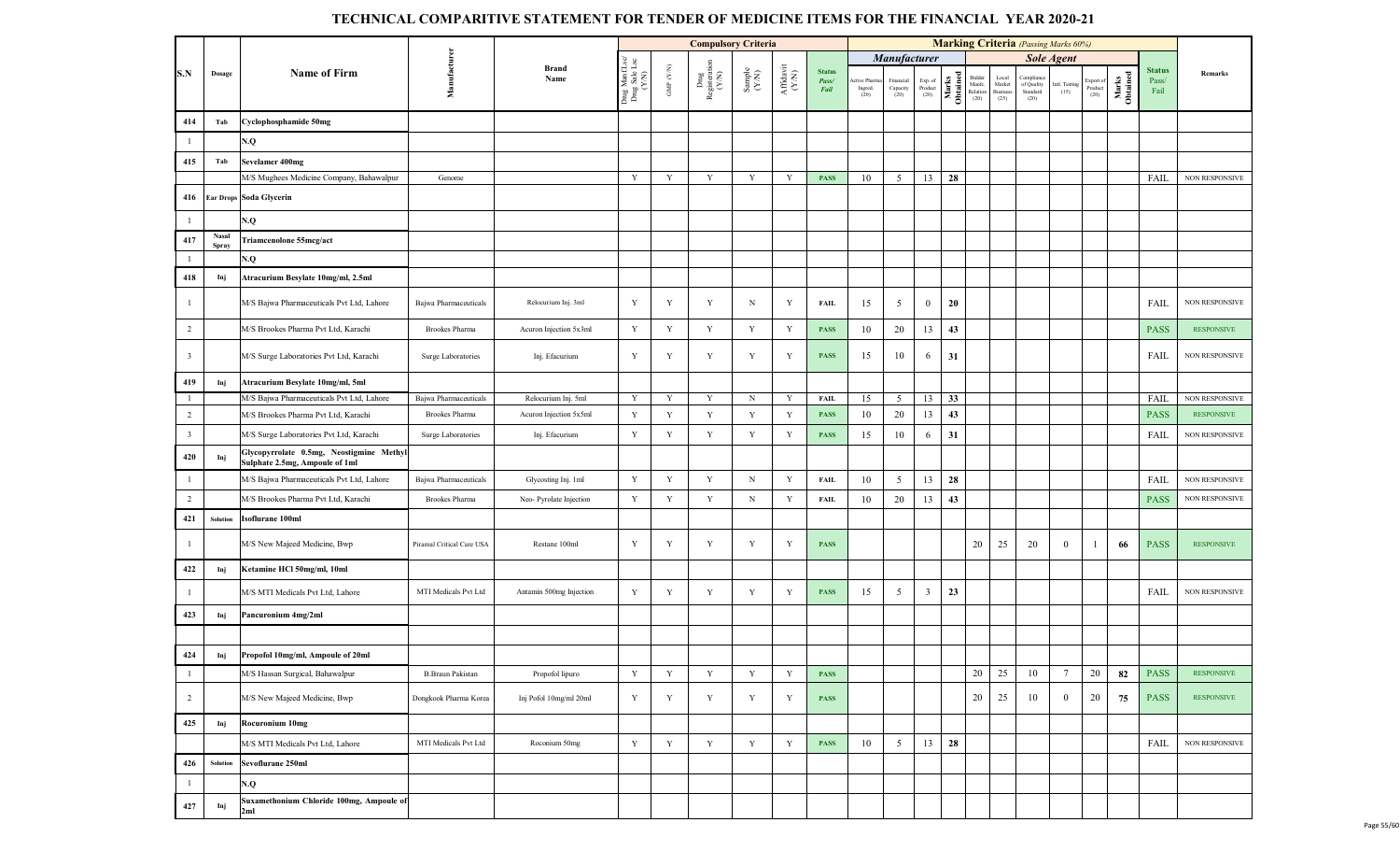|                         |                       |                                                                            |                           |                         |                                          |                                 | <b>Compulsory Criteria</b>                                             |                                                              |                              |                                |                                 |                                                |                           |                   |                                      |                                     | <b>Marking Criteria</b> (Passing Marks 60%) |                       |                              |                   |                                |                       |
|-------------------------|-----------------------|----------------------------------------------------------------------------|---------------------------|-------------------------|------------------------------------------|---------------------------------|------------------------------------------------------------------------|--------------------------------------------------------------|------------------------------|--------------------------------|---------------------------------|------------------------------------------------|---------------------------|-------------------|--------------------------------------|-------------------------------------|---------------------------------------------|-----------------------|------------------------------|-------------------|--------------------------------|-----------------------|
|                         |                       |                                                                            |                           |                         |                                          |                                 |                                                                        |                                                              |                              |                                |                                 | Manufacturer                                   |                           |                   |                                      |                                     |                                             | <b>Sole Agent</b>     |                              |                   |                                |                       |
| S.N                     | Dosage                | <b>Name of Firm</b>                                                        | Manufacturen              | <b>Brand</b><br>Name    | Drug Manf.Lsc/<br>Drug Sale Lsc<br>(Y/N) | GMP $(\mathcal{Y},\mathcal{N})$ | $\begin{array}{c} \rm{Dng} \\ \rm{Registeration} \\ (Y/N) \end{array}$ | $\begin{array}{c} \text{Sample} \\ (\text{Y/N}) \end{array}$ | ${\bf Affa} {\bf vit}$ (Y/N) | <b>Status</b><br>Pass/<br>Fail | Active Pharm<br>Ingred.<br>(20) | Financial<br>$\operatorname{Capacity}$<br>(20) | Exp. of<br>Product $(20)$ | Marks<br>Obtained | Bidder<br>Manfe.<br>Relation<br>(20) | Local<br>Market<br>Business<br>(25) | Compliar<br>of Quality<br>Standard<br>(20)  | Intl. Testing<br>(15) | Export of<br>Product<br>(20) | Marks<br>Obtained | <b>Status</b><br>Pass/<br>Fail | Remarks               |
| 414                     | Tab                   | Cyclophosphamide 50mg                                                      |                           |                         |                                          |                                 |                                                                        |                                                              |                              |                                |                                 |                                                |                           |                   |                                      |                                     |                                             |                       |                              |                   |                                |                       |
| $\mathbf{1}$            |                       | N.Q                                                                        |                           |                         |                                          |                                 |                                                                        |                                                              |                              |                                |                                 |                                                |                           |                   |                                      |                                     |                                             |                       |                              |                   |                                |                       |
| 415                     | Tab                   | Sevelamer 400mg                                                            |                           |                         |                                          |                                 |                                                                        |                                                              |                              |                                |                                 |                                                |                           |                   |                                      |                                     |                                             |                       |                              |                   |                                |                       |
|                         |                       | M/S Mughees Medicine Company, Bahawalpur                                   | Genome                    |                         | Y                                        | $\mathbf Y$                     | $\mathbf Y$                                                            | $\mathbf Y$                                                  | Y                            | <b>PASS</b>                    | 10                              | 5                                              | 13                        | 28                |                                      |                                     |                                             |                       |                              |                   | FAIL                           | NON RESPONSIVE        |
|                         |                       | 416 Ear Drops Soda Glycerin                                                |                           |                         |                                          |                                 |                                                                        |                                                              |                              |                                |                                 |                                                |                           |                   |                                      |                                     |                                             |                       |                              |                   |                                |                       |
| $\overline{1}$          |                       | N.Q                                                                        |                           |                         |                                          |                                 |                                                                        |                                                              |                              |                                |                                 |                                                |                           |                   |                                      |                                     |                                             |                       |                              |                   |                                |                       |
| 417                     | <b>Nasal</b><br>Spray | <b>Friamcenolone 55mcg/act</b>                                             |                           |                         |                                          |                                 |                                                                        |                                                              |                              |                                |                                 |                                                |                           |                   |                                      |                                     |                                             |                       |                              |                   |                                |                       |
| $\mathbf{1}$            |                       | N.Q                                                                        |                           |                         |                                          |                                 |                                                                        |                                                              |                              |                                |                                 |                                                |                           |                   |                                      |                                     |                                             |                       |                              |                   |                                |                       |
| 418                     | Inj                   | Atracurium Besylate 10mg/ml, 2.5ml                                         |                           |                         |                                          |                                 |                                                                        |                                                              |                              |                                |                                 |                                                |                           |                   |                                      |                                     |                                             |                       |                              |                   |                                |                       |
| $\overline{1}$          |                       | M/S Bajwa Pharmaceuticals Pvt Ltd, Lahore                                  | Bajwa Pharmaceuticals     | Relocurium Inj. 3ml     | Y                                        | Y                               | Y                                                                      | $\, {\rm N}$                                                 | Y                            | FAIL                           | 15                              | 5                                              | $\overline{0}$            | 20                |                                      |                                     |                                             |                       |                              |                   | <b>FAIL</b>                    | NON RESPONSIVE        |
| 2                       |                       | M/S Brookes Pharma Pvt Ltd, Karachi                                        | <b>Brookes Pharma</b>     | Acuron Injection 5x3ml  | $\mathbf Y$                              | Y                               | Y                                                                      | Y                                                            | $\mathbf Y$                  | <b>PASS</b>                    | 10                              | 20                                             | 13                        | 43                |                                      |                                     |                                             |                       |                              |                   | <b>PASS</b>                    | <b>RESPONSIVE</b>     |
| $\overline{\mathbf{3}}$ |                       | M/S Surge Laboratories Pvt Ltd, Karachi                                    | Surge Laboratories        | Inj. Efacurium          | Y                                        | Y                               | Y                                                                      | Y                                                            | Y                            | <b>PASS</b>                    | 15                              | 10                                             | 6                         | 31                |                                      |                                     |                                             |                       |                              |                   | FAIL                           | <b>NON RESPONSIVE</b> |
| 419                     | Inj                   | Atracurium Besylate 10mg/ml, 5ml                                           |                           |                         |                                          |                                 |                                                                        |                                                              |                              |                                |                                 |                                                |                           |                   |                                      |                                     |                                             |                       |                              |                   |                                |                       |
| $\overline{1}$          |                       | M/S Bajwa Pharmaceuticals Pvt Ltd, Lahore                                  | Bajwa Pharmaceuticals     | Relocurium Inj. 5ml     | Y                                        | Y                               | Y                                                                      | $\,$ N                                                       | Y                            | <b>FAIL</b>                    | 15                              | 5                                              | 13                        | 33                |                                      |                                     |                                             |                       |                              |                   | FAIL                           | <b>NON RESPONSIVE</b> |
| $\overline{2}$          |                       | M/S Brookes Pharma Pvt Ltd, Karachi                                        | <b>Brookes Pharma</b>     | Acuron Injection 5x5ml  | $\mathbf Y$                              | Y                               | $\mathbf Y$                                                            | $\mathbf Y$                                                  | $\mathbf Y$                  | <b>PASS</b>                    | 10                              | 20                                             | 13                        | 43                |                                      |                                     |                                             |                       |                              |                   | <b>PASS</b>                    | <b>RESPONSIVE</b>     |
| $\overline{\mathbf{3}}$ |                       | M/S Surge Laboratories Pvt Ltd, Karachi                                    | Surge Laboratories        | Inj. Efacurium          | Y                                        | $\mathbf Y$                     | Y                                                                      | Y                                                            | Y                            | <b>PASS</b>                    | 15                              | 10                                             | 6                         | 31                |                                      |                                     |                                             |                       |                              |                   | FAIL                           | <b>NON RESPONSIVE</b> |
| 420                     | Inj                   | Glycopyrrolate 0.5mg, Neostigmine Methyl<br>Sulphate 2.5mg, Ampoule of 1ml |                           |                         |                                          |                                 |                                                                        |                                                              |                              |                                |                                 |                                                |                           |                   |                                      |                                     |                                             |                       |                              |                   |                                |                       |
| $\mathbf{1}$            |                       | M/S Bajwa Pharmaceuticals Pvt Ltd, Lahore                                  | Bajwa Pharmaceuticals     | Glycosting Inj. 1ml     | $\mathbf Y$                              | Y                               | $\mathbf Y$                                                            | $\mathbf N$                                                  | Y                            | FAIL                           | 10                              | 5                                              | 13                        | 28                |                                      |                                     |                                             |                       |                              |                   | FAIL                           | NON RESPONSIVE        |
| $\overline{2}$          |                       | M/S Brookes Pharma Pvt Ltd, Karachi                                        | Brookes Pharma            | Neo-Pyrolate Injection  | $\mathbf Y$                              | $\mathbf Y$                     | Y                                                                      | $_{\rm N}$                                                   | Y                            | <b>FAIL</b>                    | 10                              | 20                                             | 13                        | 43                |                                      |                                     |                                             |                       |                              |                   | <b>PASS</b>                    | NON RESPONSIVE        |
| 421                     | Solution              | soflurane 100ml                                                            |                           |                         |                                          |                                 |                                                                        |                                                              |                              |                                |                                 |                                                |                           |                   |                                      |                                     |                                             |                       |                              |                   |                                |                       |
| $\overline{1}$          |                       | M/S New Majeed Medicine, Bwp                                               | Piramal Critical Care USA | Restane 100ml           | Y                                        | Y                               | Y                                                                      | Y                                                            | Y                            | <b>PASS</b>                    |                                 |                                                |                           |                   | 20                                   | 25                                  | 20                                          | $\mathbf{0}$          |                              | 66                | <b>PASS</b>                    | <b>RESPONSIVE</b>     |
| 422                     | Inj                   | Ketamine HCl 50mg/ml, 10ml                                                 |                           |                         |                                          |                                 |                                                                        |                                                              |                              |                                |                                 |                                                |                           |                   |                                      |                                     |                                             |                       |                              |                   |                                |                       |
| $\mathbf{1}$            |                       | M/S MTI Medicals Pvt Ltd, Lahore                                           | MTI Medicals Pvt Ltd      | Antamin 500mg Injection | Y                                        | Y                               | $\mathbf Y$                                                            | Y                                                            | Y                            | <b>PASS</b>                    | 15                              | 5                                              | $\overline{\mathbf{3}}$   | 23                |                                      |                                     |                                             |                       |                              |                   | FAIL                           | NON RESPONSIVE        |
| 423                     | Inj                   | Pancuronium 4mg/2ml                                                        |                           |                         |                                          |                                 |                                                                        |                                                              |                              |                                |                                 |                                                |                           |                   |                                      |                                     |                                             |                       |                              |                   |                                |                       |
|                         |                       |                                                                            |                           |                         |                                          |                                 |                                                                        |                                                              |                              |                                |                                 |                                                |                           |                   |                                      |                                     |                                             |                       |                              |                   |                                |                       |
| 424                     | Inj                   | Propofol 10mg/ml, Ampoule of 20ml                                          |                           |                         |                                          |                                 |                                                                        |                                                              |                              |                                |                                 |                                                |                           |                   |                                      |                                     |                                             |                       |                              |                   |                                |                       |
| $\mathbf{1}$            |                       | M/S Hassan Surgical, Bahawalpur                                            | <b>B.Braun Pakistan</b>   | Propofol lipuro         | $\mathbf Y$                              | Y                               | $\mathbf Y$                                                            | $\mathbf Y$                                                  | Y                            | <b>PASS</b>                    |                                 |                                                |                           |                   | 20                                   | 25                                  | 10                                          | $7\phantom{.0}$       | 20                           | 82                | <b>PASS</b>                    | <b>RESPONSIVE</b>     |
| $\overline{2}$          |                       | M/S New Majeed Medicine, Bwp                                               | Dongkook Pharma Korea     | Inj Pofol 10mg/ml 20ml  | Y                                        | Y                               | Y                                                                      | Y                                                            | Y                            | <b>PASS</b>                    |                                 |                                                |                           |                   | 20                                   | 25                                  | 10                                          | $\mathbf{0}$          | 20                           | 75                | <b>PASS</b>                    | <b>RESPONSIVE</b>     |
| 425                     | Inj                   | <b>Rocuronium 10mg</b>                                                     |                           |                         |                                          |                                 |                                                                        |                                                              |                              |                                |                                 |                                                |                           |                   |                                      |                                     |                                             |                       |                              |                   |                                |                       |
|                         |                       | M/S MTI Medicals Pvt Ltd, Lahore                                           | MTI Medicals Pvt Ltd      | Roconium 50mg           | $\mathbf Y$                              | $\mathbf Y$                     | Y                                                                      | Y                                                            | Y                            | <b>PASS</b>                    | 10                              | 5                                              | 13                        | 28                |                                      |                                     |                                             |                       |                              |                   | FAIL                           | <b>NON RESPONSIVE</b> |
| 426                     | Solution              | Sevoflurane 250ml                                                          |                           |                         |                                          |                                 |                                                                        |                                                              |                              |                                |                                 |                                                |                           |                   |                                      |                                     |                                             |                       |                              |                   |                                |                       |
| $\mathbf{1}$            |                       | N.Q                                                                        |                           |                         |                                          |                                 |                                                                        |                                                              |                              |                                |                                 |                                                |                           |                   |                                      |                                     |                                             |                       |                              |                   |                                |                       |
| 427                     | Inj                   | Suxamethonium Chloride 100mg, Ampoule of<br>2ml                            |                           |                         |                                          |                                 |                                                                        |                                                              |                              |                                |                                 |                                                |                           |                   |                                      |                                     |                                             |                       |                              |                   |                                |                       |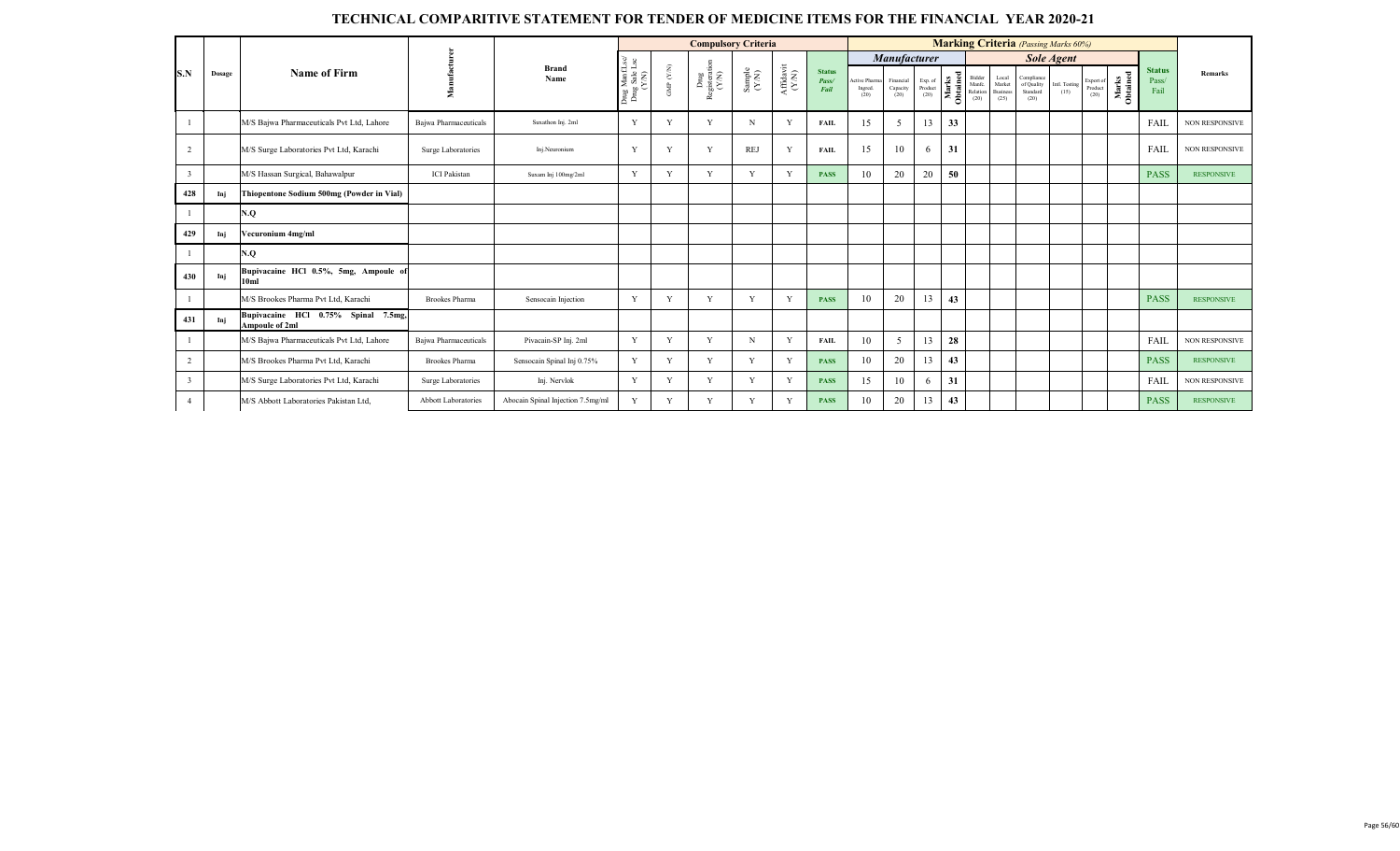|                          |        |                                                              |                       |                                   |                                     |              | <b>Compulsory Criteria</b>     |               |                    |                                |                                   |                               |                            |                   |                                      |                                     |                                              | <b>Marking Criteria</b> (Passing Marks 60%) |                              |                   |                                |                       |
|--------------------------|--------|--------------------------------------------------------------|-----------------------|-----------------------------------|-------------------------------------|--------------|--------------------------------|---------------|--------------------|--------------------------------|-----------------------------------|-------------------------------|----------------------------|-------------------|--------------------------------------|-------------------------------------|----------------------------------------------|---------------------------------------------|------------------------------|-------------------|--------------------------------|-----------------------|
|                          |        |                                                              |                       | <b>Brand</b>                      |                                     |              |                                |               |                    |                                |                                   | Manufacturer                  |                            |                   |                                      |                                     |                                              | <b>Sole Agent</b>                           |                              |                   |                                |                       |
| S.N                      | Dosage | Name of Firm                                                 | nufact<br>g           | Name                              | Drug ManfLs<br>Drug Sale Ls<br>Y/N) | (NN)<br>GMP  | Drug<br>Registeration<br>(Y/N) | Sample $(NN)$ | Affidavit<br>(Y/N) | <b>Status</b><br>Pass/<br>Fail | ctive Pharma<br>Ingred.<br>$(20)$ | Financial<br>Capacity<br>(20) | Exp. of<br>Product<br>(20) | Marks<br>Obtained | Bidder<br>Manfc.<br>Relation<br>(20) | Local<br>Market<br>Business<br>(25) | Compliance<br>of Quality<br>Standard<br>(20) | Intl. Testing<br>(15)                       | Export of<br>Product<br>(20) | Marks<br>Obtained | <b>Status</b><br>Pass/<br>Fail | Remarks               |
|                          |        | M/S Bajwa Pharmaceuticals Pvt Ltd, Lahore                    | Baiwa Pharmaceuticals | Suxathon Inj. 2ml                 | Y                                   | $\mathbf{v}$ | Y                              | $\mathbf N$   | Y                  | <b>FAIL</b>                    | 15                                | 5                             | 13                         | 33                |                                      |                                     |                                              |                                             |                              |                   | FAIL                           | <b>NON RESPONSIVE</b> |
| $\overline{2}$           |        | M/S Surge Laboratories Pvt Ltd, Karachi                      | Surge Laboratories    | Ini.Neuronium                     | Y                                   |              | v                              | <b>REJ</b>    | Y                  | FAIL                           | 15                                | 10                            | 6                          | 31                |                                      |                                     |                                              |                                             |                              |                   | FAIL                           | <b>NON RESPONSIVE</b> |
| $\overline{3}$           |        | M/S Hassan Surgical, Bahawalpur                              | <b>ICI</b> Pakistan   | Suxam Inj 100mg/2ml               | Y                                   | V            | V                              | Y             | Y                  | <b>PASS</b>                    | 10                                | 20                            | 20                         | 50                |                                      |                                     |                                              |                                             |                              |                   | <b>PASS</b>                    | <b>RESPONSIVE</b>     |
| 428                      | Inj    | Thiopentone Sodium 500mg (Powder in Vial)                    |                       |                                   |                                     |              |                                |               |                    |                                |                                   |                               |                            |                   |                                      |                                     |                                              |                                             |                              |                   |                                |                       |
|                          |        | N.Q                                                          |                       |                                   |                                     |              |                                |               |                    |                                |                                   |                               |                            |                   |                                      |                                     |                                              |                                             |                              |                   |                                |                       |
| 429                      | Inj    | Vecuronium 4mg/ml                                            |                       |                                   |                                     |              |                                |               |                    |                                |                                   |                               |                            |                   |                                      |                                     |                                              |                                             |                              |                   |                                |                       |
|                          |        | N.Q                                                          |                       |                                   |                                     |              |                                |               |                    |                                |                                   |                               |                            |                   |                                      |                                     |                                              |                                             |                              |                   |                                |                       |
| 430                      | Inj    | Bupivacaine HCl 0.5%, 5mg, Ampoule of<br>10 <sub>ml</sub>    |                       |                                   |                                     |              |                                |               |                    |                                |                                   |                               |                            |                   |                                      |                                     |                                              |                                             |                              |                   |                                |                       |
|                          |        | M/S Brookes Pharma Pvt Ltd, Karachi                          | <b>Brookes Pharma</b> | Sensocain Injection               | Y                                   |              |                                | Y             | V                  | <b>PASS</b>                    | 10                                | 20                            | 13                         | 43                |                                      |                                     |                                              |                                             |                              |                   | <b>PASS</b>                    | <b>RESPONSIVE</b>     |
| 431                      | Inj    | Bupivacaine HCl 0.75% Spinal 7.5mg,<br><b>Ampoule of 2ml</b> |                       |                                   |                                     |              |                                |               |                    |                                |                                   |                               |                            |                   |                                      |                                     |                                              |                                             |                              |                   |                                |                       |
|                          |        | M/S Bajwa Pharmaceuticals Pvt Ltd, Lahore                    | Bajwa Pharmaceuticals | Pivacain-SP Inj. 2ml              | Y                                   | $\mathbf{v}$ |                                | N             | Y                  | <b>FAIL</b>                    | 10                                | 5                             | 13                         | 28                |                                      |                                     |                                              |                                             |                              |                   | FAIL                           | <b>NON RESPONSIVE</b> |
| $\overline{c}$           |        | M/S Brookes Pharma Pvt Ltd. Karachi                          | <b>Brookes Pharma</b> | Sensocain Spinal Inj 0.75%        | Y                                   | $\mathbf{v}$ | $\mathbf{v}$                   | Y             | Y                  | <b>PASS</b>                    | 10                                | 20                            | 13                         | 43                |                                      |                                     |                                              |                                             |                              |                   | <b>PASS</b>                    | <b>RESPONSIVE</b>     |
| $\overline{\mathcal{E}}$ |        | M/S Surge Laboratories Pvt Ltd, Karachi                      | Surge Laboratories    | Inj. Nervlok                      | Y                                   | $\mathbf{v}$ | v                              | Y             | Y                  | <b>PASS</b>                    | 15                                | 10                            | 6                          | 31                |                                      |                                     |                                              |                                             |                              |                   | FAIL                           | <b>NON RESPONSIVE</b> |
| $\overline{4}$           |        | M/S Abbott Laboratories Pakistan Ltd,                        | Abbott Laboratories   | Abocain Spinal Injection 7.5mg/ml | Y                                   | v            | v                              | Y             | Y                  | <b>PASS</b>                    | 10                                | 20                            | 13                         | 43                |                                      |                                     |                                              |                                             |                              |                   | <b>PASS</b>                    | <b>RESPONSIVE</b>     |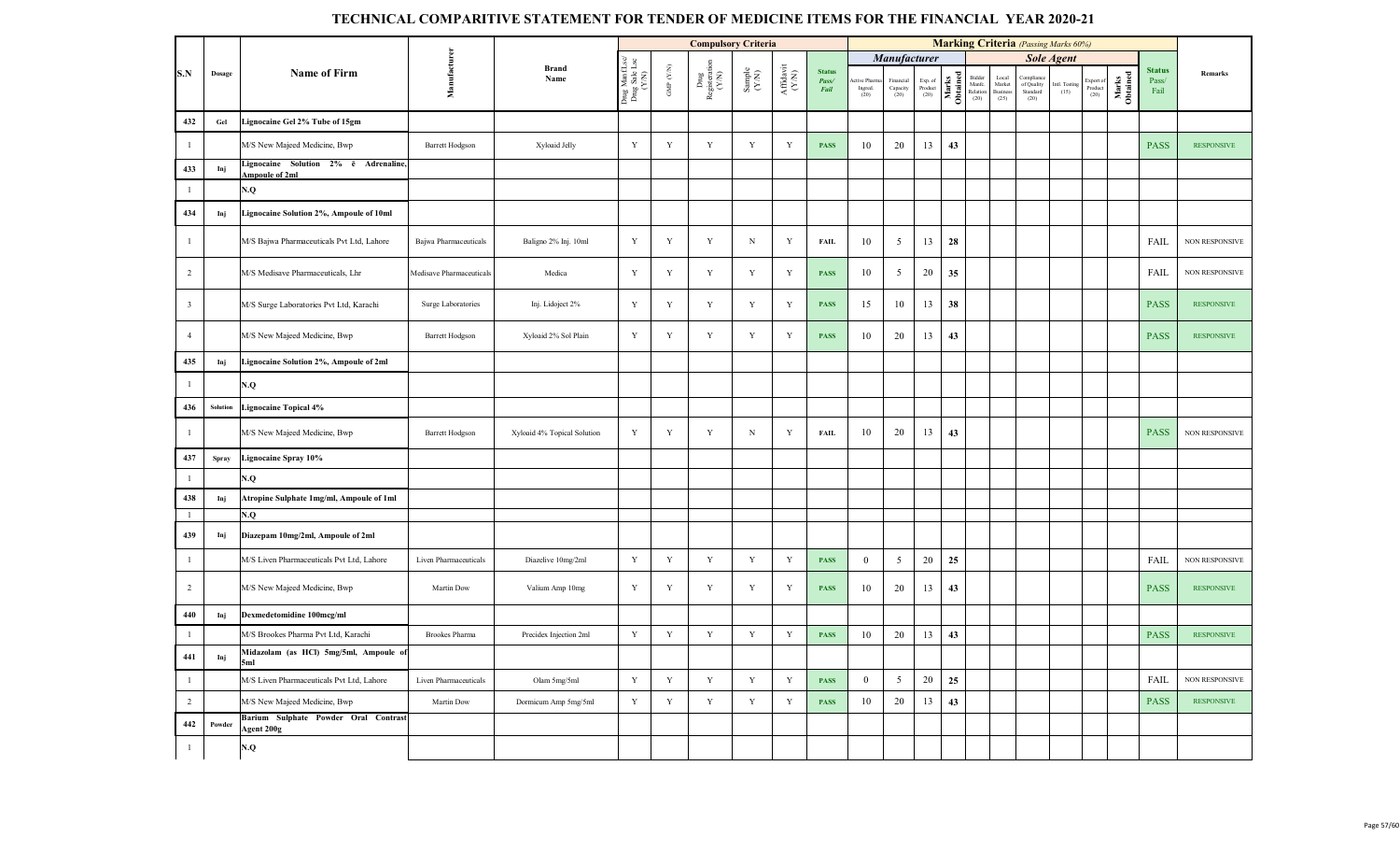|                         |              |                                                        |                          |                             |                                     |                    | <b>Compulsory Criteria</b>     |                                                              |                                           |                                |                                 |                              |                            |                   |                                   |                                                          | <b>Marking Criteria</b> (Passing Marks 60%) |                       |                              |                   |                                |                   |
|-------------------------|--------------|--------------------------------------------------------|--------------------------|-----------------------------|-------------------------------------|--------------------|--------------------------------|--------------------------------------------------------------|-------------------------------------------|--------------------------------|---------------------------------|------------------------------|----------------------------|-------------------|-----------------------------------|----------------------------------------------------------|---------------------------------------------|-----------------------|------------------------------|-------------------|--------------------------------|-------------------|
|                         |              |                                                        |                          |                             | es<br>Lisc                          |                    |                                |                                                              |                                           |                                |                                 | Manufacturer                 |                            |                   |                                   |                                                          |                                             | <b>Sole Agent</b>     |                              |                   |                                |                   |
| S.N                     | Dosage       | <b>Name of Firm</b>                                    | Manufacturen             | <b>Brand</b><br>Name        | Drug Manf.L<br>Drug Sale L<br>(Y/N) | GMP $(\text{Y/N})$ | Drug<br>Registeration<br>(Y/N) | $\begin{array}{c} \text{Sample} \\ (\text{Y-N}) \end{array}$ | ${\bf Aff} {\bf davit} \atop ({\bf Y/N})$ | <b>Status</b><br>Pass/<br>Fail | tive Pharm<br>Ingred.<br>$(20)$ | Financia<br>Capacity<br>(20) | Exp. of<br>Product<br>(20) | Marks<br>Obtained | Bidder<br>Manfc.<br>Relation (20) | $\frac{\text{Local}}{\text{Market}}$<br>Business<br>(25) | Complian<br>of Quality<br>Standard<br>(20)  | Intl. Testing<br>(15) | Export of<br>Product<br>(20) | Marks<br>Obtained | <b>Status</b><br>Pass/<br>Fail | Remarks           |
| 432                     | $_{\rm Gel}$ | Lignocaine Gel 2% Tube of 15gm                         |                          |                             |                                     |                    |                                |                                                              |                                           |                                |                                 |                              |                            |                   |                                   |                                                          |                                             |                       |                              |                   |                                |                   |
| $\mathbf{1}$            |              | M/S New Majeed Medicine, Bwp                           | <b>Barrett Hodgson</b>   | Xyloaid Jelly               | Y                                   | $\mathbf Y$        | $\mathbf Y$                    | $\mathbf Y$                                                  | $\mathbf Y$                               | <b>PASS</b>                    | 10                              | 20                           | 13                         | 43                |                                   |                                                          |                                             |                       |                              |                   | <b>PASS</b>                    | <b>RESPONSIVE</b> |
| 433                     | Inj          | Lignocaine Solution 2% è Adrenaline,<br>Ampoule of 2ml |                          |                             |                                     |                    |                                |                                                              |                                           |                                |                                 |                              |                            |                   |                                   |                                                          |                                             |                       |                              |                   |                                |                   |
| $\mathbf{1}$            |              | N.Q                                                    |                          |                             |                                     |                    |                                |                                                              |                                           |                                |                                 |                              |                            |                   |                                   |                                                          |                                             |                       |                              |                   |                                |                   |
| 434                     | Inj          | Lignocaine Solution 2%, Ampoule of 10ml                |                          |                             |                                     |                    |                                |                                                              |                                           |                                |                                 |                              |                            |                   |                                   |                                                          |                                             |                       |                              |                   |                                |                   |
| $\mathbf{1}$            |              | M/S Bajwa Pharmaceuticals Pvt Ltd, Lahore              | Bajwa Pharmaceuticals    | Baligno 2% Inj. 10ml        | $\mathbf Y$                         | $\mathbf Y$        | $\mathbf Y$                    | ${\bf N}$                                                    | Y                                         | <b>FAIL</b>                    | 10                              | $\overline{5}$               | 13                         | 28                |                                   |                                                          |                                             |                       |                              |                   | FAIL                           | NON RESPONSIVE    |
| 2                       |              | M/S Medisave Pharmaceuticals, Lhr                      | Medisave Pharmaceuticals | Medica                      | Y                                   | Y                  | Y                              | Y                                                            | Y                                         | <b>PASS</b>                    | 10                              | $\overline{5}$               | 20                         | 35                |                                   |                                                          |                                             |                       |                              |                   | <b>FAIL</b>                    | NON RESPONSIVE    |
| $\overline{\mathbf{3}}$ |              | M/S Surge Laboratories Pvt Ltd, Karachi                | Surge Laboratories       | Inj. Lidoject 2%            | $\mathbf Y$                         | $\mathbf Y$        | $\mathbf Y$                    | $\mathbf Y$                                                  | Y                                         | <b>PASS</b>                    | 15                              | 10                           | 13                         | 38                |                                   |                                                          |                                             |                       |                              |                   | <b>PASS</b>                    | <b>RESPONSIVE</b> |
| $\overline{4}$          |              | M/S New Majeed Medicine, Bwp                           | <b>Barrett Hodgson</b>   | Xyloaid 2% Sol Plain        | Y                                   | $\mathbf Y$        | Y                              | Y                                                            | Y                                         | <b>PASS</b>                    | 10                              | 20                           | 13                         | 43                |                                   |                                                          |                                             |                       |                              |                   | <b>PASS</b>                    | <b>RESPONSIVE</b> |
| 435                     | Inj          | Lignocaine Solution 2%, Ampoule of 2ml                 |                          |                             |                                     |                    |                                |                                                              |                                           |                                |                                 |                              |                            |                   |                                   |                                                          |                                             |                       |                              |                   |                                |                   |
| $\mathbf{1}$            |              | N.Q                                                    |                          |                             |                                     |                    |                                |                                                              |                                           |                                |                                 |                              |                            |                   |                                   |                                                          |                                             |                       |                              |                   |                                |                   |
| 436                     | Solution     | Lignocaine Topical 4%                                  |                          |                             |                                     |                    |                                |                                                              |                                           |                                |                                 |                              |                            |                   |                                   |                                                          |                                             |                       |                              |                   |                                |                   |
| $\overline{1}$          |              | M/S New Majeed Medicine, Bwp                           | <b>Barrett Hodgson</b>   | Xyloaid 4% Topical Solution | Y                                   | Y                  | Y                              | $_{\rm N}$                                                   | Y                                         | <b>FAIL</b>                    | 10                              | 20                           | 13                         | 43                |                                   |                                                          |                                             |                       |                              |                   | <b>PASS</b>                    | NON RESPONSIVE    |
| 437                     | Spray        | Lignocaine Spray 10%                                   |                          |                             |                                     |                    |                                |                                                              |                                           |                                |                                 |                              |                            |                   |                                   |                                                          |                                             |                       |                              |                   |                                |                   |
| $\overline{1}$          |              | N.Q                                                    |                          |                             |                                     |                    |                                |                                                              |                                           |                                |                                 |                              |                            |                   |                                   |                                                          |                                             |                       |                              |                   |                                |                   |
| 438                     | Inj          | Atropine Sulphate 1mg/ml, Ampoule of 1ml               |                          |                             |                                     |                    |                                |                                                              |                                           |                                |                                 |                              |                            |                   |                                   |                                                          |                                             |                       |                              |                   |                                |                   |
| $\overline{1}$          |              | N.Q                                                    |                          |                             |                                     |                    |                                |                                                              |                                           |                                |                                 |                              |                            |                   |                                   |                                                          |                                             |                       |                              |                   |                                |                   |
| 439                     | Inj          | Diazepam 10mg/2ml, Ampoule of 2ml                      |                          |                             |                                     |                    |                                |                                                              |                                           |                                |                                 |                              |                            |                   |                                   |                                                          |                                             |                       |                              |                   |                                |                   |
| $\overline{1}$          |              | M/S Liven Pharmaceuticals Pvt Ltd, Lahore              | Liven Pharmaceuticals    | Diazelive 10mg/2ml          | $\mathbf Y$                         | $\mathbf Y$        | $\mathbf Y$                    | $\mathbf Y$                                                  | $\mathbf Y$                               | <b>PASS</b>                    | $\overline{0}$                  | 5                            | 20                         | 25                |                                   |                                                          |                                             |                       |                              |                   | FAIL                           | NON RESPONSIVE    |
| $\overline{2}$          |              | M/S New Majeed Medicine, Bwp                           | Martin Dow               | Valium Amp 10mg             | Y                                   | $\mathbf Y$        | Y                              | $\mathbf Y$                                                  | Y                                         | <b>PASS</b>                    | 10                              | 20                           | 13                         | 43                |                                   |                                                          |                                             |                       |                              |                   | <b>PASS</b>                    | <b>RESPONSIVE</b> |
| 440                     | Inj          | Dexmedetomidine 100mcg/ml                              |                          |                             |                                     |                    |                                |                                                              |                                           |                                |                                 |                              |                            |                   |                                   |                                                          |                                             |                       |                              |                   |                                |                   |
| $\overline{1}$          |              | M/S Brookes Pharma Pvt Ltd, Karachi                    | <b>Brookes Pharma</b>    | Precidex Injection 2ml      | $\mathbf Y$                         | $\mathbf Y$        | $\mathbf Y$                    | $\mathbf Y$                                                  | Y                                         | <b>PASS</b>                    | 10                              | 20                           | 13                         | 43                |                                   |                                                          |                                             |                       |                              |                   | <b>PASS</b>                    | <b>RESPONSIVE</b> |
| 441                     | Inj          | Midazolam (as HCl) 5mg/5ml, Ampoule of<br>5ml          |                          |                             |                                     |                    |                                |                                                              |                                           |                                |                                 |                              |                            |                   |                                   |                                                          |                                             |                       |                              |                   |                                |                   |
| $\mathbf{1}$            |              | M/S Liven Pharmaceuticals Pvt Ltd, Lahore              | Liven Pharmaceuticals    | Olam 5mg/5ml                | $\mathbf Y$                         | $\mathbf Y$        | $\mathbf Y$                    | $\mathbf Y$                                                  | $\mathbf Y$                               | <b>PASS</b>                    | $\mathbf{0}$                    | $\overline{5}$               | 20                         | 25                |                                   |                                                          |                                             |                       |                              |                   | FAIL                           | NON RESPONSIVE    |
| $\overline{2}$          |              | M/S New Majeed Medicine, Bwp                           | Martin Dow               | Dormicum Amp 5mg/5ml        | $\mathbf Y$                         | Y                  | Y                              | $\mathbf Y$                                                  | Y                                         | <b>PASS</b>                    | 10                              | 20                           | 13                         | 43                |                                   |                                                          |                                             |                       |                              |                   | <b>PASS</b>                    | <b>RESPONSIVE</b> |
| 442                     | Powder       | Barium Sulphate Powder Oral Contrast<br>Agent 200g     |                          |                             |                                     |                    |                                |                                                              |                                           |                                |                                 |                              |                            |                   |                                   |                                                          |                                             |                       |                              |                   |                                |                   |
| $\mathbf{1}$            |              | N.Q                                                    |                          |                             |                                     |                    |                                |                                                              |                                           |                                |                                 |                              |                            |                   |                                   |                                                          |                                             |                       |                              |                   |                                |                   |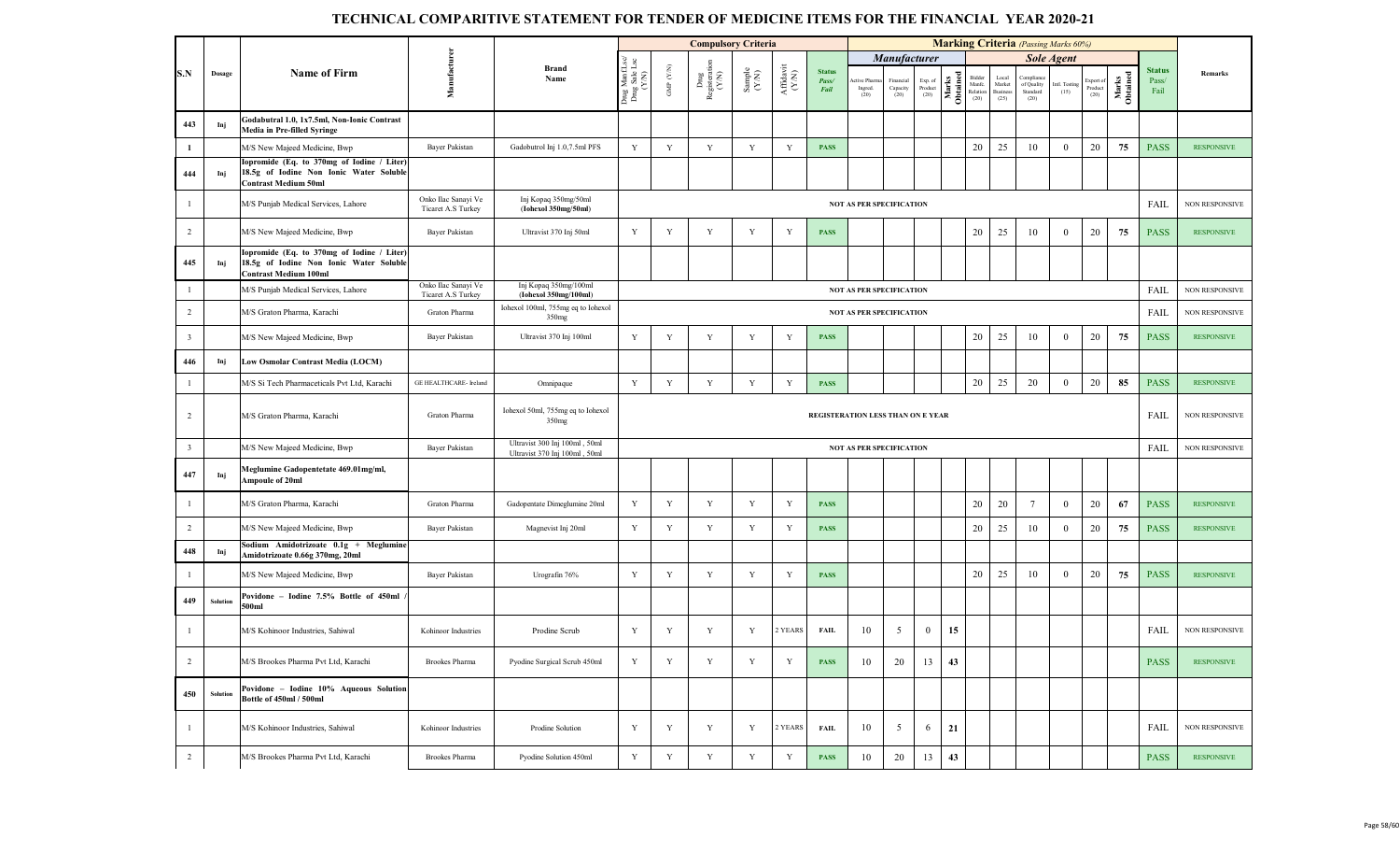|                         |          |                                                                                                                      |                                           |                                                                |                                          |                                           | <b>Compulsory Criteria</b>                        |                                                             |                              |                                |                                 |                               |                            |                   |                                     |                                     | <b>Marking Criteria</b> (Passing Marks 60%) |                       |                              |                   |                                |                       |
|-------------------------|----------|----------------------------------------------------------------------------------------------------------------------|-------------------------------------------|----------------------------------------------------------------|------------------------------------------|-------------------------------------------|---------------------------------------------------|-------------------------------------------------------------|------------------------------|--------------------------------|---------------------------------|-------------------------------|----------------------------|-------------------|-------------------------------------|-------------------------------------|---------------------------------------------|-----------------------|------------------------------|-------------------|--------------------------------|-----------------------|
|                         |          |                                                                                                                      |                                           |                                                                |                                          |                                           |                                                   |                                                             |                              |                                |                                 | <b>Manufacturer</b>           |                            |                   |                                     |                                     |                                             | <b>Sole Agent</b>     |                              |                   |                                |                       |
| S.N                     | Dosage   | <b>Name of Firm</b>                                                                                                  | Manufacturen                              | <b>Brand</b><br>Name                                           | Drug Manf.Lsc/<br>Drug Sale Lsc<br>(Y/N) | ${\rm GMP}$ ${\rm (YN)}$                  | $_{\mbox{Deng}}^{\mbox{Dng}}$ Registeration (Y/N) | $\begin{array}{c} \text{Sample} \\ (\text{YN}) \end{array}$ | ${\bf Affa} {\bf vit}$ (Y/N) | <b>Status</b><br>Pass/<br>Fail | ctive Pharr<br>Ingred.<br>(20)  | Financial<br>Capacity<br>(20) | Exp. of<br>Product<br>(20) | Marks<br>Obtained | Bidde<br>Manfe.<br>Relation<br>(20) | Local<br>Market<br>Business<br>(25) | ⊇omplia<br>of Quality<br>Standard<br>(20)   | Intl. Testing<br>(15) | Export of<br>Product<br>(20) | Marks<br>Obtained | <b>Status</b><br>Pass/<br>Fail | Remarks               |
| 443                     | Inj      | Godabutral 1.0, 1x7.5ml, Non-Ionic Contrast<br>Media in Pre-filled Syringe                                           |                                           |                                                                |                                          |                                           |                                                   |                                                             |                              |                                |                                 |                               |                            |                   |                                     |                                     |                                             |                       |                              |                   |                                |                       |
| $\mathbf{1}$            |          | M/S New Majeed Medicine, Bwp                                                                                         | Bayer Pakistan                            | Gadobutrol Inj 1.0,7.5ml PFS                                   | Y                                        | $\mathbf Y$                               | $\mathbf Y$                                       | $\mathbf Y$                                                 | Y                            | <b>PASS</b>                    |                                 |                               |                            |                   | 20                                  | 25                                  | 10                                          | $\overline{0}$        | 20                           | 75                | <b>PASS</b>                    | <b>RESPONSIVE</b>     |
| 444                     | Inj      | lopromide (Eq. to 370mg of Iodine / Liter)<br>18.5g of Iodine Non Ionic Water Soluble<br><b>Contrast Medium 50ml</b> |                                           |                                                                |                                          |                                           |                                                   |                                                             |                              |                                |                                 |                               |                            |                   |                                     |                                     |                                             |                       |                              |                   |                                |                       |
| $\mathbf{1}$            |          | M/S Punjab Medical Services, Lahore                                                                                  | Onko Ilac Sanayi Ve<br>Ticaret A.S Turkey | Inj Kopaq 350mg/50ml<br>(Iohexol 350mg/50ml)                   |                                          |                                           |                                                   |                                                             |                              |                                | <b>NOT AS PER SPECIFICATION</b> |                               |                            |                   |                                     |                                     |                                             |                       |                              |                   | FAIL                           | <b>NON RESPONSIVE</b> |
| $\overline{2}$          |          | M/S New Majeed Medicine, Bwp                                                                                         | Bayer Pakistan                            | Ultravist 370 Inj 50ml                                         | Y                                        | Y                                         | Y                                                 | $\mathbf Y$                                                 | Y                            | <b>PASS</b>                    |                                 |                               |                            |                   | 20                                  | 25                                  | 10                                          | $\overline{0}$        | 20                           | 75                | <b>PASS</b>                    | <b>RESPONSIVE</b>     |
| 445                     | Inj      | opromide (Eq. to 370mg of Iodine / Liter)<br>18.5g of Iodine Non Ionic Water Soluble<br>Contrast Medium 100ml        |                                           |                                                                |                                          |                                           |                                                   |                                                             |                              |                                |                                 |                               |                            |                   |                                     |                                     |                                             |                       |                              |                   |                                |                       |
| $\overline{1}$          |          | M/S Punjab Medical Services, Lahore                                                                                  | Onko Ilac Sanayi Ve<br>Ticaret A.S Turkey | Inj Kopaq 350mg/100ml<br>(Iohexol 350mg/100ml)                 |                                          |                                           |                                                   |                                                             |                              |                                | <b>NOT AS PER SPECIFICATION</b> |                               |                            |                   |                                     |                                     |                                             |                       |                              |                   | FAIL                           | NON RESPONSIVE        |
| $\overline{2}$          |          | M/S Graton Pharma, Karachi                                                                                           | Graton Pharma                             | Iohexol 100ml, 755mg eq to Iohexol<br>350 <sub>mg</sub>        |                                          |                                           |                                                   |                                                             |                              |                                | <b>NOT AS PER SPECIFICATION</b> |                               |                            |                   |                                     |                                     |                                             |                       |                              |                   | FAIL                           | <b>NON RESPONSIVE</b> |
| $\overline{\mathbf{3}}$ |          | M/S New Majeed Medicine, Bwp                                                                                         | Bayer Pakistan                            | Ultravist 370 Inj 100ml                                        | Y                                        | Y                                         | Y                                                 | Y                                                           | Y                            | <b>PASS</b>                    |                                 |                               |                            |                   | 20                                  | 25                                  | 10                                          | $\mathbf{0}$          | 20                           | 75                | <b>PASS</b>                    | <b>RESPONSIVE</b>     |
| 446                     | Inj      | Low Osmolar Contrast Media (LOCM)                                                                                    |                                           |                                                                |                                          |                                           |                                                   |                                                             |                              |                                |                                 |                               |                            |                   |                                     |                                     |                                             |                       |                              |                   |                                |                       |
| $\mathbf{1}$            |          | M/S Si Tech Pharmaceticals Pvt Ltd, Karachi                                                                          | GE HEALTHCARE- Ireland                    | Omnipaque                                                      | Y                                        | Y                                         | Y                                                 | $\mathbf Y$                                                 | Y                            | <b>PASS</b>                    |                                 |                               |                            |                   | 20                                  | 25                                  | 20                                          | $\overline{0}$        | 20                           | 85                | <b>PASS</b>                    | <b>RESPONSIVE</b>     |
| $\overline{2}$          |          | M/S Graton Pharma, Karachi                                                                                           | Graton Pharma                             | Iohexol 50ml, 755mg eq to Iohexol<br>350mg                     |                                          | REGISTERATION LESS THAN ON E YEAR<br>FAIL |                                                   |                                                             |                              |                                |                                 |                               |                            |                   |                                     |                                     |                                             |                       | <b>NON RESPONSIVE</b>        |                   |                                |                       |
| $\overline{\mathbf{3}}$ |          | M/S New Majeed Medicine, Bwp                                                                                         | Bayer Pakistan                            | Ultravist 300 Inj 100ml, 50ml<br>Ultravist 370 Inj 100ml, 50ml |                                          |                                           |                                                   |                                                             |                              |                                | <b>NOT AS PER SPECIFICATION</b> |                               |                            |                   |                                     |                                     |                                             |                       |                              |                   | FAIL                           | NON RESPONSIVE        |
| 447                     | Inj      | Meglumine Gadopentetate 469.01mg/ml,<br>Ampoule of 20ml                                                              |                                           |                                                                |                                          |                                           |                                                   |                                                             |                              |                                |                                 |                               |                            |                   |                                     |                                     |                                             |                       |                              |                   |                                |                       |
| $\mathbf{1}$            |          | M/S Graton Pharma, Karachi                                                                                           | Graton Pharma                             | Gadopentate Dimeglumine 20ml                                   | Y                                        | Y                                         | Y                                                 | Y                                                           | Y                            | <b>PASS</b>                    |                                 |                               |                            |                   | 20                                  | 20                                  |                                             | $\mathbf{0}$          | 20                           | 67                | <b>PASS</b>                    | <b>RESPONSIVE</b>     |
| $\overline{2}$          |          | M/S New Majeed Medicine, Bwp                                                                                         | Bayer Pakistan                            | Magnevist Inj 20ml                                             | Y                                        | Y                                         | Y                                                 | Y                                                           | Y                            | <b>PASS</b>                    |                                 |                               |                            |                   | 20                                  | 25                                  | 10                                          | $\mathbf{0}$          | 20                           | 75                | <b>PASS</b>                    | <b>RESPONSIVE</b>     |
| 448                     | Inj      | Sodium Amidotrizoate 0.1g + Meglumine<br>Amidotrizoate 0.66g 370mg, 20ml                                             |                                           |                                                                |                                          |                                           |                                                   |                                                             |                              |                                |                                 |                               |                            |                   |                                     |                                     |                                             |                       |                              |                   |                                |                       |
| $\mathbf{1}$            |          | M/S New Majeed Medicine, Bwp                                                                                         | Bayer Pakistan                            | Urografin 76%                                                  | Y                                        | Y                                         | $\mathbf Y$                                       | $\mathbf Y$                                                 | Y                            | <b>PASS</b>                    |                                 |                               |                            |                   | 20                                  | 25                                  | 10                                          | $\mathbf{0}$          | 20                           | 75                | <b>PASS</b>                    | <b>RESPONSIVE</b>     |
| 449                     | Solution | Povidone - Iodine 7.5% Bottle of 450ml<br>500ml                                                                      |                                           |                                                                |                                          |                                           |                                                   |                                                             |                              |                                |                                 |                               |                            |                   |                                     |                                     |                                             |                       |                              |                   |                                |                       |
| $\overline{1}$          |          | M/S Kohinoor Industries, Sahiwal                                                                                     | Kohinoor Industries                       | Prodine Scrub                                                  | Y                                        | Y                                         | Y                                                 | Y                                                           | 2 YEARS                      | FAIL                           | 10                              | 5                             | $\overline{0}$             | 15                |                                     |                                     |                                             |                       |                              |                   | FAIL                           | <b>NON RESPONSIVE</b> |
| $\overline{2}$          |          | M/S Brookes Pharma Pvt Ltd, Karachi                                                                                  | Brookes Pharma                            | Pyodine Surgical Scrub 450ml                                   | $\mathbf Y$                              | $\mathbf Y$                               | Y                                                 | $\mathbf Y$                                                 | Y                            | <b>PASS</b>                    | 10                              | 20                            | 13                         | 43                |                                     |                                     |                                             |                       |                              |                   | <b>PASS</b>                    | <b>RESPONSIVE</b>     |
| 450                     | Solution | Povidone - Iodine 10% Aqueous Solution<br>Bottle of 450ml / 500ml                                                    |                                           |                                                                |                                          |                                           |                                                   |                                                             |                              |                                |                                 |                               |                            |                   |                                     |                                     |                                             |                       |                              |                   |                                |                       |
| -1                      |          | M/S Kohinoor Industries, Sahiwal                                                                                     | Kohinoor Industries                       | Prodine Solution                                               | Y                                        | Y                                         | Y                                                 | Y                                                           | 2 YEARS                      | <b>FAIL</b>                    | 10                              | 5                             | 6                          | 21                |                                     |                                     |                                             |                       |                              |                   | FAIL                           | <b>NON RESPONSIVE</b> |
| $\overline{2}$          |          | M/S Brookes Pharma Pvt Ltd, Karachi                                                                                  | <b>Brookes Pharma</b>                     | Pyodine Solution 450ml                                         | $\mathbf Y$                              | $\mathbf Y$                               | Y                                                 | Y                                                           | Y                            | <b>PASS</b>                    | 10                              | 20                            | 13                         | 43                |                                     |                                     |                                             |                       |                              |                   | <b>PASS</b>                    | <b>RESPONSIVE</b>     |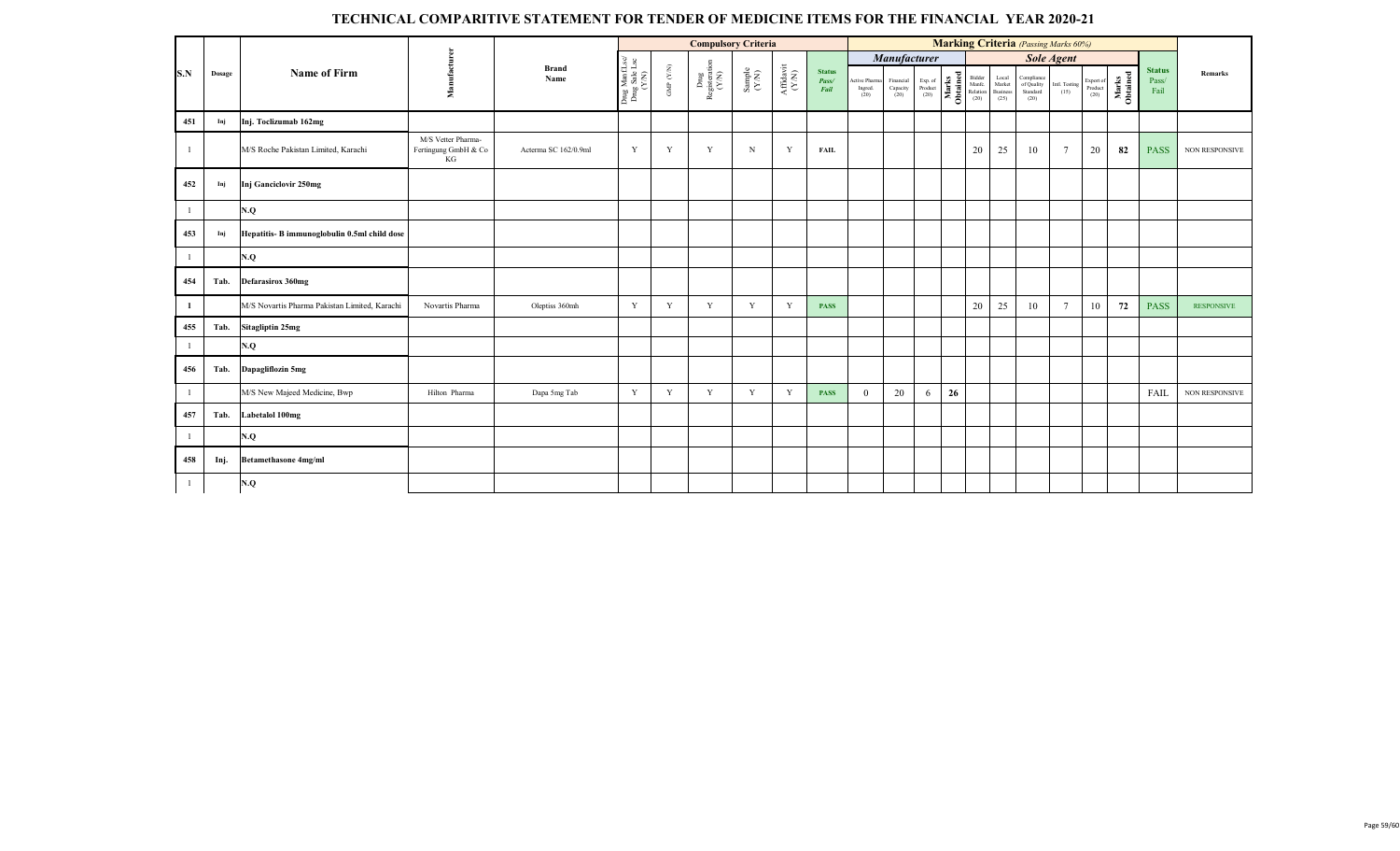|     |        |                                               |                                                  |                      |                                          |                       | <b>Compulsory Criteria</b>     |                                                             |                                                                                                 |                                |                                  |                                                                            |                                       |    |                                            |                                     |                                              | <b>Marking Criteria</b> (Passing Marks 60%) |                                                                          |                   |                                |                       |
|-----|--------|-----------------------------------------------|--------------------------------------------------|----------------------|------------------------------------------|-----------------------|--------------------------------|-------------------------------------------------------------|-------------------------------------------------------------------------------------------------|--------------------------------|----------------------------------|----------------------------------------------------------------------------|---------------------------------------|----|--------------------------------------------|-------------------------------------|----------------------------------------------|---------------------------------------------|--------------------------------------------------------------------------|-------------------|--------------------------------|-----------------------|
|     |        |                                               |                                                  |                      |                                          |                       |                                |                                                             |                                                                                                 |                                |                                  | Manufacturer                                                               |                                       |    |                                            |                                     |                                              | <b>Sole Agent</b>                           |                                                                          |                   |                                |                       |
| S.N | Dosage | <b>Name of Firm</b>                           | Manufacturer                                     | <b>Brand</b><br>Name | Drug Manf.Lsc/<br>Drug Sale Lsc<br>(Y/N) | GMP $(\mathcal{N/N})$ | Drug<br>Registeration<br>(Y/N) | $\begin{array}{c} \text{Sample} \\ (\text{YM}) \end{array}$ | $\begin{array}{c} \mathrm{Aff} \mathrm{d} \mathrm{av} \mathrm{i} \\ (\mathrm{Y/N}) \end{array}$ | <b>Status</b><br>Pass/<br>Fail | Active Pharma<br>Ingred.<br>(20) | $\begin{array}{c} \text{Financial} \\ \text{Capacity} \\ (20) \end{array}$ | Exp. of<br>Product $\left( 20\right)$ |    | Marks<br>Manfc.<br>Manfc.<br>Compared (20) | Local<br>Market<br>Business<br>(25) | Compliance<br>of Quality<br>Standard<br>(20) | Intl. Testing<br>(15)                       | $\begin{array}{c} \text{Expert of}\\ \text{Product} \end{array}$<br>(20) | Marks<br>Obtained | <b>Status</b><br>Pass/<br>Fail | Remarks               |
| 451 | Inj    | Inj. Toclizumab 162mg                         |                                                  |                      |                                          |                       |                                |                                                             |                                                                                                 |                                |                                  |                                                                            |                                       |    |                                            |                                     |                                              |                                             |                                                                          |                   |                                |                       |
|     |        | M/S Roche Pakistan Limited, Karachi           | M/S Vetter Pharma-<br>Fertingung GmbH & Co<br>KG | Acterma SC 162/0.9ml | Y                                        | Y                     | Y                              | $\mathbf N$                                                 | Y                                                                                               | <b>FAIL</b>                    |                                  |                                                                            |                                       |    | 20                                         | 25                                  | 10                                           | $\overline{7}$                              | 20                                                                       | 82                | <b>PASS</b>                    | <b>NON RESPONSIVE</b> |
| 452 | Inj    | Inj Ganciclovir 250mg                         |                                                  |                      |                                          |                       |                                |                                                             |                                                                                                 |                                |                                  |                                                                            |                                       |    |                                            |                                     |                                              |                                             |                                                                          |                   |                                |                       |
|     |        | N.Q                                           |                                                  |                      |                                          |                       |                                |                                                             |                                                                                                 |                                |                                  |                                                                            |                                       |    |                                            |                                     |                                              |                                             |                                                                          |                   |                                |                       |
| 453 | Inj    | Hepatitis- B immunoglobulin 0.5ml child dose  |                                                  |                      |                                          |                       |                                |                                                             |                                                                                                 |                                |                                  |                                                                            |                                       |    |                                            |                                     |                                              |                                             |                                                                          |                   |                                |                       |
|     |        | N.Q                                           |                                                  |                      |                                          |                       |                                |                                                             |                                                                                                 |                                |                                  |                                                                            |                                       |    |                                            |                                     |                                              |                                             |                                                                          |                   |                                |                       |
| 454 | Tab.   | <b>Defarasirox 360mg</b>                      |                                                  |                      |                                          |                       |                                |                                                             |                                                                                                 |                                |                                  |                                                                            |                                       |    |                                            |                                     |                                              |                                             |                                                                          |                   |                                |                       |
| -1  |        | M/S Novartis Pharma Pakistan Limited, Karachi | Novartis Pharma                                  | Oleptiss 360mh       | Y                                        | Y                     | Y                              | Y                                                           | Y                                                                                               | <b>PASS</b>                    |                                  |                                                                            |                                       |    | 20                                         | 25                                  | 10                                           | $\overline{7}$                              | 10                                                                       | 72                | <b>PASS</b>                    | <b>RESPONSIVE</b>     |
| 455 | Tab.   | <b>Sitagliptin 25mg</b>                       |                                                  |                      |                                          |                       |                                |                                                             |                                                                                                 |                                |                                  |                                                                            |                                       |    |                                            |                                     |                                              |                                             |                                                                          |                   |                                |                       |
|     |        | N.Q                                           |                                                  |                      |                                          |                       |                                |                                                             |                                                                                                 |                                |                                  |                                                                            |                                       |    |                                            |                                     |                                              |                                             |                                                                          |                   |                                |                       |
| 456 | Tab.   | Dapagliflozin 5mg                             |                                                  |                      |                                          |                       |                                |                                                             |                                                                                                 |                                |                                  |                                                                            |                                       |    |                                            |                                     |                                              |                                             |                                                                          |                   |                                |                       |
|     |        | M/S New Majeed Medicine, Bwp                  | Hilton Pharma                                    | Dapa 5mg Tab         | Y                                        | Y                     | Y                              | Y                                                           | Y                                                                                               | <b>PASS</b>                    | $\theta$                         | 20                                                                         | 6                                     | 26 |                                            |                                     |                                              |                                             |                                                                          |                   | <b>FAIL</b>                    | NON RESPONSIVE        |
| 457 | Tab.   | Labetalol 100mg                               |                                                  |                      |                                          |                       |                                |                                                             |                                                                                                 |                                |                                  |                                                                            |                                       |    |                                            |                                     |                                              |                                             |                                                                          |                   |                                |                       |
|     |        | N.Q                                           |                                                  |                      |                                          |                       |                                |                                                             |                                                                                                 |                                |                                  |                                                                            |                                       |    |                                            |                                     |                                              |                                             |                                                                          |                   |                                |                       |
| 458 | Inj.   | <b>Betamethasone 4mg/ml</b>                   |                                                  |                      |                                          |                       |                                |                                                             |                                                                                                 |                                |                                  |                                                                            |                                       |    |                                            |                                     |                                              |                                             |                                                                          |                   |                                |                       |
|     |        | N.Q                                           |                                                  |                      |                                          |                       |                                |                                                             |                                                                                                 |                                |                                  |                                                                            |                                       |    |                                            |                                     |                                              |                                             |                                                                          |                   |                                |                       |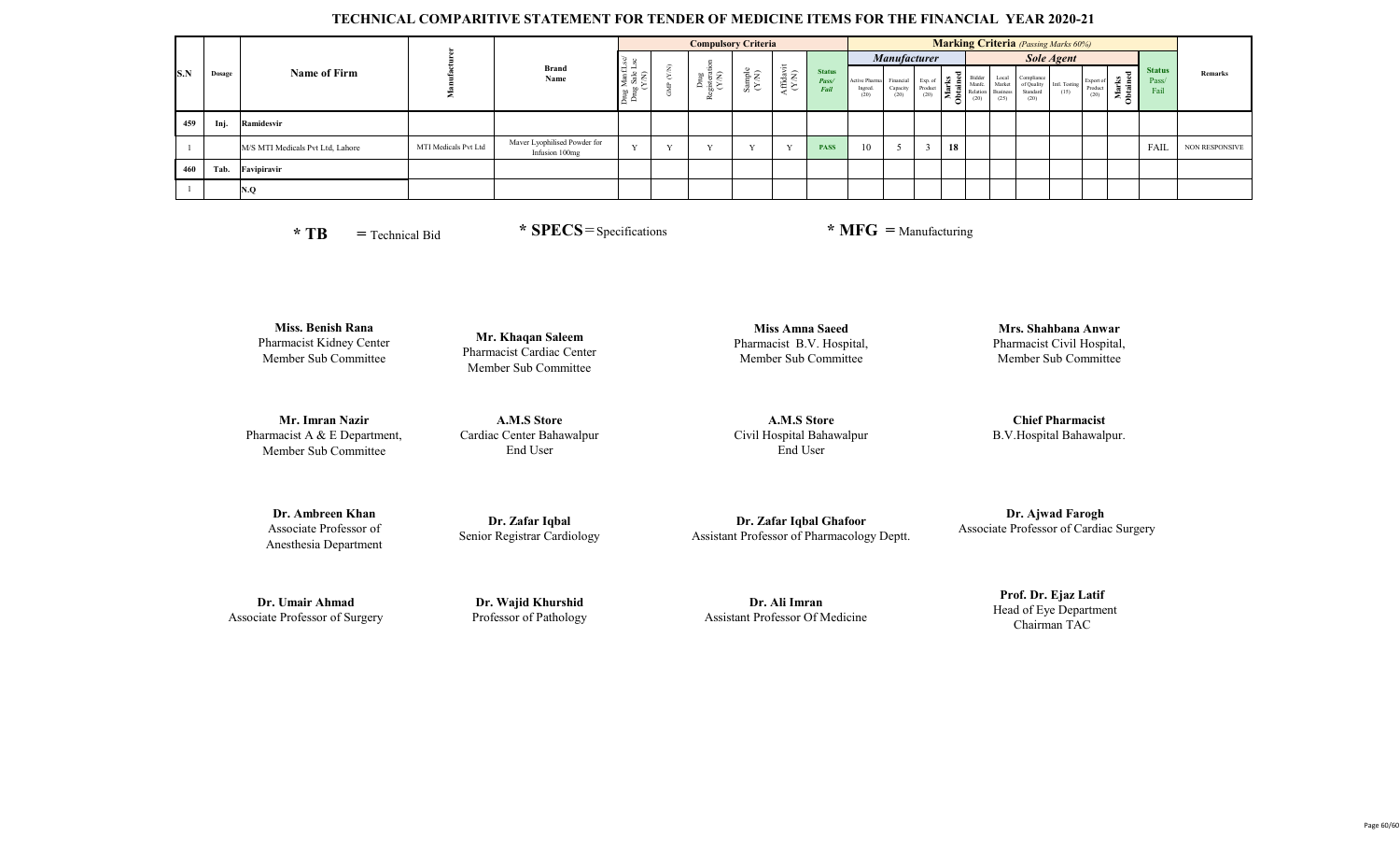|     |        |                                  |                      |                                                |                                                | <b>Compulsory Criteria</b>                     |                                                              |                  |                                |    |                     |    |  | <b>Marking Criteria</b> (Passing Marks 60%) |                       |                              |                       |                                |                       |
|-----|--------|----------------------------------|----------------------|------------------------------------------------|------------------------------------------------|------------------------------------------------|--------------------------------------------------------------|------------------|--------------------------------|----|---------------------|----|--|---------------------------------------------|-----------------------|------------------------------|-----------------------|--------------------------------|-----------------------|
|     |        |                                  |                      |                                                | မွ မွ                                          |                                                |                                                              | $\equiv$         |                                |    | <b>Manufacturer</b> |    |  |                                             | Sole Agent            |                              |                       |                                |                       |
| S.N | Dosage | <b>Name of Firm</b>              |                      | <b>Brand</b><br>Name                           | $ -$<br>$H = \frac{1}{6}$<br>ટ ઢું ≿<br>$\Box$ | gisterat<br>(Y/N)<br><b>CO</b><br>$\mathbf{r}$ | $\begin{array}{c} \text{Sample} \\ (\text{Y/N}) \end{array}$ | Affidavi<br>(YN) | <b>Status</b><br>Pass/<br>Fail |    |                     |    |  |                                             | Intl. Testing<br>(15) | Export of<br>Product<br>(20) | - 원 트<br>Mai<br>Obtai | <b>Status</b><br>Pass/<br>Fail | <b>Remarks</b>        |
| 459 | Inj.   | Ramidesvir                       |                      |                                                |                                                |                                                |                                                              |                  |                                |    |                     |    |  |                                             |                       |                              |                       |                                |                       |
|     |        | M/S MTI Medicals Pvt Ltd, Lahore | MTI Medicals Pvt Ltd | Maver Lyophilised Powder for<br>Infusion 100mg |                                                |                                                |                                                              | $\mathbf{v}$     | <b>PASS</b>                    | 10 |                     | 18 |  |                                             |                       |                              |                       | FAIL                           | <b>NON RESPONSIVE</b> |
| 460 | Tab.   | Favipiravir                      |                      |                                                |                                                |                                                |                                                              |                  |                                |    |                     |    |  |                                             |                       |                              |                       |                                |                       |
|     |        | N.O                              |                      |                                                |                                                |                                                |                                                              |                  |                                |    |                     |    |  |                                             |                       |                              |                       |                                |                       |

**\* TB =** Technical Bid

 **\* SPECS**=Specifications **\* MFG =** Manufacturing

**Miss. Benish Rana** Pharmacist Kidney Center Member Sub Committee

**Mr. Imran Nazir** Pharmacist A & E Department, Member Sub Committee

**Mr. Khaqan Saleem** Pharmacist Cardiac Center Member Sub Committee

**A.M.S Store** Cardiac Center Bahawalpur End User

**Miss Amna Saeed** Pharmacist B.V. Hospital, Member Sub Committee

**A.M.S Store** Civil Hospital Bahawalpur End User

**Mrs. Shahbana Anwar** Pharmacist Civil Hospital, Member Sub Committee

**Chief Pharmacist** B.V.Hospital Bahawalpur.

**Dr. Ambreen Khan** Associate Professor of Anesthesia Department

**Dr. Zafar Iqbal**  Senior Registrar Cardiology

**Dr. Zafar Iqbal Ghafoor**  Assistant Professor of Pharmacology Deptt.

 **Dr. Ajwad Farogh** Associate Professor of Cardiac Surgery

**Dr. Umair Ahmad**  Associate Professor of Surgery

**Dr. Wajid Khurshid**  Professor of Pathology

**Dr. Ali Imran**  Assistant Professor Of Medicine

**Prof. Dr. Ejaz Latif**  Head of Eye Department Chairman TAC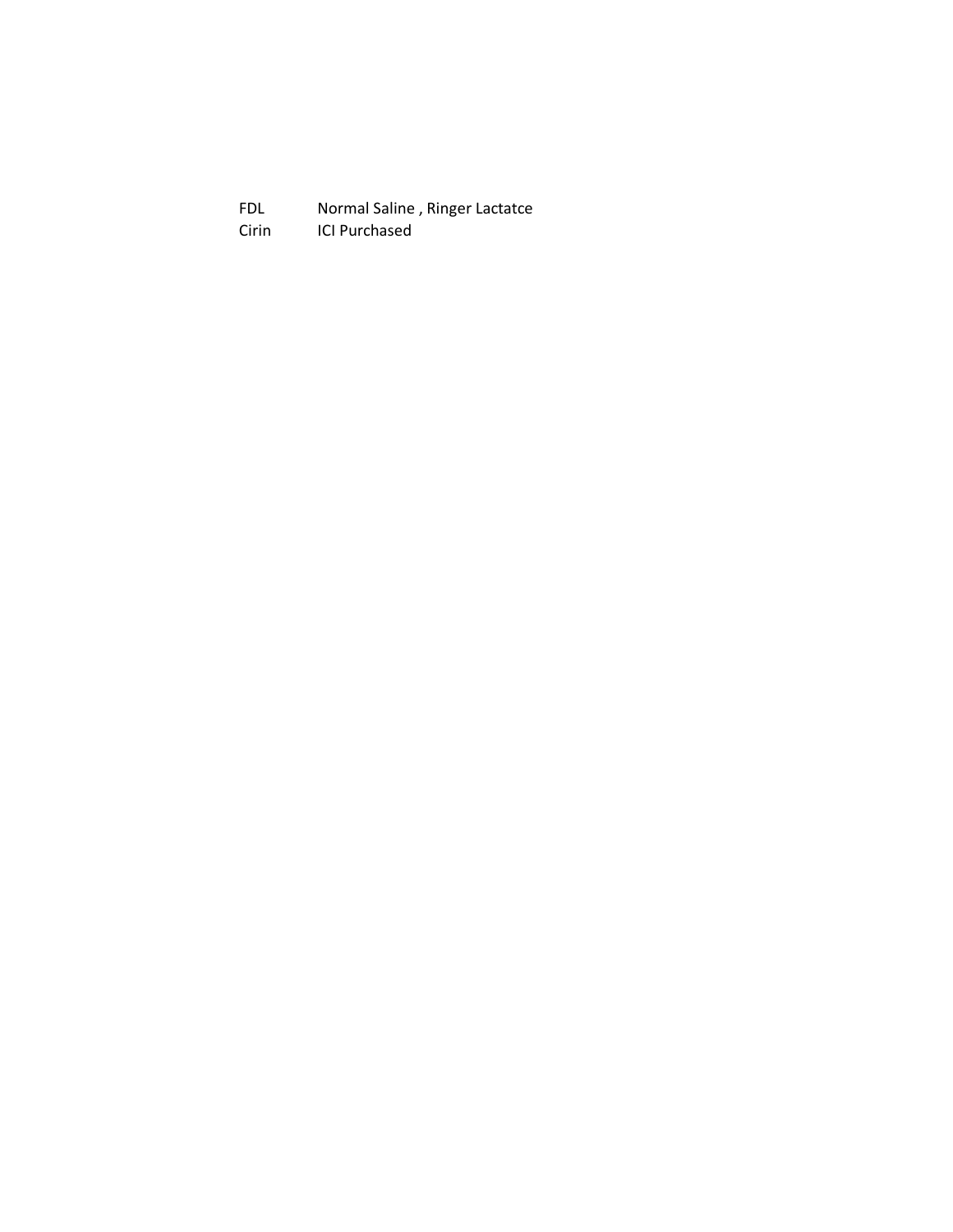FDL Normal Saline, Ringer Lactatce<br>Cirin ICI Purchased ICI Purchased